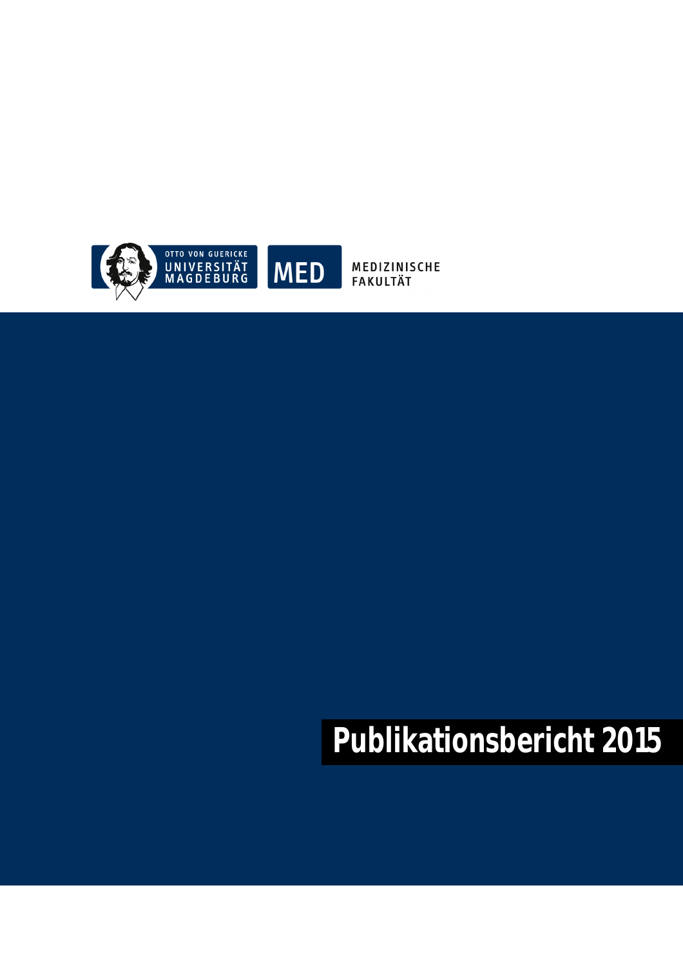

MEDIZINISCHE<br>FAKULTÄT

# **Publikationsbericht 2015**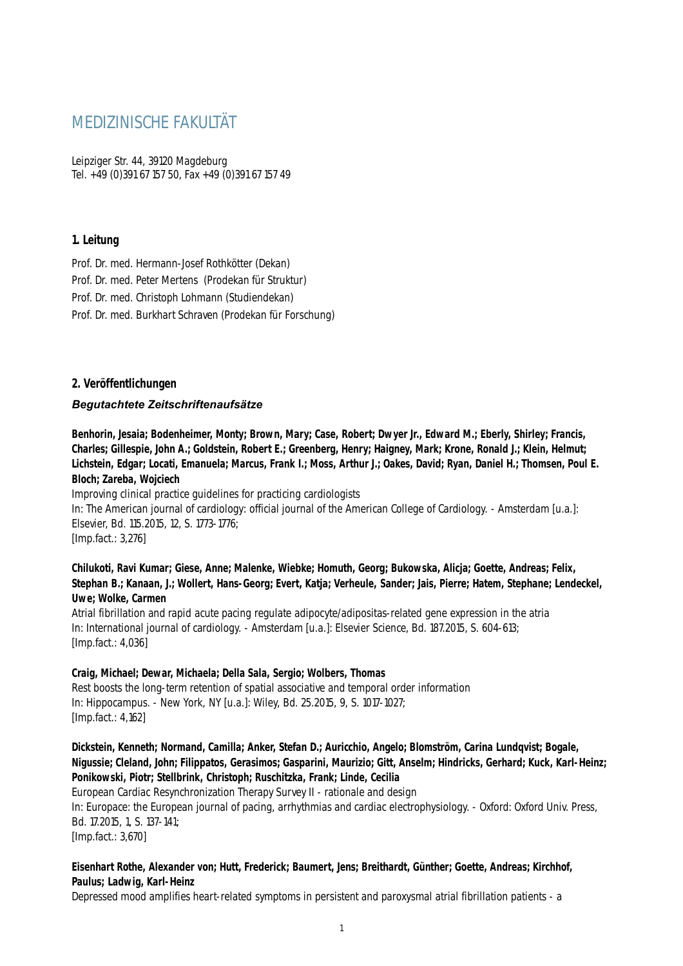# MEDIZINISCHE FAKULTÄT

Leipziger Str. 44, 39120 Magdeburg Tel. +49 (0)391 67 157 50, Fax +49 (0)391 67 157 49

# **1. Leitung**

Prof. Dr. med. Hermann-Josef Rothkötter (Dekan) Prof. Dr. med. Peter Mertens (Prodekan für Struktur) Prof. Dr. med. Christoph Lohmann (Studiendekan) Prof. Dr. med. Burkhart Schraven (Prodekan für Forschung)

# **2. Veröffentlichungen**

#### *Begutachtete Zeitschriftenaufsätze*

**Benhorin, Jesaia; Bodenheimer, Monty; Brown, Mary; Case, Robert; Dwyer Jr., Edward M.; Eberly, Shirley; Francis, Charles; Gillespie, John A.; Goldstein, Robert E.; Greenberg, Henry; Haigney, Mark; Krone, Ronald J.; Klein, Helmut; Lichstein, Edgar; Locati, Emanuela; Marcus, Frank I.; Moss, Arthur J.; Oakes, David; Ryan, Daniel H.; Thomsen, Poul E. Bloch; Zareba, Wojciech**

Improving clinical practice guidelines for practicing cardiologists In: The American journal of cardiology: official journal of the American College of Cardiology. - Amsterdam [u.a.]: Elsevier, Bd. 115.2015, 12, S. 1773-1776; [Imp.fact.: 3,276]

**Chilukoti, Ravi Kumar; Giese, Anne; Malenke, Wiebke; Homuth, Georg; Bukowska, Alicja; Goette, Andreas; Felix, Stephan B.; Kanaan, J.; Wollert, Hans-Georg; Evert, Katja; Verheule, Sander; Jais, Pierre; Hatem, Stephane; Lendeckel, Uwe; Wolke, Carmen**

Atrial fibrillation and rapid acute pacing regulate adipocyte/adipositas-related gene expression in the atria In: International journal of cardiology. - Amsterdam [u.a.]: Elsevier Science, Bd. 187.2015, S. 604-613; [Imp.fact.: 4,036]

# **Craig, Michael; Dewar, Michaela; Della Sala, Sergio; Wolbers, Thomas**

Rest boosts the long-term retention of spatial associative and temporal order information In: Hippocampus. - New York, NY [u.a.]: Wiley, Bd. 25.2015, 9, S. 1017-1027; [Imp.fact.: 4,162]

**Dickstein, Kenneth; Normand, Camilla; Anker, Stefan D.; Auricchio, Angelo; Blomström, Carina Lundqvist; Bogale, Nigussie; Cleland, John; Filippatos, Gerasimos; Gasparini, Maurizio; Gitt, Anselm; Hindricks, Gerhard; Kuck, Karl-Heinz; Ponikowski, Piotr; Stellbrink, Christoph; Ruschitzka, Frank; Linde, Cecilia**

European Cardiac Resynchronization Therapy Survey II - rationale and design In: Europace: the European journal of pacing, arrhythmias and cardiac electrophysiology. - Oxford: Oxford Univ. Press, Bd. 17.2015, 1, S. 137-141; [Imp.fact.: 3,670]

# **Eisenhart Rothe, Alexander von; Hutt, Frederick; Baumert, Jens; Breithardt, Günther; Goette, Andreas; Kirchhof, Paulus; Ladwig, Karl-Heinz**

Depressed mood amplifies heart-related symptoms in persistent and paroxysmal atrial fibrillation patients - a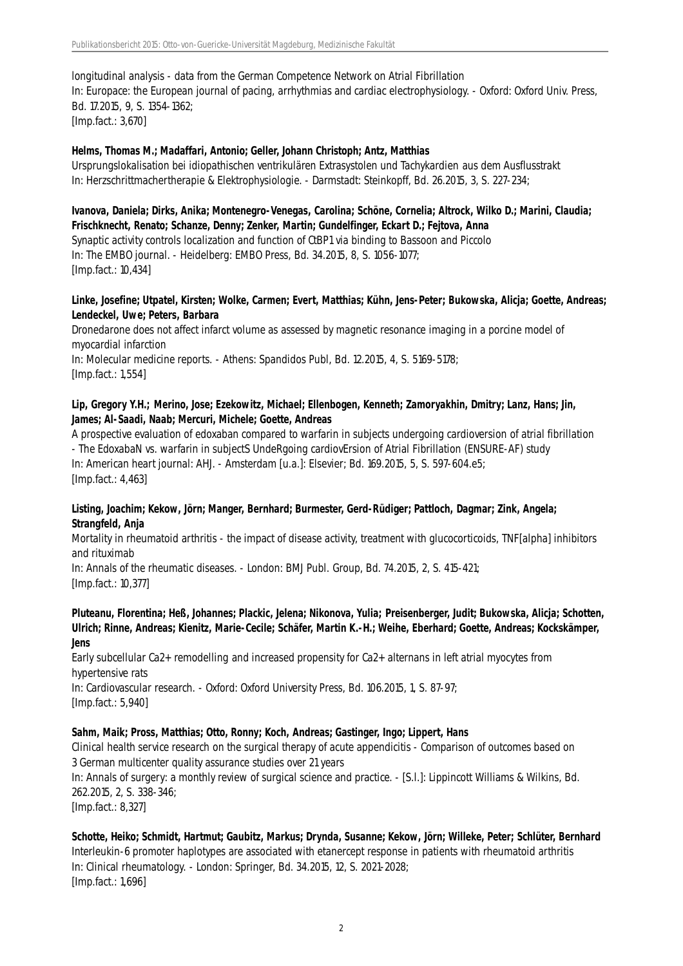longitudinal analysis - data from the German Competence Network on Atrial Fibrillation In: Europace: the European journal of pacing, arrhythmias and cardiac electrophysiology. - Oxford: Oxford Univ. Press, Bd. 17.2015, 9, S. 1354-1362; [Imp.fact.: 3,670]

#### **Helms, Thomas M.; Madaffari, Antonio; Geller, Johann Christoph; Antz, Matthias**

Ursprungslokalisation bei idiopathischen ventrikulären Extrasystolen und Tachykardien aus dem Ausflusstrakt In: Herzschrittmachertherapie & Elektrophysiologie. - Darmstadt: Steinkopff, Bd. 26.2015, 3, S. 227-234;

#### **Ivanova, Daniela; Dirks, Anika; Montenegro-Venegas, Carolina; Schöne, Cornelia; Altrock, Wilko D.; Marini, Claudia; Frischknecht, Renato; Schanze, Denny; Zenker, Martin; Gundelfinger, Eckart D.; Fejtova, Anna**

Synaptic activity controls localization and function of CtBP1 via binding to Bassoon and Piccolo In: The EMBO journal. - Heidelberg: EMBO Press, Bd. 34.2015, 8, S. 1056-1077; [Imp.fact.: 10,434]

#### **Linke, Josefine; Utpatel, Kirsten; Wolke, Carmen; Evert, Matthias; Kühn, Jens-Peter; Bukowska, Alicja; Goette, Andreas; Lendeckel, Uwe; Peters, Barbara**

Dronedarone does not affect infarct volume as assessed by magnetic resonance imaging in a porcine model of myocardial infarction In: Molecular medicine reports. - Athens: Spandidos Publ, Bd. 12.2015, 4, S. 5169-5178; [Imp.fact.: 1,554]

#### **Lip, Gregory Y.H.; Merino, Jose; Ezekowitz, Michael; Ellenbogen, Kenneth; Zamoryakhin, Dmitry; Lanz, Hans; Jin, James; Al-Saadi, Naab; Mercuri, Michele; Goette, Andreas**

A prospective evaluation of edoxaban compared to warfarin in subjects undergoing cardioversion of atrial fibrillation - The EdoxabaN vs. warfarin in subjectS UndeRgoing cardiovErsion of Atrial Fibrillation (ENSURE-AF) study In: American heart journal: AHJ. - Amsterdam [u.a.]: Elsevier; Bd. 169.2015, 5, S. 597-604.e5; [Imp.fact.: 4,463]

# **Listing, Joachim; Kekow, Jörn; Manger, Bernhard; Burmester, Gerd-Rüdiger; Pattloch, Dagmar; Zink, Angela; Strangfeld, Anja**

Mortality in rheumatoid arthritis - the impact of disease activity, treatment with glucocorticoids, TNF[alpha] inhibitors and rituximab

In: Annals of the rheumatic diseases. - London: BMJ Publ. Group, Bd. 74.2015, 2, S. 415-421; [Imp.fact.: 10,377]

#### **Pluteanu, Florentina; Heß, Johannes; Plackic, Jelena; Nikonova, Yulia; Preisenberger, Judit; Bukowska, Alicja; Schotten, Ulrich; Rinne, Andreas; Kienitz, Marie-Cecile; Schäfer, Martin K.-H.; Weihe, Eberhard; Goette, Andreas; Kockskämper, Jens**

Early subcellular Ca2+ remodelling and increased propensity for Ca2+ alternans in left atrial myocytes from hypertensive rats

In: Cardiovascular research. - Oxford: Oxford University Press, Bd. 106.2015, 1, S. 87-97; [Imp.fact.: 5,940]

# **Sahm, Maik; Pross, Matthias; Otto, Ronny; Koch, Andreas; Gastinger, Ingo; Lippert, Hans**

Clinical health service research on the surgical therapy of acute appendicitis - Comparison of outcomes based on 3 German multicenter quality assurance studies over 21 years

In: Annals of surgery: a monthly review of surgical science and practice. - [S.l.]: Lippincott Williams & Wilkins, Bd. 262.2015, 2, S. 338-346;

[Imp.fact.: 8,327]

#### **Schotte, Heiko; Schmidt, Hartmut; Gaubitz, Markus; Drynda, Susanne; Kekow, Jörn; Willeke, Peter; Schlüter, Bernhard**

Interleukin-6 promoter haplotypes are associated with etanercept response in patients with rheumatoid arthritis In: Clinical rheumatology. - London: Springer, Bd. 34.2015, 12, S. 2021-2028; [Imp.fact.: 1,696]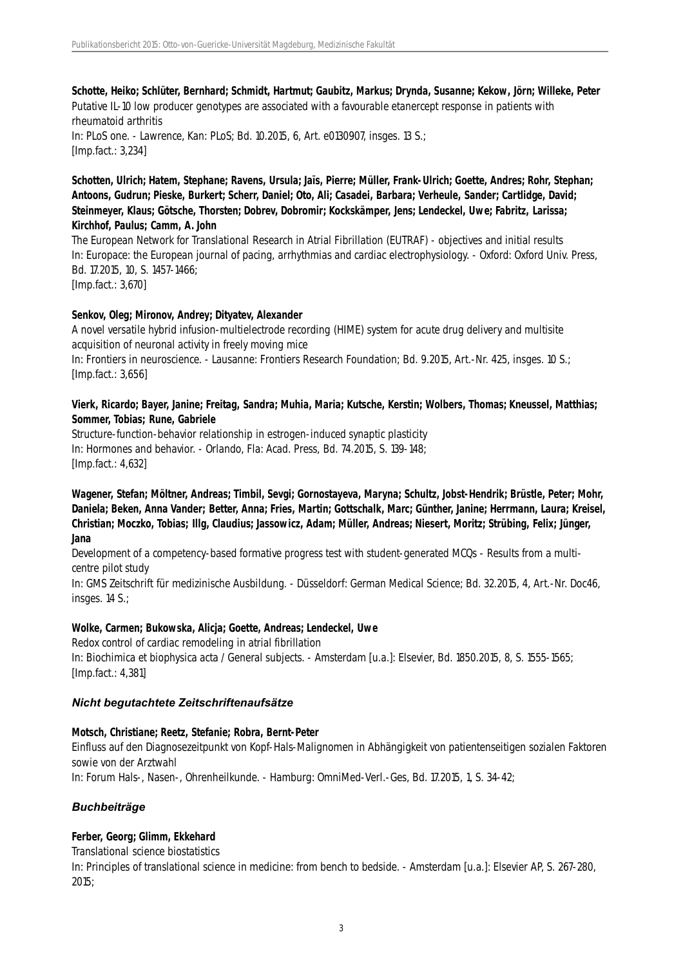**Schotte, Heiko; Schlüter, Bernhard; Schmidt, Hartmut; Gaubitz, Markus; Drynda, Susanne; Kekow, Jörn; Willeke, Peter** Putative IL-10 low producer genotypes are associated with a favourable etanercept response in patients with rheumatoid arthritis In: PLoS one. - Lawrence, Kan: PLoS; Bd. 10.2015, 6, Art. e0130907, insges. 13 S.; [Imp.fact.: 3,234]

**Schotten, Ulrich; Hatem, Stephane; Ravens, Ursula; Jaïs, Pierre; Müller, Frank-Ulrich; Goette, Andres; Rohr, Stephan; Antoons, Gudrun; Pieske, Burkert; Scherr, Daniel; Oto, Ali; Casadei, Barbara; Verheule, Sander; Cartlidge, David; Steinmeyer, Klaus; Götsche, Thorsten; Dobrev, Dobromir; Kockskämper, Jens; Lendeckel, Uwe; Fabritz, Larissa; Kirchhof, Paulus; Camm, A. John**

The European Network for Translational Research in Atrial Fibrillation (EUTRAF) - objectives and initial results In: Europace: the European journal of pacing, arrhythmias and cardiac electrophysiology. - Oxford: Oxford Univ. Press, Bd. 17.2015, 10, S. 1457-1466;

[Imp.fact.: 3,670]

#### **Senkov, Oleg; Mironov, Andrey; Dityatev, Alexander**

A novel versatile hybrid infusion-multielectrode recording (HIME) system for acute drug delivery and multisite acquisition of neuronal activity in freely moving mice In: Frontiers in neuroscience. - Lausanne: Frontiers Research Foundation; Bd. 9.2015, Art.-Nr. 425, insges. 10 S.; [Imp.fact.: 3,656]

# **Vierk, Ricardo; Bayer, Janine; Freitag, Sandra; Muhia, Maria; Kutsche, Kerstin; Wolbers, Thomas; Kneussel, Matthias; Sommer, Tobias; Rune, Gabriele**

Structure-function-behavior relationship in estrogen-induced synaptic plasticity In: Hormones and behavior. - Orlando, Fla: Acad. Press, Bd. 74.2015, S. 139-148; [Imp.fact.: 4,632]

**Wagener, Stefan; Möltner, Andreas; Timbil, Sevgi; Gornostayeva, Maryna; Schultz, Jobst-Hendrik; Brüstle, Peter; Mohr, Daniela; Beken, Anna Vander; Better, Anna; Fries, Martin; Gottschalk, Marc; Günther, Janine; Herrmann, Laura; Kreisel, Christian; Moczko, Tobias; Illg, Claudius; Jassowicz, Adam; Müller, Andreas; Niesert, Moritz; Strübing, Felix; Jünger, Jana**

Development of a competency-based formative progress test with student-generated MCQs - Results from a multicentre pilot study

In: GMS Zeitschrift für medizinische Ausbildung. - Düsseldorf: German Medical Science; Bd. 32.2015, 4, Art.-Nr. Doc46, insges. 14 S.;

# **Wolke, Carmen; Bukowska, Alicja; Goette, Andreas; Lendeckel, Uwe**

Redox control of cardiac remodeling in atrial fibrillation In: Biochimica et biophysica acta / General subjects. - Amsterdam [u.a.]: Elsevier, Bd. 1850.2015, 8, S. 1555-1565; [Imp.fact.: 4,381]

# *Nicht begutachtete Zeitschriftenaufsätze*

#### **Motsch, Christiane; Reetz, Stefanie; Robra, Bernt-Peter**

Einfluss auf den Diagnosezeitpunkt von Kopf-Hals-Malignomen in Abhängigkeit von patientenseitigen sozialen Faktoren sowie von der Arztwahl

In: Forum Hals-, Nasen-, Ohrenheilkunde. - Hamburg: OmniMed-Verl.-Ges, Bd. 17.2015, 1, S. 34-42;

# *Buchbeiträge*

# **Ferber, Georg; Glimm, Ekkehard**

Translational science biostatistics

In: Principles of translational science in medicine: from bench to bedside. - Amsterdam [u.a.]: Elsevier AP, S. 267-280, 2015;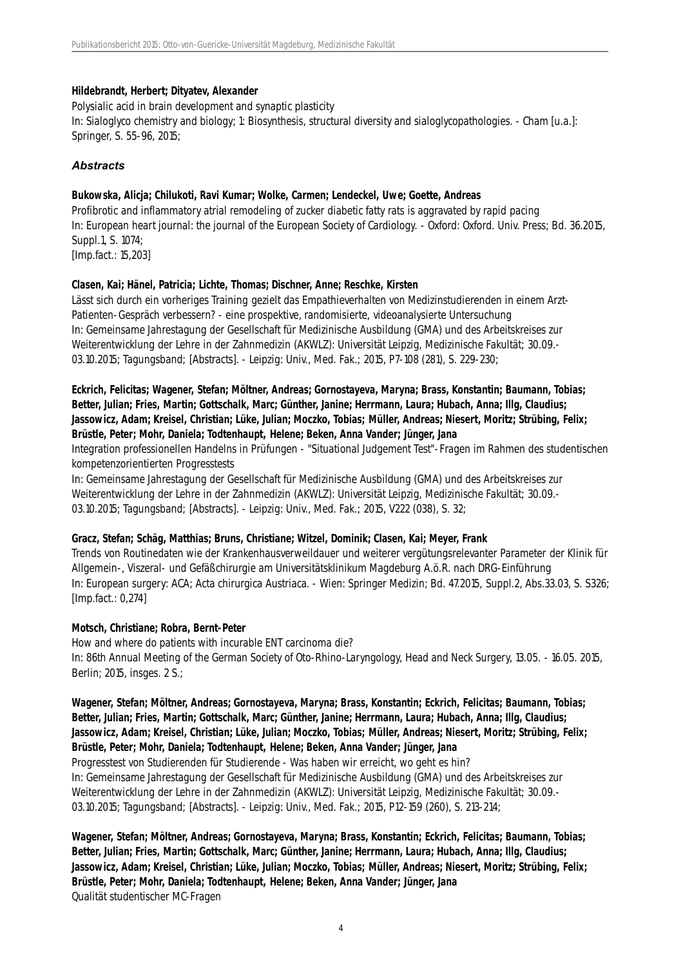#### **Hildebrandt, Herbert; Dityatev, Alexander**

Polysialic acid in brain development and synaptic plasticity In: Sialoglyco chemistry and biology; 1: Biosynthesis, structural diversity and sialoglycopathologies. - Cham [u.a.]: Springer, S. 55-96, 2015;

# *Abstracts*

#### **Bukowska, Alicja; Chilukoti, Ravi Kumar; Wolke, Carmen; Lendeckel, Uwe; Goette, Andreas**

Profibrotic and inflammatory atrial remodeling of zucker diabetic fatty rats is aggravated by rapid pacing In: European heart journal: the journal of the European Society of Cardiology. - Oxford: Oxford. Univ. Press; Bd. 36.2015, Suppl.1, S. 1074;

[Imp.fact.: 15,203]

# **Clasen, Kai; Hänel, Patricia; Lichte, Thomas; Dischner, Anne; Reschke, Kirsten**

Lässt sich durch ein vorheriges Training gezielt das Empathieverhalten von Medizinstudierenden in einem Arzt-Patienten-Gespräch verbessern? - eine prospektive, randomisierte, videoanalysierte Untersuchung In: Gemeinsame Jahrestagung der Gesellschaft für Medizinische Ausbildung (GMA) und des Arbeitskreises zur Weiterentwicklung der Lehre in der Zahnmedizin (AKWLZ): Universität Leipzig, Medizinische Fakultät; 30.09.- 03.10.2015; Tagungsband; [Abstracts]. - Leipzig: Univ., Med. Fak.; 2015, P7-108 (281), S. 229-230;

# **Eckrich, Felicitas; Wagener, Stefan; Möltner, Andreas; Gornostayeva, Maryna; Brass, Konstantin; Baumann, Tobias; Better, Julian; Fries, Martin; Gottschalk, Marc; Günther, Janine; Herrmann, Laura; Hubach, Anna; Illg, Claudius; Jassowicz, Adam; Kreisel, Christian; Lüke, Julian; Moczko, Tobias; Müller, Andreas; Niesert, Moritz; Strübing, Felix; Brüstle, Peter; Mohr, Daniela; Todtenhaupt, Helene; Beken, Anna Vander; Jünger, Jana**

Integration professionellen Handelns in Prüfungen - "Situational Judgement Test"-Fragen im Rahmen des studentischen kompetenzorientierten Progresstests

In: Gemeinsame Jahrestagung der Gesellschaft für Medizinische Ausbildung (GMA) und des Arbeitskreises zur Weiterentwicklung der Lehre in der Zahnmedizin (AKWLZ): Universität Leipzig, Medizinische Fakultät; 30.09.- 03.10.2015; Tagungsband; [Abstracts]. - Leipzig: Univ., Med. Fak.; 2015, V222 (038), S. 32;

# **Gracz, Stefan; Schäg, Matthias; Bruns, Christiane; Witzel, Dominik; Clasen, Kai; Meyer, Frank**

Trends von Routinedaten wie der Krankenhausverweildauer und weiterer vergütungsrelevanter Parameter der Klinik für Allgemein-, Viszeral- und Gefäßchirurgie am Universitätsklinikum Magdeburg A.ö.R. nach DRG-Einführung In: European surgery: ACA; Acta chirurgica Austriaca. - Wien: Springer Medizin; Bd. 47.2015, Suppl.2, Abs.33.03, S. S326; [Imp.fact.: 0,274]

# **Motsch, Christiane; Robra, Bernt-Peter**

How and where do patients with incurable ENT carcinoma die? In: 86th Annual Meeting of the German Society of Oto-Rhino-Laryngology, Head and Neck Surgery, 13.05. - 16.05. 2015, Berlin; 2015, insges. 2 S.;

#### **Wagener, Stefan; Möltner, Andreas; Gornostayeva, Maryna; Brass, Konstantin; Eckrich, Felicitas; Baumann, Tobias; Better, Julian; Fries, Martin; Gottschalk, Marc; Günther, Janine; Herrmann, Laura; Hubach, Anna; Illg, Claudius; Jassowicz, Adam; Kreisel, Christian; Lüke, Julian; Moczko, Tobias; Müller, Andreas; Niesert, Moritz; Strübing, Felix; Brüstle, Peter; Mohr, Daniela; Todtenhaupt, Helene; Beken, Anna Vander; Jünger, Jana**

Progresstest von Studierenden für Studierende - Was haben wir erreicht, wo geht es hin? In: Gemeinsame Jahrestagung der Gesellschaft für Medizinische Ausbildung (GMA) und des Arbeitskreises zur Weiterentwicklung der Lehre in der Zahnmedizin (AKWLZ): Universität Leipzig, Medizinische Fakultät; 30.09.- 03.10.2015; Tagungsband; [Abstracts]. - Leipzig: Univ., Med. Fak.; 2015, P12-159 (260), S. 213-214;

**Wagener, Stefan; Möltner, Andreas; Gornostayeva, Maryna; Brass, Konstantin; Eckrich, Felicitas; Baumann, Tobias; Better, Julian; Fries, Martin; Gottschalk, Marc; Günther, Janine; Herrmann, Laura; Hubach, Anna; Illg, Claudius; Jassowicz, Adam; Kreisel, Christian; Lüke, Julian; Moczko, Tobias; Müller, Andreas; Niesert, Moritz; Strübing, Felix; Brüstle, Peter; Mohr, Daniela; Todtenhaupt, Helene; Beken, Anna Vander; Jünger, Jana** Qualität studentischer MC-Fragen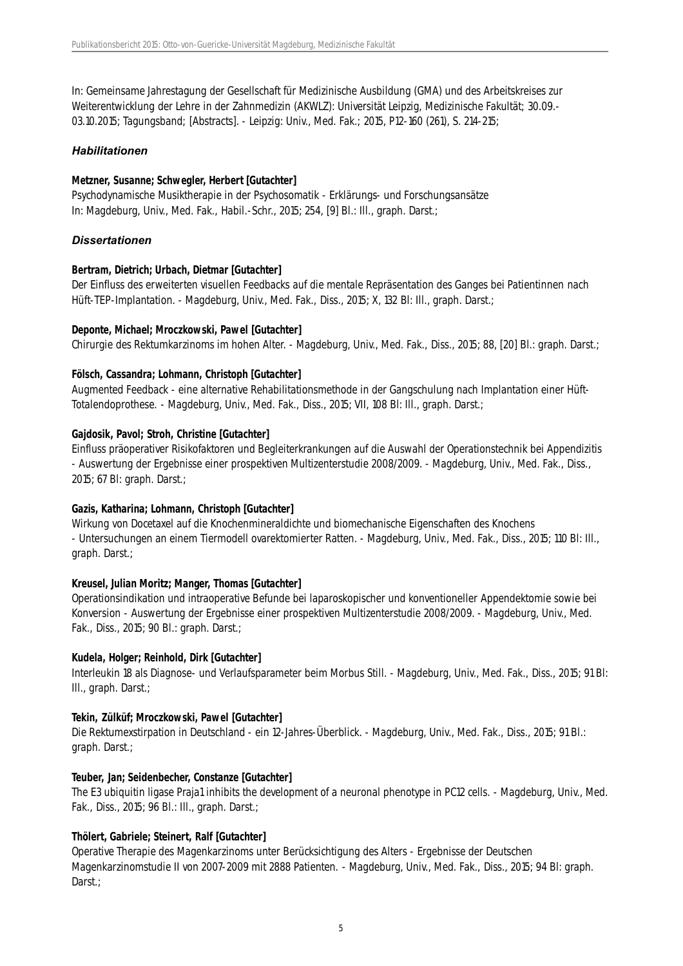In: Gemeinsame Jahrestagung der Gesellschaft für Medizinische Ausbildung (GMA) und des Arbeitskreises zur Weiterentwicklung der Lehre in der Zahnmedizin (AKWLZ): Universität Leipzig, Medizinische Fakultät; 30.09.- 03.10.2015; Tagungsband; [Abstracts]. - Leipzig: Univ., Med. Fak.; 2015, P12-160 (261), S. 214-215;

#### *Habilitationen*

#### **Metzner, Susanne; Schwegler, Herbert [Gutachter]**

Psychodynamische Musiktherapie in der Psychosomatik - Erklärungs- und Forschungsansätze In: Magdeburg, Univ., Med. Fak., Habil.-Schr., 2015; 254, [9] Bl.: Ill., graph. Darst.;

#### *Dissertationen*

#### **Bertram, Dietrich; Urbach, Dietmar [Gutachter]**

Der Einfluss des erweiterten visuellen Feedbacks auf die mentale Repräsentation des Ganges bei Patientinnen nach Hüft-TEP-Implantation. - Magdeburg, Univ., Med. Fak., Diss., 2015; X, 132 Bl: Ill., graph. Darst.;

#### **Deponte, Michael; Mroczkowski, Pawel [Gutachter]**

Chirurgie des Rektumkarzinoms im hohen Alter. - Magdeburg, Univ., Med. Fak., Diss., 2015; 88, [20] Bl.: graph. Darst.;

#### **Fölsch, Cassandra; Lohmann, Christoph [Gutachter]**

Augmented Feedback - eine alternative Rehabilitationsmethode in der Gangschulung nach Implantation einer Hüft-Totalendoprothese. - Magdeburg, Univ., Med. Fak., Diss., 2015; VII, 108 Bl: Ill., graph. Darst.;

#### **Gajdosik, Pavol; Stroh, Christine [Gutachter]**

Einfluss präoperativer Risikofaktoren und Begleiterkrankungen auf die Auswahl der Operationstechnik bei Appendizitis - Auswertung der Ergebnisse einer prospektiven Multizenterstudie 2008/2009. - Magdeburg, Univ., Med. Fak., Diss., 2015; 67 Bl: graph. Darst.;

# **Gazis, Katharina; Lohmann, Christoph [Gutachter]**

Wirkung von Docetaxel auf die Knochenmineraldichte und biomechanische Eigenschaften des Knochens - Untersuchungen an einem Tiermodell ovarektomierter Ratten. - Magdeburg, Univ., Med. Fak., Diss., 2015; 110 Bl: Ill., graph. Darst.;

#### **Kreusel, Julian Moritz; Manger, Thomas [Gutachter]**

Operationsindikation und intraoperative Befunde bei laparoskopischer und konventioneller Appendektomie sowie bei Konversion - Auswertung der Ergebnisse einer prospektiven Multizenterstudie 2008/2009. - Magdeburg, Univ., Med. Fak., Diss., 2015; 90 Bl.: graph. Darst.;

#### **Kudela, Holger; Reinhold, Dirk [Gutachter]**

Interleukin 18 als Diagnose- und Verlaufsparameter beim Morbus Still. - Magdeburg, Univ., Med. Fak., Diss., 2015; 91 Bl: Ill., graph. Darst.;

# **Tekin, Zülküf; Mroczkowski, Pawel [Gutachter]**

Die Rektumexstirpation in Deutschland - ein 12-Jahres-Überblick. - Magdeburg, Univ., Med. Fak., Diss., 2015; 91 Bl.: graph. Darst.;

# **Teuber, Jan; Seidenbecher, Constanze [Gutachter]**

The E3 ubiquitin ligase Praja1 inhibits the development of a neuronal phenotype in PC12 cells. - Magdeburg, Univ., Med. Fak., Diss., 2015; 96 Bl.: Ill., graph. Darst.;

# **Thölert, Gabriele; Steinert, Ralf [Gutachter]**

Operative Therapie des Magenkarzinoms unter Berücksichtigung des Alters - Ergebnisse der Deutschen Magenkarzinomstudie II von 2007-2009 mit 2888 Patienten. - Magdeburg, Univ., Med. Fak., Diss., 2015; 94 Bl: graph. Darst.: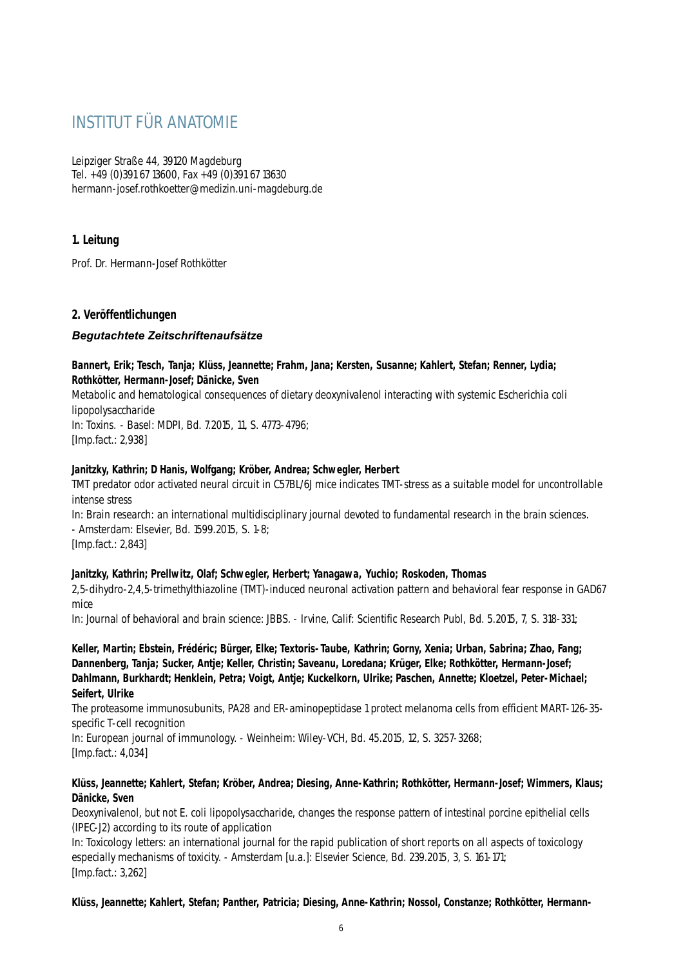# INSTITUT FÜR ANATOMIE

Leipziger Straße 44, 39120 Magdeburg Tel. +49 (0)391 67 13600, Fax +49 (0)391 67 13630 hermann-josef.rothkoetter@medizin.uni-magdeburg.de

# **1. Leitung**

Prof. Dr. Hermann-Josef Rothkötter

# **2. Veröffentlichungen**

# *Begutachtete Zeitschriftenaufsätze*

#### **Bannert, Erik; Tesch, Tanja; Klüss, Jeannette; Frahm, Jana; Kersten, Susanne; Kahlert, Stefan; Renner, Lydia; Rothkötter, Hermann-Josef; Dänicke, Sven**

Metabolic and hematological consequences of dietary deoxynivalenol interacting with systemic Escherichia coli lipopolysaccharide

In: Toxins. - Basel: MDPI, Bd. 7.2015, 11, S. 4773-4796; [Imp.fact.: 2,938]

#### **Janitzky, Kathrin; D Hanis, Wolfgang; Kröber, Andrea; Schwegler, Herbert**

TMT predator odor activated neural circuit in C57BL/6J mice indicates TMT-stress as a suitable model for uncontrollable intense stress

In: Brain research: an international multidisciplinary journal devoted to fundamental research in the brain sciences. - Amsterdam: Elsevier, Bd. 1599.2015, S. 1-8;

[Imp.fact.: 2,843]

# **Janitzky, Kathrin; Prellwitz, Olaf; Schwegler, Herbert; Yanagawa, Yuchio; Roskoden, Thomas**

2,5-dihydro-2,4,5-trimethylthiazoline (TMT)-induced neuronal activation pattern and behavioral fear response in GAD67 mice

In: Journal of behavioral and brain science: JBBS. - Irvine, Calif: Scientific Research Publ, Bd. 5.2015, 7, S. 318-331;

**Keller, Martin; Ebstein, Frédéric; Bürger, Elke; Textoris-Taube, Kathrin; Gorny, Xenia; Urban, Sabrina; Zhao, Fang; Dannenberg, Tanja; Sucker, Antje; Keller, Christin; Saveanu, Loredana; Krüger, Elke; Rothkötter, Hermann-Josef; Dahlmann, Burkhardt; Henklein, Petra; Voigt, Antje; Kuckelkorn, Ulrike; Paschen, Annette; Kloetzel, Peter-Michael; Seifert, Ulrike**

The proteasome immunosubunits, PA28 and ER-aminopeptidase 1 protect melanoma cells from efficient MART-126-35 specific T-cell recognition

In: European journal of immunology. - Weinheim: Wiley-VCH, Bd. 45.2015, 12, S. 3257-3268; [Imp.fact.: 4,034]

#### **Klüss, Jeannette; Kahlert, Stefan; Kröber, Andrea; Diesing, Anne-Kathrin; Rothkötter, Hermann-Josef; Wimmers, Klaus; Dänicke, Sven**

Deoxynivalenol, but not E. coli lipopolysaccharide, changes the response pattern of intestinal porcine epithelial cells (IPEC-J2) according to its route of application

In: Toxicology letters: an international journal for the rapid publication of short reports on all aspects of toxicology especially mechanisms of toxicity. - Amsterdam [u.a.]: Elsevier Science, Bd. 239.2015, 3, S. 161-171; [Imp.fact.: 3,262]

**Klüss, Jeannette; Kahlert, Stefan; Panther, Patricia; Diesing, Anne-Kathrin; Nossol, Constanze; Rothkötter, Hermann-**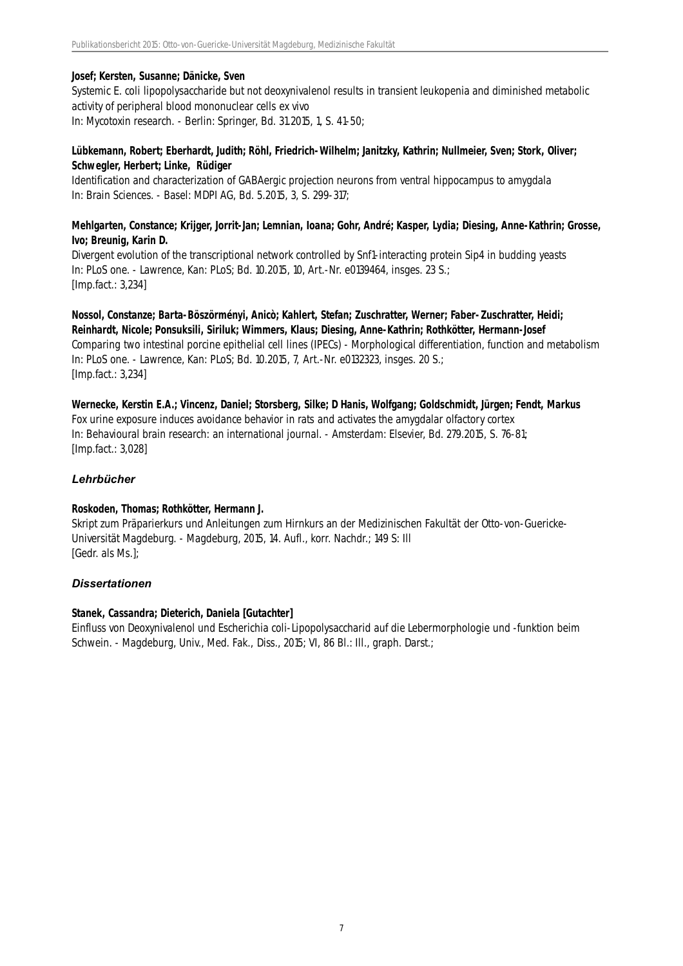#### **Josef; Kersten, Susanne; Dänicke, Sven**

Systemic E. coli lipopolysaccharide but not deoxynivalenol results in transient leukopenia and diminished metabolic activity of peripheral blood mononuclear cells ex vivo In: Mycotoxin research. - Berlin: Springer, Bd. 31.2015, 1, S. 41-50;

# **Lübkemann, Robert; Eberhardt, Judith; Röhl, Friedrich-Wilhelm; Janitzky, Kathrin; Nullmeier, Sven; Stork, Oliver; Schwegler, Herbert; Linke, Rüdiger**

Identification and characterization of GABAergic projection neurons from ventral hippocampus to amygdala In: Brain Sciences. - Basel: MDPI AG, Bd. 5.2015, 3, S. 299-317;

#### **Mehlgarten, Constance; Krijger, Jorrit-Jan; Lemnian, Ioana; Gohr, André; Kasper, Lydia; Diesing, Anne-Kathrin; Grosse, Ivo; Breunig, Karin D.**

Divergent evolution of the transcriptional network controlled by Snf1-interacting protein Sip4 in budding yeasts In: PLoS one. - Lawrence, Kan: PLoS; Bd. 10.2015, 10, Art.-Nr. e0139464, insges. 23 S.; [Imp.fact.: 3,234]

**Nossol, Constanze; Barta-Böszörményi, Anicò; Kahlert, Stefan; Zuschratter, Werner; Faber-Zuschratter, Heidi; Reinhardt, Nicole; Ponsuksili, Siriluk; Wimmers, Klaus; Diesing, Anne-Kathrin; Rothkötter, Hermann-Josef** Comparing two intestinal porcine epithelial cell lines (IPECs) - Morphological differentiation, function and metabolism In: PLoS one. - Lawrence, Kan: PLoS; Bd. 10.2015, 7, Art.-Nr. e0132323, insges. 20 S.; [Imp.fact.: 3,234]

**Wernecke, Kerstin E.A.; Vincenz, Daniel; Storsberg, Silke; D Hanis, Wolfgang; Goldschmidt, Jürgen; Fendt, Markus** Fox urine exposure induces avoidance behavior in rats and activates the amygdalar olfactory cortex In: Behavioural brain research: an international journal. - Amsterdam: Elsevier, Bd. 279.2015, S. 76-81; [Imp.fact.: 3,028]

# *Lehrbücher*

# **Roskoden, Thomas; Rothkötter, Hermann J.**

Skript zum Präparierkurs und Anleitungen zum Hirnkurs an der Medizinischen Fakultät der Otto-von-Guericke-Universität Magdeburg. - Magdeburg, 2015, 14. Aufl., korr. Nachdr.; 149 S: Ill [Gedr. als Ms.];

# *Dissertationen*

#### **Stanek, Cassandra; Dieterich, Daniela [Gutachter]**

Einfluss von Deoxynivalenol und Escherichia coli-Lipopolysaccharid auf die Lebermorphologie und -funktion beim Schwein. - Magdeburg, Univ., Med. Fak., Diss., 2015; VI, 86 Bl.: III., graph. Darst.;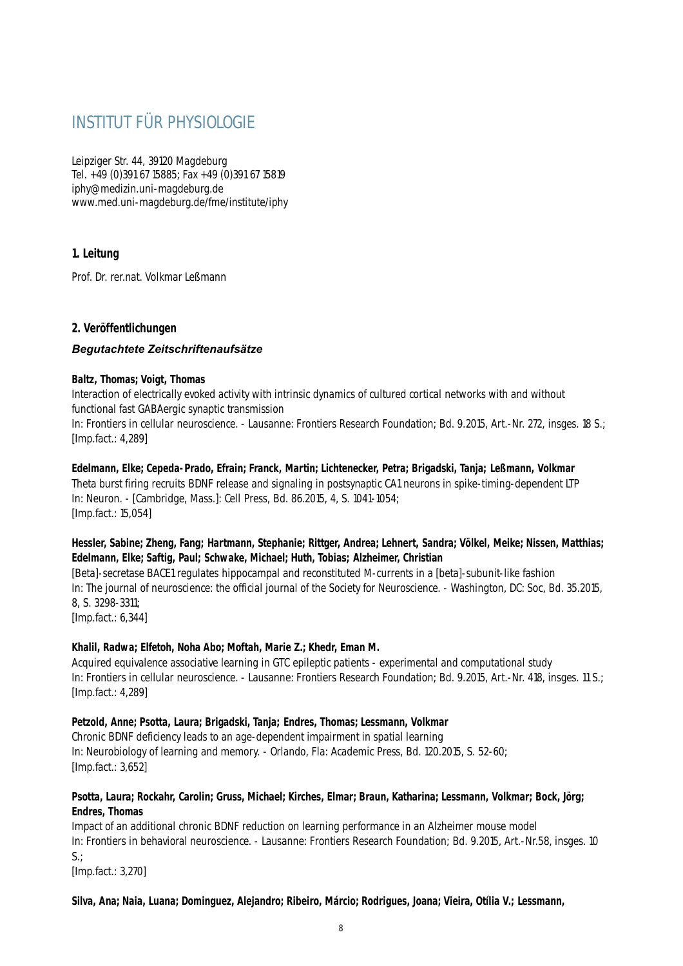# INSTITUT FÜR PHYSIOLOGIE

Leipziger Str. 44, 39120 Magdeburg Tel. +49 (0)391 67 15885; Fax +49 (0)391 67 15819 iphy@medizin.uni-magdeburg.de www.med.uni-magdeburg.de/fme/institute/iphy

# **1. Leitung**

Prof. Dr. rer.nat. Volkmar Leßmann

# **2. Veröffentlichungen**

# *Begutachtete Zeitschriftenaufsätze*

#### **Baltz, Thomas; Voigt, Thomas**

Interaction of electrically evoked activity with intrinsic dynamics of cultured cortical networks with and without functional fast GABAergic synaptic transmission

In: Frontiers in cellular neuroscience. - Lausanne: Frontiers Research Foundation; Bd. 9.2015, Art.-Nr. 272, insges. 18 S.; [Imp.fact.: 4,289]

**Edelmann, Elke; Cepeda-Prado, Efrain; Franck, Martin; Lichtenecker, Petra; Brigadski, Tanja; Leßmann, Volkmar** Theta burst firing recruits BDNF release and signaling in postsynaptic CA1 neurons in spike-timing-dependent LTP In: Neuron. - [Cambridge, Mass.]: Cell Press, Bd. 86.2015, 4, S. 1041-1054; [Imp.fact.: 15,054]

# **Hessler, Sabine; Zheng, Fang; Hartmann, Stephanie; Rittger, Andrea; Lehnert, Sandra; Völkel, Meike; Nissen, Matthias; Edelmann, Elke; Saftig, Paul; Schwake, Michael; Huth, Tobias; Alzheimer, Christian**

[Beta]-secretase BACE1 regulates hippocampal and reconstituted M-currents in a [beta]-subunit-like fashion In: The journal of neuroscience: the official journal of the Society for Neuroscience. - Washington, DC: Soc, Bd. 35.2015, 8, S. 3298-3311; [Imp.fact.: 6,344]

# **Khalil, Radwa; Elfetoh, Noha Abo; Moftah, Marie Z.; Khedr, Eman M.**

Acquired equivalence associative learning in GTC epileptic patients - experimental and computational study In: Frontiers in cellular neuroscience. - Lausanne: Frontiers Research Foundation; Bd. 9.2015, Art.-Nr. 418, insges. 11 S.; [Imp.fact.: 4,289]

# **Petzold, Anne; Psotta, Laura; Brigadski, Tanja; Endres, Thomas; Lessmann, Volkmar**

Chronic BDNF deficiency leads to an age-dependent impairment in spatial learning In: Neurobiology of learning and memory. - Orlando, Fla: Academic Press, Bd. 120.2015, S. 52-60; [Imp.fact.: 3,652]

#### **Psotta, Laura; Rockahr, Carolin; Gruss, Michael; Kirches, Elmar; Braun, Katharina; Lessmann, Volkmar; Bock, Jörg; Endres, Thomas**

Impact of an additional chronic BDNF reduction on learning performance in an Alzheimer mouse model In: Frontiers in behavioral neuroscience. - Lausanne: Frontiers Research Foundation; Bd. 9.2015, Art.-Nr.58, insges. 10  $S<sub>1</sub>$ :

[Imp.fact.: 3,270]

#### **Silva, Ana; Naia, Luana; Dominguez, Alejandro; Ribeiro, Márcio; Rodrigues, Joana; Vieira, Otília V.; Lessmann,**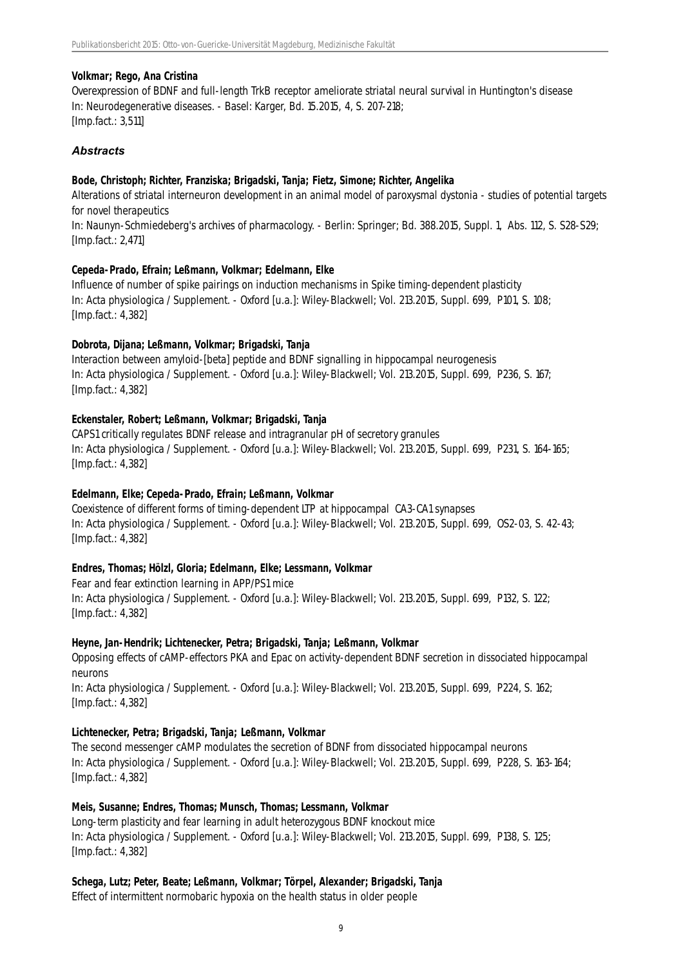#### **Volkmar; Rego, Ana Cristina**

Overexpression of BDNF and full-length TrkB receptor ameliorate striatal neural survival in Huntington's disease In: Neurodegenerative diseases. - Basel: Karger, Bd. 15.2015, 4, S. 207-218; [Imp.fact.: 3,511]

# *Abstracts*

#### **Bode, Christoph; Richter, Franziska; Brigadski, Tanja; Fietz, Simone; Richter, Angelika**

Alterations of striatal interneuron development in an animal model of paroxysmal dystonia - studies of potential targets for novel therapeutics

In: Naunyn-Schmiedeberg's archives of pharmacology. - Berlin: Springer; Bd. 388.2015, Suppl. 1, Abs. 112, S. S28-S29; [Imp.fact.: 2,471]

#### **Cepeda-Prado, Efrain; Leßmann, Volkmar; Edelmann, Elke**

Influence of number of spike pairings on induction mechanisms in Spike timing-dependent plasticity In: Acta physiologica / Supplement. - Oxford [u.a.]: Wiley-Blackwell; Vol. 213.2015, Suppl. 699, P101, S. 108; [Imp.fact.: 4,382]

#### **Dobrota, Dijana; Leßmann, Volkmar; Brigadski, Tanja**

Interaction between amyloid-[beta] peptide and BDNF signalling in hippocampal neurogenesis In: Acta physiologica / Supplement. - Oxford [u.a.]: Wiley-Blackwell; Vol. 213.2015, Suppl. 699, P236, S. 167; [Imp.fact.: 4,382]

# **Eckenstaler, Robert; Leßmann, Volkmar; Brigadski, Tanja**

CAPS1 critically regulates BDNF release and intragranular pH of secretory granules In: Acta physiologica / Supplement. - Oxford [u.a.]: Wiley-Blackwell; Vol. 213.2015, Suppl. 699, P231, S. 164-165; [Imp.fact.: 4,382]

# **Edelmann, Elke; Cepeda-Prado, Efrain; Leßmann, Volkmar**

Coexistence of different forms of timing-dependent LTP at hippocampal CA3-CA1 synapses In: Acta physiologica / Supplement. - Oxford [u.a.]: Wiley-Blackwell; Vol. 213.2015, Suppl. 699, OS2-03, S. 42-43; [Imp.fact.: 4,382]

# **Endres, Thomas; Hölzl, Gloria; Edelmann, Elke; Lessmann, Volkmar**

Fear and fear extinction learning in APP/PS1 mice In: Acta physiologica / Supplement. - Oxford [u.a.]: Wiley-Blackwell; Vol. 213.2015, Suppl. 699, P132, S. 122; [Imp.fact.: 4,382]

#### **Heyne, Jan-Hendrik; Lichtenecker, Petra; Brigadski, Tanja; Leßmann, Volkmar**

Opposing effects of cAMP-effectors PKA and Epac on activity-dependent BDNF secretion in dissociated hippocampal neurons

In: Acta physiologica / Supplement. - Oxford [u.a.]: Wiley-Blackwell; Vol. 213.2015, Suppl. 699, P224, S. 162; [Imp.fact.: 4,382]

# **Lichtenecker, Petra; Brigadski, Tanja; Leßmann, Volkmar**

The second messenger cAMP modulates the secretion of BDNF from dissociated hippocampal neurons In: Acta physiologica / Supplement. - Oxford [u.a.]: Wiley-Blackwell; Vol. 213.2015, Suppl. 699, P228, S. 163-164; [Imp.fact.: 4,382]

#### **Meis, Susanne; Endres, Thomas; Munsch, Thomas; Lessmann, Volkmar**

Long-term plasticity and fear learning in adult heterozygous BDNF knockout mice In: Acta physiologica / Supplement. - Oxford [u.a.]: Wiley-Blackwell; Vol. 213.2015, Suppl. 699, P138, S. 125; [Imp.fact.: 4,382]

# **Schega, Lutz; Peter, Beate; Leßmann, Volkmar; Törpel, Alexander; Brigadski, Tanja**

Effect of intermittent normobaric hypoxia on the health status in older people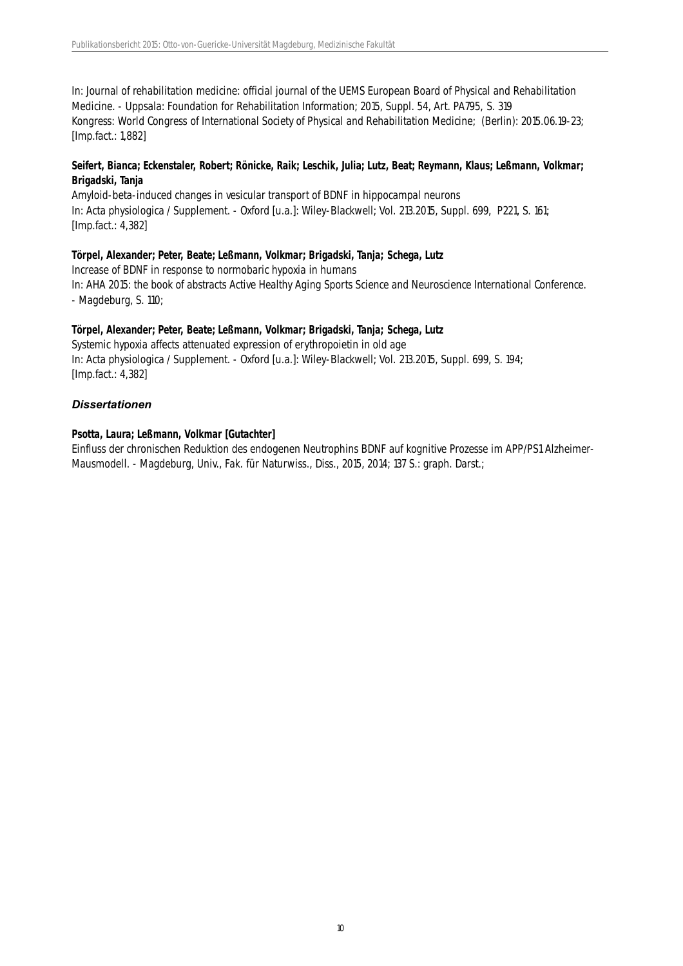In: Journal of rehabilitation medicine: official journal of the UEMS European Board of Physical and Rehabilitation Medicine. - Uppsala: Foundation for Rehabilitation Information; 2015, Suppl. 54, Art. PA795, S. 319 Kongress: World Congress of International Society of Physical and Rehabilitation Medicine; (Berlin): 2015.06.19-23; [Imp.fact.: 1,882]

# **Seifert, Bianca; Eckenstaler, Robert; Rönicke, Raik; Leschik, Julia; Lutz, Beat; Reymann, Klaus; Leßmann, Volkmar; Brigadski, Tanja**

Amyloid-beta-induced changes in vesicular transport of BDNF in hippocampal neurons In: Acta physiologica / Supplement. - Oxford [u.a.]: Wiley-Blackwell; Vol. 213.2015, Suppl. 699, P221, S. 161; [Imp.fact.: 4,382]

#### **Törpel, Alexander; Peter, Beate; Leßmann, Volkmar; Brigadski, Tanja; Schega, Lutz**

Increase of BDNF in response to normobaric hypoxia in humans In: AHA 2015: the book of abstracts Active Healthy Aging Sports Science and Neuroscience International Conference. - Magdeburg, S. 110;

#### **Törpel, Alexander; Peter, Beate; Leßmann, Volkmar; Brigadski, Tanja; Schega, Lutz**

Systemic hypoxia affects attenuated expression of erythropoietin in old age In: Acta physiologica / Supplement. - Oxford [u.a.]: Wiley-Blackwell; Vol. 213.2015, Suppl. 699, S. 194; [Imp.fact.: 4,382]

#### *Dissertationen*

#### **Psotta, Laura; Leßmann, Volkmar [Gutachter]**

Einfluss der chronischen Reduktion des endogenen Neutrophins BDNF auf kognitive Prozesse im APP/PS1 Alzheimer-Mausmodell. - Magdeburg, Univ., Fak. für Naturwiss., Diss., 2015, 2014; 137 S.: graph. Darst.;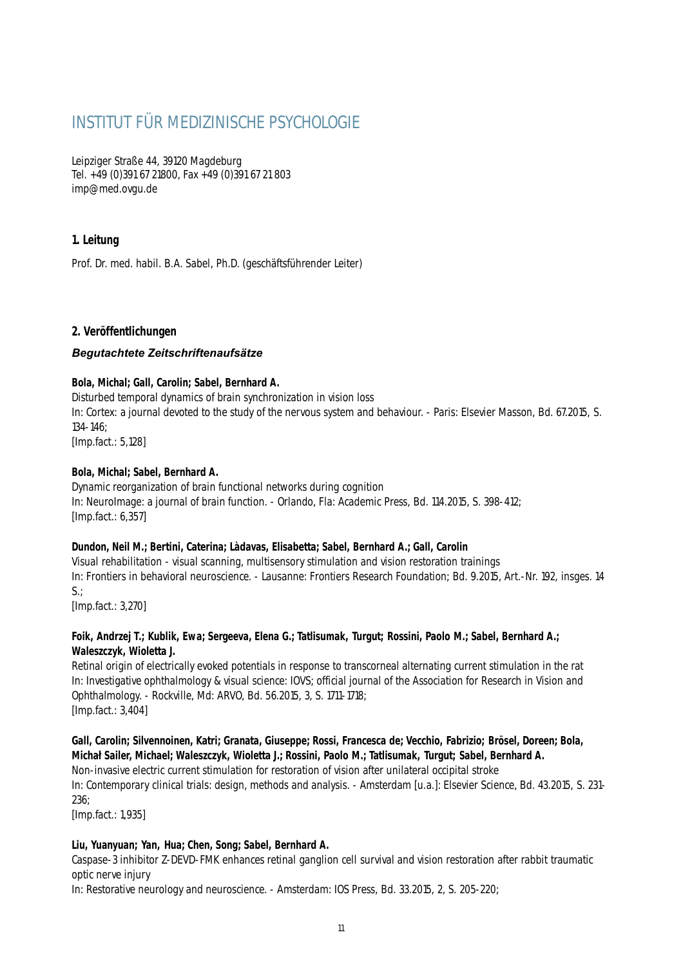# INSTITUT FÜR MEDIZINISCHE PSYCHOLOGIE

Leipziger Straße 44, 39120 Magdeburg Tel. +49 (0)391 67 21800, Fax +49 (0)391 67 21 803 imp@med.ovgu.de

# **1. Leitung**

Prof. Dr. med. habil. B.A. Sabel, Ph.D. (geschäftsführender Leiter)

# **2. Veröffentlichungen**

# *Begutachtete Zeitschriftenaufsätze*

# **Bola, Michal; Gall, Carolin; Sabel, Bernhard A.**

Disturbed temporal dynamics of brain synchronization in vision loss In: Cortex: a journal devoted to the study of the nervous system and behaviour. - Paris: Elsevier Masson, Bd. 67.2015, S. 134-146; [Imp.fact.: 5,128]

# **Bola, Michal; Sabel, Bernhard A.**

Dynamic reorganization of brain functional networks during cognition In: NeuroImage: a journal of brain function. - Orlando, Fla: Academic Press, Bd. 114.2015, S. 398-412; [Imp.fact.: 6,357]

# **Dundon, Neil M.; Bertini, Caterina; Làdavas, Elisabetta; Sabel, Bernhard A.; Gall, Carolin**

Visual rehabilitation - visual scanning, multisensory stimulation and vision restoration trainings In: Frontiers in behavioral neuroscience. - Lausanne: Frontiers Research Foundation; Bd. 9.2015, Art.-Nr. 192, insges. 14 S.;

[Imp.fact.: 3,270]

# **Foik, Andrzej T.; Kublik, Ewa; Sergeeva, Elena G.; Tatlisumak, Turgut; Rossini, Paolo M.; Sabel, Bernhard A.; Waleszczyk, Wioletta J.**

Retinal origin of electrically evoked potentials in response to transcorneal alternating current stimulation in the rat In: Investigative ophthalmology & visual science: IOVS; official journal of the Association for Research in Vision and Ophthalmology. - Rockville, Md: ARVO, Bd. 56.2015, 3, S. 1711-1718; [Imp.fact.: 3,404]

# **Gall, Carolin; Silvennoinen, Katri; Granata, Giuseppe; Rossi, Francesca de; Vecchio, Fabrizio; Brösel, Doreen; Bola, Michał Sailer, Michael; Waleszczyk, Wioletta J.; Rossini, Paolo M.; Tatlisumak, Turgut; Sabel, Bernhard A.**

Non-invasive electric current stimulation for restoration of vision after unilateral occipital stroke

In: Contemporary clinical trials: design, methods and analysis. - Amsterdam [u.a.]: Elsevier Science, Bd. 43.2015, S. 231- 236;

[Imp.fact.: 1,935]

# **Liu, Yuanyuan; Yan, Hua; Chen, Song; Sabel, Bernhard A.**

Caspase-3 inhibitor Z-DEVD-FMK enhances retinal ganglion cell survival and vision restoration after rabbit traumatic optic nerve injury

In: Restorative neurology and neuroscience. - Amsterdam: IOS Press, Bd. 33.2015, 2, S. 205-220;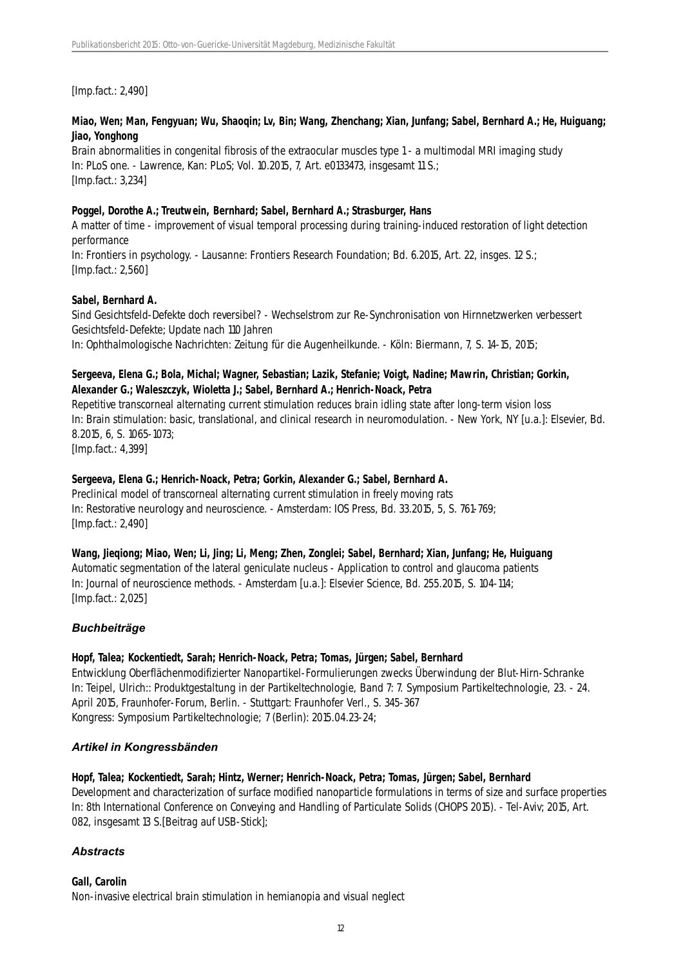[Imp.fact.: 2,490]

# **Miao, Wen; Man, Fengyuan; Wu, Shaoqin; Lv, Bin; Wang, Zhenchang; Xian, Junfang; Sabel, Bernhard A.; He, Huiguang; Jiao, Yonghong**

Brain abnormalities in congenital fibrosis of the extraocular muscles type 1 - a multimodal MRI imaging study In: PLoS one. - Lawrence, Kan: PLoS; Vol. 10.2015, 7, Art. e0133473, insgesamt 11 S.; [Imp.fact.: 3,234]

# **Poggel, Dorothe A.; Treutwein, Bernhard; Sabel, Bernhard A.; Strasburger, Hans**

A matter of time - improvement of visual temporal processing during training-induced restoration of light detection performance

In: Frontiers in psychology. - Lausanne: Frontiers Research Foundation; Bd. 6.2015, Art. 22, insges. 12 S.; [Imp.fact.: 2,560]

# **Sabel, Bernhard A.**

Sind Gesichtsfeld-Defekte doch reversibel? - Wechselstrom zur Re-Synchronisation von Hirnnetzwerken verbessert Gesichtsfeld-Defekte; Update nach 110 Jahren In: Ophthalmologische Nachrichten: Zeitung für die Augenheilkunde. - Köln: Biermann, 7, S. 14-15, 2015;

# **Sergeeva, Elena G.; Bola, Michal; Wagner, Sebastian; Lazik, Stefanie; Voigt, Nadine; Mawrin, Christian; Gorkin, Alexander G.; Waleszczyk, Wioletta J.; Sabel, Bernhard A.; Henrich-Noack, Petra**

Repetitive transcorneal alternating current stimulation reduces brain idling state after long-term vision loss In: Brain stimulation: basic, translational, and clinical research in neuromodulation. - New York, NY [u.a.]: Elsevier, Bd. 8.2015, 6, S. 1065-1073;

[Imp.fact.: 4,399]

# **Sergeeva, Elena G.; Henrich-Noack, Petra; Gorkin, Alexander G.; Sabel, Bernhard A.**

Preclinical model of transcorneal alternating current stimulation in freely moving rats In: Restorative neurology and neuroscience. - Amsterdam: IOS Press, Bd. 33.2015, 5, S. 761-769; [Imp.fact.: 2,490]

# **Wang, Jieqiong; Miao, Wen; Li, Jing; Li, Meng; Zhen, Zonglei; Sabel, Bernhard; Xian, Junfang; He, Huiguang**

Automatic segmentation of the lateral geniculate nucleus - Application to control and glaucoma patients In: Journal of neuroscience methods. - Amsterdam [u.a.]: Elsevier Science, Bd. 255.2015, S. 104-114; [Imp.fact.: 2,025]

# *Buchbeiträge*

# **Hopf, Talea; Kockentiedt, Sarah; Henrich-Noack, Petra; Tomas, Jürgen; Sabel, Bernhard**

Entwicklung Oberflächenmodifizierter Nanopartikel-Formulierungen zwecks Überwindung der Blut-Hirn-Schranke In: Teipel, Ulrich:: Produktgestaltung in der Partikeltechnologie, Band 7: 7. Symposium Partikeltechnologie, 23. - 24. April 2015, Fraunhofer-Forum, Berlin. - Stuttgart: Fraunhofer Verl., S. 345-367 Kongress: Symposium Partikeltechnologie; 7 (Berlin): 2015.04.23-24;

# *Artikel in Kongressbänden*

# **Hopf, Talea; Kockentiedt, Sarah; Hintz, Werner; Henrich-Noack, Petra; Tomas, Jürgen; Sabel, Bernhard**

Development and characterization of surface modified nanoparticle formulations in terms of size and surface properties In: 8th International Conference on Conveying and Handling of Particulate Solids (CHOPS 2015). - Tel-Aviv; 2015, Art. 082, insgesamt 13 S.[Beitrag auf USB-Stick];

# *Abstracts*

# **Gall, Carolin**

Non-invasive electrical brain stimulation in hemianopia and visual neglect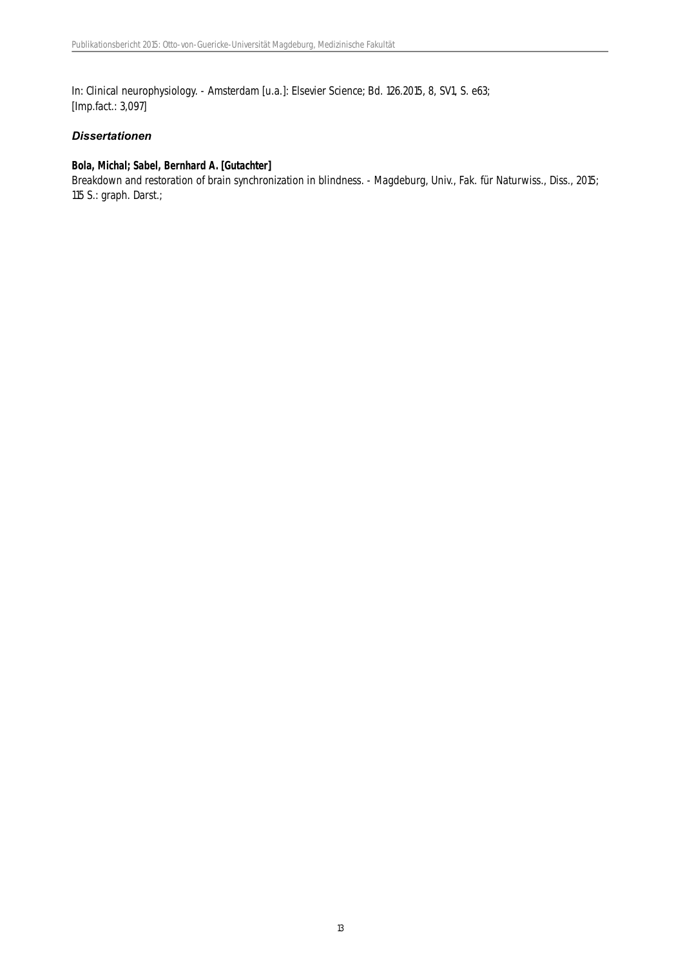In: Clinical neurophysiology. - Amsterdam [u.a.]: Elsevier Science; Bd. 126.2015, 8, SV1, S. e63; [Imp.fact.: 3,097]

# *Dissertationen*

# **Bola, Michal; Sabel, Bernhard A. [Gutachter]**

Breakdown and restoration of brain synchronization in blindness. - Magdeburg, Univ., Fak. für Naturwiss., Diss., 2015; 115 S.: graph. Darst.;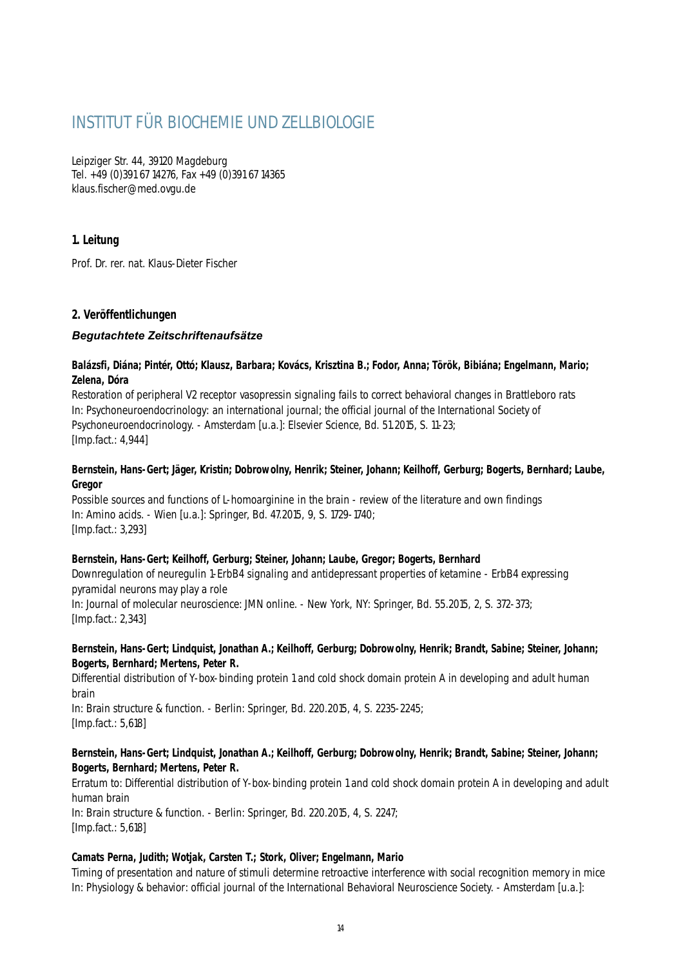# INSTITUT FÜR BIOCHEMIE UND ZELLBIOLOGIE

Leipziger Str. 44, 39120 Magdeburg Tel. +49 (0)391 67 14276, Fax +49 (0)391 67 14365 klaus.fischer@med.ovgu.de

# **1. Leitung**

Prof. Dr. rer. nat. Klaus-Dieter Fischer

# **2. Veröffentlichungen**

# *Begutachtete Zeitschriftenaufsätze*

#### **Balázsfi, Diána; Pintér, Ottó; Klausz, Barbara; Kovács, Krisztina B.; Fodor, Anna; Török, Bibiána; Engelmann, Mario; Zelena, Dóra**

Restoration of peripheral V2 receptor vasopressin signaling fails to correct behavioral changes in Brattleboro rats In: Psychoneuroendocrinology: an international journal; the official journal of the International Society of Psychoneuroendocrinology. - Amsterdam [u.a.]: Elsevier Science, Bd. 51.2015, S. 11-23; [Imp.fact.: 4,944]

#### **Bernstein, Hans-Gert; Jäger, Kristin; Dobrowolny, Henrik; Steiner, Johann; Keilhoff, Gerburg; Bogerts, Bernhard; Laube, Gregor**

Possible sources and functions of L-homoarginine in the brain - review of the literature and own findings In: Amino acids. - Wien [u.a.]: Springer, Bd. 47.2015, 9, S. 1729-1740; [Imp.fact.: 3,293]

#### **Bernstein, Hans-Gert; Keilhoff, Gerburg; Steiner, Johann; Laube, Gregor; Bogerts, Bernhard**

Downregulation of neuregulin 1-ErbB4 signaling and antidepressant properties of ketamine - ErbB4 expressing pyramidal neurons may play a role

In: Journal of molecular neuroscience: JMN online. - New York, NY: Springer, Bd. 55.2015, 2, S. 372-373; [Imp.fact.: 2,343]

# **Bernstein, Hans-Gert; Lindquist, Jonathan A.; Keilhoff, Gerburg; Dobrowolny, Henrik; Brandt, Sabine; Steiner, Johann; Bogerts, Bernhard; Mertens, Peter R.**

Differential distribution of Y-box-binding protein 1 and cold shock domain protein A in developing and adult human brain

In: Brain structure & function. - Berlin: Springer, Bd. 220.2015, 4, S. 2235-2245; [Imp.fact.: 5,618]

# **Bernstein, Hans-Gert; Lindquist, Jonathan A.; Keilhoff, Gerburg; Dobrowolny, Henrik; Brandt, Sabine; Steiner, Johann; Bogerts, Bernhard; Mertens, Peter R.**

Erratum to: Differential distribution of Y-box-binding protein 1 and cold shock domain protein A in developing and adult human brain

In: Brain structure & function. - Berlin: Springer, Bd. 220.2015, 4, S. 2247; [Imp.fact.: 5,618]

#### **Camats Perna, Judith; Wotjak, Carsten T.; Stork, Oliver; Engelmann, Mario**

Timing of presentation and nature of stimuli determine retroactive interference with social recognition memory in mice In: Physiology & behavior: official journal of the International Behavioral Neuroscience Society. - Amsterdam [u.a.]: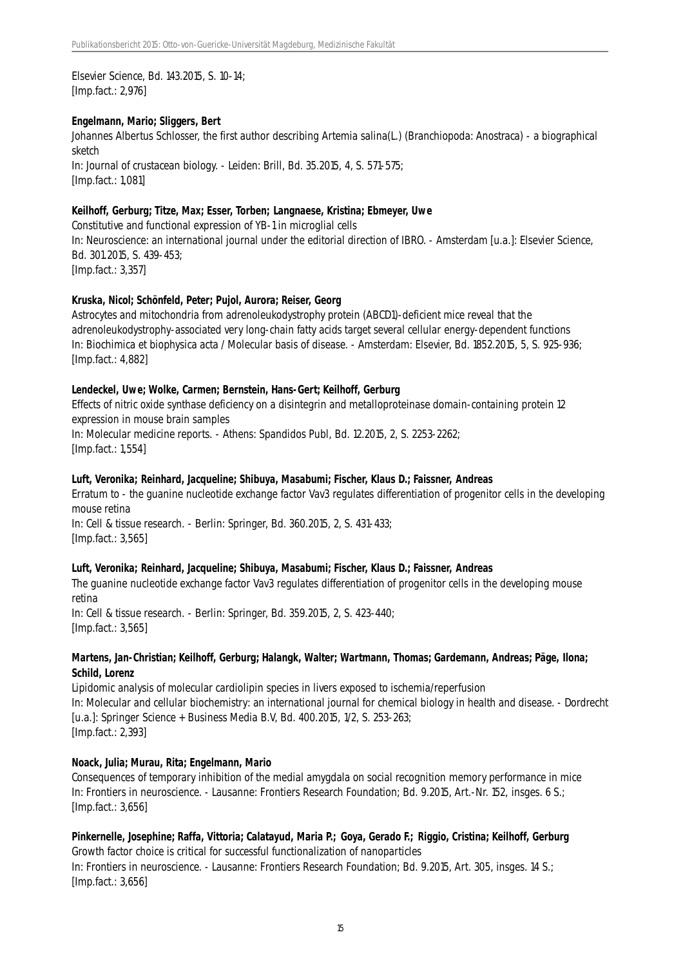Elsevier Science, Bd. 143.2015, S. 10-14; [Imp.fact.: 2,976]

#### **Engelmann, Mario; Sliggers, Bert**

Johannes Albertus Schlosser, the first author describing Artemia salina(L.) (Branchiopoda: Anostraca) - a biographical sketch

In: Journal of crustacean biology. - Leiden: Brill, Bd. 35.2015, 4, S. 571-575; [Imp.fact.: 1,081]

#### **Keilhoff, Gerburg; Titze, Max; Esser, Torben; Langnaese, Kristina; Ebmeyer, Uwe**

Constitutive and functional expression of YB-1 in microglial cells In: Neuroscience: an international journal under the editorial direction of IBRO. - Amsterdam [u.a.]: Elsevier Science, Bd. 301.2015, S. 439-453; [Imp.fact.: 3,357]

#### **Kruska, Nicol; Schönfeld, Peter; Pujol, Aurora; Reiser, Georg**

Astrocytes and mitochondria from adrenoleukodystrophy protein (ABCD1)-deficient mice reveal that the adrenoleukodystrophy-associated very long-chain fatty acids target several cellular energy-dependent functions In: Biochimica et biophysica acta / Molecular basis of disease. - Amsterdam: Elsevier, Bd. 1852.2015, 5, S. 925-936; [Imp.fact.: 4,882]

#### **Lendeckel, Uwe; Wolke, Carmen; Bernstein, Hans-Gert; Keilhoff, Gerburg**

Effects of nitric oxide synthase deficiency on a disintegrin and metalloproteinase domain-containing protein 12 expression in mouse brain samples

In: Molecular medicine reports. - Athens: Spandidos Publ, Bd. 12.2015, 2, S. 2253-2262; [Imp.fact.: 1,554]

#### **Luft, Veronika; Reinhard, Jacqueline; Shibuya, Masabumi; Fischer, Klaus D.; Faissner, Andreas**

Erratum to - the guanine nucleotide exchange factor Vav3 regulates differentiation of progenitor cells in the developing mouse retina

In: Cell & tissue research. - Berlin: Springer, Bd. 360.2015, 2, S. 431-433; [Imp.fact.: 3,565]

#### **Luft, Veronika; Reinhard, Jacqueline; Shibuya, Masabumi; Fischer, Klaus D.; Faissner, Andreas**

The guanine nucleotide exchange factor Vav3 regulates differentiation of progenitor cells in the developing mouse retina

In: Cell & tissue research. - Berlin: Springer, Bd. 359.2015, 2, S. 423-440; [Imp.fact.: 3,565]

#### **Martens, Jan-Christian; Keilhoff, Gerburg; Halangk, Walter; Wartmann, Thomas; Gardemann, Andreas; Päge, Ilona; Schild, Lorenz**

Lipidomic analysis of molecular cardiolipin species in livers exposed to ischemia/reperfusion In: Molecular and cellular biochemistry: an international journal for chemical biology in health and disease. - Dordrecht [u.a.]: Springer Science + Business Media B.V, Bd. 400.2015, 1/2, S. 253-263; [Imp.fact.: 2,393]

#### **Noack, Julia; Murau, Rita; Engelmann, Mario**

Consequences of temporary inhibition of the medial amygdala on social recognition memory performance in mice In: Frontiers in neuroscience. - Lausanne: Frontiers Research Foundation; Bd. 9.2015, Art.-Nr. 152, insges. 6 S.; [Imp.fact.: 3,656]

# **Pinkernelle, Josephine; Raffa, Vittoria; Calatayud, Maria P.; Goya, Gerado F.; Riggio, Cristina; Keilhoff, Gerburg**

Growth factor choice is critical for successful functionalization of nanoparticles In: Frontiers in neuroscience. - Lausanne: Frontiers Research Foundation; Bd. 9.2015, Art. 305, insges. 14 S.; [Imp.fact.: 3,656]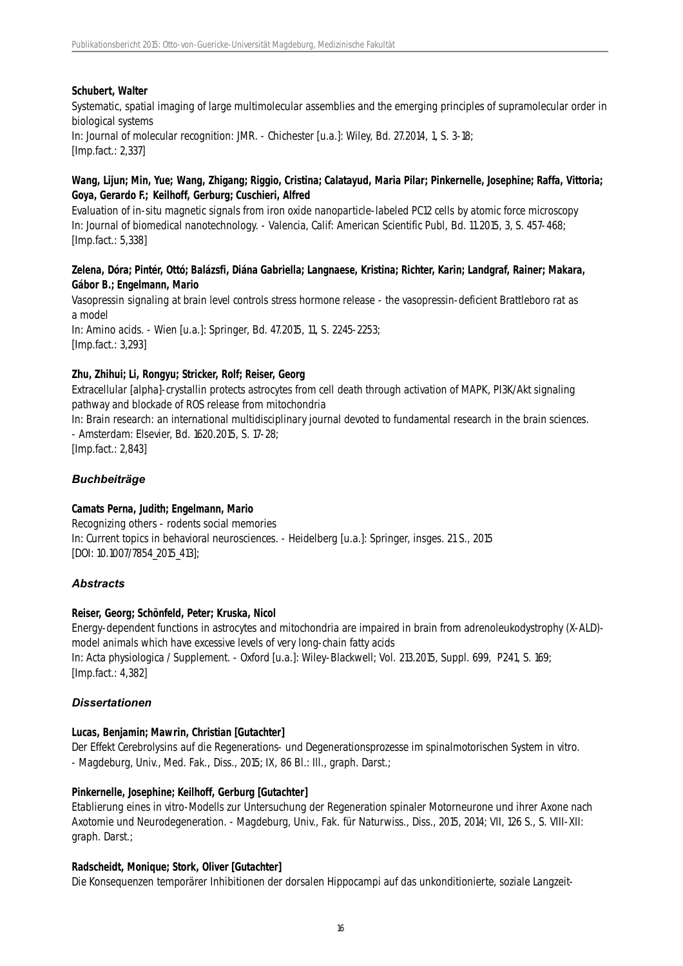# **Schubert, Walter**

Systematic, spatial imaging of large multimolecular assemblies and the emerging principles of supramolecular order in biological systems In: Journal of molecular recognition: JMR. - Chichester [u.a.]: Wiley, Bd. 27.2014, 1, S. 3-18; [Imp.fact.: 2,337]

#### **Wang, Lijun; Min, Yue; Wang, Zhigang; Riggio, Cristina; Calatayud, Maria Pilar; Pinkernelle, Josephine; Raffa, Vittoria; Goya, Gerardo F.; Keilhoff, Gerburg; Cuschieri, Alfred**

Evaluation of in-situ magnetic signals from iron oxide nanoparticle-labeled PC12 cells by atomic force microscopy In: Journal of biomedical nanotechnology. - Valencia, Calif: American Scientific Publ, Bd. 11.2015, 3, S. 457-468; [Imp.fact.: 5,338]

#### **Zelena, Dóra; Pintér, Ottó; Balázsfi, Diána Gabriella; Langnaese, Kristina; Richter, Karin; Landgraf, Rainer; Makara, Gábor B.; Engelmann, Mario**

Vasopressin signaling at brain level controls stress hormone release - the vasopressin-deficient Brattleboro rat as a model In: Amino acids. - Wien [u.a.]: Springer, Bd. 47.2015, 11, S. 2245-2253; [Imp.fact.: 3,293]

#### **Zhu, Zhihui; Li, Rongyu; Stricker, Rolf; Reiser, Georg**

Extracellular [alpha]-crystallin protects astrocytes from cell death through activation of MAPK, PI3K/Akt signaling pathway and blockade of ROS release from mitochondria

In: Brain research: an international multidisciplinary journal devoted to fundamental research in the brain sciences. - Amsterdam: Elsevier, Bd. 1620.2015, S. 17-28;

[Imp.fact.: 2,843]

# *Buchbeiträge*

#### **Camats Perna, Judith; Engelmann, Mario**

Recognizing others - rodents social memories In: Current topics in behavioral neurosciences. - Heidelberg [u.a.]: Springer, insges. 21 S., 2015 [DOI: 10.1007/7854\_2015\_413];

#### *Abstracts*

#### **Reiser, Georg; Schönfeld, Peter; Kruska, Nicol**

Energy-dependent functions in astrocytes and mitochondria are impaired in brain from adrenoleukodystrophy (X-ALD) model animals which have excessive levels of very long-chain fatty acids In: Acta physiologica / Supplement. - Oxford [u.a.]: Wiley-Blackwell; Vol. 213.2015, Suppl. 699, P241, S. 169; [Imp.fact.: 4,382]

# *Dissertationen*

# **Lucas, Benjamin; Mawrin, Christian [Gutachter]**

Der Effekt Cerebrolysins auf die Regenerations- und Degenerationsprozesse im spinalmotorischen System in vitro. - Magdeburg, Univ., Med. Fak., Diss., 2015; IX, 86 Bl.: Ill., graph. Darst.;

# **Pinkernelle, Josephine; Keilhoff, Gerburg [Gutachter]**

Etablierung eines in vitro-Modells zur Untersuchung der Regeneration spinaler Motorneurone und ihrer Axone nach Axotomie und Neurodegeneration. - Magdeburg, Univ., Fak. für Naturwiss., Diss., 2015, 2014; VII, 126 S., S. VIII-XII: graph. Darst.;

#### **Radscheidt, Monique; Stork, Oliver [Gutachter]**

Die Konsequenzen temporärer Inhibitionen der dorsalen Hippocampi auf das unkonditionierte, soziale Langzeit-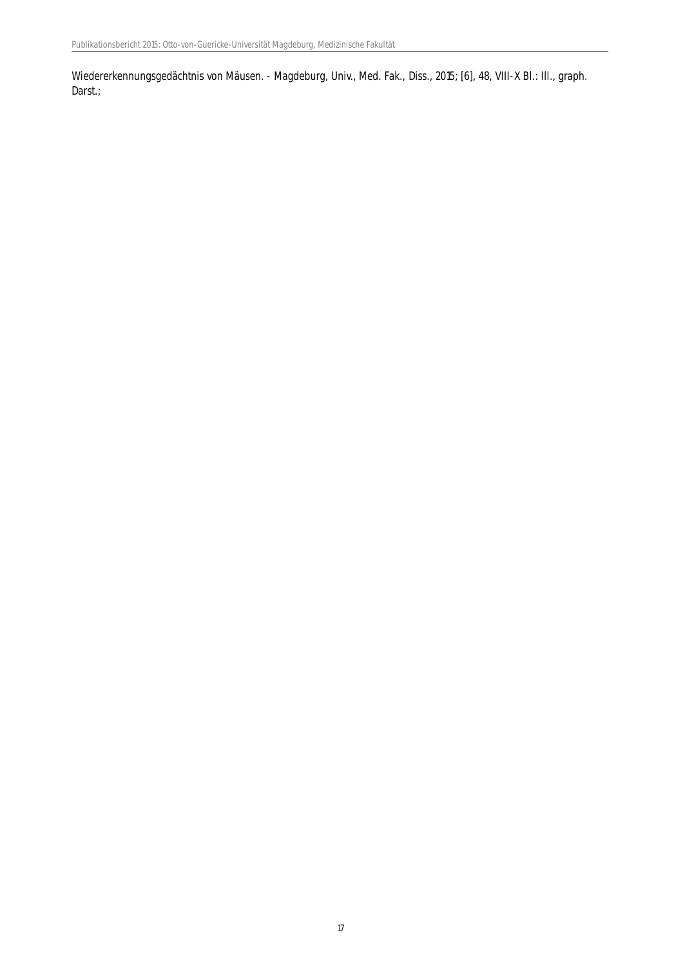Wiedererkennungsgedächtnis von Mäusen. - Magdeburg, Univ., Med. Fak., Diss., 2015; [6], 48, VIII-X Bl.: Ill., graph. Darst.;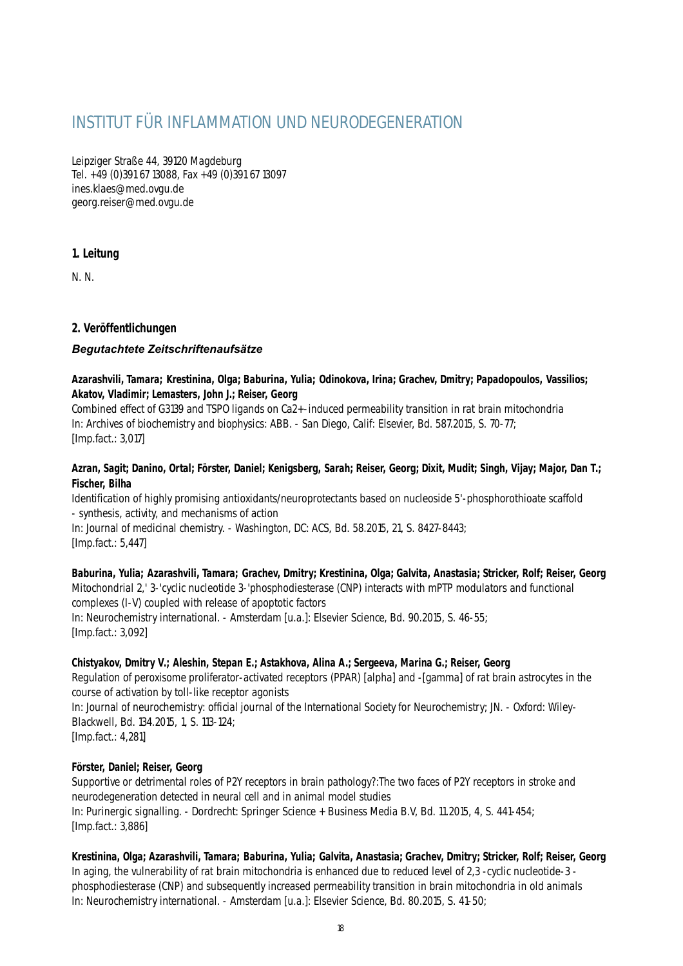# INSTITUT FÜR INFLAMMATION UND NEURODEGENERATION

Leipziger Straße 44, 39120 Magdeburg Tel. +49 (0)391 67 13088, Fax +49 (0)391 67 13097 ines.klaes@med.ovgu.de georg.reiser@med.ovgu.de

# **1. Leitung**

N. N.

# **2. Veröffentlichungen**

# *Begutachtete Zeitschriftenaufsätze*

# **Azarashvili, Tamara; Krestinina, Olga; Baburina, Yulia; Odinokova, Irina; Grachev, Dmitry; Papadopoulos, Vassilios; Akatov, Vladimir; Lemasters, John J.; Reiser, Georg**

Combined effect of G3139 and TSPO ligands on Ca2+-induced permeability transition in rat brain mitochondria In: Archives of biochemistry and biophysics: ABB. - San Diego, Calif: Elsevier, Bd. 587.2015, S. 70-77; [Imp.fact.: 3,017]

# **Azran, Sagit; Danino, Ortal; Förster, Daniel; Kenigsberg, Sarah; Reiser, Georg; Dixit, Mudit; Singh, Vijay; Major, Dan T.; Fischer, Bilha**

Identification of highly promising antioxidants/neuroprotectants based on nucleoside 5'-phosphorothioate scaffold - synthesis, activity, and mechanisms of action

In: Journal of medicinal chemistry. - Washington, DC: ACS, Bd. 58.2015, 21, S. 8427-8443; [Imp.fact.: 5,447]

**Baburina, Yulia; Azarashvili, Tamara; Grachev, Dmitry; Krestinina, Olga; Galvita, Anastasia; Stricker, Rolf; Reiser, Georg** Mitochondrial 2,' 3-'cyclic nucleotide 3-'phosphodiesterase (CNP) interacts with mPTP modulators and functional complexes (I-V) coupled with release of apoptotic factors In: Neurochemistry international. - Amsterdam [u.a.]: Elsevier Science, Bd. 90.2015, S. 46-55; [Imp.fact.: 3,092]

# **Chistyakov, Dmitry V.; Aleshin, Stepan E.; Astakhova, Alina A.; Sergeeva, Marina G.; Reiser, Georg**

Regulation of peroxisome proliferator-activated receptors (PPAR) [alpha] and -[gamma] of rat brain astrocytes in the course of activation by toll-like receptor agonists

In: Journal of neurochemistry: official journal of the International Society for Neurochemistry; JN. - Oxford: Wiley-Blackwell, Bd. 134.2015, 1, S. 113-124;

[Imp.fact.: 4,281]

# **Förster, Daniel; Reiser, Georg**

Supportive or detrimental roles of P2Y receptors in brain pathology?:The two faces of P2Y receptors in stroke and neurodegeneration detected in neural cell and in animal model studies In: Purinergic signalling. - Dordrecht: Springer Science + Business Media B.V, Bd. 11.2015, 4, S. 441-454; [Imp.fact.: 3,886]

# **Krestinina, Olga; Azarashvili, Tamara; Baburina, Yulia; Galvita, Anastasia; Grachev, Dmitry; Stricker, Rolf; Reiser, Georg**

In aging, the vulnerability of rat brain mitochondria is enhanced due to reduced level of 2,3 -cyclic nucleotide-3 phosphodiesterase (CNP) and subsequently increased permeability transition in brain mitochondria in old animals In: Neurochemistry international. - Amsterdam [u.a.]: Elsevier Science, Bd. 80.2015, S. 41-50;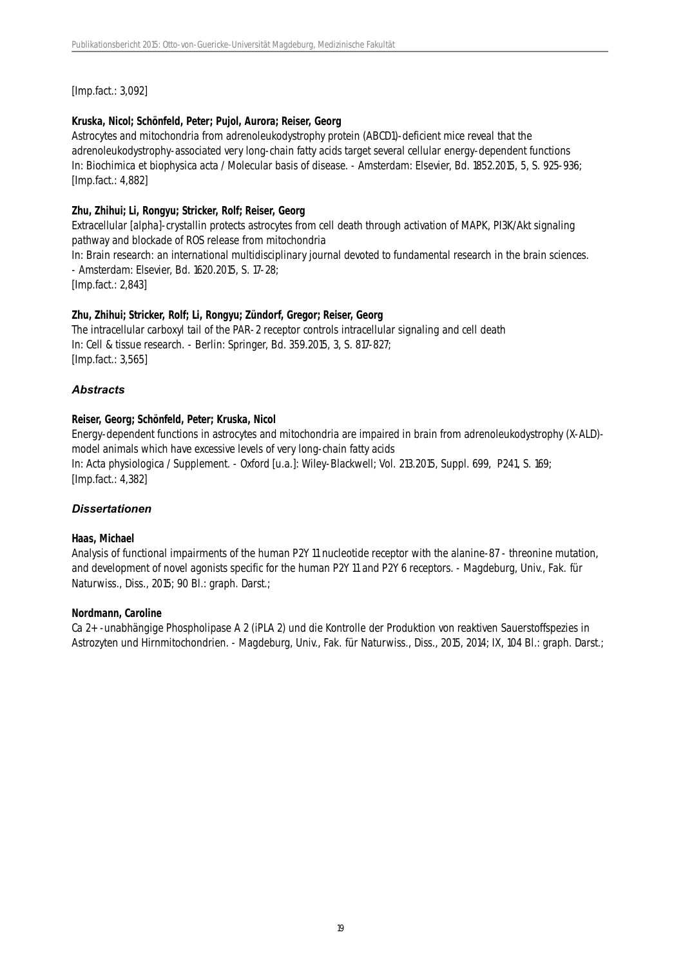[Imp.fact.: 3,092]

# **Kruska, Nicol; Schönfeld, Peter; Pujol, Aurora; Reiser, Georg**

Astrocytes and mitochondria from adrenoleukodystrophy protein (ABCD1)-deficient mice reveal that the adrenoleukodystrophy-associated very long-chain fatty acids target several cellular energy-dependent functions In: Biochimica et biophysica acta / Molecular basis of disease. - Amsterdam: Elsevier, Bd. 1852.2015, 5, S. 925-936; [Imp.fact.: 4,882]

# **Zhu, Zhihui; Li, Rongyu; Stricker, Rolf; Reiser, Georg**

Extracellular [alpha]-crystallin protects astrocytes from cell death through activation of MAPK, PI3K/Akt signaling pathway and blockade of ROS release from mitochondria

In: Brain research: an international multidisciplinary journal devoted to fundamental research in the brain sciences. - Amsterdam: Elsevier, Bd. 1620.2015, S. 17-28;

[Imp.fact.: 2,843]

# **Zhu, Zhihui; Stricker, Rolf; Li, Rongyu; Zündorf, Gregor; Reiser, Georg**

The intracellular carboxyl tail of the PAR-2 receptor controls intracellular signaling and cell death In: Cell & tissue research. - Berlin: Springer, Bd. 359.2015, 3, S. 817-827; [Imp.fact.: 3,565]

# *Abstracts*

# **Reiser, Georg; Schönfeld, Peter; Kruska, Nicol**

Energy-dependent functions in astrocytes and mitochondria are impaired in brain from adrenoleukodystrophy (X-ALD) model animals which have excessive levels of very long-chain fatty acids In: Acta physiologica / Supplement. - Oxford [u.a.]: Wiley-Blackwell; Vol. 213.2015, Suppl. 699, P241, S. 169; [Imp.fact.: 4,382]

# *Dissertationen*

# **Haas, Michael**

Analysis of functional impairments of the human P2Y 11 nucleotide receptor with the alanine-87 - threonine mutation, and development of novel agonists specific for the human P2Y 11 and P2Y 6 receptors. - Magdeburg, Univ., Fak. für Naturwiss., Diss., 2015; 90 Bl.: graph. Darst.;

#### **Nordmann, Caroline**

Ca 2+ -unabhängige Phospholipase A 2 (iPLA 2) und die Kontrolle der Produktion von reaktiven Sauerstoffspezies in Astrozyten und Hirnmitochondrien. - Magdeburg, Univ., Fak. für Naturwiss., Diss., 2015, 2014; IX, 104 Bl.: graph. Darst.;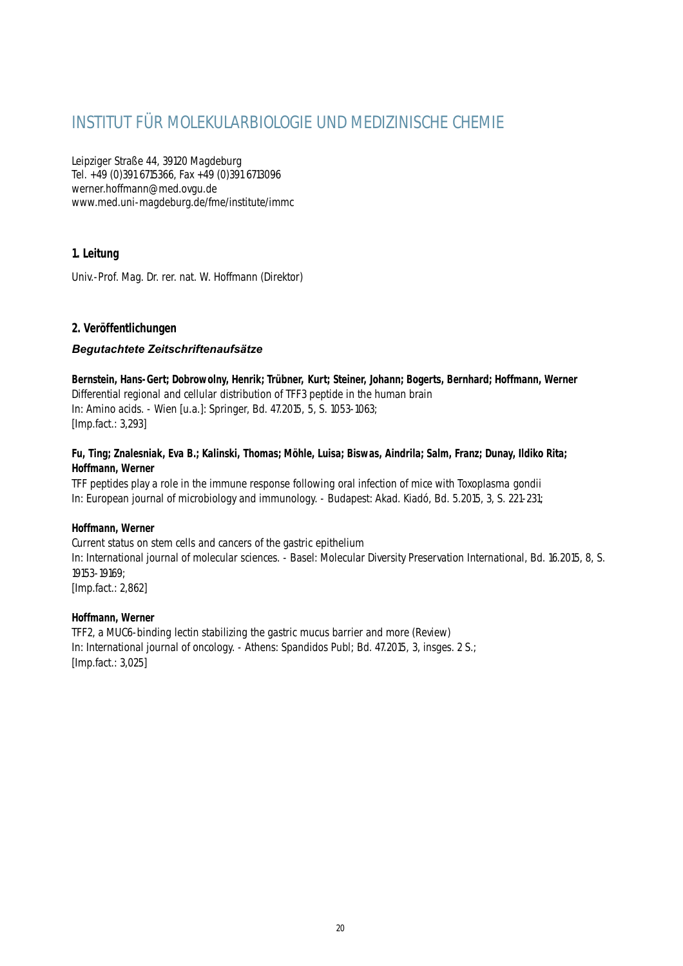# INSTITUT FÜR MOLEKULARBIOLOGIE UND MEDIZINISCHE CHEMIE

Leipziger Straße 44, 39120 Magdeburg Tel. +49 (0)391 6715366, Fax +49 (0)391 6713096 werner.hoffmann@med.ovgu.de www.med.uni-magdeburg.de/fme/institute/immc

# **1. Leitung**

Univ.-Prof. Mag. Dr. rer. nat. W. Hoffmann (Direktor)

# **2. Veröffentlichungen**

# *Begutachtete Zeitschriftenaufsätze*

**Bernstein, Hans-Gert; Dobrowolny, Henrik; Trübner, Kurt; Steiner, Johann; Bogerts, Bernhard; Hoffmann, Werner** Differential regional and cellular distribution of TFF3 peptide in the human brain In: Amino acids. - Wien [u.a.]: Springer, Bd. 47.2015, 5, S. 1053-1063; [Imp.fact.: 3,293]

# **Fu, Ting; Znalesniak, Eva B.; Kalinski, Thomas; Möhle, Luisa; Biswas, Aindrila; Salm, Franz; Dunay, Ildiko Rita; Hoffmann, Werner**

TFF peptides play a role in the immune response following oral infection of mice with Toxoplasma gondii In: European journal of microbiology and immunology. - Budapest: Akad. Kiadó, Bd. 5.2015, 3, S. 221-231;

# **Hoffmann, Werner**

Current status on stem cells and cancers of the gastric epithelium In: International journal of molecular sciences. - Basel: Molecular Diversity Preservation International, Bd. 16.2015, 8, S. 19153-19169;

[Imp.fact.: 2,862]

# **Hoffmann, Werner**

TFF2, a MUC6-binding lectin stabilizing the gastric mucus barrier and more (Review) In: International journal of oncology. - Athens: Spandidos Publ; Bd. 47.2015, 3, insges. 2 S.; [Imp.fact.: 3,025]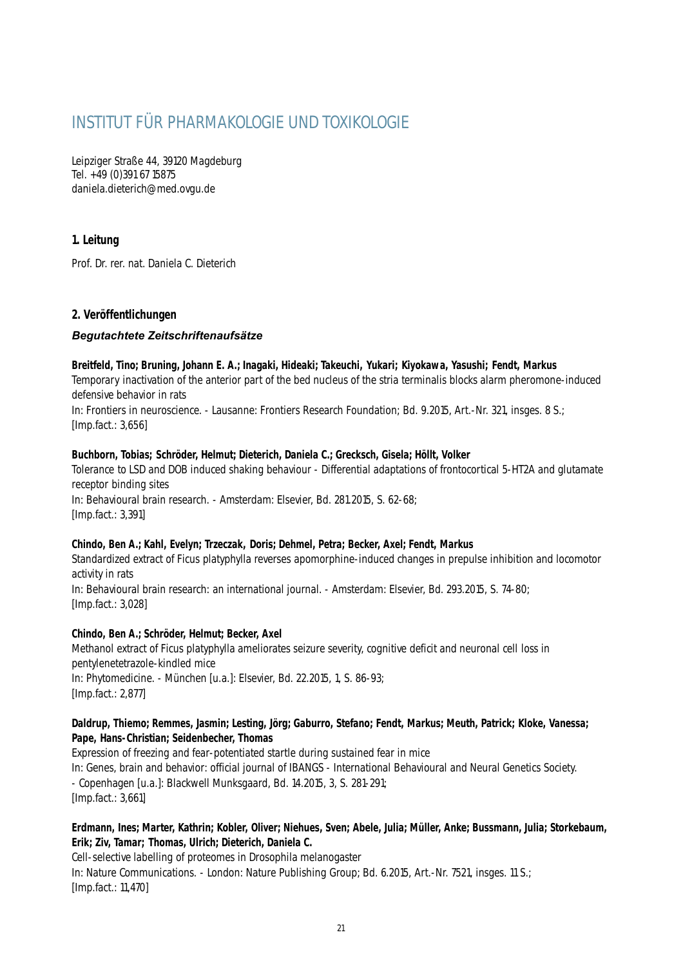# INSTITUT FÜR PHARMAKOLOGIE UND TOXIKOLOGIE

Leipziger Straße 44, 39120 Magdeburg Tel. +49 (0)391 67 15875 daniela.dieterich@med.ovgu.de

# **1. Leitung**

Prof. Dr. rer. nat. Daniela C. Dieterich

# **2. Veröffentlichungen**

# *Begutachtete Zeitschriftenaufsätze*

#### **Breitfeld, Tino; Bruning, Johann E. A.; Inagaki, Hideaki; Takeuchi, Yukari; Kiyokawa, Yasushi; Fendt, Markus**

Temporary inactivation of the anterior part of the bed nucleus of the stria terminalis blocks alarm pheromone-induced defensive behavior in rats

In: Frontiers in neuroscience. - Lausanne: Frontiers Research Foundation; Bd. 9.2015, Art.-Nr. 321, insges. 8 S.; [Imp.fact.: 3,656]

# **Buchborn, Tobias; Schröder, Helmut; Dieterich, Daniela C.; Grecksch, Gisela; Höllt, Volker**

Tolerance to LSD and DOB induced shaking behaviour - Differential adaptations of frontocortical 5-HT2A and glutamate receptor binding sites In: Behavioural brain research. - Amsterdam: Elsevier, Bd. 281.2015, S. 62-68; [Imp.fact.: 3,391]

# **Chindo, Ben A.; Kahl, Evelyn; Trzeczak, Doris; Dehmel, Petra; Becker, Axel; Fendt, Markus**

Standardized extract of Ficus platyphylla reverses apomorphine-induced changes in prepulse inhibition and locomotor activity in rats In: Behavioural brain research: an international journal. - Amsterdam: Elsevier, Bd. 293.2015, S. 74-80;

[Imp.fact.: 3,028]

# **Chindo, Ben A.; Schröder, Helmut; Becker, Axel**

Methanol extract of Ficus platyphylla ameliorates seizure severity, cognitive deficit and neuronal cell loss in pentylenetetrazole-kindled mice In: Phytomedicine. - München [u.a.]: Elsevier, Bd. 22.2015, 1, S. 86-93; [Imp.fact.: 2,877]

# **Daldrup, Thiemo; Remmes, Jasmin; Lesting, Jörg; Gaburro, Stefano; Fendt, Markus; Meuth, Patrick; Kloke, Vanessa; Pape, Hans-Christian; Seidenbecher, Thomas**

Expression of freezing and fear-potentiated startle during sustained fear in mice In: Genes, brain and behavior: official journal of IBANGS - International Behavioural and Neural Genetics Society. - Copenhagen [u.a.]: Blackwell Munksgaard, Bd. 14.2015, 3, S. 281-291; [Imp.fact.: 3,661]

# **Erdmann, Ines; Marter, Kathrin; Kobler, Oliver; Niehues, Sven; Abele, Julia; Müller, Anke; Bussmann, Julia; Storkebaum, Erik; Ziv, Tamar; Thomas, Ulrich; Dieterich, Daniela C.**

Cell-selective labelling of proteomes in Drosophila melanogaster In: Nature Communications. - London: Nature Publishing Group; Bd. 6.2015, Art.-Nr. 7521, insges. 11 S.; [Imp.fact.: 11,470]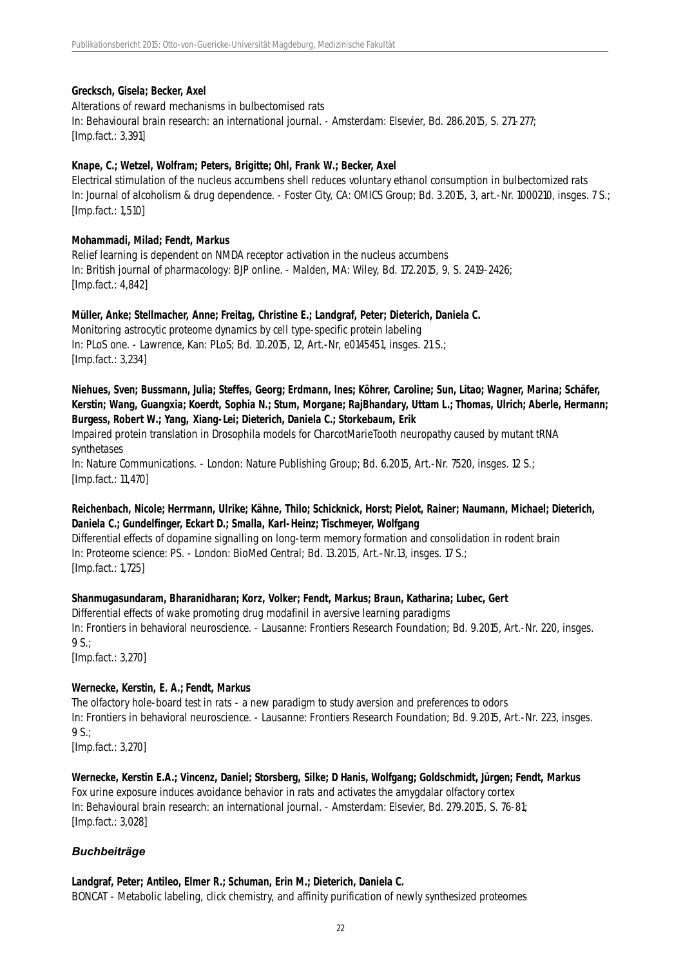#### **Grecksch, Gisela; Becker, Axel**

Alterations of reward mechanisms in bulbectomised rats In: Behavioural brain research: an international journal. - Amsterdam: Elsevier, Bd. 286.2015, S. 271-277; [Imp.fact.: 3,391]

#### **Knape, C.; Wetzel, Wolfram; Peters, Brigitte; Ohl, Frank W.; Becker, Axel**

Electrical stimulation of the nucleus accumbens shell reduces voluntary ethanol consumption in bulbectomized rats In: Journal of alcoholism & drug dependence. - Foster City, CA: OMICS Group; Bd. 3.2015, 3, art.-Nr. 1000210, insges. 7 S.; [Imp.fact.: 1,510]

#### **Mohammadi, Milad; Fendt, Markus**

Relief learning is dependent on NMDA receptor activation in the nucleus accumbens In: British journal of pharmacology: BJP online. - Malden, MA: Wiley, Bd. 172.2015, 9, S. 2419-2426; [Imp.fact.: 4,842]

#### **Müller, Anke; Stellmacher, Anne; Freitag, Christine E.; Landgraf, Peter; Dieterich, Daniela C.**

Monitoring astrocytic proteome dynamics by cell type-specific protein labeling In: PLoS one. - Lawrence, Kan: PLoS; Bd. 10.2015, 12, Art.-Nr, e0145451, insges. 21 S.; [Imp.fact.: 3,234]

# **Niehues, Sven; Bussmann, Julia; Steffes, Georg; Erdmann, Ines; Köhrer, Caroline; Sun, Litao; Wagner, Marina; Schäfer, Kerstin; Wang, Guangxia; Koerdt, Sophia N.; Stum, Morgane; RajBhandary, Uttam L.; Thomas, Ulrich; Aberle, Hermann; Burgess, Robert W.; Yang, Xiang-Lei; Dieterich, Daniela C.; Storkebaum, Erik**

Impaired protein translation in Drosophila models for CharcotMarieTooth neuropathy caused by mutant tRNA synthetases

In: Nature Communications. - London: Nature Publishing Group; Bd. 6.2015, Art.-Nr. 7520, insges. 12 S.; [Imp.fact.: 11,470]

# **Reichenbach, Nicole; Herrmann, Ulrike; Kähne, Thilo; Schicknick, Horst; Pielot, Rainer; Naumann, Michael; Dieterich, Daniela C.; Gundelfinger, Eckart D.; Smalla, Karl-Heinz; Tischmeyer, Wolfgang**

Differential effects of dopamine signalling on long-term memory formation and consolidation in rodent brain In: Proteome science: PS. - London: BioMed Central; Bd. 13.2015, Art.-Nr.13, insges. 17 S.; [Imp.fact.: 1,725]

# **Shanmugasundaram, Bharanidharan; Korz, Volker; Fendt, Markus; Braun, Katharina; Lubec, Gert**

Differential effects of wake promoting drug modafinil in aversive learning paradigms In: Frontiers in behavioral neuroscience. - Lausanne: Frontiers Research Foundation; Bd. 9.2015, Art.-Nr. 220, insges. 9 S.; [Imp.fact.: 3,270]

# **Wernecke, Kerstin, E. A.; Fendt, Markus**

The olfactory hole-board test in rats - a new paradigm to study aversion and preferences to odors In: Frontiers in behavioral neuroscience. - Lausanne: Frontiers Research Foundation; Bd. 9.2015, Art.-Nr. 223, insges.  $9 S.$ ;

[Imp.fact.: 3,270]

# **Wernecke, Kerstin E.A.; Vincenz, Daniel; Storsberg, Silke; D Hanis, Wolfgang; Goldschmidt, Jürgen; Fendt, Markus**

Fox urine exposure induces avoidance behavior in rats and activates the amygdalar olfactory cortex In: Behavioural brain research: an international journal. - Amsterdam: Elsevier, Bd. 279.2015, S. 76-81; [Imp.fact.: 3,028]

# *Buchbeiträge*

#### **Landgraf, Peter; Antileo, Elmer R.; Schuman, Erin M.; Dieterich, Daniela C.** BONCAT - Metabolic labeling, click chemistry, and affinity purification of newly synthesized proteomes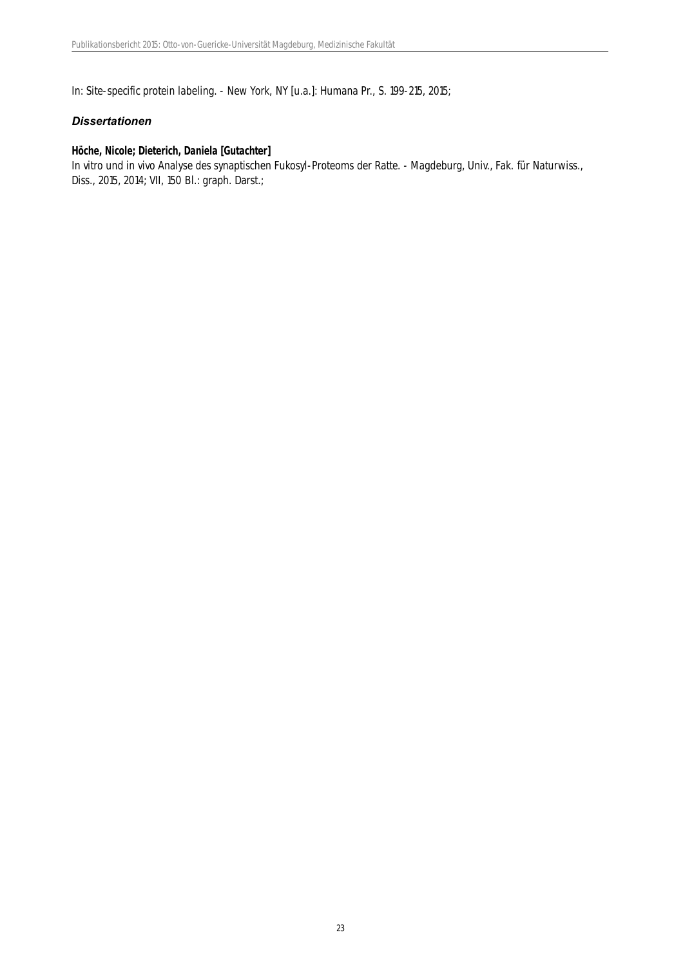In: Site-specific protein labeling. - New York, NY [u.a.]: Humana Pr., S. 199-215, 2015;

#### *Dissertationen*

#### **Höche, Nicole; Dieterich, Daniela [Gutachter]**

In vitro und in vivo Analyse des synaptischen Fukosyl-Proteoms der Ratte. - Magdeburg, Univ., Fak. für Naturwiss., Diss., 2015, 2014; VII, 150 Bl.: graph. Darst.;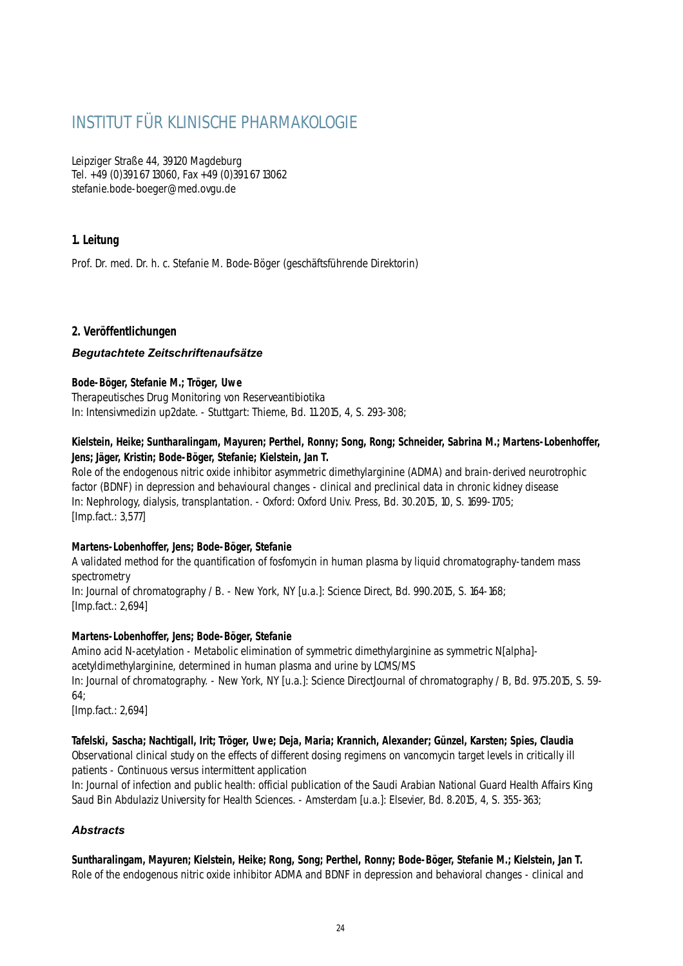# INSTITUT FÜR KLINISCHE PHARMAKOLOGIE

Leipziger Straße 44, 39120 Magdeburg Tel. +49 (0)391 67 13060, Fax +49 (0)391 67 13062 stefanie.bode-boeger@med.ovgu.de

# **1. Leitung**

Prof. Dr. med. Dr. h. c. Stefanie M. Bode-Böger (geschäftsführende Direktorin)

# **2. Veröffentlichungen**

# *Begutachtete Zeitschriftenaufsätze*

# **Bode-Böger, Stefanie M.; Tröger, Uwe**

Therapeutisches Drug Monitoring von Reserveantibiotika In: Intensivmedizin up2date. - Stuttgart: Thieme, Bd. 11.2015, 4, S. 293-308;

# **Kielstein, Heike; Suntharalingam, Mayuren; Perthel, Ronny; Song, Rong; Schneider, Sabrina M.; Martens-Lobenhoffer, Jens; Jäger, Kristin; Bode-Böger, Stefanie; Kielstein, Jan T.**

Role of the endogenous nitric oxide inhibitor asymmetric dimethylarginine (ADMA) and brain-derived neurotrophic factor (BDNF) in depression and behavioural changes - clinical and preclinical data in chronic kidney disease In: Nephrology, dialysis, transplantation. - Oxford: Oxford Univ. Press, Bd. 30.2015, 10, S. 1699-1705; [Imp.fact.: 3,577]

# **Martens-Lobenhoffer, Jens; Bode-Böger, Stefanie**

A validated method for the quantification of fosfomycin in human plasma by liquid chromatography-tandem mass spectrometry In: Journal of chromatography / B. - New York, NY [u.a.]: Science Direct, Bd. 990.2015, S. 164-168;

[Imp.fact.: 2,694]

# **Martens-Lobenhoffer, Jens; Bode-Böger, Stefanie**

Amino acid N-acetylation - Metabolic elimination of symmetric dimethylarginine as symmetric N[alpha] acetyldimethylarginine, determined in human plasma and urine by LCMS/MS In: Journal of chromatography. - New York, NY [u.a.]: Science DirectJournal of chromatography / B, Bd. 975.2015, S. 59- 64; [Imp.fact.: 2,694]

**Tafelski, Sascha; Nachtigall, Irit; Tröger, Uwe; Deja, Maria; Krannich, Alexander; Günzel, Karsten; Spies, Claudia** Observational clinical study on the effects of different dosing regimens on vancomycin target levels in critically ill patients - Continuous versus intermittent application

In: Journal of infection and public health: official publication of the Saudi Arabian National Guard Health Affairs King Saud Bin Abdulaziz University for Health Sciences. - Amsterdam [u.a.]: Elsevier, Bd. 8.2015, 4, S. 355-363;

# *Abstracts*

**Suntharalingam, Mayuren; Kielstein, Heike; Rong, Song; Perthel, Ronny; Bode-Böger, Stefanie M.; Kielstein, Jan T.** Role of the endogenous nitric oxide inhibitor ADMA and BDNF in depression and behavioral changes - clinical and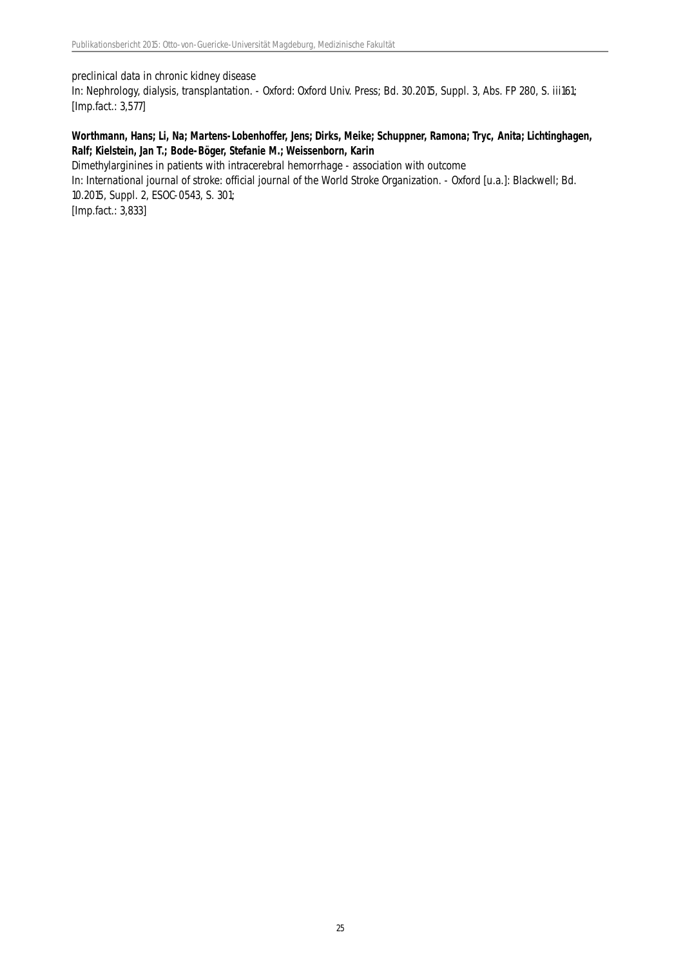#### preclinical data in chronic kidney disease

In: Nephrology, dialysis, transplantation. - Oxford: Oxford Univ. Press; Bd. 30.2015, Suppl. 3, Abs. FP 280, S. iii161; [Imp.fact.: 3,577]

#### **Worthmann, Hans; Li, Na; Martens-Lobenhoffer, Jens; Dirks, Meike; Schuppner, Ramona; Tryc, Anita; Lichtinghagen, Ralf; Kielstein, Jan T.; Bode-Böger, Stefanie M.; Weissenborn, Karin**

Dimethylarginines in patients with intracerebral hemorrhage - association with outcome

In: International journal of stroke: official journal of the World Stroke Organization. - Oxford [u.a.]: Blackwell; Bd. 10.2015, Suppl. 2, ESOC-0543, S. 301;

[Imp.fact.: 3,833]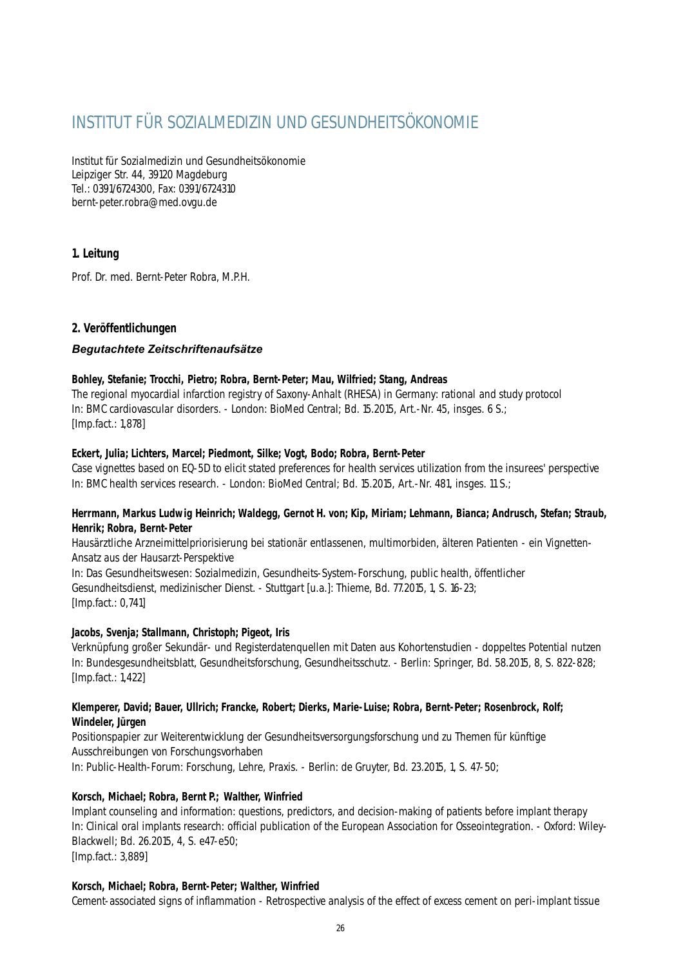# INSTITUT FÜR SOZIALMEDIZIN UND GESUNDHEITSÖKONOMIE

Institut für Sozialmedizin und Gesundheitsökonomie Leipziger Str. 44, 39120 Magdeburg Tel.: 0391/6724300, Fax: 0391/6724310 bernt-peter.robra@med.ovgu.de

# **1. Leitung**

Prof. Dr. med. Bernt-Peter Robra, M.P.H.

# **2. Veröffentlichungen**

# *Begutachtete Zeitschriftenaufsätze*

#### **Bohley, Stefanie; Trocchi, Pietro; Robra, Bernt-Peter; Mau, Wilfried; Stang, Andreas**

The regional myocardial infarction registry of Saxony-Anhalt (RHESA) in Germany: rational and study protocol In: BMC cardiovascular disorders. - London: BioMed Central; Bd. 15.2015, Art.-Nr. 45, insges. 6 S.; [Imp.fact.: 1,878]

# **Eckert, Julia; Lichters, Marcel; Piedmont, Silke; Vogt, Bodo; Robra, Bernt-Peter**

Case vignettes based on EQ-5D to elicit stated preferences for health services utilization from the insurees' perspective In: BMC health services research. - London: BioMed Central; Bd. 15.2015, Art.-Nr. 481, insges. 11 S.;

#### **Herrmann, Markus Ludwig Heinrich; Waldegg, Gernot H. von; Kip, Miriam; Lehmann, Bianca; Andrusch, Stefan; Straub, Henrik; Robra, Bernt-Peter**

Hausärztliche Arzneimittelpriorisierung bei stationär entlassenen, multimorbiden, älteren Patienten - ein Vignetten-Ansatz aus der Hausarzt-Perspektive

In: Das Gesundheitswesen: Sozialmedizin, Gesundheits-System-Forschung, public health, öffentlicher Gesundheitsdienst, medizinischer Dienst. - Stuttgart [u.a.]: Thieme, Bd. 77.2015, 1, S. 16-23; [Imp.fact.: 0,741]

# **Jacobs, Svenja; Stallmann, Christoph; Pigeot, Iris**

Verknüpfung großer Sekundär- und Registerdatenquellen mit Daten aus Kohortenstudien - doppeltes Potential nutzen In: Bundesgesundheitsblatt, Gesundheitsforschung, Gesundheitsschutz. - Berlin: Springer, Bd. 58.2015, 8, S. 822-828; [Imp.fact.: 1,422]

#### **Klemperer, David; Bauer, Ullrich; Francke, Robert; Dierks, Marie-Luise; Robra, Bernt-Peter; Rosenbrock, Rolf; Windeler, Jürgen**

Positionspapier zur Weiterentwicklung der Gesundheitsversorgungsforschung und zu Themen für künftige Ausschreibungen von Forschungsvorhaben In: Public-Health-Forum: Forschung, Lehre, Praxis. - Berlin: de Gruyter, Bd. 23.2015, 1, S. 47-50;

# **Korsch, Michael; Robra, Bernt P.; Walther, Winfried**

Implant counseling and information: questions, predictors, and decision-making of patients before implant therapy In: Clinical oral implants research: official publication of the European Association for Osseointegration. - Oxford: Wiley-Blackwell; Bd. 26.2015, 4, S. e47-e50; [Imp.fact.: 3,889]

**Korsch, Michael; Robra, Bernt-Peter; Walther, Winfried**

Cement-associated signs of inflammation - Retrospective analysis of the effect of excess cement on peri-implant tissue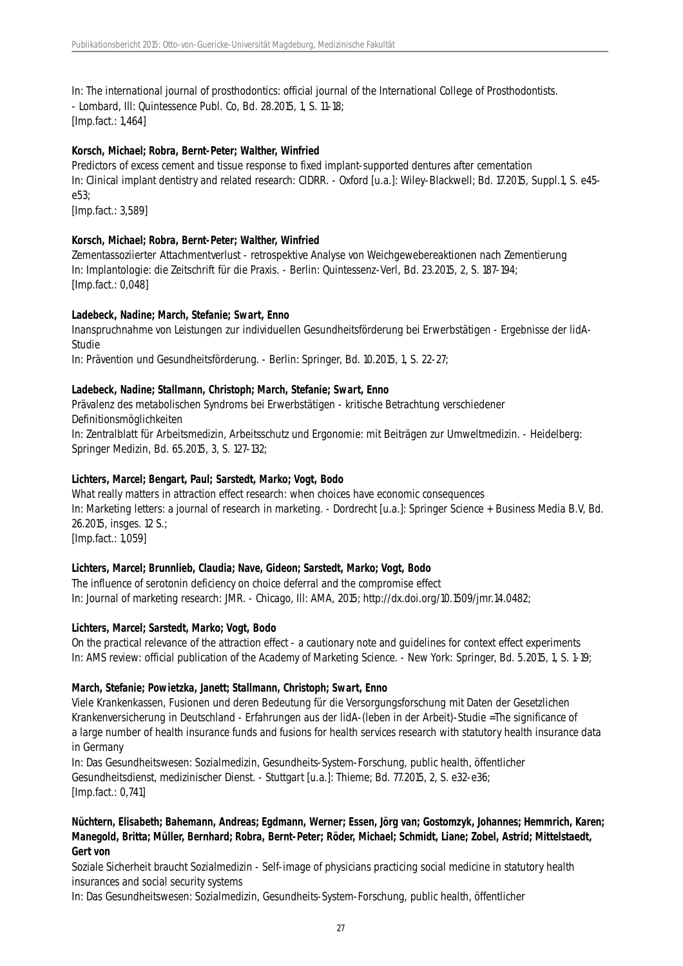In: The international journal of prosthodontics: official journal of the International College of Prosthodontists. - Lombard, Ill: Quintessence Publ. Co, Bd. 28.2015, 1, S. 11-18; [Imp.fact.: 1,464]

# **Korsch, Michael; Robra, Bernt-Peter; Walther, Winfried**

Predictors of excess cement and tissue response to fixed implant-supported dentures after cementation In: Clinical implant dentistry and related research: CIDRR. - Oxford [u.a.]: Wiley-Blackwell; Bd. 17.2015, Suppl.1, S. e45 e53;

[Imp.fact.: 3,589]

#### **Korsch, Michael; Robra, Bernt-Peter; Walther, Winfried**

Zementassoziierter Attachmentverlust - retrospektive Analyse von Weichgewebereaktionen nach Zementierung In: Implantologie: die Zeitschrift für die Praxis. - Berlin: Quintessenz-Verl, Bd. 23.2015, 2, S. 187-194; [Imp.fact.: 0,048]

#### **Ladebeck, Nadine; March, Stefanie; Swart, Enno**

Inanspruchnahme von Leistungen zur individuellen Gesundheitsförderung bei Erwerbstätigen - Ergebnisse der lidA-Studie

In: Prävention und Gesundheitsförderung. - Berlin: Springer, Bd. 10.2015, 1, S. 22-27;

#### **Ladebeck, Nadine; Stallmann, Christoph; March, Stefanie; Swart, Enno**

Prävalenz des metabolischen Syndroms bei Erwerbstätigen - kritische Betrachtung verschiedener Definitionsmöglichkeiten

In: Zentralblatt für Arbeitsmedizin, Arbeitsschutz und Ergonomie: mit Beiträgen zur Umweltmedizin. - Heidelberg: Springer Medizin, Bd. 65.2015, 3, S. 127-132;

#### **Lichters, Marcel; Bengart, Paul; Sarstedt, Marko; Vogt, Bodo**

What really matters in attraction effect research: when choices have economic consequences In: Marketing letters: a journal of research in marketing. - Dordrecht [u.a.]: Springer Science + Business Media B.V, Bd. 26.2015, insges. 12 S.; [Imp.fact.: 1,059]

# **Lichters, Marcel; Brunnlieb, Claudia; Nave, Gideon; Sarstedt, Marko; Vogt, Bodo**

The influence of serotonin deficiency on choice deferral and the compromise effect In: Journal of marketing research: JMR. - Chicago, Ill: AMA, 2015; http://dx.doi.org/10.1509/jmr.14.0482;

#### **Lichters, Marcel; Sarstedt, Marko; Vogt, Bodo**

On the practical relevance of the attraction effect - a cautionary note and guidelines for context effect experiments In: AMS review: official publication of the Academy of Marketing Science. - New York: Springer, Bd. 5.2015, 1, S. 1-19;

#### **March, Stefanie; Powietzka, Janett; Stallmann, Christoph; Swart, Enno**

Viele Krankenkassen, Fusionen und deren Bedeutung für die Versorgungsforschung mit Daten der Gesetzlichen Krankenversicherung in Deutschland - Erfahrungen aus der lidA-(leben in der Arbeit)-Studie =The significance of a large number of health insurance funds and fusions for health services research with statutory health insurance data in Germany

In: Das Gesundheitswesen: Sozialmedizin, Gesundheits-System-Forschung, public health, öffentlicher Gesundheitsdienst, medizinischer Dienst. - Stuttgart [u.a.]: Thieme; Bd. 77.2015, 2, S. e32-e36; [Imp.fact.: 0,741]

# **Nüchtern, Elisabeth; Bahemann, Andreas; Egdmann, Werner; Essen, Jörg van; Gostomzyk, Johannes; Hemmrich, Karen; Manegold, Britta; Müller, Bernhard; Robra, Bernt-Peter; Röder, Michael; Schmidt, Liane; Zobel, Astrid; Mittelstaedt, Gert von**

Soziale Sicherheit braucht Sozialmedizin - Self-image of physicians practicing social medicine in statutory health insurances and social security systems

In: Das Gesundheitswesen: Sozialmedizin, Gesundheits-System-Forschung, public health, öffentlicher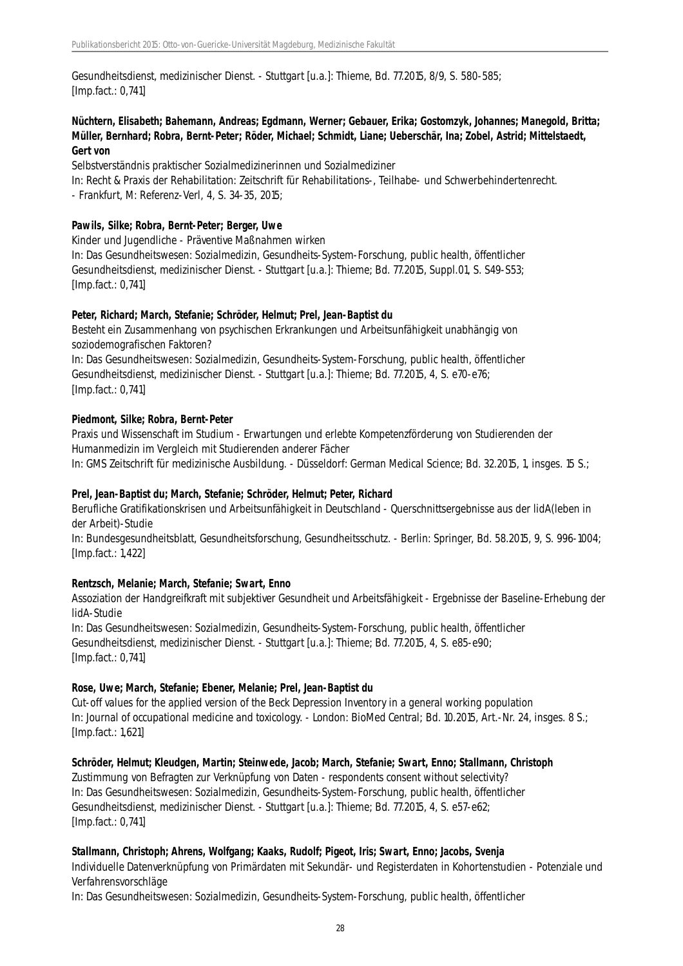Gesundheitsdienst, medizinischer Dienst. - Stuttgart [u.a.]: Thieme, Bd. 77.2015, 8/9, S. 580-585; [Imp.fact.: 0,741]

# **Nüchtern, Elisabeth; Bahemann, Andreas; Egdmann, Werner; Gebauer, Erika; Gostomzyk, Johannes; Manegold, Britta; Müller, Bernhard; Robra, Bernt-Peter; Röder, Michael; Schmidt, Liane; Ueberschär, Ina; Zobel, Astrid; Mittelstaedt, Gert von**

Selbstverständnis praktischer Sozialmedizinerinnen und Sozialmediziner

In: Recht & Praxis der Rehabilitation: Zeitschrift für Rehabilitations-, Teilhabe- und Schwerbehindertenrecht. - Frankfurt, M: Referenz-Verl, 4, S. 34-35, 2015;

#### **Pawils, Silke; Robra, Bernt-Peter; Berger, Uwe**

Kinder und Jugendliche - Präventive Maßnahmen wirken

In: Das Gesundheitswesen: Sozialmedizin, Gesundheits-System-Forschung, public health, öffentlicher Gesundheitsdienst, medizinischer Dienst. - Stuttgart [u.a.]: Thieme; Bd. 77.2015, Suppl.01, S. S49-S53; [Imp.fact.: 0,741]

#### **Peter, Richard; March, Stefanie; Schröder, Helmut; Prel, Jean-Baptist du**

Besteht ein Zusammenhang von psychischen Erkrankungen und Arbeitsunfähigkeit unabhängig von soziodemografischen Faktoren?

In: Das Gesundheitswesen: Sozialmedizin, Gesundheits-System-Forschung, public health, öffentlicher Gesundheitsdienst, medizinischer Dienst. - Stuttgart [u.a.]: Thieme; Bd. 77.2015, 4, S. e70-e76; [Imp.fact.: 0,741]

#### **Piedmont, Silke; Robra, Bernt-Peter**

Praxis und Wissenschaft im Studium - Erwartungen und erlebte Kompetenzförderung von Studierenden der Humanmedizin im Vergleich mit Studierenden anderer Fächer

In: GMS Zeitschrift für medizinische Ausbildung. - Düsseldorf: German Medical Science; Bd. 32.2015, 1, insges. 15 S.;

#### **Prel, Jean-Baptist du; March, Stefanie; Schröder, Helmut; Peter, Richard**

Berufliche Gratifikationskrisen und Arbeitsunfähigkeit in Deutschland - Querschnittsergebnisse aus der lidA(leben in der Arbeit)-Studie

In: Bundesgesundheitsblatt, Gesundheitsforschung, Gesundheitsschutz. - Berlin: Springer, Bd. 58.2015, 9, S. 996-1004; [Imp.fact.: 1,422]

#### **Rentzsch, Melanie; March, Stefanie; Swart, Enno**

Assoziation der Handgreifkraft mit subjektiver Gesundheit und Arbeitsfähigkeit - Ergebnisse der Baseline-Erhebung der lidA-Studie

In: Das Gesundheitswesen: Sozialmedizin, Gesundheits-System-Forschung, public health, öffentlicher Gesundheitsdienst, medizinischer Dienst. - Stuttgart [u.a.]: Thieme; Bd. 77.2015, 4, S. e85-e90; [Imp.fact.: 0,741]

#### **Rose, Uwe; March, Stefanie; Ebener, Melanie; Prel, Jean-Baptist du**

Cut-off values for the applied version of the Beck Depression Inventory in a general working population In: Journal of occupational medicine and toxicology. - London: BioMed Central; Bd. 10.2015, Art.-Nr. 24, insges. 8 S.; [Imp.fact.: 1,621]

#### **Schröder, Helmut; Kleudgen, Martin; Steinwede, Jacob; March, Stefanie; Swart, Enno; Stallmann, Christoph**

Zustimmung von Befragten zur Verknüpfung von Daten - respondents consent without selectivity? In: Das Gesundheitswesen: Sozialmedizin, Gesundheits-System-Forschung, public health, öffentlicher Gesundheitsdienst, medizinischer Dienst. - Stuttgart [u.a.]: Thieme; Bd. 77.2015, 4, S. e57-e62; [Imp.fact.: 0,741]

#### **Stallmann, Christoph; Ahrens, Wolfgang; Kaaks, Rudolf; Pigeot, Iris; Swart, Enno; Jacobs, Svenja**

Individuelle Datenverknüpfung von Primärdaten mit Sekundär- und Registerdaten in Kohortenstudien - Potenziale und Verfahrensvorschläge

In: Das Gesundheitswesen: Sozialmedizin, Gesundheits-System-Forschung, public health, öffentlicher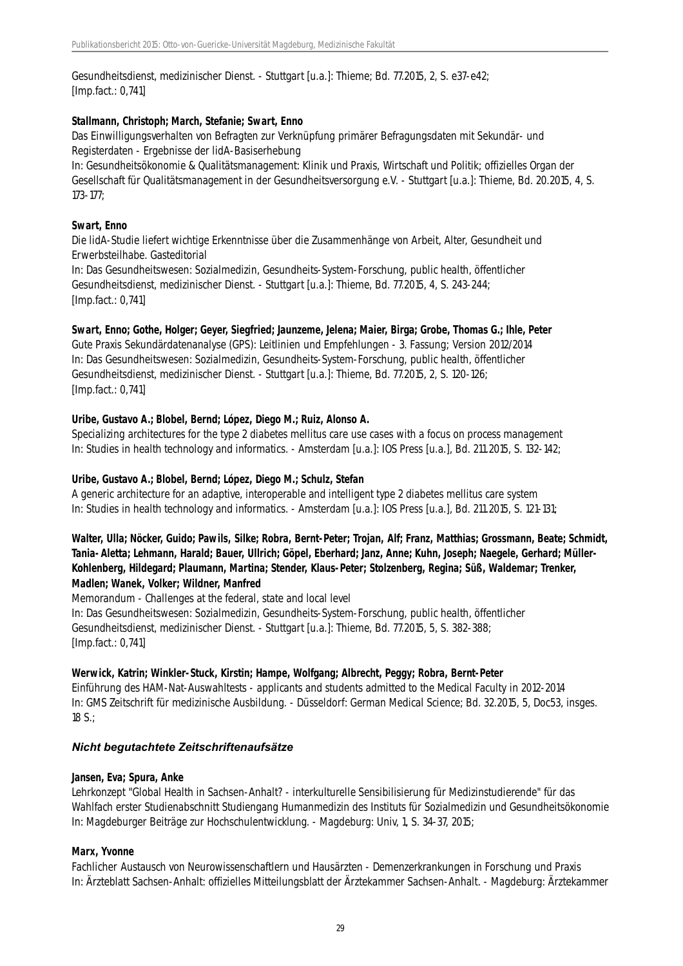Gesundheitsdienst, medizinischer Dienst. - Stuttgart [u.a.]: Thieme; Bd. 77.2015, 2, S. e37-e42; [Imp.fact.: 0,741]

#### **Stallmann, Christoph; March, Stefanie; Swart, Enno**

Das Einwilligungsverhalten von Befragten zur Verknüpfung primärer Befragungsdaten mit Sekundär- und Registerdaten - Ergebnisse der lidA-Basiserhebung

In: Gesundheitsökonomie & Qualitätsmanagement: Klinik und Praxis, Wirtschaft und Politik; offizielles Organ der Gesellschaft für Qualitätsmanagement in der Gesundheitsversorgung e.V. - Stuttgart [u.a.]: Thieme, Bd. 20.2015, 4, S. 173-177;

#### **Swart, Enno**

Die lidA-Studie liefert wichtige Erkenntnisse über die Zusammenhänge von Arbeit, Alter, Gesundheit und Erwerbsteilhabe. Gasteditorial

In: Das Gesundheitswesen: Sozialmedizin, Gesundheits-System-Forschung, public health, öffentlicher Gesundheitsdienst, medizinischer Dienst. - Stuttgart [u.a.]: Thieme, Bd. 77.2015, 4, S. 243-244; [Imp.fact.: 0,741]

# **Swart, Enno; Gothe, Holger; Geyer, Siegfried; Jaunzeme, Jelena; Maier, Birga; Grobe, Thomas G.; Ihle, Peter**

Gute Praxis Sekundärdatenanalyse (GPS): Leitlinien und Empfehlungen - 3. Fassung; Version 2012/2014 In: Das Gesundheitswesen: Sozialmedizin, Gesundheits-System-Forschung, public health, öffentlicher Gesundheitsdienst, medizinischer Dienst. - Stuttgart [u.a.]: Thieme, Bd. 77.2015, 2, S. 120-126; [Imp.fact.: 0,741]

# **Uribe, Gustavo A.; Blobel, Bernd; López, Diego M.; Ruiz, Alonso A.**

Specializing architectures for the type 2 diabetes mellitus care use cases with a focus on process management In: Studies in health technology and informatics. - Amsterdam [u.a.]: IOS Press [u.a.], Bd. 211.2015, S. 132-142;

#### **Uribe, Gustavo A.; Blobel, Bernd; López, Diego M.; Schulz, Stefan**

A generic architecture for an adaptive, interoperable and intelligent type 2 diabetes mellitus care system In: Studies in health technology and informatics. - Amsterdam [u.a.]: IOS Press [u.a.], Bd. 211.2015, S. 121-131;

**Walter, Ulla; Nöcker, Guido; Pawils, Silke; Robra, Bernt-Peter; Trojan, Alf; Franz, Matthias; Grossmann, Beate; Schmidt, Tania-Aletta; Lehmann, Harald; Bauer, Ullrich; Göpel, Eberhard; Janz, Anne; Kuhn, Joseph; Naegele, Gerhard; Müller-Kohlenberg, Hildegard; Plaumann, Martina; Stender, Klaus-Peter; Stolzenberg, Regina; Süß, Waldemar; Trenker, Madlen; Wanek, Volker; Wildner, Manfred**

Memorandum - Challenges at the federal, state and local level In: Das Gesundheitswesen: Sozialmedizin, Gesundheits-System-Forschung, public health, öffentlicher Gesundheitsdienst, medizinischer Dienst. - Stuttgart [u.a.]: Thieme, Bd. 77.2015, 5, S. 382-388; [Imp.fact.: 0,741]

#### **Werwick, Katrin; Winkler-Stuck, Kirstin; Hampe, Wolfgang; Albrecht, Peggy; Robra, Bernt-Peter**

Einführung des HAM-Nat-Auswahltests - applicants and students admitted to the Medical Faculty in 2012-2014 In: GMS Zeitschrift für medizinische Ausbildung. - Düsseldorf: German Medical Science; Bd. 32.2015, 5, Doc53, insges. 18 S.;

#### *Nicht begutachtete Zeitschriftenaufsätze*

#### **Jansen, Eva; Spura, Anke**

Lehrkonzept "Global Health in Sachsen-Anhalt? - interkulturelle Sensibilisierung für Medizinstudierende" für das Wahlfach erster Studienabschnitt Studiengang Humanmedizin des Instituts für Sozialmedizin und Gesundheitsökonomie In: Magdeburger Beiträge zur Hochschulentwicklung. - Magdeburg: Univ, 1, S. 34-37, 2015;

#### **Marx, Yvonne**

Fachlicher Austausch von Neurowissenschaftlern und Hausärzten - Demenzerkrankungen in Forschung und Praxis In: Ärzteblatt Sachsen-Anhalt: offizielles Mitteilungsblatt der Ärztekammer Sachsen-Anhalt. - Magdeburg: Ärztekammer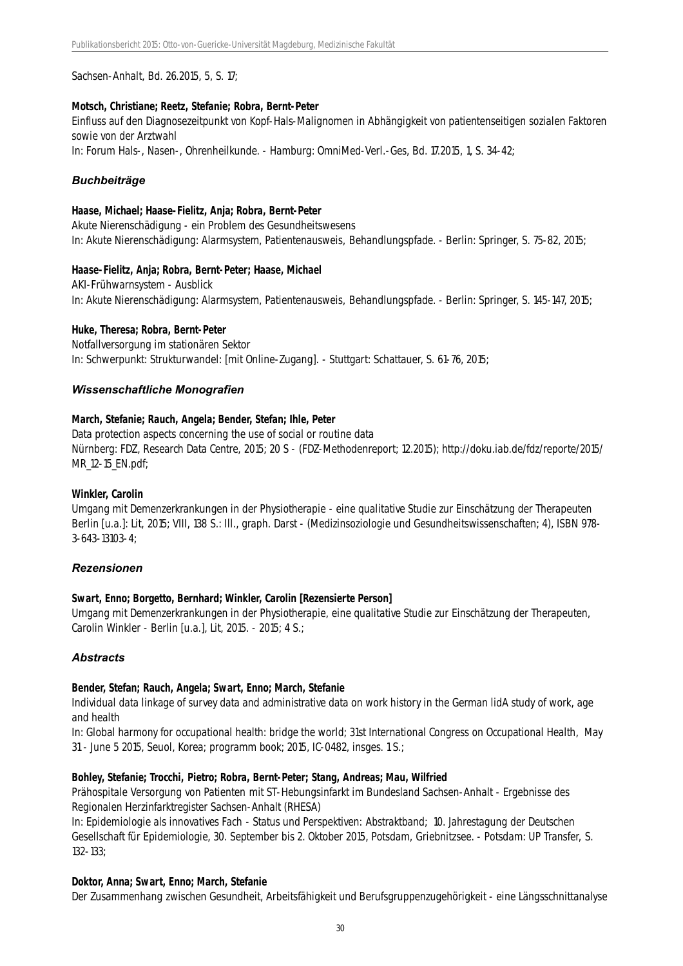Sachsen-Anhalt, Bd. 26.2015, 5, S. 17;

#### **Motsch, Christiane; Reetz, Stefanie; Robra, Bernt-Peter**

Einfluss auf den Diagnosezeitpunkt von Kopf-Hals-Malignomen in Abhängigkeit von patientenseitigen sozialen Faktoren sowie von der Arztwahl

In: Forum Hals-, Nasen-, Ohrenheilkunde. - Hamburg: OmniMed-Verl.-Ges, Bd. 17.2015, 1, S. 34-42;

# *Buchbeiträge*

#### **Haase, Michael; Haase-Fielitz, Anja; Robra, Bernt-Peter**

Akute Nierenschädigung - ein Problem des Gesundheitswesens In: Akute Nierenschädigung: Alarmsystem, Patientenausweis, Behandlungspfade. - Berlin: Springer, S. 75-82, 2015;

#### **Haase-Fielitz, Anja; Robra, Bernt-Peter; Haase, Michael**

AKI-Frühwarnsystem - Ausblick In: Akute Nierenschädigung: Alarmsystem, Patientenausweis, Behandlungspfade. - Berlin: Springer, S. 145-147, 2015;

#### **Huke, Theresa; Robra, Bernt-Peter**

Notfallversorgung im stationären Sektor In: Schwerpunkt: Strukturwandel: [mit Online-Zugang]. - Stuttgart: Schattauer, S. 61-76, 2015;

#### *Wissenschaftliche Monografien*

#### **March, Stefanie; Rauch, Angela; Bender, Stefan; Ihle, Peter**

Data protection aspects concerning the use of social or routine data Nürnberg: FDZ, Research Data Centre, 2015; 20 S - (FDZ-Methodenreport; 12.2015); http://doku.iab.de/fdz/reporte/2015/ MR\_12-15\_EN.pdf;

#### **Winkler, Carolin**

Umgang mit Demenzerkrankungen in der Physiotherapie - eine qualitative Studie zur Einschätzung der Therapeuten Berlin [u.a.]: Lit, 2015; VIII, 138 S.: Ill., graph. Darst - (Medizinsoziologie und Gesundheitswissenschaften; 4), ISBN 978- 3-643-13103-4;

#### *Rezensionen*

#### **Swart, Enno; Borgetto, Bernhard; Winkler, Carolin [Rezensierte Person]**

Umgang mit Demenzerkrankungen in der Physiotherapie, eine qualitative Studie zur Einschätzung der Therapeuten, Carolin Winkler - Berlin [u.a.], Lit, 2015. - 2015; 4 S.;

# *Abstracts*

#### **Bender, Stefan; Rauch, Angela; Swart, Enno; March, Stefanie**

Individual data linkage of survey data and administrative data on work history in the German lidA study of work, age and health

In: Global harmony for occupational health: bridge the world; 31st International Congress on Occupational Health, May 31 - June 5 2015, Seuol, Korea; programm book; 2015, IC-0482, insges. 1 S.;

#### **Bohley, Stefanie; Trocchi, Pietro; Robra, Bernt-Peter; Stang, Andreas; Mau, Wilfried**

Prähospitale Versorgung von Patienten mit ST-Hebungsinfarkt im Bundesland Sachsen-Anhalt - Ergebnisse des Regionalen Herzinfarktregister Sachsen-Anhalt (RHESA)

In: Epidemiologie als innovatives Fach - Status und Perspektiven: Abstraktband; 10. Jahrestagung der Deutschen Gesellschaft für Epidemiologie, 30. September bis 2. Oktober 2015, Potsdam, Griebnitzsee. - Potsdam: UP Transfer, S. 132-133;

#### **Doktor, Anna; Swart, Enno; March, Stefanie**

Der Zusammenhang zwischen Gesundheit, Arbeitsfähigkeit und Berufsgruppenzugehörigkeit - eine Längsschnittanalyse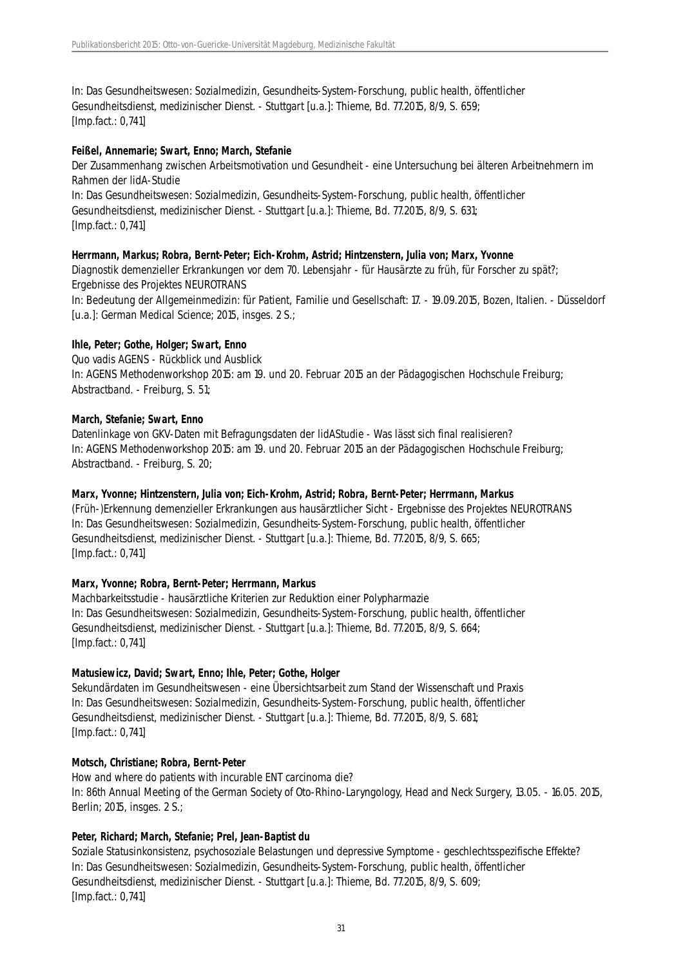In: Das Gesundheitswesen: Sozialmedizin, Gesundheits-System-Forschung, public health, öffentlicher Gesundheitsdienst, medizinischer Dienst. - Stuttgart [u.a.]: Thieme, Bd. 77.2015, 8/9, S. 659; [Imp.fact.: 0,741]

#### **Feißel, Annemarie; Swart, Enno; March, Stefanie**

Der Zusammenhang zwischen Arbeitsmotivation und Gesundheit - eine Untersuchung bei älteren Arbeitnehmern im Rahmen der lidA-Studie In: Das Gesundheitswesen: Sozialmedizin, Gesundheits-System-Forschung, public health, öffentlicher Gesundheitsdienst, medizinischer Dienst. - Stuttgart [u.a.]: Thieme, Bd. 77.2015, 8/9, S. 631; [Imp.fact.: 0,741]

#### **Herrmann, Markus; Robra, Bernt-Peter; Eich-Krohm, Astrid; Hintzenstern, Julia von; Marx, Yvonne**

Diagnostik demenzieller Erkrankungen vor dem 70. Lebensjahr - für Hausärzte zu früh, für Forscher zu spät?; Ergebnisse des Projektes NEUROTRANS

In: Bedeutung der Allgemeinmedizin: für Patient, Familie und Gesellschaft: 17. - 19.09.2015, Bozen, Italien. - Düsseldorf [u.a.]: German Medical Science; 2015, insges. 2 S.;

#### **Ihle, Peter; Gothe, Holger; Swart, Enno**

Quo vadis AGENS - Rückblick und Ausblick In: AGENS Methodenworkshop 2015: am 19. und 20. Februar 2015 an der Pädagogischen Hochschule Freiburg; Abstractband. - Freiburg, S. 51;

#### **March, Stefanie; Swart, Enno**

Datenlinkage von GKV-Daten mit Befragungsdaten der lidAStudie - Was lässt sich final realisieren? In: AGENS Methodenworkshop 2015: am 19. und 20. Februar 2015 an der Pädagogischen Hochschule Freiburg; Abstractband. - Freiburg, S. 20;

# **Marx, Yvonne; Hintzenstern, Julia von; Eich-Krohm, Astrid; Robra, Bernt-Peter; Herrmann, Markus**

(Früh-)Erkennung demenzieller Erkrankungen aus hausärztlicher Sicht - Ergebnisse des Projektes NEUROTRANS In: Das Gesundheitswesen: Sozialmedizin, Gesundheits-System-Forschung, public health, öffentlicher Gesundheitsdienst, medizinischer Dienst. - Stuttgart [u.a.]: Thieme, Bd. 77.2015, 8/9, S. 665; [Imp.fact.: 0,741]

# **Marx, Yvonne; Robra, Bernt-Peter; Herrmann, Markus**

Machbarkeitsstudie - hausärztliche Kriterien zur Reduktion einer Polypharmazie In: Das Gesundheitswesen: Sozialmedizin, Gesundheits-System-Forschung, public health, öffentlicher Gesundheitsdienst, medizinischer Dienst. - Stuttgart [u.a.]: Thieme, Bd. 77.2015, 8/9, S. 664; [Imp.fact.: 0,741]

#### **Matusiewicz, David; Swart, Enno; Ihle, Peter; Gothe, Holger**

Sekundärdaten im Gesundheitswesen - eine Übersichtsarbeit zum Stand der Wissenschaft und Praxis In: Das Gesundheitswesen: Sozialmedizin, Gesundheits-System-Forschung, public health, öffentlicher Gesundheitsdienst, medizinischer Dienst. - Stuttgart [u.a.]: Thieme, Bd. 77.2015, 8/9, S. 681; [Imp.fact.: 0,741]

#### **Motsch, Christiane; Robra, Bernt-Peter**

How and where do patients with incurable ENT carcinoma die? In: 86th Annual Meeting of the German Society of Oto-Rhino-Laryngology, Head and Neck Surgery, 13.05. - 16.05. 2015, Berlin; 2015, insges. 2 S.;

# **Peter, Richard; March, Stefanie; Prel, Jean-Baptist du**

Soziale Statusinkonsistenz, psychosoziale Belastungen und depressive Symptome - geschlechtsspezifische Effekte? In: Das Gesundheitswesen: Sozialmedizin, Gesundheits-System-Forschung, public health, öffentlicher Gesundheitsdienst, medizinischer Dienst. - Stuttgart [u.a.]: Thieme, Bd. 77.2015, 8/9, S. 609; [Imp.fact.: 0,741]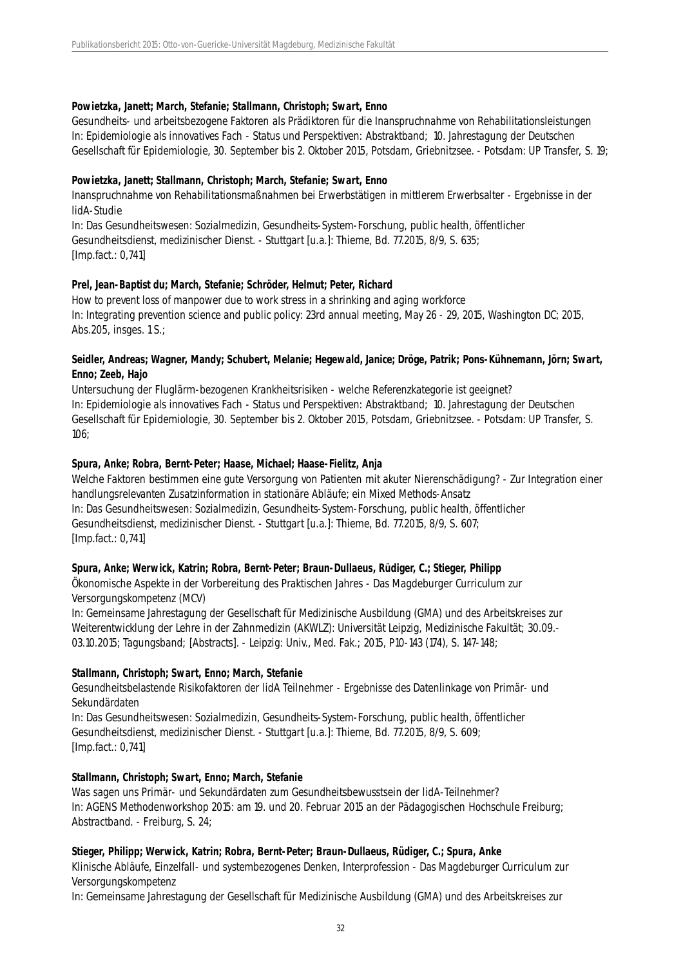#### **Powietzka, Janett; March, Stefanie; Stallmann, Christoph; Swart, Enno**

Gesundheits- und arbeitsbezogene Faktoren als Prädiktoren für die Inanspruchnahme von Rehabilitationsleistungen In: Epidemiologie als innovatives Fach - Status und Perspektiven: Abstraktband; 10. Jahrestagung der Deutschen Gesellschaft für Epidemiologie, 30. September bis 2. Oktober 2015, Potsdam, Griebnitzsee. - Potsdam: UP Transfer, S. 19;

#### **Powietzka, Janett; Stallmann, Christoph; March, Stefanie; Swart, Enno**

Inanspruchnahme von Rehabilitationsmaßnahmen bei Erwerbstätigen in mittlerem Erwerbsalter - Ergebnisse in der lidA-Studie

In: Das Gesundheitswesen: Sozialmedizin, Gesundheits-System-Forschung, public health, öffentlicher Gesundheitsdienst, medizinischer Dienst. - Stuttgart [u.a.]: Thieme, Bd. 77.2015, 8/9, S. 635; [Imp.fact.: 0,741]

# **Prel, Jean-Baptist du; March, Stefanie; Schröder, Helmut; Peter, Richard**

How to prevent loss of manpower due to work stress in a shrinking and aging workforce In: Integrating prevention science and public policy: 23rd annual meeting, May 26 - 29, 2015, Washington DC; 2015, Abs.205, insges. 1 S.;

#### **Seidler, Andreas; Wagner, Mandy; Schubert, Melanie; Hegewald, Janice; Dröge, Patrik; Pons-Kühnemann, Jörn; Swart, Enno; Zeeb, Hajo**

Untersuchung der Fluglärm-bezogenen Krankheitsrisiken - welche Referenzkategorie ist geeignet? In: Epidemiologie als innovatives Fach - Status und Perspektiven: Abstraktband; 10. Jahrestagung der Deutschen Gesellschaft für Epidemiologie, 30. September bis 2. Oktober 2015, Potsdam, Griebnitzsee. - Potsdam: UP Transfer, S. 106;

# **Spura, Anke; Robra, Bernt-Peter; Haase, Michael; Haase-Fielitz, Anja**

Welche Faktoren bestimmen eine gute Versorgung von Patienten mit akuter Nierenschädigung? - Zur Integration einer handlungsrelevanten Zusatzinformation in stationäre Abläufe; ein Mixed Methods-Ansatz In: Das Gesundheitswesen: Sozialmedizin, Gesundheits-System-Forschung, public health, öffentlicher Gesundheitsdienst, medizinischer Dienst. - Stuttgart [u.a.]: Thieme, Bd. 77.2015, 8/9, S. 607; [Imp.fact.: 0,741]

# **Spura, Anke; Werwick, Katrin; Robra, Bernt-Peter; Braun-Dullaeus, Rüdiger, C.; Stieger, Philipp**

Ökonomische Aspekte in der Vorbereitung des Praktischen Jahres - Das Magdeburger Curriculum zur Versorgungskompetenz (MCV)

In: Gemeinsame Jahrestagung der Gesellschaft für Medizinische Ausbildung (GMA) und des Arbeitskreises zur Weiterentwicklung der Lehre in der Zahnmedizin (AKWLZ): Universität Leipzig, Medizinische Fakultät; 30.09.- 03.10.2015; Tagungsband; [Abstracts]. - Leipzig: Univ., Med. Fak.; 2015, P10-143 (174), S. 147-148;

#### **Stallmann, Christoph; Swart, Enno; March, Stefanie**

Gesundheitsbelastende Risikofaktoren der lidA Teilnehmer - Ergebnisse des Datenlinkage von Primär- und Sekundärdaten

In: Das Gesundheitswesen: Sozialmedizin, Gesundheits-System-Forschung, public health, öffentlicher Gesundheitsdienst, medizinischer Dienst. - Stuttgart [u.a.]: Thieme, Bd. 77.2015, 8/9, S. 609; [Imp.fact.: 0,741]

#### **Stallmann, Christoph; Swart, Enno; March, Stefanie**

Was sagen uns Primär- und Sekundärdaten zum Gesundheitsbewusstsein der lidA-Teilnehmer? In: AGENS Methodenworkshop 2015: am 19. und 20. Februar 2015 an der Pädagogischen Hochschule Freiburg; Abstractband. - Freiburg, S. 24;

# **Stieger, Philipp; Werwick, Katrin; Robra, Bernt-Peter; Braun-Dullaeus, Rüdiger, C.; Spura, Anke**

Klinische Abläufe, Einzelfall- und systembezogenes Denken, Interprofession - Das Magdeburger Curriculum zur Versorgungskompetenz

In: Gemeinsame Jahrestagung der Gesellschaft für Medizinische Ausbildung (GMA) und des Arbeitskreises zur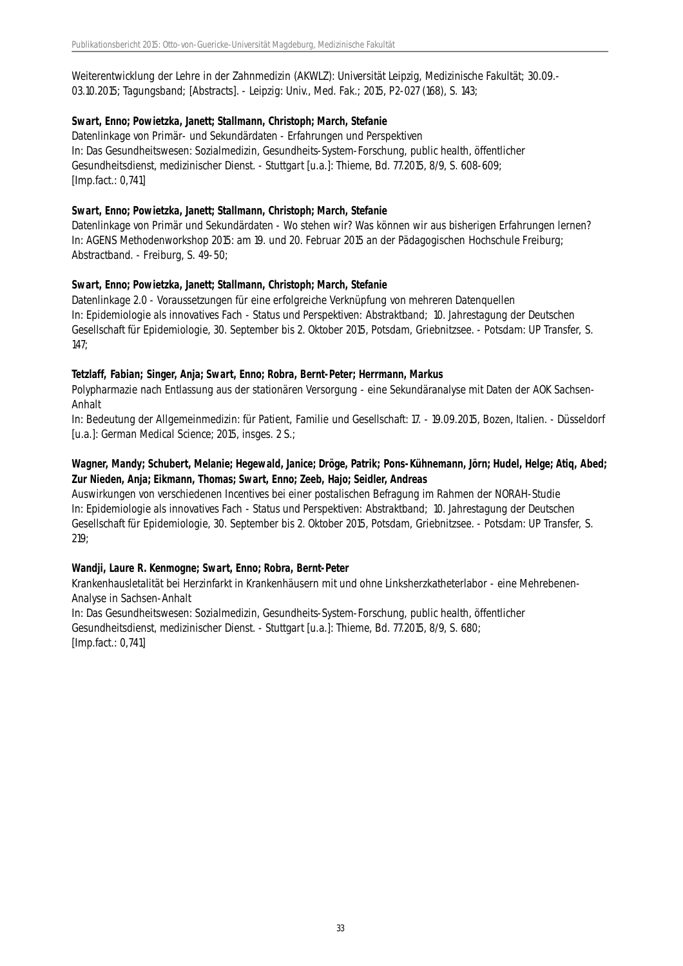Weiterentwicklung der Lehre in der Zahnmedizin (AKWLZ): Universität Leipzig, Medizinische Fakultät; 30.09.- 03.10.2015; Tagungsband; [Abstracts]. - Leipzig: Univ., Med. Fak.; 2015, P2-027 (168), S. 143;

# **Swart, Enno; Powietzka, Janett; Stallmann, Christoph; March, Stefanie**

Datenlinkage von Primär- und Sekundärdaten - Erfahrungen und Perspektiven In: Das Gesundheitswesen: Sozialmedizin, Gesundheits-System-Forschung, public health, öffentlicher Gesundheitsdienst, medizinischer Dienst. - Stuttgart [u.a.]: Thieme, Bd. 77.2015, 8/9, S. 608-609; [Imp.fact.: 0,741]

# **Swart, Enno; Powietzka, Janett; Stallmann, Christoph; March, Stefanie**

Datenlinkage von Primär und Sekundärdaten - Wo stehen wir? Was können wir aus bisherigen Erfahrungen lernen? In: AGENS Methodenworkshop 2015: am 19. und 20. Februar 2015 an der Pädagogischen Hochschule Freiburg; Abstractband. - Freiburg, S. 49-50;

# **Swart, Enno; Powietzka, Janett; Stallmann, Christoph; March, Stefanie**

Datenlinkage 2.0 - Voraussetzungen für eine erfolgreiche Verknüpfung von mehreren Datenquellen In: Epidemiologie als innovatives Fach - Status und Perspektiven: Abstraktband; 10. Jahrestagung der Deutschen Gesellschaft für Epidemiologie, 30. September bis 2. Oktober 2015, Potsdam, Griebnitzsee. - Potsdam: UP Transfer, S. 147;

# **Tetzlaff, Fabian; Singer, Anja; Swart, Enno; Robra, Bernt-Peter; Herrmann, Markus**

Polypharmazie nach Entlassung aus der stationären Versorgung - eine Sekundäranalyse mit Daten der AOK Sachsen-Anhalt

In: Bedeutung der Allgemeinmedizin: für Patient, Familie und Gesellschaft: 17. - 19.09.2015, Bozen, Italien. - Düsseldorf [u.a.]: German Medical Science; 2015, insges. 2 S.;

# **Wagner, Mandy; Schubert, Melanie; Hegewald, Janice; Dröge, Patrik; Pons-Kühnemann, Jörn; Hudel, Helge; Atiq, Abed; Zur Nieden, Anja; Eikmann, Thomas; Swart, Enno; Zeeb, Hajo; Seidler, Andreas**

Auswirkungen von verschiedenen Incentives bei einer postalischen Befragung im Rahmen der NORAH-Studie In: Epidemiologie als innovatives Fach - Status und Perspektiven: Abstraktband; 10. Jahrestagung der Deutschen Gesellschaft für Epidemiologie, 30. September bis 2. Oktober 2015, Potsdam, Griebnitzsee. - Potsdam: UP Transfer, S. 219;

# **Wandji, Laure R. Kenmogne; Swart, Enno; Robra, Bernt-Peter**

Krankenhausletalität bei Herzinfarkt in Krankenhäusern mit und ohne Linksherzkatheterlabor - eine Mehrebenen-Analyse in Sachsen-Anhalt

In: Das Gesundheitswesen: Sozialmedizin, Gesundheits-System-Forschung, public health, öffentlicher Gesundheitsdienst, medizinischer Dienst. - Stuttgart [u.a.]: Thieme, Bd. 77.2015, 8/9, S. 680; [Imp.fact.: 0,741]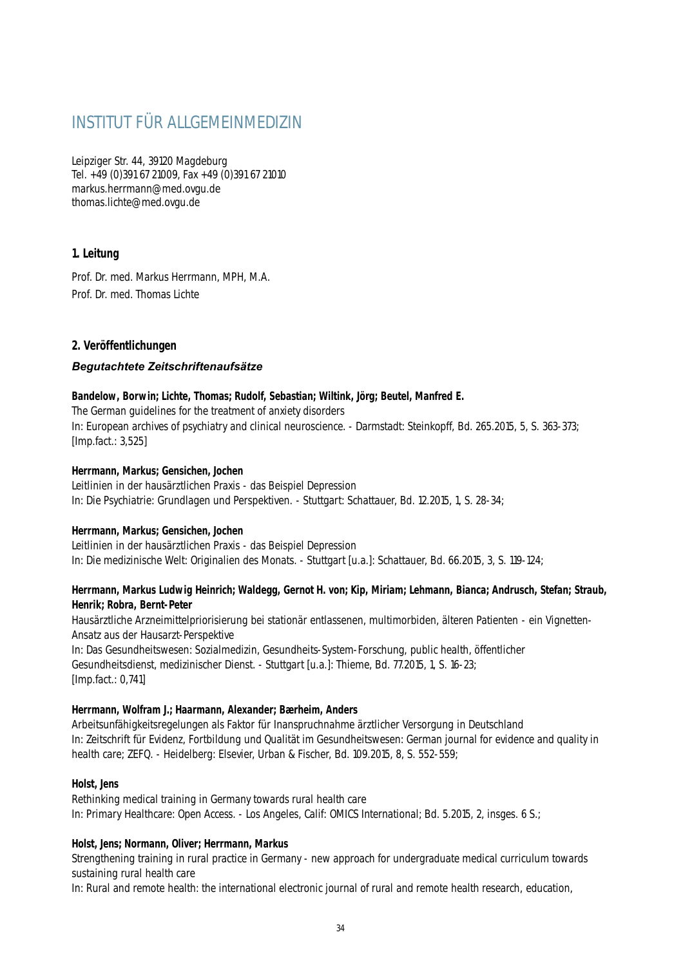# INSTITUT FÜR ALLGEMEINMEDIZIN

Leipziger Str. 44, 39120 Magdeburg Tel. +49 (0)391 67 21009, Fax +49 (0)391 67 21010 markus.herrmann@med.ovgu.de thomas.lichte@med.ovgu.de

# **1. Leitung**

Prof. Dr. med. Markus Herrmann, MPH, M.A. Prof. Dr. med. Thomas Lichte

# **2. Veröffentlichungen**

# *Begutachtete Zeitschriftenaufsätze*

# **Bandelow, Borwin; Lichte, Thomas; Rudolf, Sebastian; Wiltink, Jörg; Beutel, Manfred E.**

The German guidelines for the treatment of anxiety disorders In: European archives of psychiatry and clinical neuroscience. - Darmstadt: Steinkopff, Bd. 265.2015, 5, S. 363-373; [Imp.fact.: 3,525]

# **Herrmann, Markus; Gensichen, Jochen**

Leitlinien in der hausärztlichen Praxis - das Beispiel Depression In: Die Psychiatrie: Grundlagen und Perspektiven. - Stuttgart: Schattauer, Bd. 12.2015, 1, S. 28-34;

# **Herrmann, Markus; Gensichen, Jochen**

Leitlinien in der hausärztlichen Praxis - das Beispiel Depression In: Die medizinische Welt: Originalien des Monats. - Stuttgart [u.a.]: Schattauer, Bd. 66.2015, 3, S. 119-124;

# **Herrmann, Markus Ludwig Heinrich; Waldegg, Gernot H. von; Kip, Miriam; Lehmann, Bianca; Andrusch, Stefan; Straub, Henrik; Robra, Bernt-Peter**

Hausärztliche Arzneimittelpriorisierung bei stationär entlassenen, multimorbiden, älteren Patienten - ein Vignetten-Ansatz aus der Hausarzt-Perspektive

In: Das Gesundheitswesen: Sozialmedizin, Gesundheits-System-Forschung, public health, öffentlicher Gesundheitsdienst, medizinischer Dienst. - Stuttgart [u.a.]: Thieme, Bd. 77.2015, 1, S. 16-23; [Imp.fact.: 0,741]

# **Herrmann, Wolfram J.; Haarmann, Alexander; Bærheim, Anders**

Arbeitsunfähigkeitsregelungen als Faktor für Inanspruchnahme ärztlicher Versorgung in Deutschland In: Zeitschrift für Evidenz, Fortbildung und Qualität im Gesundheitswesen: German journal for evidence and quality in health care; ZEFQ. - Heidelberg: Elsevier, Urban & Fischer, Bd. 109.2015, 8, S. 552-559;

# **Holst, Jens**

Rethinking medical training in Germany towards rural health care In: Primary Healthcare: Open Access. - Los Angeles, Calif: OMICS International; Bd. 5.2015, 2, insges. 6 S.;

# **Holst, Jens; Normann, Oliver; Herrmann, Markus**

Strengthening training in rural practice in Germany - new approach for undergraduate medical curriculum towards sustaining rural health care

In: Rural and remote health: the international electronic journal of rural and remote health research, education,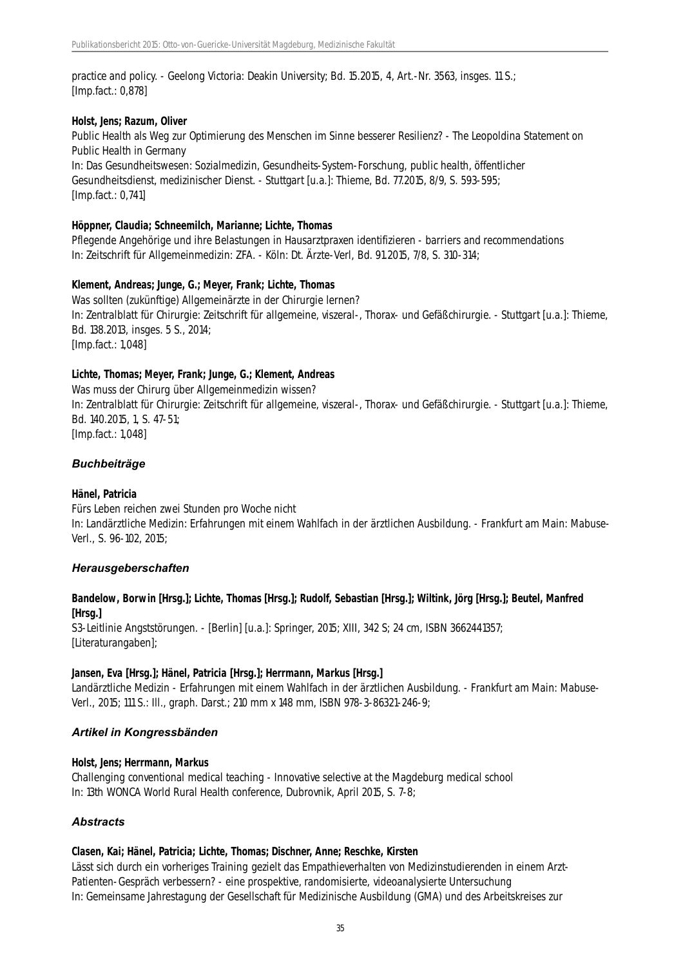practice and policy. - Geelong Victoria: Deakin University; Bd. 15.2015, 4, Art.-Nr. 3563, insges. 11 S.; [Imp.fact.: 0,878]

#### **Holst, Jens; Razum, Oliver**

Public Health als Weg zur Optimierung des Menschen im Sinne besserer Resilienz? - The Leopoldina Statement on Public Health in Germany

In: Das Gesundheitswesen: Sozialmedizin, Gesundheits-System-Forschung, public health, öffentlicher Gesundheitsdienst, medizinischer Dienst. - Stuttgart [u.a.]: Thieme, Bd. 77.2015, 8/9, S. 593-595; [Imp.fact.: 0,741]

#### **Höppner, Claudia; Schneemilch, Marianne; Lichte, Thomas**

Pflegende Angehörige und ihre Belastungen in Hausarztpraxen identifizieren - barriers and recommendations In: Zeitschrift für Allgemeinmedizin: ZFA. - Köln: Dt. Ärzte-Verl, Bd. 91.2015, 7/8, S. 310-314;

#### **Klement, Andreas; Junge, G.; Meyer, Frank; Lichte, Thomas**

Was sollten (zukünftige) Allgemeinärzte in der Chirurgie lernen? In: Zentralblatt für Chirurgie: Zeitschrift für allgemeine, viszeral-, Thorax- und Gefäßchirurgie. - Stuttgart [u.a.]: Thieme, Bd. 138.2013, insges. 5 S., 2014; [Imp.fact.: 1,048]

#### **Lichte, Thomas; Meyer, Frank; Junge, G.; Klement, Andreas**

Was muss der Chirurg über Allgemeinmedizin wissen? In: Zentralblatt für Chirurgie: Zeitschrift für allgemeine, viszeral-, Thorax- und Gefäßchirurgie. - Stuttgart [u.a.]: Thieme, Bd. 140.2015, 1, S. 47-51; [Imp.fact.: 1,048]

#### *Buchbeiträge*

#### **Hänel, Patricia**

Fürs Leben reichen zwei Stunden pro Woche nicht In: Landärztliche Medizin: Erfahrungen mit einem Wahlfach in der ärztlichen Ausbildung. - Frankfurt am Main: Mabuse-Verl., S. 96-102, 2015;

#### *Herausgeberschaften*

# **Bandelow, Borwin [Hrsg.]; Lichte, Thomas [Hrsg.]; Rudolf, Sebastian [Hrsg.]; Wiltink, Jörg [Hrsg.]; Beutel, Manfred [Hrsg.]**

S3-Leitlinie Angststörungen. - [Berlin] [u.a.]: Springer, 2015; XIII, 342 S; 24 cm, ISBN 3662441357; [Literaturangaben];

#### **Jansen, Eva [Hrsg.]; Hänel, Patricia [Hrsg.]; Herrmann, Markus [Hrsg.]**

Landärztliche Medizin - Erfahrungen mit einem Wahlfach in der ärztlichen Ausbildung. - Frankfurt am Main: Mabuse-Verl., 2015; 111 S.: Ill., graph. Darst.; 210 mm x 148 mm, ISBN 978-3-86321-246-9;

#### *Artikel in Kongressbänden*

#### **Holst, Jens; Herrmann, Markus**

Challenging conventional medical teaching - Innovative selective at the Magdeburg medical school In: 13th WONCA World Rural Health conference, Dubrovnik, April 2015, S. 7-8;

# *Abstracts*

#### **Clasen, Kai; Hänel, Patricia; Lichte, Thomas; Dischner, Anne; Reschke, Kirsten**

Lässt sich durch ein vorheriges Training gezielt das Empathieverhalten von Medizinstudierenden in einem Arzt-Patienten-Gespräch verbessern? - eine prospektive, randomisierte, videoanalysierte Untersuchung In: Gemeinsame Jahrestagung der Gesellschaft für Medizinische Ausbildung (GMA) und des Arbeitskreises zur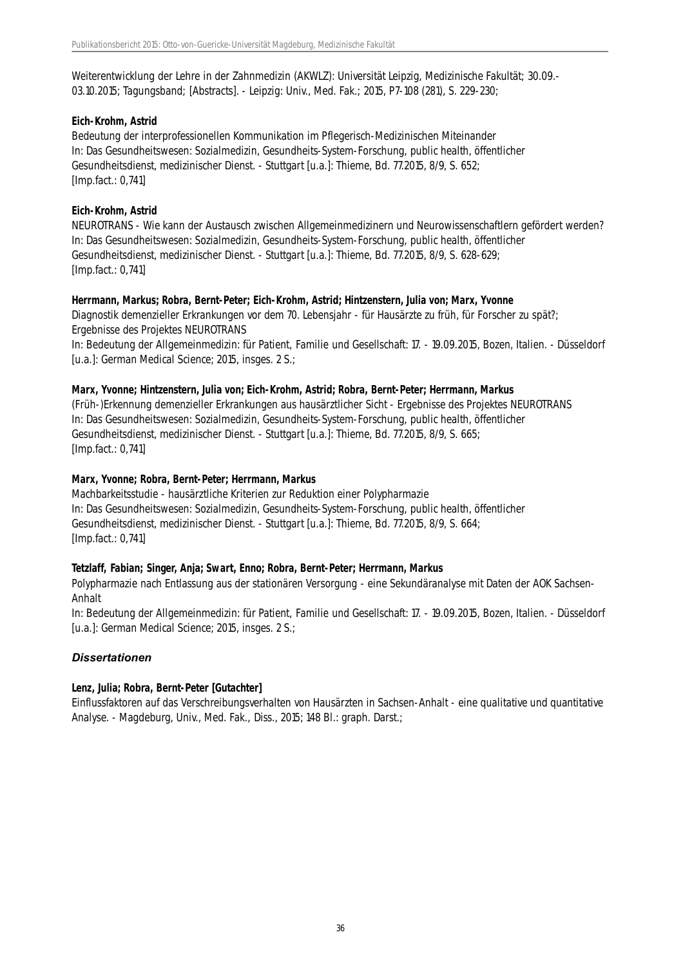Weiterentwicklung der Lehre in der Zahnmedizin (AKWLZ): Universität Leipzig, Medizinische Fakultät; 30.09.- 03.10.2015; Tagungsband; [Abstracts]. - Leipzig: Univ., Med. Fak.; 2015, P7-108 (281), S. 229-230;

#### **Eich-Krohm, Astrid**

Bedeutung der interprofessionellen Kommunikation im Pflegerisch-Medizinischen Miteinander In: Das Gesundheitswesen: Sozialmedizin, Gesundheits-System-Forschung, public health, öffentlicher Gesundheitsdienst, medizinischer Dienst. - Stuttgart [u.a.]: Thieme, Bd. 77.2015, 8/9, S. 652; [Imp.fact.: 0,741]

### **Eich-Krohm, Astrid**

NEUROTRANS - Wie kann der Austausch zwischen Allgemeinmedizinern und Neurowissenschaftlern gefördert werden? In: Das Gesundheitswesen: Sozialmedizin, Gesundheits-System-Forschung, public health, öffentlicher Gesundheitsdienst, medizinischer Dienst. - Stuttgart [u.a.]: Thieme, Bd. 77.2015, 8/9, S. 628-629; [Imp.fact.: 0,741]

# **Herrmann, Markus; Robra, Bernt-Peter; Eich-Krohm, Astrid; Hintzenstern, Julia von; Marx, Yvonne**

Diagnostik demenzieller Erkrankungen vor dem 70. Lebensjahr - für Hausärzte zu früh, für Forscher zu spät?; Ergebnisse des Projektes NEUROTRANS

In: Bedeutung der Allgemeinmedizin: für Patient, Familie und Gesellschaft: 17. - 19.09.2015, Bozen, Italien. - Düsseldorf [u.a.]: German Medical Science; 2015, insges. 2 S.;

#### **Marx, Yvonne; Hintzenstern, Julia von; Eich-Krohm, Astrid; Robra, Bernt-Peter; Herrmann, Markus**

(Früh-)Erkennung demenzieller Erkrankungen aus hausärztlicher Sicht - Ergebnisse des Projektes NEUROTRANS In: Das Gesundheitswesen: Sozialmedizin, Gesundheits-System-Forschung, public health, öffentlicher Gesundheitsdienst, medizinischer Dienst. - Stuttgart [u.a.]: Thieme, Bd. 77.2015, 8/9, S. 665; [Imp.fact.: 0,741]

### **Marx, Yvonne; Robra, Bernt-Peter; Herrmann, Markus**

Machbarkeitsstudie - hausärztliche Kriterien zur Reduktion einer Polypharmazie In: Das Gesundheitswesen: Sozialmedizin, Gesundheits-System-Forschung, public health, öffentlicher Gesundheitsdienst, medizinischer Dienst. - Stuttgart [u.a.]: Thieme, Bd. 77.2015, 8/9, S. 664; [Imp.fact.: 0,741]

# **Tetzlaff, Fabian; Singer, Anja; Swart, Enno; Robra, Bernt-Peter; Herrmann, Markus**

Polypharmazie nach Entlassung aus der stationären Versorgung - eine Sekundäranalyse mit Daten der AOK Sachsen-Anhalt

In: Bedeutung der Allgemeinmedizin: für Patient, Familie und Gesellschaft: 17. - 19.09.2015, Bozen, Italien. - Düsseldorf [u.a.]: German Medical Science; 2015, insges. 2 S.;

# *Dissertationen*

#### **Lenz, Julia; Robra, Bernt-Peter [Gutachter]**

Einflussfaktoren auf das Verschreibungsverhalten von Hausärzten in Sachsen-Anhalt - eine qualitative und quantitative Analyse. - Magdeburg, Univ., Med. Fak., Diss., 2015; 148 Bl.: graph. Darst.;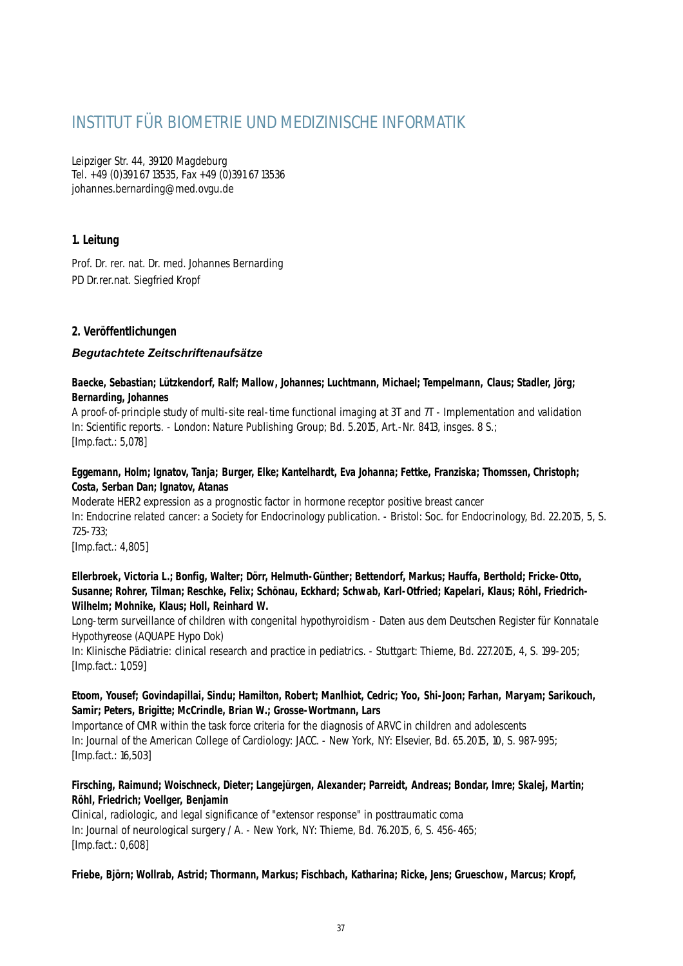# INSTITUT FÜR BIOMETRIE UND MEDIZINISCHE INFORMATIK

Leipziger Str. 44, 39120 Magdeburg Tel. +49 (0)391 67 13535, Fax +49 (0)391 67 13536 johannes.bernarding@med.ovgu.de

# **1. Leitung**

Prof. Dr. rer. nat. Dr. med. Johannes Bernarding PD Dr.rer.nat. Siegfried Kropf

# **2. Veröffentlichungen**

# *Begutachtete Zeitschriftenaufsätze*

# **Baecke, Sebastian; Lützkendorf, Ralf; Mallow, Johannes; Luchtmann, Michael; Tempelmann, Claus; Stadler, Jörg; Bernarding, Johannes**

A proof-of-principle study of multi-site real-time functional imaging at 3T and 7T - Implementation and validation In: Scientific reports. - London: Nature Publishing Group; Bd. 5.2015, Art.-Nr. 8413, insges. 8 S.; [Imp.fact.: 5,078]

# **Eggemann, Holm; Ignatov, Tanja; Burger, Elke; Kantelhardt, Eva Johanna; Fettke, Franziska; Thomssen, Christoph; Costa, Serban Dan; Ignatov, Atanas**

Moderate HER2 expression as a prognostic factor in hormone receptor positive breast cancer In: Endocrine related cancer: a Society for Endocrinology publication. - Bristol: Soc. for Endocrinology, Bd. 22.2015, 5, S. 725-733;

[Imp.fact.: 4,805]

# **Ellerbroek, Victoria L.; Bonfig, Walter; Dörr, Helmuth-Günther; Bettendorf, Markus; Hauffa, Berthold; Fricke-Otto, Susanne; Rohrer, Tilman; Reschke, Felix; Schönau, Eckhard; Schwab, Karl-Otfried; Kapelari, Klaus; Röhl, Friedrich-Wilhelm; Mohnike, Klaus; Holl, Reinhard W.**

Long-term surveillance of children with congenital hypothyroidism - Daten aus dem Deutschen Register für Konnatale Hypothyreose (AQUAPE Hypo Dok)

In: Klinische Pädiatrie: clinical research and practice in pediatrics. - Stuttgart: Thieme, Bd. 227.2015, 4, S. 199-205; [Imp.fact.: 1,059]

# **Etoom, Yousef; Govindapillai, Sindu; Hamilton, Robert; Manlhiot, Cedric; Yoo, Shi-Joon; Farhan, Maryam; Sarikouch, Samir; Peters, Brigitte; McCrindle, Brian W.; Grosse-Wortmann, Lars**

Importance of CMR within the task force criteria for the diagnosis of ARVC in children and adolescents In: Journal of the American College of Cardiology: JACC. - New York, NY: Elsevier, Bd. 65.2015, 10, S. 987-995; [Imp.fact.: 16,503]

# **Firsching, Raimund; Woischneck, Dieter; Langejürgen, Alexander; Parreidt, Andreas; Bondar, Imre; Skalej, Martin; Röhl, Friedrich; Voellger, Benjamin**

Clinical, radiologic, and legal significance of "extensor response" in posttraumatic coma In: Journal of neurological surgery / A. - New York, NY: Thieme, Bd. 76.2015, 6, S. 456-465; [Imp.fact.: 0,608]

# **Friebe, Björn; Wollrab, Astrid; Thormann, Markus; Fischbach, Katharina; Ricke, Jens; Grueschow, Marcus; Kropf,**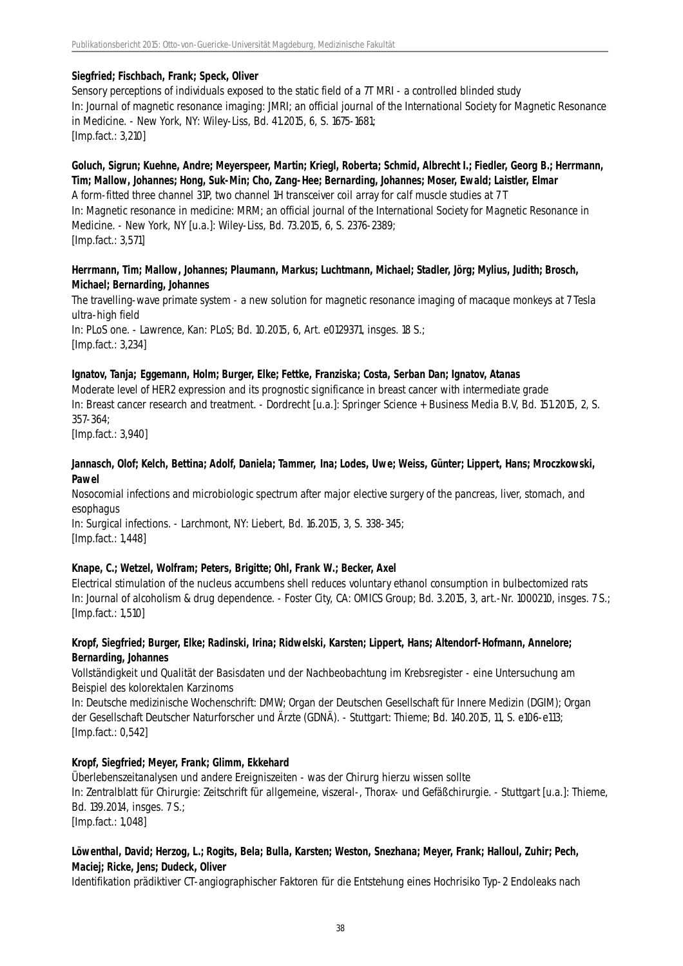### **Siegfried; Fischbach, Frank; Speck, Oliver**

Sensory perceptions of individuals exposed to the static field of a 7T MRI - a controlled blinded study In: Journal of magnetic resonance imaging: JMRI; an official journal of the International Society for Magnetic Resonance in Medicine. - New York, NY: Wiley-Liss, Bd. 41.2015, 6, S. 1675-1681; [Imp.fact.: 3,210]

# **Goluch, Sigrun; Kuehne, Andre; Meyerspeer, Martin; Kriegl, Roberta; Schmid, Albrecht I.; Fiedler, Georg B.; Herrmann, Tim; Mallow, Johannes; Hong, Suk-Min; Cho, Zang-Hee; Bernarding, Johannes; Moser, Ewald; Laistler, Elmar**

A form-fitted three channel 31P, two channel 1H transceiver coil array for calf muscle studies at 7 T In: Magnetic resonance in medicine: MRM; an official journal of the International Society for Magnetic Resonance in Medicine. - New York, NY [u.a.]: Wiley-Liss, Bd. 73.2015, 6, S. 2376-2389; [Imp.fact.: 3,571]

### **Herrmann, Tim; Mallow, Johannes; Plaumann, Markus; Luchtmann, Michael; Stadler, Jörg; Mylius, Judith; Brosch, Michael; Bernarding, Johannes**

The travelling-wave primate system - a new solution for magnetic resonance imaging of macaque monkeys at 7 Tesla ultra-high field In: PLoS one. - Lawrence, Kan: PLoS; Bd. 10.2015, 6, Art. e0129371, insges. 18 S.; [Imp.fact.: 3,234]

# **Ignatov, Tanja; Eggemann, Holm; Burger, Elke; Fettke, Franziska; Costa, Serban Dan; Ignatov, Atanas**

Moderate level of HER2 expression and its prognostic significance in breast cancer with intermediate grade In: Breast cancer research and treatment. - Dordrecht [u.a.]: Springer Science + Business Media B.V, Bd. 151.2015, 2, S. 357-364;

[Imp.fact.: 3,940]

#### **Jannasch, Olof; Kelch, Bettina; Adolf, Daniela; Tammer, Ina; Lodes, Uwe; Weiss, Günter; Lippert, Hans; Mroczkowski, Pawel**

Nosocomial infections and microbiologic spectrum after major elective surgery of the pancreas, liver, stomach, and esophagus

In: Surgical infections. - Larchmont, NY: Liebert, Bd. 16.2015, 3, S. 338-345; [Imp.fact.: 1,448]

# **Knape, C.; Wetzel, Wolfram; Peters, Brigitte; Ohl, Frank W.; Becker, Axel**

Electrical stimulation of the nucleus accumbens shell reduces voluntary ethanol consumption in bulbectomized rats In: Journal of alcoholism & drug dependence. - Foster City, CA: OMICS Group; Bd. 3.2015, 3, art.-Nr. 1000210, insges. 7 S.; [Imp.fact.: 1,510]

# **Kropf, Siegfried; Burger, Elke; Radinski, Irina; Ridwelski, Karsten; Lippert, Hans; Altendorf-Hofmann, Annelore; Bernarding, Johannes**

Vollständigkeit und Qualität der Basisdaten und der Nachbeobachtung im Krebsregister - eine Untersuchung am Beispiel des kolorektalen Karzinoms

In: Deutsche medizinische Wochenschrift: DMW; Organ der Deutschen Gesellschaft für Innere Medizin (DGIM); Organ der Gesellschaft Deutscher Naturforscher und Ärzte (GDNÄ). - Stuttgart: Thieme; Bd. 140.2015, 11, S. e106-e113; [Imp.fact.: 0,542]

# **Kropf, Siegfried; Meyer, Frank; Glimm, Ekkehard**

Überlebenszeitanalysen und andere Ereigniszeiten - was der Chirurg hierzu wissen sollte In: Zentralblatt für Chirurgie: Zeitschrift für allgemeine, viszeral-, Thorax- und Gefäßchirurgie. - Stuttgart [u.a.]: Thieme, Bd. 139.2014, insges. 7 S.; [Imp.fact.: 1,048]

# **Löwenthal, David; Herzog, L.; Rogits, Bela; Bulla, Karsten; Weston, Snezhana; Meyer, Frank; Halloul, Zuhir; Pech, Maciej; Ricke, Jens; Dudeck, Oliver**

Identifikation prädiktiver CT-angiographischer Faktoren für die Entstehung eines Hochrisiko Typ-2 Endoleaks nach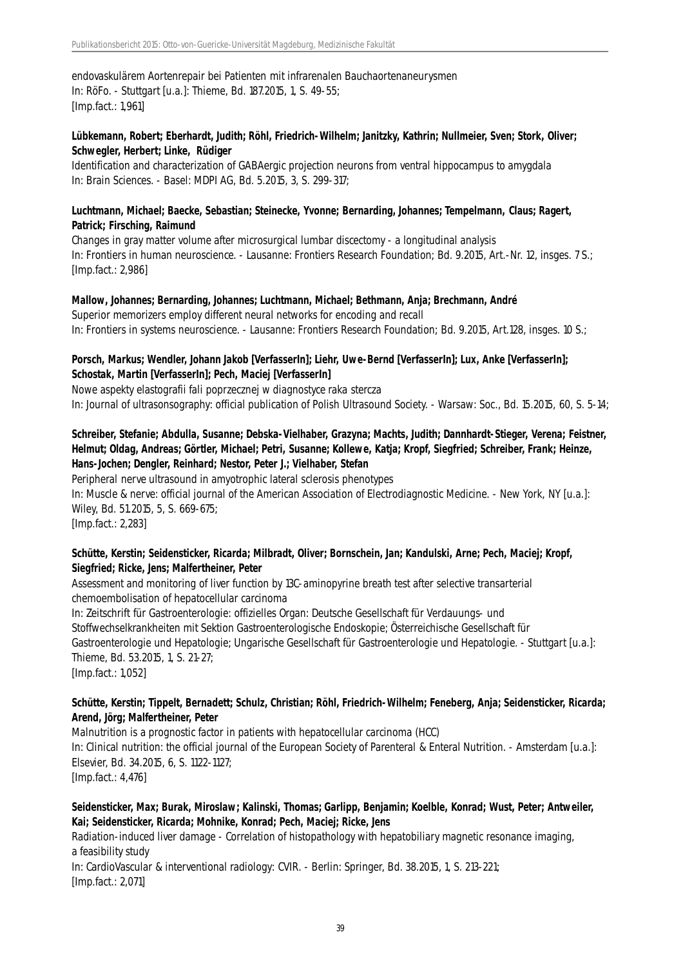endovaskulärem Aortenrepair bei Patienten mit infrarenalen Bauchaortenaneurysmen In: RöFo. - Stuttgart [u.a.]: Thieme, Bd. 187.2015, 1, S. 49-55; [Imp.fact.: 1,961]

# **Lübkemann, Robert; Eberhardt, Judith; Röhl, Friedrich-Wilhelm; Janitzky, Kathrin; Nullmeier, Sven; Stork, Oliver; Schwegler, Herbert; Linke, Rüdiger**

Identification and characterization of GABAergic projection neurons from ventral hippocampus to amygdala In: Brain Sciences. - Basel: MDPI AG, Bd. 5.2015, 3, S. 299-317;

# **Luchtmann, Michael; Baecke, Sebastian; Steinecke, Yvonne; Bernarding, Johannes; Tempelmann, Claus; Ragert, Patrick; Firsching, Raimund**

Changes in gray matter volume after microsurgical lumbar discectomy - a longitudinal analysis In: Frontiers in human neuroscience. - Lausanne: Frontiers Research Foundation; Bd. 9.2015, Art.-Nr. 12, insges. 7 S.; [Imp.fact.: 2,986]

#### **Mallow, Johannes; Bernarding, Johannes; Luchtmann, Michael; Bethmann, Anja; Brechmann, André**

Superior memorizers employ different neural networks for encoding and recall In: Frontiers in systems neuroscience. - Lausanne: Frontiers Research Foundation; Bd. 9.2015, Art.128, insges. 10 S.;

# **Porsch, Markus; Wendler, Johann Jakob [VerfasserIn]; Liehr, Uwe-Bernd [VerfasserIn]; Lux, Anke [VerfasserIn]; Schostak, Martin [VerfasserIn]; Pech, Maciej [VerfasserIn]**

Nowe aspekty elastografii fali poprzecznej w diagnostyce raka stercza In: Journal of ultrasonsography: official publication of Polish Ultrasound Society. - Warsaw: Soc., Bd. 15.2015, 60, S. 5-14;

# **Schreiber, Stefanie; Abdulla, Susanne; Debska-Vielhaber, Grazyna; Machts, Judith; Dannhardt-Stieger, Verena; Feistner, Helmut; Oldag, Andreas; Görtler, Michael; Petri, Susanne; Kollewe, Katja; Kropf, Siegfried; Schreiber, Frank; Heinze, Hans-Jochen; Dengler, Reinhard; Nestor, Peter J.; Vielhaber, Stefan**

Peripheral nerve ultrasound in amyotrophic lateral sclerosis phenotypes In: Muscle & nerve: official journal of the American Association of Electrodiagnostic Medicine. - New York, NY [u.a.]: Wiley, Bd. 51.2015, 5, S. 669-675; [Imp.fact.: 2,283]

# **Schütte, Kerstin; Seidensticker, Ricarda; Milbradt, Oliver; Bornschein, Jan; Kandulski, Arne; Pech, Maciej; Kropf, Siegfried; Ricke, Jens; Malfertheiner, Peter**

Assessment and monitoring of liver function by 13C-aminopyrine breath test after selective transarterial chemoembolisation of hepatocellular carcinoma

In: Zeitschrift für Gastroenterologie: offizielles Organ: Deutsche Gesellschaft für Verdauungs- und Stoffwechselkrankheiten mit Sektion Gastroenterologische Endoskopie; Österreichische Gesellschaft für Gastroenterologie und Hepatologie; Ungarische Gesellschaft für Gastroenterologie und Hepatologie. - Stuttgart [u.a.]: Thieme, Bd. 53.2015, 1, S. 21-27; [Imp.fact.: 1,052]

# **Schütte, Kerstin; Tippelt, Bernadett; Schulz, Christian; Röhl, Friedrich-Wilhelm; Feneberg, Anja; Seidensticker, Ricarda; Arend, Jörg; Malfertheiner, Peter**

Malnutrition is a prognostic factor in patients with hepatocellular carcinoma (HCC) In: Clinical nutrition: the official journal of the European Society of Parenteral & Enteral Nutrition. - Amsterdam [u.a.]: Elsevier, Bd. 34.2015, 6, S. 1122-1127; [Imp.fact.: 4,476]

# **Seidensticker, Max; Burak, Miroslaw; Kalinski, Thomas; Garlipp, Benjamin; Koelble, Konrad; Wust, Peter; Antweiler, Kai; Seidensticker, Ricarda; Mohnike, Konrad; Pech, Maciej; Ricke, Jens**

Radiation-induced liver damage - Correlation of histopathology with hepatobiliary magnetic resonance imaging, a feasibility study

In: CardioVascular & interventional radiology: CVIR. - Berlin: Springer, Bd. 38.2015, 1, S. 213-221; [Imp.fact.: 2,071]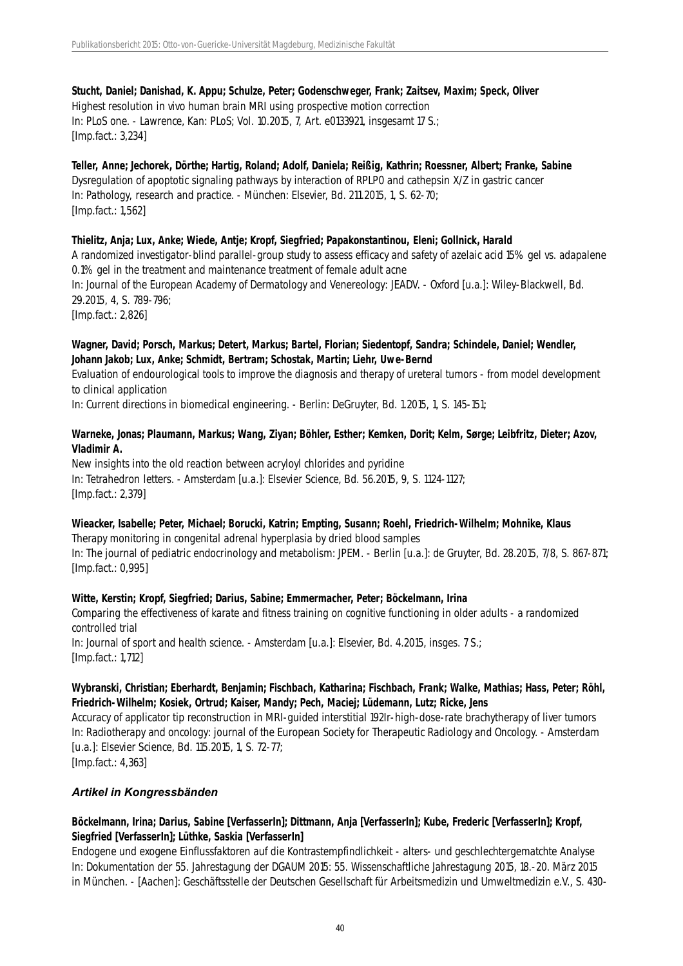# **Stucht, Daniel; Danishad, K. Appu; Schulze, Peter; Godenschweger, Frank; Zaitsev, Maxim; Speck, Oliver** Highest resolution in vivo human brain MRI using prospective motion correction In: PLoS one. - Lawrence, Kan: PLoS; Vol. 10.2015, 7, Art. e0133921, insgesamt 17 S.; [Imp.fact.: 3,234]

# **Teller, Anne; Jechorek, Dörthe; Hartig, Roland; Adolf, Daniela; Reißig, Kathrin; Roessner, Albert; Franke, Sabine** Dysregulation of apoptotic signaling pathways by interaction of RPLP0 and cathepsin X/Z in gastric cancer In: Pathology, research and practice. - München: Elsevier, Bd. 211.2015, 1, S. 62-70; [Imp.fact.: 1,562]

### **Thielitz, Anja; Lux, Anke; Wiede, Antje; Kropf, Siegfried; Papakonstantinou, Eleni; Gollnick, Harald**

A randomized investigator-blind parallel-group study to assess efficacy and safety of azelaic acid 15% gel vs. adapalene 0.1% gel in the treatment and maintenance treatment of female adult acne In: Journal of the European Academy of Dermatology and Venereology: JEADV. - Oxford [u.a.]: Wiley-Blackwell, Bd. 29.2015, 4, S. 789-796;

[Imp.fact.: 2,826]

### **Wagner, David; Porsch, Markus; Detert, Markus; Bartel, Florian; Siedentopf, Sandra; Schindele, Daniel; Wendler, Johann Jakob; Lux, Anke; Schmidt, Bertram; Schostak, Martin; Liehr, Uwe-Bernd**

Evaluation of endourological tools to improve the diagnosis and therapy of ureteral tumors - from model development to clinical application

In: Current directions in biomedical engineering. - Berlin: DeGruyter, Bd. 1.2015, 1, S. 145-151;

### **Warneke, Jonas; Plaumann, Markus; Wang, Ziyan; Böhler, Esther; Kemken, Dorit; Kelm, Sørge; Leibfritz, Dieter; Azov, Vladimir A.**

New insights into the old reaction between acryloyl chlorides and pyridine In: Tetrahedron letters. - Amsterdam [u.a.]: Elsevier Science, Bd. 56.2015, 9, S. 1124-1127; [Imp.fact.: 2,379]

# **Wieacker, Isabelle; Peter, Michael; Borucki, Katrin; Empting, Susann; Roehl, Friedrich-Wilhelm; Mohnike, Klaus**

Therapy monitoring in congenital adrenal hyperplasia by dried blood samples In: The journal of pediatric endocrinology and metabolism: JPEM. - Berlin [u.a.]: de Gruyter, Bd. 28.2015, 7/8, S. 867-871; [Imp.fact.: 0,995]

#### **Witte, Kerstin; Kropf, Siegfried; Darius, Sabine; Emmermacher, Peter; Böckelmann, Irina**

Comparing the effectiveness of karate and fitness training on cognitive functioning in older adults - a randomized controlled trial In: Journal of sport and health science. - Amsterdam [u.a.]: Elsevier, Bd. 4.2015, insges. 7 S.;

[Imp.fact.: 1,712]

# **Wybranski, Christian; Eberhardt, Benjamin; Fischbach, Katharina; Fischbach, Frank; Walke, Mathias; Hass, Peter; Röhl, Friedrich-Wilhelm; Kosiek, Ortrud; Kaiser, Mandy; Pech, Maciej; Lüdemann, Lutz; Ricke, Jens**

Accuracy of applicator tip reconstruction in MRI-guided interstitial 192Ir-high-dose-rate brachytherapy of liver tumors In: Radiotherapy and oncology: journal of the European Society for Therapeutic Radiology and Oncology. - Amsterdam [u.a.]: Elsevier Science, Bd. 115.2015, 1, S. 72-77; [Imp.fact.: 4,363]

# *Artikel in Kongressbänden*

# **Böckelmann, Irina; Darius, Sabine [VerfasserIn]; Dittmann, Anja [VerfasserIn]; Kube, Frederic [VerfasserIn]; Kropf, Siegfried [VerfasserIn]; Lüthke, Saskia [VerfasserIn]**

Endogene und exogene Einflussfaktoren auf die Kontrastempfindlichkeit - alters- und geschlechtergematchte Analyse In: Dokumentation der 55. Jahrestagung der DGAUM 2015: 55. Wissenschaftliche Jahrestagung 2015, 18.-20. März 2015 in München. - [Aachen]: Geschäftsstelle der Deutschen Gesellschaft für Arbeitsmedizin und Umweltmedizin e.V., S. 430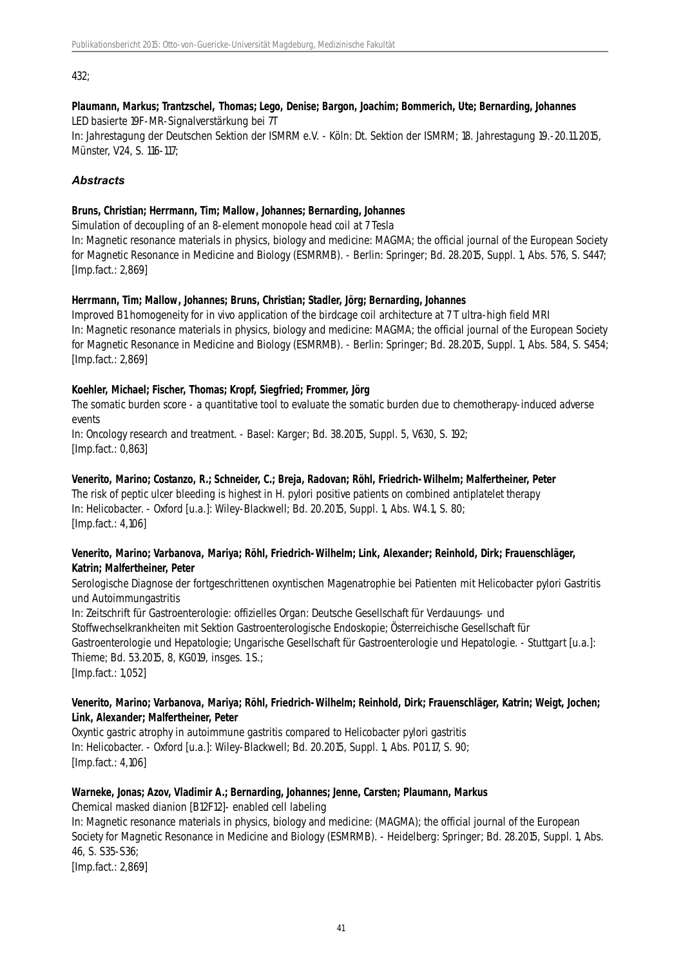432;

#### **Plaumann, Markus; Trantzschel, Thomas; Lego, Denise; Bargon, Joachim; Bommerich, Ute; Bernarding, Johannes** LED basierte 19F-MR-Signalverstärkung bei 7T

In: Jahrestagung der Deutschen Sektion der ISMRM e.V. - Köln: Dt. Sektion der ISMRM; 18. Jahrestagung 19.-20.11.2015, Münster, V24, S. 116-117;

# *Abstracts*

# **Bruns, Christian; Herrmann, Tim; Mallow, Johannes; Bernarding, Johannes**

Simulation of decoupling of an 8-element monopole head coil at 7 Tesla

In: Magnetic resonance materials in physics, biology and medicine: MAGMA; the official journal of the European Society for Magnetic Resonance in Medicine and Biology (ESMRMB). - Berlin: Springer; Bd. 28.2015, Suppl. 1, Abs. 576, S. S447; [Imp.fact.: 2,869]

# **Herrmann, Tim; Mallow, Johannes; Bruns, Christian; Stadler, Jörg; Bernarding, Johannes**

Improved B1 homogeneity for in vivo application of the birdcage coil architecture at 7 T ultra-high field MRI In: Magnetic resonance materials in physics, biology and medicine: MAGMA; the official journal of the European Society for Magnetic Resonance in Medicine and Biology (ESMRMB). - Berlin: Springer; Bd. 28.2015, Suppl. 1, Abs. 584, S. S454; [Imp.fact.: 2,869]

# **Koehler, Michael; Fischer, Thomas; Kropf, Siegfried; Frommer, Jörg**

The somatic burden score - a quantitative tool to evaluate the somatic burden due to chemotherapy-induced adverse events

In: Oncology research and treatment. - Basel: Karger; Bd. 38.2015, Suppl. 5, V630, S. 192; [Imp.fact.: 0,863]

# **Venerito, Marino; Costanzo, R.; Schneider, C.; Breja, Radovan; Röhl, Friedrich-Wilhelm; Malfertheiner, Peter**

The risk of peptic ulcer bleeding is highest in H. pylori positive patients on combined antiplatelet therapy In: Helicobacter. - Oxford [u.a.]: Wiley-Blackwell; Bd. 20.2015, Suppl. 1, Abs. W4.1, S. 80; [Imp.fact.: 4,106]

# **Venerito, Marino; Varbanova, Mariya; Röhl, Friedrich-Wilhelm; Link, Alexander; Reinhold, Dirk; Frauenschläger, Katrin; Malfertheiner, Peter**

Serologische Diagnose der fortgeschrittenen oxyntischen Magenatrophie bei Patienten mit Helicobacter pylori Gastritis und Autoimmungastritis

In: Zeitschrift für Gastroenterologie: offizielles Organ: Deutsche Gesellschaft für Verdauungs- und Stoffwechselkrankheiten mit Sektion Gastroenterologische Endoskopie; Österreichische Gesellschaft für Gastroenterologie und Hepatologie; Ungarische Gesellschaft für Gastroenterologie und Hepatologie. - Stuttgart [u.a.]: Thieme; Bd. 53.2015, 8, KG019, insges. 1 S.; [Imp.fact.: 1,052]

# **Venerito, Marino; Varbanova, Mariya; Röhl, Friedrich-Wilhelm; Reinhold, Dirk; Frauenschläger, Katrin; Weigt, Jochen; Link, Alexander; Malfertheiner, Peter**

Oxyntic gastric atrophy in autoimmune gastritis compared to Helicobacter pylori gastritis In: Helicobacter. - Oxford [u.a.]: Wiley-Blackwell; Bd. 20.2015, Suppl. 1, Abs. P01.17, S. 90; [Imp.fact.: 4,106]

# **Warneke, Jonas; Azov, Vladimir A.; Bernarding, Johannes; Jenne, Carsten; Plaumann, Markus**

Chemical masked dianion [B12F12]- enabled cell labeling In: Magnetic resonance materials in physics, biology and medicine: (MAGMA); the official journal of the European Society for Magnetic Resonance in Medicine and Biology (ESMRMB). - Heidelberg: Springer; Bd. 28.2015, Suppl. 1, Abs. 46, S. S35-S36; [Imp.fact.: 2,869]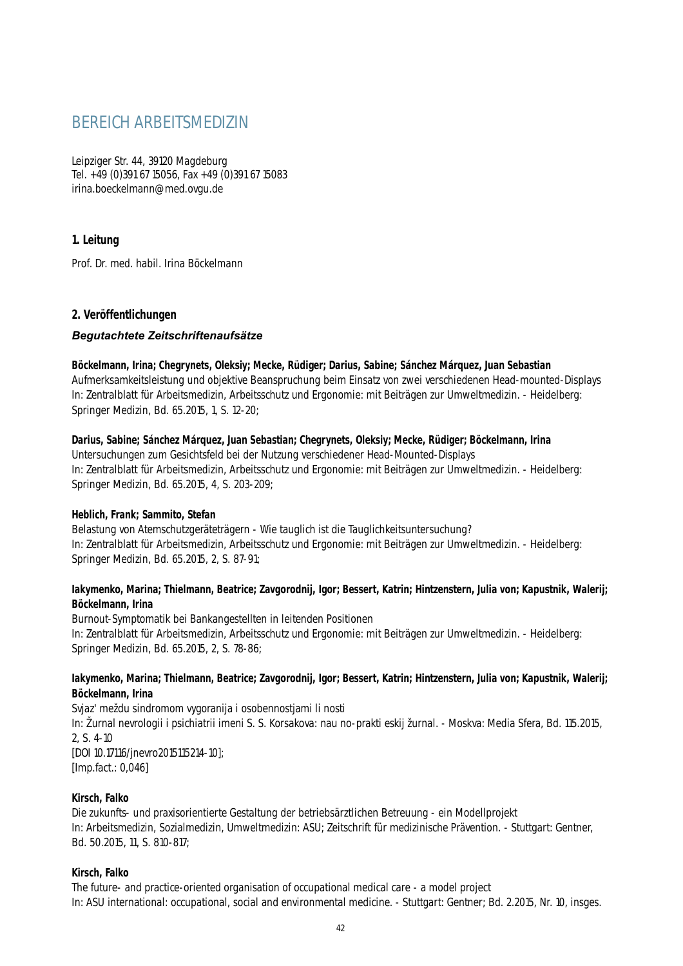# BEREICH ARBEITSMEDIZIN

Leipziger Str. 44, 39120 Magdeburg Tel. +49 (0)391 67 15056, Fax +49 (0)391 67 15083 irina.boeckelmann@med.ovgu.de

# **1. Leitung**

Prof. Dr. med. habil. Irina Böckelmann

# **2. Veröffentlichungen**

# *Begutachtete Zeitschriftenaufsätze*

#### **Böckelmann, Irina; Chegrynets, Oleksiy; Mecke, Rüdiger; Darius, Sabine; Sánchez Márquez, Juan Sebastian**

Aufmerksamkeitsleistung und objektive Beanspruchung beim Einsatz von zwei verschiedenen Head-mounted-Displays In: Zentralblatt für Arbeitsmedizin, Arbeitsschutz und Ergonomie: mit Beiträgen zur Umweltmedizin. - Heidelberg: Springer Medizin, Bd. 65.2015, 1, S. 12-20;

#### **Darius, Sabine; Sánchez Márquez, Juan Sebastian; Chegrynets, Oleksiy; Mecke, Rüdiger; Böckelmann, Irina**

Untersuchungen zum Gesichtsfeld bei der Nutzung verschiedener Head-Mounted-Displays In: Zentralblatt für Arbeitsmedizin, Arbeitsschutz und Ergonomie: mit Beiträgen zur Umweltmedizin. - Heidelberg: Springer Medizin, Bd. 65.2015, 4, S. 203-209;

# **Heblich, Frank; Sammito, Stefan**

Belastung von Atemschutzgeräteträgern - Wie tauglich ist die Tauglichkeitsuntersuchung? In: Zentralblatt für Arbeitsmedizin, Arbeitsschutz und Ergonomie: mit Beiträgen zur Umweltmedizin. - Heidelberg: Springer Medizin, Bd. 65.2015, 2, S. 87-91;

# **Iakymenko, Marina; Thielmann, Beatrice; Zavgorodnij, Igor; Bessert, Katrin; Hintzenstern, Julia von; Kapustnik, Walerij; Böckelmann, Irina**

Burnout-Symptomatik bei Bankangestellten in leitenden Positionen In: Zentralblatt für Arbeitsmedizin, Arbeitsschutz und Ergonomie: mit Beiträgen zur Umweltmedizin. - Heidelberg: Springer Medizin, Bd. 65.2015, 2, S. 78-86;

#### **Iakymenko, Marina; Thielmann, Beatrice; Zavgorodnij, Igor; Bessert, Katrin; Hintzenstern, Julia von; Kapustnik, Walerij; Böckelmann, Irina**

Svjaz' meždu sindromom vygoranija i osobennostjami li nosti In: Žurnal nevrologii i psichiatrii imeni S. S. Korsakova: nau no-prakti eskij žurnal. - Moskva: Media Sfera, Bd. 115.2015, 2, S. 4-10 [DOI 10.17116/jnevro2015115214-10]; [Imp.fact.: 0,046]

# **Kirsch, Falko**

Die zukunfts- und praxisorientierte Gestaltung der betriebsärztlichen Betreuung - ein Modellprojekt In: Arbeitsmedizin, Sozialmedizin, Umweltmedizin: ASU; Zeitschrift für medizinische Prävention. - Stuttgart: Gentner, Bd. 50.2015, 11, S. 810-817;

# **Kirsch, Falko**

The future- and practice-oriented organisation of occupational medical care - a model project In: ASU international: occupational, social and environmental medicine. - Stuttgart: Gentner; Bd. 2.2015, Nr. 10, insges.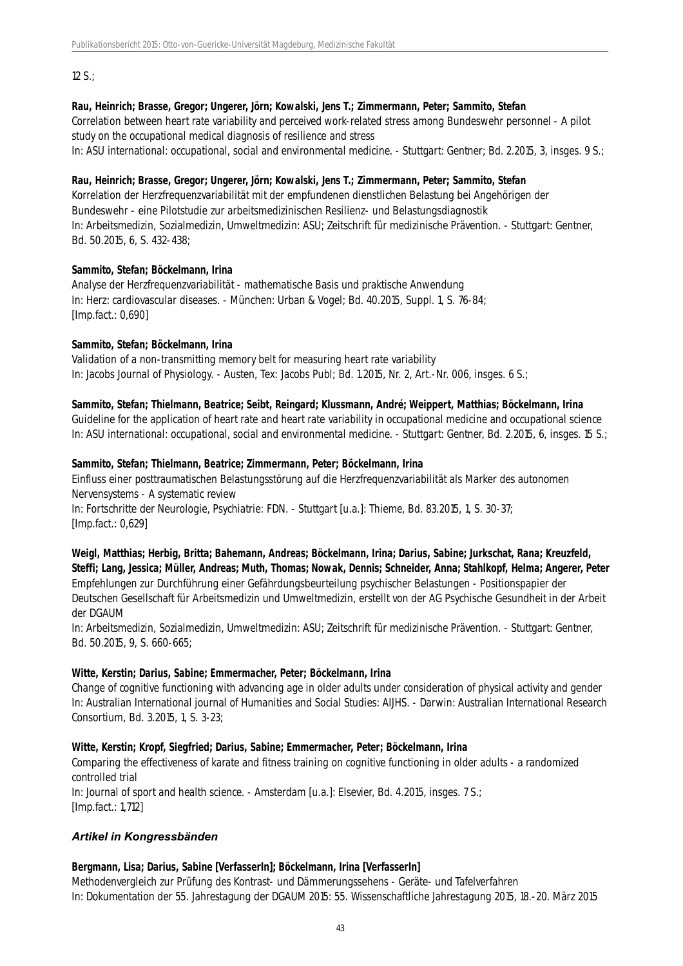12 S.;

# **Rau, Heinrich; Brasse, Gregor; Ungerer, Jörn; Kowalski, Jens T.; Zimmermann, Peter; Sammito, Stefan**

Correlation between heart rate variability and perceived work-related stress among Bundeswehr personnel - A pilot study on the occupational medical diagnosis of resilience and stress

In: ASU international: occupational, social and environmental medicine. - Stuttgart: Gentner; Bd. 2.2015, 3, insges. 9 S.;

# **Rau, Heinrich; Brasse, Gregor; Ungerer, Jörn; Kowalski, Jens T.; Zimmermann, Peter; Sammito, Stefan**

Korrelation der Herzfrequenzvariabilität mit der empfundenen dienstlichen Belastung bei Angehörigen der Bundeswehr - eine Pilotstudie zur arbeitsmedizinischen Resilienz- und Belastungsdiagnostik In: Arbeitsmedizin, Sozialmedizin, Umweltmedizin: ASU; Zeitschrift für medizinische Prävention. - Stuttgart: Gentner, Bd. 50.2015, 6, S. 432-438;

# **Sammito, Stefan; Böckelmann, Irina**

Analyse der Herzfrequenzvariabilität - mathematische Basis und praktische Anwendung In: Herz: cardiovascular diseases. - München: Urban & Vogel; Bd. 40.2015, Suppl. 1, S. 76-84; [Imp.fact.: 0,690]

# **Sammito, Stefan; Böckelmann, Irina**

Validation of a non-transmitting memory belt for measuring heart rate variability In: Jacobs Journal of Physiology. - Austen, Tex: Jacobs Publ; Bd. 1.2015, Nr. 2, Art.-Nr. 006, insges. 6 S.;

#### **Sammito, Stefan; Thielmann, Beatrice; Seibt, Reingard; Klussmann, André; Weippert, Matthias; Böckelmann, Irina**

Guideline for the application of heart rate and heart rate variability in occupational medicine and occupational science In: ASU international: occupational, social and environmental medicine. - Stuttgart: Gentner, Bd. 2.2015, 6, insges. 15 S.;

#### **Sammito, Stefan; Thielmann, Beatrice; Zimmermann, Peter; Böckelmann, Irina**

Einfluss einer posttraumatischen Belastungsstörung auf die Herzfrequenzvariabilität als Marker des autonomen Nervensystems - A systematic review

In: Fortschritte der Neurologie, Psychiatrie: FDN. - Stuttgart [u.a.]: Thieme, Bd. 83.2015, 1, S. 30-37; [Imp.fact.: 0,629]

**Weigl, Matthias; Herbig, Britta; Bahemann, Andreas; Böckelmann, Irina; Darius, Sabine; Jurkschat, Rana; Kreuzfeld, Steffi; Lang, Jessica; Müller, Andreas; Muth, Thomas; Nowak, Dennis; Schneider, Anna; Stahlkopf, Helma; Angerer, Peter** Empfehlungen zur Durchführung einer Gefährdungsbeurteilung psychischer Belastungen - Positionspapier der Deutschen Gesellschaft für Arbeitsmedizin und Umweltmedizin, erstellt von der AG Psychische Gesundheit in der Arbeit der DGAUM

In: Arbeitsmedizin, Sozialmedizin, Umweltmedizin: ASU; Zeitschrift für medizinische Prävention. - Stuttgart: Gentner, Bd. 50.2015, 9, S. 660-665;

# **Witte, Kerstin; Darius, Sabine; Emmermacher, Peter; Böckelmann, Irina**

Change of cognitive functioning with advancing age in older adults under consideration of physical activity and gender In: Australian International journal of Humanities and Social Studies: AIJHS. - Darwin: Australian International Research Consortium, Bd. 3.2015, 1, S. 3-23;

# **Witte, Kerstin; Kropf, Siegfried; Darius, Sabine; Emmermacher, Peter; Böckelmann, Irina**

Comparing the effectiveness of karate and fitness training on cognitive functioning in older adults - a randomized controlled trial In: Journal of sport and health science. - Amsterdam [u.a.]: Elsevier, Bd. 4.2015, insges. 7 S.; [Imp.fact.: 1,712]

# *Artikel in Kongressbänden*

# **Bergmann, Lisa; Darius, Sabine [VerfasserIn]; Böckelmann, Irina [VerfasserIn]**

Methodenvergleich zur Prüfung des Kontrast- und Dämmerungssehens - Geräte- und Tafelverfahren In: Dokumentation der 55. Jahrestagung der DGAUM 2015: 55. Wissenschaftliche Jahrestagung 2015, 18.-20. März 2015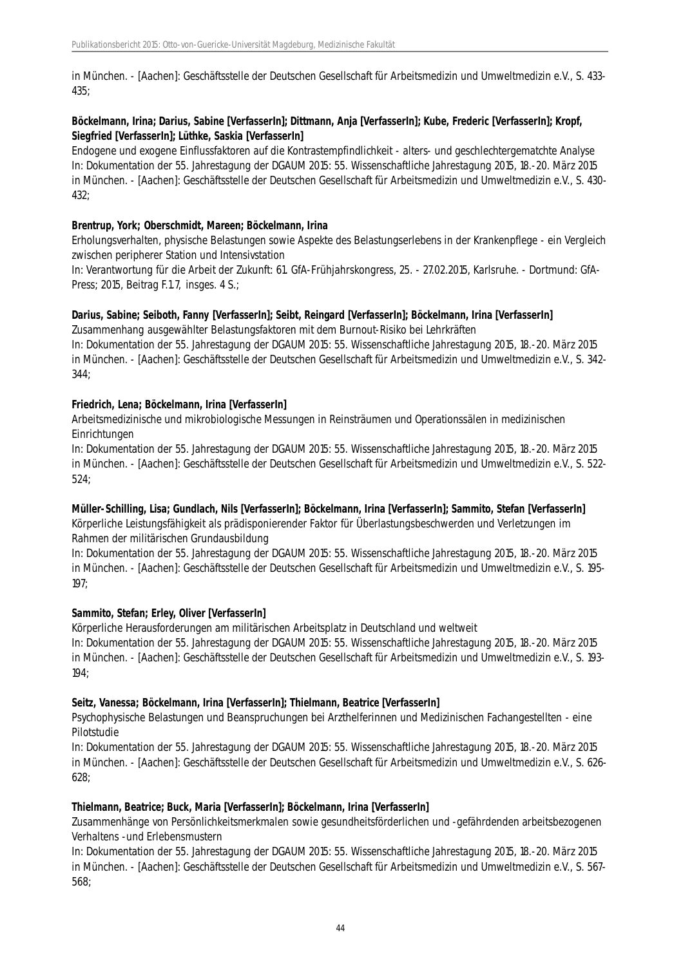in München. - [Aachen]: Geschäftsstelle der Deutschen Gesellschaft für Arbeitsmedizin und Umweltmedizin e.V., S. 433- 435;

# **Böckelmann, Irina; Darius, Sabine [VerfasserIn]; Dittmann, Anja [VerfasserIn]; Kube, Frederic [VerfasserIn]; Kropf, Siegfried [VerfasserIn]; Lüthke, Saskia [VerfasserIn]**

Endogene und exogene Einflussfaktoren auf die Kontrastempfindlichkeit - alters- und geschlechtergematchte Analyse In: Dokumentation der 55. Jahrestagung der DGAUM 2015: 55. Wissenschaftliche Jahrestagung 2015, 18.-20. März 2015 in München. - [Aachen]: Geschäftsstelle der Deutschen Gesellschaft für Arbeitsmedizin und Umweltmedizin e.V., S. 430- 432;

### **Brentrup, York; Oberschmidt, Mareen; Böckelmann, Irina**

Erholungsverhalten, physische Belastungen sowie Aspekte des Belastungserlebens in der Krankenpflege - ein Vergleich zwischen peripherer Station und Intensivstation

In: Verantwortung für die Arbeit der Zukunft: 61. GfA-Frühjahrskongress, 25. - 27.02.2015, Karlsruhe. - Dortmund: GfA-Press; 2015, Beitrag F.1.7, insges. 4 S.;

#### **Darius, Sabine; Seiboth, Fanny [VerfasserIn]; Seibt, Reingard [VerfasserIn]; Böckelmann, Irina [VerfasserIn]**

Zusammenhang ausgewählter Belastungsfaktoren mit dem Burnout-Risiko bei Lehrkräften

In: Dokumentation der 55. Jahrestagung der DGAUM 2015: 55. Wissenschaftliche Jahrestagung 2015, 18.-20. März 2015 in München. - [Aachen]: Geschäftsstelle der Deutschen Gesellschaft für Arbeitsmedizin und Umweltmedizin e.V., S. 342- 344;

#### **Friedrich, Lena; Böckelmann, Irina [VerfasserIn]**

Arbeitsmedizinische und mikrobiologische Messungen in Reinsträumen und Operationssälen in medizinischen **Einrichtungen** 

In: Dokumentation der 55. Jahrestagung der DGAUM 2015: 55. Wissenschaftliche Jahrestagung 2015, 18.-20. März 2015 in München. - [Aachen]: Geschäftsstelle der Deutschen Gesellschaft für Arbeitsmedizin und Umweltmedizin e.V., S. 522- 524;

# **Müller-Schilling, Lisa; Gundlach, Nils [VerfasserIn]; Böckelmann, Irina [VerfasserIn]; Sammito, Stefan [VerfasserIn]**

Körperliche Leistungsfähigkeit als prädisponierender Faktor für Überlastungsbeschwerden und Verletzungen im Rahmen der militärischen Grundausbildung

In: Dokumentation der 55. Jahrestagung der DGAUM 2015: 55. Wissenschaftliche Jahrestagung 2015, 18.-20. März 2015 in München. - [Aachen]: Geschäftsstelle der Deutschen Gesellschaft für Arbeitsmedizin und Umweltmedizin e.V., S. 195- 197;

# **Sammito, Stefan; Erley, Oliver [VerfasserIn]**

Körperliche Herausforderungen am militärischen Arbeitsplatz in Deutschland und weltweit

In: Dokumentation der 55. Jahrestagung der DGAUM 2015: 55. Wissenschaftliche Jahrestagung 2015, 18.-20. März 2015 in München. - [Aachen]: Geschäftsstelle der Deutschen Gesellschaft für Arbeitsmedizin und Umweltmedizin e.V., S. 193- 194;

#### **Seitz, Vanessa; Böckelmann, Irina [VerfasserIn]; Thielmann, Beatrice [VerfasserIn]**

Psychophysische Belastungen und Beanspruchungen bei Arzthelferinnen und Medizinischen Fachangestellten - eine Pilotstudie

In: Dokumentation der 55. Jahrestagung der DGAUM 2015: 55. Wissenschaftliche Jahrestagung 2015, 18.-20. März 2015 in München. - [Aachen]: Geschäftsstelle der Deutschen Gesellschaft für Arbeitsmedizin und Umweltmedizin e.V., S. 626- 628;

# **Thielmann, Beatrice; Buck, Maria [VerfasserIn]; Böckelmann, Irina [VerfasserIn]**

Zusammenhänge von Persönlichkeitsmerkmalen sowie gesundheitsförderlichen und -gefährdenden arbeitsbezogenen Verhaltens -und Erlebensmustern

In: Dokumentation der 55. Jahrestagung der DGAUM 2015: 55. Wissenschaftliche Jahrestagung 2015, 18.-20. März 2015 in München. - [Aachen]: Geschäftsstelle der Deutschen Gesellschaft für Arbeitsmedizin und Umweltmedizin e.V., S. 567- 568;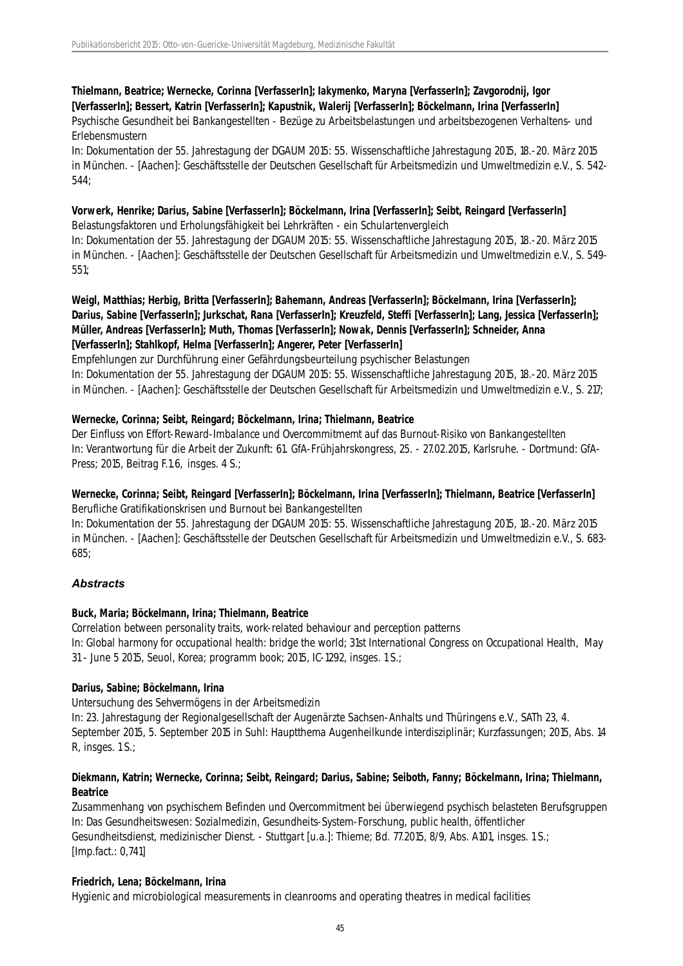# **Thielmann, Beatrice; Wernecke, Corinna [VerfasserIn]; Iakymenko, Maryna [VerfasserIn]; Zavgorodnij, Igor [VerfasserIn]; Bessert, Katrin [VerfasserIn]; Kapustnik, Walerij [VerfasserIn]; Böckelmann, Irina [VerfasserIn]**

Psychische Gesundheit bei Bankangestellten - Bezüge zu Arbeitsbelastungen und arbeitsbezogenen Verhaltens- und Erlebensmustern

In: Dokumentation der 55. Jahrestagung der DGAUM 2015: 55. Wissenschaftliche Jahrestagung 2015, 18.-20. März 2015 in München. - [Aachen]: Geschäftsstelle der Deutschen Gesellschaft für Arbeitsmedizin und Umweltmedizin e.V., S. 542- 544;

# **Vorwerk, Henrike; Darius, Sabine [VerfasserIn]; Böckelmann, Irina [VerfasserIn]; Seibt, Reingard [VerfasserIn]**

Belastungsfaktoren und Erholungsfähigkeit bei Lehrkräften - ein Schulartenvergleich In: Dokumentation der 55. Jahrestagung der DGAUM 2015: 55. Wissenschaftliche Jahrestagung 2015, 18.-20. März 2015 in München. - [Aachen]: Geschäftsstelle der Deutschen Gesellschaft für Arbeitsmedizin und Umweltmedizin e.V., S. 549- 551;

# **Weigl, Matthias; Herbig, Britta [VerfasserIn]; Bahemann, Andreas [VerfasserIn]; Böckelmann, Irina [VerfasserIn]; Darius, Sabine [VerfasserIn]; Jurkschat, Rana [VerfasserIn]; Kreuzfeld, Steffi [VerfasserIn]; Lang, Jessica [VerfasserIn]; Müller, Andreas [VerfasserIn]; Muth, Thomas [VerfasserIn]; Nowak, Dennis [VerfasserIn]; Schneider, Anna [VerfasserIn]; Stahlkopf, Helma [VerfasserIn]; Angerer, Peter [VerfasserIn]**

Empfehlungen zur Durchführung einer Gefährdungsbeurteilung psychischer Belastungen In: Dokumentation der 55. Jahrestagung der DGAUM 2015: 55. Wissenschaftliche Jahrestagung 2015, 18.-20. März 2015 in München. - [Aachen]: Geschäftsstelle der Deutschen Gesellschaft für Arbeitsmedizin und Umweltmedizin e.V., S. 217;

# **Wernecke, Corinna; Seibt, Reingard; Böckelmann, Irina; Thielmann, Beatrice**

Der Einfluss von Effort-Reward-Imbalance und Overcommitmemt auf das Burnout-Risiko von Bankangestellten In: Verantwortung für die Arbeit der Zukunft: 61. GfA-Frühjahrskongress, 25. - 27.02.2015, Karlsruhe. - Dortmund: GfA-Press; 2015, Beitrag F.1.6, insges. 4 S.;

# **Wernecke, Corinna; Seibt, Reingard [VerfasserIn]; Böckelmann, Irina [VerfasserIn]; Thielmann, Beatrice [VerfasserIn]** Berufliche Gratifikationskrisen und Burnout bei Bankangestellten

In: Dokumentation der 55. Jahrestagung der DGAUM 2015: 55. Wissenschaftliche Jahrestagung 2015, 18.-20. März 2015 in München. - [Aachen]: Geschäftsstelle der Deutschen Gesellschaft für Arbeitsmedizin und Umweltmedizin e.V., S. 683- 685;

# *Abstracts*

# **Buck, Maria; Böckelmann, Irina; Thielmann, Beatrice**

Correlation between personality traits, work-related behaviour and perception patterns In: Global harmony for occupational health: bridge the world; 31st International Congress on Occupational Health, May 31 - June 5 2015, Seuol, Korea; programm book; 2015, IC-1292, insges. 1 S.;

# **Darius, Sabine; Böckelmann, Irina**

Untersuchung des Sehvermögens in der Arbeitsmedizin

In: 23. Jahrestagung der Regionalgesellschaft der Augenärzte Sachsen-Anhalts und Thüringens e.V., SATh 23, 4. September 2015, 5. September 2015 in Suhl: Hauptthema Augenheilkunde interdisziplinär; Kurzfassungen; 2015, Abs. 14 R, insges. 1 S.;

# **Diekmann, Katrin; Wernecke, Corinna; Seibt, Reingard; Darius, Sabine; Seiboth, Fanny; Böckelmann, Irina; Thielmann, Beatrice**

Zusammenhang von psychischem Befinden und Overcommitment bei überwiegend psychisch belasteten Berufsgruppen In: Das Gesundheitswesen: Sozialmedizin, Gesundheits-System-Forschung, public health, öffentlicher Gesundheitsdienst, medizinischer Dienst. - Stuttgart [u.a.]: Thieme; Bd. 77.2015, 8/9, Abs. A101, insges. 1 S.; [Imp.fact.: 0,741]

# **Friedrich, Lena; Böckelmann, Irina**

Hygienic and microbiological measurements in cleanrooms and operating theatres in medical facilities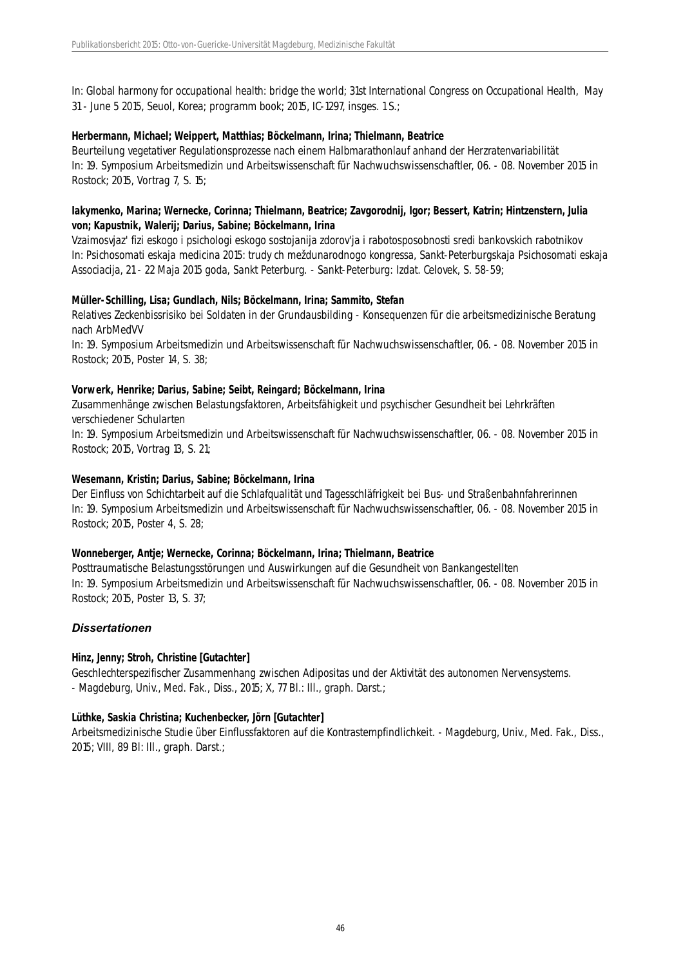In: Global harmony for occupational health: bridge the world; 31st International Congress on Occupational Health, May 31 - June 5 2015, Seuol, Korea; programm book; 2015, IC-1297, insges. 1 S.;

#### **Herbermann, Michael; Weippert, Matthias; Böckelmann, Irina; Thielmann, Beatrice**

Beurteilung vegetativer Regulationsprozesse nach einem Halbmarathonlauf anhand der Herzratenvariabilität In: 19. Symposium Arbeitsmedizin und Arbeitswissenschaft für Nachwuchswissenschaftler, 06. - 08. November 2015 in Rostock; 2015, Vortrag 7, S. 15;

# **Iakymenko, Marina; Wernecke, Corinna; Thielmann, Beatrice; Zavgorodnij, Igor; Bessert, Katrin; Hintzenstern, Julia von; Kapustnik, Walerij; Darius, Sabine; Böckelmann, Irina**

Vzaimosvjaz' fizi eskogo i psichologi eskogo sostojanija zdorov'ja i rabotosposobnosti sredi bankovskich rabotnikov In: Psichosomati eskaja medicina 2015: trudy ch meždunarodnogo kongressa, Sankt-Peterburgskaja Psichosomati eskaja Associacija, 21 - 22 Maja 2015 goda, Sankt Peterburg. - Sankt-Peterburg: Izdat. Celovek, S. 58-59;

#### **Müller-Schilling, Lisa; Gundlach, Nils; Böckelmann, Irina; Sammito, Stefan**

Relatives Zeckenbissrisiko bei Soldaten in der Grundausbilding - Konsequenzen für die arbeitsmedizinische Beratung nach ArbMedVV

In: 19. Symposium Arbeitsmedizin und Arbeitswissenschaft für Nachwuchswissenschaftler, 06. - 08. November 2015 in Rostock; 2015, Poster 14, S. 38;

#### **Vorwerk, Henrike; Darius, Sabine; Seibt, Reingard; Böckelmann, Irina**

Zusammenhänge zwischen Belastungsfaktoren, Arbeitsfähigkeit und psychischer Gesundheit bei Lehrkräften verschiedener Schularten

In: 19. Symposium Arbeitsmedizin und Arbeitswissenschaft für Nachwuchswissenschaftler, 06. - 08. November 2015 in Rostock; 2015, Vortrag 13, S. 21;

#### **Wesemann, Kristin; Darius, Sabine; Böckelmann, Irina**

Der Einfluss von Schichtarbeit auf die Schlafqualität und Tagesschläfrigkeit bei Bus- und Straßenbahnfahrerinnen In: 19. Symposium Arbeitsmedizin und Arbeitswissenschaft für Nachwuchswissenschaftler, 06. - 08. November 2015 in Rostock; 2015, Poster 4, S. 28;

#### **Wonneberger, Antje; Wernecke, Corinna; Böckelmann, Irina; Thielmann, Beatrice**

Posttraumatische Belastungsstörungen und Auswirkungen auf die Gesundheit von Bankangestellten In: 19. Symposium Arbeitsmedizin und Arbeitswissenschaft für Nachwuchswissenschaftler, 06. - 08. November 2015 in Rostock; 2015, Poster 13, S. 37;

#### *Dissertationen*

#### **Hinz, Jenny; Stroh, Christine [Gutachter]**

Geschlechterspezifischer Zusammenhang zwischen Adipositas und der Aktivität des autonomen Nervensystems. - Magdeburg, Univ., Med. Fak., Diss., 2015; X, 77 Bl.: Ill., graph. Darst.;

#### **Lüthke, Saskia Christina; Kuchenbecker, Jörn [Gutachter]**

Arbeitsmedizinische Studie über Einflussfaktoren auf die Kontrastempfindlichkeit. - Magdeburg, Univ., Med. Fak., Diss., 2015; VIII, 89 Bl: Ill., graph. Darst.;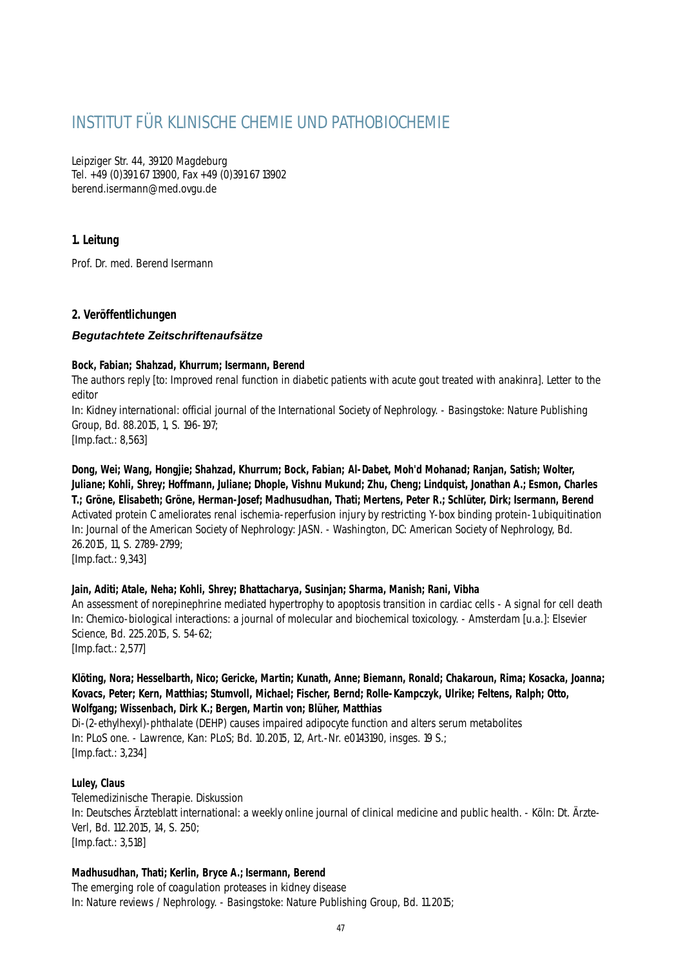# INSTITUT FÜR KLINISCHE CHEMIE UND PATHOBIOCHEMIE

Leipziger Str. 44, 39120 Magdeburg Tel. +49 (0)391 67 13900, Fax +49 (0)391 67 13902 berend.isermann@med.ovgu.de

# **1. Leitung**

Prof. Dr. med. Berend Isermann

# **2. Veröffentlichungen**

# *Begutachtete Zeitschriftenaufsätze*

#### **Bock, Fabian; Shahzad, Khurrum; Isermann, Berend**

The authors reply [to: Improved renal function in diabetic patients with acute gout treated with anakinra]. Letter to the editor

In: Kidney international: official journal of the International Society of Nephrology. - Basingstoke: Nature Publishing Group, Bd. 88.2015, 1, S. 196-197;

[Imp.fact.: 8,563]

**Dong, Wei; Wang, Hongjie; Shahzad, Khurrum; Bock, Fabian; Al-Dabet, Moh'd Mohanad; Ranjan, Satish; Wolter, Juliane; Kohli, Shrey; Hoffmann, Juliane; Dhople, Vishnu Mukund; Zhu, Cheng; Lindquist, Jonathan A.; Esmon, Charles T.; Gröne, Elisabeth; Gröne, Herman-Josef; Madhusudhan, Thati; Mertens, Peter R.; Schlüter, Dirk; Isermann, Berend** Activated protein C ameliorates renal ischemia-reperfusion injury by restricting Y-box binding protein-1 ubiquitination In: Journal of the American Society of Nephrology: JASN. - Washington, DC: American Society of Nephrology, Bd. 26.2015, 11, S. 2789-2799;

[Imp.fact.: 9,343]

# **Jain, Aditi; Atale, Neha; Kohli, Shrey; Bhattacharya, Susinjan; Sharma, Manish; Rani, Vibha**

An assessment of norepinephrine mediated hypertrophy to apoptosis transition in cardiac cells - A signal for cell death In: Chemico-biological interactions: a journal of molecular and biochemical toxicology. - Amsterdam [u.a.]: Elsevier Science, Bd. 225.2015, S. 54-62;

[Imp.fact.: 2,577]

### **Klöting, Nora; Hesselbarth, Nico; Gericke, Martin; Kunath, Anne; Biemann, Ronald; Chakaroun, Rima; Kosacka, Joanna; Kovacs, Peter; Kern, Matthias; Stumvoll, Michael; Fischer, Bernd; Rolle-Kampczyk, Ulrike; Feltens, Ralph; Otto, Wolfgang; Wissenbach, Dirk K.; Bergen, Martin von; Blüher, Matthias**

Di-(2-ethylhexyl)-phthalate (DEHP) causes impaired adipocyte function and alters serum metabolites In: PLoS one. - Lawrence, Kan: PLoS; Bd. 10.2015, 12, Art.-Nr. e0143190, insges. 19 S.; [Imp.fact.: 3,234]

# **Luley, Claus**

Telemedizinische Therapie. Diskussion In: Deutsches Ärzteblatt international: a weekly online journal of clinical medicine and public health. - Köln: Dt. Ärzte-Verl, Bd. 112.2015, 14, S. 250; [Imp.fact.: 3,518]

# **Madhusudhan, Thati; Kerlin, Bryce A.; Isermann, Berend**

The emerging role of coagulation proteases in kidney disease In: Nature reviews / Nephrology. - Basingstoke: Nature Publishing Group, Bd. 11.2015;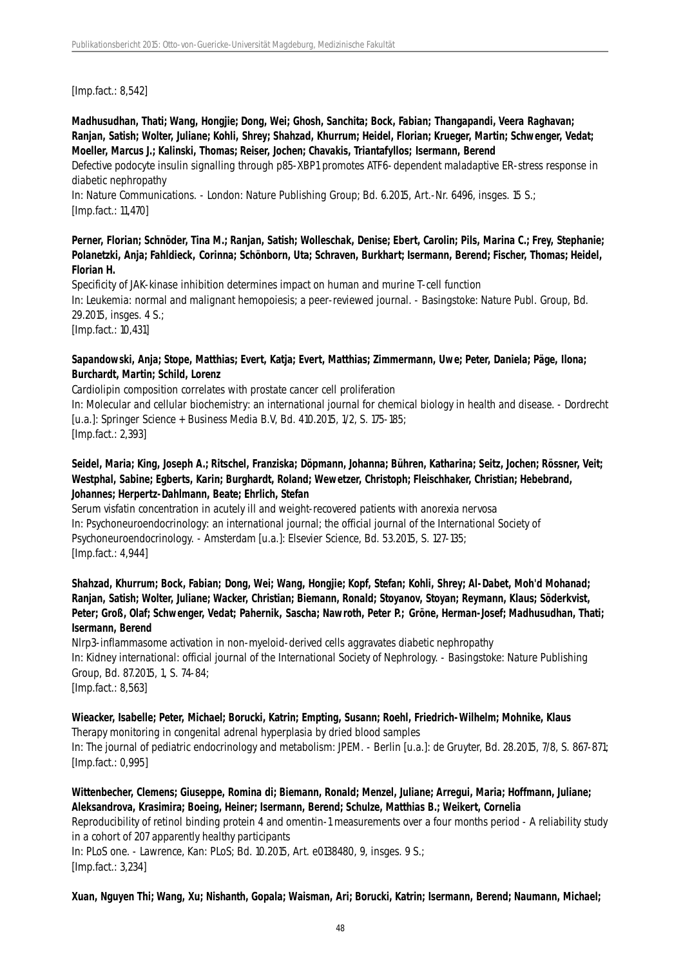[Imp.fact.: 8,542]

**Madhusudhan, Thati; Wang, Hongjie; Dong, Wei; Ghosh, Sanchita; Bock, Fabian; Thangapandi, Veera Raghavan; Ranjan, Satish; Wolter, Juliane; Kohli, Shrey; Shahzad, Khurrum; Heidel, Florian; Krueger, Martin; Schwenger, Vedat; Moeller, Marcus J.; Kalinski, Thomas; Reiser, Jochen; Chavakis, Triantafyllos; Isermann, Berend**

Defective podocyte insulin signalling through p85-XBP1 promotes ATF6-dependent maladaptive ER-stress response in diabetic nephropathy

In: Nature Communications. - London: Nature Publishing Group; Bd. 6.2015, Art.-Nr. 6496, insges. 15 S.; [Imp.fact.: 11,470]

# **Perner, Florian; Schnöder, Tina M.; Ranjan, Satish; Wolleschak, Denise; Ebert, Carolin; Pils, Marina C.; Frey, Stephanie; Polanetzki, Anja; Fahldieck, Corinna; Schönborn, Uta; Schraven, Burkhart; Isermann, Berend; Fischer, Thomas; Heidel, Florian H.**

Specificity of JAK-kinase inhibition determines impact on human and murine T-cell function In: Leukemia: normal and malignant hemopoiesis; a peer-reviewed journal. - Basingstoke: Nature Publ. Group, Bd. 29.2015, insges. 4 S.; [Imp.fact.: 10,431]

### **Sapandowski, Anja; Stope, Matthias; Evert, Katja; Evert, Matthias; Zimmermann, Uwe; Peter, Daniela; Päge, Ilona; Burchardt, Martin; Schild, Lorenz**

Cardiolipin composition correlates with prostate cancer cell proliferation

In: Molecular and cellular biochemistry: an international journal for chemical biology in health and disease. - Dordrecht [u.a.]: Springer Science + Business Media B.V, Bd. 410.2015, 1/2, S. 175-185; [Imp.fact.: 2,393]

# **Seidel, Maria; King, Joseph A.; Ritschel, Franziska; Döpmann, Johanna; Bühren, Katharina; Seitz, Jochen; Rössner, Veit; Westphal, Sabine; Egberts, Karin; Burghardt, Roland; Wewetzer, Christoph; Fleischhaker, Christian; Hebebrand, Johannes; Herpertz-Dahlmann, Beate; Ehrlich, Stefan**

Serum visfatin concentration in acutely ill and weight-recovered patients with anorexia nervosa In: Psychoneuroendocrinology: an international journal; the official journal of the International Society of Psychoneuroendocrinology. - Amsterdam [u.a.]: Elsevier Science, Bd. 53.2015, S. 127-135; [Imp.fact.: 4,944]

**Shahzad, Khurrum; Bock, Fabian; Dong, Wei; Wang, Hongjie; Kopf, Stefan; Kohli, Shrey; Al-Dabet, Moh'd Mohanad; Ranjan, Satish; Wolter, Juliane; Wacker, Christian; Biemann, Ronald; Stoyanov, Stoyan; Reymann, Klaus; Söderkvist, Peter; Groß, Olaf; Schwenger, Vedat; Pahernik, Sascha; Nawroth, Peter P.; Gröne, Herman-Josef; Madhusudhan, Thati; Isermann, Berend**

Nlrp3-inflammasome activation in non-myeloid-derived cells aggravates diabetic nephropathy In: Kidney international: official journal of the International Society of Nephrology. - Basingstoke: Nature Publishing Group, Bd. 87.2015, 1, S. 74-84; [Imp.fact.: 8,563]

### **Wieacker, Isabelle; Peter, Michael; Borucki, Katrin; Empting, Susann; Roehl, Friedrich-Wilhelm; Mohnike, Klaus** Therapy monitoring in congenital adrenal hyperplasia by dried blood samples

In: The journal of pediatric endocrinology and metabolism: JPEM. - Berlin [u.a.]: de Gruyter, Bd. 28.2015, 7/8, S. 867-871; [Imp.fact.: 0,995]

# **Wittenbecher, Clemens; Giuseppe, Romina di; Biemann, Ronald; Menzel, Juliane; Arregui, Maria; Hoffmann, Juliane; Aleksandrova, Krasimira; Boeing, Heiner; Isermann, Berend; Schulze, Matthias B.; Weikert, Cornelia**

Reproducibility of retinol binding protein 4 and omentin-1 measurements over a four months period - A reliability study in a cohort of 207 apparently healthy participants

In: PLoS one. - Lawrence, Kan: PLoS; Bd. 10.2015, Art. e0138480, 9, insges. 9 S.; [Imp.fact.: 3,234]

**Xuan, Nguyen Thi; Wang, Xu; Nishanth, Gopala; Waisman, Ari; Borucki, Katrin; Isermann, Berend; Naumann, Michael;**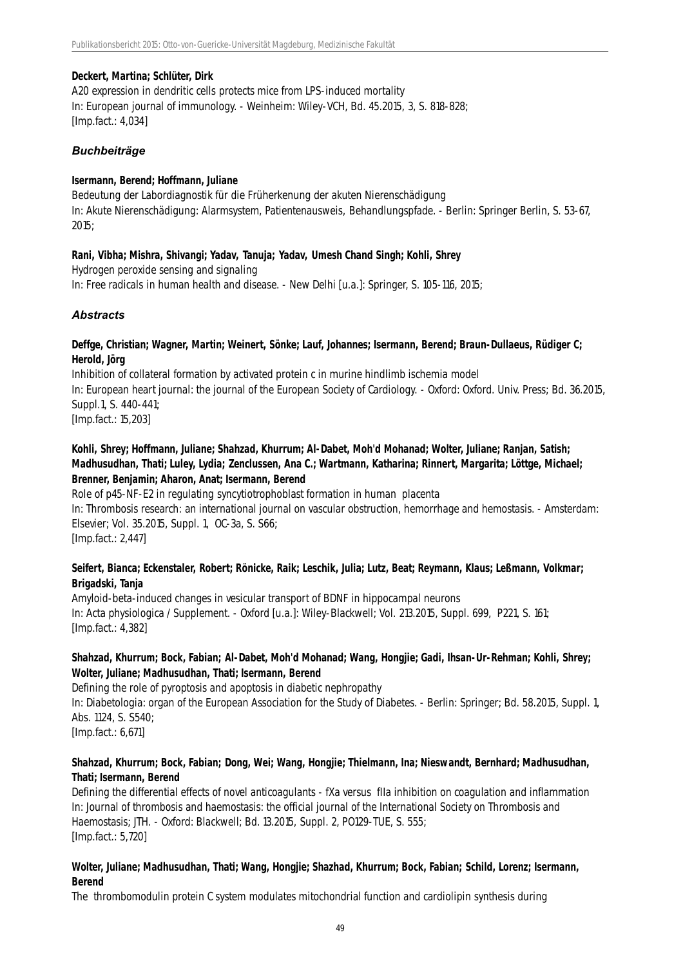### **Deckert, Martina; Schlüter, Dirk**

A20 expression in dendritic cells protects mice from LPS-induced mortality In: European journal of immunology. - Weinheim: Wiley-VCH, Bd. 45.2015, 3, S. 818-828; [Imp.fact.: 4,034]

# *Buchbeiträge*

#### **Isermann, Berend; Hoffmann, Juliane**

Bedeutung der Labordiagnostik für die Früherkenung der akuten Nierenschädigung In: Akute Nierenschädigung: Alarmsystem, Patientenausweis, Behandlungspfade. - Berlin: Springer Berlin, S. 53-67, 2015;

#### **Rani, Vibha; Mishra, Shivangi; Yadav, Tanuja; Yadav, Umesh Chand Singh; Kohli, Shrey**

Hydrogen peroxide sensing and signaling In: Free radicals in human health and disease. - New Delhi [u.a.]: Springer, S. 105-116, 2015;

# *Abstracts*

# **Deffge, Christian; Wagner, Martin; Weinert, Sönke; Lauf, Johannes; Isermann, Berend; Braun-Dullaeus, Rüdiger C; Herold, Jörg**

Inhibition of collateral formation by activated protein c in murine hindlimb ischemia model In: European heart journal: the journal of the European Society of Cardiology. - Oxford: Oxford. Univ. Press; Bd. 36.2015, Suppl.1, S. 440-441; [Imp.fact.: 15,203]

# **Kohli, Shrey; Hoffmann, Juliane; Shahzad, Khurrum; Al-Dabet, Moh'd Mohanad; Wolter, Juliane; Ranjan, Satish; Madhusudhan, Thati; Luley, Lydia; Zenclussen, Ana C.; Wartmann, Katharina; Rinnert, Margarita; Löttge, Michael; Brenner, Benjamin; Aharon, Anat; Isermann, Berend**

Role of p45-NF-E2 in regulating syncytiotrophoblast formation in human placenta In: Thrombosis research: an international journal on vascular obstruction, hemorrhage and hemostasis. - Amsterdam: Elsevier; Vol. 35.2015, Suppl. 1, OC-3a, S. S66; [Imp.fact.: 2,447]

# **Seifert, Bianca; Eckenstaler, Robert; Rönicke, Raik; Leschik, Julia; Lutz, Beat; Reymann, Klaus; Leßmann, Volkmar; Brigadski, Tanja**

Amyloid-beta-induced changes in vesicular transport of BDNF in hippocampal neurons In: Acta physiologica / Supplement. - Oxford [u.a.]: Wiley-Blackwell; Vol. 213.2015, Suppl. 699, P221, S. 161; [Imp.fact.: 4,382]

# **Shahzad, Khurrum; Bock, Fabian; Al-Dabet, Moh'd Mohanad; Wang, Hongjie; Gadi, Ihsan-Ur-Rehman; Kohli, Shrey; Wolter, Juliane; Madhusudhan, Thati; Isermann, Berend**

Defining the role of pyroptosis and apoptosis in diabetic nephropathy In: Diabetologia: organ of the European Association for the Study of Diabetes. - Berlin: Springer; Bd. 58.2015, Suppl. 1, Abs. 1124, S. S540;

[Imp.fact.: 6,671]

# **Shahzad, Khurrum; Bock, Fabian; Dong, Wei; Wang, Hongjie; Thielmann, Ina; Nieswandt, Bernhard; Madhusudhan, Thati; Isermann, Berend**

Defining the differential effects of novel anticoagulants - fXa versus fIIa inhibition on coagulation and inflammation In: Journal of thrombosis and haemostasis: the official journal of the International Society on Thrombosis and Haemostasis; JTH. - Oxford: Blackwell; Bd. 13.2015, Suppl. 2, PO129-TUE, S. 555; [Imp.fact.: 5,720]

# **Wolter, Juliane; Madhusudhan, Thati; Wang, Hongjie; Shazhad, Khurrum; Bock, Fabian; Schild, Lorenz; Isermann, Berend**

The thrombomodulin protein C system modulates mitochondrial function and cardiolipin synthesis during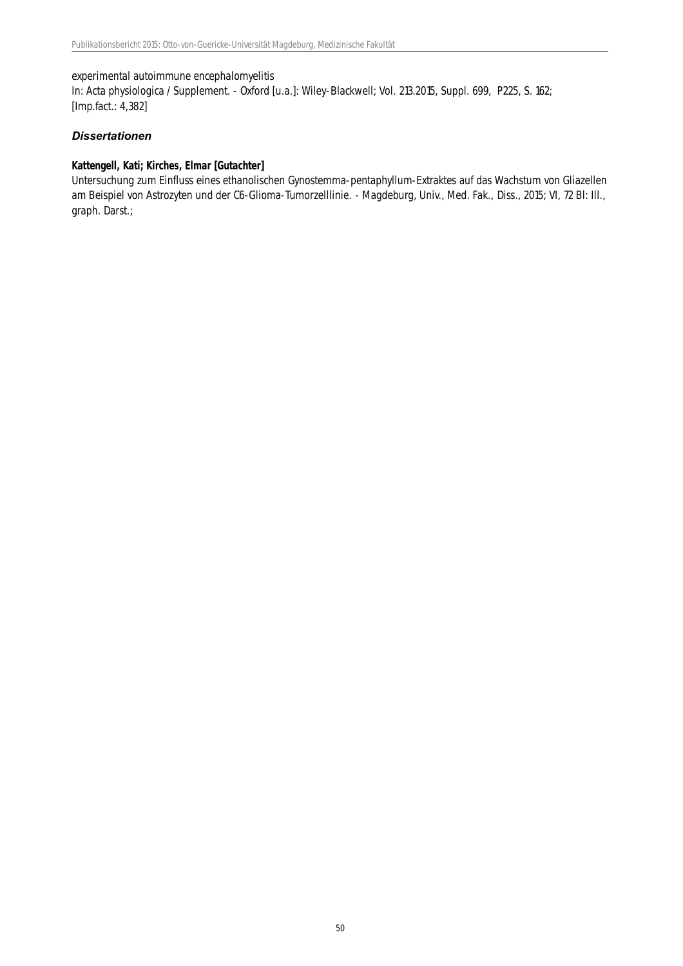#### experimental autoimmune encephalomyelitis

In: Acta physiologica / Supplement. - Oxford [u.a.]: Wiley-Blackwell; Vol. 213.2015, Suppl. 699, P225, S. 162; [Imp.fact.: 4,382]

# *Dissertationen*

# **Kattengell, Kati; Kirches, Elmar [Gutachter]**

Untersuchung zum Einfluss eines ethanolischen Gynostemma-pentaphyllum-Extraktes auf das Wachstum von Gliazellen am Beispiel von Astrozyten und der C6-Glioma-Tumorzelllinie. - Magdeburg, Univ., Med. Fak., Diss., 2015; VI, 72 Bl: Ill., graph. Darst.;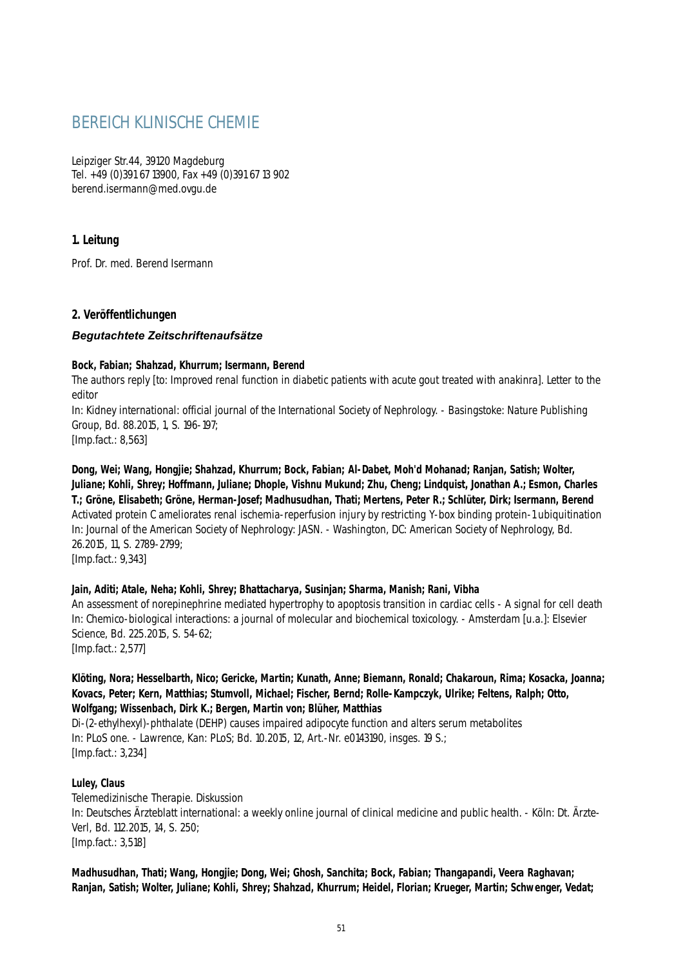# BEREICH KLINISCHE CHEMIE

Leipziger Str.44, 39120 Magdeburg Tel. +49 (0)391 67 13900, Fax +49 (0)391 67 13 902 berend.isermann@med.ovgu.de

# **1. Leitung**

Prof. Dr. med. Berend Isermann

# **2. Veröffentlichungen**

# *Begutachtete Zeitschriftenaufsätze*

#### **Bock, Fabian; Shahzad, Khurrum; Isermann, Berend**

The authors reply [to: Improved renal function in diabetic patients with acute gout treated with anakinra]. Letter to the editor

In: Kidney international: official journal of the International Society of Nephrology. - Basingstoke: Nature Publishing Group, Bd. 88.2015, 1, S. 196-197;

[Imp.fact.: 8,563]

**Dong, Wei; Wang, Hongjie; Shahzad, Khurrum; Bock, Fabian; Al-Dabet, Moh'd Mohanad; Ranjan, Satish; Wolter, Juliane; Kohli, Shrey; Hoffmann, Juliane; Dhople, Vishnu Mukund; Zhu, Cheng; Lindquist, Jonathan A.; Esmon, Charles T.; Gröne, Elisabeth; Gröne, Herman-Josef; Madhusudhan, Thati; Mertens, Peter R.; Schlüter, Dirk; Isermann, Berend** Activated protein C ameliorates renal ischemia-reperfusion injury by restricting Y-box binding protein-1 ubiquitination In: Journal of the American Society of Nephrology: JASN. - Washington, DC: American Society of Nephrology, Bd. 26.2015, 11, S. 2789-2799; [Imp.fact.: 9,343]

# **Jain, Aditi; Atale, Neha; Kohli, Shrey; Bhattacharya, Susinjan; Sharma, Manish; Rani, Vibha**

An assessment of norepinephrine mediated hypertrophy to apoptosis transition in cardiac cells - A signal for cell death In: Chemico-biological interactions: a journal of molecular and biochemical toxicology. - Amsterdam [u.a.]: Elsevier Science, Bd. 225.2015, S. 54-62;

[Imp.fact.: 2,577]

### **Klöting, Nora; Hesselbarth, Nico; Gericke, Martin; Kunath, Anne; Biemann, Ronald; Chakaroun, Rima; Kosacka, Joanna; Kovacs, Peter; Kern, Matthias; Stumvoll, Michael; Fischer, Bernd; Rolle-Kampczyk, Ulrike; Feltens, Ralph; Otto, Wolfgang; Wissenbach, Dirk K.; Bergen, Martin von; Blüher, Matthias**

Di-(2-ethylhexyl)-phthalate (DEHP) causes impaired adipocyte function and alters serum metabolites In: PLoS one. - Lawrence, Kan: PLoS; Bd. 10.2015, 12, Art.-Nr. e0143190, insges. 19 S.; [Imp.fact.: 3,234]

# **Luley, Claus**

Telemedizinische Therapie. Diskussion In: Deutsches Ärzteblatt international: a weekly online journal of clinical medicine and public health. - Köln: Dt. Ärzte-Verl, Bd. 112.2015, 14, S. 250; [Imp.fact.: 3,518]

**Madhusudhan, Thati; Wang, Hongjie; Dong, Wei; Ghosh, Sanchita; Bock, Fabian; Thangapandi, Veera Raghavan; Ranjan, Satish; Wolter, Juliane; Kohli, Shrey; Shahzad, Khurrum; Heidel, Florian; Krueger, Martin; Schwenger, Vedat;**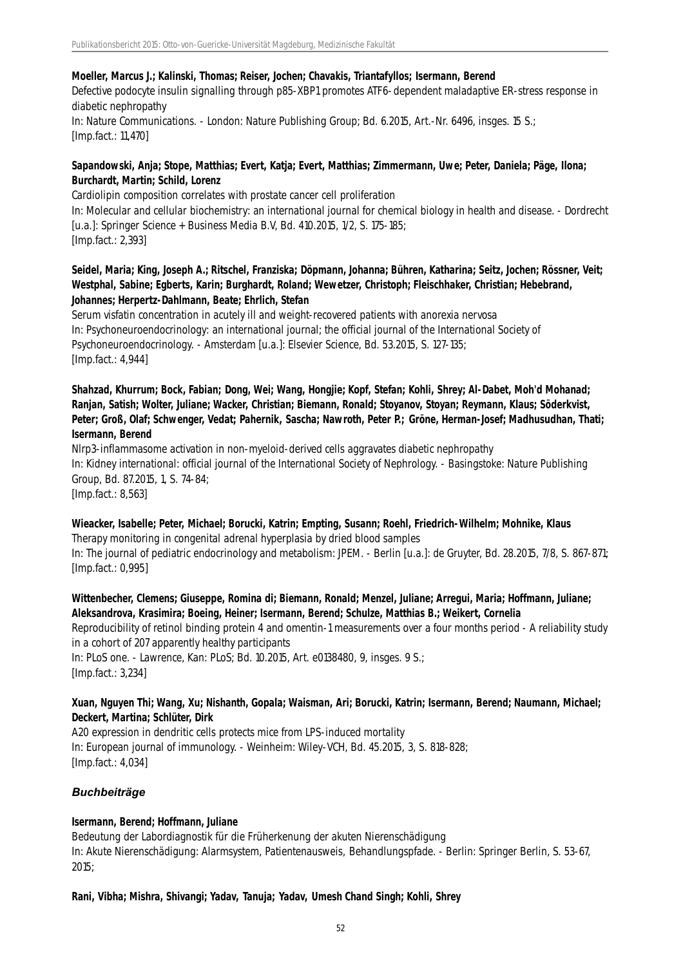#### **Moeller, Marcus J.; Kalinski, Thomas; Reiser, Jochen; Chavakis, Triantafyllos; Isermann, Berend**

Defective podocyte insulin signalling through p85-XBP1 promotes ATF6-dependent maladaptive ER-stress response in diabetic nephropathy

In: Nature Communications. - London: Nature Publishing Group; Bd. 6.2015, Art.-Nr. 6496, insges. 15 S.; [Imp.fact.: 11,470]

# **Sapandowski, Anja; Stope, Matthias; Evert, Katja; Evert, Matthias; Zimmermann, Uwe; Peter, Daniela; Päge, Ilona; Burchardt, Martin; Schild, Lorenz**

Cardiolipin composition correlates with prostate cancer cell proliferation In: Molecular and cellular biochemistry: an international journal for chemical biology in health and disease. - Dordrecht [u.a.]: Springer Science + Business Media B.V, Bd. 410.2015, 1/2, S. 175-185; [Imp.fact.: 2,393]

# **Seidel, Maria; King, Joseph A.; Ritschel, Franziska; Döpmann, Johanna; Bühren, Katharina; Seitz, Jochen; Rössner, Veit; Westphal, Sabine; Egberts, Karin; Burghardt, Roland; Wewetzer, Christoph; Fleischhaker, Christian; Hebebrand, Johannes; Herpertz-Dahlmann, Beate; Ehrlich, Stefan**

Serum visfatin concentration in acutely ill and weight-recovered patients with anorexia nervosa In: Psychoneuroendocrinology: an international journal; the official journal of the International Society of Psychoneuroendocrinology. - Amsterdam [u.a.]: Elsevier Science, Bd. 53.2015, S. 127-135; [Imp.fact.: 4,944]

**Shahzad, Khurrum; Bock, Fabian; Dong, Wei; Wang, Hongjie; Kopf, Stefan; Kohli, Shrey; Al-Dabet, Moh'd Mohanad; Ranjan, Satish; Wolter, Juliane; Wacker, Christian; Biemann, Ronald; Stoyanov, Stoyan; Reymann, Klaus; Söderkvist, Peter; Groß, Olaf; Schwenger, Vedat; Pahernik, Sascha; Nawroth, Peter P.; Gröne, Herman-Josef; Madhusudhan, Thati; Isermann, Berend**

Nlrp3-inflammasome activation in non-myeloid-derived cells aggravates diabetic nephropathy In: Kidney international: official journal of the International Society of Nephrology. - Basingstoke: Nature Publishing Group, Bd. 87.2015, 1, S. 74-84; [Imp.fact.: 8,563]

**Wieacker, Isabelle; Peter, Michael; Borucki, Katrin; Empting, Susann; Roehl, Friedrich-Wilhelm; Mohnike, Klaus** Therapy monitoring in congenital adrenal hyperplasia by dried blood samples In: The journal of pediatric endocrinology and metabolism: JPEM. - Berlin [u.a.]: de Gruyter, Bd. 28.2015, 7/8, S. 867-871; [Imp.fact.: 0,995]

# **Wittenbecher, Clemens; Giuseppe, Romina di; Biemann, Ronald; Menzel, Juliane; Arregui, Maria; Hoffmann, Juliane; Aleksandrova, Krasimira; Boeing, Heiner; Isermann, Berend; Schulze, Matthias B.; Weikert, Cornelia**

Reproducibility of retinol binding protein 4 and omentin-1 measurements over a four months period - A reliability study in a cohort of 207 apparently healthy participants

In: PLoS one. - Lawrence, Kan: PLoS; Bd. 10.2015, Art. e0138480, 9, insges. 9 S.; [Imp.fact.: 3,234]

# **Xuan, Nguyen Thi; Wang, Xu; Nishanth, Gopala; Waisman, Ari; Borucki, Katrin; Isermann, Berend; Naumann, Michael; Deckert, Martina; Schlüter, Dirk**

A20 expression in dendritic cells protects mice from LPS-induced mortality In: European journal of immunology. - Weinheim: Wiley-VCH, Bd. 45.2015, 3, S. 818-828; [Imp.fact.: 4,034]

# *Buchbeiträge*

# **Isermann, Berend; Hoffmann, Juliane**

Bedeutung der Labordiagnostik für die Früherkenung der akuten Nierenschädigung In: Akute Nierenschädigung: Alarmsystem, Patientenausweis, Behandlungspfade. - Berlin: Springer Berlin, S. 53-67, 2015;

# **Rani, Vibha; Mishra, Shivangi; Yadav, Tanuja; Yadav, Umesh Chand Singh; Kohli, Shrey**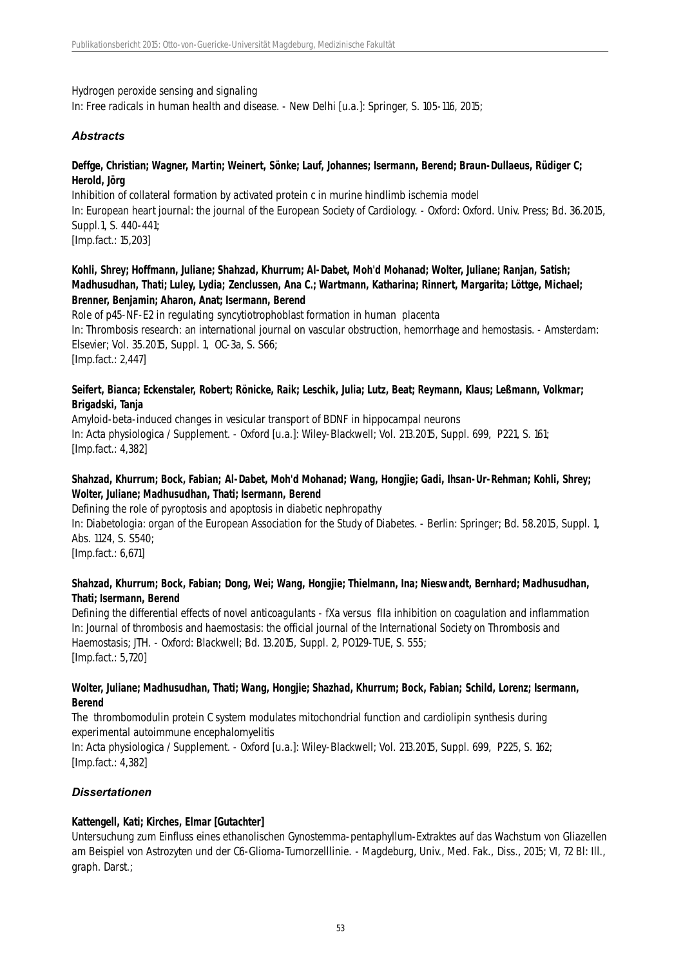### Hydrogen peroxide sensing and signaling

In: Free radicals in human health and disease. - New Delhi [u.a.]: Springer, S. 105-116, 2015;

# *Abstracts*

### **Deffge, Christian; Wagner, Martin; Weinert, Sönke; Lauf, Johannes; Isermann, Berend; Braun-Dullaeus, Rüdiger C; Herold, Jörg**

Inhibition of collateral formation by activated protein c in murine hindlimb ischemia model In: European heart journal: the journal of the European Society of Cardiology. - Oxford: Oxford. Univ. Press; Bd. 36.2015, Suppl.1, S. 440-441; [Imp.fact.: 15,203]

# **Kohli, Shrey; Hoffmann, Juliane; Shahzad, Khurrum; Al-Dabet, Moh'd Mohanad; Wolter, Juliane; Ranjan, Satish; Madhusudhan, Thati; Luley, Lydia; Zenclussen, Ana C.; Wartmann, Katharina; Rinnert, Margarita; Löttge, Michael; Brenner, Benjamin; Aharon, Anat; Isermann, Berend**

Role of p45-NF-E2 in regulating syncytiotrophoblast formation in human placenta In: Thrombosis research: an international journal on vascular obstruction, hemorrhage and hemostasis. - Amsterdam: Elsevier; Vol. 35.2015, Suppl. 1, OC-3a, S. S66; [Imp.fact.: 2,447]

### **Seifert, Bianca; Eckenstaler, Robert; Rönicke, Raik; Leschik, Julia; Lutz, Beat; Reymann, Klaus; Leßmann, Volkmar; Brigadski, Tanja**

Amyloid-beta-induced changes in vesicular transport of BDNF in hippocampal neurons In: Acta physiologica / Supplement. - Oxford [u.a.]: Wiley-Blackwell; Vol. 213.2015, Suppl. 699, P221, S. 161; [Imp.fact.: 4,382]

# **Shahzad, Khurrum; Bock, Fabian; Al-Dabet, Moh'd Mohanad; Wang, Hongjie; Gadi, Ihsan-Ur-Rehman; Kohli, Shrey; Wolter, Juliane; Madhusudhan, Thati; Isermann, Berend**

Defining the role of pyroptosis and apoptosis in diabetic nephropathy In: Diabetologia: organ of the European Association for the Study of Diabetes. - Berlin: Springer; Bd. 58.2015, Suppl. 1, Abs. 1124, S. S540; [Imp.fact.: 6,671]

#### **Shahzad, Khurrum; Bock, Fabian; Dong, Wei; Wang, Hongjie; Thielmann, Ina; Nieswandt, Bernhard; Madhusudhan, Thati; Isermann, Berend**

Defining the differential effects of novel anticoagulants - fXa versus fIIa inhibition on coagulation and inflammation In: Journal of thrombosis and haemostasis: the official journal of the International Society on Thrombosis and Haemostasis; JTH. - Oxford: Blackwell; Bd. 13.2015, Suppl. 2, PO129-TUE, S. 555; [Imp.fact.: 5,720]

#### **Wolter, Juliane; Madhusudhan, Thati; Wang, Hongjie; Shazhad, Khurrum; Bock, Fabian; Schild, Lorenz; Isermann, Berend**

The thrombomodulin protein C system modulates mitochondrial function and cardiolipin synthesis during experimental autoimmune encephalomyelitis

In: Acta physiologica / Supplement. - Oxford [u.a.]: Wiley-Blackwell; Vol. 213.2015, Suppl. 699, P225, S. 162; [Imp.fact.: 4,382]

# *Dissertationen*

# **Kattengell, Kati; Kirches, Elmar [Gutachter]**

Untersuchung zum Einfluss eines ethanolischen Gynostemma-pentaphyllum-Extraktes auf das Wachstum von Gliazellen am Beispiel von Astrozyten und der C6-Glioma-Tumorzelllinie. - Magdeburg, Univ., Med. Fak., Diss., 2015; VI, 72 Bl: Ill., graph. Darst.;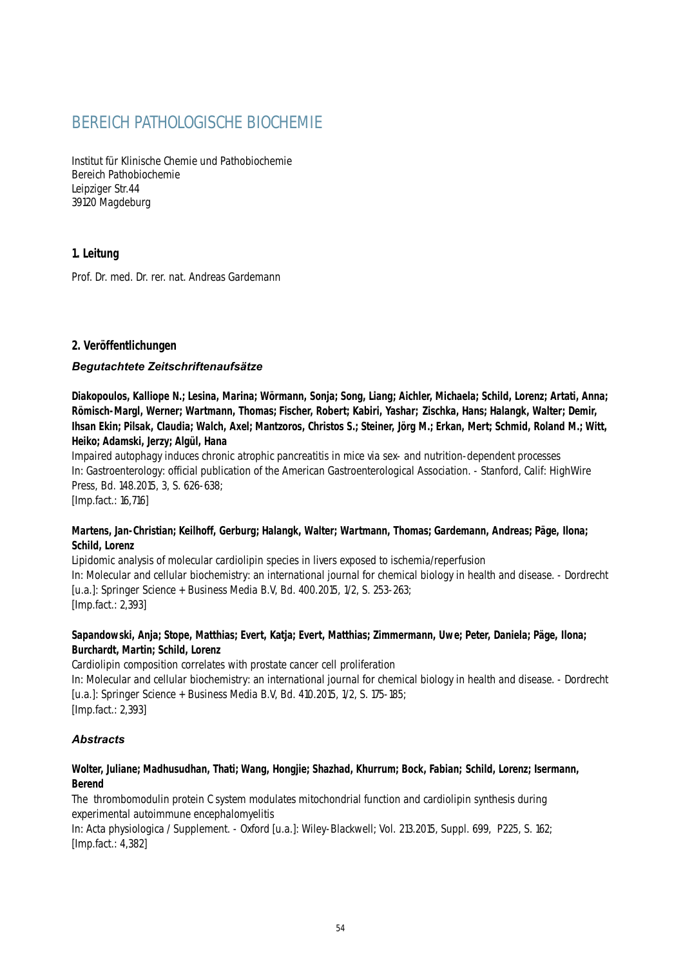# BEREICH PATHOLOGISCHE BIOCHEMIE

Institut für Klinische Chemie und Pathobiochemie Bereich Pathobiochemie Leipziger Str.44 39120 Magdeburg

# **1. Leitung**

Prof. Dr. med. Dr. rer. nat. Andreas Gardemann

# **2. Veröffentlichungen**

# *Begutachtete Zeitschriftenaufsätze*

**Diakopoulos, Kalliope N.; Lesina, Marina; Wörmann, Sonja; Song, Liang; Aichler, Michaela; Schild, Lorenz; Artati, Anna; Römisch-Margl, Werner; Wartmann, Thomas; Fischer, Robert; Kabiri, Yashar; Zischka, Hans; Halangk, Walter; Demir, Ihsan Ekin; Pilsak, Claudia; Walch, Axel; Mantzoros, Christos S.; Steiner, Jörg M.; Erkan, Mert; Schmid, Roland M.; Witt, Heiko; Adamski, Jerzy; Algül, Hana**

Impaired autophagy induces chronic atrophic pancreatitis in mice via sex- and nutrition-dependent processes In: Gastroenterology: official publication of the American Gastroenterological Association. - Stanford, Calif: HighWire Press, Bd. 148.2015, 3, S. 626-638; [Imp.fact.: 16,716]

# **Martens, Jan-Christian; Keilhoff, Gerburg; Halangk, Walter; Wartmann, Thomas; Gardemann, Andreas; Päge, Ilona; Schild, Lorenz**

Lipidomic analysis of molecular cardiolipin species in livers exposed to ischemia/reperfusion In: Molecular and cellular biochemistry: an international journal for chemical biology in health and disease. - Dordrecht [u.a.]: Springer Science + Business Media B.V, Bd. 400.2015, 1/2, S. 253-263; [Imp.fact.: 2,393]

# **Sapandowski, Anja; Stope, Matthias; Evert, Katja; Evert, Matthias; Zimmermann, Uwe; Peter, Daniela; Päge, Ilona; Burchardt, Martin; Schild, Lorenz**

Cardiolipin composition correlates with prostate cancer cell proliferation In: Molecular and cellular biochemistry: an international journal for chemical biology in health and disease. - Dordrecht [u.a.]: Springer Science + Business Media B.V, Bd. 410.2015, 1/2, S. 175-185; [Imp.fact.: 2,393]

# *Abstracts*

# **Wolter, Juliane; Madhusudhan, Thati; Wang, Hongjie; Shazhad, Khurrum; Bock, Fabian; Schild, Lorenz; Isermann, Berend**

The thrombomodulin protein C system modulates mitochondrial function and cardiolipin synthesis during experimental autoimmune encephalomyelitis

In: Acta physiologica / Supplement. - Oxford [u.a.]: Wiley-Blackwell; Vol. 213.2015, Suppl. 699, P225, S. 162; [Imp.fact.: 4,382]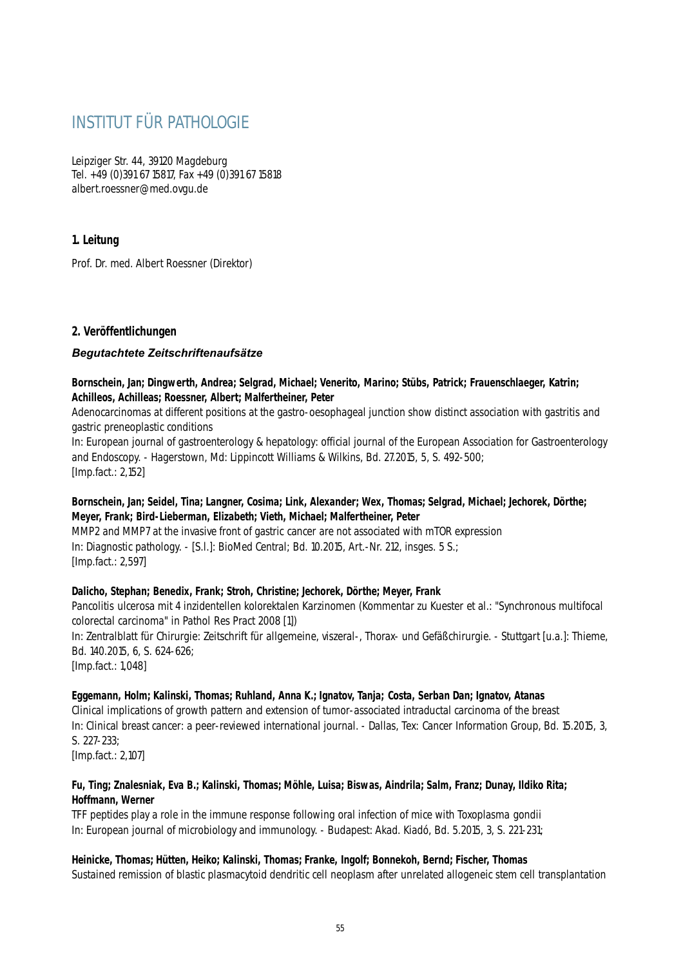# INSTITUT FÜR PATHOLOGIE

Leipziger Str. 44, 39120 Magdeburg Tel. +49 (0)391 67 15817, Fax +49 (0)391 67 15818 albert.roessner@med.ovgu.de

# **1. Leitung**

Prof. Dr. med. Albert Roessner (Direktor)

# **2. Veröffentlichungen**

# *Begutachtete Zeitschriftenaufsätze*

# **Bornschein, Jan; Dingwerth, Andrea; Selgrad, Michael; Venerito, Marino; Stübs, Patrick; Frauenschlaeger, Katrin; Achilleos, Achilleas; Roessner, Albert; Malfertheiner, Peter**

Adenocarcinomas at different positions at the gastro-oesophageal junction show distinct association with gastritis and gastric preneoplastic conditions

In: European journal of gastroenterology & hepatology: official journal of the European Association for Gastroenterology and Endoscopy. - Hagerstown, Md: Lippincott Williams & Wilkins, Bd. 27.2015, 5, S. 492-500; [Imp.fact.: 2,152]

# **Bornschein, Jan; Seidel, Tina; Langner, Cosima; Link, Alexander; Wex, Thomas; Selgrad, Michael; Jechorek, Dörthe; Meyer, Frank; Bird-Lieberman, Elizabeth; Vieth, Michael; Malfertheiner, Peter**

MMP2 and MMP7 at the invasive front of gastric cancer are not associated with mTOR expression In: Diagnostic pathology. - [S.l.]: BioMed Central; Bd. 10.2015, Art.-Nr. 212, insges. 5 S.; [Imp.fact.: 2,597]

# **Dalicho, Stephan; Benedix, Frank; Stroh, Christine; Jechorek, Dörthe; Meyer, Frank**

Pancolitis ulcerosa mit 4 inzidentellen kolorektalen Karzinomen (Kommentar zu Kuester et al.: "Synchronous multifocal colorectal carcinoma" in Pathol Res Pract 2008 [1])

In: Zentralblatt für Chirurgie: Zeitschrift für allgemeine, viszeral-, Thorax- und Gefäßchirurgie. - Stuttgart [u.a.]: Thieme, Bd. 140.2015, 6, S. 624-626;

[Imp.fact.: 1,048]

# **Eggemann, Holm; Kalinski, Thomas; Ruhland, Anna K.; Ignatov, Tanja; Costa, Serban Dan; Ignatov, Atanas**

Clinical implications of growth pattern and extension of tumor-associated intraductal carcinoma of the breast In: Clinical breast cancer: a peer-reviewed international journal. - Dallas, Tex: Cancer Information Group, Bd. 15.2015, 3, S. 227-233;

[Imp.fact.: 2,107]

# **Fu, Ting; Znalesniak, Eva B.; Kalinski, Thomas; Möhle, Luisa; Biswas, Aindrila; Salm, Franz; Dunay, Ildiko Rita; Hoffmann, Werner**

TFF peptides play a role in the immune response following oral infection of mice with Toxoplasma gondii In: European journal of microbiology and immunology. - Budapest: Akad. Kiadó, Bd. 5.2015, 3, S. 221-231;

# **Heinicke, Thomas; Hütten, Heiko; Kalinski, Thomas; Franke, Ingolf; Bonnekoh, Bernd; Fischer, Thomas**

Sustained remission of blastic plasmacytoid dendritic cell neoplasm after unrelated allogeneic stem cell transplantation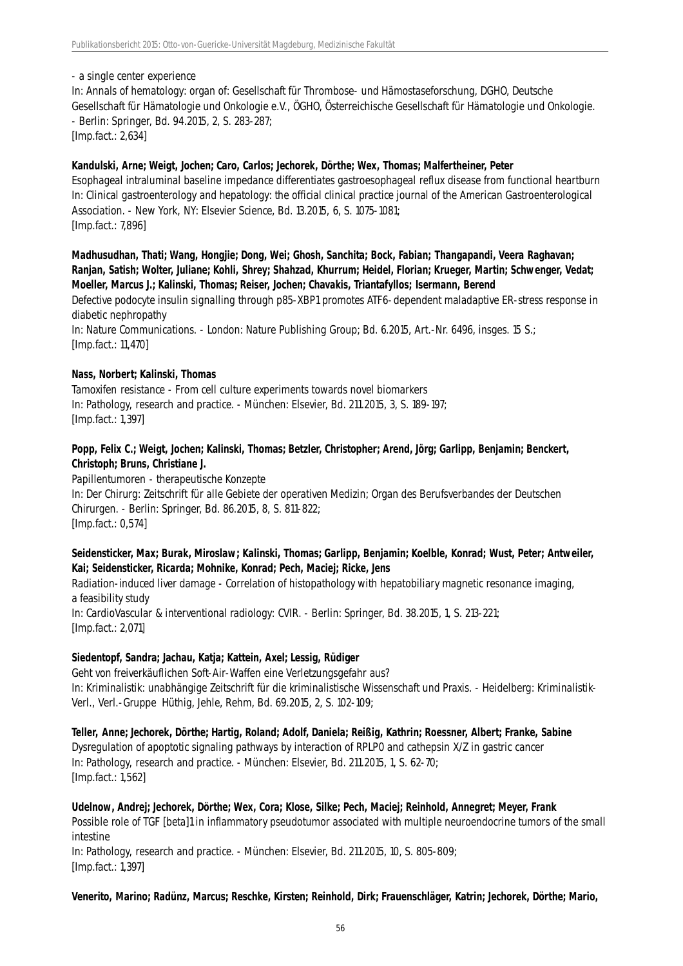- a single center experience

In: Annals of hematology: organ of: Gesellschaft für Thrombose- und Hämostaseforschung, DGHO, Deutsche Gesellschaft für Hämatologie und Onkologie e.V., ÖGHO, Österreichische Gesellschaft für Hämatologie und Onkologie. - Berlin: Springer, Bd. 94.2015, 2, S. 283-287;

[Imp.fact.: 2,634]

### **Kandulski, Arne; Weigt, Jochen; Caro, Carlos; Jechorek, Dörthe; Wex, Thomas; Malfertheiner, Peter**

Esophageal intraluminal baseline impedance differentiates gastroesophageal reflux disease from functional heartburn In: Clinical gastroenterology and hepatology: the official clinical practice journal of the American Gastroenterological Association. - New York, NY: Elsevier Science, Bd. 13.2015, 6, S. 1075-1081; [Imp.fact.: 7,896]

**Madhusudhan, Thati; Wang, Hongjie; Dong, Wei; Ghosh, Sanchita; Bock, Fabian; Thangapandi, Veera Raghavan; Ranjan, Satish; Wolter, Juliane; Kohli, Shrey; Shahzad, Khurrum; Heidel, Florian; Krueger, Martin; Schwenger, Vedat; Moeller, Marcus J.; Kalinski, Thomas; Reiser, Jochen; Chavakis, Triantafyllos; Isermann, Berend**

Defective podocyte insulin signalling through p85-XBP1 promotes ATF6-dependent maladaptive ER-stress response in diabetic nephropathy

In: Nature Communications. - London: Nature Publishing Group; Bd. 6.2015, Art.-Nr. 6496, insges. 15 S.; [Imp.fact.: 11,470]

#### **Nass, Norbert; Kalinski, Thomas**

Tamoxifen resistance - From cell culture experiments towards novel biomarkers In: Pathology, research and practice. - München: Elsevier, Bd. 211.2015, 3, S. 189-197; [Imp.fact.: 1,397]

# **Popp, Felix C.; Weigt, Jochen; Kalinski, Thomas; Betzler, Christopher; Arend, Jörg; Garlipp, Benjamin; Benckert, Christoph; Bruns, Christiane J.**

Papillentumoren - therapeutische Konzepte In: Der Chirurg: Zeitschrift für alle Gebiete der operativen Medizin; Organ des Berufsverbandes der Deutschen Chirurgen. - Berlin: Springer, Bd. 86.2015, 8, S. 811-822; [Imp.fact.: 0,574]

# **Seidensticker, Max; Burak, Miroslaw; Kalinski, Thomas; Garlipp, Benjamin; Koelble, Konrad; Wust, Peter; Antweiler, Kai; Seidensticker, Ricarda; Mohnike, Konrad; Pech, Maciej; Ricke, Jens**

Radiation-induced liver damage - Correlation of histopathology with hepatobiliary magnetic resonance imaging, a feasibility study In: CardioVascular & interventional radiology: CVIR. - Berlin: Springer, Bd. 38.2015, 1, S. 213-221; [Imp.fact.: 2,071]

# **Siedentopf, Sandra; Jachau, Katja; Kattein, Axel; Lessig, Rüdiger**

Geht von freiverkäuflichen Soft-Air-Waffen eine Verletzungsgefahr aus? In: Kriminalistik: unabhängige Zeitschrift für die kriminalistische Wissenschaft und Praxis. - Heidelberg: Kriminalistik-Verl., Verl.-Gruppe Hüthig, Jehle, Rehm, Bd. 69.2015, 2, S. 102-109;

**Teller, Anne; Jechorek, Dörthe; Hartig, Roland; Adolf, Daniela; Reißig, Kathrin; Roessner, Albert; Franke, Sabine** Dysregulation of apoptotic signaling pathways by interaction of RPLP0 and cathepsin X/Z in gastric cancer In: Pathology, research and practice. - München: Elsevier, Bd. 211.2015, 1, S. 62-70; [Imp.fact.: 1,562]

**Udelnow, Andrej; Jechorek, Dörthe; Wex, Cora; Klose, Silke; Pech, Maciej; Reinhold, Annegret; Meyer, Frank** Possible role of TGF [beta]1 in inflammatory pseudotumor associated with multiple neuroendocrine tumors of the small intestine In: Pathology, research and practice. - München: Elsevier, Bd. 211.2015, 10, S. 805-809; [Imp.fact.: 1,397]

**Venerito, Marino; Radünz, Marcus; Reschke, Kirsten; Reinhold, Dirk; Frauenschläger, Katrin; Jechorek, Dörthe; Mario,**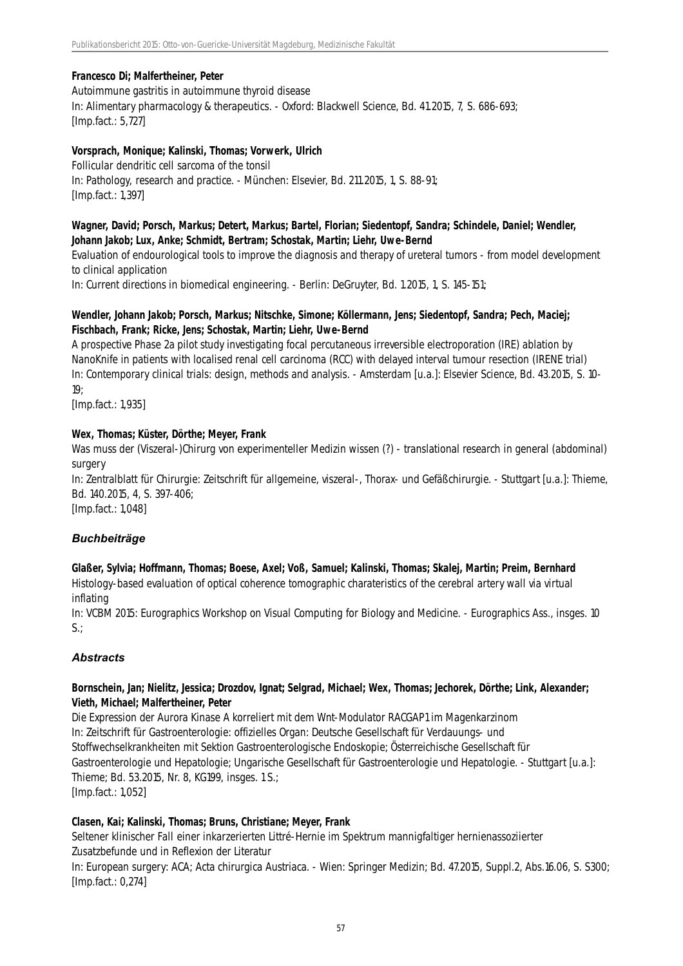# **Francesco Di; Malfertheiner, Peter**

#### Autoimmune gastritis in autoimmune thyroid disease

In: Alimentary pharmacology & therapeutics. - Oxford: Blackwell Science, Bd. 41.2015, 7, S. 686-693; [Imp.fact.: 5,727]

#### **Vorsprach, Monique; Kalinski, Thomas; Vorwerk, Ulrich**

Follicular dendritic cell sarcoma of the tonsil In: Pathology, research and practice. - München: Elsevier, Bd. 211.2015, 1, S. 88-91; [Imp.fact.: 1,397]

### **Wagner, David; Porsch, Markus; Detert, Markus; Bartel, Florian; Siedentopf, Sandra; Schindele, Daniel; Wendler, Johann Jakob; Lux, Anke; Schmidt, Bertram; Schostak, Martin; Liehr, Uwe-Bernd**

Evaluation of endourological tools to improve the diagnosis and therapy of ureteral tumors - from model development to clinical application

In: Current directions in biomedical engineering. - Berlin: DeGruyter, Bd. 1.2015, 1, S. 145-151;

# **Wendler, Johann Jakob; Porsch, Markus; Nitschke, Simone; Köllermann, Jens; Siedentopf, Sandra; Pech, Maciej; Fischbach, Frank; Ricke, Jens; Schostak, Martin; Liehr, Uwe-Bernd**

A prospective Phase 2a pilot study investigating focal percutaneous irreversible electroporation (IRE) ablation by NanoKnife in patients with localised renal cell carcinoma (RCC) with delayed interval tumour resection (IRENE trial) In: Contemporary clinical trials: design, methods and analysis. - Amsterdam [u.a.]: Elsevier Science, Bd. 43.2015, S. 10- 19;

[Imp.fact.: 1,935]

# **Wex, Thomas; Küster, Dörthe; Meyer, Frank**

Was muss der (Viszeral-)Chirurg von experimenteller Medizin wissen (?) - translational research in general (abdominal) surgery

In: Zentralblatt für Chirurgie: Zeitschrift für allgemeine, viszeral-, Thorax- und Gefäßchirurgie. - Stuttgart [u.a.]: Thieme, Bd. 140.2015, 4, S. 397-406;

[Imp.fact.: 1,048]

# *Buchbeiträge*

**Glaßer, Sylvia; Hoffmann, Thomas; Boese, Axel; Voß, Samuel; Kalinski, Thomas; Skalej, Martin; Preim, Bernhard** Histology-based evaluation of optical coherence tomographic charateristics of the cerebral artery wall via virtual inflating

In: VCBM 2015: Eurographics Workshop on Visual Computing for Biology and Medicine. - Eurographics Ass., insges. 10  $S$ .:

# *Abstracts*

# **Bornschein, Jan; Nielitz, Jessica; Drozdov, Ignat; Selgrad, Michael; Wex, Thomas; Jechorek, Dörthe; Link, Alexander; Vieth, Michael; Malfertheiner, Peter**

Die Expression der Aurora Kinase A korreliert mit dem Wnt-Modulator RACGAP1 im Magenkarzinom In: Zeitschrift für Gastroenterologie: offizielles Organ: Deutsche Gesellschaft für Verdauungs- und Stoffwechselkrankheiten mit Sektion Gastroenterologische Endoskopie; Österreichische Gesellschaft für Gastroenterologie und Hepatologie; Ungarische Gesellschaft für Gastroenterologie und Hepatologie. - Stuttgart [u.a.]: Thieme; Bd. 53.2015, Nr. 8, KG199, insges. 1 S.; [Imp.fact.: 1,052]

#### **Clasen, Kai; Kalinski, Thomas; Bruns, Christiane; Meyer, Frank**

Seltener klinischer Fall einer inkarzerierten Littré-Hernie im Spektrum mannigfaltiger hernienassoziierter Zusatzbefunde und in Reflexion der Literatur

In: European surgery: ACA; Acta chirurgica Austriaca. - Wien: Springer Medizin; Bd. 47.2015, Suppl.2, Abs.16.06, S. S300; [Imp.fact.: 0,274]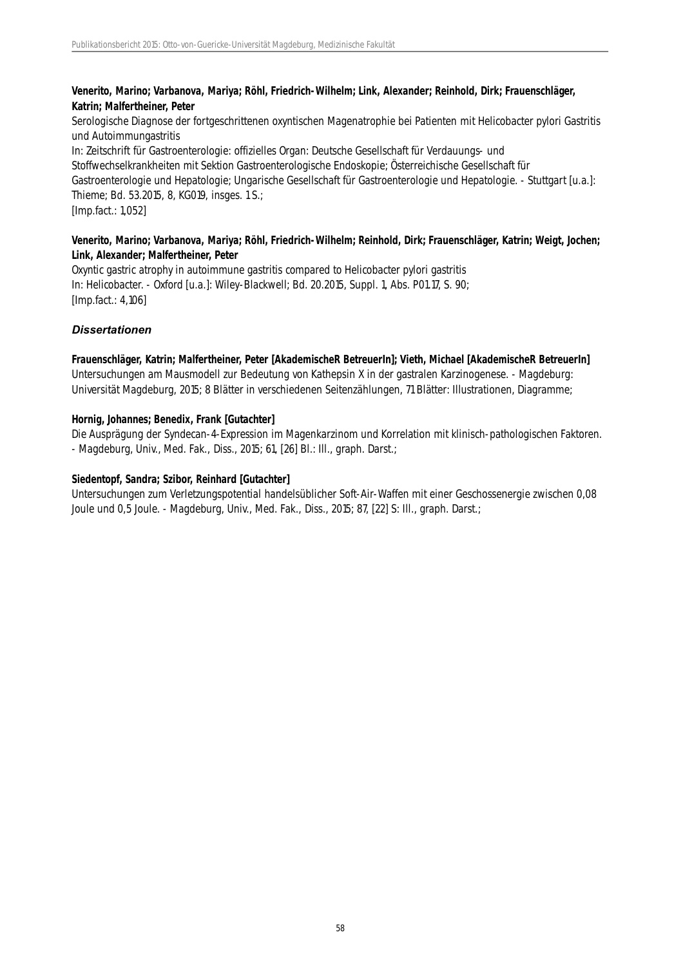# **Venerito, Marino; Varbanova, Mariya; Röhl, Friedrich-Wilhelm; Link, Alexander; Reinhold, Dirk; Frauenschläger, Katrin; Malfertheiner, Peter**

Serologische Diagnose der fortgeschrittenen oxyntischen Magenatrophie bei Patienten mit Helicobacter pylori Gastritis und Autoimmungastritis In: Zeitschrift für Gastroenterologie: offizielles Organ: Deutsche Gesellschaft für Verdauungs- und Stoffwechselkrankheiten mit Sektion Gastroenterologische Endoskopie; Österreichische Gesellschaft für Gastroenterologie und Hepatologie; Ungarische Gesellschaft für Gastroenterologie und Hepatologie. - Stuttgart [u.a.]: Thieme; Bd. 53.2015, 8, KG019, insges. 1 S.; [Imp.fact.: 1,052]

### **Venerito, Marino; Varbanova, Mariya; Röhl, Friedrich-Wilhelm; Reinhold, Dirk; Frauenschläger, Katrin; Weigt, Jochen; Link, Alexander; Malfertheiner, Peter**

Oxyntic gastric atrophy in autoimmune gastritis compared to Helicobacter pylori gastritis In: Helicobacter. - Oxford [u.a.]: Wiley-Blackwell; Bd. 20.2015, Suppl. 1, Abs. P01.17, S. 90; [Imp.fact.: 4,106]

# *Dissertationen*

**Frauenschläger, Katrin; Malfertheiner, Peter [AkademischeR BetreuerIn]; Vieth, Michael [AkademischeR BetreuerIn]**

Untersuchungen am Mausmodell zur Bedeutung von Kathepsin X in der gastralen Karzinogenese. - Magdeburg: Universität Magdeburg, 2015; 8 Blätter in verschiedenen Seitenzählungen, 71 Blätter: Illustrationen, Diagramme;

#### **Hornig, Johannes; Benedix, Frank [Gutachter]**

Die Ausprägung der Syndecan-4-Expression im Magenkarzinom und Korrelation mit klinisch-pathologischen Faktoren. - Magdeburg, Univ., Med. Fak., Diss., 2015; 61, [26] Bl.: Ill., graph. Darst.;

### **Siedentopf, Sandra; Szibor, Reinhard [Gutachter]**

Untersuchungen zum Verletzungspotential handelsüblicher Soft-Air-Waffen mit einer Geschossenergie zwischen 0,08 Joule und 0,5 Joule. - Magdeburg, Univ., Med. Fak., Diss., 2015; 87, [22] S: III., graph. Darst.;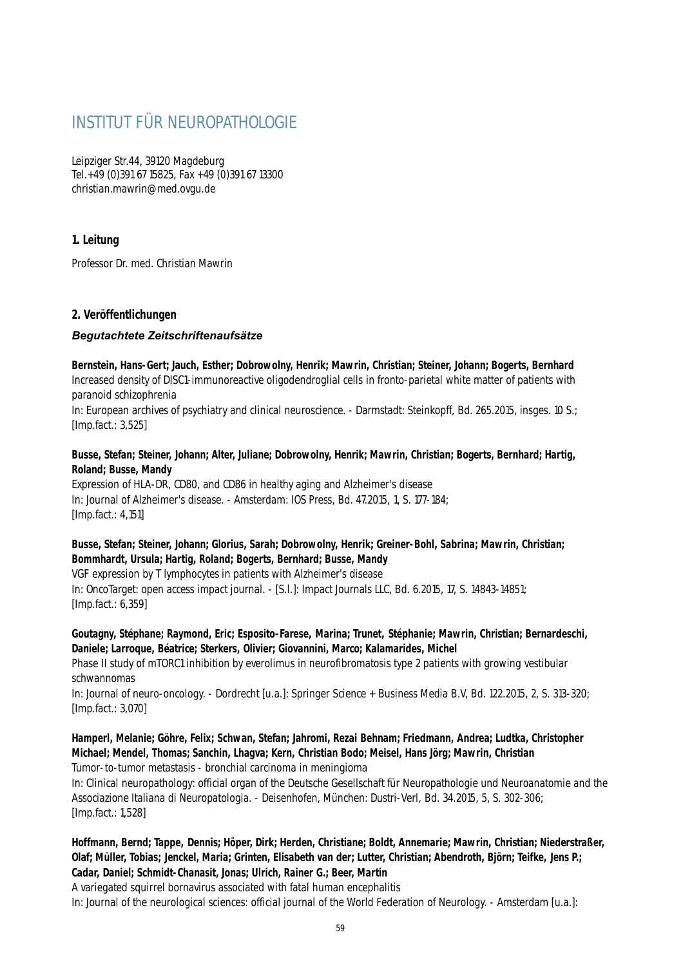# INSTITUT FÜR NEUROPATHOLOGIE

Leipziger Str.44, 39120 Magdeburg Tel.+49 (0)391 67 15825, Fax +49 (0)391 67 13300 christian.mawrin@med.ovgu.de

# **1. Leitung**

Professor Dr. med. Christian Mawrin

# **2. Veröffentlichungen**

# *Begutachtete Zeitschriftenaufsätze*

**Bernstein, Hans-Gert; Jauch, Esther; Dobrowolny, Henrik; Mawrin, Christian; Steiner, Johann; Bogerts, Bernhard** Increased density of DISC1-immunoreactive oligodendroglial cells in fronto-parietal white matter of patients with paranoid schizophrenia In: European archives of psychiatry and clinical neuroscience. - Darmstadt: Steinkopff, Bd. 265.2015, insges. 10 S.; [Imp.fact.: 3,525]

# **Busse, Stefan; Steiner, Johann; Alter, Juliane; Dobrowolny, Henrik; Mawrin, Christian; Bogerts, Bernhard; Hartig, Roland; Busse, Mandy**

Expression of HLA-DR, CD80, and CD86 in healthy aging and Alzheimer's disease In: Journal of Alzheimer's disease. - Amsterdam: IOS Press, Bd. 47.2015, 1, S. 177-184; [Imp.fact.: 4,151]

# **Busse, Stefan; Steiner, Johann; Glorius, Sarah; Dobrowolny, Henrik; Greiner-Bohl, Sabrina; Mawrin, Christian; Bommhardt, Ursula; Hartig, Roland; Bogerts, Bernhard; Busse, Mandy**

VGF expression by T lymphocytes in patients with Alzheimer's disease In: OncoTarget: open access impact journal. - [S.l.]: Impact Journals LLC, Bd. 6.2015, 17, S. 14843-14851; [Imp.fact.: 6,359]

# **Goutagny, Stéphane; Raymond, Eric; Esposito-Farese, Marina; Trunet, Stéphanie; Mawrin, Christian; Bernardeschi, Daniele; Larroque, Béatrice; Sterkers, Olivier; Giovannini, Marco; Kalamarides, Michel**

Phase II study of mTORC1 inhibition by everolimus in neurofibromatosis type 2 patients with growing vestibular schwannomas

In: Journal of neuro-oncology. - Dordrecht [u.a.]: Springer Science + Business Media B.V, Bd. 122.2015, 2, S. 313-320; [Imp.fact.: 3,070]

# **Hamperl, Melanie; Göhre, Felix; Schwan, Stefan; Jahromi, Rezai Behnam; Friedmann, Andrea; Ludtka, Christopher Michael; Mendel, Thomas; Sanchin, Lhagva; Kern, Christian Bodo; Meisel, Hans Jörg; Mawrin, Christian**

Tumor-to-tumor metastasis - bronchial carcinoma in meningioma

In: Clinical neuropathology: official organ of the Deutsche Gesellschaft für Neuropathologie und Neuroanatomie and the Associazione Italiana di Neuropatologia. - Deisenhofen, München: Dustri-Verl, Bd. 34.2015, 5, S. 302-306; [Imp.fact.: 1,528]

# **Hoffmann, Bernd; Tappe, Dennis; Höper, Dirk; Herden, Christiane; Boldt, Annemarie; Mawrin, Christian; Niederstraßer, Olaf; Müller, Tobias; Jenckel, Maria; Grinten, Elisabeth van der; Lutter, Christian; Abendroth, Björn; Teifke, Jens P.; Cadar, Daniel; Schmidt-Chanasit, Jonas; Ulrich, Rainer G.; Beer, Martin**

A variegated squirrel bornavirus associated with fatal human encephalitis In: Journal of the neurological sciences: official journal of the World Federation of Neurology. - Amsterdam [u.a.]: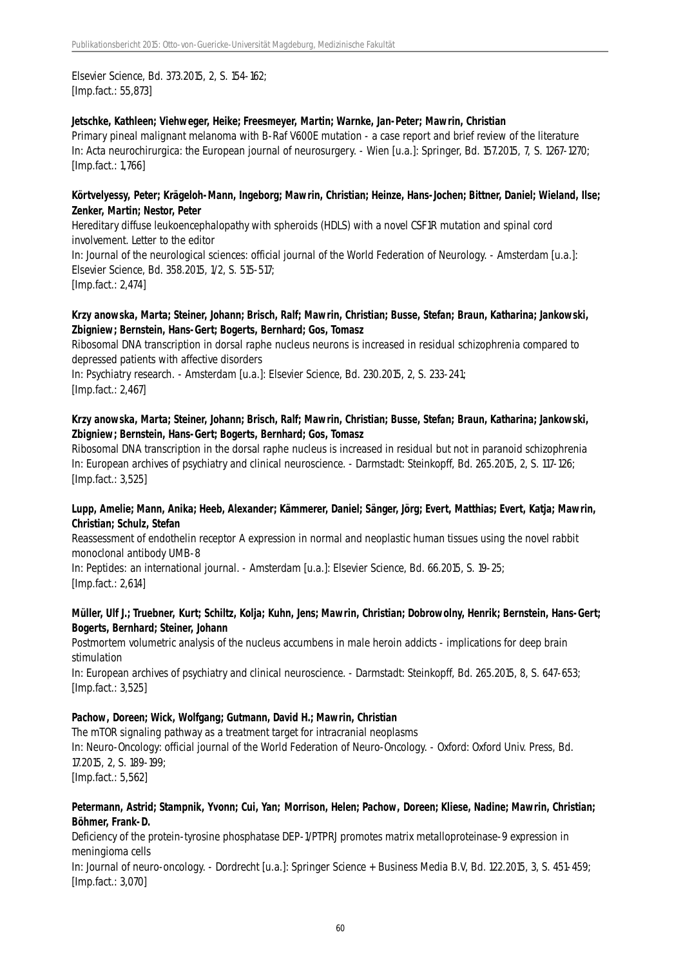# Elsevier Science, Bd. 373.2015, 2, S. 154-162; [Imp.fact.: 55,873]

#### **Jetschke, Kathleen; Viehweger, Heike; Freesmeyer, Martin; Warnke, Jan-Peter; Mawrin, Christian**

Primary pineal malignant melanoma with B-Raf V600E mutation - a case report and brief review of the literature In: Acta neurochirurgica: the European journal of neurosurgery. - Wien [u.a.]: Springer, Bd. 157.2015, 7, S. 1267-1270; [Imp.fact.: 1,766]

#### **Körtvelyessy, Peter; Krägeloh-Mann, Ingeborg; Mawrin, Christian; Heinze, Hans-Jochen; Bittner, Daniel; Wieland, Ilse; Zenker, Martin; Nestor, Peter**

Hereditary diffuse leukoencephalopathy with spheroids (HDLS) with a novel CSF1R mutation and spinal cord involvement. Letter to the editor In: Journal of the neurological sciences: official journal of the World Federation of Neurology. - Amsterdam [u.a.]: Elsevier Science, Bd. 358.2015, 1/2, S. 515-517; [Imp.fact.: 2,474]

### **Krzy anowska, Marta; Steiner, Johann; Brisch, Ralf; Mawrin, Christian; Busse, Stefan; Braun, Katharina; Jankowski, Zbigniew; Bernstein, Hans-Gert; Bogerts, Bernhard; Gos, Tomasz**

Ribosomal DNA transcription in dorsal raphe nucleus neurons is increased in residual schizophrenia compared to depressed patients with affective disorders

In: Psychiatry research. - Amsterdam [u.a.]: Elsevier Science, Bd. 230.2015, 2, S. 233-241; [Imp.fact.: 2,467]

# **Krzy anowska, Marta; Steiner, Johann; Brisch, Ralf; Mawrin, Christian; Busse, Stefan; Braun, Katharina; Jankowski, Zbigniew; Bernstein, Hans-Gert; Bogerts, Bernhard; Gos, Tomasz**

Ribosomal DNA transcription in the dorsal raphe nucleus is increased in residual but not in paranoid schizophrenia In: European archives of psychiatry and clinical neuroscience. - Darmstadt: Steinkopff, Bd. 265.2015, 2, S. 117-126; [Imp.fact.: 3,525]

#### **Lupp, Amelie; Mann, Anika; Heeb, Alexander; Kämmerer, Daniel; Sänger, Jörg; Evert, Matthias; Evert, Katja; Mawrin, Christian; Schulz, Stefan**

Reassessment of endothelin receptor A expression in normal and neoplastic human tissues using the novel rabbit monoclonal antibody UMB-8

In: Peptides: an international journal. - Amsterdam [u.a.]: Elsevier Science, Bd. 66.2015, S. 19-25; [Imp.fact.: 2,614]

#### **Müller, Ulf J.; Truebner, Kurt; Schiltz, Kolja; Kuhn, Jens; Mawrin, Christian; Dobrowolny, Henrik; Bernstein, Hans-Gert; Bogerts, Bernhard; Steiner, Johann**

Postmortem volumetric analysis of the nucleus accumbens in male heroin addicts - implications for deep brain stimulation

In: European archives of psychiatry and clinical neuroscience. - Darmstadt: Steinkopff, Bd. 265.2015, 8, S. 647-653; [Imp.fact.: 3,525]

#### **Pachow, Doreen; Wick, Wolfgang; Gutmann, David H.; Mawrin, Christian**

The mTOR signaling pathway as a treatment target for intracranial neoplasms In: Neuro-Oncology: official journal of the World Federation of Neuro-Oncology. - Oxford: Oxford Univ. Press, Bd. 17.2015, 2, S. 189-199; [Imp.fact.: 5,562]

#### **Petermann, Astrid; Stampnik, Yvonn; Cui, Yan; Morrison, Helen; Pachow, Doreen; Kliese, Nadine; Mawrin, Christian; Böhmer, Frank-D.**

Deficiency of the protein-tyrosine phosphatase DEP-1/PTPRJ promotes matrix metalloproteinase-9 expression in meningioma cells

In: Journal of neuro-oncology. - Dordrecht [u.a.]: Springer Science + Business Media B.V, Bd. 122.2015, 3, S. 451-459; [Imp.fact.: 3,070]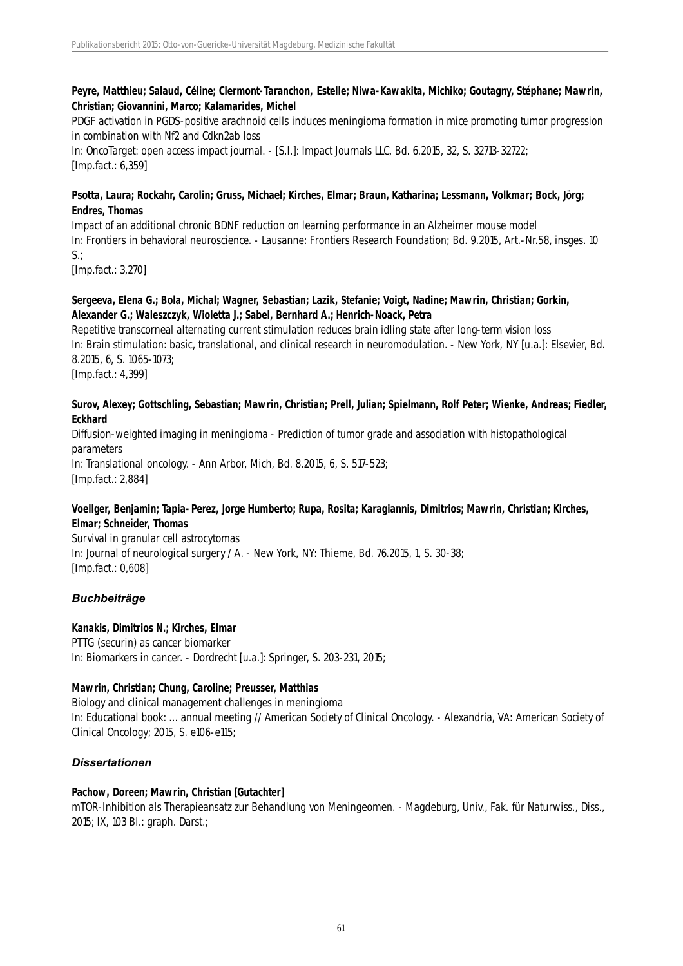# **Peyre, Matthieu; Salaud, Céline; Clermont-Taranchon, Estelle; Niwa-Kawakita, Michiko; Goutagny, Stéphane; Mawrin, Christian; Giovannini, Marco; Kalamarides, Michel**

PDGF activation in PGDS-positive arachnoid cells induces meningioma formation in mice promoting tumor progression in combination with Nf2 and Cdkn2ab loss

In: OncoTarget: open access impact journal. - [S.l.]: Impact Journals LLC, Bd. 6.2015, 32, S. 32713-32722; [Imp.fact.: 6,359]

# **Psotta, Laura; Rockahr, Carolin; Gruss, Michael; Kirches, Elmar; Braun, Katharina; Lessmann, Volkmar; Bock, Jörg; Endres, Thomas**

Impact of an additional chronic BDNF reduction on learning performance in an Alzheimer mouse model In: Frontiers in behavioral neuroscience. - Lausanne: Frontiers Research Foundation; Bd. 9.2015, Art.-Nr.58, insges. 10 S.;

[Imp.fact.: 3,270]

# **Sergeeva, Elena G.; Bola, Michal; Wagner, Sebastian; Lazik, Stefanie; Voigt, Nadine; Mawrin, Christian; Gorkin, Alexander G.; Waleszczyk, Wioletta J.; Sabel, Bernhard A.; Henrich-Noack, Petra**

Repetitive transcorneal alternating current stimulation reduces brain idling state after long-term vision loss In: Brain stimulation: basic, translational, and clinical research in neuromodulation. - New York, NY [u.a.]: Elsevier, Bd. 8.2015, 6, S. 1065-1073; [Imp.fact.: 4,399]

# **Surov, Alexey; Gottschling, Sebastian; Mawrin, Christian; Prell, Julian; Spielmann, Rolf Peter; Wienke, Andreas; Fiedler, Eckhard**

Diffusion-weighted imaging in meningioma - Prediction of tumor grade and association with histopathological parameters In: Translational oncology. - Ann Arbor, Mich, Bd. 8.2015, 6, S. 517-523; [Imp.fact.: 2,884]

# **Voellger, Benjamin; Tapia-Perez, Jorge Humberto; Rupa, Rosita; Karagiannis, Dimitrios; Mawrin, Christian; Kirches, Elmar; Schneider, Thomas**

Survival in granular cell astrocytomas In: Journal of neurological surgery / A. - New York, NY: Thieme, Bd. 76.2015, 1, S. 30-38; [Imp.fact.: 0,608]

# *Buchbeiträge*

# **Kanakis, Dimitrios N.; Kirches, Elmar**

PTTG (securin) as cancer biomarker In: Biomarkers in cancer. - Dordrecht [u.a.]: Springer, S. 203-231, 2015;

# **Mawrin, Christian; Chung, Caroline; Preusser, Matthias**

Biology and clinical management challenges in meningioma In: Educational book: ... annual meeting // American Society of Clinical Oncology. - Alexandria, VA: American Society of Clinical Oncology; 2015, S. e106-e115;

# *Dissertationen*

# **Pachow, Doreen; Mawrin, Christian [Gutachter]**

mTOR-Inhibition als Therapieansatz zur Behandlung von Meningeomen. - Magdeburg, Univ., Fak. für Naturwiss., Diss., 2015; IX, 103 Bl.: graph. Darst.;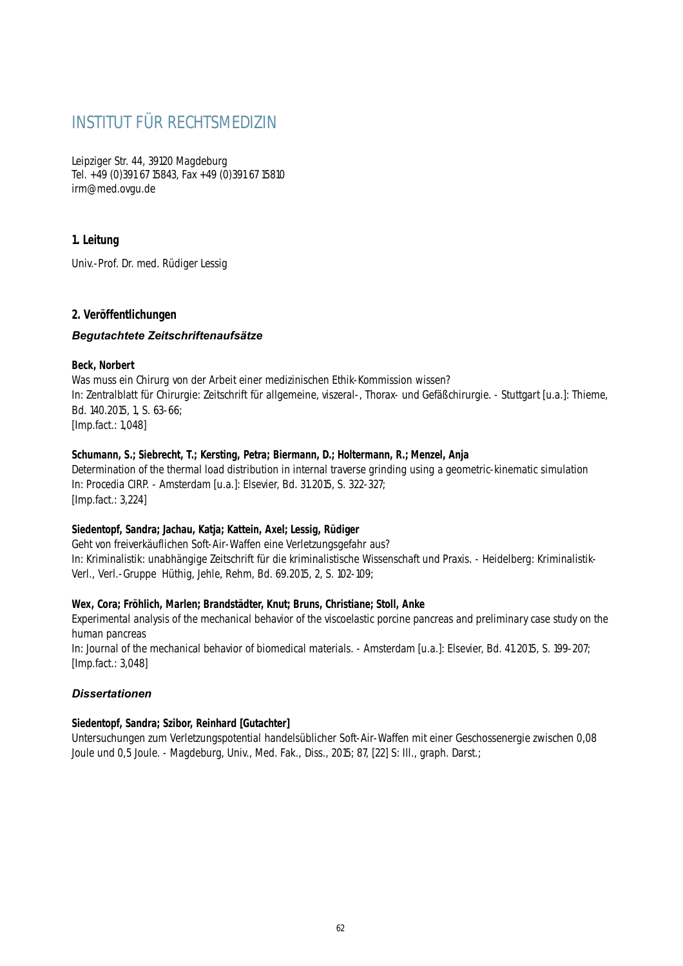# INSTITUT FÜR RECHTSMEDIZIN

Leipziger Str. 44, 39120 Magdeburg Tel. +49 (0)391 67 15843, Fax +49 (0)391 67 15810 irm@med.ovgu.de

# **1. Leitung**

Univ.-Prof. Dr. med. Rüdiger Lessig

# **2. Veröffentlichungen**

# *Begutachtete Zeitschriftenaufsätze*

#### **Beck, Norbert**

Was muss ein Chirurg von der Arbeit einer medizinischen Ethik-Kommission wissen? In: Zentralblatt für Chirurgie: Zeitschrift für allgemeine, viszeral-, Thorax- und Gefäßchirurgie. - Stuttgart [u.a.]: Thieme, Bd. 140.2015, 1, S. 63-66; [Imp.fact.: 1,048]

# **Schumann, S.; Siebrecht, T.; Kersting, Petra; Biermann, D.; Holtermann, R.; Menzel, Anja**

Determination of the thermal load distribution in internal traverse grinding using a geometric-kinematic simulation In: Procedia CIRP. - Amsterdam [u.a.]: Elsevier, Bd. 31.2015, S. 322-327; [Imp.fact.: 3,224]

# **Siedentopf, Sandra; Jachau, Katja; Kattein, Axel; Lessig, Rüdiger**

Geht von freiverkäuflichen Soft-Air-Waffen eine Verletzungsgefahr aus? In: Kriminalistik: unabhängige Zeitschrift für die kriminalistische Wissenschaft und Praxis. - Heidelberg: Kriminalistik-Verl., Verl.-Gruppe Hüthig, Jehle, Rehm, Bd. 69.2015, 2, S. 102-109;

# **Wex, Cora; Fröhlich, Marlen; Brandstädter, Knut; Bruns, Christiane; Stoll, Anke**

Experimental analysis of the mechanical behavior of the viscoelastic porcine pancreas and preliminary case study on the human pancreas

In: Journal of the mechanical behavior of biomedical materials. - Amsterdam [u.a.]: Elsevier, Bd. 41.2015, S. 199-207; [Imp.fact.: 3,048]

# *Dissertationen*

# **Siedentopf, Sandra; Szibor, Reinhard [Gutachter]**

Untersuchungen zum Verletzungspotential handelsüblicher Soft-Air-Waffen mit einer Geschossenergie zwischen 0,08 Joule und 0,5 Joule. - Magdeburg, Univ., Med. Fak., Diss., 2015; 87, [22] S: Ill., graph. Darst.;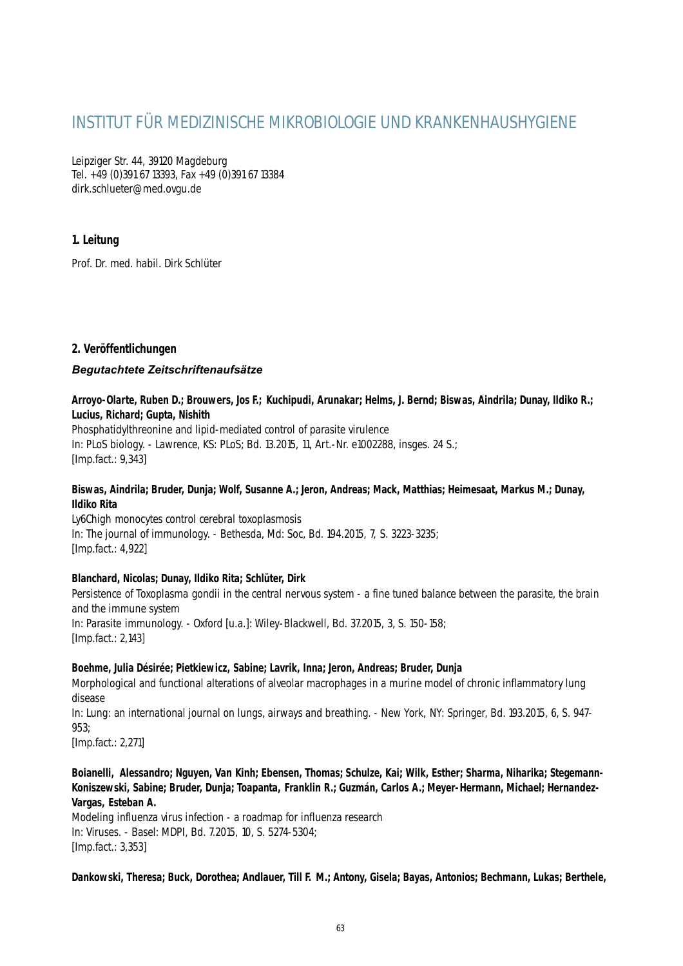# INSTITUT FÜR MEDIZINISCHE MIKROBIOLOGIE UND KRANKENHAUSHYGIENE

Leipziger Str. 44, 39120 Magdeburg Tel. +49 (0)391 67 13393, Fax +49 (0)391 67 13384 dirk.schlueter@med.ovgu.de

# **1. Leitung**

Prof. Dr. med. habil. Dirk Schlüter

# **2. Veröffentlichungen**

# *Begutachtete Zeitschriftenaufsätze*

### **Arroyo-Olarte, Ruben D.; Brouwers, Jos F.; Kuchipudi, Arunakar; Helms, J. Bernd; Biswas, Aindrila; Dunay, Ildiko R.; Lucius, Richard; Gupta, Nishith**

Phosphatidylthreonine and lipid-mediated control of parasite virulence In: PLoS biology. - Lawrence, KS: PLoS; Bd. 13.2015, 11, Art.-Nr. e1002288, insges. 24 S.; [Imp.fact.: 9,343]

#### **Biswas, Aindrila; Bruder, Dunja; Wolf, Susanne A.; Jeron, Andreas; Mack, Matthias; Heimesaat, Markus M.; Dunay, Ildiko Rita**

Ly6Chigh monocytes control cerebral toxoplasmosis In: The journal of immunology. - Bethesda, Md: Soc, Bd. 194.2015, 7, S. 3223-3235; [Imp.fact.: 4,922]

# **Blanchard, Nicolas; Dunay, Ildiko Rita; Schlüter, Dirk**

Persistence of Toxoplasma gondii in the central nervous system - a fine tuned balance between the parasite, the brain and the immune system In: Parasite immunology. - Oxford [u.a.]: Wiley-Blackwell, Bd. 37.2015, 3, S. 150-158; [Imp.fact.: 2,143]

#### **Boehme, Julia Désirée; Pietkiewicz, Sabine; Lavrik, Inna; Jeron, Andreas; Bruder, Dunja**

Morphological and functional alterations of alveolar macrophages in a murine model of chronic inflammatory lung disease

In: Lung: an international journal on lungs, airways and breathing. - New York, NY: Springer, Bd. 193.2015, 6, S. 947- 953;

[Imp.fact.: 2,271]

### **Boianelli, Alessandro; Nguyen, Van Kinh; Ebensen, Thomas; Schulze, Kai; Wilk, Esther; Sharma, Niharika; Stegemann-Koniszewski, Sabine; Bruder, Dunja; Toapanta, Franklin R.; Guzmán, Carlos A.; Meyer-Hermann, Michael; Hernandez-Vargas, Esteban A.**

Modeling influenza virus infection - a roadmap for influenza research In: Viruses. - Basel: MDPI, Bd. 7.2015, 10, S. 5274-5304; [Imp.fact.: 3,353]

**Dankowski, Theresa; Buck, Dorothea; Andlauer, Till F. M.; Antony, Gisela; Bayas, Antonios; Bechmann, Lukas; Berthele,**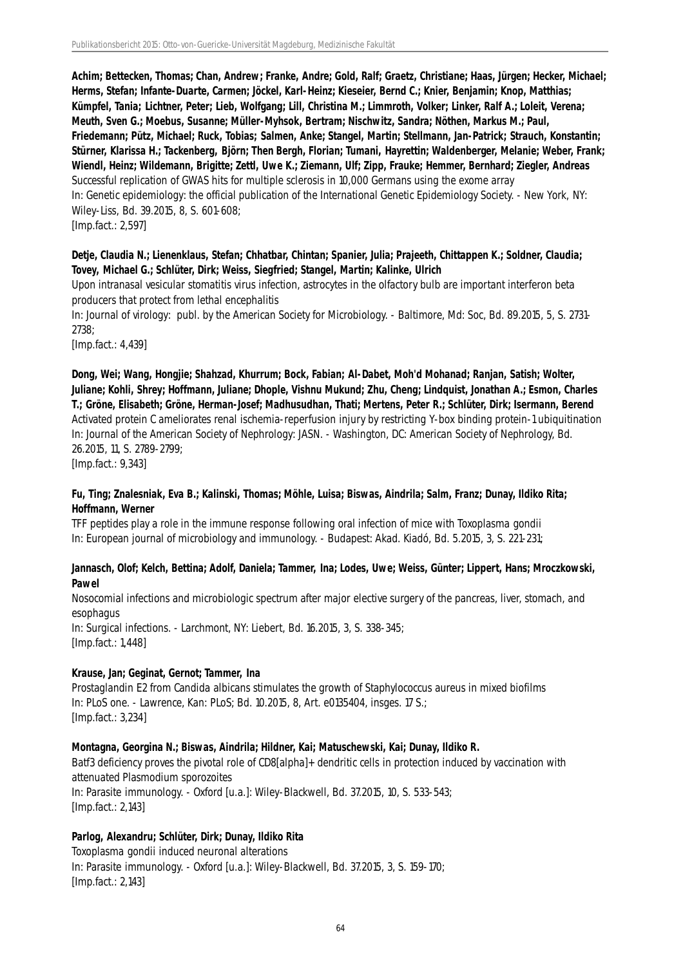**Achim; Bettecken, Thomas; Chan, Andrew; Franke, Andre; Gold, Ralf; Graetz, Christiane; Haas, Jürgen; Hecker, Michael; Herms, Stefan; Infante-Duarte, Carmen; Jöckel, Karl-Heinz; Kieseier, Bernd C.; Knier, Benjamin; Knop, Matthias; Kümpfel, Tania; Lichtner, Peter; Lieb, Wolfgang; Lill, Christina M.; Limmroth, Volker; Linker, Ralf A.; Loleit, Verena; Meuth, Sven G.; Moebus, Susanne; Müller-Myhsok, Bertram; Nischwitz, Sandra; Nöthen, Markus M.; Paul, Friedemann; Pütz, Michael; Ruck, Tobias; Salmen, Anke; Stangel, Martin; Stellmann, Jan-Patrick; Strauch, Konstantin; Stürner, Klarissa H.; Tackenberg, Björn; Then Bergh, Florian; Tumani, Hayrettin; Waldenberger, Melanie; Weber, Frank; Wiendl, Heinz; Wildemann, Brigitte; Zettl, Uwe K.; Ziemann, Ulf; Zipp, Frauke; Hemmer, Bernhard; Ziegler, Andreas** Successful replication of GWAS hits for multiple sclerosis in 10,000 Germans using the exome array In: Genetic epidemiology: the official publication of the International Genetic Epidemiology Society. - New York, NY: Wiley-Liss, Bd. 39.2015, 8, S. 601-608; [Imp.fact.: 2,597]

# **Detje, Claudia N.; Lienenklaus, Stefan; Chhatbar, Chintan; Spanier, Julia; Prajeeth, Chittappen K.; Soldner, Claudia; Tovey, Michael G.; Schlüter, Dirk; Weiss, Siegfried; Stangel, Martin; Kalinke, Ulrich**

Upon intranasal vesicular stomatitis virus infection, astrocytes in the olfactory bulb are important interferon beta producers that protect from lethal encephalitis

In: Journal of virology: publ. by the American Society for Microbiology. - Baltimore, Md: Soc, Bd. 89.2015, 5, S. 2731- 2738;

[Imp.fact.: 4,439]

**Dong, Wei; Wang, Hongjie; Shahzad, Khurrum; Bock, Fabian; Al-Dabet, Moh'd Mohanad; Ranjan, Satish; Wolter, Juliane; Kohli, Shrey; Hoffmann, Juliane; Dhople, Vishnu Mukund; Zhu, Cheng; Lindquist, Jonathan A.; Esmon, Charles T.; Gröne, Elisabeth; Gröne, Herman-Josef; Madhusudhan, Thati; Mertens, Peter R.; Schlüter, Dirk; Isermann, Berend** Activated protein C ameliorates renal ischemia-reperfusion injury by restricting Y-box binding protein-1 ubiquitination In: Journal of the American Society of Nephrology: JASN. - Washington, DC: American Society of Nephrology, Bd. 26.2015, 11, S. 2789-2799; [Imp.fact.: 9,343]

#### **Fu, Ting; Znalesniak, Eva B.; Kalinski, Thomas; Möhle, Luisa; Biswas, Aindrila; Salm, Franz; Dunay, Ildiko Rita; Hoffmann, Werner**

TFF peptides play a role in the immune response following oral infection of mice with Toxoplasma gondii In: European journal of microbiology and immunology. - Budapest: Akad. Kiadó, Bd. 5.2015, 3, S. 221-231;

#### **Jannasch, Olof; Kelch, Bettina; Adolf, Daniela; Tammer, Ina; Lodes, Uwe; Weiss, Günter; Lippert, Hans; Mroczkowski, Pawel**

Nosocomial infections and microbiologic spectrum after major elective surgery of the pancreas, liver, stomach, and esophagus

In: Surgical infections. - Larchmont, NY: Liebert, Bd. 16.2015, 3, S. 338-345; [Imp.fact.: 1,448]

# **Krause, Jan; Geginat, Gernot; Tammer, Ina**

Prostaglandin E2 from Candida albicans stimulates the growth of Staphylococcus aureus in mixed biofilms In: PLoS one. - Lawrence, Kan: PLoS; Bd. 10.2015, 8, Art. e0135404, insges. 17 S.; [Imp.fact.: 3,234]

#### **Montagna, Georgina N.; Biswas, Aindrila; Hildner, Kai; Matuschewski, Kai; Dunay, Ildiko R.**

Batf3 deficiency proves the pivotal role of CD8[alpha]+ dendritic cells in protection induced by vaccination with attenuated Plasmodium sporozoites In: Parasite immunology. - Oxford [u.a.]: Wiley-Blackwell, Bd. 37.2015, 10, S. 533-543; [Imp.fact.: 2,143]

# **Parlog, Alexandru; Schlüter, Dirk; Dunay, Ildiko Rita**

Toxoplasma gondii induced neuronal alterations In: Parasite immunology. - Oxford [u.a.]: Wiley-Blackwell, Bd. 37.2015, 3, S. 159-170; [Imp.fact.: 2,143]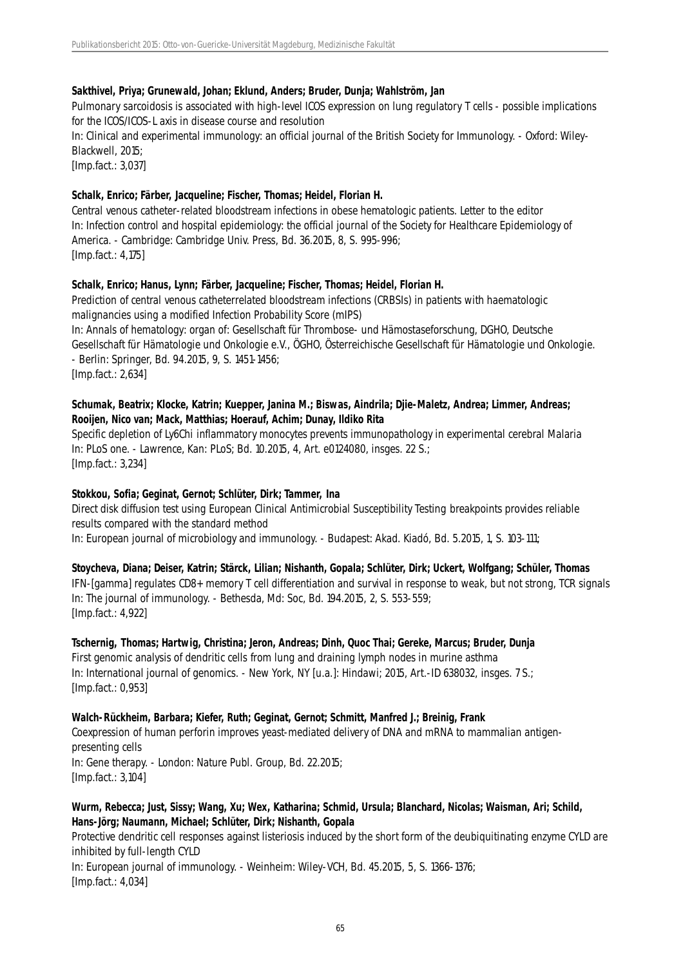### **Sakthivel, Priya; Grunewald, Johan; Eklund, Anders; Bruder, Dunja; Wahlström, Jan**

Pulmonary sarcoidosis is associated with high-level ICOS expression on lung regulatory T cells - possible implications for the ICOS/ICOS-L axis in disease course and resolution

In: Clinical and experimental immunology: an official journal of the British Society for Immunology. - Oxford: Wiley-Blackwell, 2015;

[Imp.fact.: 3,037]

### **Schalk, Enrico; Färber, Jacqueline; Fischer, Thomas; Heidel, Florian H.**

Central venous catheter-related bloodstream infections in obese hematologic patients. Letter to the editor In: Infection control and hospital epidemiology: the official journal of the Society for Healthcare Epidemiology of America. - Cambridge: Cambridge Univ. Press, Bd. 36.2015, 8, S. 995-996; [Imp.fact.: 4,175]

# **Schalk, Enrico; Hanus, Lynn; Färber, Jacqueline; Fischer, Thomas; Heidel, Florian H.**

Prediction of central venous catheterrelated bloodstream infections (CRBSIs) in patients with haematologic malignancies using a modified Infection Probability Score (mIPS) In: Annals of hematology: organ of: Gesellschaft für Thrombose- und Hämostaseforschung, DGHO, Deutsche Gesellschaft für Hämatologie und Onkologie e.V., ÖGHO, Österreichische Gesellschaft für Hämatologie und Onkologie. - Berlin: Springer, Bd. 94.2015, 9, S. 1451-1456; [Imp.fact.: 2,634]

### **Schumak, Beatrix; Klocke, Katrin; Kuepper, Janina M.; Biswas, Aindrila; Djie-Maletz, Andrea; Limmer, Andreas; Rooijen, Nico van; Mack, Matthias; Hoerauf, Achim; Dunay, Ildiko Rita**

Specific depletion of Ly6Chi inflammatory monocytes prevents immunopathology in experimental cerebral Malaria In: PLoS one. - Lawrence, Kan: PLoS; Bd. 10.2015, 4, Art. e0124080, insges. 22 S.; [Imp.fact.: 3,234]

# **Stokkou, Sofia; Geginat, Gernot; Schlüter, Dirk; Tammer, Ina**

Direct disk diffusion test using European Clinical Antimicrobial Susceptibility Testing breakpoints provides reliable results compared with the standard method

In: European journal of microbiology and immunology. - Budapest: Akad. Kiadó, Bd. 5.2015, 1, S. 103-111;

# **Stoycheva, Diana; Deiser, Katrin; Stärck, Lilian; Nishanth, Gopala; Schlüter, Dirk; Uckert, Wolfgang; Schüler, Thomas**

IFN-[gamma] regulates CD8+ memory T cell differentiation and survival in response to weak, but not strong, TCR signals In: The journal of immunology. - Bethesda, Md: Soc, Bd. 194.2015, 2, S. 553-559; [Imp.fact.: 4,922]

#### **Tschernig, Thomas; Hartwig, Christina; Jeron, Andreas; Dinh, Quoc Thai; Gereke, Marcus; Bruder, Dunja**

First genomic analysis of dendritic cells from lung and draining lymph nodes in murine asthma In: International journal of genomics. - New York, NY [u.a.]: Hindawi; 2015, Art.-ID 638032, insges. 7 S.; [Imp.fact.: 0,953]

#### **Walch-Rückheim, Barbara; Kiefer, Ruth; Geginat, Gernot; Schmitt, Manfred J.; Breinig, Frank**

Coexpression of human perforin improves yeast-mediated delivery of DNA and mRNA to mammalian antigenpresenting cells In: Gene therapy. - London: Nature Publ. Group, Bd. 22.2015; [Imp.fact.: 3,104]

# **Wurm, Rebecca; Just, Sissy; Wang, Xu; Wex, Katharina; Schmid, Ursula; Blanchard, Nicolas; Waisman, Ari; Schild, Hans-Jörg; Naumann, Michael; Schlüter, Dirk; Nishanth, Gopala**

Protective dendritic cell responses against listeriosis induced by the short form of the deubiquitinating enzyme CYLD are inhibited by full-length CYLD

In: European journal of immunology. - Weinheim: Wiley-VCH, Bd. 45.2015, 5, S. 1366-1376; [Imp.fact.: 4,034]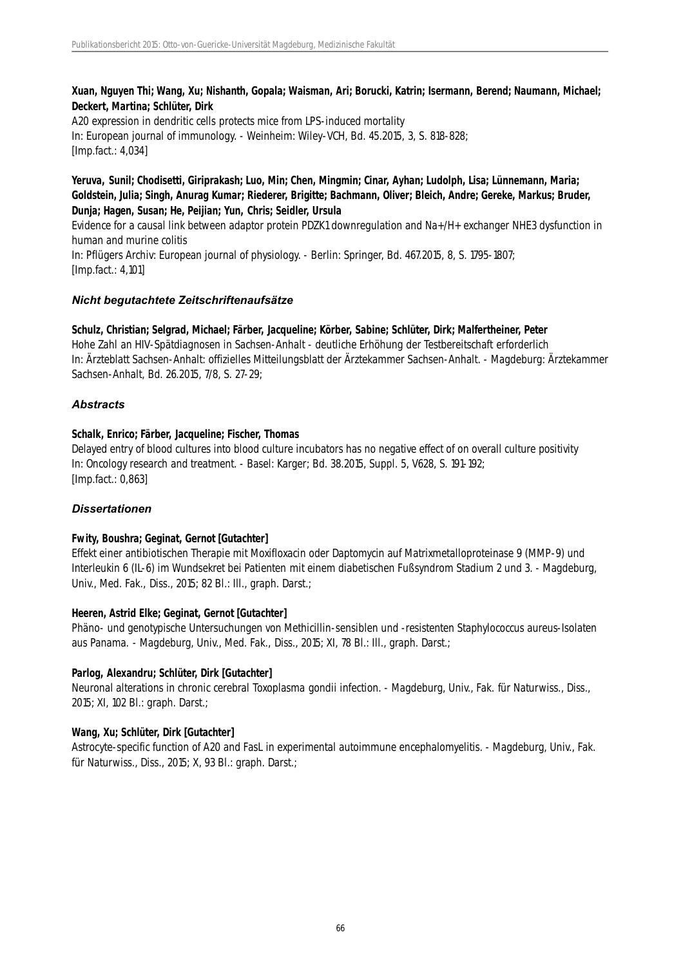# **Xuan, Nguyen Thi; Wang, Xu; Nishanth, Gopala; Waisman, Ari; Borucki, Katrin; Isermann, Berend; Naumann, Michael; Deckert, Martina; Schlüter, Dirk**

A20 expression in dendritic cells protects mice from LPS-induced mortality In: European journal of immunology. - Weinheim: Wiley-VCH, Bd. 45.2015, 3, S. 818-828; [Imp.fact.: 4,034]

### **Yeruva, Sunil; Chodisetti, Giriprakash; Luo, Min; Chen, Mingmin; Cinar, Ayhan; Ludolph, Lisa; Lünnemann, Maria; Goldstein, Julia; Singh, Anurag Kumar; Riederer, Brigitte; Bachmann, Oliver; Bleich, Andre; Gereke, Markus; Bruder, Dunja; Hagen, Susan; He, Peijian; Yun, Chris; Seidler, Ursula**

Evidence for a causal link between adaptor protein PDZK1 downregulation and Na+/H+ exchanger NHE3 dysfunction in human and murine colitis In: Pflügers Archiv: European journal of physiology. - Berlin: Springer, Bd. 467.2015, 8, S. 1795-1807; [Imp.fact.: 4,101]

# *Nicht begutachtete Zeitschriftenaufsätze*

# **Schulz, Christian; Selgrad, Michael; Färber, Jacqueline; Körber, Sabine; Schlüter, Dirk; Malfertheiner, Peter** Hohe Zahl an HIV-Spätdiagnosen in Sachsen-Anhalt - deutliche Erhöhung der Testbereitschaft erforderlich In: Ärzteblatt Sachsen-Anhalt: offizielles Mitteilungsblatt der Ärztekammer Sachsen-Anhalt. - Magdeburg: Ärztekammer Sachsen-Anhalt, Bd. 26.2015, 7/8, S. 27-29;

# *Abstracts*

# **Schalk, Enrico; Färber, Jacqueline; Fischer, Thomas**

Delayed entry of blood cultures into blood culture incubators has no negative effect of on overall culture positivity In: Oncology research and treatment. - Basel: Karger; Bd. 38.2015, Suppl. 5, V628, S. 191-192; [Imp.fact.: 0,863]

# *Dissertationen*

# **Fwity, Boushra; Geginat, Gernot [Gutachter]**

Effekt einer antibiotischen Therapie mit Moxifloxacin oder Daptomycin auf Matrixmetalloproteinase 9 (MMP-9) und Interleukin 6 (IL-6) im Wundsekret bei Patienten mit einem diabetischen Fußsyndrom Stadium 2 und 3. - Magdeburg, Univ., Med. Fak., Diss., 2015; 82 Bl.: Ill., graph. Darst.;

# **Heeren, Astrid Elke; Geginat, Gernot [Gutachter]**

Phäno- und genotypische Untersuchungen von Methicillin-sensiblen und -resistenten Staphylococcus aureus-Isolaten aus Panama. - Magdeburg, Univ., Med. Fak., Diss., 2015; XI, 78 Bl.: Ill., graph. Darst.;

# **Parlog, Alexandru; Schlüter, Dirk [Gutachter]**

Neuronal alterations in chronic cerebral Toxoplasma gondii infection. - Magdeburg, Univ., Fak. für Naturwiss., Diss., 2015; XI, 102 Bl.: graph. Darst.;

# **Wang, Xu; Schlüter, Dirk [Gutachter]**

Astrocyte-specific function of A20 and FasL in experimental autoimmune encephalomyelitis. - Magdeburg, Univ., Fak. für Naturwiss., Diss., 2015; X, 93 Bl.: graph. Darst.;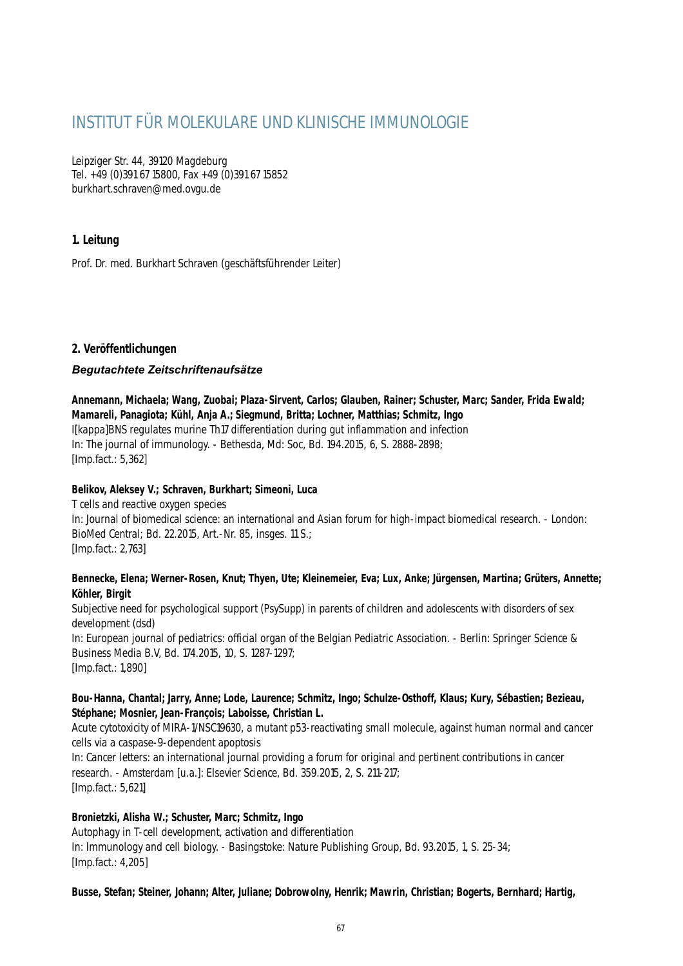# INSTITUT FÜR MOLEKULARE UND KLINISCHE IMMUNOLOGIE

Leipziger Str. 44, 39120 Magdeburg Tel. +49 (0)391 67 15800, Fax +49 (0)391 67 15852 burkhart.schraven@med.ovgu.de

# **1. Leitung**

Prof. Dr. med. Burkhart Schraven (geschäftsführender Leiter)

# **2. Veröffentlichungen**

# *Begutachtete Zeitschriftenaufsätze*

**Annemann, Michaela; Wang, Zuobai; Plaza-Sirvent, Carlos; Glauben, Rainer; Schuster, Marc; Sander, Frida Ewald; Mamareli, Panagiota; Kühl, Anja A.; Siegmund, Britta; Lochner, Matthias; Schmitz, Ingo** I[kappa]BNS regulates murine Th17 differentiation during gut inflammation and infection

In: The journal of immunology. - Bethesda, Md: Soc, Bd. 194.2015, 6, S. 2888-2898; [Imp.fact.: 5,362]

# **Belikov, Aleksey V.; Schraven, Burkhart; Simeoni, Luca**

T cells and reactive oxygen species In: Journal of biomedical science: an international and Asian forum for high-impact biomedical research. - London: BioMed Central; Bd. 22.2015, Art.-Nr. 85, insges. 11 S.; [Imp.fact.: 2,763]

# **Bennecke, Elena; Werner-Rosen, Knut; Thyen, Ute; Kleinemeier, Eva; Lux, Anke; Jürgensen, Martina; Grüters, Annette; Köhler, Birgit**

Subjective need for psychological support (PsySupp) in parents of children and adolescents with disorders of sex development (dsd) In: European journal of pediatrics: official organ of the Belgian Pediatric Association. - Berlin: Springer Science & Business Media B.V, Bd. 174.2015, 10, S. 1287-1297; [Imp.fact.: 1,890]

# **Bou-Hanna, Chantal; Jarry, Anne; Lode, Laurence; Schmitz, Ingo; Schulze-Osthoff, Klaus; Kury, Sébastien; Bezieau, Stéphane; Mosnier, Jean-François; Laboisse, Christian L.**

Acute cytotoxicity of MIRA-1/NSC19630, a mutant p53-reactivating small molecule, against human normal and cancer cells via a caspase-9-dependent apoptosis

In: Cancer letters: an international journal providing a forum for original and pertinent contributions in cancer research. - Amsterdam [u.a.]: Elsevier Science, Bd. 359.2015, 2, S. 211-217; [Imp.fact.: 5,621]

# **Bronietzki, Alisha W.; Schuster, Marc; Schmitz, Ingo**

Autophagy in T-cell development, activation and differentiation In: Immunology and cell biology. - Basingstoke: Nature Publishing Group, Bd. 93.2015, 1, S. 25-34; [Imp.fact.: 4,205]

# **Busse, Stefan; Steiner, Johann; Alter, Juliane; Dobrowolny, Henrik; Mawrin, Christian; Bogerts, Bernhard; Hartig,**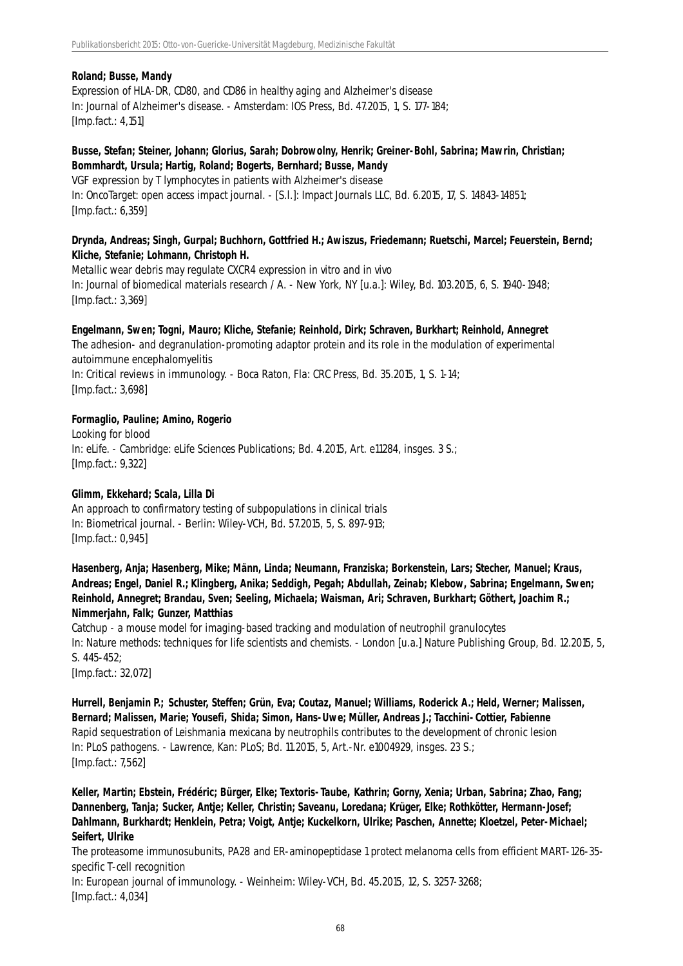### **Roland; Busse, Mandy**

Expression of HLA-DR, CD80, and CD86 in healthy aging and Alzheimer's disease In: Journal of Alzheimer's disease. - Amsterdam: IOS Press, Bd. 47.2015, 1, S. 177-184; [Imp.fact.: 4,151]

### **Busse, Stefan; Steiner, Johann; Glorius, Sarah; Dobrowolny, Henrik; Greiner-Bohl, Sabrina; Mawrin, Christian; Bommhardt, Ursula; Hartig, Roland; Bogerts, Bernhard; Busse, Mandy**

VGF expression by T lymphocytes in patients with Alzheimer's disease In: OncoTarget: open access impact journal. - [S.l.]: Impact Journals LLC, Bd. 6.2015, 17, S. 14843-14851; [Imp.fact.: 6,359]

# **Drynda, Andreas; Singh, Gurpal; Buchhorn, Gottfried H.; Awiszus, Friedemann; Ruetschi, Marcel; Feuerstein, Bernd; Kliche, Stefanie; Lohmann, Christoph H.**

Metallic wear debris may regulate CXCR4 expression in vitro and in vivo In: Journal of biomedical materials research / A. - New York, NY [u.a.]: Wiley, Bd. 103.2015, 6, S. 1940-1948; [Imp.fact.: 3,369]

# **Engelmann, Swen; Togni, Mauro; Kliche, Stefanie; Reinhold, Dirk; Schraven, Burkhart; Reinhold, Annegret**

The adhesion- and degranulation-promoting adaptor protein and its role in the modulation of experimental autoimmune encephalomyelitis

In: Critical reviews in immunology. - Boca Raton, Fla: CRC Press, Bd. 35.2015, 1, S. 1-14; [Imp.fact.: 3,698]

# **Formaglio, Pauline; Amino, Rogerio**

Looking for blood In: eLife. - Cambridge: eLife Sciences Publications; Bd. 4.2015, Art. e11284, insges. 3 S.; [Imp.fact.: 9,322]

# **Glimm, Ekkehard; Scala, Lilla Di**

An approach to confirmatory testing of subpopulations in clinical trials In: Biometrical journal. - Berlin: Wiley-VCH, Bd. 57.2015, 5, S. 897-913; [Imp.fact.: 0,945]

**Hasenberg, Anja; Hasenberg, Mike; Männ, Linda; Neumann, Franziska; Borkenstein, Lars; Stecher, Manuel; Kraus, Andreas; Engel, Daniel R.; Klingberg, Anika; Seddigh, Pegah; Abdullah, Zeinab; Klebow, Sabrina; Engelmann, Swen; Reinhold, Annegret; Brandau, Sven; Seeling, Michaela; Waisman, Ari; Schraven, Burkhart; Göthert, Joachim R.; Nimmerjahn, Falk; Gunzer, Matthias**

Catchup - a mouse model for imaging-based tracking and modulation of neutrophil granulocytes In: Nature methods: techniques for life scientists and chemists. - London [u.a.] Nature Publishing Group, Bd. 12.2015, 5, S. 445-452;

[Imp.fact.: 32,072]

**Hurrell, Benjamin P.; Schuster, Steffen; Grün, Eva; Coutaz, Manuel; Williams, Roderick A.; Held, Werner; Malissen, Bernard; Malissen, Marie; Yousefi, Shida; Simon, Hans-Uwe; Müller, Andreas J.; Tacchini-Cottier, Fabienne** Rapid sequestration of Leishmania mexicana by neutrophils contributes to the development of chronic lesion In: PLoS pathogens. - Lawrence, Kan: PLoS; Bd. 11.2015, 5, Art.-Nr. e1004929, insges. 23 S.; [Imp.fact.: 7,562]

**Keller, Martin; Ebstein, Frédéric; Bürger, Elke; Textoris-Taube, Kathrin; Gorny, Xenia; Urban, Sabrina; Zhao, Fang; Dannenberg, Tanja; Sucker, Antje; Keller, Christin; Saveanu, Loredana; Krüger, Elke; Rothkötter, Hermann-Josef; Dahlmann, Burkhardt; Henklein, Petra; Voigt, Antje; Kuckelkorn, Ulrike; Paschen, Annette; Kloetzel, Peter-Michael; Seifert, Ulrike**

The proteasome immunosubunits, PA28 and ER-aminopeptidase 1 protect melanoma cells from efficient MART-126-35 specific T-cell recognition

In: European journal of immunology. - Weinheim: Wiley-VCH, Bd. 45.2015, 12, S. 3257-3268; [Imp.fact.: 4,034]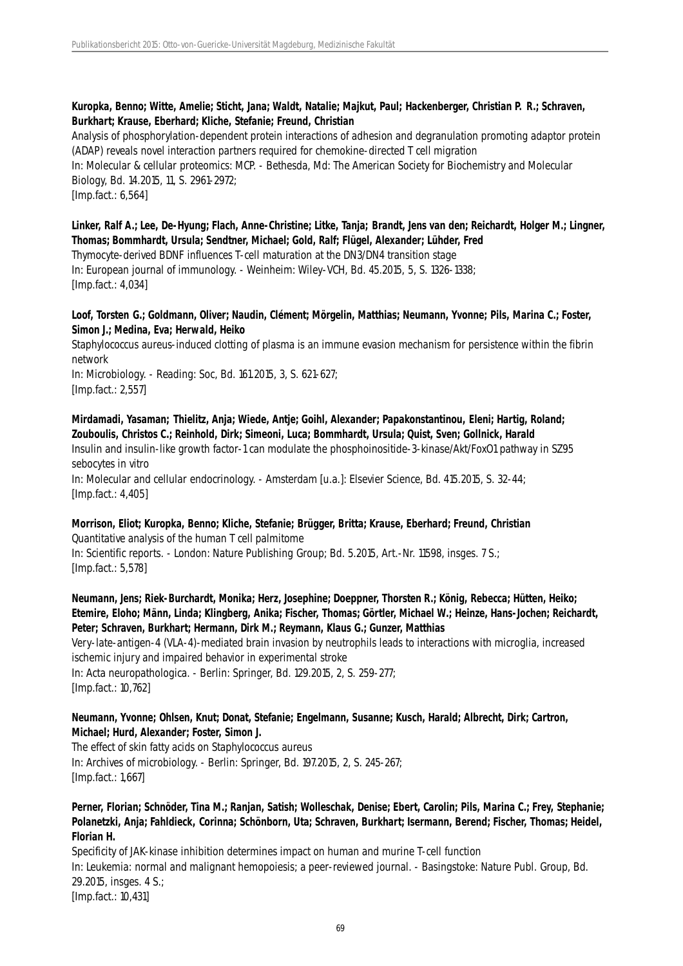# **Kuropka, Benno; Witte, Amelie; Sticht, Jana; Waldt, Natalie; Majkut, Paul; Hackenberger, Christian P. R.; Schraven, Burkhart; Krause, Eberhard; Kliche, Stefanie; Freund, Christian**

Analysis of phosphorylation-dependent protein interactions of adhesion and degranulation promoting adaptor protein (ADAP) reveals novel interaction partners required for chemokine-directed T cell migration In: Molecular & cellular proteomics: MCP. - Bethesda, Md: The American Society for Biochemistry and Molecular Biology, Bd. 14.2015, 11, S. 2961-2972; [Imp.fact.: 6,564]

# **Linker, Ralf A.; Lee, De-Hyung; Flach, Anne-Christine; Litke, Tanja; Brandt, Jens van den; Reichardt, Holger M.; Lingner, Thomas; Bommhardt, Ursula; Sendtner, Michael; Gold, Ralf; Flügel, Alexander; Lühder, Fred**

Thymocyte-derived BDNF influences T-cell maturation at the DN3/DN4 transition stage In: European journal of immunology. - Weinheim: Wiley-VCH, Bd. 45.2015, 5, S. 1326-1338; [Imp.fact.: 4,034]

# **Loof, Torsten G.; Goldmann, Oliver; Naudin, Clément; Mörgelin, Matthias; Neumann, Yvonne; Pils, Marina C.; Foster, Simon J.; Medina, Eva; Herwald, Heiko**

Staphylococcus aureus-induced clotting of plasma is an immune evasion mechanism for persistence within the fibrin network

In: Microbiology. - Reading: Soc, Bd. 161.2015, 3, S. 621-627; [Imp.fact.: 2,557]

**Mirdamadi, Yasaman; Thielitz, Anja; Wiede, Antje; Goihl, Alexander; Papakonstantinou, Eleni; Hartig, Roland; Zouboulis, Christos C.; Reinhold, Dirk; Simeoni, Luca; Bommhardt, Ursula; Quist, Sven; Gollnick, Harald** Insulin and insulin-like growth factor-1 can modulate the phosphoinositide-3-kinase/Akt/FoxO1 pathway in SZ95 sebocytes in vitro

In: Molecular and cellular endocrinology. - Amsterdam [u.a.]: Elsevier Science, Bd. 415.2015, S. 32-44; [Imp.fact.: 4,405]

#### **Morrison, Eliot; Kuropka, Benno; Kliche, Stefanie; Brügger, Britta; Krause, Eberhard; Freund, Christian** Quantitative analysis of the human T cell palmitome

In: Scientific reports. - London: Nature Publishing Group; Bd. 5.2015, Art.-Nr. 11598, insges. 7 S.; [Imp.fact.: 5,578]

# **Neumann, Jens; Riek-Burchardt, Monika; Herz, Josephine; Doeppner, Thorsten R.; König, Rebecca; Hütten, Heiko; Etemire, Eloho; Männ, Linda; Klingberg, Anika; Fischer, Thomas; Görtler, Michael W.; Heinze, Hans-Jochen; Reichardt, Peter; Schraven, Burkhart; Hermann, Dirk M.; Reymann, Klaus G.; Gunzer, Matthias**

Very-late-antigen-4 (VLA-4)-mediated brain invasion by neutrophils leads to interactions with microglia, increased ischemic injury and impaired behavior in experimental stroke In: Acta neuropathologica. - Berlin: Springer, Bd. 129.2015, 2, S. 259-277;

[Imp.fact.: 10,762]

# **Neumann, Yvonne; Ohlsen, Knut; Donat, Stefanie; Engelmann, Susanne; Kusch, Harald; Albrecht, Dirk; Cartron, Michael; Hurd, Alexander; Foster, Simon J.**

The effect of skin fatty acids on Staphylococcus aureus In: Archives of microbiology. - Berlin: Springer, Bd. 197.2015, 2, S. 245-267; [Imp.fact.: 1,667]

# **Perner, Florian; Schnöder, Tina M.; Ranjan, Satish; Wolleschak, Denise; Ebert, Carolin; Pils, Marina C.; Frey, Stephanie; Polanetzki, Anja; Fahldieck, Corinna; Schönborn, Uta; Schraven, Burkhart; Isermann, Berend; Fischer, Thomas; Heidel, Florian H.**

Specificity of JAK-kinase inhibition determines impact on human and murine T-cell function In: Leukemia: normal and malignant hemopoiesis; a peer-reviewed journal. - Basingstoke: Nature Publ. Group, Bd. 29.2015, insges. 4 S.; [Imp.fact.: 10,431]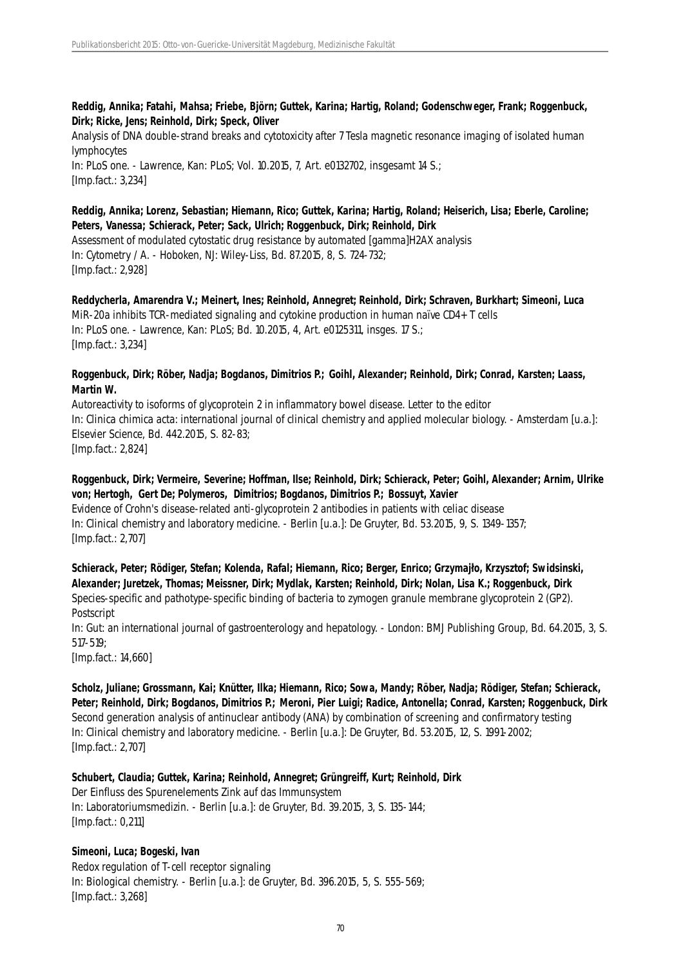### **Reddig, Annika; Fatahi, Mahsa; Friebe, Björn; Guttek, Karina; Hartig, Roland; Godenschweger, Frank; Roggenbuck, Dirk; Ricke, Jens; Reinhold, Dirk; Speck, Oliver**

Analysis of DNA double-strand breaks and cytotoxicity after 7 Tesla magnetic resonance imaging of isolated human lymphocytes In: PLoS one. - Lawrence, Kan: PLoS; Vol. 10.2015, 7, Art. e0132702, insgesamt 14 S.; [Imp.fact.: 3,234]

# **Reddig, Annika; Lorenz, Sebastian; Hiemann, Rico; Guttek, Karina; Hartig, Roland; Heiserich, Lisa; Eberle, Caroline; Peters, Vanessa; Schierack, Peter; Sack, Ulrich; Roggenbuck, Dirk; Reinhold, Dirk**

Assessment of modulated cytostatic drug resistance by automated [gamma]H2AX analysis In: Cytometry / A. - Hoboken, NJ: Wiley-Liss, Bd. 87.2015, 8, S. 724-732; [Imp.fact.: 2,928]

**Reddycherla, Amarendra V.; Meinert, Ines; Reinhold, Annegret; Reinhold, Dirk; Schraven, Burkhart; Simeoni, Luca** MiR-20a inhibits TCR-mediated signaling and cytokine production in human naïve CD4+ T cells In: PLoS one. - Lawrence, Kan: PLoS; Bd. 10.2015, 4, Art. e0125311, insges. 17 S.; [Imp.fact.: 3,234]

# **Roggenbuck, Dirk; Röber, Nadja; Bogdanos, Dimitrios P.; Goihl, Alexander; Reinhold, Dirk; Conrad, Karsten; Laass, Martin W.**

Autoreactivity to isoforms of glycoprotein 2 in inflammatory bowel disease. Letter to the editor In: Clinica chimica acta: international journal of clinical chemistry and applied molecular biology. - Amsterdam [u.a.]: Elsevier Science, Bd. 442.2015, S. 82-83; [Imp.fact.: 2,824]

# **Roggenbuck, Dirk; Vermeire, Severine; Hoffman, Ilse; Reinhold, Dirk; Schierack, Peter; Goihl, Alexander; Arnim, Ulrike von; Hertogh, Gert De; Polymeros, Dimitrios; Bogdanos, Dimitrios P.; Bossuyt, Xavier**

Evidence of Crohn's disease-related anti-glycoprotein 2 antibodies in patients with celiac disease In: Clinical chemistry and laboratory medicine. - Berlin [u.a.]: De Gruyter, Bd. 53.2015, 9, S. 1349-1357; [Imp.fact.: 2,707]

**Schierack, Peter; Rödiger, Stefan; Kolenda, Rafal; Hiemann, Rico; Berger, Enrico; Grzymajło, Krzysztof; Swidsinski, Alexander; Juretzek, Thomas; Meissner, Dirk; Mydlak, Karsten; Reinhold, Dirk; Nolan, Lisa K.; Roggenbuck, Dirk** Species-specific and pathotype-specific binding of bacteria to zymogen granule membrane glycoprotein 2 (GP2). **Postscript** 

In: Gut: an international journal of gastroenterology and hepatology. - London: BMJ Publishing Group, Bd. 64.2015, 3, S. 517-519;

[Imp.fact.: 14,660]

**Scholz, Juliane; Grossmann, Kai; Knütter, Ilka; Hiemann, Rico; Sowa, Mandy; Röber, Nadja; Rödiger, Stefan; Schierack, Peter; Reinhold, Dirk; Bogdanos, Dimitrios P.; Meroni, Pier Luigi; Radice, Antonella; Conrad, Karsten; Roggenbuck, Dirk** Second generation analysis of antinuclear antibody (ANA) by combination of screening and confirmatory testing In: Clinical chemistry and laboratory medicine. - Berlin [u.a.]: De Gruyter, Bd. 53.2015, 12, S. 1991-2002; [Imp.fact.: 2,707]

**Schubert, Claudia; Guttek, Karina; Reinhold, Annegret; Grüngreiff, Kurt; Reinhold, Dirk** Der Einfluss des Spurenelements Zink auf das Immunsystem

In: Laboratoriumsmedizin. - Berlin [u.a.]: de Gruyter, Bd. 39.2015, 3, S. 135-144; [Imp.fact.: 0,211]

# **Simeoni, Luca; Bogeski, Ivan** Redox regulation of T-cell receptor signaling In: Biological chemistry. - Berlin [u.a.]: de Gruyter, Bd. 396.2015, 5, S. 555-569; [Imp.fact.: 3,268]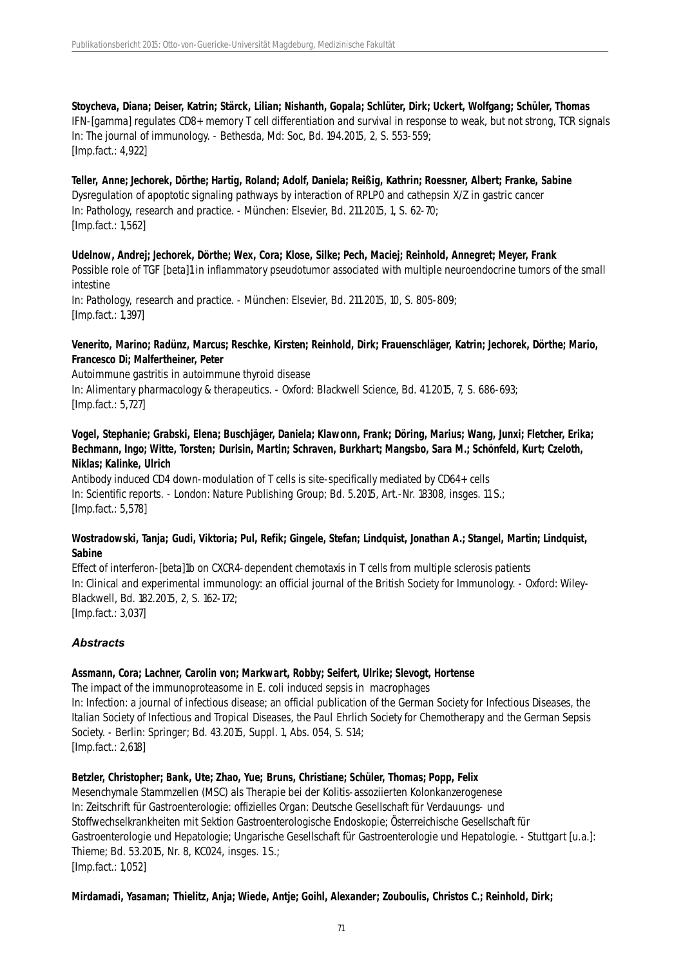**Stoycheva, Diana; Deiser, Katrin; Stärck, Lilian; Nishanth, Gopala; Schlüter, Dirk; Uckert, Wolfgang; Schüler, Thomas** IFN-[gamma] regulates CD8+ memory T cell differentiation and survival in response to weak, but not strong, TCR signals In: The journal of immunology. - Bethesda, Md: Soc, Bd. 194.2015, 2, S. 553-559; [Imp.fact.: 4,922]

**Teller, Anne; Jechorek, Dörthe; Hartig, Roland; Adolf, Daniela; Reißig, Kathrin; Roessner, Albert; Franke, Sabine** Dysregulation of apoptotic signaling pathways by interaction of RPLP0 and cathepsin X/Z in gastric cancer In: Pathology, research and practice. - München: Elsevier, Bd. 211.2015, 1, S. 62-70; [Imp.fact.: 1,562]

**Udelnow, Andrej; Jechorek, Dörthe; Wex, Cora; Klose, Silke; Pech, Maciej; Reinhold, Annegret; Meyer, Frank** Possible role of TGF [beta]1 in inflammatory pseudotumor associated with multiple neuroendocrine tumors of the small intestine In: Pathology, research and practice. - München: Elsevier, Bd. 211.2015, 10, S. 805-809;

[Imp.fact.: 1,397]

### **Venerito, Marino; Radünz, Marcus; Reschke, Kirsten; Reinhold, Dirk; Frauenschläger, Katrin; Jechorek, Dörthe; Mario, Francesco Di; Malfertheiner, Peter**

Autoimmune gastritis in autoimmune thyroid disease In: Alimentary pharmacology & therapeutics. - Oxford: Blackwell Science, Bd. 41.2015, 7, S. 686-693; [Imp.fact.: 5,727]

# **Vogel, Stephanie; Grabski, Elena; Buschjäger, Daniela; Klawonn, Frank; Döring, Marius; Wang, Junxi; Fletcher, Erika; Bechmann, Ingo; Witte, Torsten; Durisin, Martin; Schraven, Burkhart; Mangsbo, Sara M.; Schönfeld, Kurt; Czeloth, Niklas; Kalinke, Ulrich**

Antibody induced CD4 down-modulation of T cells is site-specifically mediated by CD64+ cells In: Scientific reports. - London: Nature Publishing Group; Bd. 5.2015, Art.-Nr. 18308, insges. 11 S.; [Imp.fact.: 5,578]

# **Wostradowski, Tanja; Gudi, Viktoria; Pul, Refik; Gingele, Stefan; Lindquist, Jonathan A.; Stangel, Martin; Lindquist, Sabine**

Effect of interferon-[beta]1b on CXCR4-dependent chemotaxis in T cells from multiple sclerosis patients In: Clinical and experimental immunology: an official journal of the British Society for Immunology. - Oxford: Wiley-Blackwell, Bd. 182.2015, 2, S. 162-172; [Imp.fact.: 3,037]

# *Abstracts*

# **Assmann, Cora; Lachner, Carolin von; Markwart, Robby; Seifert, Ulrike; Slevogt, Hortense**

The impact of the immunoproteasome in E. coli induced sepsis in macrophages In: Infection: a journal of infectious disease; an official publication of the German Society for Infectious Diseases, the Italian Society of Infectious and Tropical Diseases, the Paul Ehrlich Society for Chemotherapy and the German Sepsis Society. - Berlin: Springer; Bd. 43.2015, Suppl. 1, Abs. 054, S. S14; [Imp.fact.: 2,618]

# **Betzler, Christopher; Bank, Ute; Zhao, Yue; Bruns, Christiane; Schüler, Thomas; Popp, Felix**

Mesenchymale Stammzellen (MSC) als Therapie bei der Kolitis-assoziierten Kolonkanzerogenese In: Zeitschrift für Gastroenterologie: offizielles Organ: Deutsche Gesellschaft für Verdauungs- und Stoffwechselkrankheiten mit Sektion Gastroenterologische Endoskopie; Österreichische Gesellschaft für Gastroenterologie und Hepatologie; Ungarische Gesellschaft für Gastroenterologie und Hepatologie. - Stuttgart [u.a.]: Thieme; Bd. 53.2015, Nr. 8, KC024, insges. 1 S.; [Imp.fact.: 1,052]

#### **Mirdamadi, Yasaman; Thielitz, Anja; Wiede, Antje; Goihl, Alexander; Zouboulis, Christos C.; Reinhold, Dirk;**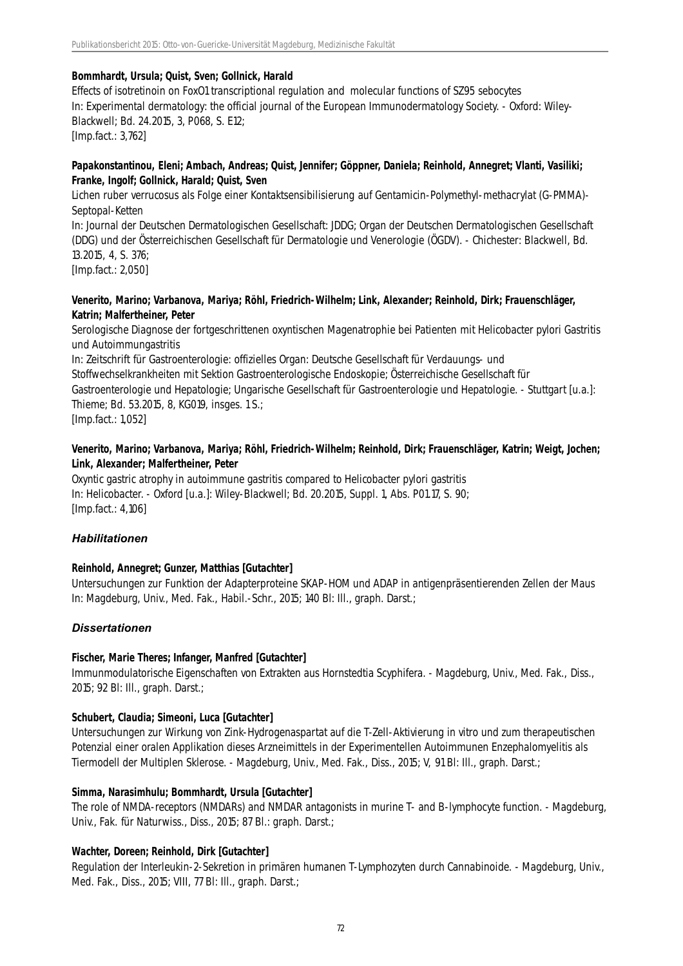# **Bommhardt, Ursula; Quist, Sven; Gollnick, Harald**

Effects of isotretinoin on FoxO1 transcriptional regulation and molecular functions of SZ95 sebocytes In: Experimental dermatology: the official journal of the European Immunodermatology Society. - Oxford: Wiley-Blackwell; Bd. 24.2015, 3, P068, S. E12; [Imp.fact.: 3,762]

# **Papakonstantinou, Eleni; Ambach, Andreas; Quist, Jennifer; Göppner, Daniela; Reinhold, Annegret; Vlanti, Vasiliki; Franke, Ingolf; Gollnick, Harald; Quist, Sven**

Lichen ruber verrucosus als Folge einer Kontaktsensibilisierung auf Gentamicin-Polymethyl-methacrylat (G-PMMA)- Septopal-Ketten

In: Journal der Deutschen Dermatologischen Gesellschaft: JDDG; Organ der Deutschen Dermatologischen Gesellschaft (DDG) und der Österreichischen Gesellschaft für Dermatologie und Venerologie (ÖGDV). - Chichester: Blackwell, Bd. 13.2015, 4, S. 376;

[Imp.fact.: 2,050]

#### **Venerito, Marino; Varbanova, Mariya; Röhl, Friedrich-Wilhelm; Link, Alexander; Reinhold, Dirk; Frauenschläger, Katrin; Malfertheiner, Peter**

Serologische Diagnose der fortgeschrittenen oxyntischen Magenatrophie bei Patienten mit Helicobacter pylori Gastritis und Autoimmungastritis

In: Zeitschrift für Gastroenterologie: offizielles Organ: Deutsche Gesellschaft für Verdauungs- und Stoffwechselkrankheiten mit Sektion Gastroenterologische Endoskopie; Österreichische Gesellschaft für Gastroenterologie und Hepatologie; Ungarische Gesellschaft für Gastroenterologie und Hepatologie. - Stuttgart [u.a.]: Thieme; Bd. 53.2015, 8, KG019, insges. 1 S.; [Imp.fact.: 1,052]

#### **Venerito, Marino; Varbanova, Mariya; Röhl, Friedrich-Wilhelm; Reinhold, Dirk; Frauenschläger, Katrin; Weigt, Jochen; Link, Alexander; Malfertheiner, Peter**

Oxyntic gastric atrophy in autoimmune gastritis compared to Helicobacter pylori gastritis In: Helicobacter. - Oxford [u.a.]: Wiley-Blackwell; Bd. 20.2015, Suppl. 1, Abs. P01.17, S. 90; [Imp.fact.: 4,106]

# *Habilitationen*

# **Reinhold, Annegret; Gunzer, Matthias [Gutachter]**

Untersuchungen zur Funktion der Adapterproteine SKAP-HOM und ADAP in antigenpräsentierenden Zellen der Maus In: Magdeburg, Univ., Med. Fak., Habil.-Schr., 2015; 140 Bl: Ill., graph. Darst.;

# *Dissertationen*

# **Fischer, Marie Theres; Infanger, Manfred [Gutachter]**

Immunmodulatorische Eigenschaften von Extrakten aus Hornstedtia Scyphifera. - Magdeburg, Univ., Med. Fak., Diss., 2015; 92 Bl: Ill., graph. Darst.;

# **Schubert, Claudia; Simeoni, Luca [Gutachter]**

Untersuchungen zur Wirkung von Zink-Hydrogenaspartat auf die T-Zell-Aktivierung in vitro und zum therapeutischen Potenzial einer oralen Applikation dieses Arzneimittels in der Experimentellen Autoimmunen Enzephalomyelitis als Tiermodell der Multiplen Sklerose. - Magdeburg, Univ., Med. Fak., Diss., 2015; V, 91 Bl: Ill., graph. Darst.;

# **Simma, Narasimhulu; Bommhardt, Ursula [Gutachter]**

The role of NMDA-receptors (NMDARs) and NMDAR antagonists in murine T- and B-lymphocyte function. - Magdeburg, Univ., Fak. für Naturwiss., Diss., 2015; 87 Bl.: graph. Darst.;

# **Wachter, Doreen; Reinhold, Dirk [Gutachter]**

Regulation der Interleukin-2-Sekretion in primären humanen T-Lymphozyten durch Cannabinoide. - Magdeburg, Univ., Med. Fak., Diss., 2015; VIII, 77 Bl: Ill., graph. Darst.;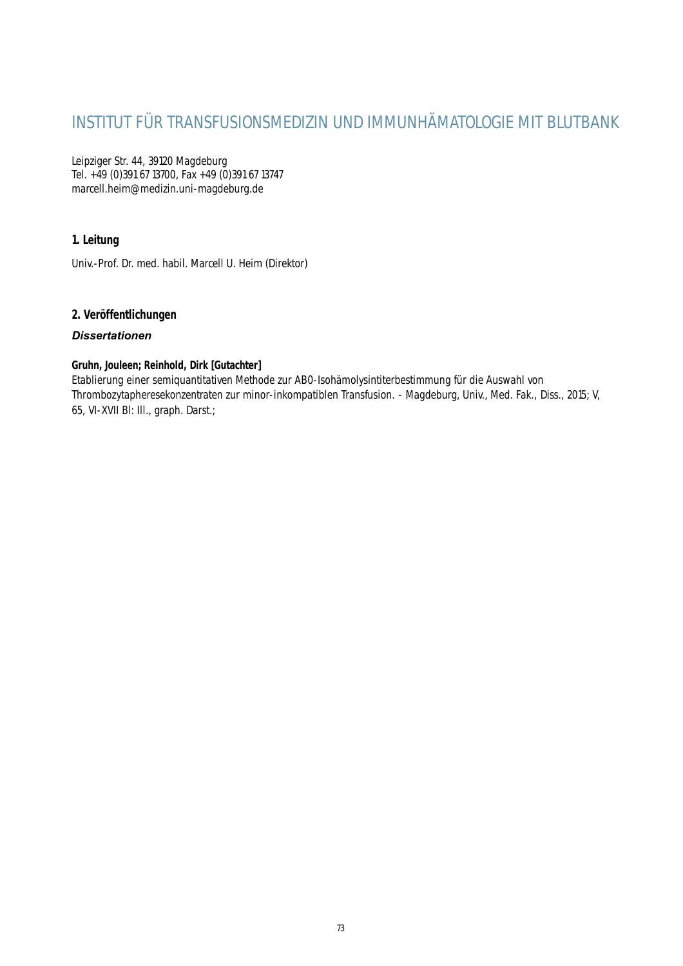# INSTITUT FÜR TRANSFUSIONSMEDIZIN UND IMMUNHÄMATOLOGIE MIT BLUTBANK

Leipziger Str. 44, 39120 Magdeburg Tel. +49 (0)391 67 13700, Fax +49 (0)391 67 13747 marcell.heim@medizin.uni-magdeburg.de

# **1. Leitung**

Univ.-Prof. Dr. med. habil. Marcell U. Heim (Direktor)

# **2. Veröffentlichungen**

# *Dissertationen*

# **Gruhn, Jouleen; Reinhold, Dirk [Gutachter]**

Etablierung einer semiquantitativen Methode zur AB0-Isohämolysintiterbestimmung für die Auswahl von Thrombozytapheresekonzentraten zur minor-inkompatiblen Transfusion. - Magdeburg, Univ., Med. Fak., Diss., 2015; V, 65, VI-XVII Bl: Ill., graph. Darst.;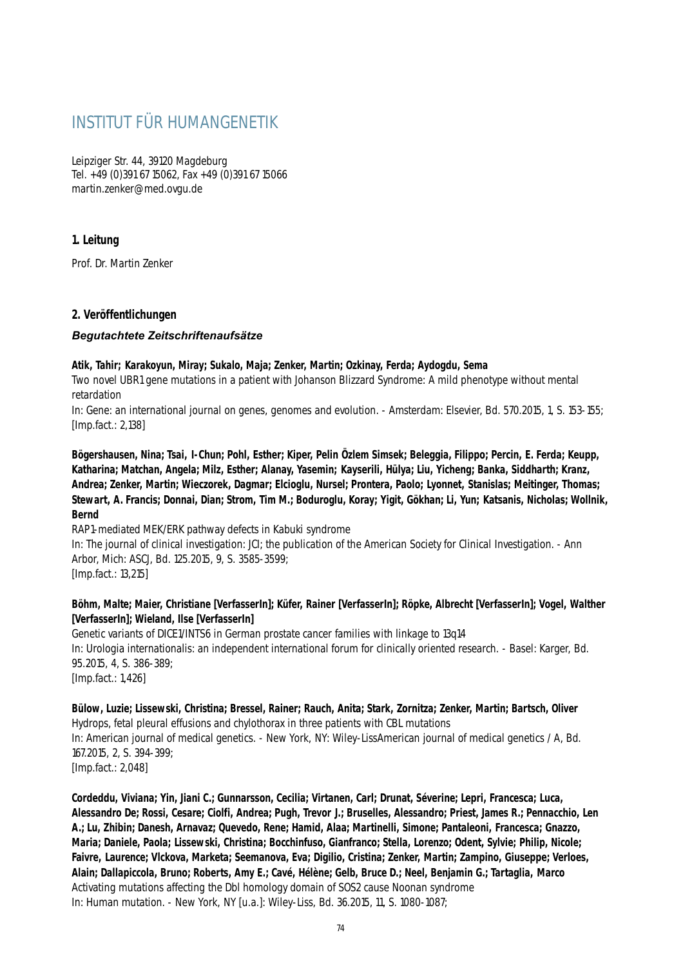# INSTITUT FÜR HUMANGENETIK

Leipziger Str. 44, 39120 Magdeburg Tel. +49 (0)391 67 15062, Fax +49 (0)391 67 15066 martin.zenker@med.ovgu.de

# **1. Leitung**

Prof. Dr. Martin Zenker

# **2. Veröffentlichungen**

# *Begutachtete Zeitschriftenaufsätze*

#### **Atik, Tahir; Karakoyun, Miray; Sukalo, Maja; Zenker, Martin; Ozkinay, Ferda; Aydogdu, Sema**

Two novel UBR1 gene mutations in a patient with Johanson Blizzard Syndrome: A mild phenotype without mental retardation

In: Gene: an international journal on genes, genomes and evolution. - Amsterdam: Elsevier, Bd. 570.2015, 1, S. 153-155; [Imp.fact.: 2,138]

**Bögershausen, Nina; Tsai, I-Chun; Pohl, Esther; Kiper, Pelin Özlem Simsek; Beleggia, Filippo; Percin, E. Ferda; Keupp, Katharina; Matchan, Angela; Milz, Esther; Alanay, Yasemin; Kayserili, Hülya; Liu, Yicheng; Banka, Siddharth; Kranz, Andrea; Zenker, Martin; Wieczorek, Dagmar; Elcioglu, Nursel; Prontera, Paolo; Lyonnet, Stanislas; Meitinger, Thomas; Stewart, A. Francis; Donnai, Dian; Strom, Tim M.; Boduroglu, Koray; Yigit, Gökhan; Li, Yun; Katsanis, Nicholas; Wollnik, Bernd**

RAP1-mediated MEK/ERK pathway defects in Kabuki syndrome

In: The journal of clinical investigation: JCI; the publication of the American Society for Clinical Investigation. - Ann Arbor, Mich: ASCJ, Bd. 125.2015, 9, S. 3585-3599;

[Imp.fact.: 13,215]

# **Böhm, Malte; Maier, Christiane [VerfasserIn]; Küfer, Rainer [VerfasserIn]; Röpke, Albrecht [VerfasserIn]; Vogel, Walther [VerfasserIn]; Wieland, Ilse [VerfasserIn]**

Genetic variants of DICE1/INTS6 in German prostate cancer families with linkage to 13q14 In: Urologia internationalis: an independent international forum for clinically oriented research. - Basel: Karger, Bd. 95.2015, 4, S. 386-389; [Imp.fact.: 1,426]

**Bülow, Luzie; Lissewski, Christina; Bressel, Rainer; Rauch, Anita; Stark, Zornitza; Zenker, Martin; Bartsch, Oliver** Hydrops, fetal pleural effusions and chylothorax in three patients with CBL mutations In: American journal of medical genetics. - New York, NY: Wiley-LissAmerican journal of medical genetics / A, Bd. 167.2015, 2, S. 394-399; [Imp.fact.: 2,048]

**Cordeddu, Viviana; Yin, Jiani C.; Gunnarsson, Cecilia; Virtanen, Carl; Drunat, Séverine; Lepri, Francesca; Luca, Alessandro De; Rossi, Cesare; Ciolfi, Andrea; Pugh, Trevor J.; Bruselles, Alessandro; Priest, James R.; Pennacchio, Len A.; Lu, Zhibin; Danesh, Arnavaz; Quevedo, Rene; Hamid, Alaa; Martinelli, Simone; Pantaleoni, Francesca; Gnazzo, Maria; Daniele, Paola; Lissewski, Christina; Bocchinfuso, Gianfranco; Stella, Lorenzo; Odent, Sylvie; Philip, Nicole; Faivre, Laurence; Vlckova, Marketa; Seemanova, Eva; Digilio, Cristina; Zenker, Martin; Zampino, Giuseppe; Verloes, Alain; Dallapiccola, Bruno; Roberts, Amy E.; Cavé, Hélène; Gelb, Bruce D.; Neel, Benjamin G.; Tartaglia, Marco** Activating mutations affecting the Dbl homology domain of SOS2 cause Noonan syndrome In: Human mutation. - New York, NY [u.a.]: Wiley-Liss, Bd. 36.2015, 11, S. 1080-1087;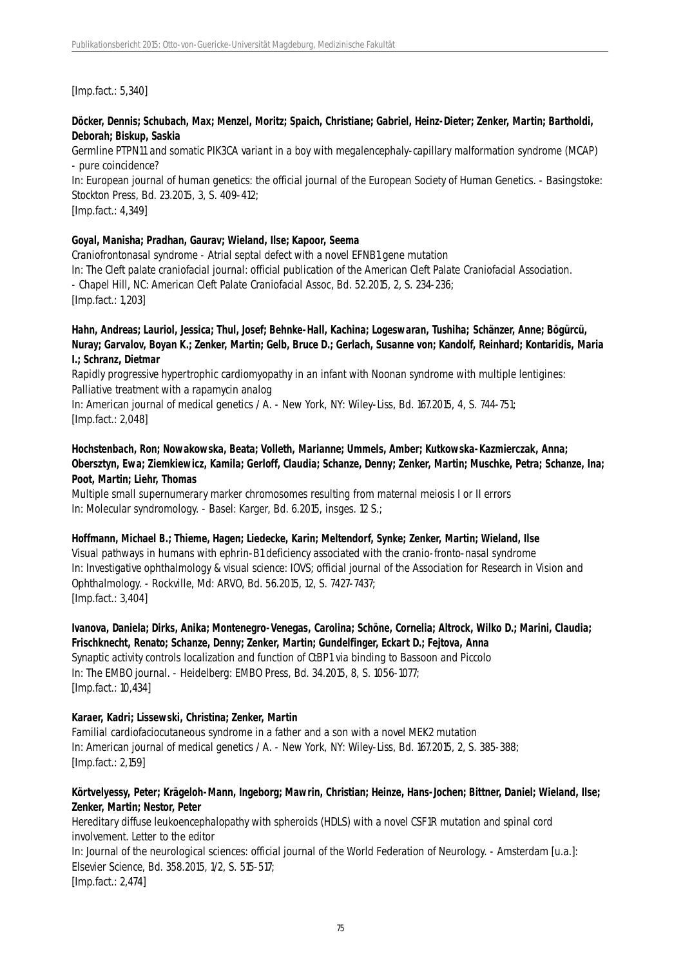[Imp.fact.: 5,340]

# **Döcker, Dennis; Schubach, Max; Menzel, Moritz; Spaich, Christiane; Gabriel, Heinz-Dieter; Zenker, Martin; Bartholdi, Deborah; Biskup, Saskia**

Germline PTPN11 and somatic PIK3CA variant in a boy with megalencephaly-capillary malformation syndrome (MCAP) - pure coincidence?

In: European journal of human genetics: the official journal of the European Society of Human Genetics. - Basingstoke: Stockton Press, Bd. 23.2015, 3, S. 409-412;

[Imp.fact.: 4,349]

#### **Goyal, Manisha; Pradhan, Gaurav; Wieland, Ilse; Kapoor, Seema**

Craniofrontonasal syndrome - Atrial septal defect with a novel EFNB1 gene mutation In: The Cleft palate craniofacial journal: official publication of the American Cleft Palate Craniofacial Association. - Chapel Hill, NC: American Cleft Palate Craniofacial Assoc, Bd. 52.2015, 2, S. 234-236; [Imp.fact.: 1,203]

#### **Hahn, Andreas; Lauriol, Jessica; Thul, Josef; Behnke-Hall, Kachina; Logeswaran, Tushiha; Schänzer, Anne; Bögürcü, Nuray; Garvalov, Boyan K.; Zenker, Martin; Gelb, Bruce D.; Gerlach, Susanne von; Kandolf, Reinhard; Kontaridis, Maria I.; Schranz, Dietmar**

Rapidly progressive hypertrophic cardiomyopathy in an infant with Noonan syndrome with multiple lentigines: Palliative treatment with a rapamycin analog

In: American journal of medical genetics / A. - New York, NY: Wiley-Liss, Bd. 167.2015, 4, S. 744-751; [Imp.fact.: 2,048]

# **Hochstenbach, Ron; Nowakowska, Beata; Volleth, Marianne; Ummels, Amber; Kutkowska-Kazmierczak, Anna; Obersztyn, Ewa; Ziemkiewicz, Kamila; Gerloff, Claudia; Schanze, Denny; Zenker, Martin; Muschke, Petra; Schanze, Ina; Poot, Martin; Liehr, Thomas**

Multiple small supernumerary marker chromosomes resulting from maternal meiosis I or II errors In: Molecular syndromology. - Basel: Karger, Bd. 6.2015, insges. 12 S.;

#### **Hoffmann, Michael B.; Thieme, Hagen; Liedecke, Karin; Meltendorf, Synke; Zenker, Martin; Wieland, Ilse**

Visual pathways in humans with ephrin-B1 deficiency associated with the cranio-fronto-nasal syndrome In: Investigative ophthalmology & visual science: IOVS; official journal of the Association for Research in Vision and Ophthalmology. - Rockville, Md: ARVO, Bd. 56.2015, 12, S. 7427-7437; [Imp.fact.: 3,404]

#### **Ivanova, Daniela; Dirks, Anika; Montenegro-Venegas, Carolina; Schöne, Cornelia; Altrock, Wilko D.; Marini, Claudia; Frischknecht, Renato; Schanze, Denny; Zenker, Martin; Gundelfinger, Eckart D.; Fejtova, Anna**

Synaptic activity controls localization and function of CtBP1 via binding to Bassoon and Piccolo In: The EMBO journal. - Heidelberg: EMBO Press, Bd. 34.2015, 8, S. 1056-1077; [Imp.fact.: 10,434]

# **Karaer, Kadri; Lissewski, Christina; Zenker, Martin**

Familial cardiofaciocutaneous syndrome in a father and a son with a novel MEK2 mutation In: American journal of medical genetics / A. - New York, NY: Wiley-Liss, Bd. 167.2015, 2, S. 385-388; [Imp.fact.: 2,159]

#### **Körtvelyessy, Peter; Krägeloh-Mann, Ingeborg; Mawrin, Christian; Heinze, Hans-Jochen; Bittner, Daniel; Wieland, Ilse; Zenker, Martin; Nestor, Peter**

Hereditary diffuse leukoencephalopathy with spheroids (HDLS) with a novel CSF1R mutation and spinal cord involvement. Letter to the editor

In: Journal of the neurological sciences: official journal of the World Federation of Neurology. - Amsterdam [u.a.]: Elsevier Science, Bd. 358.2015, 1/2, S. 515-517; [Imp.fact.: 2,474]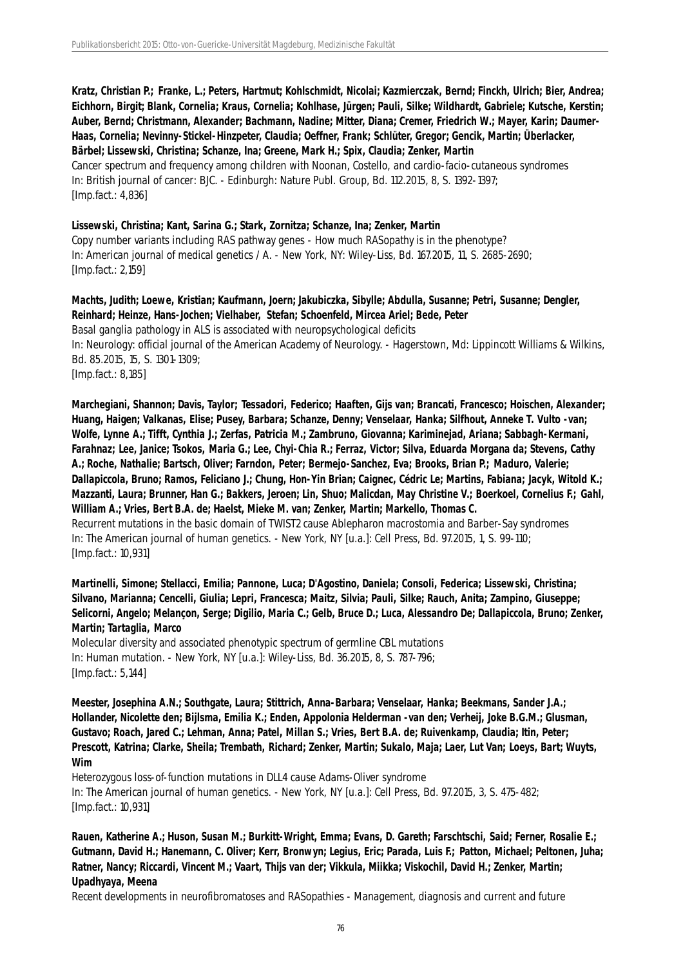**Kratz, Christian P.; Franke, L.; Peters, Hartmut; Kohlschmidt, Nicolai; Kazmierczak, Bernd; Finckh, Ulrich; Bier, Andrea; Eichhorn, Birgit; Blank, Cornelia; Kraus, Cornelia; Kohlhase, Jürgen; Pauli, Silke; Wildhardt, Gabriele; Kutsche, Kerstin; Auber, Bernd; Christmann, Alexander; Bachmann, Nadine; Mitter, Diana; Cremer, Friedrich W.; Mayer, Karin; Daumer-Haas, Cornelia; Nevinny-Stickel-Hinzpeter, Claudia; Oeffner, Frank; Schlüter, Gregor; Gencik, Martin; Überlacker, Bärbel; Lissewski, Christina; Schanze, Ina; Greene, Mark H.; Spix, Claudia; Zenker, Martin** Cancer spectrum and frequency among children with Noonan, Costello, and cardio-facio-cutaneous syndromes In: British journal of cancer: BJC. - Edinburgh: Nature Publ. Group, Bd. 112.2015, 8, S. 1392-1397; [Imp.fact.: 4,836]

**Lissewski, Christina; Kant, Sarina G.; Stark, Zornitza; Schanze, Ina; Zenker, Martin**

Copy number variants including RAS pathway genes - How much RASopathy is in the phenotype? In: American journal of medical genetics / A. - New York, NY: Wiley-Liss, Bd. 167.2015, 11, S. 2685-2690; [Imp.fact.: 2,159]

**Machts, Judith; Loewe, Kristian; Kaufmann, Joern; Jakubiczka, Sibylle; Abdulla, Susanne; Petri, Susanne; Dengler, Reinhard; Heinze, Hans-Jochen; Vielhaber, Stefan; Schoenfeld, Mircea Ariel; Bede, Peter** Basal ganglia pathology in ALS is associated with neuropsychological deficits In: Neurology: official journal of the American Academy of Neurology. - Hagerstown, Md: Lippincott Williams & Wilkins, Bd. 85.2015, 15, S. 1301-1309; [Imp.fact.: 8,185]

**Marchegiani, Shannon; Davis, Taylor; Tessadori, Federico; Haaften, Gijs van; Brancati, Francesco; Hoischen, Alexander; Huang, Haigen; Valkanas, Elise; Pusey, Barbara; Schanze, Denny; Venselaar, Hanka; Silfhout, Anneke T. Vulto -van; Wolfe, Lynne A.; Tifft, Cynthia J.; Zerfas, Patricia M.; Zambruno, Giovanna; Kariminejad, Ariana; Sabbagh-Kermani, Farahnaz; Lee, Janice; Tsokos, Maria G.; Lee, Chyi-Chia R.; Ferraz, Victor; Silva, Eduarda Morgana da; Stevens, Cathy A.; Roche, Nathalie; Bartsch, Oliver; Farndon, Peter; Bermejo-Sanchez, Eva; Brooks, Brian P.; Maduro, Valerie; Dallapiccola, Bruno; Ramos, Feliciano J.; Chung, Hon-Yin Brian; Caignec, Cédric Le; Martins, Fabiana; Jacyk, Witold K.; Mazzanti, Laura; Brunner, Han G.; Bakkers, Jeroen; Lin, Shuo; Malicdan, May Christine V.; Boerkoel, Cornelius F.; Gahl, William A.; Vries, Bert B.A. de; Haelst, Mieke M. van; Zenker, Martin; Markello, Thomas C.** Recurrent mutations in the basic domain of TWIST2 cause Ablepharon macrostomia and Barber-Say syndromes In: The American journal of human genetics. - New York, NY [u.a.]: Cell Press, Bd. 97.2015, 1, S. 99-110; [Imp.fact.: 10,931]

**Martinelli, Simone; Stellacci, Emilia; Pannone, Luca; D'Agostino, Daniela; Consoli, Federica; Lissewski, Christina; Silvano, Marianna; Cencelli, Giulia; Lepri, Francesca; Maitz, Silvia; Pauli, Silke; Rauch, Anita; Zampino, Giuseppe; Selicorni, Angelo; Melançon, Serge; Digilio, Maria C.; Gelb, Bruce D.; Luca, Alessandro De; Dallapiccola, Bruno; Zenker, Martin; Tartaglia, Marco**

Molecular diversity and associated phenotypic spectrum of germline CBL mutations In: Human mutation. - New York, NY [u.a.]: Wiley-Liss, Bd. 36.2015, 8, S. 787-796; [Imp.fact.: 5,144]

**Meester, Josephina A.N.; Southgate, Laura; Stittrich, Anna-Barbara; Venselaar, Hanka; Beekmans, Sander J.A.; Hollander, Nicolette den; Bijlsma, Emilia K.; Enden, Appolonia Helderman -van den; Verheij, Joke B.G.M.; Glusman, Gustavo; Roach, Jared C.; Lehman, Anna; Patel, Millan S.; Vries, Bert B.A. de; Ruivenkamp, Claudia; Itin, Peter; Prescott, Katrina; Clarke, Sheila; Trembath, Richard; Zenker, Martin; Sukalo, Maja; Laer, Lut Van; Loeys, Bart; Wuyts, Wim**

Heterozygous loss-of-function mutations in DLL4 cause Adams-Oliver syndrome In: The American journal of human genetics. - New York, NY [u.a.]: Cell Press, Bd. 97.2015, 3, S. 475-482; [Imp.fact.: 10,931]

**Rauen, Katherine A.; Huson, Susan M.; Burkitt-Wright, Emma; Evans, D. Gareth; Farschtschi, Said; Ferner, Rosalie E.; Gutmann, David H.; Hanemann, C. Oliver; Kerr, Bronwyn; Legius, Eric; Parada, Luis F.; Patton, Michael; Peltonen, Juha; Ratner, Nancy; Riccardi, Vincent M.; Vaart, Thijs van der; Vikkula, Miikka; Viskochil, David H.; Zenker, Martin; Upadhyaya, Meena**

Recent developments in neurofibromatoses and RASopathies - Management, diagnosis and current and future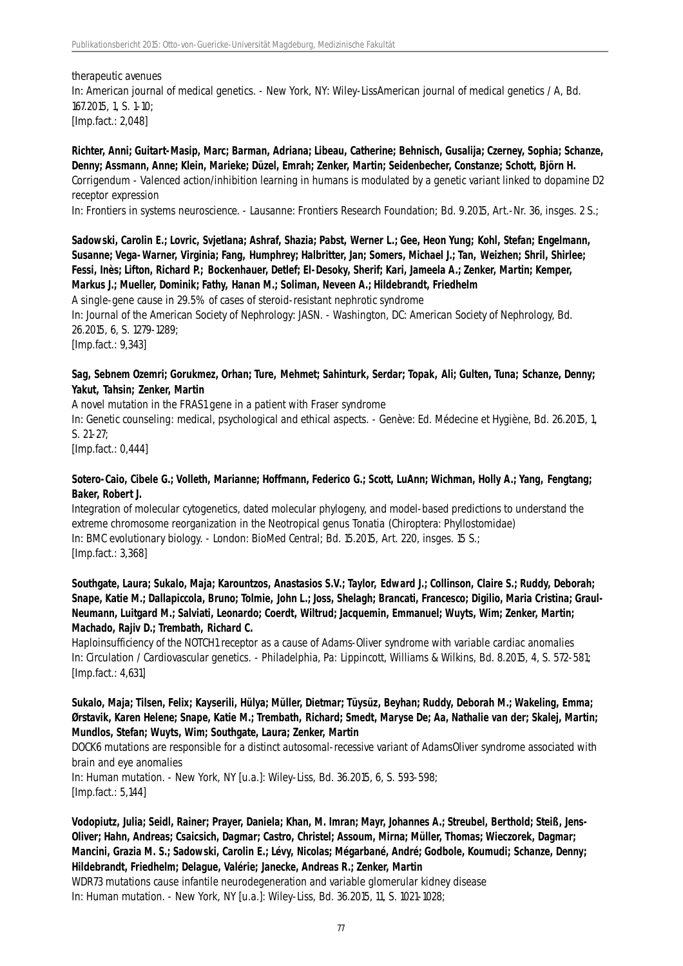#### therapeutic avenues

In: American journal of medical genetics. - New York, NY: Wiley-LissAmerican journal of medical genetics / A, Bd. 167.2015, 1, S. 1-10; [Imp.fact.: 2,048]

**Richter, Anni; Guitart-Masip, Marc; Barman, Adriana; Libeau, Catherine; Behnisch, Gusalija; Czerney, Sophia; Schanze, Denny; Assmann, Anne; Klein, Marieke; Düzel, Emrah; Zenker, Martin; Seidenbecher, Constanze; Schott, Björn H.** Corrigendum - Valenced action/inhibition learning in humans is modulated by a genetic variant linked to dopamine D2 receptor expression

In: Frontiers in systems neuroscience. - Lausanne: Frontiers Research Foundation; Bd. 9.2015, Art.-Nr. 36, insges. 2 S.;

# **Sadowski, Carolin E.; Lovric, Svjetlana; Ashraf, Shazia; Pabst, Werner L.; Gee, Heon Yung; Kohl, Stefan; Engelmann, Susanne; Vega-Warner, Virginia; Fang, Humphrey; Halbritter, Jan; Somers, Michael J.; Tan, Weizhen; Shril, Shirlee; Fessi, Inès; Lifton, Richard P.; Bockenhauer, Detlef; El-Desoky, Sherif; Kari, Jameela A.; Zenker, Martin; Kemper, Markus J.; Mueller, Dominik; Fathy, Hanan M.; Soliman, Neveen A.; Hildebrandt, Friedhelm**

A single-gene cause in 29.5% of cases of steroid-resistant nephrotic syndrome In: Journal of the American Society of Nephrology: JASN. - Washington, DC: American Society of Nephrology, Bd. 26.2015, 6, S. 1279-1289; [Imp.fact.: 9,343]

# **Sag, Sebnem Ozemri; Gorukmez, Orhan; Ture, Mehmet; Sahinturk, Serdar; Topak, Ali; Gulten, Tuna; Schanze, Denny; Yakut, Tahsin; Zenker, Martin**

A novel mutation in the FRAS1 gene in a patient with Fraser syndrome

In: Genetic counseling: medical, psychological and ethical aspects. - Genève: Ed. Médecine et Hygiène, Bd. 26.2015, 1, S. 21-27;

[Imp.fact.: 0,444]

#### **Sotero-Caio, Cibele G.; Volleth, Marianne; Hoffmann, Federico G.; Scott, LuAnn; Wichman, Holly A.; Yang, Fengtang; Baker, Robert J.**

Integration of molecular cytogenetics, dated molecular phylogeny, and model-based predictions to understand the extreme chromosome reorganization in the Neotropical genus Tonatia (Chiroptera: Phyllostomidae) In: BMC evolutionary biology. - London: BioMed Central; Bd. 15.2015, Art. 220, insges. 15 S.; [Imp.fact.: 3,368]

**Southgate, Laura; Sukalo, Maja; Karountzos, Anastasios S.V.; Taylor, Edward J.; Collinson, Claire S.; Ruddy, Deborah; Snape, Katie M.; Dallapiccola, Bruno; Tolmie, John L.; Joss, Shelagh; Brancati, Francesco; Digilio, Maria Cristina; Graul-Neumann, Luitgard M.; Salviati, Leonardo; Coerdt, Wiltrud; Jacquemin, Emmanuel; Wuyts, Wim; Zenker, Martin; Machado, Rajiv D.; Trembath, Richard C.**

Haploinsufficiency of the NOTCH1 receptor as a cause of Adams-Oliver syndrome with variable cardiac anomalies In: Circulation / Cardiovascular genetics. - Philadelphia, Pa: Lippincott, Williams & Wilkins, Bd. 8.2015, 4, S. 572-581; [Imp.fact.: 4,631]

#### **Sukalo, Maja; Tilsen, Felix; Kayserili, Hülya; Müller, Dietmar; Tüysüz, Beyhan; Ruddy, Deborah M.; Wakeling, Emma; Ørstavik, Karen Helene; Snape, Katie M.; Trembath, Richard; Smedt, Maryse De; Aa, Nathalie van der; Skalej, Martin; Mundlos, Stefan; Wuyts, Wim; Southgate, Laura; Zenker, Martin**

DOCK6 mutations are responsible for a distinct autosomal-recessive variant of AdamsOliver syndrome associated with brain and eye anomalies

In: Human mutation. - New York, NY [u.a.]: Wiley-Liss, Bd. 36.2015, 6, S. 593-598; [Imp.fact.: 5,144]

# **Vodopiutz, Julia; Seidl, Rainer; Prayer, Daniela; Khan, M. Imran; Mayr, Johannes A.; Streubel, Berthold; Steiß, Jens-Oliver; Hahn, Andreas; Csaicsich, Dagmar; Castro, Christel; Assoum, Mirna; Müller, Thomas; Wieczorek, Dagmar; Mancini, Grazia M. S.; Sadowski, Carolin E.; Lévy, Nicolas; Mégarbané, André; Godbole, Koumudi; Schanze, Denny; Hildebrandt, Friedhelm; Delague, Valérie; Janecke, Andreas R.; Zenker, Martin**

WDR73 mutations cause infantile neurodegeneration and variable glomerular kidney disease In: Human mutation. - New York, NY [u.a.]: Wiley-Liss, Bd. 36.2015, 11, S. 1021-1028;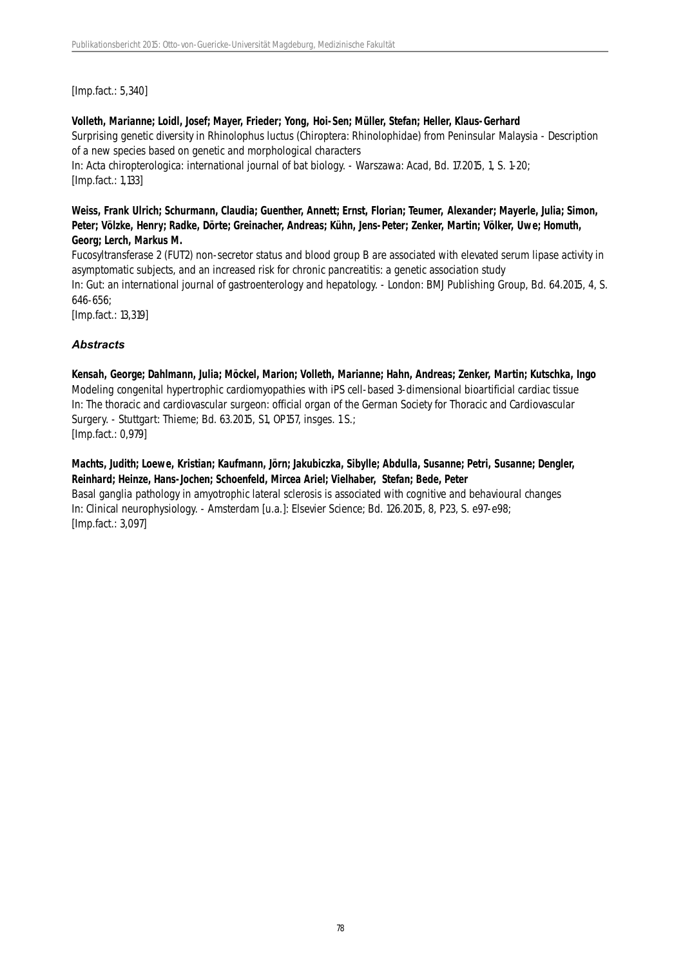[Imp.fact.: 5,340]

#### **Volleth, Marianne; Loidl, Josef; Mayer, Frieder; Yong, Hoi-Sen; Müller, Stefan; Heller, Klaus-Gerhard**

Surprising genetic diversity in Rhinolophus luctus (Chiroptera: Rhinolophidae) from Peninsular Malaysia - Description of a new species based on genetic and morphological characters

In: Acta chiropterologica: international journal of bat biology. - Warszawa: Acad, Bd. 17.2015, 1, S. 1-20; [Imp.fact.: 1,133]

# **Weiss, Frank Ulrich; Schurmann, Claudia; Guenther, Annett; Ernst, Florian; Teumer, Alexander; Mayerle, Julia; Simon, Peter; Völzke, Henry; Radke, Dörte; Greinacher, Andreas; Kühn, Jens-Peter; Zenker, Martin; Völker, Uwe; Homuth, Georg; Lerch, Markus M.**

Fucosyltransferase 2 (FUT2) non-secretor status and blood group B are associated with elevated serum lipase activity in asymptomatic subjects, and an increased risk for chronic pancreatitis: a genetic association study In: Gut: an international journal of gastroenterology and hepatology. - London: BMJ Publishing Group, Bd. 64.2015, 4, S. 646-656;

[Imp.fact.: 13,319]

# *Abstracts*

**Kensah, George; Dahlmann, Julia; Möckel, Marion; Volleth, Marianne; Hahn, Andreas; Zenker, Martin; Kutschka, Ingo** Modeling congenital hypertrophic cardiomyopathies with iPS cell-based 3-dimensional bioartificial cardiac tissue In: The thoracic and cardiovascular surgeon: official organ of the German Society for Thoracic and Cardiovascular Surgery. - Stuttgart: Thieme; Bd. 63.2015, S1, OP157, insges. 1 S.; [Imp.fact.: 0,979]

**Machts, Judith; Loewe, Kristian; Kaufmann, Jörn; Jakubiczka, Sibylle; Abdulla, Susanne; Petri, Susanne; Dengler, Reinhard; Heinze, Hans-Jochen; Schoenfeld, Mircea Ariel; Vielhaber, Stefan; Bede, Peter** Basal ganglia pathology in amyotrophic lateral sclerosis is associated with cognitive and behavioural changes In: Clinical neurophysiology. - Amsterdam [u.a.]: Elsevier Science; Bd. 126.2015, 8, P23, S. e97-e98; [Imp.fact.: 3,097]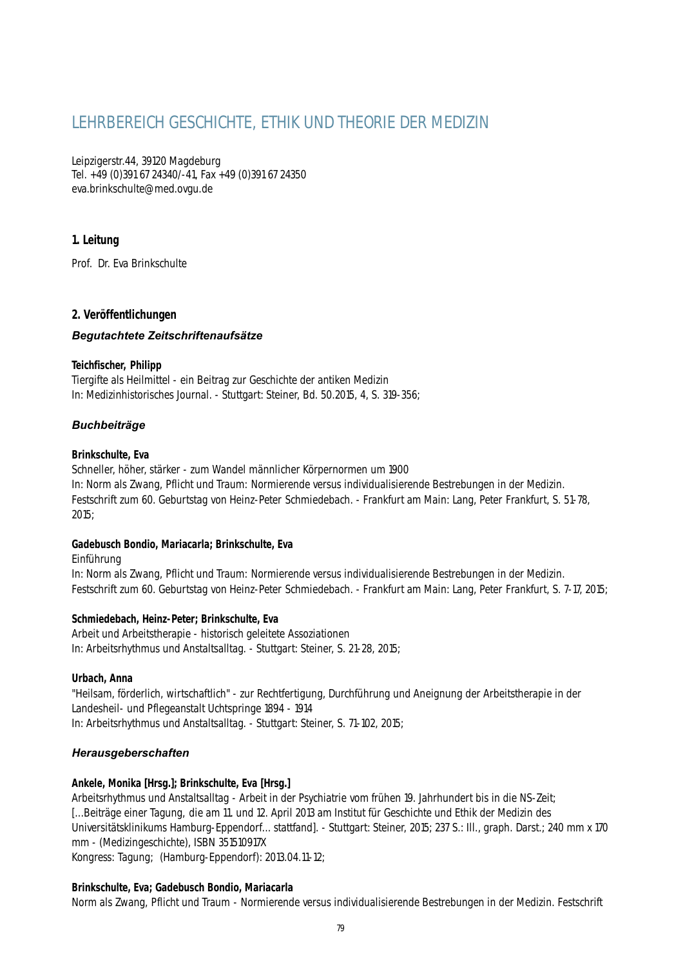# LEHRBEREICH GESCHICHTE, ETHIK UND THEORIE DER MEDIZIN

Leipzigerstr.44, 39120 Magdeburg Tel. +49 (0)391 67 24340/-41, Fax +49 (0)391 67 24350 eva.brinkschulte@med.ovgu.de

# **1. Leitung**

Prof. Dr. Eva Brinkschulte

# **2. Veröffentlichungen**

# *Begutachtete Zeitschriftenaufsätze*

# **Teichfischer, Philipp**

Tiergifte als Heilmittel - ein Beitrag zur Geschichte der antiken Medizin In: Medizinhistorisches Journal. - Stuttgart: Steiner, Bd. 50.2015, 4, S. 319-356;

# *Buchbeiträge*

# **Brinkschulte, Eva**

Schneller, höher, stärker - zum Wandel männlicher Körpernormen um 1900 In: Norm als Zwang, Pflicht und Traum: Normierende versus individualisierende Bestrebungen in der Medizin. Festschrift zum 60. Geburtstag von Heinz-Peter Schmiedebach. - Frankfurt am Main: Lang, Peter Frankfurt, S. 51-78, 2015;

# **Gadebusch Bondio, Mariacarla; Brinkschulte, Eva**

Einführung

In: Norm als Zwang, Pflicht und Traum: Normierende versus individualisierende Bestrebungen in der Medizin. Festschrift zum 60. Geburtstag von Heinz-Peter Schmiedebach. - Frankfurt am Main: Lang, Peter Frankfurt, S. 7-17, 2015;

# **Schmiedebach, Heinz-Peter; Brinkschulte, Eva**

Arbeit und Arbeitstherapie - historisch geleitete Assoziationen In: Arbeitsrhythmus und Anstaltsalltag. - Stuttgart: Steiner, S. 21-28, 2015;

# **Urbach, Anna**

"Heilsam, förderlich, wirtschaftlich" - zur Rechtfertigung, Durchführung und Aneignung der Arbeitstherapie in der Landesheil- und Pflegeanstalt Uchtspringe 1894 - 1914 In: Arbeitsrhythmus und Anstaltsalltag. - Stuttgart: Steiner, S. 71-102, 2015;

# *Herausgeberschaften*

# **Ankele, Monika [Hrsg.]; Brinkschulte, Eva [Hrsg.]**

Arbeitsrhythmus und Anstaltsalltag - Arbeit in der Psychiatrie vom frühen 19. Jahrhundert bis in die NS-Zeit; [...Beiträge einer Tagung, die am 11. und 12. April 2013 am Institut für Geschichte und Ethik der Medizin des Universitätsklinikums Hamburg-Eppendorf... stattfand]. - Stuttgart: Steiner, 2015; 237 S.: Ill., graph. Darst.; 240 mm x 170 mm - (Medizingeschichte), ISBN 351510917X

Kongress: Tagung; (Hamburg-Eppendorf): 2013.04.11-12;

# **Brinkschulte, Eva; Gadebusch Bondio, Mariacarla**

Norm als Zwang, Pflicht und Traum - Normierende versus individualisierende Bestrebungen in der Medizin. Festschrift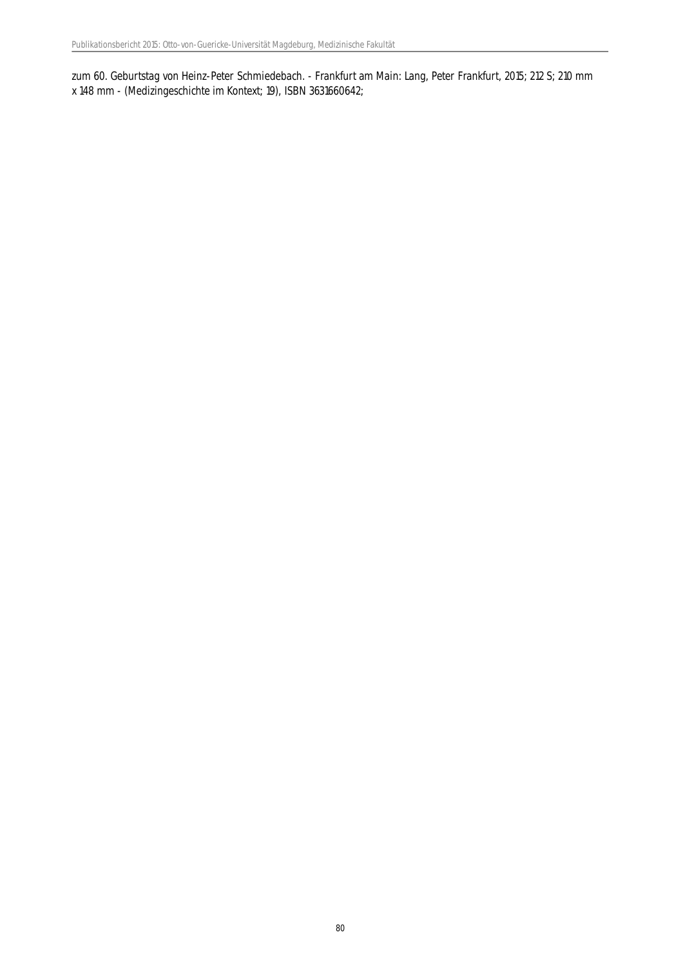zum 60. Geburtstag von Heinz-Peter Schmiedebach. - Frankfurt am Main: Lang, Peter Frankfurt, 2015; 212 S; 210 mm x 148 mm - (Medizingeschichte im Kontext; 19), ISBN 3631660642;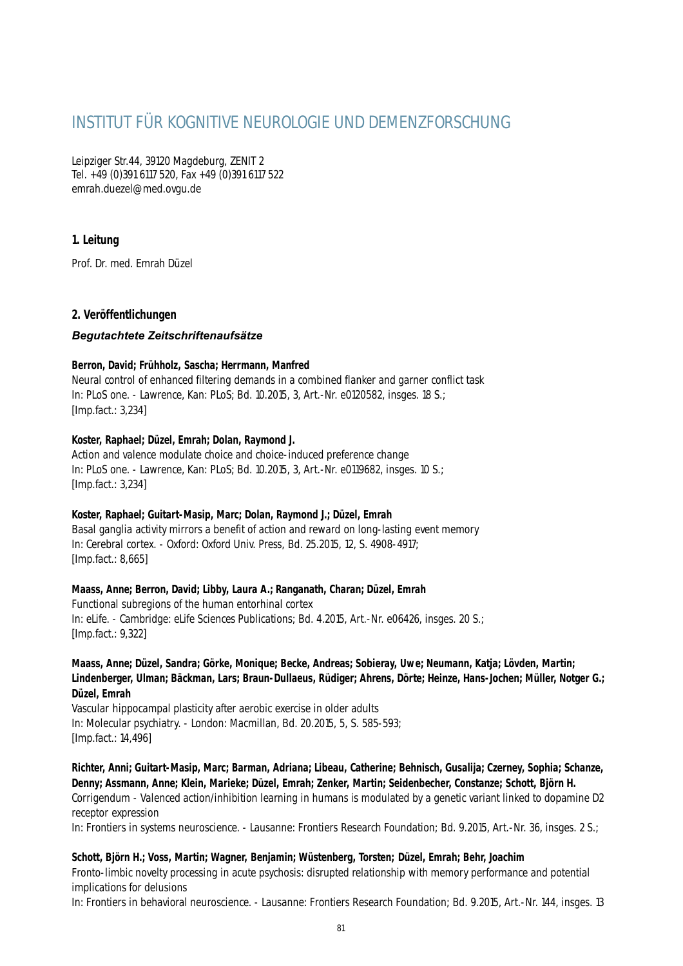# INSTITUT FÜR KOGNITIVE NEUROLOGIE UND DEMENZFORSCHUNG

Leipziger Str.44, 39120 Magdeburg, ZENIT 2 Tel. +49 (0)391 6117 520, Fax +49 (0)391 6117 522 emrah.duezel@med.ovgu.de

# **1. Leitung**

Prof. Dr. med. Emrah Düzel

# **2. Veröffentlichungen**

# *Begutachtete Zeitschriftenaufsätze*

# **Berron, David; Frühholz, Sascha; Herrmann, Manfred**

Neural control of enhanced filtering demands in a combined flanker and garner conflict task In: PLoS one. - Lawrence, Kan: PLoS; Bd. 10.2015, 3, Art.-Nr. e0120582, insges. 18 S.; [Imp.fact.: 3,234]

# **Koster, Raphael; Düzel, Emrah; Dolan, Raymond J.**

Action and valence modulate choice and choice-induced preference change In: PLoS one. - Lawrence, Kan: PLoS; Bd. 10.2015, 3, Art.-Nr. e0119682, insges. 10 S.; [Imp.fact.: 3,234]

# **Koster, Raphael; Guitart-Masip, Marc; Dolan, Raymond J.; Düzel, Emrah**

Basal ganglia activity mirrors a benefit of action and reward on long-lasting event memory In: Cerebral cortex. - Oxford: Oxford Univ. Press, Bd. 25.2015, 12, S. 4908-4917; [Imp.fact.: 8,665]

# **Maass, Anne; Berron, David; Libby, Laura A.; Ranganath, Charan; Düzel, Emrah**

Functional subregions of the human entorhinal cortex In: eLife. - Cambridge: eLife Sciences Publications; Bd. 4.2015, Art.-Nr. e06426, insges. 20 S.; [Imp.fact.: 9,322]

# **Maass, Anne; Düzel, Sandra; Görke, Monique; Becke, Andreas; Sobieray, Uwe; Neumann, Katja; Lövden, Martin; Lindenberger, Ulman; Bäckman, Lars; Braun-Dullaeus, Rüdiger; Ahrens, Dörte; Heinze, Hans-Jochen; Müller, Notger G.; Düzel, Emrah**

Vascular hippocampal plasticity after aerobic exercise in older adults In: Molecular psychiatry. - London: Macmillan, Bd. 20.2015, 5, S. 585-593; [Imp.fact.: 14,496]

# **Richter, Anni; Guitart-Masip, Marc; Barman, Adriana; Libeau, Catherine; Behnisch, Gusalija; Czerney, Sophia; Schanze, Denny; Assmann, Anne; Klein, Marieke; Düzel, Emrah; Zenker, Martin; Seidenbecher, Constanze; Schott, Björn H.** Corrigendum - Valenced action/inhibition learning in humans is modulated by a genetic variant linked to dopamine D2 receptor expression

In: Frontiers in systems neuroscience. - Lausanne: Frontiers Research Foundation; Bd. 9.2015, Art.-Nr. 36, insges. 2 S.;

# **Schott, Björn H.; Voss, Martin; Wagner, Benjamin; Wüstenberg, Torsten; Düzel, Emrah; Behr, Joachim**

Fronto-limbic novelty processing in acute psychosis: disrupted relationship with memory performance and potential implications for delusions

In: Frontiers in behavioral neuroscience. - Lausanne: Frontiers Research Foundation; Bd. 9.2015, Art.-Nr. 144, insges. 13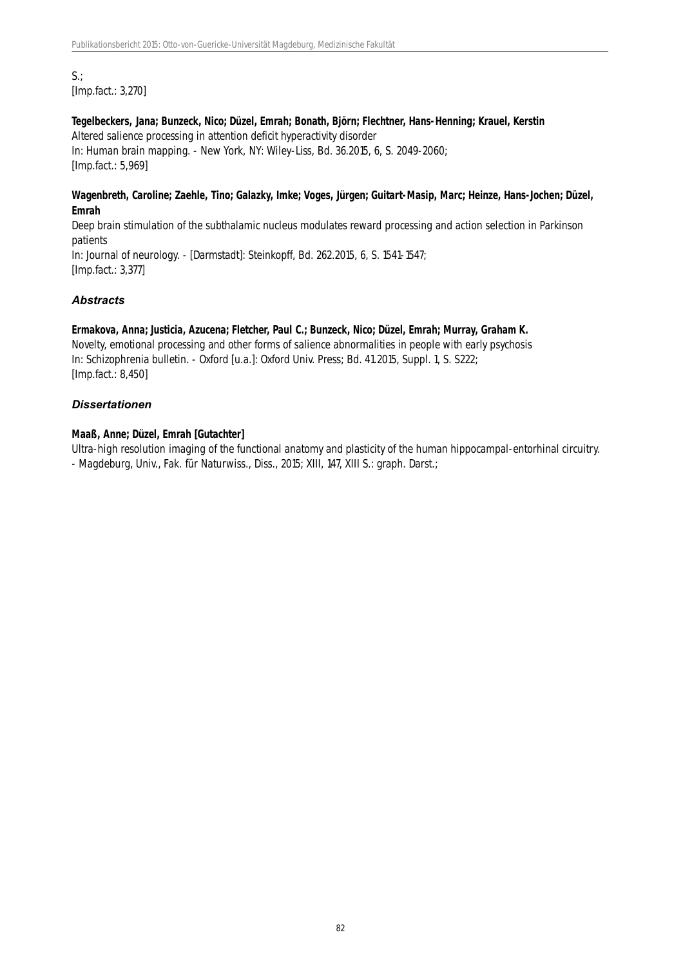$S.:$ [Imp.fact.: 3,270]

# **Tegelbeckers, Jana; Bunzeck, Nico; Düzel, Emrah; Bonath, Björn; Flechtner, Hans-Henning; Krauel, Kerstin** Altered salience processing in attention deficit hyperactivity disorder In: Human brain mapping. - New York, NY: Wiley-Liss, Bd. 36.2015, 6, S. 2049-2060; [Imp.fact.: 5,969]

#### **Wagenbreth, Caroline; Zaehle, Tino; Galazky, Imke; Voges, Jürgen; Guitart-Masip, Marc; Heinze, Hans-Jochen; Düzel, Emrah**

Deep brain stimulation of the subthalamic nucleus modulates reward processing and action selection in Parkinson patients In: Journal of neurology. - [Darmstadt]: Steinkopff, Bd. 262.2015, 6, S. 1541-1547; [Imp.fact.: 3,377]

# *Abstracts*

# **Ermakova, Anna; Justicia, Azucena; Fletcher, Paul C.; Bunzeck, Nico; Düzel, Emrah; Murray, Graham K.**

Novelty, emotional processing and other forms of salience abnormalities in people with early psychosis In: Schizophrenia bulletin. - Oxford [u.a.]: Oxford Univ. Press; Bd. 41.2015, Suppl. 1, S. S222; [Imp.fact.: 8,450]

# *Dissertationen*

# **Maaß, Anne; Düzel, Emrah [Gutachter]**

Ultra-high resolution imaging of the functional anatomy and plasticity of the human hippocampal-entorhinal circuitry. - Magdeburg, Univ., Fak. für Naturwiss., Diss., 2015; XIII, 147, XIII S.: graph. Darst.;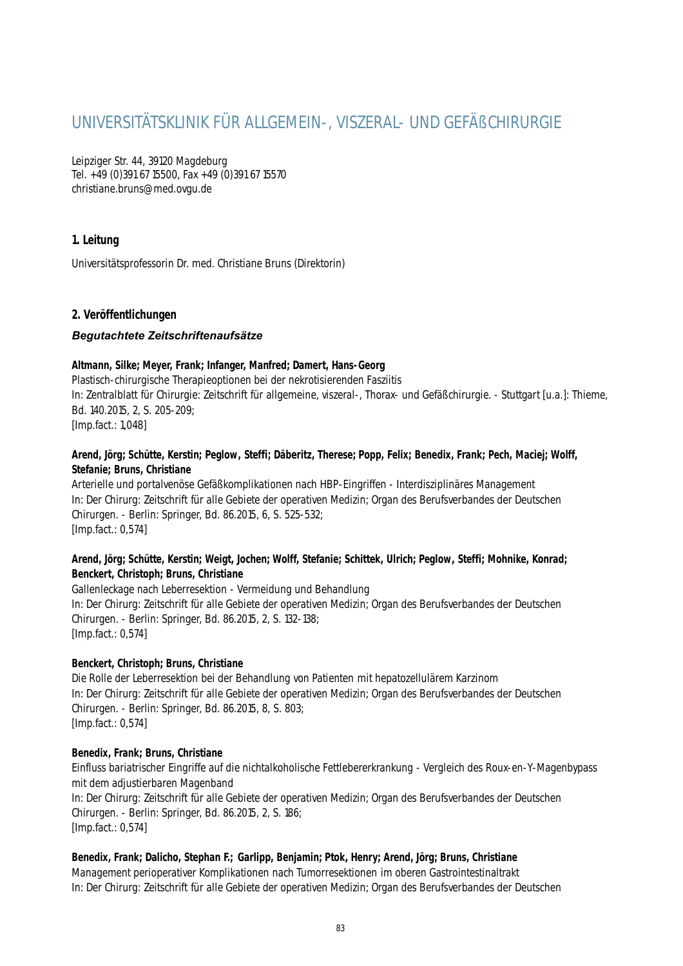# UNIVERSITÄTSKLINIK FÜR ALLGEMEIN-, VISZERAL- UND GEFÄßCHIRURGIE

Leipziger Str. 44, 39120 Magdeburg Tel. +49 (0)391 67 15500, Fax +49 (0)391 67 15570 christiane.bruns@med.ovgu.de

# **1. Leitung**

Universitätsprofessorin Dr. med. Christiane Bruns (Direktorin)

# **2. Veröffentlichungen**

# *Begutachtete Zeitschriftenaufsätze*

#### **Altmann, Silke; Meyer, Frank; Infanger, Manfred; Damert, Hans-Georg**

Plastisch-chirurgische Therapieoptionen bei der nekrotisierenden Fasziitis In: Zentralblatt für Chirurgie: Zeitschrift für allgemeine, viszeral-, Thorax- und Gefäßchirurgie. - Stuttgart [u.a.]: Thieme, Bd. 140.2015, 2, S. 205-209; [Imp.fact.: 1,048]

# **Arend, Jörg; Schütte, Kerstin; Peglow, Steffi; Däberitz, Therese; Popp, Felix; Benedix, Frank; Pech, Maciej; Wolff, Stefanie; Bruns, Christiane**

Arterielle und portalvenöse Gefäßkomplikationen nach HBP-Eingriffen - Interdisziplinäres Management In: Der Chirurg: Zeitschrift für alle Gebiete der operativen Medizin; Organ des Berufsverbandes der Deutschen Chirurgen. - Berlin: Springer, Bd. 86.2015, 6, S. 525-532; [Imp.fact.: 0,574]

# **Arend, Jörg; Schütte, Kerstin; Weigt, Jochen; Wolff, Stefanie; Schittek, Ulrich; Peglow, Steffi; Mohnike, Konrad; Benckert, Christoph; Bruns, Christiane**

Gallenleckage nach Leberresektion - Vermeidung und Behandlung In: Der Chirurg: Zeitschrift für alle Gebiete der operativen Medizin; Organ des Berufsverbandes der Deutschen Chirurgen. - Berlin: Springer, Bd. 86.2015, 2, S. 132-138; [Imp.fact.: 0,574]

# **Benckert, Christoph; Bruns, Christiane**

Die Rolle der Leberresektion bei der Behandlung von Patienten mit hepatozellulärem Karzinom In: Der Chirurg: Zeitschrift für alle Gebiete der operativen Medizin; Organ des Berufsverbandes der Deutschen Chirurgen. - Berlin: Springer, Bd. 86.2015, 8, S. 803; [Imp.fact.: 0,574]

#### **Benedix, Frank; Bruns, Christiane**

Einfluss bariatrischer Eingriffe auf die nichtalkoholische Fettlebererkrankung - Vergleich des Roux-en-Y-Magenbypass mit dem adjustierbaren Magenband

In: Der Chirurg: Zeitschrift für alle Gebiete der operativen Medizin; Organ des Berufsverbandes der Deutschen Chirurgen. - Berlin: Springer, Bd. 86.2015, 2, S. 186; [Imp.fact.: 0,574]

#### **Benedix, Frank; Dalicho, Stephan F.; Garlipp, Benjamin; Ptok, Henry; Arend, Jörg; Bruns, Christiane**

Management perioperativer Komplikationen nach Tumorresektionen im oberen Gastrointestinaltrakt In: Der Chirurg: Zeitschrift für alle Gebiete der operativen Medizin; Organ des Berufsverbandes der Deutschen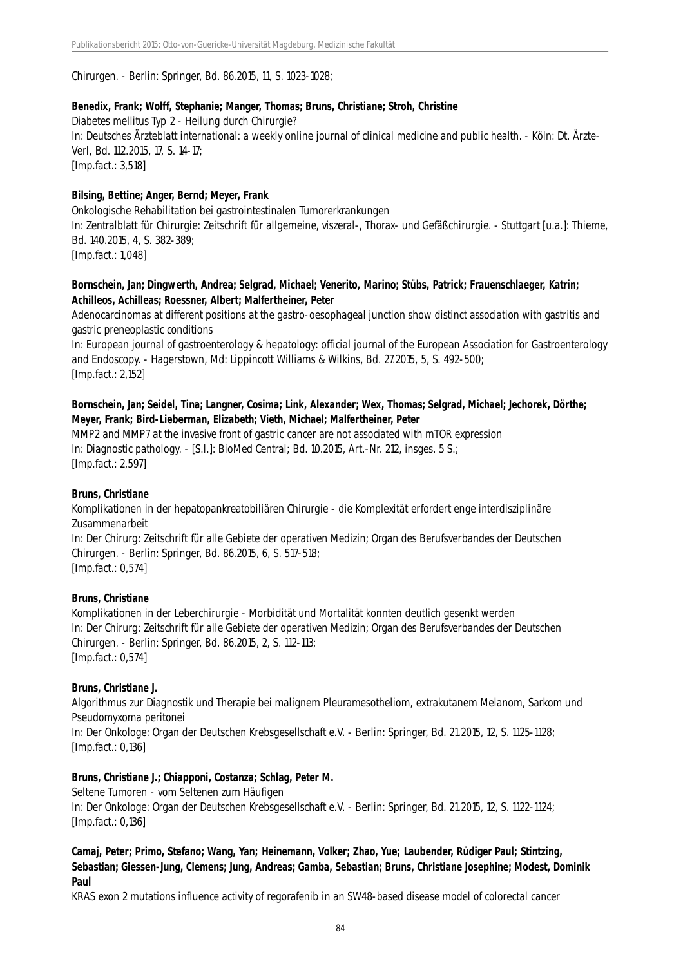Chirurgen. - Berlin: Springer, Bd. 86.2015, 11, S. 1023-1028;

#### **Benedix, Frank; Wolff, Stephanie; Manger, Thomas; Bruns, Christiane; Stroh, Christine**

Diabetes mellitus Typ 2 - Heilung durch Chirurgie? In: Deutsches Ärzteblatt international: a weekly online journal of clinical medicine and public health. - Köln: Dt. Ärzte-Verl, Bd. 112.2015, 17, S. 14-17; [Imp.fact.: 3,518]

#### **Bilsing, Bettine; Anger, Bernd; Meyer, Frank**

Onkologische Rehabilitation bei gastrointestinalen Tumorerkrankungen In: Zentralblatt für Chirurgie: Zeitschrift für allgemeine, viszeral-, Thorax- und Gefäßchirurgie. - Stuttgart [u.a.]: Thieme, Bd. 140.2015, 4, S. 382-389; [Imp.fact.: 1,048]

#### **Bornschein, Jan; Dingwerth, Andrea; Selgrad, Michael; Venerito, Marino; Stübs, Patrick; Frauenschlaeger, Katrin; Achilleos, Achilleas; Roessner, Albert; Malfertheiner, Peter**

Adenocarcinomas at different positions at the gastro-oesophageal junction show distinct association with gastritis and gastric preneoplastic conditions

In: European journal of gastroenterology & hepatology: official journal of the European Association for Gastroenterology and Endoscopy. - Hagerstown, Md: Lippincott Williams & Wilkins, Bd. 27.2015, 5, S. 492-500; [Imp.fact.: 2,152]

# **Bornschein, Jan; Seidel, Tina; Langner, Cosima; Link, Alexander; Wex, Thomas; Selgrad, Michael; Jechorek, Dörthe; Meyer, Frank; Bird-Lieberman, Elizabeth; Vieth, Michael; Malfertheiner, Peter**

MMP2 and MMP7 at the invasive front of gastric cancer are not associated with mTOR expression In: Diagnostic pathology. - [S.l.]: BioMed Central; Bd. 10.2015, Art.-Nr. 212, insges. 5 S.; [Imp.fact.: 2,597]

#### **Bruns, Christiane**

Komplikationen in der hepatopankreatobiliären Chirurgie - die Komplexität erfordert enge interdisziplinäre Zusammenarbeit

In: Der Chirurg: Zeitschrift für alle Gebiete der operativen Medizin; Organ des Berufsverbandes der Deutschen Chirurgen. - Berlin: Springer, Bd. 86.2015, 6, S. 517-518;

[Imp.fact.: 0,574]

# **Bruns, Christiane**

Komplikationen in der Leberchirurgie - Morbidität und Mortalität konnten deutlich gesenkt werden In: Der Chirurg: Zeitschrift für alle Gebiete der operativen Medizin; Organ des Berufsverbandes der Deutschen Chirurgen. - Berlin: Springer, Bd. 86.2015, 2, S. 112-113; [Imp.fact.: 0,574]

#### **Bruns, Christiane J.**

Algorithmus zur Diagnostik und Therapie bei malignem Pleuramesotheliom, extrakutanem Melanom, Sarkom und Pseudomyxoma peritonei

In: Der Onkologe: Organ der Deutschen Krebsgesellschaft e.V. - Berlin: Springer, Bd. 21.2015, 12, S. 1125-1128; [Imp.fact.: 0,136]

#### **Bruns, Christiane J.; Chiapponi, Costanza; Schlag, Peter M.**

Seltene Tumoren - vom Seltenen zum Häufigen In: Der Onkologe: Organ der Deutschen Krebsgesellschaft e.V. - Berlin: Springer, Bd. 21.2015, 12, S. 1122-1124; [Imp.fact.: 0,136]

# **Camaj, Peter; Primo, Stefano; Wang, Yan; Heinemann, Volker; Zhao, Yue; Laubender, Rüdiger Paul; Stintzing, Sebastian; Giessen-Jung, Clemens; Jung, Andreas; Gamba, Sebastian; Bruns, Christiane Josephine; Modest, Dominik Paul**

KRAS exon 2 mutations influence activity of regorafenib in an SW48-based disease model of colorectal cancer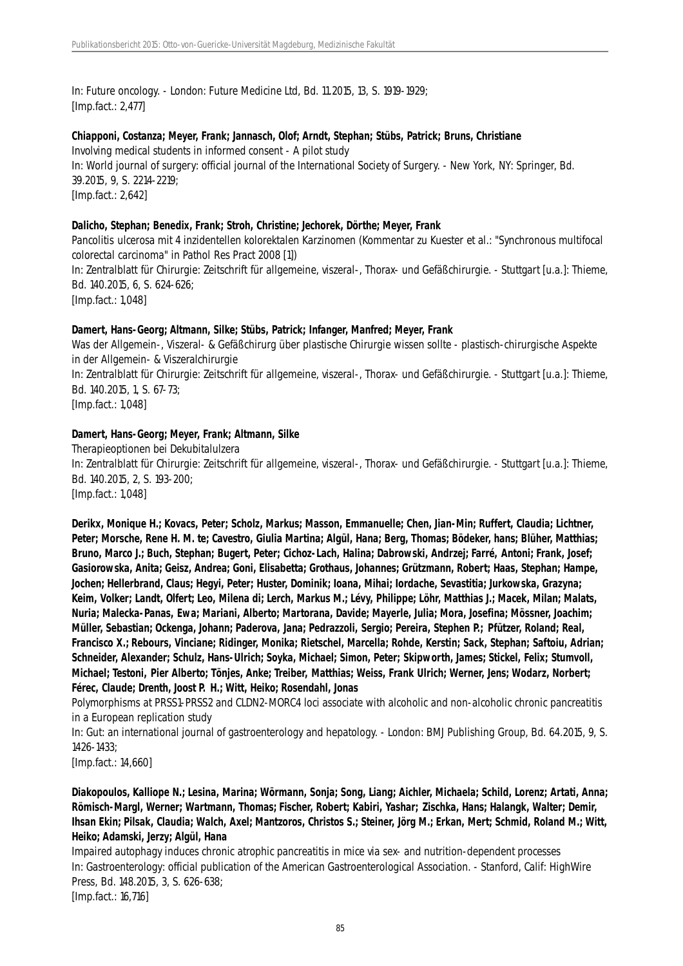In: Future oncology. - London: Future Medicine Ltd, Bd. 11.2015, 13, S. 1919-1929; [Imp.fact.: 2,477]

# **Chiapponi, Costanza; Meyer, Frank; Jannasch, Olof; Arndt, Stephan; Stübs, Patrick; Bruns, Christiane**

Involving medical students in informed consent - A pilot study In: World journal of surgery: official journal of the International Society of Surgery. - New York, NY: Springer, Bd. 39.2015, 9, S. 2214-2219; [Imp.fact.: 2,642]

#### **Dalicho, Stephan; Benedix, Frank; Stroh, Christine; Jechorek, Dörthe; Meyer, Frank**

Pancolitis ulcerosa mit 4 inzidentellen kolorektalen Karzinomen (Kommentar zu Kuester et al.: "Synchronous multifocal colorectal carcinoma" in Pathol Res Pract 2008 [1]) In: Zentralblatt für Chirurgie: Zeitschrift für allgemeine, viszeral-, Thorax- und Gefäßchirurgie. - Stuttgart [u.a.]: Thieme, Bd. 140.2015, 6, S. 624-626; [Imp.fact.: 1,048]

#### **Damert, Hans-Georg; Altmann, Silke; Stübs, Patrick; Infanger, Manfred; Meyer, Frank**

Was der Allgemein-, Viszeral- & Gefäßchirurg über plastische Chirurgie wissen sollte - plastisch-chirurgische Aspekte in der Allgemein- & Viszeralchirurgie In: Zentralblatt für Chirurgie: Zeitschrift für allgemeine, viszeral-, Thorax- und Gefäßchirurgie. - Stuttgart [u.a.]: Thieme, Bd. 140.2015, 1, S. 67-73;

[Imp.fact.: 1,048]

#### **Damert, Hans-Georg; Meyer, Frank; Altmann, Silke**

Therapieoptionen bei Dekubitalulzera In: Zentralblatt für Chirurgie: Zeitschrift für allgemeine, viszeral-, Thorax- und Gefäßchirurgie. - Stuttgart [u.a.]: Thieme, Bd. 140.2015, 2, S. 193-200; [Imp.fact.: 1,048]

**Derikx, Monique H.; Kovacs, Peter; Scholz, Markus; Masson, Emmanuelle; Chen, Jian-Min; Ruffert, Claudia; Lichtner, Peter; Morsche, Rene H. M. te; Cavestro, Giulia Martina; Algül, Hana; Berg, Thomas; Bödeker, hans; Blüher, Matthias; Bruno, Marco J.; Buch, Stephan; Bugert, Peter; Cichoz-Lach, Halina; Dabrowski, Andrzej; Farré, Antoni; Frank, Josef; Gasiorowska, Anita; Geisz, Andrea; Goni, Elisabetta; Grothaus, Johannes; Grützmann, Robert; Haas, Stephan; Hampe, Jochen; Hellerbrand, Claus; Hegyi, Peter; Huster, Dominik; Ioana, Mihai; Iordache, Sevastitia; Jurkowska, Grazyna; Keim, Volker; Landt, Olfert; Leo, Milena di; Lerch, Markus M.; Lévy, Philippe; Löhr, Matthias J.; Macek, Milan; Malats, Nuria; Malecka-Panas, Ewa; Mariani, Alberto; Martorana, Davide; Mayerle, Julia; Mora, Josefina; Mössner, Joachim; Müller, Sebastian; Ockenga, Johann; Paderova, Jana; Pedrazzoli, Sergio; Pereira, Stephen P.; Pfützer, Roland; Real, Francisco X.; Rebours, Vinciane; Ridinger, Monika; Rietschel, Marcella; Rohde, Kerstin; Sack, Stephan; Saftoiu, Adrian; Schneider, Alexander; Schulz, Hans-Ulrich; Soyka, Michael; Simon, Peter; Skipworth, James; Stickel, Felix; Stumvoll, Michael; Testoni, Pier Alberto; Tönjes, Anke; Treiber, Matthias; Weiss, Frank Ulrich; Werner, Jens; Wodarz, Norbert; Férec, Claude; Drenth, Joost P. H.; Witt, Heiko; Rosendahl, Jonas**

Polymorphisms at PRSS1-PRSS2 and CLDN2-MORC4 loci associate with alcoholic and non-alcoholic chronic pancreatitis in a European replication study

In: Gut: an international journal of gastroenterology and hepatology. - London: BMJ Publishing Group, Bd. 64.2015, 9, S. 1426-1433;

[Imp.fact.: 14,660]

**Diakopoulos, Kalliope N.; Lesina, Marina; Wörmann, Sonja; Song, Liang; Aichler, Michaela; Schild, Lorenz; Artati, Anna; Römisch-Margl, Werner; Wartmann, Thomas; Fischer, Robert; Kabiri, Yashar; Zischka, Hans; Halangk, Walter; Demir, Ihsan Ekin; Pilsak, Claudia; Walch, Axel; Mantzoros, Christos S.; Steiner, Jörg M.; Erkan, Mert; Schmid, Roland M.; Witt, Heiko; Adamski, Jerzy; Algül, Hana**

Impaired autophagy induces chronic atrophic pancreatitis in mice via sex- and nutrition-dependent processes In: Gastroenterology: official publication of the American Gastroenterological Association. - Stanford, Calif: HighWire Press, Bd. 148.2015, 3, S. 626-638; [Imp.fact.: 16,716]

85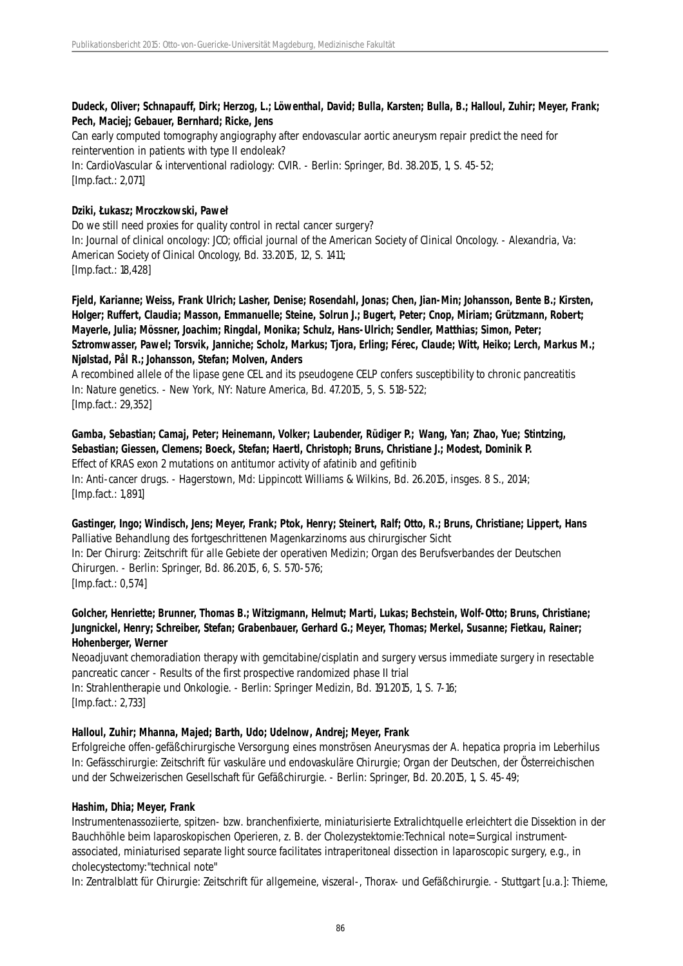#### **Dudeck, Oliver; Schnapauff, Dirk; Herzog, L.; Löwenthal, David; Bulla, Karsten; Bulla, B.; Halloul, Zuhir; Meyer, Frank; Pech, Maciej; Gebauer, Bernhard; Ricke, Jens**

Can early computed tomography angiography after endovascular aortic aneurysm repair predict the need for reintervention in patients with type II endoleak?

In: CardioVascular & interventional radiology: CVIR. - Berlin: Springer, Bd. 38.2015, 1, S. 45-52; [Imp.fact.: 2,071]

# **Dziki, Łukasz; Mroczkowski, Paweł**

Do we still need proxies for quality control in rectal cancer surgery? In: Journal of clinical oncology: JCO; official journal of the American Society of Clinical Oncology. - Alexandria, Va: American Society of Clinical Oncology, Bd. 33.2015, 12, S. 1411; [Imp.fact.: 18,428]

**Fjeld, Karianne; Weiss, Frank Ulrich; Lasher, Denise; Rosendahl, Jonas; Chen, Jian-Min; Johansson, Bente B.; Kirsten, Holger; Ruffert, Claudia; Masson, Emmanuelle; Steine, Solrun J.; Bugert, Peter; Cnop, Miriam; Grützmann, Robert; Mayerle, Julia; Mössner, Joachim; Ringdal, Monika; Schulz, Hans-Ulrich; Sendler, Matthias; Simon, Peter; Sztromwasser, Pawel; Torsvik, Janniche; Scholz, Markus; Tjora, Erling; Férec, Claude; Witt, Heiko; Lerch, Markus M.; Njølstad, Pål R.; Johansson, Stefan; Molven, Anders**

A recombined allele of the lipase gene CEL and its pseudogene CELP confers susceptibility to chronic pancreatitis In: Nature genetics. - New York, NY: Nature America, Bd. 47.2015, 5, S. 518-522; [Imp.fact.: 29,352]

**Gamba, Sebastian; Camaj, Peter; Heinemann, Volker; Laubender, Rüdiger P.; Wang, Yan; Zhao, Yue; Stintzing, Sebastian; Giessen, Clemens; Boeck, Stefan; Haertl, Christoph; Bruns, Christiane J.; Modest, Dominik P.** Effect of KRAS exon 2 mutations on antitumor activity of afatinib and gefitinib In: Anti-cancer drugs. - Hagerstown, Md: Lippincott Williams & Wilkins, Bd. 26.2015, insges. 8 S., 2014; [Imp.fact.: 1,891]

**Gastinger, Ingo; Windisch, Jens; Meyer, Frank; Ptok, Henry; Steinert, Ralf; Otto, R.; Bruns, Christiane; Lippert, Hans** Palliative Behandlung des fortgeschrittenen Magenkarzinoms aus chirurgischer Sicht In: Der Chirurg: Zeitschrift für alle Gebiete der operativen Medizin; Organ des Berufsverbandes der Deutschen Chirurgen. - Berlin: Springer, Bd. 86.2015, 6, S. 570-576; [Imp.fact.: 0,574]

# **Golcher, Henriette; Brunner, Thomas B.; Witzigmann, Helmut; Marti, Lukas; Bechstein, Wolf-Otto; Bruns, Christiane; Jungnickel, Henry; Schreiber, Stefan; Grabenbauer, Gerhard G.; Meyer, Thomas; Merkel, Susanne; Fietkau, Rainer; Hohenberger, Werner**

Neoadjuvant chemoradiation therapy with gemcitabine/cisplatin and surgery versus immediate surgery in resectable pancreatic cancer - Results of the first prospective randomized phase II trial In: Strahlentherapie und Onkologie. - Berlin: Springer Medizin, Bd. 191.2015, 1, S. 7-16; [Imp.fact.: 2,733]

# **Halloul, Zuhir; Mhanna, Majed; Barth, Udo; Udelnow, Andrej; Meyer, Frank**

Erfolgreiche offen-gefäßchirurgische Versorgung eines monströsen Aneurysmas der A. hepatica propria im Leberhilus In: Gefässchirurgie: Zeitschrift für vaskuläre und endovaskuläre Chirurgie; Organ der Deutschen, der Österreichischen und der Schweizerischen Gesellschaft für Gefäßchirurgie. - Berlin: Springer, Bd. 20.2015, 1, S. 45-49;

# **Hashim, Dhia; Meyer, Frank**

Instrumentenassoziierte, spitzen- bzw. branchenfixierte, miniaturisierte Extralichtquelle erleichtert die Dissektion in der Bauchhöhle beim laparoskopischen Operieren, z. B. der Cholezystektomie:Technical note= Surgical instrumentassociated, miniaturised separate light source facilitates intraperitoneal dissection in laparoscopic surgery, e.g., in cholecystectomy:"technical note"

In: Zentralblatt für Chirurgie: Zeitschrift für allgemeine, viszeral-, Thorax- und Gefäßchirurgie. - Stuttgart [u.a.]: Thieme,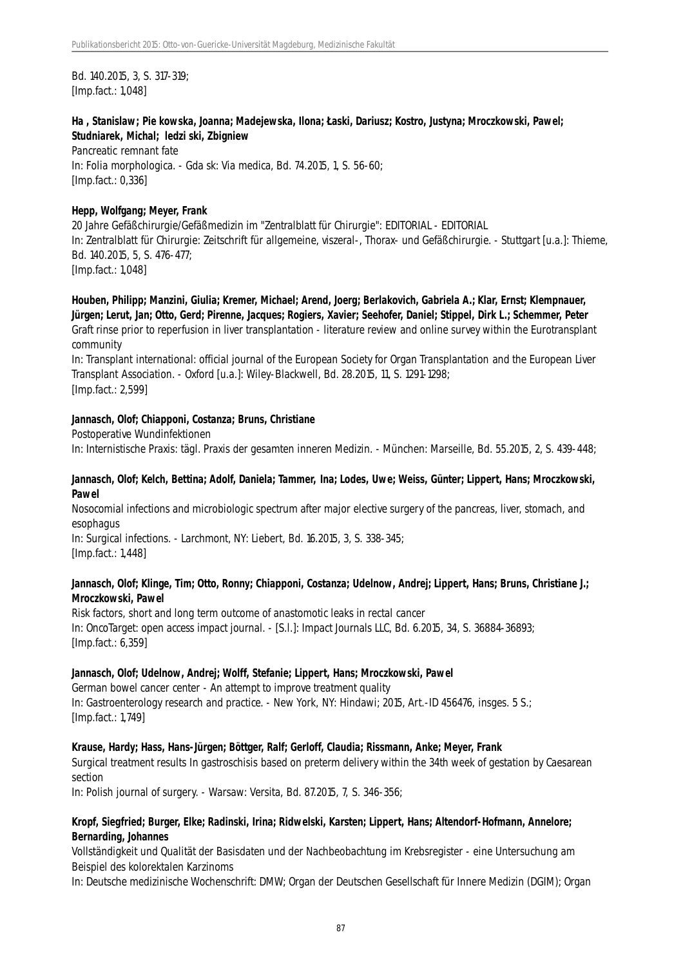Bd. 140.2015, 3, S. 317-319; [Imp.fact.: 1,048]

# **Ha , Stanislaw; Pie kowska, Joanna; Madejewska, Ilona; Łaski, Dariusz; Kostro, Justyna; Mroczkowski, Pawel; Studniarek, Michal; ledzi ski, Zbigniew**

Pancreatic remnant fate In: Folia morphologica. - Gda sk: Via medica, Bd. 74.2015, 1, S. 56-60; [Imp.fact.: 0,336]

# **Hepp, Wolfgang; Meyer, Frank**

20 Jahre Gefäßchirurgie/Gefäßmedizin im "Zentralblatt für Chirurgie": EDITORIAL - EDITORIAL In: Zentralblatt für Chirurgie: Zeitschrift für allgemeine, viszeral-, Thorax- und Gefäßchirurgie. - Stuttgart [u.a.]: Thieme, Bd. 140.2015, 5, S. 476-477; [Imp.fact.: 1,048]

**Houben, Philipp; Manzini, Giulia; Kremer, Michael; Arend, Joerg; Berlakovich, Gabriela A.; Klar, Ernst; Klempnauer, Jürgen; Lerut, Jan; Otto, Gerd; Pirenne, Jacques; Rogiers, Xavier; Seehofer, Daniel; Stippel, Dirk L.; Schemmer, Peter** Graft rinse prior to reperfusion in liver transplantation - literature review and online survey within the Eurotransplant community

In: Transplant international: official journal of the European Society for Organ Transplantation and the European Liver Transplant Association. - Oxford [u.a.]: Wiley-Blackwell, Bd. 28.2015, 11, S. 1291-1298; [Imp.fact.: 2,599]

# **Jannasch, Olof; Chiapponi, Costanza; Bruns, Christiane**

Postoperative Wundinfektionen

In: Internistische Praxis: tägl. Praxis der gesamten inneren Medizin. - München: Marseille, Bd. 55.2015, 2, S. 439-448;

# **Jannasch, Olof; Kelch, Bettina; Adolf, Daniela; Tammer, Ina; Lodes, Uwe; Weiss, Günter; Lippert, Hans; Mroczkowski, Pawel**

Nosocomial infections and microbiologic spectrum after major elective surgery of the pancreas, liver, stomach, and esophagus

In: Surgical infections. - Larchmont, NY: Liebert, Bd. 16.2015, 3, S. 338-345; [Imp.fact.: 1,448]

# **Jannasch, Olof; Klinge, Tim; Otto, Ronny; Chiapponi, Costanza; Udelnow, Andrej; Lippert, Hans; Bruns, Christiane J.; Mroczkowski, Pawel**

Risk factors, short and long term outcome of anastomotic leaks in rectal cancer In: OncoTarget: open access impact journal. - [S.l.]: Impact Journals LLC, Bd. 6.2015, 34, S. 36884-36893; [Imp.fact.: 6,359]

# **Jannasch, Olof; Udelnow, Andrej; Wolff, Stefanie; Lippert, Hans; Mroczkowski, Pawel**

German bowel cancer center - An attempt to improve treatment quality In: Gastroenterology research and practice. - New York, NY: Hindawi; 2015, Art.-ID 456476, insges. 5 S.; [Imp.fact.: 1,749]

# **Krause, Hardy; Hass, Hans-Jürgen; Böttger, Ralf; Gerloff, Claudia; Rissmann, Anke; Meyer, Frank**

Surgical treatment results In gastroschisis based on preterm delivery within the 34th week of gestation by Caesarean section

In: Polish journal of surgery. - Warsaw: Versita, Bd. 87.2015, 7, S. 346-356;

# **Kropf, Siegfried; Burger, Elke; Radinski, Irina; Ridwelski, Karsten; Lippert, Hans; Altendorf-Hofmann, Annelore; Bernarding, Johannes**

Vollständigkeit und Qualität der Basisdaten und der Nachbeobachtung im Krebsregister - eine Untersuchung am Beispiel des kolorektalen Karzinoms

In: Deutsche medizinische Wochenschrift: DMW; Organ der Deutschen Gesellschaft für Innere Medizin (DGIM); Organ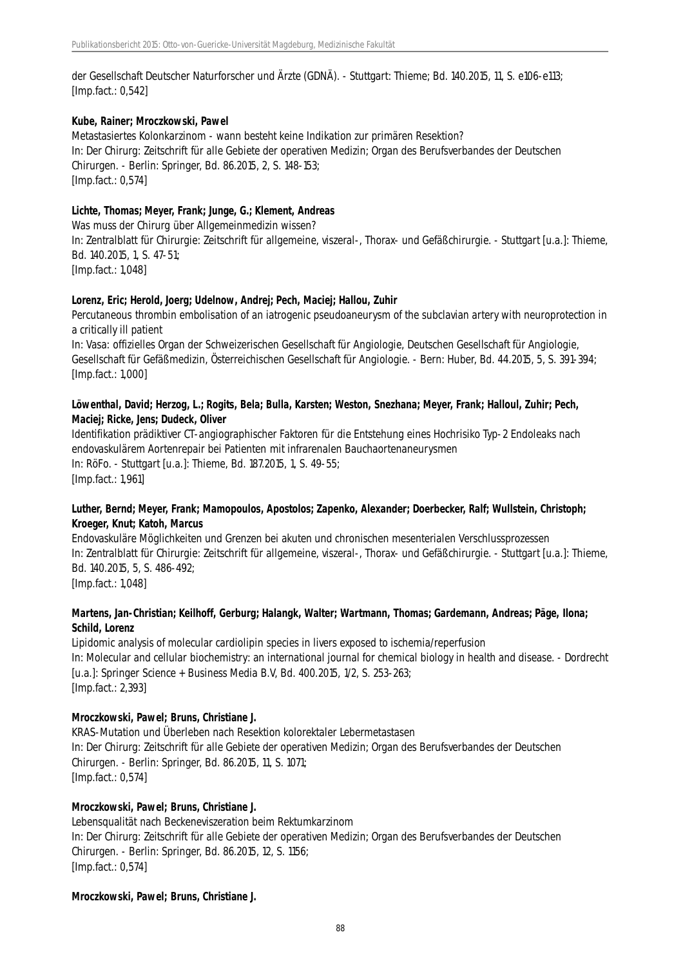der Gesellschaft Deutscher Naturforscher und Ärzte (GDNÄ). - Stuttgart: Thieme; Bd. 140.2015, 11, S. e106-e113; [Imp.fact.: 0,542]

#### **Kube, Rainer; Mroczkowski, Pawel**

Metastasiertes Kolonkarzinom - wann besteht keine Indikation zur primären Resektion? In: Der Chirurg: Zeitschrift für alle Gebiete der operativen Medizin; Organ des Berufsverbandes der Deutschen Chirurgen. - Berlin: Springer, Bd. 86.2015, 2, S. 148-153; [Imp.fact.: 0,574]

# **Lichte, Thomas; Meyer, Frank; Junge, G.; Klement, Andreas**

Was muss der Chirurg über Allgemeinmedizin wissen? In: Zentralblatt für Chirurgie: Zeitschrift für allgemeine, viszeral-, Thorax- und Gefäßchirurgie. - Stuttgart [u.a.]: Thieme, Bd. 140.2015, 1, S. 47-51; [Imp.fact.: 1,048]

#### **Lorenz, Eric; Herold, Joerg; Udelnow, Andrej; Pech, Maciej; Hallou, Zuhir**

Percutaneous thrombin embolisation of an iatrogenic pseudoaneurysm of the subclavian artery with neuroprotection in a critically ill patient

In: Vasa: offizielles Organ der Schweizerischen Gesellschaft für Angiologie, Deutschen Gesellschaft für Angiologie, Gesellschaft für Gefäßmedizin, Österreichischen Gesellschaft für Angiologie. - Bern: Huber, Bd. 44.2015, 5, S. 391-394; [Imp.fact.: 1,000]

#### **Löwenthal, David; Herzog, L.; Rogits, Bela; Bulla, Karsten; Weston, Snezhana; Meyer, Frank; Halloul, Zuhir; Pech, Maciej; Ricke, Jens; Dudeck, Oliver**

Identifikation prädiktiver CT-angiographischer Faktoren für die Entstehung eines Hochrisiko Typ-2 Endoleaks nach endovaskulärem Aortenrepair bei Patienten mit infrarenalen Bauchaortenaneurysmen In: RöFo. - Stuttgart [u.a.]: Thieme, Bd. 187.2015, 1, S. 49-55; [Imp.fact.: 1,961]

# **Luther, Bernd; Meyer, Frank; Mamopoulos, Apostolos; Zapenko, Alexander; Doerbecker, Ralf; Wullstein, Christoph; Kroeger, Knut; Katoh, Marcus**

Endovaskuläre Möglichkeiten und Grenzen bei akuten und chronischen mesenterialen Verschlussprozessen In: Zentralblatt für Chirurgie: Zeitschrift für allgemeine, viszeral-, Thorax- und Gefäßchirurgie. - Stuttgart [u.a.]: Thieme, Bd. 140.2015, 5, S. 486-492; [Imp.fact.: 1,048]

# **Martens, Jan-Christian; Keilhoff, Gerburg; Halangk, Walter; Wartmann, Thomas; Gardemann, Andreas; Päge, Ilona; Schild, Lorenz**

Lipidomic analysis of molecular cardiolipin species in livers exposed to ischemia/reperfusion In: Molecular and cellular biochemistry: an international journal for chemical biology in health and disease. - Dordrecht [u.a.]: Springer Science + Business Media B.V, Bd. 400.2015, 1/2, S. 253-263; [Imp.fact.: 2,393]

# **Mroczkowski, Pawel; Bruns, Christiane J.**

KRAS-Mutation und Überleben nach Resektion kolorektaler Lebermetastasen In: Der Chirurg: Zeitschrift für alle Gebiete der operativen Medizin; Organ des Berufsverbandes der Deutschen Chirurgen. - Berlin: Springer, Bd. 86.2015, 11, S. 1071; [Imp.fact.: 0,574]

#### **Mroczkowski, Pawel; Bruns, Christiane J.**

Lebensqualität nach Beckeneviszeration beim Rektumkarzinom In: Der Chirurg: Zeitschrift für alle Gebiete der operativen Medizin; Organ des Berufsverbandes der Deutschen Chirurgen. - Berlin: Springer, Bd. 86.2015, 12, S. 1156; [Imp.fact.: 0,574]

#### **Mroczkowski, Pawel; Bruns, Christiane J.**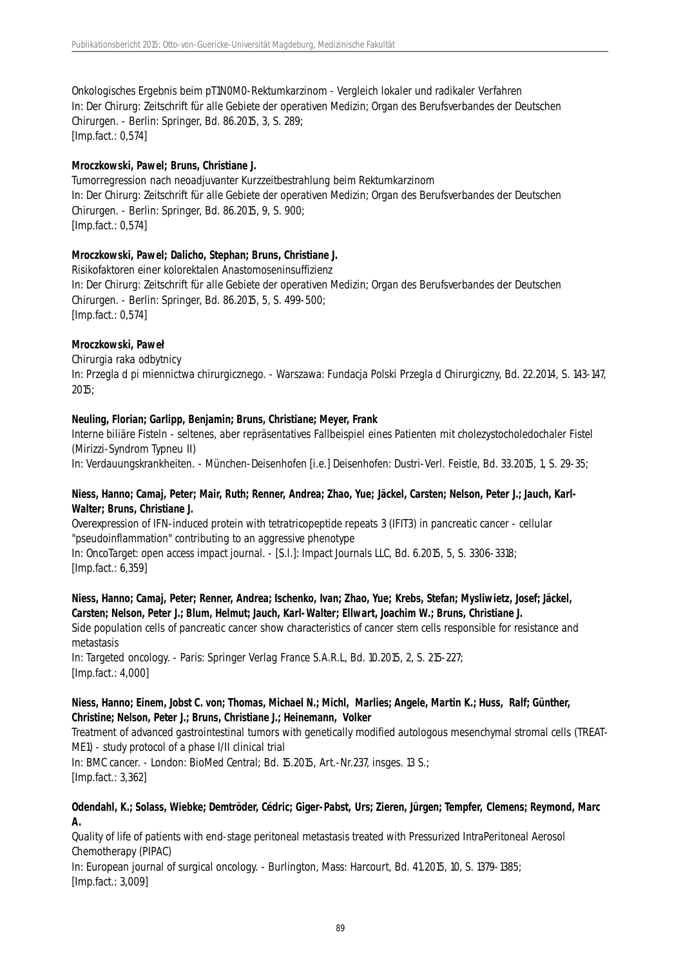Onkologisches Ergebnis beim pT1N0M0-Rektumkarzinom - Vergleich lokaler und radikaler Verfahren In: Der Chirurg: Zeitschrift für alle Gebiete der operativen Medizin; Organ des Berufsverbandes der Deutschen Chirurgen. - Berlin: Springer, Bd. 86.2015, 3, S. 289; [Imp.fact.: 0,574]

#### **Mroczkowski, Pawel; Bruns, Christiane J.**

Tumorregression nach neoadjuvanter Kurzzeitbestrahlung beim Rektumkarzinom In: Der Chirurg: Zeitschrift für alle Gebiete der operativen Medizin; Organ des Berufsverbandes der Deutschen Chirurgen. - Berlin: Springer, Bd. 86.2015, 9, S. 900; [Imp.fact.: 0,574]

#### **Mroczkowski, Pawel; Dalicho, Stephan; Bruns, Christiane J.**

Risikofaktoren einer kolorektalen Anastomoseninsuffizienz In: Der Chirurg: Zeitschrift für alle Gebiete der operativen Medizin; Organ des Berufsverbandes der Deutschen Chirurgen. - Berlin: Springer, Bd. 86.2015, 5, S. 499-500; [Imp.fact.: 0,574]

#### **Mroczkowski, Paweł**

Chirurgia raka odbytnicy In: Przegla d pi miennictwa chirurgicznego. - Warszawa: Fundacja Polski Przegla d Chirurgiczny, Bd. 22.2014, S. 143-147, 2015;

#### **Neuling, Florian; Garlipp, Benjamin; Bruns, Christiane; Meyer, Frank**

Interne biliäre Fisteln - seltenes, aber repräsentatives Fallbeispiel eines Patienten mit cholezystocholedochaler Fistel (Mirizzi-Syndrom Typneu II)

In: Verdauungskrankheiten. - München-Deisenhofen [i.e.] Deisenhofen: Dustri-Verl. Feistle, Bd. 33.2015, 1, S. 29-35;

# **Niess, Hanno; Camaj, Peter; Mair, Ruth; Renner, Andrea; Zhao, Yue; Jäckel, Carsten; Nelson, Peter J.; Jauch, Karl-Walter; Bruns, Christiane J.**

Overexpression of IFN-induced protein with tetratricopeptide repeats 3 (IFIT3) in pancreatic cancer - cellular "pseudoinflammation" contributing to an aggressive phenotype

In: OncoTarget: open access impact journal. - [S.l.]: Impact Journals LLC, Bd. 6.2015, 5, S. 3306-3318; [Imp.fact.: 6,359]

# **Niess, Hanno; Camaj, Peter; Renner, Andrea; Ischenko, Ivan; Zhao, Yue; Krebs, Stefan; Mysliwietz, Josef; Jäckel, Carsten; Nelson, Peter J.; Blum, Helmut; Jauch, Karl-Walter; Ellwart, Joachim W.; Bruns, Christiane J.**

Side population cells of pancreatic cancer show characteristics of cancer stem cells responsible for resistance and metastasis

In: Targeted oncology. - Paris: Springer Verlag France S.A.R.L, Bd. 10.2015, 2, S. 215-227; [Imp.fact.: 4,000]

#### **Niess, Hanno; Einem, Jobst C. von; Thomas, Michael N.; Michl, Marlies; Angele, Martin K.; Huss, Ralf; Günther, Christine; Nelson, Peter J.; Bruns, Christiane J.; Heinemann, Volker**

Treatment of advanced gastrointestinal tumors with genetically modified autologous mesenchymal stromal cells (TREAT-ME1) - study protocol of a phase I/II clinical trial

In: BMC cancer. - London: BioMed Central; Bd. 15.2015, Art.-Nr.237, insges. 13 S.; [Imp.fact.: 3,362]

#### **Odendahl, K.; Solass, Wiebke; Demtröder, Cédric; Giger-Pabst, Urs; Zieren, Jürgen; Tempfer, Clemens; Reymond, Marc A.**

Quality of life of patients with end-stage peritoneal metastasis treated with Pressurized IntraPeritoneal Aerosol Chemotherapy (PIPAC)

In: European journal of surgical oncology. - Burlington, Mass: Harcourt, Bd. 41.2015, 10, S. 1379-1385; [Imp.fact.: 3,009]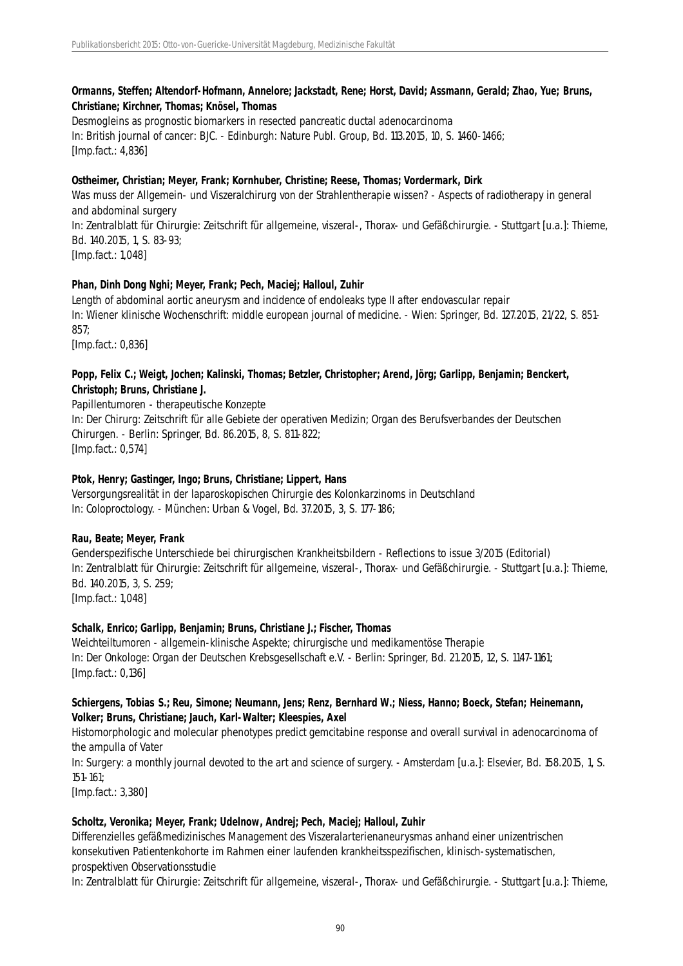# **Ormanns, Steffen; Altendorf-Hofmann, Annelore; Jackstadt, Rene; Horst, David; Assmann, Gerald; Zhao, Yue; Bruns, Christiane; Kirchner, Thomas; Knösel, Thomas**

Desmogleins as prognostic biomarkers in resected pancreatic ductal adenocarcinoma In: British journal of cancer: BJC. - Edinburgh: Nature Publ. Group, Bd. 113.2015, 10, S. 1460-1466; [Imp.fact.: 4,836]

# **Ostheimer, Christian; Meyer, Frank; Kornhuber, Christine; Reese, Thomas; Vordermark, Dirk**

Was muss der Allgemein- und Viszeralchirurg von der Strahlentherapie wissen? - Aspects of radiotherapy in general and abdominal surgery In: Zentralblatt für Chirurgie: Zeitschrift für allgemeine, viszeral-, Thorax- und Gefäßchirurgie. - Stuttgart [u.a.]: Thieme, Bd. 140.2015, 1, S. 83-93;

[Imp.fact.: 1,048]

# **Phan, Dinh Dong Nghi; Meyer, Frank; Pech, Maciej; Halloul, Zuhir**

Length of abdominal aortic aneurysm and incidence of endoleaks type II after endovascular repair In: Wiener klinische Wochenschrift: middle european journal of medicine. - Wien: Springer, Bd. 127.2015, 21/22, S. 851- 857;

[Imp.fact.: 0,836]

# **Popp, Felix C.; Weigt, Jochen; Kalinski, Thomas; Betzler, Christopher; Arend, Jörg; Garlipp, Benjamin; Benckert, Christoph; Bruns, Christiane J.**

Papillentumoren - therapeutische Konzepte In: Der Chirurg: Zeitschrift für alle Gebiete der operativen Medizin; Organ des Berufsverbandes der Deutschen Chirurgen. - Berlin: Springer, Bd. 86.2015, 8, S. 811-822; [Imp.fact.: 0,574]

#### **Ptok, Henry; Gastinger, Ingo; Bruns, Christiane; Lippert, Hans**

Versorgungsrealität in der laparoskopischen Chirurgie des Kolonkarzinoms in Deutschland In: Coloproctology. - München: Urban & Vogel, Bd. 37.2015, 3, S. 177-186;

# **Rau, Beate; Meyer, Frank**

Genderspezifische Unterschiede bei chirurgischen Krankheitsbildern - Reflections to issue 3/2015 (Editorial) In: Zentralblatt für Chirurgie: Zeitschrift für allgemeine, viszeral-, Thorax- und Gefäßchirurgie. - Stuttgart [u.a.]: Thieme, Bd. 140.2015, 3, S. 259; [Imp.fact.: 1,048]

# **Schalk, Enrico; Garlipp, Benjamin; Bruns, Christiane J.; Fischer, Thomas**

Weichteiltumoren - allgemein-klinische Aspekte; chirurgische und medikamentöse Therapie In: Der Onkologe: Organ der Deutschen Krebsgesellschaft e.V. - Berlin: Springer, Bd. 21.2015, 12, S. 1147-1161; [Imp.fact.: 0,136]

# **Schiergens, Tobias S.; Reu, Simone; Neumann, Jens; Renz, Bernhard W.; Niess, Hanno; Boeck, Stefan; Heinemann, Volker; Bruns, Christiane; Jauch, Karl-Walter; Kleespies, Axel**

Histomorphologic and molecular phenotypes predict gemcitabine response and overall survival in adenocarcinoma of the ampulla of Vater

In: Surgery: a monthly journal devoted to the art and science of surgery. - Amsterdam [u.a.]: Elsevier, Bd. 158.2015, 1, S. 151-161;

[Imp.fact.: 3,380]

# **Scholtz, Veronika; Meyer, Frank; Udelnow, Andrej; Pech, Maciej; Halloul, Zuhir**

Differenzielles gefäßmedizinisches Management des Viszeralarterienaneurysmas anhand einer unizentrischen konsekutiven Patientenkohorte im Rahmen einer laufenden krankheitsspezifischen, klinisch-systematischen, prospektiven Observationsstudie

In: Zentralblatt für Chirurgie: Zeitschrift für allgemeine, viszeral-, Thorax- und Gefäßchirurgie. - Stuttgart [u.a.]: Thieme,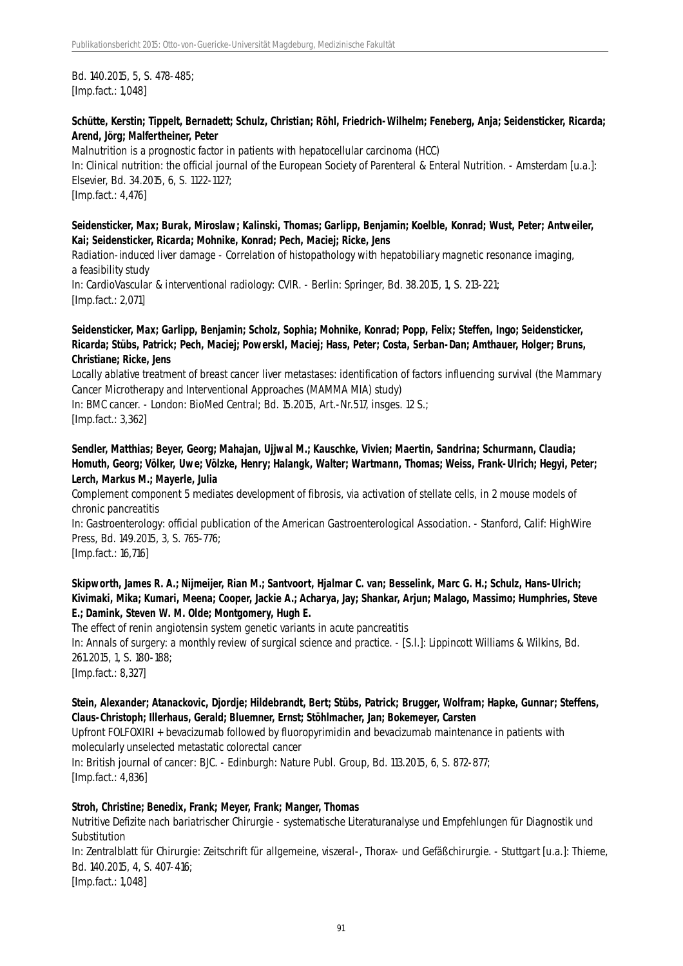Bd. 140.2015, 5, S. 478-485; [Imp.fact.: 1,048]

# **Schütte, Kerstin; Tippelt, Bernadett; Schulz, Christian; Röhl, Friedrich-Wilhelm; Feneberg, Anja; Seidensticker, Ricarda; Arend, Jörg; Malfertheiner, Peter**

Malnutrition is a prognostic factor in patients with hepatocellular carcinoma (HCC) In: Clinical nutrition: the official journal of the European Society of Parenteral & Enteral Nutrition. - Amsterdam [u.a.]: Elsevier, Bd. 34.2015, 6, S. 1122-1127; [Imp.fact.: 4,476]

# **Seidensticker, Max; Burak, Miroslaw; Kalinski, Thomas; Garlipp, Benjamin; Koelble, Konrad; Wust, Peter; Antweiler, Kai; Seidensticker, Ricarda; Mohnike, Konrad; Pech, Maciej; Ricke, Jens**

Radiation-induced liver damage - Correlation of histopathology with hepatobiliary magnetic resonance imaging, a feasibility study

In: CardioVascular & interventional radiology: CVIR. - Berlin: Springer, Bd. 38.2015, 1, S. 213-221; [Imp.fact.: 2,071]

#### **Seidensticker, Max; Garlipp, Benjamin; Scholz, Sophia; Mohnike, Konrad; Popp, Felix; Steffen, Ingo; Seidensticker, Ricarda; Stübs, Patrick; Pech, Maciej; PowerskI, Maciej; Hass, Peter; Costa, Serban-Dan; Amthauer, Holger; Bruns, Christiane; Ricke, Jens**

Locally ablative treatment of breast cancer liver metastases: identification of factors influencing survival (the Mammary Cancer Microtherapy and Interventional Approaches (MAMMA MIA) study)

In: BMC cancer. - London: BioMed Central; Bd. 15.2015, Art.-Nr.517, insges. 12 S.; [Imp.fact.: 3,362]

# **Sendler, Matthias; Beyer, Georg; Mahajan, Ujjwal M.; Kauschke, Vivien; Maertin, Sandrina; Schurmann, Claudia; Homuth, Georg; Völker, Uwe; Völzke, Henry; Halangk, Walter; Wartmann, Thomas; Weiss, Frank-Ulrich; Hegyi, Peter; Lerch, Markus M.; Mayerle, Julia**

Complement component 5 mediates development of fibrosis, via activation of stellate cells, in 2 mouse models of chronic pancreatitis

In: Gastroenterology: official publication of the American Gastroenterological Association. - Stanford, Calif: HighWire Press, Bd. 149.2015, 3, S. 765-776;

[Imp.fact.: 16,716]

#### **Skipworth, James R. A.; Nijmeijer, Rian M.; Santvoort, Hjalmar C. van; Besselink, Marc G. H.; Schulz, Hans-Ulrich; Kivimaki, Mika; Kumari, Meena; Cooper, Jackie A.; Acharya, Jay; Shankar, Arjun; Malago, Massimo; Humphries, Steve E.; Damink, Steven W. M. Olde; Montgomery, Hugh E.**

The effect of renin angiotensin system genetic variants in acute pancreatitis In: Annals of surgery: a monthly review of surgical science and practice. - [S.l.]: Lippincott Williams & Wilkins, Bd. 261.2015, 1, S. 180-188; [Imp.fact.: 8,327]

# **Stein, Alexander; Atanackovic, Djordje; Hildebrandt, Bert; Stübs, Patrick; Brugger, Wolfram; Hapke, Gunnar; Steffens, Claus-Christoph; Illerhaus, Gerald; Bluemner, Ernst; Stöhlmacher, Jan; Bokemeyer, Carsten**

Upfront FOLFOXIRI + bevacizumab followed by fluoropyrimidin and bevacizumab maintenance in patients with molecularly unselected metastatic colorectal cancer

In: British journal of cancer: BJC. - Edinburgh: Nature Publ. Group, Bd. 113.2015, 6, S. 872-877; [Imp.fact.: 4,836]

# **Stroh, Christine; Benedix, Frank; Meyer, Frank; Manger, Thomas**

Nutritive Defizite nach bariatrischer Chirurgie - systematische Literaturanalyse und Empfehlungen für Diagnostik und Substitution

In: Zentralblatt für Chirurgie: Zeitschrift für allgemeine, viszeral-, Thorax- und Gefäßchirurgie. - Stuttgart [u.a.]: Thieme, Bd. 140.2015, 4, S. 407-416; [Imp.fact.: 1,048]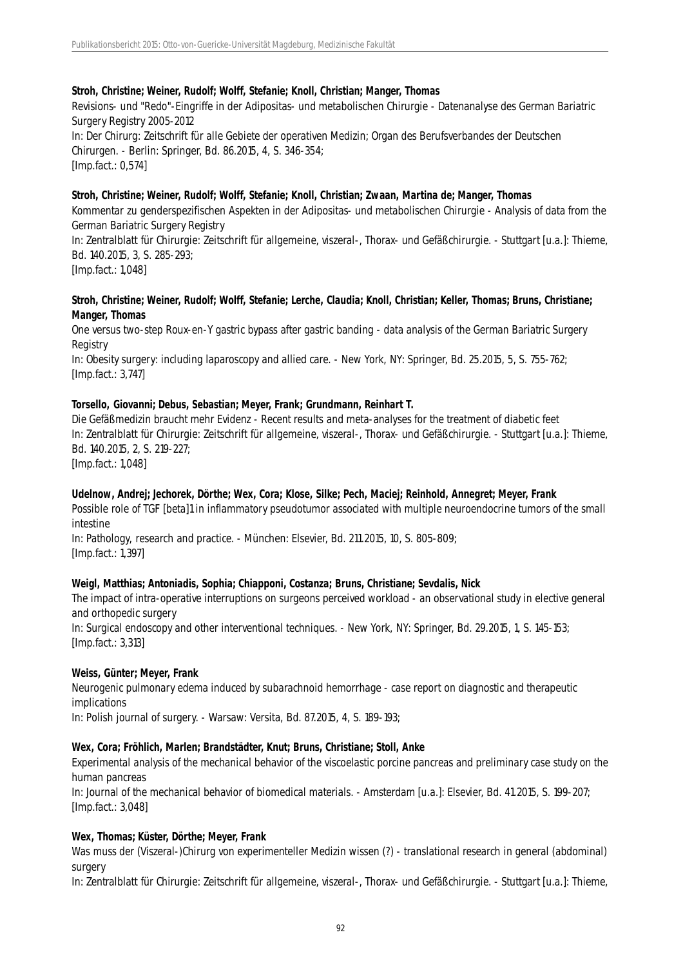#### **Stroh, Christine; Weiner, Rudolf; Wolff, Stefanie; Knoll, Christian; Manger, Thomas**

Revisions- und "Redo"-Eingriffe in der Adipositas- und metabolischen Chirurgie - Datenanalyse des German Bariatric Surgery Registry 2005-2012 In: Der Chirurg: Zeitschrift für alle Gebiete der operativen Medizin; Organ des Berufsverbandes der Deutschen Chirurgen. - Berlin: Springer, Bd. 86.2015, 4, S. 346-354; [Imp.fact.: 0,574]

#### **Stroh, Christine; Weiner, Rudolf; Wolff, Stefanie; Knoll, Christian; Zwaan, Martina de; Manger, Thomas**

Kommentar zu genderspezifischen Aspekten in der Adipositas- und metabolischen Chirurgie - Analysis of data from the German Bariatric Surgery Registry

In: Zentralblatt für Chirurgie: Zeitschrift für allgemeine, viszeral-, Thorax- und Gefäßchirurgie. - Stuttgart [u.a.]: Thieme, Bd. 140.2015, 3, S. 285-293;

[Imp.fact.: 1,048]

# **Stroh, Christine; Weiner, Rudolf; Wolff, Stefanie; Lerche, Claudia; Knoll, Christian; Keller, Thomas; Bruns, Christiane; Manger, Thomas**

One versus two-step Roux-en-Y gastric bypass after gastric banding - data analysis of the German Bariatric Surgery **Registry** 

In: Obesity surgery: including laparoscopy and allied care. - New York, NY: Springer, Bd. 25.2015, 5, S. 755-762; [Imp.fact.: 3,747]

#### **Torsello, Giovanni; Debus, Sebastian; Meyer, Frank; Grundmann, Reinhart T.**

Die Gefäßmedizin braucht mehr Evidenz - Recent results and meta-analyses for the treatment of diabetic feet In: Zentralblatt für Chirurgie: Zeitschrift für allgemeine, viszeral-, Thorax- und Gefäßchirurgie. - Stuttgart [u.a.]: Thieme, Bd. 140.2015, 2, S. 219-227; [Imp.fact.: 1,048]

# **Udelnow, Andrej; Jechorek, Dörthe; Wex, Cora; Klose, Silke; Pech, Maciej; Reinhold, Annegret; Meyer, Frank**

Possible role of TGF [beta]1 in inflammatory pseudotumor associated with multiple neuroendocrine tumors of the small intestine

In: Pathology, research and practice. - München: Elsevier, Bd. 211.2015, 10, S. 805-809; [Imp.fact.: 1,397]

#### **Weigl, Matthias; Antoniadis, Sophia; Chiapponi, Costanza; Bruns, Christiane; Sevdalis, Nick**

The impact of intra-operative interruptions on surgeons perceived workload - an observational study in elective general and orthopedic surgery

In: Surgical endoscopy and other interventional techniques. - New York, NY: Springer, Bd. 29.2015, 1, S. 145-153; [Imp.fact.: 3,313]

#### **Weiss, Günter; Meyer, Frank**

Neurogenic pulmonary edema induced by subarachnoid hemorrhage - case report on diagnostic and therapeutic implications

In: Polish journal of surgery. - Warsaw: Versita, Bd. 87.2015, 4, S. 189-193;

#### **Wex, Cora; Fröhlich, Marlen; Brandstädter, Knut; Bruns, Christiane; Stoll, Anke**

Experimental analysis of the mechanical behavior of the viscoelastic porcine pancreas and preliminary case study on the human pancreas

In: Journal of the mechanical behavior of biomedical materials. - Amsterdam [u.a.]: Elsevier, Bd. 41.2015, S. 199-207; [Imp.fact.: 3,048]

#### **Wex, Thomas; Küster, Dörthe; Meyer, Frank**

Was muss der (Viszeral-)Chirurg von experimenteller Medizin wissen (?) - translational research in general (abdominal) surgery

In: Zentralblatt für Chirurgie: Zeitschrift für allgemeine, viszeral-, Thorax- und Gefäßchirurgie. - Stuttgart [u.a.]: Thieme,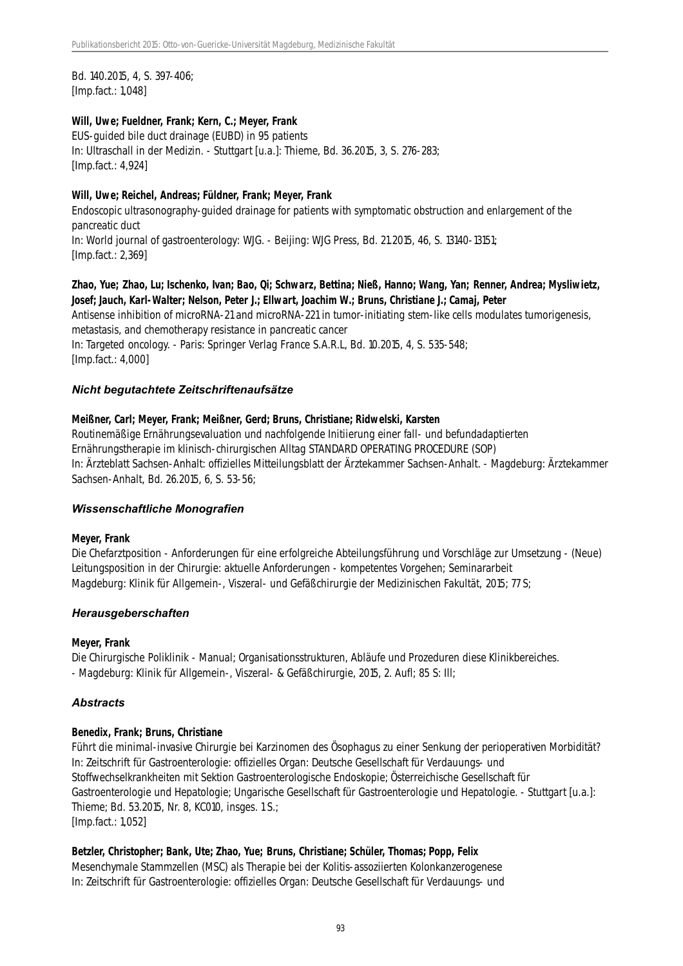Bd. 140.2015, 4, S. 397-406; [Imp.fact.: 1,048]

#### **Will, Uwe; Fueldner, Frank; Kern, C.; Meyer, Frank**

EUS-guided bile duct drainage (EUBD) in 95 patients In: Ultraschall in der Medizin. - Stuttgart [u.a.]: Thieme, Bd. 36.2015, 3, S. 276-283; [Imp.fact.: 4,924]

#### **Will, Uwe; Reichel, Andreas; Füldner, Frank; Meyer, Frank**

Endoscopic ultrasonography-guided drainage for patients with symptomatic obstruction and enlargement of the pancreatic duct In: World journal of gastroenterology: WJG. - Beijing: WJG Press, Bd. 21.2015, 46, S. 13140-13151; [Imp.fact.: 2,369]

# **Zhao, Yue; Zhao, Lu; Ischenko, Ivan; Bao, Qi; Schwarz, Bettina; Nieß, Hanno; Wang, Yan; Renner, Andrea; Mysliwietz, Josef; Jauch, Karl-Walter; Nelson, Peter J.; Ellwart, Joachim W.; Bruns, Christiane J.; Camaj, Peter**

Antisense inhibition of microRNA-21 and microRNA-221 in tumor-initiating stem-like cells modulates tumorigenesis, metastasis, and chemotherapy resistance in pancreatic cancer In: Targeted oncology. - Paris: Springer Verlag France S.A.R.L, Bd. 10.2015, 4, S. 535-548; [Imp.fact.: 4,000]

# *Nicht begutachtete Zeitschriftenaufsätze*

#### **Meißner, Carl; Meyer, Frank; Meißner, Gerd; Bruns, Christiane; Ridwelski, Karsten**

Routinemäßige Ernährungsevaluation und nachfolgende Initiierung einer fall- und befundadaptierten Ernährungstherapie im klinisch-chirurgischen Alltag STANDARD OPERATING PROCEDURE (SOP) In: Ärzteblatt Sachsen-Anhalt: offizielles Mitteilungsblatt der Ärztekammer Sachsen-Anhalt. - Magdeburg: Ärztekammer Sachsen-Anhalt, Bd. 26.2015, 6, S. 53-56;

#### *Wissenschaftliche Monografien*

#### **Meyer, Frank**

Die Chefarztposition - Anforderungen für eine erfolgreiche Abteilungsführung und Vorschläge zur Umsetzung - (Neue) Leitungsposition in der Chirurgie: aktuelle Anforderungen - kompetentes Vorgehen; Seminararbeit Magdeburg: Klinik für Allgemein-, Viszeral- und Gefäßchirurgie der Medizinischen Fakultät, 2015; 77 S;

#### *Herausgeberschaften*

#### **Meyer, Frank**

Die Chirurgische Poliklinik - Manual; Organisationsstrukturen, Abläufe und Prozeduren diese Klinikbereiches. - Magdeburg: Klinik für Allgemein-, Viszeral- & Gefäßchirurgie, 2015, 2. Aufl; 85 S: Ill;

# *Abstracts*

#### **Benedix, Frank; Bruns, Christiane**

Führt die minimal-invasive Chirurgie bei Karzinomen des Ösophagus zu einer Senkung der perioperativen Morbidität? In: Zeitschrift für Gastroenterologie: offizielles Organ: Deutsche Gesellschaft für Verdauungs- und Stoffwechselkrankheiten mit Sektion Gastroenterologische Endoskopie; Österreichische Gesellschaft für Gastroenterologie und Hepatologie; Ungarische Gesellschaft für Gastroenterologie und Hepatologie. - Stuttgart [u.a.]: Thieme; Bd. 53.2015, Nr. 8, KC010, insges. 1 S.; [Imp.fact.: 1,052]

# **Betzler, Christopher; Bank, Ute; Zhao, Yue; Bruns, Christiane; Schüler, Thomas; Popp, Felix**

Mesenchymale Stammzellen (MSC) als Therapie bei der Kolitis-assoziierten Kolonkanzerogenese In: Zeitschrift für Gastroenterologie: offizielles Organ: Deutsche Gesellschaft für Verdauungs- und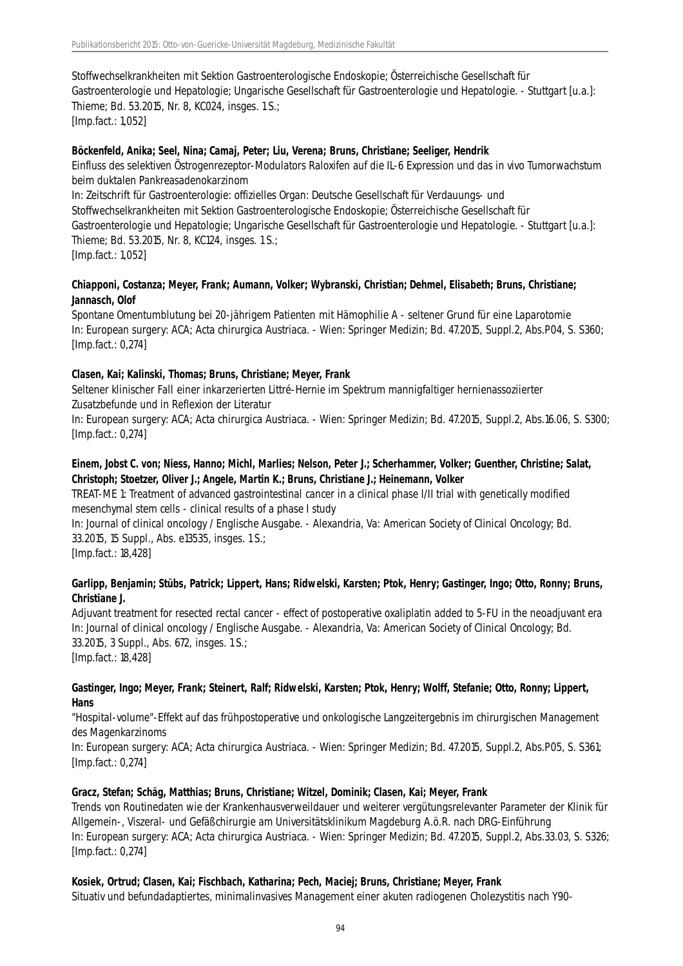Stoffwechselkrankheiten mit Sektion Gastroenterologische Endoskopie; Österreichische Gesellschaft für Gastroenterologie und Hepatologie; Ungarische Gesellschaft für Gastroenterologie und Hepatologie. - Stuttgart [u.a.]: Thieme; Bd. 53.2015, Nr. 8, KC024, insges. 1 S.; [Imp.fact.: 1,052]

#### **Böckenfeld, Anika; Seel, Nina; Camaj, Peter; Liu, Verena; Bruns, Christiane; Seeliger, Hendrik**

Einfluss des selektiven Östrogenrezeptor-Modulators Raloxifen auf die IL-6 Expression und das in vivo Tumorwachstum beim duktalen Pankreasadenokarzinom

In: Zeitschrift für Gastroenterologie: offizielles Organ: Deutsche Gesellschaft für Verdauungs- und Stoffwechselkrankheiten mit Sektion Gastroenterologische Endoskopie; Österreichische Gesellschaft für Gastroenterologie und Hepatologie; Ungarische Gesellschaft für Gastroenterologie und Hepatologie. - Stuttgart [u.a.]: Thieme; Bd. 53.2015, Nr. 8, KC124, insges. 1 S.; [Imp.fact.: 1,052]

#### **Chiapponi, Costanza; Meyer, Frank; Aumann, Volker; Wybranski, Christian; Dehmel, Elisabeth; Bruns, Christiane; Jannasch, Olof**

Spontane Omentumblutung bei 20-jährigem Patienten mit Hämophilie A - seltener Grund für eine Laparotomie In: European surgery: ACA; Acta chirurgica Austriaca. - Wien: Springer Medizin; Bd. 47.2015, Suppl.2, Abs.P04, S. S360; [Imp.fact.: 0,274]

# **Clasen, Kai; Kalinski, Thomas; Bruns, Christiane; Meyer, Frank**

Seltener klinischer Fall einer inkarzerierten Littré-Hernie im Spektrum mannigfaltiger hernienassoziierter Zusatzbefunde und in Reflexion der Literatur

In: European surgery: ACA; Acta chirurgica Austriaca. - Wien: Springer Medizin; Bd. 47.2015, Suppl.2, Abs.16.06, S. S300; [Imp.fact.: 0,274]

#### **Einem, Jobst C. von; Niess, Hanno; Michl, Marlies; Nelson, Peter J.; Scherhammer, Volker; Guenther, Christine; Salat, Christoph; Stoetzer, Oliver J.; Angele, Martin K.; Bruns, Christiane J.; Heinemann, Volker**

TREAT-ME 1: Treatment of advanced gastrointestinal cancer in a clinical phase I/II trial with genetically modified mesenchymal stem cells - clinical results of a phase I study

In: Journal of clinical oncology / Englische Ausgabe. - Alexandria, Va: American Society of Clinical Oncology; Bd. 33.2015, 15 Suppl., Abs. e13535, insges. 1 S.;

[Imp.fact.: 18,428]

# **Garlipp, Benjamin; Stübs, Patrick; Lippert, Hans; Ridwelski, Karsten; Ptok, Henry; Gastinger, Ingo; Otto, Ronny; Bruns, Christiane J.**

Adjuvant treatment for resected rectal cancer - effect of postoperative oxaliplatin added to 5-FU in the neoadjuvant era In: Journal of clinical oncology / Englische Ausgabe. - Alexandria, Va: American Society of Clinical Oncology; Bd. 33.2015, 3 Suppl., Abs. 672, insges. 1 S.; [Imp.fact.: 18,428]

#### **Gastinger, Ingo; Meyer, Frank; Steinert, Ralf; Ridwelski, Karsten; Ptok, Henry; Wolff, Stefanie; Otto, Ronny; Lippert, Hans**

"Hospital-volume"-Effekt auf das frühpostoperative und onkologische Langzeitergebnis im chirurgischen Management des Magenkarzinoms

In: European surgery: ACA; Acta chirurgica Austriaca. - Wien: Springer Medizin; Bd. 47.2015, Suppl.2, Abs.P05, S. S361; [Imp.fact.: 0,274]

#### **Gracz, Stefan; Schäg, Matthias; Bruns, Christiane; Witzel, Dominik; Clasen, Kai; Meyer, Frank**

Trends von Routinedaten wie der Krankenhausverweildauer und weiterer vergütungsrelevanter Parameter der Klinik für Allgemein-, Viszeral- und Gefäßchirurgie am Universitätsklinikum Magdeburg A.ö.R. nach DRG-Einführung In: European surgery: ACA; Acta chirurgica Austriaca. - Wien: Springer Medizin; Bd. 47.2015, Suppl.2, Abs.33.03, S. S326; [Imp.fact.: 0,274]

#### **Kosiek, Ortrud; Clasen, Kai; Fischbach, Katharina; Pech, Maciej; Bruns, Christiane; Meyer, Frank**

Situativ und befundadaptiertes, minimalinvasives Management einer akuten radiogenen Cholezystitis nach Y90-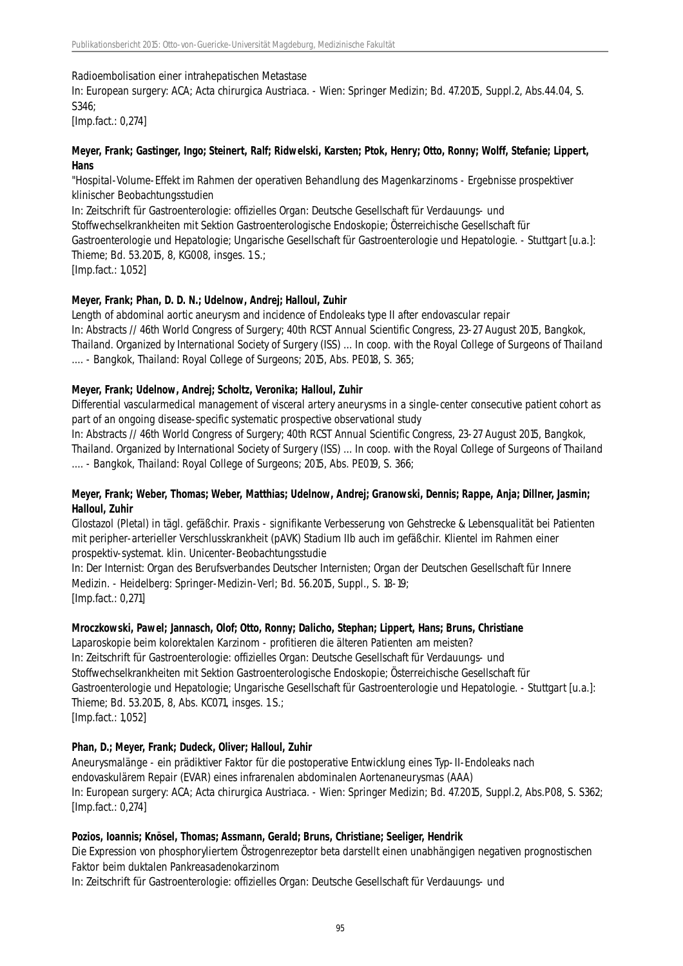#### Radioembolisation einer intrahepatischen Metastase

In: European surgery: ACA; Acta chirurgica Austriaca. - Wien: Springer Medizin; Bd. 47.2015, Suppl.2, Abs.44.04, S. S346;

[Imp.fact.: 0,274]

# **Meyer, Frank; Gastinger, Ingo; Steinert, Ralf; Ridwelski, Karsten; Ptok, Henry; Otto, Ronny; Wolff, Stefanie; Lippert, Hans**

"Hospital-Volume-Effekt im Rahmen der operativen Behandlung des Magenkarzinoms - Ergebnisse prospektiver klinischer Beobachtungsstudien

In: Zeitschrift für Gastroenterologie: offizielles Organ: Deutsche Gesellschaft für Verdauungs- und Stoffwechselkrankheiten mit Sektion Gastroenterologische Endoskopie; Österreichische Gesellschaft für Gastroenterologie und Hepatologie; Ungarische Gesellschaft für Gastroenterologie und Hepatologie. - Stuttgart [u.a.]: Thieme; Bd. 53.2015, 8, KG008, insges. 1 S.; [Imp.fact.: 1,052]

# **Meyer, Frank; Phan, D. D. N.; Udelnow, Andrej; Halloul, Zuhir**

Length of abdominal aortic aneurysm and incidence of Endoleaks type II after endovascular repair In: Abstracts // 46th World Congress of Surgery; 40th RCST Annual Scientific Congress, 23-27 August 2015, Bangkok, Thailand. Organized by International Society of Surgery (ISS) ... In coop. with the Royal College of Surgeons of Thailand .... - Bangkok, Thailand: Royal College of Surgeons; 2015, Abs. PE018, S. 365;

# **Meyer, Frank; Udelnow, Andrej; Scholtz, Veronika; Halloul, Zuhir**

Differential vascularmedical management of visceral artery aneurysms in a single-center consecutive patient cohort as part of an ongoing disease-specific systematic prospective observational study

In: Abstracts // 46th World Congress of Surgery; 40th RCST Annual Scientific Congress, 23-27 August 2015, Bangkok, Thailand. Organized by International Society of Surgery (ISS) ... In coop. with the Royal College of Surgeons of Thailand .... - Bangkok, Thailand: Royal College of Surgeons; 2015, Abs. PE019, S. 366;

# **Meyer, Frank; Weber, Thomas; Weber, Matthias; Udelnow, Andrej; Granowski, Dennis; Rappe, Anja; Dillner, Jasmin; Halloul, Zuhir**

Cilostazol (Pletal) in tägl. gefäßchir. Praxis - signifikante Verbesserung von Gehstrecke & Lebensqualität bei Patienten mit peripher-arterieller Verschlusskrankheit (pAVK) Stadium IIb auch im gefäßchir. Klientel im Rahmen einer prospektiv-systemat. klin. Unicenter-Beobachtungsstudie

In: Der Internist: Organ des Berufsverbandes Deutscher Internisten; Organ der Deutschen Gesellschaft für Innere Medizin. - Heidelberg: Springer-Medizin-Verl; Bd. 56.2015, Suppl., S. 18-19; [Imp.fact.: 0,271]

# **Mroczkowski, Pawel; Jannasch, Olof; Otto, Ronny; Dalicho, Stephan; Lippert, Hans; Bruns, Christiane**

Laparoskopie beim kolorektalen Karzinom - profitieren die älteren Patienten am meisten? In: Zeitschrift für Gastroenterologie: offizielles Organ: Deutsche Gesellschaft für Verdauungs- und Stoffwechselkrankheiten mit Sektion Gastroenterologische Endoskopie; Österreichische Gesellschaft für Gastroenterologie und Hepatologie; Ungarische Gesellschaft für Gastroenterologie und Hepatologie. - Stuttgart [u.a.]: Thieme; Bd. 53.2015, 8, Abs. KC071, insges. 1 S.; [Imp.fact.: 1,052]

# **Phan, D.; Meyer, Frank; Dudeck, Oliver; Halloul, Zuhir**

Aneurysmalänge - ein prädiktiver Faktor für die postoperative Entwicklung eines Typ-II-Endoleaks nach endovaskulärem Repair (EVAR) eines infrarenalen abdominalen Aortenaneurysmas (AAA) In: European surgery: ACA; Acta chirurgica Austriaca. - Wien: Springer Medizin; Bd. 47.2015, Suppl.2, Abs.P08, S. S362; [Imp.fact.: 0,274]

# **Pozios, Ioannis; Knösel, Thomas; Assmann, Gerald; Bruns, Christiane; Seeliger, Hendrik**

Die Expression von phosphoryliertem Östrogenrezeptor beta darstellt einen unabhängigen negativen prognostischen Faktor beim duktalen Pankreasadenokarzinom

In: Zeitschrift für Gastroenterologie: offizielles Organ: Deutsche Gesellschaft für Verdauungs- und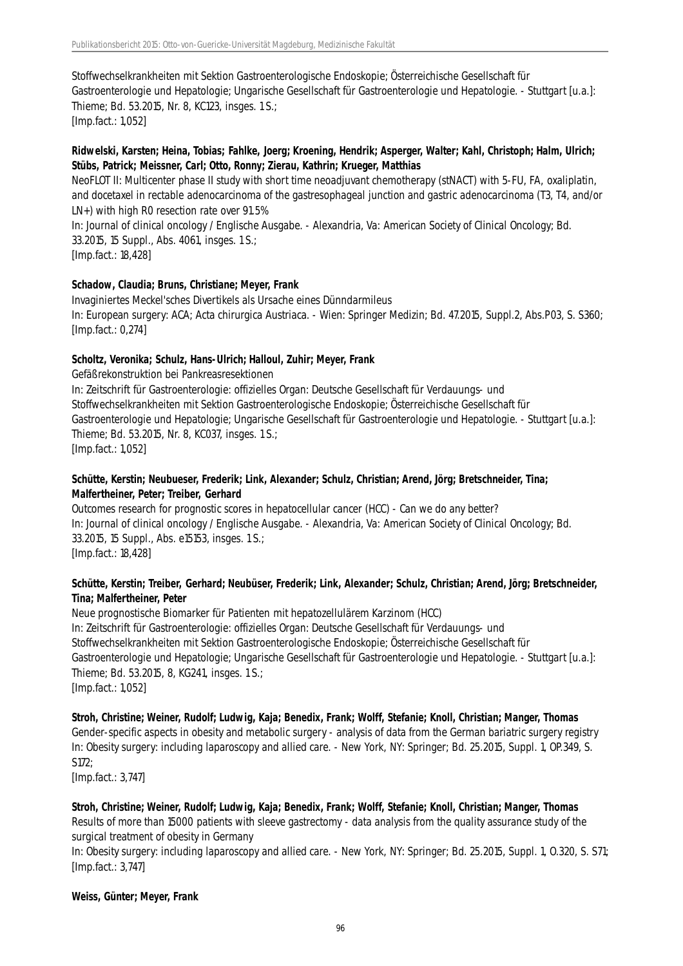Stoffwechselkrankheiten mit Sektion Gastroenterologische Endoskopie; Österreichische Gesellschaft für Gastroenterologie und Hepatologie; Ungarische Gesellschaft für Gastroenterologie und Hepatologie. - Stuttgart [u.a.]: Thieme; Bd. 53.2015, Nr. 8, KC123, insges. 1 S.; [Imp.fact.: 1,052]

# **Ridwelski, Karsten; Heina, Tobias; Fahlke, Joerg; Kroening, Hendrik; Asperger, Walter; Kahl, Christoph; Halm, Ulrich; Stübs, Patrick; Meissner, Carl; Otto, Ronny; Zierau, Kathrin; Krueger, Matthias**

NeoFLOT II: Multicenter phase II study with short time neoadjuvant chemotherapy (stNACT) with 5-FU, FA, oxaliplatin, and docetaxel in rectable adenocarcinoma of the gastresophageal junction and gastric adenocarcinoma (T3, T4, and/or LN+) with high R0 resection rate over 91.5%

In: Journal of clinical oncology / Englische Ausgabe. - Alexandria, Va: American Society of Clinical Oncology; Bd. 33.2015, 15 Suppl., Abs. 4061, insges. 1 S.;

[Imp.fact.: 18,428]

# **Schadow, Claudia; Bruns, Christiane; Meyer, Frank**

Invaginiertes Meckel'sches Divertikels als Ursache eines Dünndarmileus In: European surgery: ACA; Acta chirurgica Austriaca. - Wien: Springer Medizin; Bd. 47.2015, Suppl.2, Abs.P03, S. S360; [Imp.fact.: 0,274]

# **Scholtz, Veronika; Schulz, Hans-Ulrich; Halloul, Zuhir; Meyer, Frank**

Gefäßrekonstruktion bei Pankreasresektionen

In: Zeitschrift für Gastroenterologie: offizielles Organ: Deutsche Gesellschaft für Verdauungs- und Stoffwechselkrankheiten mit Sektion Gastroenterologische Endoskopie; Österreichische Gesellschaft für Gastroenterologie und Hepatologie; Ungarische Gesellschaft für Gastroenterologie und Hepatologie. - Stuttgart [u.a.]: Thieme; Bd. 53.2015, Nr. 8, KC037, insges. 1 S.;

[Imp.fact.: 1,052]

# **Schütte, Kerstin; Neubueser, Frederik; Link, Alexander; Schulz, Christian; Arend, Jörg; Bretschneider, Tina; Malfertheiner, Peter; Treiber, Gerhard**

Outcomes research for prognostic scores in hepatocellular cancer (HCC) - Can we do any better? In: Journal of clinical oncology / Englische Ausgabe. - Alexandria, Va: American Society of Clinical Oncology; Bd. 33.2015, 15 Suppl., Abs. e15153, insges. 1 S.; [Imp.fact.: 18,428]

# **Schütte, Kerstin; Treiber, Gerhard; Neubüser, Frederik; Link, Alexander; Schulz, Christian; Arend, Jörg; Bretschneider, Tina; Malfertheiner, Peter**

Neue prognostische Biomarker für Patienten mit hepatozellulärem Karzinom (HCC) In: Zeitschrift für Gastroenterologie: offizielles Organ: Deutsche Gesellschaft für Verdauungs- und Stoffwechselkrankheiten mit Sektion Gastroenterologische Endoskopie; Österreichische Gesellschaft für Gastroenterologie und Hepatologie; Ungarische Gesellschaft für Gastroenterologie und Hepatologie. - Stuttgart [u.a.]: Thieme; Bd. 53.2015, 8, KG241, insges. 1 S.; [Imp.fact.: 1,052]

# **Stroh, Christine; Weiner, Rudolf; Ludwig, Kaja; Benedix, Frank; Wolff, Stefanie; Knoll, Christian; Manger, Thomas**

Gender-specific aspects in obesity and metabolic surgery - analysis of data from the German bariatric surgery registry In: Obesity surgery: including laparoscopy and allied care. - New York, NY: Springer; Bd. 25.2015, Suppl. 1, OP.349, S. S172;

[Imp.fact.: 3,747]

# **Stroh, Christine; Weiner, Rudolf; Ludwig, Kaja; Benedix, Frank; Wolff, Stefanie; Knoll, Christian; Manger, Thomas** Results of more than 15000 patients with sleeve gastrectomy - data analysis from the quality assurance study of the surgical treatment of obesity in Germany

In: Obesity surgery: including laparoscopy and allied care. - New York, NY: Springer; Bd. 25.2015, Suppl. 1, O.320, S. S71; [Imp.fact.: 3,747]

# **Weiss, Günter; Meyer, Frank**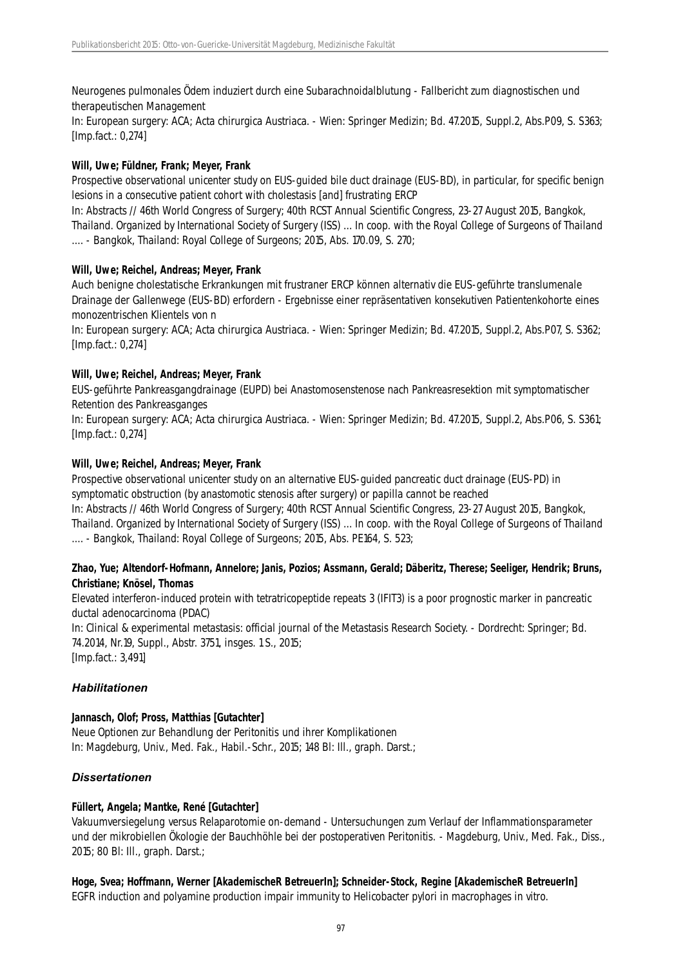Neurogenes pulmonales Ödem induziert durch eine Subarachnoidalblutung - Fallbericht zum diagnostischen und therapeutischen Management

In: European surgery: ACA; Acta chirurgica Austriaca. - Wien: Springer Medizin; Bd. 47.2015, Suppl.2, Abs.P09, S. S363; [Imp.fact.: 0,274]

#### **Will, Uwe; Füldner, Frank; Meyer, Frank**

Prospective observational unicenter study on EUS-guided bile duct drainage (EUS-BD), in particular, for specific benign lesions in a consecutive patient cohort with cholestasis [and] frustrating ERCP

In: Abstracts // 46th World Congress of Surgery; 40th RCST Annual Scientific Congress, 23-27 August 2015, Bangkok, Thailand. Organized by International Society of Surgery (ISS) ... In coop. with the Royal College of Surgeons of Thailand .... - Bangkok, Thailand: Royal College of Surgeons; 2015, Abs. 170.09, S. 270;

#### **Will, Uwe; Reichel, Andreas; Meyer, Frank**

Auch benigne cholestatische Erkrankungen mit frustraner ERCP können alternativ die EUS-geführte translumenale Drainage der Gallenwege (EUS-BD) erfordern - Ergebnisse einer repräsentativen konsekutiven Patientenkohorte eines monozentrischen Klientels von n

In: European surgery: ACA; Acta chirurgica Austriaca. - Wien: Springer Medizin; Bd. 47.2015, Suppl.2, Abs.P07, S. S362; [Imp.fact.: 0,274]

#### **Will, Uwe; Reichel, Andreas; Meyer, Frank**

EUS-geführte Pankreasgangdrainage (EUPD) bei Anastomosenstenose nach Pankreasresektion mit symptomatischer Retention des Pankreasganges

In: European surgery: ACA; Acta chirurgica Austriaca. - Wien: Springer Medizin; Bd. 47.2015, Suppl.2, Abs.P06, S. S361; [Imp.fact.: 0,274]

#### **Will, Uwe; Reichel, Andreas; Meyer, Frank**

Prospective observational unicenter study on an alternative EUS-guided pancreatic duct drainage (EUS-PD) in symptomatic obstruction (by anastomotic stenosis after surgery) or papilla cannot be reached

In: Abstracts // 46th World Congress of Surgery; 40th RCST Annual Scientific Congress, 23-27 August 2015, Bangkok, Thailand. Organized by International Society of Surgery (ISS) ... In coop. with the Royal College of Surgeons of Thailand .... - Bangkok, Thailand: Royal College of Surgeons; 2015, Abs. PE164, S. 523;

# **Zhao, Yue; Altendorf-Hofmann, Annelore; Janis, Pozios; Assmann, Gerald; Däberitz, Therese; Seeliger, Hendrik; Bruns, Christiane; Knösel, Thomas**

Elevated interferon-induced protein with tetratricopeptide repeats 3 (IFIT3) is a poor prognostic marker in pancreatic ductal adenocarcinoma (PDAC)

In: Clinical & experimental metastasis: official journal of the Metastasis Research Society. - Dordrecht: Springer; Bd. 74.2014, Nr.19, Suppl., Abstr. 3751, insges. 1 S., 2015; [Imp.fact.: 3,491]

# *Habilitationen*

# **Jannasch, Olof; Pross, Matthias [Gutachter]**

Neue Optionen zur Behandlung der Peritonitis und ihrer Komplikationen In: Magdeburg, Univ., Med. Fak., Habil.-Schr., 2015; 148 Bl: Ill., graph. Darst.;

# *Dissertationen*

#### **Füllert, Angela; Mantke, René [Gutachter]**

Vakuumversiegelung versus Relaparotomie on-demand - Untersuchungen zum Verlauf der Inflammationsparameter und der mikrobiellen Ökologie der Bauchhöhle bei der postoperativen Peritonitis. - Magdeburg, Univ., Med. Fak., Diss., 2015; 80 Bl: Ill., graph. Darst.;

**Hoge, Svea; Hoffmann, Werner [AkademischeR BetreuerIn]; Schneider-Stock, Regine [AkademischeR BetreuerIn]** EGFR induction and polyamine production impair immunity to Helicobacter pylori in macrophages in vitro.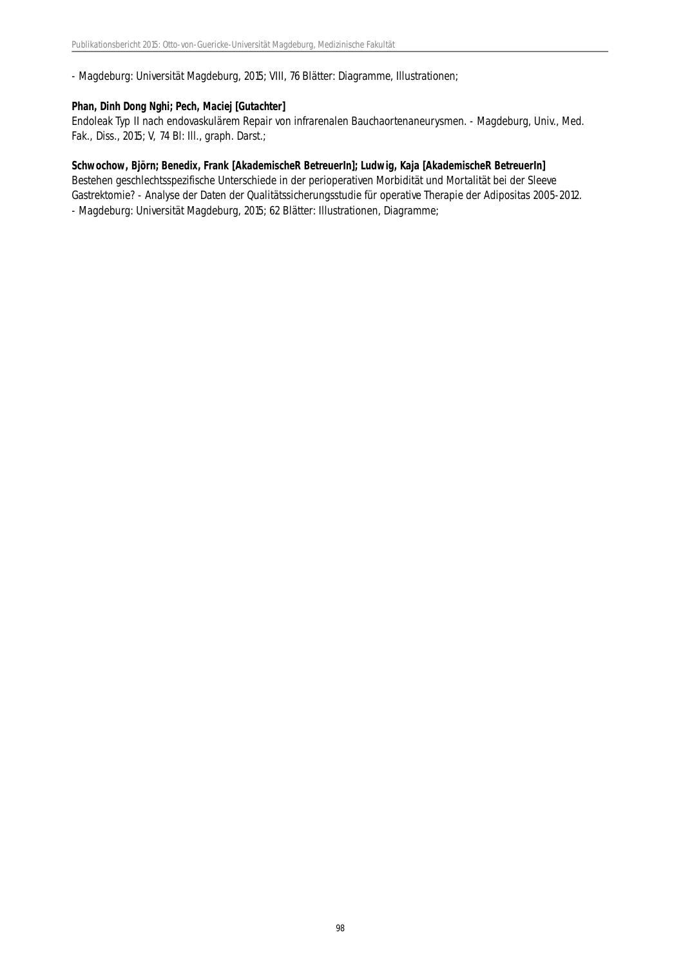- Magdeburg: Universität Magdeburg, 2015; VIII, 76 Blätter: Diagramme, Illustrationen;

# **Phan, Dinh Dong Nghi; Pech, Maciej [Gutachter]**

Endoleak Typ II nach endovaskulärem Repair von infrarenalen Bauchaortenaneurysmen. - Magdeburg, Univ., Med. Fak., Diss., 2015; V, 74 Bl: Ill., graph. Darst.;

#### **Schwochow, Björn; Benedix, Frank [AkademischeR BetreuerIn]; Ludwig, Kaja [AkademischeR BetreuerIn]**

Bestehen geschlechtsspezifische Unterschiede in der perioperativen Morbidität und Mortalität bei der Sleeve Gastrektomie? - Analyse der Daten der Qualitätssicherungsstudie für operative Therapie der Adipositas 2005-2012. - Magdeburg: Universität Magdeburg, 2015; 62 Blätter: Illustrationen, Diagramme;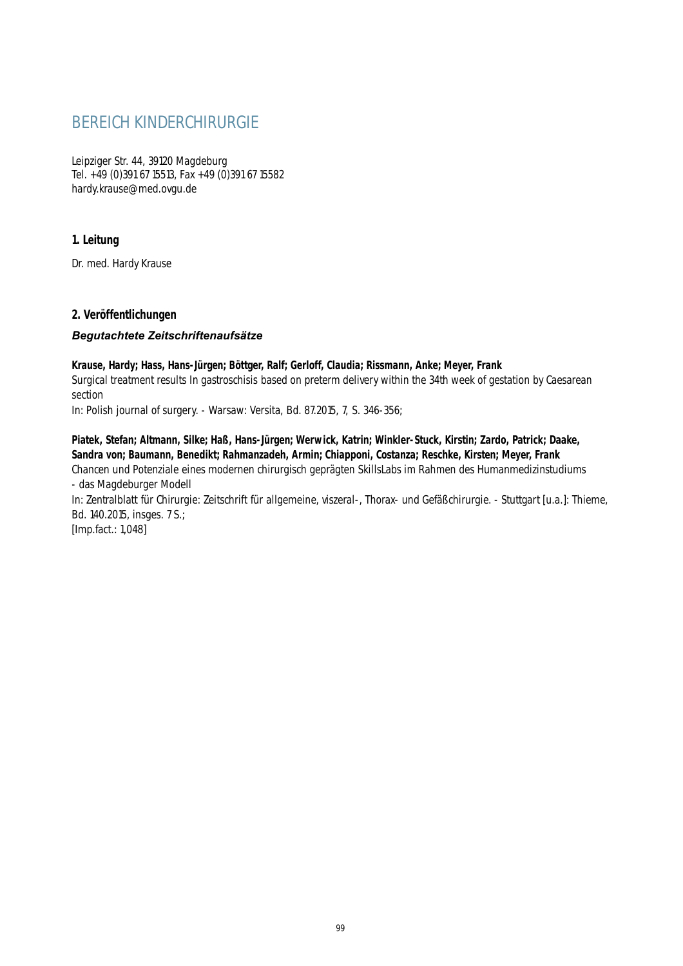# BEREICH KINDERCHIRURGIE

Leipziger Str. 44, 39120 Magdeburg Tel. +49 (0)391 67 15513, Fax +49 (0)391 67 15582 hardy.krause@med.ovgu.de

# **1. Leitung**

Dr. med. Hardy Krause

# **2. Veröffentlichungen**

# *Begutachtete Zeitschriftenaufsätze*

**Krause, Hardy; Hass, Hans-Jürgen; Böttger, Ralf; Gerloff, Claudia; Rissmann, Anke; Meyer, Frank** Surgical treatment results In gastroschisis based on preterm delivery within the 34th week of gestation by Caesarean section

In: Polish journal of surgery. - Warsaw: Versita, Bd. 87.2015, 7, S. 346-356;

**Piatek, Stefan; Altmann, Silke; Haß, Hans-Jürgen; Werwick, Katrin; Winkler-Stuck, Kirstin; Zardo, Patrick; Daake, Sandra von; Baumann, Benedikt; Rahmanzadeh, Armin; Chiapponi, Costanza; Reschke, Kirsten; Meyer, Frank** Chancen und Potenziale eines modernen chirurgisch geprägten SkillsLabs im Rahmen des Humanmedizinstudiums - das Magdeburger Modell

In: Zentralblatt für Chirurgie: Zeitschrift für allgemeine, viszeral-, Thorax- und Gefäßchirurgie. - Stuttgart [u.a.]: Thieme, Bd. 140.2015, insges. 7 S.;

[Imp.fact.: 1,048]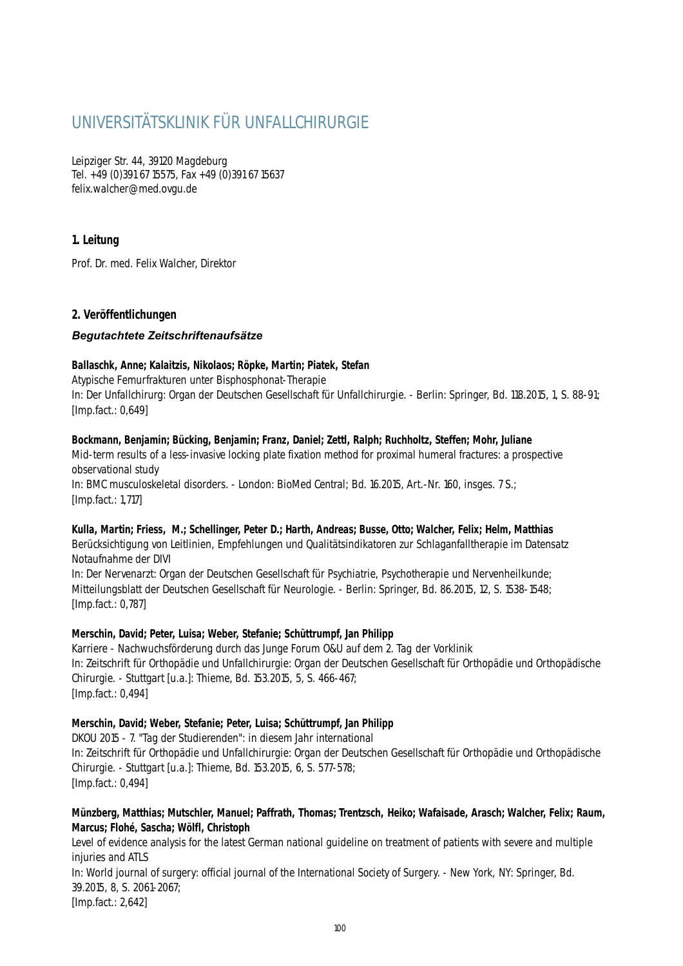# UNIVERSITÄTSKLINIK FÜR UNFALLCHIRURGIE

Leipziger Str. 44, 39120 Magdeburg Tel. +49 (0)391 67 15575, Fax +49 (0)391 67 15637 felix.walcher@med.ovgu.de

# **1. Leitung**

Prof. Dr. med. Felix Walcher, Direktor

# **2. Veröffentlichungen**

# *Begutachtete Zeitschriftenaufsätze*

# **Ballaschk, Anne; Kalaitzis, Nikolaos; Röpke, Martin; Piatek, Stefan**

Atypische Femurfrakturen unter Bisphosphonat-Therapie In: Der Unfallchirurg: Organ der Deutschen Gesellschaft für Unfallchirurgie. - Berlin: Springer, Bd. 118.2015, 1, S. 88-91; [Imp.fact.: 0,649]

# **Bockmann, Benjamin; Bücking, Benjamin; Franz, Daniel; Zettl, Ralph; Ruchholtz, Steffen; Mohr, Juliane**

Mid-term results of a less-invasive locking plate fixation method for proximal humeral fractures: a prospective observational study

In: BMC musculoskeletal disorders. - London: BioMed Central; Bd. 16.2015, Art.-Nr. 160, insges. 7 S.; [Imp.fact.: 1,717]

# **Kulla, Martin; Friess, M.; Schellinger, Peter D.; Harth, Andreas; Busse, Otto; Walcher, Felix; Helm, Matthias**

Berücksichtigung von Leitlinien, Empfehlungen und Qualitätsindikatoren zur Schlaganfalltherapie im Datensatz Notaufnahme der DIVI

In: Der Nervenarzt: Organ der Deutschen Gesellschaft für Psychiatrie, Psychotherapie und Nervenheilkunde; Mitteilungsblatt der Deutschen Gesellschaft für Neurologie. - Berlin: Springer, Bd. 86.2015, 12, S. 1538-1548; [Imp.fact.: 0,787]

# **Merschin, David; Peter, Luisa; Weber, Stefanie; Schüttrumpf, Jan Philipp**

Karriere - Nachwuchsförderung durch das Junge Forum O&U auf dem 2. Tag der Vorklinik In: Zeitschrift für Orthopädie und Unfallchirurgie: Organ der Deutschen Gesellschaft für Orthopädie und Orthopädische Chirurgie. - Stuttgart [u.a.]: Thieme, Bd. 153.2015, 5, S. 466-467; [Imp.fact.: 0,494]

# **Merschin, David; Weber, Stefanie; Peter, Luisa; Schüttrumpf, Jan Philipp**

DKOU 2015 - 7. "Tag der Studierenden": in diesem Jahr international In: Zeitschrift für Orthopädie und Unfallchirurgie: Organ der Deutschen Gesellschaft für Orthopädie und Orthopädische Chirurgie. - Stuttgart [u.a.]: Thieme, Bd. 153.2015, 6, S. 577-578; [Imp.fact.: 0,494]

# **Münzberg, Matthias; Mutschler, Manuel; Paffrath, Thomas; Trentzsch, Heiko; Wafaisade, Arasch; Walcher, Felix; Raum, Marcus; Flohé, Sascha; Wölfl, Christoph**

Level of evidence analysis for the latest German national guideline on treatment of patients with severe and multiple injuries and ATLS

In: World journal of surgery: official journal of the International Society of Surgery. - New York, NY: Springer, Bd. 39.2015, 8, S. 2061-2067; [Imp.fact.: 2,642]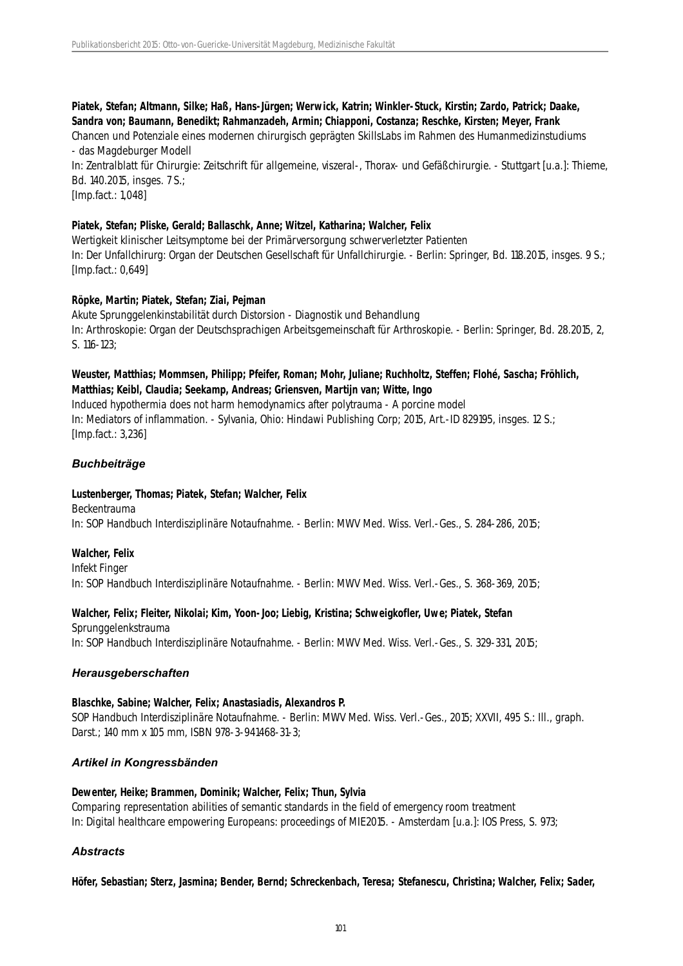# **Piatek, Stefan; Altmann, Silke; Haß, Hans-Jürgen; Werwick, Katrin; Winkler-Stuck, Kirstin; Zardo, Patrick; Daake, Sandra von; Baumann, Benedikt; Rahmanzadeh, Armin; Chiapponi, Costanza; Reschke, Kirsten; Meyer, Frank**

Chancen und Potenziale eines modernen chirurgisch geprägten SkillsLabs im Rahmen des Humanmedizinstudiums - das Magdeburger Modell

In: Zentralblatt für Chirurgie: Zeitschrift für allgemeine, viszeral-, Thorax- und Gefäßchirurgie. - Stuttgart [u.a.]: Thieme, Bd. 140.2015, insges. 7 S.;

[Imp.fact.: 1,048]

#### **Piatek, Stefan; Pliske, Gerald; Ballaschk, Anne; Witzel, Katharina; Walcher, Felix**

Wertigkeit klinischer Leitsymptome bei der Primärversorgung schwerverletzter Patienten In: Der Unfallchirurg: Organ der Deutschen Gesellschaft für Unfallchirurgie. - Berlin: Springer, Bd. 118.2015, insges. 9 S.; [Imp.fact.: 0,649]

# **Röpke, Martin; Piatek, Stefan; Ziai, Pejman**

Akute Sprunggelenkinstabilität durch Distorsion - Diagnostik und Behandlung In: Arthroskopie: Organ der Deutschsprachigen Arbeitsgemeinschaft für Arthroskopie. - Berlin: Springer, Bd. 28.2015, 2, S. 116-123;

# **Weuster, Matthias; Mommsen, Philipp; Pfeifer, Roman; Mohr, Juliane; Ruchholtz, Steffen; Flohé, Sascha; Fröhlich, Matthias; Keibl, Claudia; Seekamp, Andreas; Griensven, Martijn van; Witte, Ingo**

Induced hypothermia does not harm hemodynamics after polytrauma - A porcine model In: Mediators of inflammation. - Sylvania, Ohio: Hindawi Publishing Corp; 2015, Art.-ID 829195, insges. 12 S.; [Imp.fact.: 3,236]

# *Buchbeiträge*

# **Lustenberger, Thomas; Piatek, Stefan; Walcher, Felix**

Beckentrauma In: SOP Handbuch Interdisziplinäre Notaufnahme. - Berlin: MWV Med. Wiss. Verl.-Ges., S. 284-286, 2015;

# **Walcher, Felix**

Infekt Finger In: SOP Handbuch Interdisziplinäre Notaufnahme. - Berlin: MWV Med. Wiss. Verl.-Ges., S. 368-369, 2015;

# **Walcher, Felix; Fleiter, Nikolai; Kim, Yoon-Joo; Liebig, Kristina; Schweigkofler, Uwe; Piatek, Stefan**

Sprunggelenkstrauma In: SOP Handbuch Interdisziplinäre Notaufnahme. - Berlin: MWV Med. Wiss. Verl.-Ges., S. 329-331, 2015;

# *Herausgeberschaften*

#### **Blaschke, Sabine; Walcher, Felix; Anastasiadis, Alexandros P.**

SOP Handbuch Interdisziplinäre Notaufnahme. - Berlin: MWV Med. Wiss. Verl.-Ges., 2015; XXVII, 495 S.: Ill., graph. Darst.; 140 mm x 105 mm, ISBN 978-3-941468-31-3;

# *Artikel in Kongressbänden*

# **Dewenter, Heike; Brammen, Dominik; Walcher, Felix; Thun, Sylvia**

Comparing representation abilities of semantic standards in the field of emergency room treatment In: Digital healthcare empowering Europeans: proceedings of MIE2015. - Amsterdam [u.a.]: IOS Press, S. 973;

# *Abstracts*

**Höfer, Sebastian; Sterz, Jasmina; Bender, Bernd; Schreckenbach, Teresa; Stefanescu, Christina; Walcher, Felix; Sader,**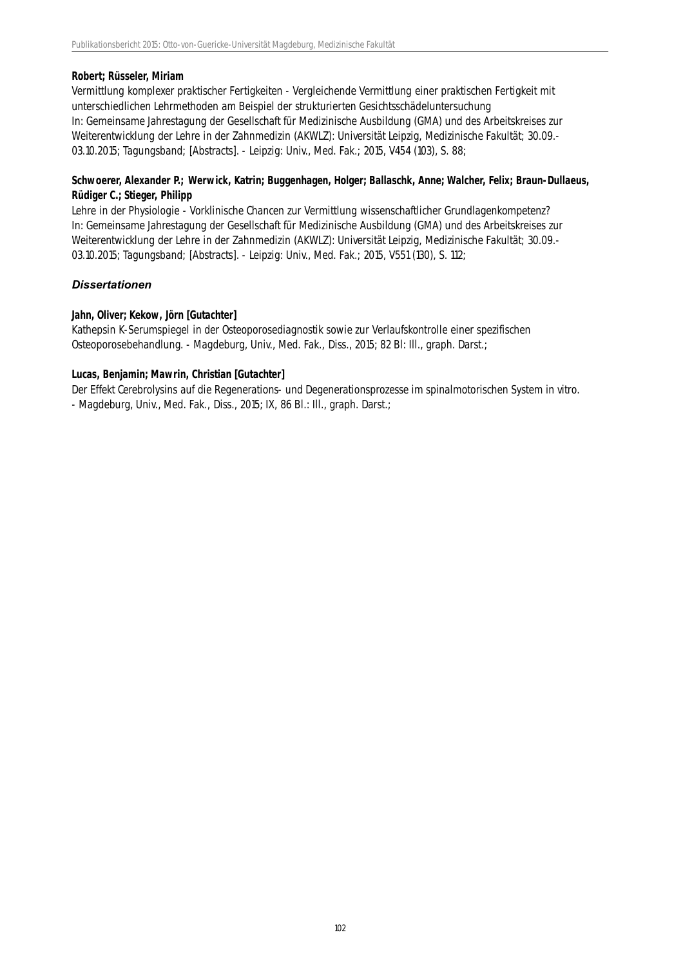#### **Robert; Rüsseler, Miriam**

Vermittlung komplexer praktischer Fertigkeiten - Vergleichende Vermittlung einer praktischen Fertigkeit mit unterschiedlichen Lehrmethoden am Beispiel der strukturierten Gesichtsschädeluntersuchung In: Gemeinsame Jahrestagung der Gesellschaft für Medizinische Ausbildung (GMA) und des Arbeitskreises zur Weiterentwicklung der Lehre in der Zahnmedizin (AKWLZ): Universität Leipzig, Medizinische Fakultät; 30.09.- 03.10.2015; Tagungsband; [Abstracts]. - Leipzig: Univ., Med. Fak.; 2015, V454 (103), S. 88;

# **Schwoerer, Alexander P.; Werwick, Katrin; Buggenhagen, Holger; Ballaschk, Anne; Walcher, Felix; Braun-Dullaeus, Rüdiger C.; Stieger, Philipp**

Lehre in der Physiologie - Vorklinische Chancen zur Vermittlung wissenschaftlicher Grundlagenkompetenz? In: Gemeinsame Jahrestagung der Gesellschaft für Medizinische Ausbildung (GMA) und des Arbeitskreises zur Weiterentwicklung der Lehre in der Zahnmedizin (AKWLZ): Universität Leipzig, Medizinische Fakultät; 30.09.- 03.10.2015; Tagungsband; [Abstracts]. - Leipzig: Univ., Med. Fak.; 2015, V551 (130), S. 112;

#### *Dissertationen*

#### **Jahn, Oliver; Kekow, Jörn [Gutachter]**

Kathepsin K-Serumspiegel in der Osteoporosediagnostik sowie zur Verlaufskontrolle einer spezifischen Osteoporosebehandlung. - Magdeburg, Univ., Med. Fak., Diss., 2015; 82 Bl: III., graph. Darst.;

#### **Lucas, Benjamin; Mawrin, Christian [Gutachter]**

Der Effekt Cerebrolysins auf die Regenerations- und Degenerationsprozesse im spinalmotorischen System in vitro. - Magdeburg, Univ., Med. Fak., Diss., 2015; IX, 86 Bl.: Ill., graph. Darst.;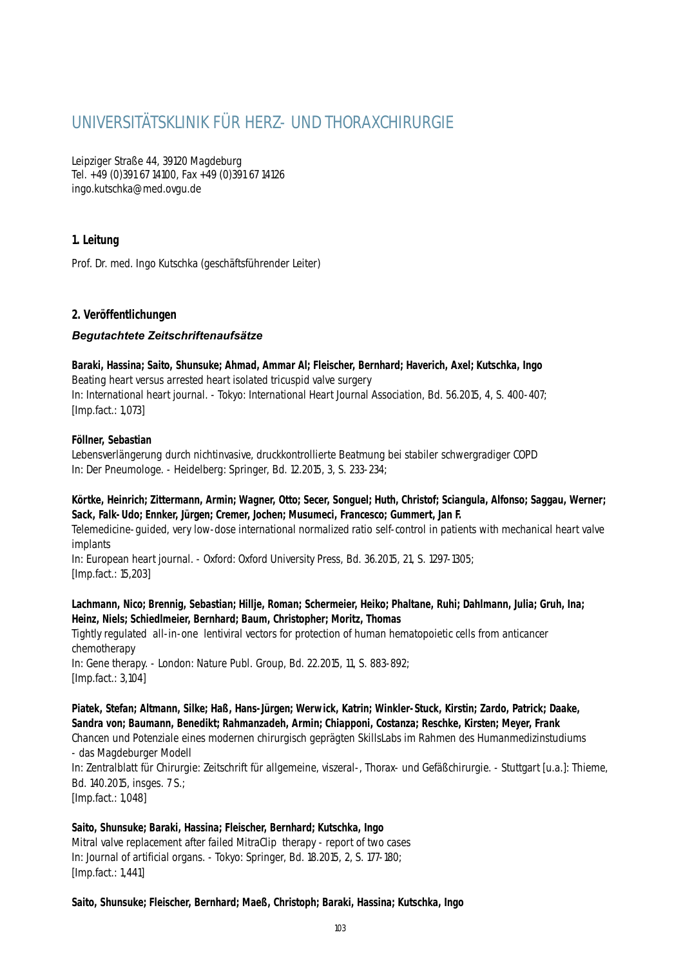# UNIVERSITÄTSKLINIK FÜR HERZ- UND THORAXCHIRURGIE

Leipziger Straße 44, 39120 Magdeburg Tel. +49 (0)391 67 14100, Fax +49 (0)391 67 14126 ingo.kutschka@med.ovgu.de

# **1. Leitung**

Prof. Dr. med. Ingo Kutschka (geschäftsführender Leiter)

# **2. Veröffentlichungen**

# *Begutachtete Zeitschriftenaufsätze*

**Baraki, Hassina; Saito, Shunsuke; Ahmad, Ammar Al; Fleischer, Bernhard; Haverich, Axel; Kutschka, Ingo** Beating heart versus arrested heart isolated tricuspid valve surgery In: International heart journal. - Tokyo: International Heart Journal Association, Bd. 56.2015, 4, S. 400-407; [Imp.fact.: 1,073]

# **Föllner, Sebastian**

Lebensverlängerung durch nichtinvasive, druckkontrollierte Beatmung bei stabiler schwergradiger COPD In: Der Pneumologe. - Heidelberg: Springer, Bd. 12.2015, 3, S. 233-234;

# **Körtke, Heinrich; Zittermann, Armin; Wagner, Otto; Secer, Songuel; Huth, Christof; Sciangula, Alfonso; Saggau, Werner; Sack, Falk-Udo; Ennker, Jürgen; Cremer, Jochen; Musumeci, Francesco; Gummert, Jan F.**

Telemedicine-guided, very low-dose international normalized ratio self-control in patients with mechanical heart valve implants

In: European heart journal. - Oxford: Oxford University Press, Bd. 36.2015, 21, S. 1297-1305; [Imp.fact.: 15,203]

# **Lachmann, Nico; Brennig, Sebastian; Hillje, Roman; Schermeier, Heiko; Phaltane, Ruhi; Dahlmann, Julia; Gruh, Ina; Heinz, Niels; Schiedlmeier, Bernhard; Baum, Christopher; Moritz, Thomas**

Tightly regulated all-in-one lentiviral vectors for protection of human hematopoietic cells from anticancer chemotherapy In: Gene therapy. - London: Nature Publ. Group, Bd. 22.2015, 11, S. 883-892; [Imp.fact.: 3,104]

**Piatek, Stefan; Altmann, Silke; Haß, Hans-Jürgen; Werwick, Katrin; Winkler-Stuck, Kirstin; Zardo, Patrick; Daake, Sandra von; Baumann, Benedikt; Rahmanzadeh, Armin; Chiapponi, Costanza; Reschke, Kirsten; Meyer, Frank** Chancen und Potenziale eines modernen chirurgisch geprägten SkillsLabs im Rahmen des Humanmedizinstudiums

- das Magdeburger Modell In: Zentralblatt für Chirurgie: Zeitschrift für allgemeine, viszeral-, Thorax- und Gefäßchirurgie. - Stuttgart [u.a.]: Thieme, Bd. 140.2015, insges. 7 S.; [Imp.fact.: 1,048]

**Saito, Shunsuke; Baraki, Hassina; Fleischer, Bernhard; Kutschka, Ingo** Mitral valve replacement after failed MitraClip therapy - report of two cases In: Journal of artificial organs. - Tokyo: Springer, Bd. 18.2015, 2, S. 177-180; [Imp.fact.: 1,441]

# **Saito, Shunsuke; Fleischer, Bernhard; Maeß, Christoph; Baraki, Hassina; Kutschka, Ingo**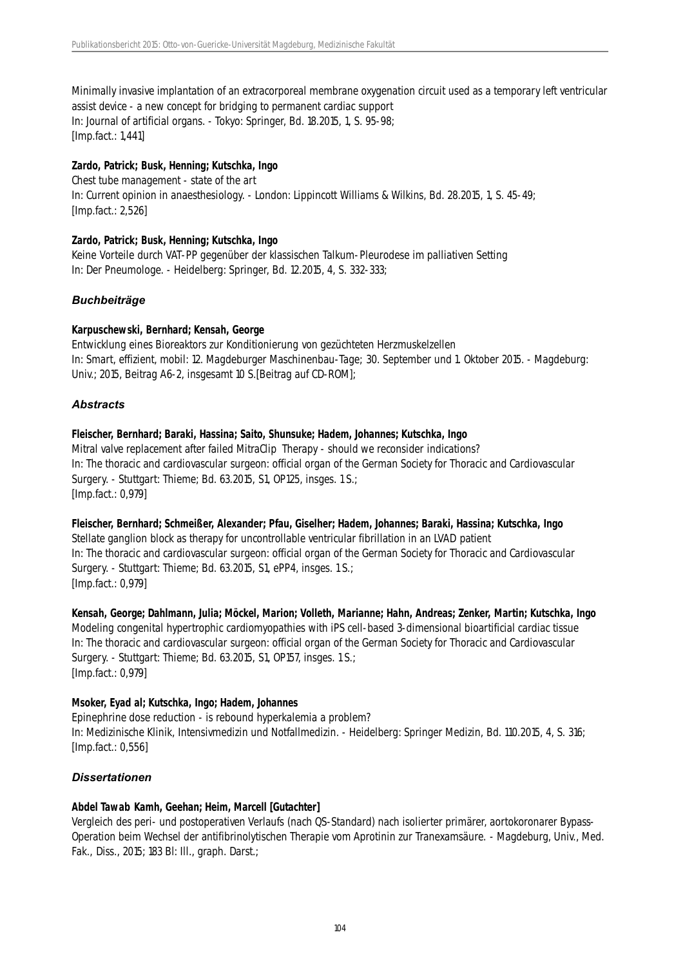Minimally invasive implantation of an extracorporeal membrane oxygenation circuit used as a temporary left ventricular assist device - a new concept for bridging to permanent cardiac support In: Journal of artificial organs. - Tokyo: Springer, Bd. 18.2015, 1, S. 95-98; [Imp.fact.: 1,441]

# **Zardo, Patrick; Busk, Henning; Kutschka, Ingo**

Chest tube management - state of the art In: Current opinion in anaesthesiology. - London: Lippincott Williams & Wilkins, Bd. 28.2015, 1, S. 45-49; [Imp.fact.: 2,526]

# **Zardo, Patrick; Busk, Henning; Kutschka, Ingo**

Keine Vorteile durch VAT-PP gegenüber der klassischen Talkum-Pleurodese im palliativen Setting In: Der Pneumologe. - Heidelberg: Springer, Bd. 12.2015, 4, S. 332-333;

# *Buchbeiträge*

# **Karpuschewski, Bernhard; Kensah, George**

Entwicklung eines Bioreaktors zur Konditionierung von gezüchteten Herzmuskelzellen In: Smart, effizient, mobil: 12. Magdeburger Maschinenbau-Tage; 30. September und 1. Oktober 2015. - Magdeburg: Univ.; 2015, Beitrag A6-2, insgesamt 10 S.[Beitrag auf CD-ROM];

# *Abstracts*

#### **Fleischer, Bernhard; Baraki, Hassina; Saito, Shunsuke; Hadem, Johannes; Kutschka, Ingo**

Mitral valve replacement after failed MitraClip Therapy - should we reconsider indications? In: The thoracic and cardiovascular surgeon: official organ of the German Society for Thoracic and Cardiovascular Surgery. - Stuttgart: Thieme; Bd. 63.2015, S1, OP125, insges. 1 S.; [Imp.fact.: 0,979]

#### **Fleischer, Bernhard; Schmeißer, Alexander; Pfau, Giselher; Hadem, Johannes; Baraki, Hassina; Kutschka, Ingo** Stellate ganglion block as therapy for uncontrollable ventricular fibrillation in an LVAD patient In: The thoracic and cardiovascular surgeon: official organ of the German Society for Thoracic and Cardiovascular Surgery. - Stuttgart: Thieme; Bd. 63.2015, S1, ePP4, insges. 1 S.;

[Imp.fact.: 0,979]

**Kensah, George; Dahlmann, Julia; Möckel, Marion; Volleth, Marianne; Hahn, Andreas; Zenker, Martin; Kutschka, Ingo** Modeling congenital hypertrophic cardiomyopathies with iPS cell-based 3-dimensional bioartificial cardiac tissue In: The thoracic and cardiovascular surgeon: official organ of the German Society for Thoracic and Cardiovascular Surgery. - Stuttgart: Thieme; Bd. 63.2015, S1, OP157, insges. 1 S.; [Imp.fact.: 0,979]

# **Msoker, Eyad al; Kutschka, Ingo; Hadem, Johannes**

Epinephrine dose reduction - is rebound hyperkalemia a problem? In: Medizinische Klinik, Intensivmedizin und Notfallmedizin. - Heidelberg: Springer Medizin, Bd. 110.2015, 4, S. 316; [Imp.fact.: 0,556]

# *Dissertationen*

# **Abdel Tawab Kamh, Geehan; Heim, Marcell [Gutachter]**

Vergleich des peri- und postoperativen Verlaufs (nach QS-Standard) nach isolierter primärer, aortokoronarer Bypass-Operation beim Wechsel der antifibrinolytischen Therapie vom Aprotinin zur Tranexamsäure. - Magdeburg, Univ., Med. Fak., Diss., 2015; 183 Bl: Ill., graph. Darst.;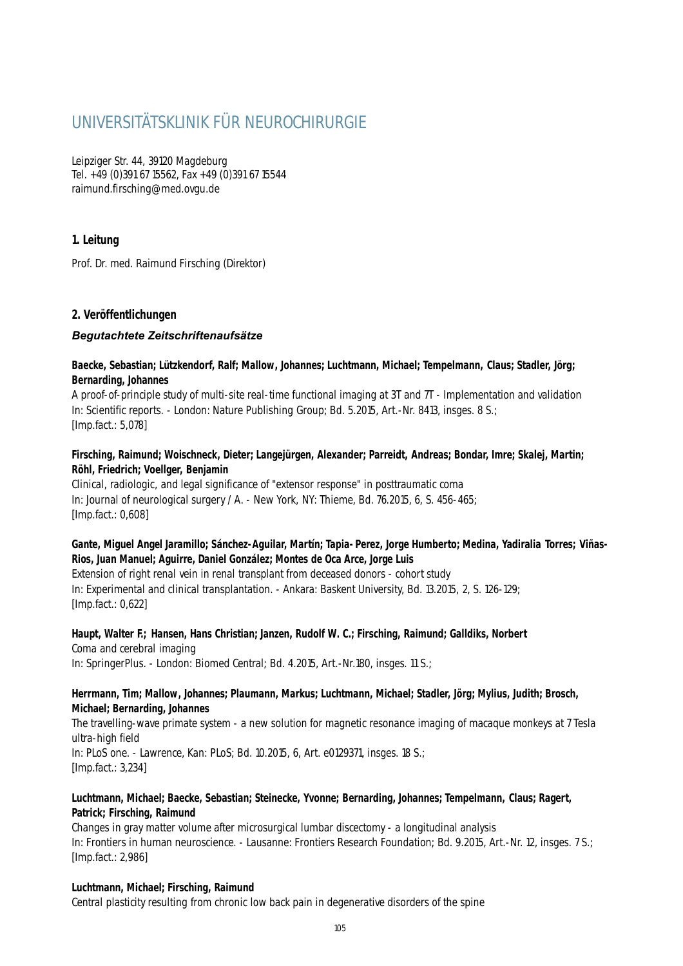# UNIVERSITÄTSKLINIK FÜR NEUROCHIRURGIE

Leipziger Str. 44, 39120 Magdeburg Tel. +49 (0)391 67 15562, Fax +49 (0)391 67 15544 raimund.firsching@med.ovgu.de

# **1. Leitung**

Prof. Dr. med. Raimund Firsching (Direktor)

# **2. Veröffentlichungen**

# *Begutachtete Zeitschriftenaufsätze*

# **Baecke, Sebastian; Lützkendorf, Ralf; Mallow, Johannes; Luchtmann, Michael; Tempelmann, Claus; Stadler, Jörg; Bernarding, Johannes**

A proof-of-principle study of multi-site real-time functional imaging at 3T and 7T - Implementation and validation In: Scientific reports. - London: Nature Publishing Group; Bd. 5.2015, Art.-Nr. 8413, insges. 8 S.; [Imp.fact.: 5,078]

# **Firsching, Raimund; Woischneck, Dieter; Langejürgen, Alexander; Parreidt, Andreas; Bondar, Imre; Skalej, Martin; Röhl, Friedrich; Voellger, Benjamin**

Clinical, radiologic, and legal significance of "extensor response" in posttraumatic coma In: Journal of neurological surgery / A. - New York, NY: Thieme, Bd. 76.2015, 6, S. 456-465; [Imp.fact.: 0,608]

# **Gante, Miguel Angel Jaramillo; Sánchez-Aguilar, Martín; Tapia-Perez, Jorge Humberto; Medina, Yadiralia Torres; Viñas-Rios, Juan Manuel; Aguirre, Daniel González; Montes de Oca Arce, Jorge Luis**

Extension of right renal vein in renal transplant from deceased donors - cohort study In: Experimental and clinical transplantation. - Ankara: Baskent University, Bd. 13.2015, 2, S. 126-129; [Imp.fact.: 0,622]

#### **Haupt, Walter F.; Hansen, Hans Christian; Janzen, Rudolf W. C.; Firsching, Raimund; Galldiks, Norbert** Coma and cerebral imaging In: SpringerPlus. - London: Biomed Central; Bd. 4.2015, Art.-Nr.180, insges. 11 S.;

# **Herrmann, Tim; Mallow, Johannes; Plaumann, Markus; Luchtmann, Michael; Stadler, Jörg; Mylius, Judith; Brosch, Michael; Bernarding, Johannes**

The travelling-wave primate system - a new solution for magnetic resonance imaging of macaque monkeys at 7 Tesla ultra-high field

In: PLoS one. - Lawrence, Kan: PLoS; Bd. 10.2015, 6, Art. e0129371, insges. 18 S.; [Imp.fact.: 3,234]

# **Luchtmann, Michael; Baecke, Sebastian; Steinecke, Yvonne; Bernarding, Johannes; Tempelmann, Claus; Ragert, Patrick; Firsching, Raimund**

Changes in gray matter volume after microsurgical lumbar discectomy - a longitudinal analysis In: Frontiers in human neuroscience. - Lausanne: Frontiers Research Foundation; Bd. 9.2015, Art.-Nr. 12, insges. 7 S.; [Imp.fact.: 2,986]

# **Luchtmann, Michael; Firsching, Raimund**

Central plasticity resulting from chronic low back pain in degenerative disorders of the spine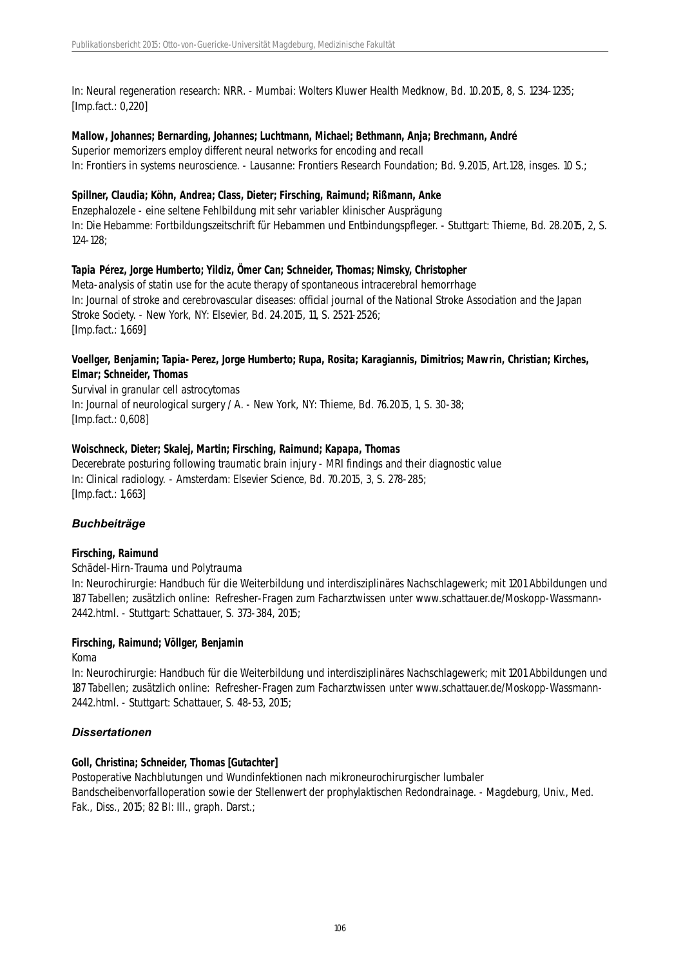In: Neural regeneration research: NRR. - Mumbai: Wolters Kluwer Health Medknow, Bd. 10.2015, 8, S. 1234-1235; [Imp.fact.: 0,220]

#### **Mallow, Johannes; Bernarding, Johannes; Luchtmann, Michael; Bethmann, Anja; Brechmann, André**

Superior memorizers employ different neural networks for encoding and recall In: Frontiers in systems neuroscience. - Lausanne: Frontiers Research Foundation; Bd. 9.2015, Art.128, insges. 10 S.;

#### **Spillner, Claudia; Köhn, Andrea; Class, Dieter; Firsching, Raimund; Rißmann, Anke**

Enzephalozele - eine seltene Fehlbildung mit sehr variabler klinischer Ausprägung In: Die Hebamme: Fortbildungszeitschrift für Hebammen und Entbindungspfleger. - Stuttgart: Thieme, Bd. 28.2015, 2, S. 124-128;

#### **Tapia Pérez, Jorge Humberto; Yildiz, Ömer Can; Schneider, Thomas; Nimsky, Christopher**

Meta-analysis of statin use for the acute therapy of spontaneous intracerebral hemorrhage In: Journal of stroke and cerebrovascular diseases: official journal of the National Stroke Association and the Japan Stroke Society. - New York, NY: Elsevier, Bd. 24.2015, 11, S. 2521-2526; [Imp.fact.: 1,669]

#### **Voellger, Benjamin; Tapia-Perez, Jorge Humberto; Rupa, Rosita; Karagiannis, Dimitrios; Mawrin, Christian; Kirches, Elmar; Schneider, Thomas**

Survival in granular cell astrocytomas In: Journal of neurological surgery / A. - New York, NY: Thieme, Bd. 76.2015, 1, S. 30-38; [Imp.fact.: 0,608]

#### **Woischneck, Dieter; Skalej, Martin; Firsching, Raimund; Kapapa, Thomas**

Decerebrate posturing following traumatic brain injury - MRI findings and their diagnostic value In: Clinical radiology. - Amsterdam: Elsevier Science, Bd. 70.2015, 3, S. 278-285; [Imp.fact.: 1,663]

# *Buchbeiträge*

# **Firsching, Raimund**

Schädel-Hirn-Trauma und Polytrauma

In: Neurochirurgie: Handbuch für die Weiterbildung und interdisziplinäres Nachschlagewerk; mit 1201 Abbildungen und 187 Tabellen; zusätzlich online: Refresher-Fragen zum Facharztwissen unter www.schattauer.de/Moskopp-Wassmann-2442.html. - Stuttgart: Schattauer, S. 373-384, 2015;

# **Firsching, Raimund; Völlger, Benjamin**

#### Koma

In: Neurochirurgie: Handbuch für die Weiterbildung und interdisziplinäres Nachschlagewerk; mit 1201 Abbildungen und 187 Tabellen; zusätzlich online: Refresher-Fragen zum Facharztwissen unter www.schattauer.de/Moskopp-Wassmann-2442.html. - Stuttgart: Schattauer, S. 48-53, 2015;

# *Dissertationen*

# **Goll, Christina; Schneider, Thomas [Gutachter]**

Postoperative Nachblutungen und Wundinfektionen nach mikroneurochirurgischer lumbaler Bandscheibenvorfalloperation sowie der Stellenwert der prophylaktischen Redondrainage. - Magdeburg, Univ., Med. Fak., Diss., 2015; 82 Bl: Ill., graph. Darst.;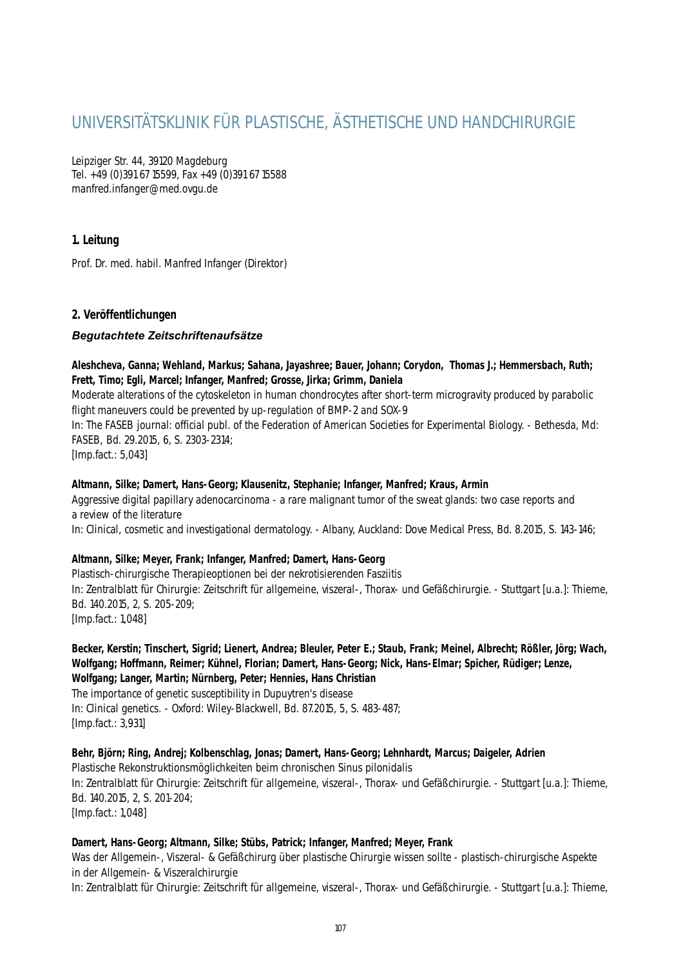# UNIVERSITÄTSKLINIK FÜR PLASTISCHE, ÄSTHETISCHE UND HANDCHIRURGIE

Leipziger Str. 44, 39120 Magdeburg Tel. +49 (0)391 67 15599, Fax +49 (0)391 67 15588 manfred.infanger@med.ovgu.de

# **1. Leitung**

Prof. Dr. med. habil. Manfred Infanger (Direktor)

# **2. Veröffentlichungen**

# *Begutachtete Zeitschriftenaufsätze*

**Aleshcheva, Ganna; Wehland, Markus; Sahana, Jayashree; Bauer, Johann; Corydon, Thomas J.; Hemmersbach, Ruth; Frett, Timo; Egli, Marcel; Infanger, Manfred; Grosse, Jirka; Grimm, Daniela**

Moderate alterations of the cytoskeleton in human chondrocytes after short-term microgravity produced by parabolic flight maneuvers could be prevented by up-regulation of BMP-2 and SOX-9

In: The FASEB journal: official publ. of the Federation of American Societies for Experimental Biology. - Bethesda, Md: FASEB, Bd. 29.2015, 6, S. 2303-2314;

[Imp.fact.: 5,043]

#### **Altmann, Silke; Damert, Hans-Georg; Klausenitz, Stephanie; Infanger, Manfred; Kraus, Armin**

Aggressive digital papillary adenocarcinoma - a rare malignant tumor of the sweat glands: two case reports and a review of the literature

In: Clinical, cosmetic and investigational dermatology. - Albany, Auckland: Dove Medical Press, Bd. 8.2015, S. 143-146;

#### **Altmann, Silke; Meyer, Frank; Infanger, Manfred; Damert, Hans-Georg**

Plastisch-chirurgische Therapieoptionen bei der nekrotisierenden Fasziitis In: Zentralblatt für Chirurgie: Zeitschrift für allgemeine, viszeral-, Thorax- und Gefäßchirurgie. - Stuttgart [u.a.]: Thieme, Bd. 140.2015, 2, S. 205-209; [Imp.fact.: 1,048]

**Becker, Kerstin; Tinschert, Sigrid; Lienert, Andrea; Bleuler, Peter E.; Staub, Frank; Meinel, Albrecht; Rößler, Jörg; Wach, Wolfgang; Hoffmann, Reimer; Kühnel, Florian; Damert, Hans-Georg; Nick, Hans-Elmar; Spicher, Rüdiger; Lenze, Wolfgang; Langer, Martin; Nürnberg, Peter; Hennies, Hans Christian**

The importance of genetic susceptibility in Dupuytren's disease In: Clinical genetics. - Oxford: Wiley-Blackwell, Bd. 87.2015, 5, S. 483-487; [Imp.fact.: 3,931]

**Behr, Björn; Ring, Andrej; Kolbenschlag, Jonas; Damert, Hans-Georg; Lehnhardt, Marcus; Daigeler, Adrien** Plastische Rekonstruktionsmöglichkeiten beim chronischen Sinus pilonidalis In: Zentralblatt für Chirurgie: Zeitschrift für allgemeine, viszeral-, Thorax- und Gefäßchirurgie. - Stuttgart [u.a.]: Thieme, Bd. 140.2015, 2, S. 201-204; [Imp.fact.: 1,048]

#### **Damert, Hans-Georg; Altmann, Silke; Stübs, Patrick; Infanger, Manfred; Meyer, Frank**

Was der Allgemein-, Viszeral- & Gefäßchirurg über plastische Chirurgie wissen sollte - plastisch-chirurgische Aspekte in der Allgemein- & Viszeralchirurgie

In: Zentralblatt für Chirurgie: Zeitschrift für allgemeine, viszeral-, Thorax- und Gefäßchirurgie. - Stuttgart [u.a.]: Thieme,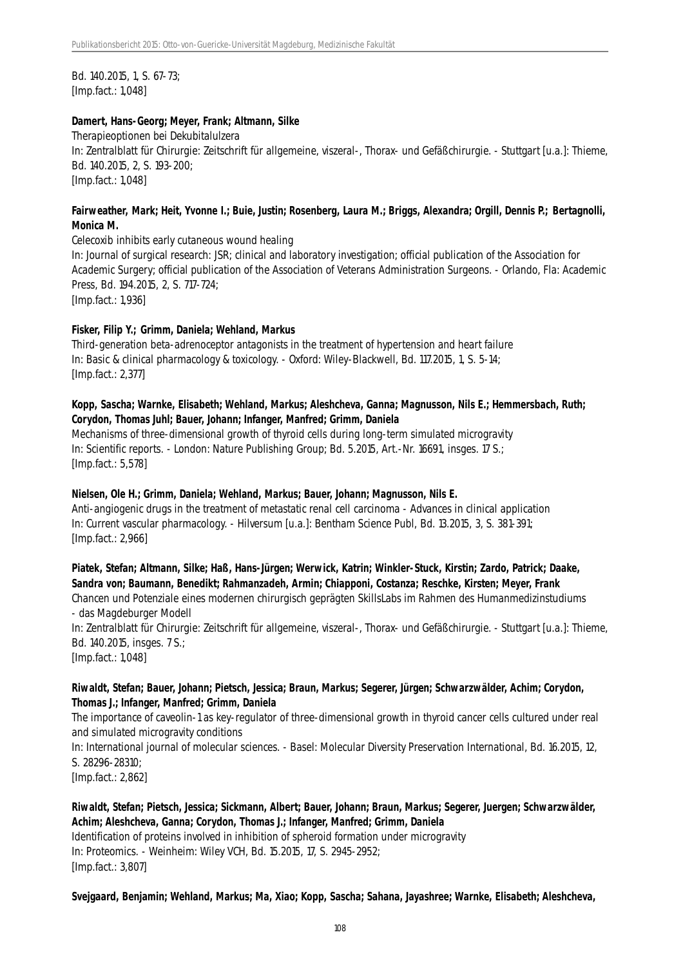Bd. 140.2015, 1, S. 67-73; [Imp.fact.: 1,048]

#### **Damert, Hans-Georg; Meyer, Frank; Altmann, Silke**

Therapieoptionen bei Dekubitalulzera In: Zentralblatt für Chirurgie: Zeitschrift für allgemeine, viszeral-, Thorax- und Gefäßchirurgie. - Stuttgart [u.a.]: Thieme, Bd. 140.2015, 2, S. 193-200; [Imp.fact.: 1,048]

### **Fairweather, Mark; Heit, Yvonne I.; Buie, Justin; Rosenberg, Laura M.; Briggs, Alexandra; Orgill, Dennis P.; Bertagnolli, Monica M.**

Celecoxib inhibits early cutaneous wound healing

In: Journal of surgical research: JSR; clinical and laboratory investigation; official publication of the Association for Academic Surgery; official publication of the Association of Veterans Administration Surgeons. - Orlando, Fla: Academic Press, Bd. 194.2015, 2, S. 717-724;

[Imp.fact.: 1,936]

#### **Fisker, Filip Y.; Grimm, Daniela; Wehland, Markus**

Third-generation beta-adrenoceptor antagonists in the treatment of hypertension and heart failure In: Basic & clinical pharmacology & toxicology. - Oxford: Wiley-Blackwell, Bd. 117.2015, 1, S. 5-14; [Imp.fact.: 2,377]

### **Kopp, Sascha; Warnke, Elisabeth; Wehland, Markus; Aleshcheva, Ganna; Magnusson, Nils E.; Hemmersbach, Ruth; Corydon, Thomas Juhl; Bauer, Johann; Infanger, Manfred; Grimm, Daniela**

Mechanisms of three-dimensional growth of thyroid cells during long-term simulated microgravity In: Scientific reports. - London: Nature Publishing Group; Bd. 5.2015, Art.-Nr. 16691, insges. 17 S.; [Imp.fact.: 5,578]

### **Nielsen, Ole H.; Grimm, Daniela; Wehland, Markus; Bauer, Johann; Magnusson, Nils E.**

Anti-angiogenic drugs in the treatment of metastatic renal cell carcinoma - Advances in clinical application In: Current vascular pharmacology. - Hilversum [u.a.]: Bentham Science Publ, Bd. 13.2015, 3, S. 381-391; [Imp.fact.: 2,966]

**Piatek, Stefan; Altmann, Silke; Haß, Hans-Jürgen; Werwick, Katrin; Winkler-Stuck, Kirstin; Zardo, Patrick; Daake, Sandra von; Baumann, Benedikt; Rahmanzadeh, Armin; Chiapponi, Costanza; Reschke, Kirsten; Meyer, Frank**

Chancen und Potenziale eines modernen chirurgisch geprägten SkillsLabs im Rahmen des Humanmedizinstudiums - das Magdeburger Modell

In: Zentralblatt für Chirurgie: Zeitschrift für allgemeine, viszeral-, Thorax- und Gefäßchirurgie. - Stuttgart [u.a.]: Thieme, Bd. 140.2015, insges. 7 S.;

[Imp.fact.: 1,048]

### **Riwaldt, Stefan; Bauer, Johann; Pietsch, Jessica; Braun, Markus; Segerer, Jürgen; Schwarzwälder, Achim; Corydon, Thomas J.; Infanger, Manfred; Grimm, Daniela**

The importance of caveolin-1 as key-regulator of three-dimensional growth in thyroid cancer cells cultured under real and simulated microgravity conditions

In: International journal of molecular sciences. - Basel: Molecular Diversity Preservation International, Bd. 16.2015, 12, S. 28296-28310;

[Imp.fact.: 2,862]

**Riwaldt, Stefan; Pietsch, Jessica; Sickmann, Albert; Bauer, Johann; Braun, Markus; Segerer, Juergen; Schwarzwälder, Achim; Aleshcheva, Ganna; Corydon, Thomas J.; Infanger, Manfred; Grimm, Daniela** Identification of proteins involved in inhibition of spheroid formation under microgravity

In: Proteomics. - Weinheim: Wiley VCH, Bd. 15.2015, 17, S. 2945-2952; [Imp.fact.: 3,807]

**Svejgaard, Benjamin; Wehland, Markus; Ma, Xiao; Kopp, Sascha; Sahana, Jayashree; Warnke, Elisabeth; Aleshcheva,**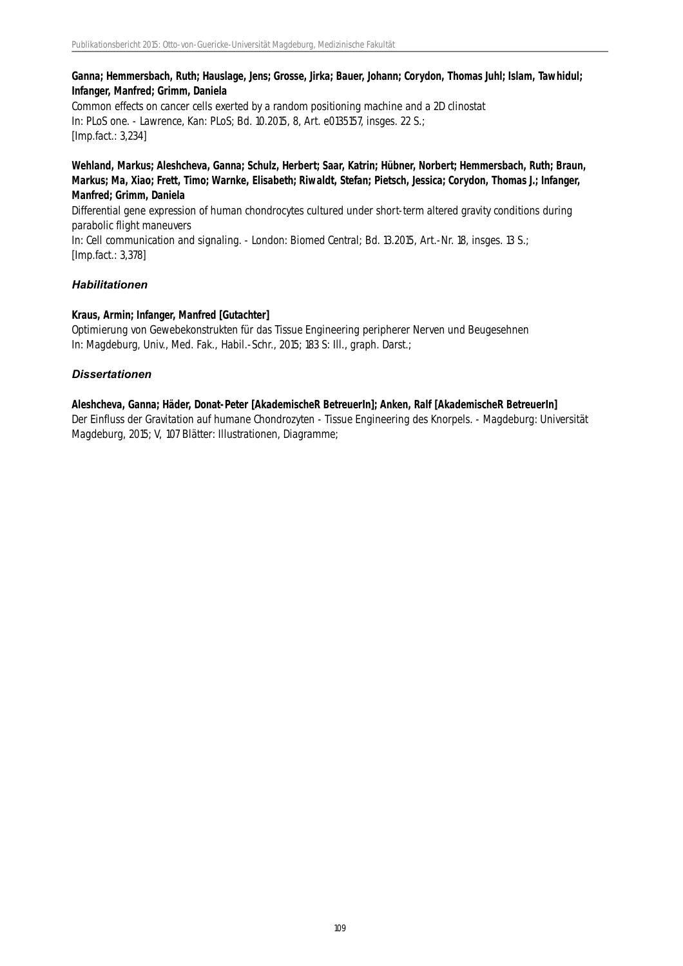### **Ganna; Hemmersbach, Ruth; Hauslage, Jens; Grosse, Jirka; Bauer, Johann; Corydon, Thomas Juhl; Islam, Tawhidul; Infanger, Manfred; Grimm, Daniela**

Common effects on cancer cells exerted by a random positioning machine and a 2D clinostat In: PLoS one. - Lawrence, Kan: PLoS; Bd. 10.2015, 8, Art. e0135157, insges. 22 S.; [Imp.fact.: 3,234]

### **Wehland, Markus; Aleshcheva, Ganna; Schulz, Herbert; Saar, Katrin; Hübner, Norbert; Hemmersbach, Ruth; Braun, Markus; Ma, Xiao; Frett, Timo; Warnke, Elisabeth; Riwaldt, Stefan; Pietsch, Jessica; Corydon, Thomas J.; Infanger, Manfred; Grimm, Daniela**

Differential gene expression of human chondrocytes cultured under short-term altered gravity conditions during parabolic flight maneuvers

In: Cell communication and signaling. - London: Biomed Central; Bd. 13.2015, Art.-Nr. 18, insges. 13 S.; [Imp.fact.: 3,378]

### *Habilitationen*

### **Kraus, Armin; Infanger, Manfred [Gutachter]**

Optimierung von Gewebekonstrukten für das Tissue Engineering peripherer Nerven und Beugesehnen In: Magdeburg, Univ., Med. Fak., Habil.-Schr., 2015; 183 S: Ill., graph. Darst.;

### *Dissertationen*

### **Aleshcheva, Ganna; Häder, Donat-Peter [AkademischeR BetreuerIn]; Anken, Ralf [AkademischeR BetreuerIn]**

Der Einfluss der Gravitation auf humane Chondrozyten - Tissue Engineering des Knorpels. - Magdeburg: Universität Magdeburg, 2015; V, 107 Blätter: Illustrationen, Diagramme;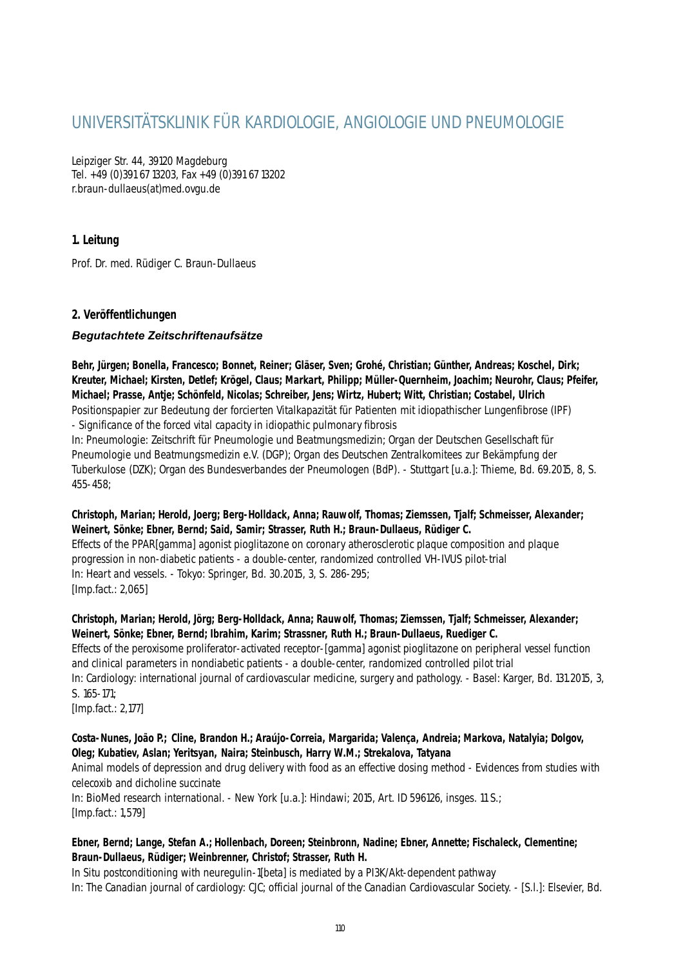# UNIVERSITÄTSKLINIK FÜR KARDIOLOGIE, ANGIOLOGIE UND PNEUMOLOGIE

Leipziger Str. 44, 39120 Magdeburg Tel. +49 (0)391 67 13203, Fax +49 (0)391 67 13202 r.braun-dullaeus(at)med.ovgu.de

### **1. Leitung**

Prof. Dr. med. Rüdiger C. Braun-Dullaeus

### **2. Veröffentlichungen**

### *Begutachtete Zeitschriftenaufsätze*

**Behr, Jürgen; Bonella, Francesco; Bonnet, Reiner; Gläser, Sven; Grohé, Christian; Günther, Andreas; Koschel, Dirk; Kreuter, Michael; Kirsten, Detlef; Krögel, Claus; Markart, Philipp; Müller-Quernheim, Joachim; Neurohr, Claus; Pfeifer, Michael; Prasse, Antje; Schönfeld, Nicolas; Schreiber, Jens; Wirtz, Hubert; Witt, Christian; Costabel, Ulrich** Positionspapier zur Bedeutung der forcierten Vitalkapazität für Patienten mit idiopathischer Lungenfibrose (IPF) - Significance of the forced vital capacity in idiopathic pulmonary fibrosis

In: Pneumologie: Zeitschrift für Pneumologie und Beatmungsmedizin; Organ der Deutschen Gesellschaft für Pneumologie und Beatmungsmedizin e.V. (DGP); Organ des Deutschen Zentralkomitees zur Bekämpfung der Tuberkulose (DZK); Organ des Bundesverbandes der Pneumologen (BdP). - Stuttgart [u.a.]: Thieme, Bd. 69.2015, 8, S. 455-458;

### **Christoph, Marian; Herold, Joerg; Berg-Holldack, Anna; Rauwolf, Thomas; Ziemssen, Tjalf; Schmeisser, Alexander; Weinert, Sönke; Ebner, Bernd; Said, Samir; Strasser, Ruth H.; Braun-Dullaeus, Rüdiger C.**

Effects of the PPAR[gamma] agonist pioglitazone on coronary atherosclerotic plaque composition and plaque progression in non-diabetic patients - a double-center, randomized controlled VH-IVUS pilot-trial In: Heart and vessels. - Tokyo: Springer, Bd. 30.2015, 3, S. 286-295; [Imp.fact.: 2,065]

### **Christoph, Marian; Herold, Jörg; Berg-Holldack, Anna; Rauwolf, Thomas; Ziemssen, Tjalf; Schmeisser, Alexander; Weinert, Sönke; Ebner, Bernd; Ibrahim, Karim; Strassner, Ruth H.; Braun-Dullaeus, Ruediger C.**

Effects of the peroxisome proliferator-activated receptor-[gamma] agonist pioglitazone on peripheral vessel function and clinical parameters in nondiabetic patients - a double-center, randomized controlled pilot trial In: Cardiology: international journal of cardiovascular medicine, surgery and pathology. - Basel: Karger, Bd. 131.2015, 3, S. 165-171;

[Imp.fact.: 2,177]

### **Costa-Nunes, João P.; Cline, Brandon H.; Araújo-Correia, Margarida; Valença, Andreia; Markova, Natalyia; Dolgov, Oleg; Kubatiev, Aslan; Yeritsyan, Naira; Steinbusch, Harry W.M.; Strekalova, Tatyana**

Animal models of depression and drug delivery with food as an effective dosing method - Evidences from studies with celecoxib and dicholine succinate

In: BioMed research international. - New York [u.a.]: Hindawi; 2015, Art. ID 596126, insges. 11 S.; [Imp.fact.: 1,579]

### **Ebner, Bernd; Lange, Stefan A.; Hollenbach, Doreen; Steinbronn, Nadine; Ebner, Annette; Fischaleck, Clementine; Braun-Dullaeus, Rüdiger; Weinbrenner, Christof; Strasser, Ruth H.**

In Situ postconditioning with neuregulin-1[beta] is mediated by a PI3K/Akt-dependent pathway In: The Canadian journal of cardiology: CJC; official journal of the Canadian Cardiovascular Society. - [S.l.]: Elsevier, Bd.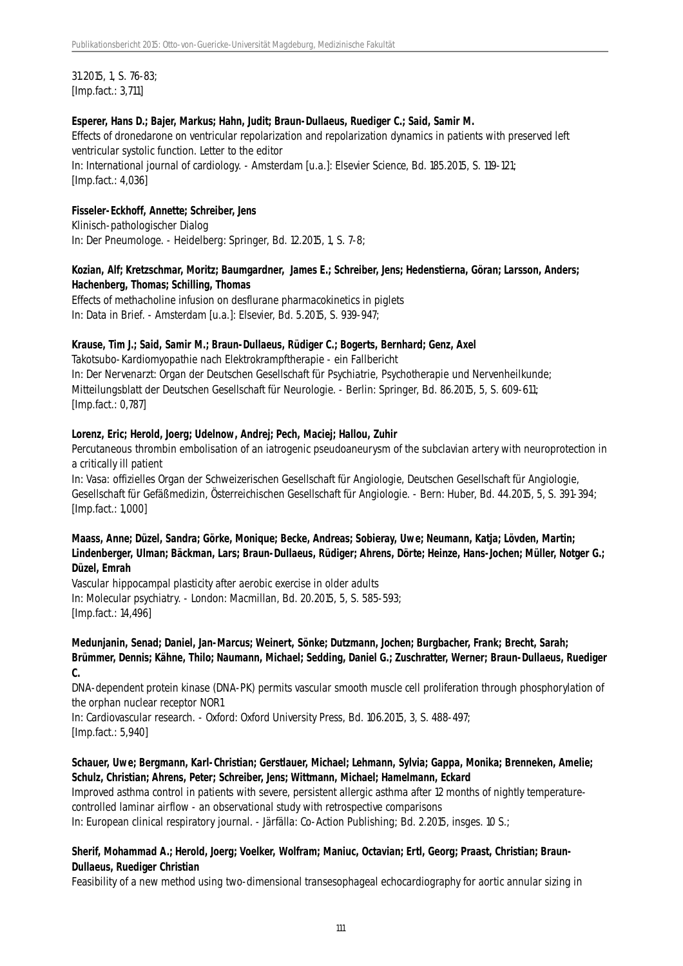31.2015, 1, S. 76-83; [Imp.fact.: 3,711]

#### **Esperer, Hans D.; Bajer, Markus; Hahn, Judit; Braun-Dullaeus, Ruediger C.; Said, Samir M.**

Effects of dronedarone on ventricular repolarization and repolarization dynamics in patients with preserved left ventricular systolic function. Letter to the editor In: International journal of cardiology. - Amsterdam [u.a.]: Elsevier Science, Bd. 185.2015, S. 119-121; [Imp.fact.: 4,036]

### **Fisseler-Eckhoff, Annette; Schreiber, Jens**

Klinisch-pathologischer Dialog In: Der Pneumologe. - Heidelberg: Springer, Bd. 12.2015, 1, S. 7-8;

### **Kozian, Alf; Kretzschmar, Moritz; Baumgardner, James E.; Schreiber, Jens; Hedenstierna, Göran; Larsson, Anders; Hachenberg, Thomas; Schilling, Thomas**

Effects of methacholine infusion on desflurane pharmacokinetics in piglets In: Data in Brief. - Amsterdam [u.a.]: Elsevier, Bd. 5.2015, S. 939-947;

#### **Krause, Tim J.; Said, Samir M.; Braun-Dullaeus, Rüdiger C.; Bogerts, Bernhard; Genz, Axel**

Takotsubo-Kardiomyopathie nach Elektrokrampftherapie - ein Fallbericht In: Der Nervenarzt: Organ der Deutschen Gesellschaft für Psychiatrie, Psychotherapie und Nervenheilkunde; Mitteilungsblatt der Deutschen Gesellschaft für Neurologie. - Berlin: Springer, Bd. 86.2015, 5, S. 609-611; [Imp.fact.: 0,787]

#### **Lorenz, Eric; Herold, Joerg; Udelnow, Andrej; Pech, Maciej; Hallou, Zuhir**

Percutaneous thrombin embolisation of an iatrogenic pseudoaneurysm of the subclavian artery with neuroprotection in a critically ill patient

In: Vasa: offizielles Organ der Schweizerischen Gesellschaft für Angiologie, Deutschen Gesellschaft für Angiologie, Gesellschaft für Gefäßmedizin, Österreichischen Gesellschaft für Angiologie. - Bern: Huber, Bd. 44.2015, 5, S. 391-394; [Imp.fact.: 1,000]

### **Maass, Anne; Düzel, Sandra; Görke, Monique; Becke, Andreas; Sobieray, Uwe; Neumann, Katja; Lövden, Martin; Lindenberger, Ulman; Bäckman, Lars; Braun-Dullaeus, Rüdiger; Ahrens, Dörte; Heinze, Hans-Jochen; Müller, Notger G.; Düzel, Emrah**

Vascular hippocampal plasticity after aerobic exercise in older adults In: Molecular psychiatry. - London: Macmillan, Bd. 20.2015, 5, S. 585-593; [Imp.fact.: 14,496]

#### **Medunjanin, Senad; Daniel, Jan-Marcus; Weinert, Sönke; Dutzmann, Jochen; Burgbacher, Frank; Brecht, Sarah; Brümmer, Dennis; Kähne, Thilo; Naumann, Michael; Sedding, Daniel G.; Zuschratter, Werner; Braun-Dullaeus, Ruediger C.**

DNA-dependent protein kinase (DNA-PK) permits vascular smooth muscle cell proliferation through phosphorylation of the orphan nuclear receptor NOR1

In: Cardiovascular research. - Oxford: Oxford University Press, Bd. 106.2015, 3, S. 488-497;

[Imp.fact.: 5,940]

### **Schauer, Uwe; Bergmann, Karl-Christian; Gerstlauer, Michael; Lehmann, Sylvia; Gappa, Monika; Brenneken, Amelie; Schulz, Christian; Ahrens, Peter; Schreiber, Jens; Wittmann, Michael; Hamelmann, Eckard**

Improved asthma control in patients with severe, persistent allergic asthma after 12 months of nightly temperaturecontrolled laminar airflow - an observational study with retrospective comparisons In: European clinical respiratory journal. - Järfälla: Co-Action Publishing; Bd. 2.2015, insges. 10 S.;

### **Sherif, Mohammad A.; Herold, Joerg; Voelker, Wolfram; Maniuc, Octavian; Ertl, Georg; Praast, Christian; Braun-Dullaeus, Ruediger Christian**

Feasibility of a new method using two-dimensional transesophageal echocardiography for aortic annular sizing in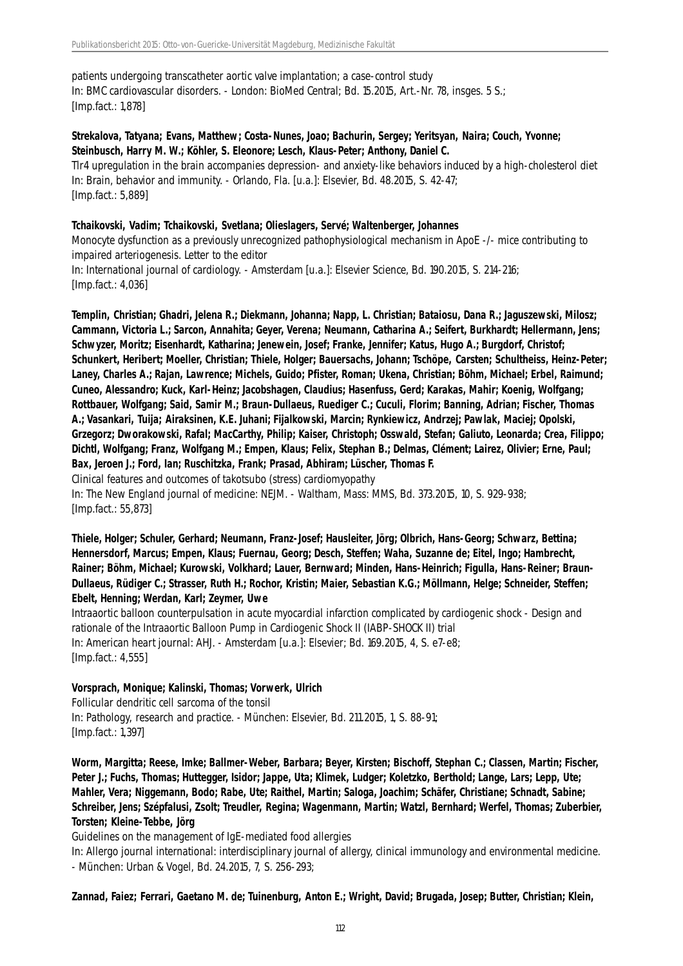patients undergoing transcatheter aortic valve implantation; a case-control study In: BMC cardiovascular disorders. - London: BioMed Central; Bd. 15.2015, Art.-Nr. 78, insges. 5 S.; [Imp.fact.: 1,878]

### **Strekalova, Tatyana; Evans, Matthew; Costa-Nunes, Joao; Bachurin, Sergey; Yeritsyan, Naira; Couch, Yvonne; Steinbusch, Harry M. W.; Köhler, S. Eleonore; Lesch, Klaus-Peter; Anthony, Daniel C.**

Tlr4 upregulation in the brain accompanies depression- and anxiety-like behaviors induced by a high-cholesterol diet In: Brain, behavior and immunity. - Orlando, Fla. [u.a.]: Elsevier, Bd. 48.2015, S. 42-47; [Imp.fact.: 5,889]

#### **Tchaikovski, Vadim; Tchaikovski, Svetlana; Olieslagers, Servé; Waltenberger, Johannes**

Monocyte dysfunction as a previously unrecognized pathophysiological mechanism in ApoE -/- mice contributing to impaired arteriogenesis. Letter to the editor

In: International journal of cardiology. - Amsterdam [u.a.]: Elsevier Science, Bd. 190.2015, S. 214-216; [Imp.fact.: 4,036]

**Templin, Christian; Ghadri, Jelena R.; Diekmann, Johanna; Napp, L. Christian; Bataiosu, Dana R.; Jaguszewski, Milosz; Cammann, Victoria L.; Sarcon, Annahita; Geyer, Verena; Neumann, Catharina A.; Seifert, Burkhardt; Hellermann, Jens; Schwyzer, Moritz; Eisenhardt, Katharina; Jenewein, Josef; Franke, Jennifer; Katus, Hugo A.; Burgdorf, Christof; Schunkert, Heribert; Moeller, Christian; Thiele, Holger; Bauersachs, Johann; Tschöpe, Carsten; Schultheiss, Heinz-Peter; Laney, Charles A.; Rajan, Lawrence; Michels, Guido; Pfister, Roman; Ukena, Christian; Böhm, Michael; Erbel, Raimund; Cuneo, Alessandro; Kuck, Karl-Heinz; Jacobshagen, Claudius; Hasenfuss, Gerd; Karakas, Mahir; Koenig, Wolfgang; Rottbauer, Wolfgang; Said, Samir M.; Braun-Dullaeus, Ruediger C.; Cuculi, Florim; Banning, Adrian; Fischer, Thomas A.; Vasankari, Tuija; Airaksinen, K.E. Juhani; Fijalkowski, Marcin; Rynkiewicz, Andrzej; Pawlak, Maciej; Opolski, Grzegorz; Dworakowski, Rafal; MacCarthy, Philip; Kaiser, Christoph; Osswald, Stefan; Galiuto, Leonarda; Crea, Filippo; Dichtl, Wolfgang; Franz, Wolfgang M.; Empen, Klaus; Felix, Stephan B.; Delmas, Clément; Lairez, Olivier; Erne, Paul; Bax, Jeroen J.; Ford, Ian; Ruschitzka, Frank; Prasad, Abhiram; Lüscher, Thomas F.**

Clinical features and outcomes of takotsubo (stress) cardiomyopathy

In: The New England journal of medicine: NEJM. - Waltham, Mass: MMS, Bd. 373.2015, 10, S. 929-938; [Imp.fact.: 55,873]

**Thiele, Holger; Schuler, Gerhard; Neumann, Franz-Josef; Hausleiter, Jörg; Olbrich, Hans-Georg; Schwarz, Bettina; Hennersdorf, Marcus; Empen, Klaus; Fuernau, Georg; Desch, Steffen; Waha, Suzanne de; Eitel, Ingo; Hambrecht, Rainer; Böhm, Michael; Kurowski, Volkhard; Lauer, Bernward; Minden, Hans-Heinrich; Figulla, Hans-Reiner; Braun-Dullaeus, Rüdiger C.; Strasser, Ruth H.; Rochor, Kristin; Maier, Sebastian K.G.; Möllmann, Helge; Schneider, Steffen; Ebelt, Henning; Werdan, Karl; Zeymer, Uwe**

Intraaortic balloon counterpulsation in acute myocardial infarction complicated by cardiogenic shock - Design and rationale of the Intraaortic Balloon Pump in Cardiogenic Shock II (IABP-SHOCK II) trial In: American heart journal: AHJ. - Amsterdam [u.a.]: Elsevier; Bd. 169.2015, 4, S. e7-e8; [Imp.fact.: 4,555]

### **Vorsprach, Monique; Kalinski, Thomas; Vorwerk, Ulrich**

Follicular dendritic cell sarcoma of the tonsil In: Pathology, research and practice. - München: Elsevier, Bd. 211.2015, 1, S. 88-91; [Imp.fact.: 1,397]

**Worm, Margitta; Reese, Imke; Ballmer-Weber, Barbara; Beyer, Kirsten; Bischoff, Stephan C.; Classen, Martin; Fischer, Peter J.; Fuchs, Thomas; Huttegger, Isidor; Jappe, Uta; Klimek, Ludger; Koletzko, Berthold; Lange, Lars; Lepp, Ute; Mahler, Vera; Niggemann, Bodo; Rabe, Ute; Raithel, Martin; Saloga, Joachim; Schäfer, Christiane; Schnadt, Sabine; Schreiber, Jens; Szépfalusi, Zsolt; Treudler, Regina; Wagenmann, Martin; Watzl, Bernhard; Werfel, Thomas; Zuberbier, Torsten; Kleine-Tebbe, Jörg**

Guidelines on the management of IgE-mediated food allergies

In: Allergo journal international: interdisciplinary journal of allergy, clinical immunology and environmental medicine. - München: Urban & Vogel, Bd. 24.2015, 7, S. 256-293;

**Zannad, Faiez; Ferrari, Gaetano M. de; Tuinenburg, Anton E.; Wright, David; Brugada, Josep; Butter, Christian; Klein,**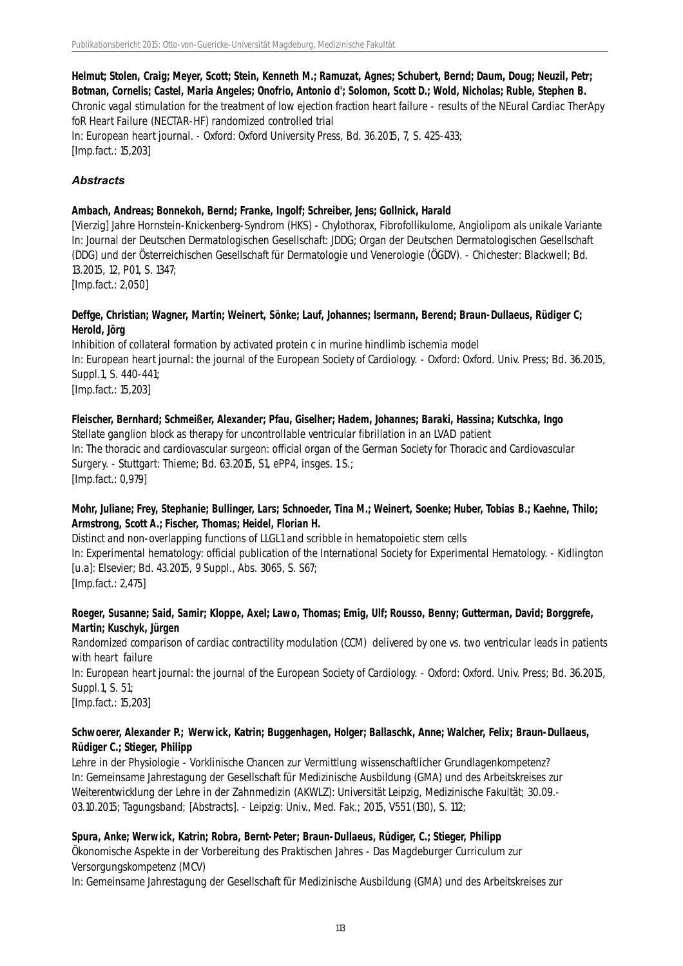**Helmut; Stolen, Craig; Meyer, Scott; Stein, Kenneth M.; Ramuzat, Agnes; Schubert, Bernd; Daum, Doug; Neuzil, Petr; Botman, Cornelis; Castel, Maria Angeles; Onofrio, Antonio d'; Solomon, Scott D.; Wold, Nicholas; Ruble, Stephen B.** Chronic vagal stimulation for the treatment of low ejection fraction heart failure - results of the NEural Cardiac TherApy foR Heart Failure (NECTAR-HF) randomized controlled trial In: European heart journal. - Oxford: Oxford University Press, Bd. 36.2015, 7, S. 425-433; [Imp.fact.: 15,203]

#### *Abstracts*

#### **Ambach, Andreas; Bonnekoh, Bernd; Franke, Ingolf; Schreiber, Jens; Gollnick, Harald**

[Vierzig] Jahre Hornstein-Knickenberg-Syndrom (HKS) - Chylothorax, Fibrofollikulome, Angiolipom als unikale Variante In: Journal der Deutschen Dermatologischen Gesellschaft: JDDG; Organ der Deutschen Dermatologischen Gesellschaft (DDG) und der Österreichischen Gesellschaft für Dermatologie und Venerologie (ÖGDV). - Chichester: Blackwell; Bd. 13.2015, 12, P01, S. 1347;

[Imp.fact.: 2,050]

#### **Deffge, Christian; Wagner, Martin; Weinert, Sönke; Lauf, Johannes; Isermann, Berend; Braun-Dullaeus, Rüdiger C; Herold, Jörg**

Inhibition of collateral formation by activated protein c in murine hindlimb ischemia model In: European heart journal: the journal of the European Society of Cardiology. - Oxford: Oxford. Univ. Press; Bd. 36.2015, Suppl.1, S. 440-441; [Imp.fact.: 15,203]

#### **Fleischer, Bernhard; Schmeißer, Alexander; Pfau, Giselher; Hadem, Johannes; Baraki, Hassina; Kutschka, Ingo**

Stellate ganglion block as therapy for uncontrollable ventricular fibrillation in an LVAD patient In: The thoracic and cardiovascular surgeon: official organ of the German Society for Thoracic and Cardiovascular Surgery. - Stuttgart: Thieme; Bd. 63.2015, S1, ePP4, insges. 1 S.; [Imp.fact.: 0,979]

#### **Mohr, Juliane; Frey, Stephanie; Bullinger, Lars; Schnoeder, Tina M.; Weinert, Soenke; Huber, Tobias B.; Kaehne, Thilo; Armstrong, Scott A.; Fischer, Thomas; Heidel, Florian H.**

Distinct and non-overlapping functions of LLGL1 and scribble in hematopoietic stem cells In: Experimental hematology: official publication of the International Society for Experimental Hematology. - Kidlington [u.a]: Elsevier; Bd. 43.2015, 9 Suppl., Abs. 3065, S. S67; [Imp.fact.: 2,475]

#### **Roeger, Susanne; Said, Samir; Kloppe, Axel; Lawo, Thomas; Emig, Ulf; Rousso, Benny; Gutterman, David; Borggrefe, Martin; Kuschyk, Jürgen**

Randomized comparison of cardiac contractility modulation (CCM) delivered by one vs. two ventricular leads in patients with heart failure

In: European heart journal: the journal of the European Society of Cardiology. - Oxford: Oxford. Univ. Press; Bd. 36.2015, Suppl.1, S. 51;

[Imp.fact.: 15,203]

### **Schwoerer, Alexander P.; Werwick, Katrin; Buggenhagen, Holger; Ballaschk, Anne; Walcher, Felix; Braun-Dullaeus, Rüdiger C.; Stieger, Philipp**

Lehre in der Physiologie - Vorklinische Chancen zur Vermittlung wissenschaftlicher Grundlagenkompetenz? In: Gemeinsame Jahrestagung der Gesellschaft für Medizinische Ausbildung (GMA) und des Arbeitskreises zur Weiterentwicklung der Lehre in der Zahnmedizin (AKWLZ): Universität Leipzig, Medizinische Fakultät; 30.09.- 03.10.2015; Tagungsband; [Abstracts]. - Leipzig: Univ., Med. Fak.; 2015, V551 (130), S. 112;

### **Spura, Anke; Werwick, Katrin; Robra, Bernt-Peter; Braun-Dullaeus, Rüdiger, C.; Stieger, Philipp**

Ökonomische Aspekte in der Vorbereitung des Praktischen Jahres - Das Magdeburger Curriculum zur Versorgungskompetenz (MCV)

In: Gemeinsame Jahrestagung der Gesellschaft für Medizinische Ausbildung (GMA) und des Arbeitskreises zur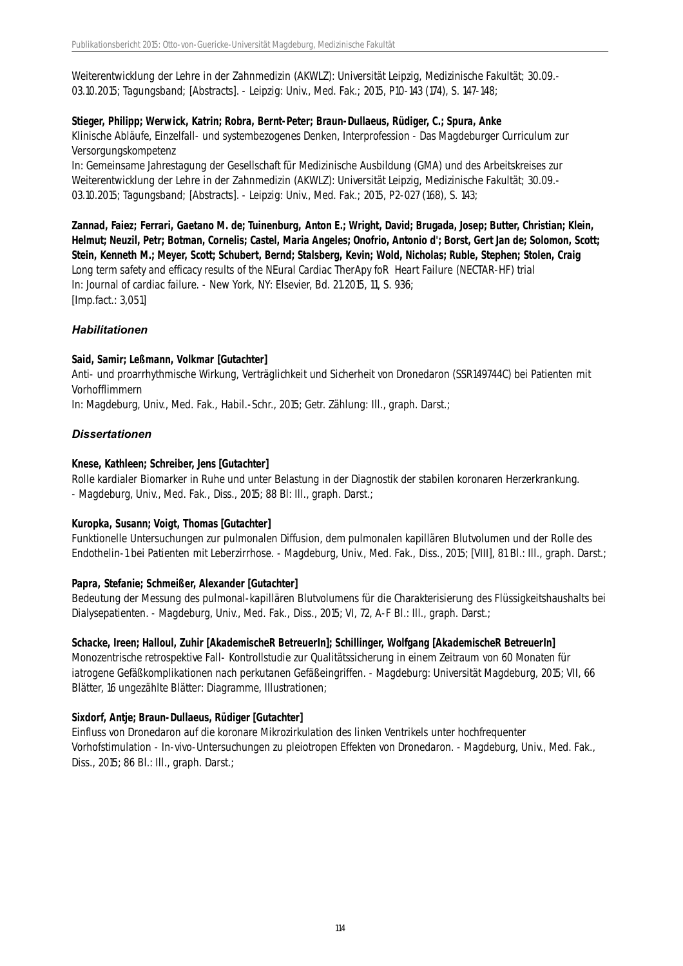Weiterentwicklung der Lehre in der Zahnmedizin (AKWLZ): Universität Leipzig, Medizinische Fakultät; 30.09.- 03.10.2015; Tagungsband; [Abstracts]. - Leipzig: Univ., Med. Fak.; 2015, P10-143 (174), S. 147-148;

### **Stieger, Philipp; Werwick, Katrin; Robra, Bernt-Peter; Braun-Dullaeus, Rüdiger, C.; Spura, Anke**

Klinische Abläufe, Einzelfall- und systembezogenes Denken, Interprofession - Das Magdeburger Curriculum zur Versorgungskompetenz

In: Gemeinsame Jahrestagung der Gesellschaft für Medizinische Ausbildung (GMA) und des Arbeitskreises zur Weiterentwicklung der Lehre in der Zahnmedizin (AKWLZ): Universität Leipzig, Medizinische Fakultät; 30.09.- 03.10.2015; Tagungsband; [Abstracts]. - Leipzig: Univ., Med. Fak.; 2015, P2-027 (168), S. 143;

**Zannad, Faiez; Ferrari, Gaetano M. de; Tuinenburg, Anton E.; Wright, David; Brugada, Josep; Butter, Christian; Klein, Helmut; Neuzil, Petr; Botman, Cornelis; Castel, Maria Angeles; Onofrio, Antonio d'; Borst, Gert Jan de; Solomon, Scott; Stein, Kenneth M.; Meyer, Scott; Schubert, Bernd; Stalsberg, Kevin; Wold, Nicholas; Ruble, Stephen; Stolen, Craig** Long term safety and efficacy results of the NEural Cardiac TherApy foR Heart Failure (NECTAR-HF) trial In: Journal of cardiac failure. - New York, NY: Elsevier, Bd. 21.2015, 11, S. 936; [Imp.fact.: 3,051]

### *Habilitationen*

### **Said, Samir; Leßmann, Volkmar [Gutachter]**

Anti- und proarrhythmische Wirkung, Verträglichkeit und Sicherheit von Dronedaron (SSR149744C) bei Patienten mit Vorhofflimmern

In: Magdeburg, Univ., Med. Fak., Habil.-Schr., 2015; Getr. Zählung: Ill., graph. Darst.;

### *Dissertationen*

### **Knese, Kathleen; Schreiber, Jens [Gutachter]**

Rolle kardialer Biomarker in Ruhe und unter Belastung in der Diagnostik der stabilen koronaren Herzerkrankung. - Magdeburg, Univ., Med. Fak., Diss., 2015; 88 Bl: Ill., graph. Darst.;

### **Kuropka, Susann; Voigt, Thomas [Gutachter]**

Funktionelle Untersuchungen zur pulmonalen Diffusion, dem pulmonalen kapillären Blutvolumen und der Rolle des Endothelin-1 bei Patienten mit Leberzirrhose. - Magdeburg, Univ., Med. Fak., Diss., 2015; [VIII], 81 Bl.: Ill., graph. Darst.;

### **Papra, Stefanie; Schmeißer, Alexander [Gutachter]**

Bedeutung der Messung des pulmonal-kapillären Blutvolumens für die Charakterisierung des Flüssigkeitshaushalts bei Dialysepatienten. - Magdeburg, Univ., Med. Fak., Diss., 2015; VI, 72, A-F Bl.: Ill., graph. Darst.;

### **Schacke, Ireen; Halloul, Zuhir [AkademischeR BetreuerIn]; Schillinger, Wolfgang [AkademischeR BetreuerIn]**

Monozentrische retrospektive Fall- Kontrollstudie zur Qualitätssicherung in einem Zeitraum von 60 Monaten für iatrogene Gefäßkomplikationen nach perkutanen Gefäßeingriffen. - Magdeburg: Universität Magdeburg, 2015; VII, 66 Blätter, 16 ungezählte Blätter: Diagramme, Illustrationen;

### **Sixdorf, Antje; Braun-Dullaeus, Rüdiger [Gutachter]**

Einfluss von Dronedaron auf die koronare Mikrozirkulation des linken Ventrikels unter hochfrequenter Vorhofstimulation - In-vivo-Untersuchungen zu pleiotropen Effekten von Dronedaron. - Magdeburg, Univ., Med. Fak., Diss., 2015; 86 Bl.: Ill., graph. Darst.;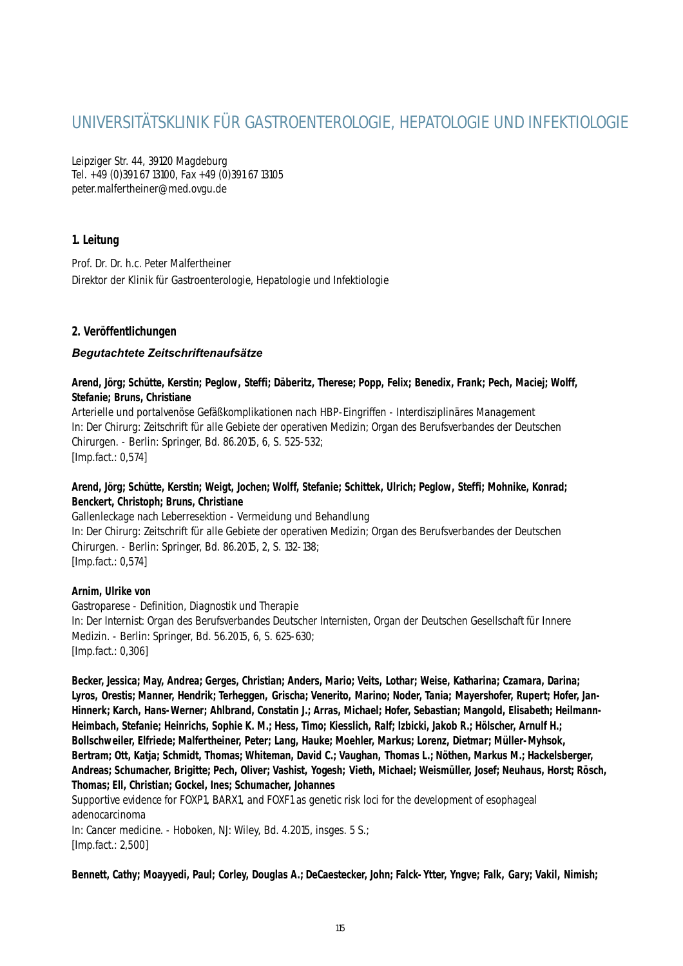# UNIVERSITÄTSKLINIK FÜR GASTROENTEROLOGIE, HEPATOLOGIE UND INFEKTIOLOGIE

Leipziger Str. 44, 39120 Magdeburg Tel. +49 (0)391 67 13100, Fax +49 (0)391 67 13105 peter.malfertheiner@med.ovgu.de

### **1. Leitung**

Prof. Dr. Dr. h.c. Peter Malfertheiner Direktor der Klinik für Gastroenterologie, Hepatologie und Infektiologie

### **2. Veröffentlichungen**

### *Begutachtete Zeitschriftenaufsätze*

**Arend, Jörg; Schütte, Kerstin; Peglow, Steffi; Däberitz, Therese; Popp, Felix; Benedix, Frank; Pech, Maciej; Wolff, Stefanie; Bruns, Christiane**

Arterielle und portalvenöse Gefäßkomplikationen nach HBP-Eingriffen - Interdisziplinäres Management In: Der Chirurg: Zeitschrift für alle Gebiete der operativen Medizin; Organ des Berufsverbandes der Deutschen Chirurgen. - Berlin: Springer, Bd. 86.2015, 6, S. 525-532; [Imp.fact.: 0,574]

### **Arend, Jörg; Schütte, Kerstin; Weigt, Jochen; Wolff, Stefanie; Schittek, Ulrich; Peglow, Steffi; Mohnike, Konrad; Benckert, Christoph; Bruns, Christiane**

Gallenleckage nach Leberresektion - Vermeidung und Behandlung In: Der Chirurg: Zeitschrift für alle Gebiete der operativen Medizin; Organ des Berufsverbandes der Deutschen Chirurgen. - Berlin: Springer, Bd. 86.2015, 2, S. 132-138; [Imp.fact.: 0,574]

### **Arnim, Ulrike von**

Gastroparese - Definition, Diagnostik und Therapie In: Der Internist: Organ des Berufsverbandes Deutscher Internisten, Organ der Deutschen Gesellschaft für Innere Medizin. - Berlin: Springer, Bd. 56.2015, 6, S. 625-630; [Imp.fact.: 0,306]

**Becker, Jessica; May, Andrea; Gerges, Christian; Anders, Mario; Veits, Lothar; Weise, Katharina; Czamara, Darina; Lyros, Orestis; Manner, Hendrik; Terheggen, Grischa; Venerito, Marino; Noder, Tania; Mayershofer, Rupert; Hofer, Jan-Hinnerk; Karch, Hans-Werner; Ahlbrand, Constatin J.; Arras, Michael; Hofer, Sebastian; Mangold, Elisabeth; Heilmann-Heimbach, Stefanie; Heinrichs, Sophie K. M.; Hess, Timo; Kiesslich, Ralf; Izbicki, Jakob R.; Hölscher, Arnulf H.; Bollschweiler, Elfriede; Malfertheiner, Peter; Lang, Hauke; Moehler, Markus; Lorenz, Dietmar; Müller-Myhsok, Bertram; Ott, Katja; Schmidt, Thomas; Whiteman, David C.; Vaughan, Thomas L.; Nöthen, Markus M.; Hackelsberger, Andreas; Schumacher, Brigitte; Pech, Oliver; Vashist, Yogesh; Vieth, Michael; Weismüller, Josef; Neuhaus, Horst; Rösch, Thomas; Ell, Christian; Gockel, Ines; Schumacher, Johannes**

Supportive evidence for FOXP1, BARX1, and FOXF1 as genetic risk loci for the development of esophageal adenocarcinoma

In: Cancer medicine. - Hoboken, NJ: Wiley, Bd. 4.2015, insges. 5 S.; [Imp.fact.: 2,500]

**Bennett, Cathy; Moayyedi, Paul; Corley, Douglas A.; DeCaestecker, John; Falck-Ytter, Yngve; Falk, Gary; Vakil, Nimish;**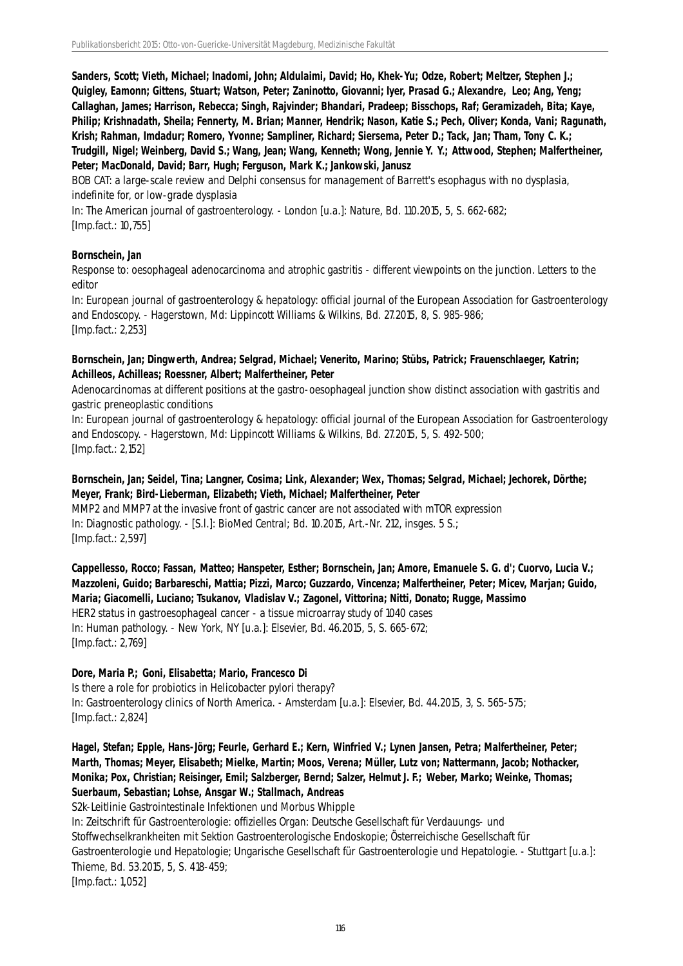**Sanders, Scott; Vieth, Michael; Inadomi, John; Aldulaimi, David; Ho, Khek-Yu; Odze, Robert; Meltzer, Stephen J.; Quigley, Eamonn; Gittens, Stuart; Watson, Peter; Zaninotto, Giovanni; Iyer, Prasad G.; Alexandre, Leo; Ang, Yeng; Callaghan, James; Harrison, Rebecca; Singh, Rajvinder; Bhandari, Pradeep; Bisschops, Raf; Geramizadeh, Bita; Kaye, Philip; Krishnadath, Sheila; Fennerty, M. Brian; Manner, Hendrik; Nason, Katie S.; Pech, Oliver; Konda, Vani; Ragunath, Krish; Rahman, Imdadur; Romero, Yvonne; Sampliner, Richard; Siersema, Peter D.; Tack, Jan; Tham, Tony C. K.; Trudgill, Nigel; Weinberg, David S.; Wang, Jean; Wang, Kenneth; Wong, Jennie Y. Y.; Attwood, Stephen; Malfertheiner, Peter; MacDonald, David; Barr, Hugh; Ferguson, Mark K.; Jankowski, Janusz**

BOB CAT: a large-scale review and Delphi consensus for management of Barrett's esophagus with no dysplasia, indefinite for, or low-grade dysplasia

In: The American journal of gastroenterology. - London [u.a.]: Nature, Bd. 110.2015, 5, S. 662-682; [Imp.fact.: 10,755]

### **Bornschein, Jan**

Response to: oesophageal adenocarcinoma and atrophic gastritis - different viewpoints on the junction. Letters to the editor

In: European journal of gastroenterology & hepatology: official journal of the European Association for Gastroenterology and Endoscopy. - Hagerstown, Md: Lippincott Williams & Wilkins, Bd. 27.2015, 8, S. 985-986; [Imp.fact.: 2,253]

#### **Bornschein, Jan; Dingwerth, Andrea; Selgrad, Michael; Venerito, Marino; Stübs, Patrick; Frauenschlaeger, Katrin; Achilleos, Achilleas; Roessner, Albert; Malfertheiner, Peter**

Adenocarcinomas at different positions at the gastro-oesophageal junction show distinct association with gastritis and gastric preneoplastic conditions

In: European journal of gastroenterology & hepatology: official journal of the European Association for Gastroenterology and Endoscopy. - Hagerstown, Md: Lippincott Williams & Wilkins, Bd. 27.2015, 5, S. 492-500; [Imp.fact.: 2,152]

### **Bornschein, Jan; Seidel, Tina; Langner, Cosima; Link, Alexander; Wex, Thomas; Selgrad, Michael; Jechorek, Dörthe; Meyer, Frank; Bird-Lieberman, Elizabeth; Vieth, Michael; Malfertheiner, Peter**

MMP2 and MMP7 at the invasive front of gastric cancer are not associated with mTOR expression In: Diagnostic pathology. - [S.l.]: BioMed Central; Bd. 10.2015, Art.-Nr. 212, insges. 5 S.; [Imp.fact.: 2,597]

**Cappellesso, Rocco; Fassan, Matteo; Hanspeter, Esther; Bornschein, Jan; Amore, Emanuele S. G. d'; Cuorvo, Lucia V.; Mazzoleni, Guido; Barbareschi, Mattia; Pizzi, Marco; Guzzardo, Vincenza; Malfertheiner, Peter; Micev, Marjan; Guido, Maria; Giacomelli, Luciano; Tsukanov, Vladislav V.; Zagonel, Vittorina; Nitti, Donato; Rugge, Massimo** HER2 status in gastroesophageal cancer - a tissue microarray study of 1040 cases In: Human pathology. - New York, NY [u.a.]: Elsevier, Bd. 46.2015, 5, S. 665-672; [Imp.fact.: 2,769]

### **Dore, Maria P.; Goni, Elisabetta; Mario, Francesco Di**

Is there a role for probiotics in Helicobacter pylori therapy? In: Gastroenterology clinics of North America. - Amsterdam [u.a.]: Elsevier, Bd. 44.2015, 3, S. 565-575; [Imp.fact.: 2,824]

**Hagel, Stefan; Epple, Hans-Jörg; Feurle, Gerhard E.; Kern, Winfried V.; Lynen Jansen, Petra; Malfertheiner, Peter; Marth, Thomas; Meyer, Elisabeth; Mielke, Martin; Moos, Verena; Müller, Lutz von; Nattermann, Jacob; Nothacker, Monika; Pox, Christian; Reisinger, Emil; Salzberger, Bernd; Salzer, Helmut J. F.; Weber, Marko; Weinke, Thomas; Suerbaum, Sebastian; Lohse, Ansgar W.; Stallmach, Andreas**

S2k-Leitlinie Gastrointestinale Infektionen und Morbus Whipple

In: Zeitschrift für Gastroenterologie: offizielles Organ: Deutsche Gesellschaft für Verdauungs- und Stoffwechselkrankheiten mit Sektion Gastroenterologische Endoskopie; Österreichische Gesellschaft für Gastroenterologie und Hepatologie; Ungarische Gesellschaft für Gastroenterologie und Hepatologie. - Stuttgart [u.a.]: Thieme, Bd. 53.2015, 5, S. 418-459; [Imp.fact.: 1,052]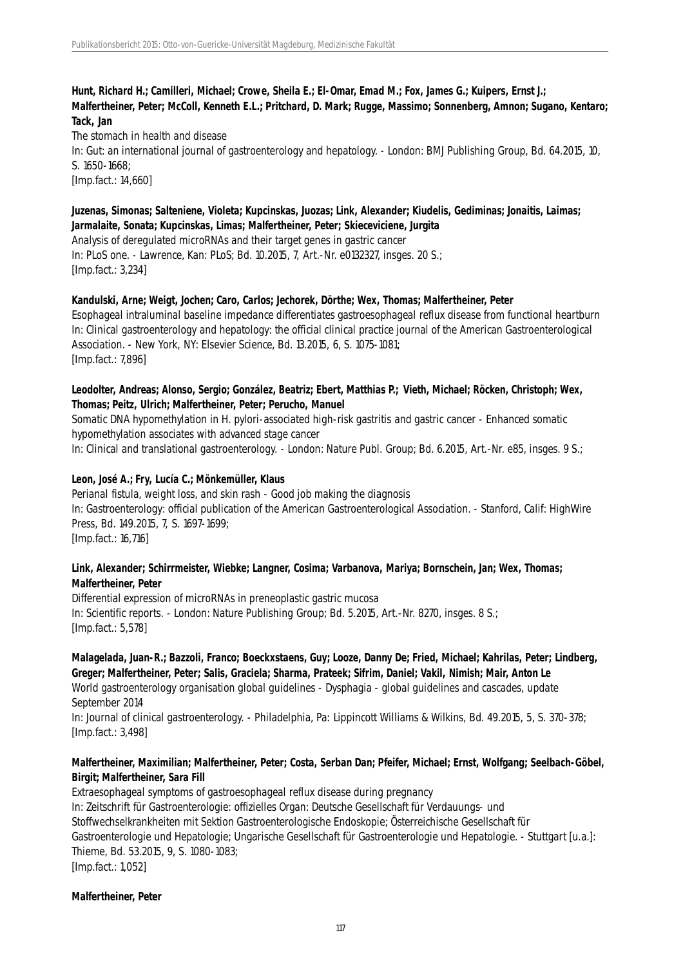**Hunt, Richard H.; Camilleri, Michael; Crowe, Sheila E.; El-Omar, Emad M.; Fox, James G.; Kuipers, Ernst J.; Malfertheiner, Peter; McColl, Kenneth E.L.; Pritchard, D. Mark; Rugge, Massimo; Sonnenberg, Amnon; Sugano, Kentaro; Tack, Jan**

The stomach in health and disease In: Gut: an international journal of gastroenterology and hepatology. - London: BMJ Publishing Group, Bd. 64.2015, 10, S. 1650-1668; [Imp.fact.: 14,660]

#### **Juzenas, Simonas; Salteniene, Violeta; Kupcinskas, Juozas; Link, Alexander; Kiudelis, Gediminas; Jonaitis, Laimas; Jarmalaite, Sonata; Kupcinskas, Limas; Malfertheiner, Peter; Skieceviciene, Jurgita**

Analysis of deregulated microRNAs and their target genes in gastric cancer In: PLoS one. - Lawrence, Kan: PLoS; Bd. 10.2015, 7, Art.-Nr. e0132327, insges. 20 S.; [Imp.fact.: 3,234]

#### **Kandulski, Arne; Weigt, Jochen; Caro, Carlos; Jechorek, Dörthe; Wex, Thomas; Malfertheiner, Peter**

Esophageal intraluminal baseline impedance differentiates gastroesophageal reflux disease from functional heartburn In: Clinical gastroenterology and hepatology: the official clinical practice journal of the American Gastroenterological Association. - New York, NY: Elsevier Science, Bd. 13.2015, 6, S. 1075-1081; [Imp.fact.: 7,896]

### **Leodolter, Andreas; Alonso, Sergio; González, Beatriz; Ebert, Matthias P.; Vieth, Michael; Röcken, Christoph; Wex, Thomas; Peitz, Ulrich; Malfertheiner, Peter; Perucho, Manuel**

Somatic DNA hypomethylation in H. pylori-associated high-risk gastritis and gastric cancer - Enhanced somatic hypomethylation associates with advanced stage cancer

In: Clinical and translational gastroenterology. - London: Nature Publ. Group; Bd. 6.2015, Art.-Nr. e85, insges. 9 S.;

#### **Leon, José A.; Fry, Lucía C.; Mönkemüller, Klaus**

Perianal fistula, weight loss, and skin rash - Good job making the diagnosis In: Gastroenterology: official publication of the American Gastroenterological Association. - Stanford, Calif: HighWire Press, Bd. 149.2015, 7, S. 1697-1699; [Imp.fact.: 16,716]

#### **Link, Alexander; Schirrmeister, Wiebke; Langner, Cosima; Varbanova, Mariya; Bornschein, Jan; Wex, Thomas; Malfertheiner, Peter**

Differential expression of microRNAs in preneoplastic gastric mucosa In: Scientific reports. - London: Nature Publishing Group; Bd. 5.2015, Art.-Nr. 8270, insges. 8 S.; [Imp.fact.: 5,578]

### **Malagelada, Juan-R.; Bazzoli, Franco; Boeckxstaens, Guy; Looze, Danny De; Fried, Michael; Kahrilas, Peter; Lindberg, Greger; Malfertheiner, Peter; Salis, Graciela; Sharma, Prateek; Sifrim, Daniel; Vakil, Nimish; Mair, Anton Le**

World gastroenterology organisation global guidelines - Dysphagia - global guidelines and cascades, update September 2014

In: Journal of clinical gastroenterology. - Philadelphia, Pa: Lippincott Williams & Wilkins, Bd. 49.2015, 5, S. 370-378; [Imp.fact.: 3,498]

#### **Malfertheiner, Maximilian; Malfertheiner, Peter; Costa, Serban Dan; Pfeifer, Michael; Ernst, Wolfgang; Seelbach-Göbel, Birgit; Malfertheiner, Sara Fill**

Extraesophageal symptoms of gastroesophageal reflux disease during pregnancy In: Zeitschrift für Gastroenterologie: offizielles Organ: Deutsche Gesellschaft für Verdauungs- und Stoffwechselkrankheiten mit Sektion Gastroenterologische Endoskopie; Österreichische Gesellschaft für Gastroenterologie und Hepatologie; Ungarische Gesellschaft für Gastroenterologie und Hepatologie. - Stuttgart [u.a.]: Thieme, Bd. 53.2015, 9, S. 1080-1083; [Imp.fact.: 1,052]

#### **Malfertheiner, Peter**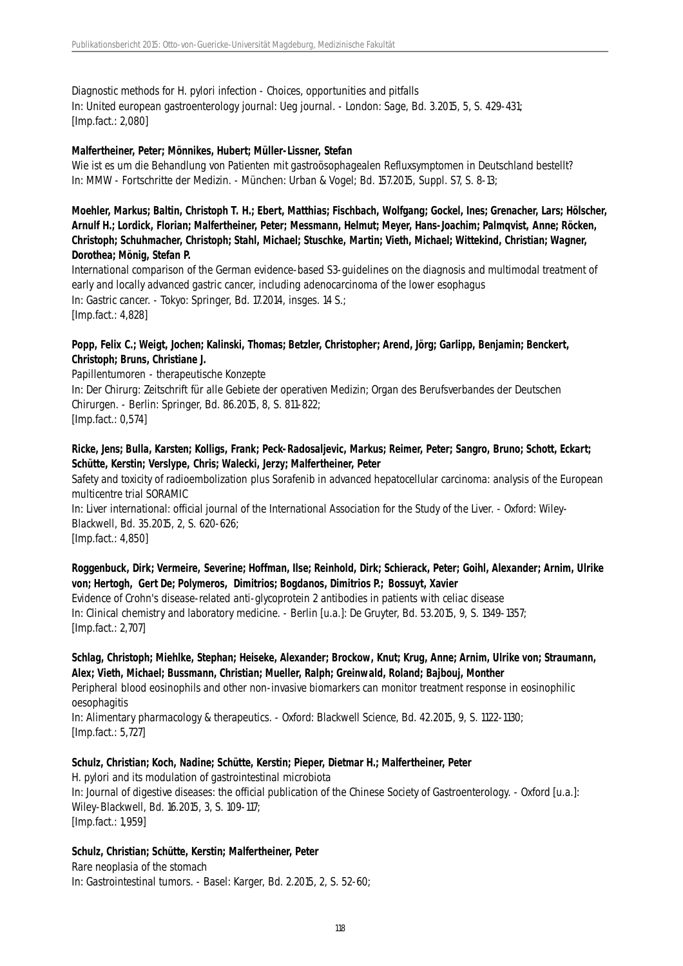Diagnostic methods for H. pylori infection - Choices, opportunities and pitfalls In: United european gastroenterology journal: Ueg journal. - London: Sage, Bd. 3.2015, 5, S. 429-431; [Imp.fact.: 2,080]

#### **Malfertheiner, Peter; Mönnikes, Hubert; Müller-Lissner, Stefan**

Wie ist es um die Behandlung von Patienten mit gastroösophagealen Refluxsymptomen in Deutschland bestellt? In: MMW - Fortschritte der Medizin. - München: Urban & Vogel; Bd. 157.2015, Suppl. S7, S. 8-13;

### **Moehler, Markus; Baltin, Christoph T. H.; Ebert, Matthias; Fischbach, Wolfgang; Gockel, Ines; Grenacher, Lars; Hölscher, Arnulf H.; Lordick, Florian; Malfertheiner, Peter; Messmann, Helmut; Meyer, Hans-Joachim; Palmqvist, Anne; Röcken, Christoph; Schuhmacher, Christoph; Stahl, Michael; Stuschke, Martin; Vieth, Michael; Wittekind, Christian; Wagner, Dorothea; Mönig, Stefan P.**

International comparison of the German evidence-based S3-guidelines on the diagnosis and multimodal treatment of early and locally advanced gastric cancer, including adenocarcinoma of the lower esophagus In: Gastric cancer. - Tokyo: Springer, Bd. 17.2014, insges. 14 S.; [Imp.fact.: 4,828]

#### **Popp, Felix C.; Weigt, Jochen; Kalinski, Thomas; Betzler, Christopher; Arend, Jörg; Garlipp, Benjamin; Benckert, Christoph; Bruns, Christiane J.**

Papillentumoren - therapeutische Konzepte In: Der Chirurg: Zeitschrift für alle Gebiete der operativen Medizin; Organ des Berufsverbandes der Deutschen Chirurgen. - Berlin: Springer, Bd. 86.2015, 8, S. 811-822; [Imp.fact.: 0,574]

### **Ricke, Jens; Bulla, Karsten; Kolligs, Frank; Peck-Radosaljevic, Markus; Reimer, Peter; Sangro, Bruno; Schott, Eckart; Schütte, Kerstin; Verslype, Chris; Walecki, Jerzy; Malfertheiner, Peter**

Safety and toxicity of radioembolization plus Sorafenib in advanced hepatocellular carcinoma: analysis of the European multicentre trial SORAMIC

In: Liver international: official journal of the International Association for the Study of the Liver. - Oxford: Wiley-Blackwell, Bd. 35.2015, 2, S. 620-626; [Imp.fact.: 4,850]

### **Roggenbuck, Dirk; Vermeire, Severine; Hoffman, Ilse; Reinhold, Dirk; Schierack, Peter; Goihl, Alexander; Arnim, Ulrike von; Hertogh, Gert De; Polymeros, Dimitrios; Bogdanos, Dimitrios P.; Bossuyt, Xavier**

Evidence of Crohn's disease-related anti-glycoprotein 2 antibodies in patients with celiac disease In: Clinical chemistry and laboratory medicine. - Berlin [u.a.]: De Gruyter, Bd. 53.2015, 9, S. 1349-1357; [Imp.fact.: 2,707]

### **Schlag, Christoph; Miehlke, Stephan; Heiseke, Alexander; Brockow, Knut; Krug, Anne; Arnim, Ulrike von; Straumann, Alex; Vieth, Michael; Bussmann, Christian; Mueller, Ralph; Greinwald, Roland; Bajbouj, Monther**

Peripheral blood eosinophils and other non-invasive biomarkers can monitor treatment response in eosinophilic oesophagitis

In: Alimentary pharmacology & therapeutics. - Oxford: Blackwell Science, Bd. 42.2015, 9, S. 1122-1130; [Imp.fact.: 5,727]

#### **Schulz, Christian; Koch, Nadine; Schütte, Kerstin; Pieper, Dietmar H.; Malfertheiner, Peter** H. pylori and its modulation of gastrointestinal microbiota

In: Journal of digestive diseases: the official publication of the Chinese Society of Gastroenterology. - Oxford [u.a.]: Wiley-Blackwell, Bd. 16.2015, 3, S. 109-117; [Imp.fact.: 1,959]

### **Schulz, Christian; Schütte, Kerstin; Malfertheiner, Peter**

Rare neoplasia of the stomach In: Gastrointestinal tumors. - Basel: Karger, Bd. 2.2015, 2, S. 52-60;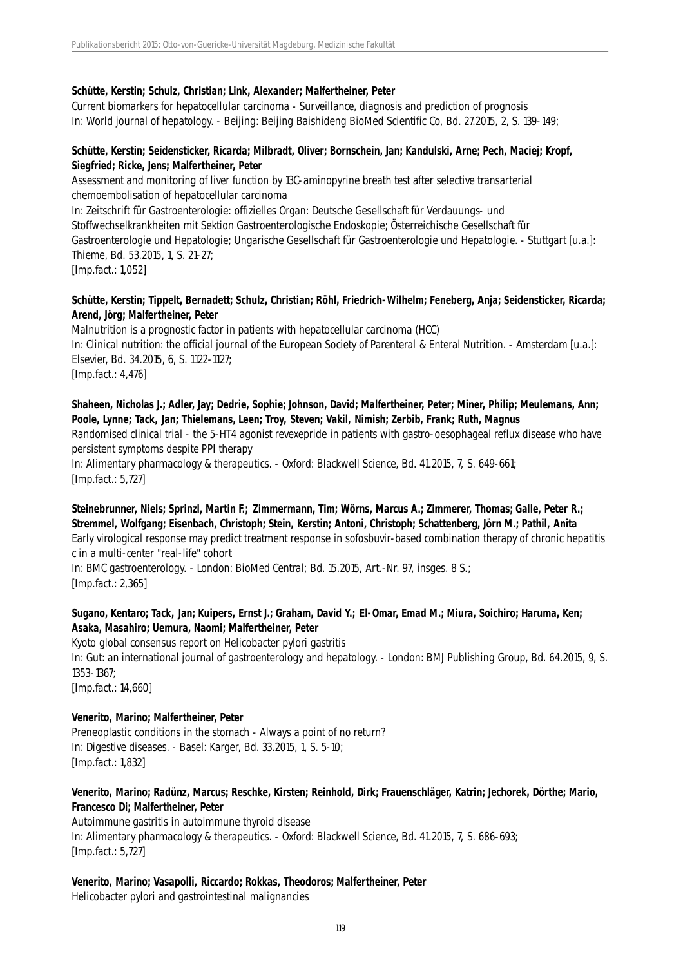### **Schütte, Kerstin; Schulz, Christian; Link, Alexander; Malfertheiner, Peter**

Current biomarkers for hepatocellular carcinoma - Surveillance, diagnosis and prediction of prognosis In: World journal of hepatology. - Beijing: Beijing Baishideng BioMed Scientific Co, Bd. 27.2015, 2, S. 139-149;

#### **Schütte, Kerstin; Seidensticker, Ricarda; Milbradt, Oliver; Bornschein, Jan; Kandulski, Arne; Pech, Maciej; Kropf, Siegfried; Ricke, Jens; Malfertheiner, Peter**

Assessment and monitoring of liver function by 13C-aminopyrine breath test after selective transarterial chemoembolisation of hepatocellular carcinoma In: Zeitschrift für Gastroenterologie: offizielles Organ: Deutsche Gesellschaft für Verdauungs- und Stoffwechselkrankheiten mit Sektion Gastroenterologische Endoskopie; Österreichische Gesellschaft für Gastroenterologie und Hepatologie; Ungarische Gesellschaft für Gastroenterologie und Hepatologie. - Stuttgart [u.a.]: Thieme, Bd. 53.2015, 1, S. 21-27; [Imp.fact.: 1,052]

### **Schütte, Kerstin; Tippelt, Bernadett; Schulz, Christian; Röhl, Friedrich-Wilhelm; Feneberg, Anja; Seidensticker, Ricarda; Arend, Jörg; Malfertheiner, Peter**

Malnutrition is a prognostic factor in patients with hepatocellular carcinoma (HCC) In: Clinical nutrition: the official journal of the European Society of Parenteral & Enteral Nutrition. - Amsterdam [u.a.]: Elsevier, Bd. 34.2015, 6, S. 1122-1127; [Imp.fact.: 4,476]

**Shaheen, Nicholas J.; Adler, Jay; Dedrie, Sophie; Johnson, David; Malfertheiner, Peter; Miner, Philip; Meulemans, Ann; Poole, Lynne; Tack, Jan; Thielemans, Leen; Troy, Steven; Vakil, Nimish; Zerbib, Frank; Ruth, Magnus** Randomised clinical trial - the 5-HT4 agonist revexepride in patients with gastro-oesophageal reflux disease who have persistent symptoms despite PPI therapy In: Alimentary pharmacology & therapeutics. - Oxford: Blackwell Science, Bd. 41.2015, 7, S. 649-661; [Imp.fact.: 5,727]

### **Steinebrunner, Niels; Sprinzl, Martin F.; Zimmermann, Tim; Wörns, Marcus A.; Zimmerer, Thomas; Galle, Peter R.; Stremmel, Wolfgang; Eisenbach, Christoph; Stein, Kerstin; Antoni, Christoph; Schattenberg, Jörn M.; Pathil, Anita**

Early virological response may predict treatment response in sofosbuvir-based combination therapy of chronic hepatitis c in a multi-center "real-life" cohort

In: BMC gastroenterology. - London: BioMed Central; Bd. 15.2015, Art.-Nr. 97, insges. 8 S.; [Imp.fact.: 2,365]

### **Sugano, Kentaro; Tack, Jan; Kuipers, Ernst J.; Graham, David Y.; El-Omar, Emad M.; Miura, Soichiro; Haruma, Ken; Asaka, Masahiro; Uemura, Naomi; Malfertheiner, Peter**

Kyoto global consensus report on Helicobacter pylori gastritis In: Gut: an international journal of gastroenterology and hepatology. - London: BMJ Publishing Group, Bd. 64.2015, 9, S. 1353-1367; [Imp.fact.: 14,660]

### **Venerito, Marino; Malfertheiner, Peter**

Preneoplastic conditions in the stomach - Always a point of no return? In: Digestive diseases. - Basel: Karger, Bd. 33.2015, 1, S. 5-10; [Imp.fact.: 1,832]

### **Venerito, Marino; Radünz, Marcus; Reschke, Kirsten; Reinhold, Dirk; Frauenschläger, Katrin; Jechorek, Dörthe; Mario, Francesco Di; Malfertheiner, Peter**

Autoimmune gastritis in autoimmune thyroid disease In: Alimentary pharmacology & therapeutics. - Oxford: Blackwell Science, Bd. 41.2015, 7, S. 686-693; [Imp.fact.: 5,727]

### **Venerito, Marino; Vasapolli, Riccardo; Rokkas, Theodoros; Malfertheiner, Peter**

Helicobacter pylori and gastrointestinal malignancies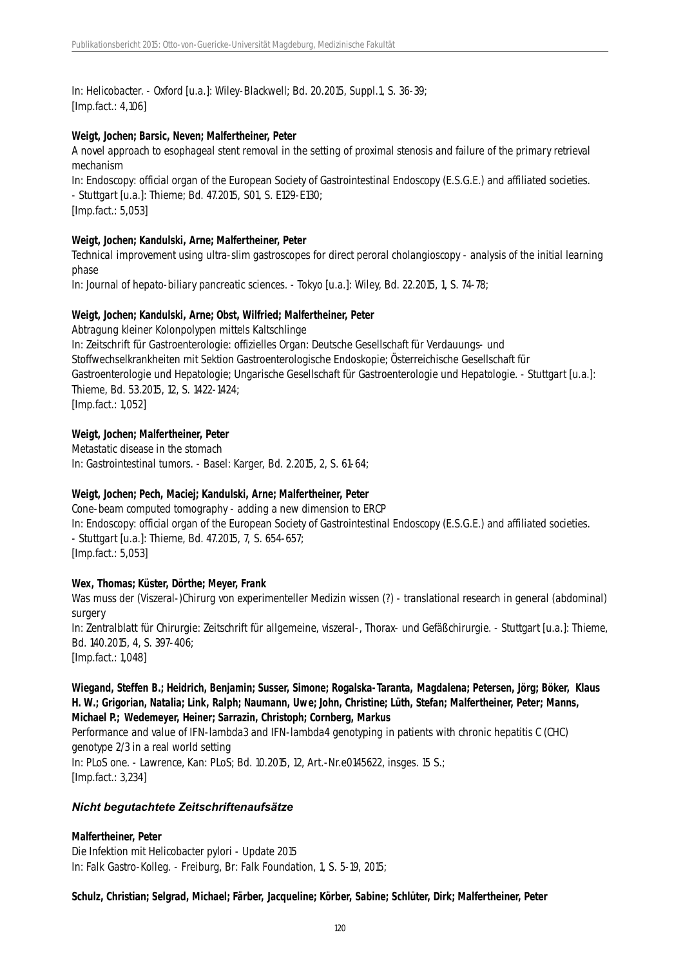In: Helicobacter. - Oxford [u.a.]: Wiley-Blackwell; Bd. 20.2015, Suppl.1, S. 36-39; [Imp.fact.: 4,106]

#### **Weigt, Jochen; Barsic, Neven; Malfertheiner, Peter**

A novel approach to esophageal stent removal in the setting of proximal stenosis and failure of the primary retrieval mechanism

In: Endoscopy: official organ of the European Society of Gastrointestinal Endoscopy (E.S.G.E.) and affiliated societies. - Stuttgart [u.a.]: Thieme; Bd. 47.2015, S01, S. E129-E130; [Imp.fact.: 5,053]

#### **Weigt, Jochen; Kandulski, Arne; Malfertheiner, Peter**

Technical improvement using ultra-slim gastroscopes for direct peroral cholangioscopy - analysis of the initial learning phase

In: Journal of hepato-biliary pancreatic sciences. - Tokyo [u.a.]: Wiley, Bd. 22.2015, 1, S. 74-78;

#### **Weigt, Jochen; Kandulski, Arne; Obst, Wilfried; Malfertheiner, Peter**

Abtragung kleiner Kolonpolypen mittels Kaltschlinge In: Zeitschrift für Gastroenterologie: offizielles Organ: Deutsche Gesellschaft für Verdauungs- und Stoffwechselkrankheiten mit Sektion Gastroenterologische Endoskopie; Österreichische Gesellschaft für Gastroenterologie und Hepatologie; Ungarische Gesellschaft für Gastroenterologie und Hepatologie. - Stuttgart [u.a.]: Thieme, Bd. 53.2015, 12, S. 1422-1424; [Imp.fact.: 1,052]

#### **Weigt, Jochen; Malfertheiner, Peter**

Metastatic disease in the stomach In: Gastrointestinal tumors. - Basel: Karger, Bd. 2.2015, 2, S. 61-64;

#### **Weigt, Jochen; Pech, Maciej; Kandulski, Arne; Malfertheiner, Peter**

Cone-beam computed tomography - adding a new dimension to ERCP In: Endoscopy: official organ of the European Society of Gastrointestinal Endoscopy (E.S.G.E.) and affiliated societies. - Stuttgart [u.a.]: Thieme, Bd. 47.2015, 7, S. 654-657; [Imp.fact.: 5,053]

#### **Wex, Thomas; Küster, Dörthe; Meyer, Frank**

Was muss der (Viszeral-)Chirurg von experimenteller Medizin wissen (?) - translational research in general (abdominal) surgery In: Zentralblatt für Chirurgie: Zeitschrift für allgemeine, viszeral-, Thorax- und Gefäßchirurgie. - Stuttgart [u.a.]: Thieme, Bd. 140.2015, 4, S. 397-406; [Imp.fact.: 1,048]

#### **Wiegand, Steffen B.; Heidrich, Benjamin; Susser, Simone; Rogalska-Taranta, Magdalena; Petersen, Jörg; Böker, Klaus H. W.; Grigorian, Natalia; Link, Ralph; Naumann, Uwe; John, Christine; Lüth, Stefan; Malfertheiner, Peter; Manns, Michael P.; Wedemeyer, Heiner; Sarrazin, Christoph; Cornberg, Markus**

Performance and value of IFN-lambda3 and IFN-lambda4 genotyping in patients with chronic hepatitis C (CHC) genotype 2/3 in a real world setting In: PLoS one. - Lawrence, Kan: PLoS; Bd. 10.2015, 12, Art.-Nr.e0145622, insges. 15 S.; [Imp.fact.: 3,234]

#### *Nicht begutachtete Zeitschriftenaufsätze*

#### **Malfertheiner, Peter**

Die Infektion mit Helicobacter pylori - Update 2015 In: Falk Gastro-Kolleg. - Freiburg, Br: Falk Foundation, 1, S. 5-19, 2015;

**Schulz, Christian; Selgrad, Michael; Färber, Jacqueline; Körber, Sabine; Schlüter, Dirk; Malfertheiner, Peter**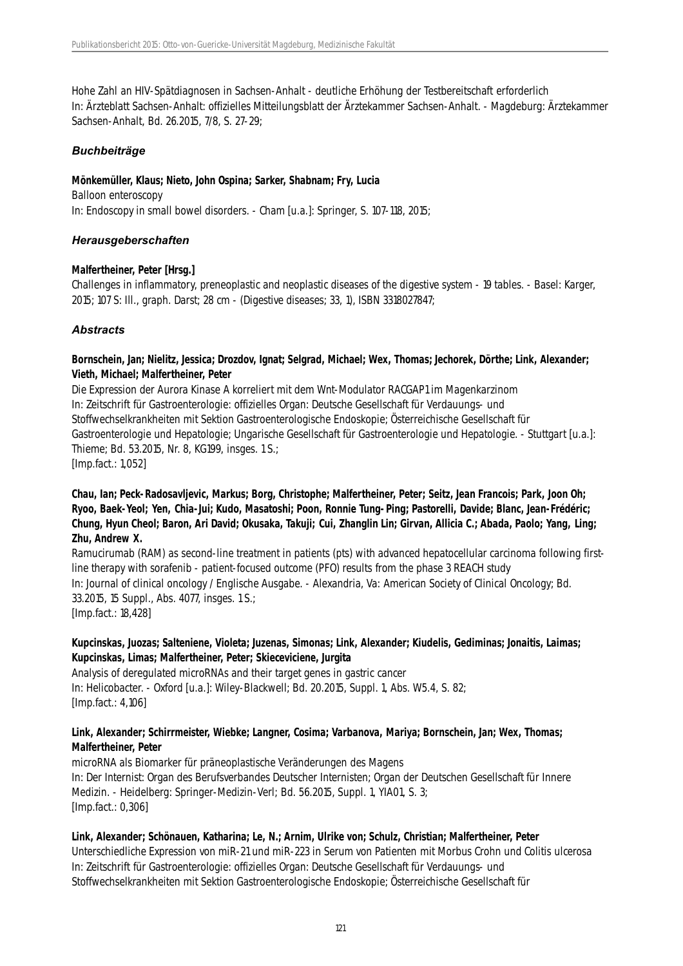Hohe Zahl an HIV-Spätdiagnosen in Sachsen-Anhalt - deutliche Erhöhung der Testbereitschaft erforderlich In: Ärzteblatt Sachsen-Anhalt: offizielles Mitteilungsblatt der Ärztekammer Sachsen-Anhalt. - Magdeburg: Ärztekammer Sachsen-Anhalt, Bd. 26.2015, 7/8, S. 27-29;

### *Buchbeiträge*

#### **Mönkemüller, Klaus; Nieto, John Ospina; Sarker, Shabnam; Fry, Lucia**

Balloon enteroscopy In: Endoscopy in small bowel disorders. - Cham [u.a.]: Springer, S. 107-118, 2015;

### *Herausgeberschaften*

#### **Malfertheiner, Peter [Hrsg.]**

Challenges in inflammatory, preneoplastic and neoplastic diseases of the digestive system - 19 tables. - Basel: Karger, 2015; 107 S: Ill., graph. Darst; 28 cm - (Digestive diseases; 33, 1), ISBN 3318027847;

### *Abstracts*

#### **Bornschein, Jan; Nielitz, Jessica; Drozdov, Ignat; Selgrad, Michael; Wex, Thomas; Jechorek, Dörthe; Link, Alexander; Vieth, Michael; Malfertheiner, Peter**

Die Expression der Aurora Kinase A korreliert mit dem Wnt-Modulator RACGAP1 im Magenkarzinom In: Zeitschrift für Gastroenterologie: offizielles Organ: Deutsche Gesellschaft für Verdauungs- und Stoffwechselkrankheiten mit Sektion Gastroenterologische Endoskopie; Österreichische Gesellschaft für Gastroenterologie und Hepatologie: Ungarische Gesellschaft für Gastroenterologie und Hepatologie. - Stuttgart [u.a.]: Thieme; Bd. 53.2015, Nr. 8, KG199, insges. 1 S.; [Imp.fact.: 1,052]

### **Chau, Ian; Peck-Radosavljevic, Markus; Borg, Christophe; Malfertheiner, Peter; Seitz, Jean Francois; Park, Joon Oh; Ryoo, Baek-Yeol; Yen, Chia-Jui; Kudo, Masatoshi; Poon, Ronnie Tung-Ping; Pastorelli, Davide; Blanc, Jean-Frédéric; Chung, Hyun Cheol; Baron, Ari David; Okusaka, Takuji; Cui, Zhanglin Lin; Girvan, Allicia C.; Abada, Paolo; Yang, Ling; Zhu, Andrew X.**

Ramucirumab (RAM) as second-line treatment in patients (pts) with advanced hepatocellular carcinoma following firstline therapy with sorafenib - patient-focused outcome (PFO) results from the phase 3 REACH study In: Journal of clinical oncology / Englische Ausgabe. - Alexandria, Va: American Society of Clinical Oncology; Bd. 33.2015, 15 Suppl., Abs. 4077, insges. 1 S.; [Imp.fact.: 18,428]

### **Kupcinskas, Juozas; Salteniene, Violeta; Juzenas, Simonas; Link, Alexander; Kiudelis, Gediminas; Jonaitis, Laimas; Kupcinskas, Limas; Malfertheiner, Peter; Skieceviciene, Jurgita**

Analysis of deregulated microRNAs and their target genes in gastric cancer In: Helicobacter. - Oxford [u.a.]: Wiley-Blackwell; Bd. 20.2015, Suppl. 1, Abs. W5.4, S. 82; [Imp.fact.: 4,106]

### **Link, Alexander; Schirrmeister, Wiebke; Langner, Cosima; Varbanova, Mariya; Bornschein, Jan; Wex, Thomas; Malfertheiner, Peter**

microRNA als Biomarker für präneoplastische Veränderungen des Magens In: Der Internist: Organ des Berufsverbandes Deutscher Internisten; Organ der Deutschen Gesellschaft für Innere Medizin. - Heidelberg: Springer-Medizin-Verl; Bd. 56.2015, Suppl. 1, YIA01, S. 3; [Imp.fact.: 0,306]

### **Link, Alexander; Schönauen, Katharina; Le, N.; Arnim, Ulrike von; Schulz, Christian; Malfertheiner, Peter**

Unterschiedliche Expression von miR-21 und miR-223 in Serum von Patienten mit Morbus Crohn und Colitis ulcerosa In: Zeitschrift für Gastroenterologie: offizielles Organ: Deutsche Gesellschaft für Verdauungs- und Stoffwechselkrankheiten mit Sektion Gastroenterologische Endoskopie; Österreichische Gesellschaft für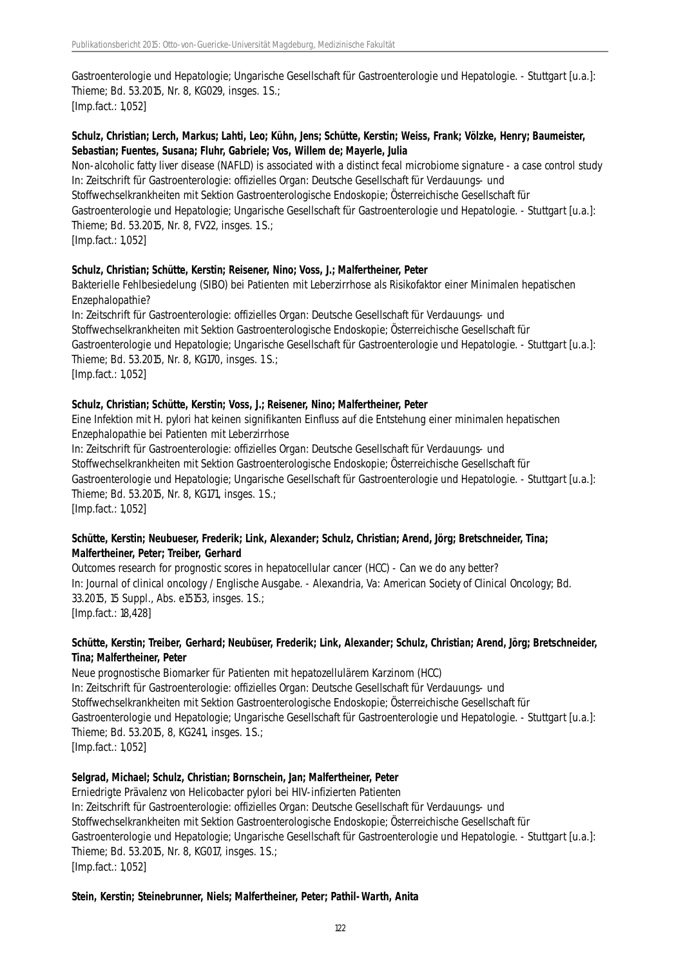Gastroenterologie und Hepatologie; Ungarische Gesellschaft für Gastroenterologie und Hepatologie. - Stuttgart [u.a.]: Thieme; Bd. 53.2015, Nr. 8, KG029, insges. 1 S.; [Imp.fact.: 1,052]

### **Schulz, Christian; Lerch, Markus; Lahti, Leo; Kühn, Jens; Schütte, Kerstin; Weiss, Frank; Völzke, Henry; Baumeister, Sebastian; Fuentes, Susana; Fluhr, Gabriele; Vos, Willem de; Mayerle, Julia**

Non-alcoholic fatty liver disease (NAFLD) is associated with a distinct fecal microbiome signature - a case control study In: Zeitschrift für Gastroenterologie: offizielles Organ: Deutsche Gesellschaft für Verdauungs- und Stoffwechselkrankheiten mit Sektion Gastroenterologische Endoskopie; Österreichische Gesellschaft für Gastroenterologie und Hepatologie; Ungarische Gesellschaft für Gastroenterologie und Hepatologie. - Stuttgart [u.a.]: Thieme; Bd. 53.2015, Nr. 8, FV22, insges. 1 S.; [Imp.fact.: 1,052]

#### **Schulz, Christian; Schütte, Kerstin; Reisener, Nino; Voss, J.; Malfertheiner, Peter**

Bakterielle Fehlbesiedelung (SIBO) bei Patienten mit Leberzirrhose als Risikofaktor einer Minimalen hepatischen Enzephalopathie?

In: Zeitschrift für Gastroenterologie: offizielles Organ: Deutsche Gesellschaft für Verdauungs- und Stoffwechselkrankheiten mit Sektion Gastroenterologische Endoskopie; Österreichische Gesellschaft für Gastroenterologie und Hepatologie; Ungarische Gesellschaft für Gastroenterologie und Hepatologie. - Stuttgart [u.a.]: Thieme; Bd. 53.2015, Nr. 8, KG170, insges. 1 S.; [Imp.fact.: 1,052]

#### **Schulz, Christian; Schütte, Kerstin; Voss, J.; Reisener, Nino; Malfertheiner, Peter**

Eine Infektion mit H. pylori hat keinen signifikanten Einfluss auf die Entstehung einer minimalen hepatischen Enzephalopathie bei Patienten mit Leberzirrhose

In: Zeitschrift für Gastroenterologie: offizielles Organ: Deutsche Gesellschaft für Verdauungs- und Stoffwechselkrankheiten mit Sektion Gastroenterologische Endoskopie; Österreichische Gesellschaft für Gastroenterologie und Hepatologie; Ungarische Gesellschaft für Gastroenterologie und Hepatologie. - Stuttgart [u.a.]: Thieme; Bd. 53.2015, Nr. 8, KG171, insges. 1 S.; [Imp.fact.: 1,052]

#### **Schütte, Kerstin; Neubueser, Frederik; Link, Alexander; Schulz, Christian; Arend, Jörg; Bretschneider, Tina; Malfertheiner, Peter; Treiber, Gerhard**

Outcomes research for prognostic scores in hepatocellular cancer (HCC) - Can we do any better? In: Journal of clinical oncology / Englische Ausgabe. - Alexandria, Va: American Society of Clinical Oncology; Bd. 33.2015, 15 Suppl., Abs. e15153, insges. 1 S.; [Imp.fact.: 18,428]

### **Schütte, Kerstin; Treiber, Gerhard; Neubüser, Frederik; Link, Alexander; Schulz, Christian; Arend, Jörg; Bretschneider, Tina; Malfertheiner, Peter**

Neue prognostische Biomarker für Patienten mit hepatozellulärem Karzinom (HCC) In: Zeitschrift für Gastroenterologie: offizielles Organ: Deutsche Gesellschaft für Verdauungs- und Stoffwechselkrankheiten mit Sektion Gastroenterologische Endoskopie; Österreichische Gesellschaft für Gastroenterologie und Hepatologie; Ungarische Gesellschaft für Gastroenterologie und Hepatologie. - Stuttgart [u.a.]: Thieme; Bd. 53.2015, 8, KG241, insges. 1 S.; [Imp.fact.: 1,052]

### **Selgrad, Michael; Schulz, Christian; Bornschein, Jan; Malfertheiner, Peter**

Erniedrigte Prävalenz von Helicobacter pylori bei HIV-infizierten Patienten In: Zeitschrift für Gastroenterologie: offizielles Organ: Deutsche Gesellschaft für Verdauungs- und Stoffwechselkrankheiten mit Sektion Gastroenterologische Endoskopie; Österreichische Gesellschaft für Gastroenterologie und Hepatologie; Ungarische Gesellschaft für Gastroenterologie und Hepatologie. - Stuttgart [u.a.]: Thieme; Bd. 53.2015, Nr. 8, KG017, insges. 1 S.; [Imp.fact.: 1,052]

#### **Stein, Kerstin; Steinebrunner, Niels; Malfertheiner, Peter; Pathil-Warth, Anita**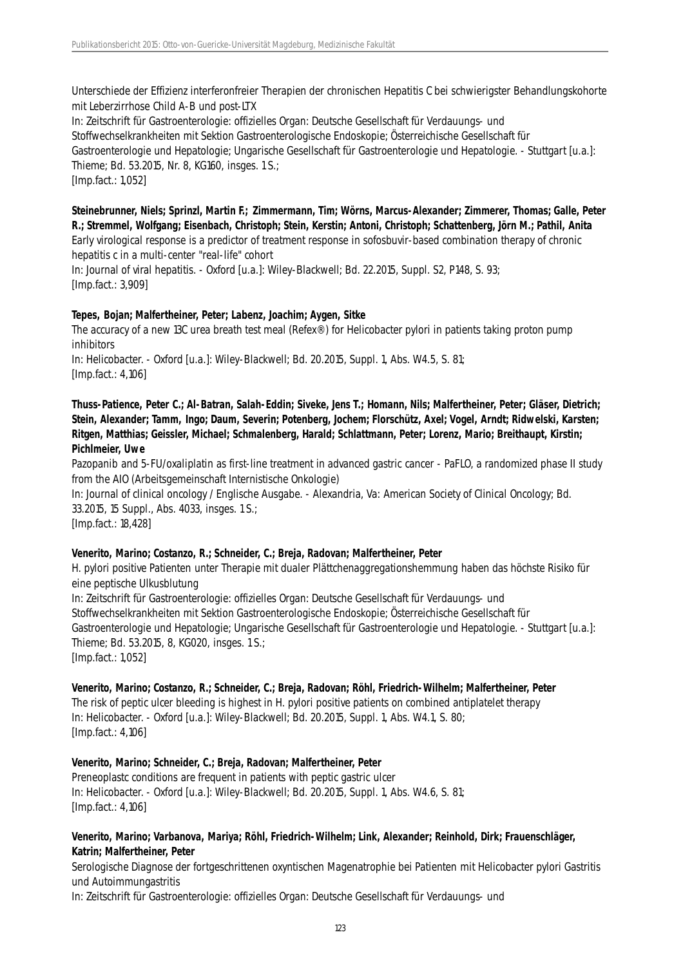Unterschiede der Effizienz interferonfreier Therapien der chronischen Hepatitis C bei schwierigster Behandlungskohorte mit Leberzirrhose Child A-B und post-LTX

In: Zeitschrift für Gastroenterologie: offizielles Organ: Deutsche Gesellschaft für Verdauungs- und Stoffwechselkrankheiten mit Sektion Gastroenterologische Endoskopie; Österreichische Gesellschaft für Gastroenterologie und Hepatologie; Ungarische Gesellschaft für Gastroenterologie und Hepatologie. - Stuttgart [u.a.]: Thieme; Bd. 53.2015, Nr. 8, KG160, insges. 1 S.; [Imp.fact.: 1,052]

**Steinebrunner, Niels; Sprinzl, Martin F.; Zimmermann, Tim; Wörns, Marcus-Alexander; Zimmerer, Thomas; Galle, Peter R.; Stremmel, Wolfgang; Eisenbach, Christoph; Stein, Kerstin; Antoni, Christoph; Schattenberg, Jörn M.; Pathil, Anita** Early virological response is a predictor of treatment response in sofosbuvir-based combination therapy of chronic hepatitis c in a multi-center "real-life" cohort

In: Journal of viral hepatitis. - Oxford [u.a.]: Wiley-Blackwell; Bd. 22.2015, Suppl. S2, P148, S. 93; [Imp.fact.: 3,909]

#### **Tepes, Bojan; Malfertheiner, Peter; Labenz, Joachim; Aygen, Sitke**

The accuracy of a new 13C urea breath test meal (Refex®) for Helicobacter pylori in patients taking proton pump inhibitors

In: Helicobacter. - Oxford [u.a.]: Wiley-Blackwell; Bd. 20.2015, Suppl. 1, Abs. W4.5, S. 81; [Imp.fact.: 4,106]

**Thuss-Patience, Peter C.; Al-Batran, Salah-Eddin; Siveke, Jens T.; Homann, Nils; Malfertheiner, Peter; Gläser, Dietrich; Stein, Alexander; Tamm, Ingo; Daum, Severin; Potenberg, Jochem; Florschütz, Axel; Vogel, Arndt; Ridwelski, Karsten; Ritgen, Matthias; Geissler, Michael; Schmalenberg, Harald; Schlattmann, Peter; Lorenz, Mario; Breithaupt, Kirstin; Pichlmeier, Uwe**

Pazopanib and 5-FU/oxaliplatin as first-line treatment in advanced gastric cancer - PaFLO, a randomized phase II study from the AIO (Arbeitsgemeinschaft Internistische Onkologie)

In: Journal of clinical oncology / Englische Ausgabe. - Alexandria, Va: American Society of Clinical Oncology; Bd. 33.2015, 15 Suppl., Abs. 4033, insges. 1 S.;

[Imp.fact.: 18,428]

#### **Venerito, Marino; Costanzo, R.; Schneider, C.; Breja, Radovan; Malfertheiner, Peter**

H. pylori positive Patienten unter Therapie mit dualer Plättchenaggregationshemmung haben das höchste Risiko für eine peptische Ulkusblutung

In: Zeitschrift für Gastroenterologie: offizielles Organ: Deutsche Gesellschaft für Verdauungs- und Stoffwechselkrankheiten mit Sektion Gastroenterologische Endoskopie; Österreichische Gesellschaft für Gastroenterologie und Hepatologie; Ungarische Gesellschaft für Gastroenterologie und Hepatologie. - Stuttgart [u.a.]: Thieme; Bd. 53.2015, 8, KG020, insges. 1 S.; [Imp.fact.: 1,052]

#### **Venerito, Marino; Costanzo, R.; Schneider, C.; Breja, Radovan; Röhl, Friedrich-Wilhelm; Malfertheiner, Peter**

The risk of peptic ulcer bleeding is highest in H. pylori positive patients on combined antiplatelet therapy In: Helicobacter. - Oxford [u.a.]: Wiley-Blackwell; Bd. 20.2015, Suppl. 1, Abs. W4.1, S. 80; [Imp.fact.: 4,106]

#### **Venerito, Marino; Schneider, C.; Breja, Radovan; Malfertheiner, Peter**

Preneoplastc conditions are frequent in patients with peptic gastric ulcer In: Helicobacter. - Oxford [u.a.]: Wiley-Blackwell; Bd. 20.2015, Suppl. 1, Abs. W4.6, S. 81; [Imp.fact.: 4,106]

#### **Venerito, Marino; Varbanova, Mariya; Röhl, Friedrich-Wilhelm; Link, Alexander; Reinhold, Dirk; Frauenschläger, Katrin; Malfertheiner, Peter**

Serologische Diagnose der fortgeschrittenen oxyntischen Magenatrophie bei Patienten mit Helicobacter pylori Gastritis und Autoimmungastritis

In: Zeitschrift für Gastroenterologie: offizielles Organ: Deutsche Gesellschaft für Verdauungs- und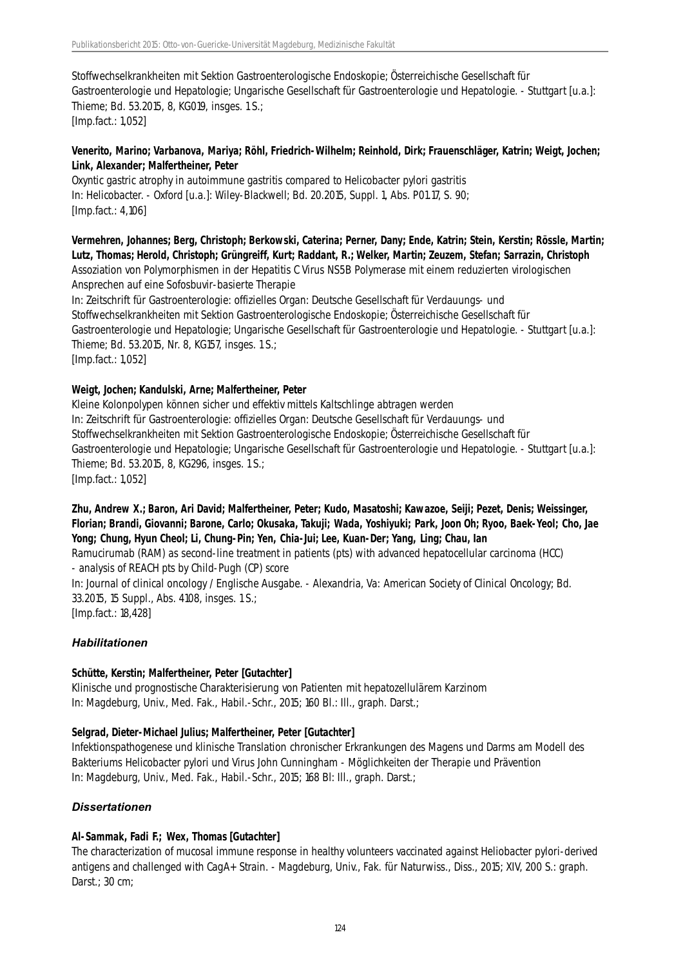Stoffwechselkrankheiten mit Sektion Gastroenterologische Endoskopie; Österreichische Gesellschaft für Gastroenterologie und Hepatologie; Ungarische Gesellschaft für Gastroenterologie und Hepatologie. - Stuttgart [u.a.]: Thieme; Bd. 53.2015, 8, KG019, insges. 1 S.; [Imp.fact.: 1,052]

#### **Venerito, Marino; Varbanova, Mariya; Röhl, Friedrich-Wilhelm; Reinhold, Dirk; Frauenschläger, Katrin; Weigt, Jochen; Link, Alexander; Malfertheiner, Peter**

Oxyntic gastric atrophy in autoimmune gastritis compared to Helicobacter pylori gastritis In: Helicobacter. - Oxford [u.a.]: Wiley-Blackwell; Bd. 20.2015, Suppl. 1, Abs. P01.17, S. 90; [Imp.fact.: 4,106]

### **Vermehren, Johannes; Berg, Christoph; Berkowski, Caterina; Perner, Dany; Ende, Katrin; Stein, Kerstin; Rössle, Martin; Lutz, Thomas; Herold, Christoph; Grüngreiff, Kurt; Raddant, R.; Welker, Martin; Zeuzem, Stefan; Sarrazin, Christoph** Assoziation von Polymorphismen in der Hepatitis C Virus NS5B Polymerase mit einem reduzierten virologischen Ansprechen auf eine Sofosbuvir-basierte Therapie

In: Zeitschrift für Gastroenterologie: offizielles Organ: Deutsche Gesellschaft für Verdauungs- und Stoffwechselkrankheiten mit Sektion Gastroenterologische Endoskopie; Österreichische Gesellschaft für Gastroenterologie und Hepatologie; Ungarische Gesellschaft für Gastroenterologie und Hepatologie. - Stuttgart [u.a.]: Thieme; Bd. 53.2015, Nr. 8, KG157, insges. 1 S.; [Imp.fact.: 1,052]

### **Weigt, Jochen; Kandulski, Arne; Malfertheiner, Peter**

Kleine Kolonpolypen können sicher und effektiv mittels Kaltschlinge abtragen werden In: Zeitschrift für Gastroenterologie: offizielles Organ: Deutsche Gesellschaft für Verdauungs- und Stoffwechselkrankheiten mit Sektion Gastroenterologische Endoskopie; Österreichische Gesellschaft für Gastroenterologie und Hepatologie; Ungarische Gesellschaft für Gastroenterologie und Hepatologie. - Stuttgart [u.a.]: Thieme; Bd. 53.2015, 8, KG296, insges. 1 S.; [Imp.fact.: 1,052]

### **Zhu, Andrew X.; Baron, Ari David; Malfertheiner, Peter; Kudo, Masatoshi; Kawazoe, Seiji; Pezet, Denis; Weissinger, Florian; Brandi, Giovanni; Barone, Carlo; Okusaka, Takuji; Wada, Yoshiyuki; Park, Joon Oh; Ryoo, Baek-Yeol; Cho, Jae Yong; Chung, Hyun Cheol; Li, Chung-Pin; Yen, Chia-Jui; Lee, Kuan-Der; Yang, Ling; Chau, Ian**

Ramucirumab (RAM) as second-line treatment in patients (pts) with advanced hepatocellular carcinoma (HCC) - analysis of REACH pts by Child-Pugh (CP) score

In: Journal of clinical oncology / Englische Ausgabe. - Alexandria, Va: American Society of Clinical Oncology; Bd. 33.2015, 15 Suppl., Abs. 4108, insges. 1 S.; [Imp.fact.: 18,428]

*Habilitationen*

### **Schütte, Kerstin; Malfertheiner, Peter [Gutachter]**

Klinische und prognostische Charakterisierung von Patienten mit hepatozellulärem Karzinom In: Magdeburg, Univ., Med. Fak., Habil.-Schr., 2015; 160 Bl.: Ill., graph. Darst.;

### **Selgrad, Dieter-Michael Julius; Malfertheiner, Peter [Gutachter]**

Infektionspathogenese und klinische Translation chronischer Erkrankungen des Magens und Darms am Modell des Bakteriums Helicobacter pylori und Virus John Cunningham - Möglichkeiten der Therapie und Prävention In: Magdeburg, Univ., Med. Fak., Habil.-Schr., 2015; 168 Bl: Ill., graph. Darst.;

### *Dissertationen*

### **Al-Sammak, Fadi F.; Wex, Thomas [Gutachter]**

The characterization of mucosal immune response in healthy volunteers vaccinated against Heliobacter pylori-derived antigens and challenged with CagA+ Strain. - Magdeburg, Univ., Fak. für Naturwiss., Diss., 2015; XIV, 200 S.: graph. Darst.; 30 cm;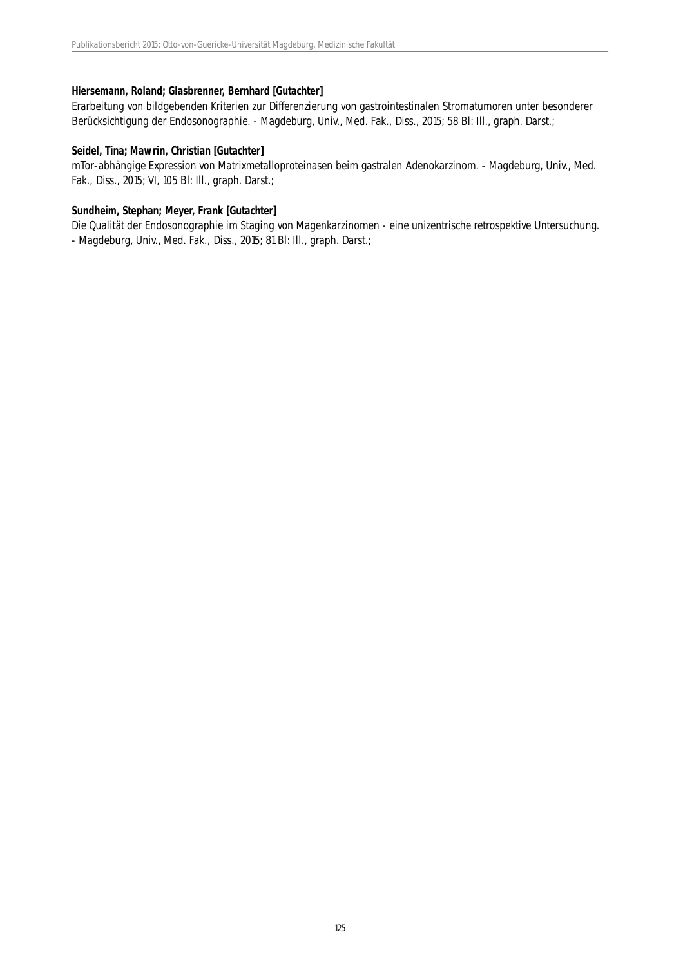#### **Hiersemann, Roland; Glasbrenner, Bernhard [Gutachter]**

Erarbeitung von bildgebenden Kriterien zur Differenzierung von gastrointestinalen Stromatumoren unter besonderer Berücksichtigung der Endosonographie. - Magdeburg, Univ., Med. Fak., Diss., 2015; 58 Bl: Ill., graph. Darst.;

#### **Seidel, Tina; Mawrin, Christian [Gutachter]**

mTor-abhängige Expression von Matrixmetalloproteinasen beim gastralen Adenokarzinom. - Magdeburg, Univ., Med. Fak., Diss., 2015; VI, 105 Bl: Ill., graph. Darst.;

#### **Sundheim, Stephan; Meyer, Frank [Gutachter]**

Die Qualität der Endosonographie im Staging von Magenkarzinomen - eine unizentrische retrospektive Untersuchung. - Magdeburg, Univ., Med. Fak., Diss., 2015; 81 Bl: Ill., graph. Darst.;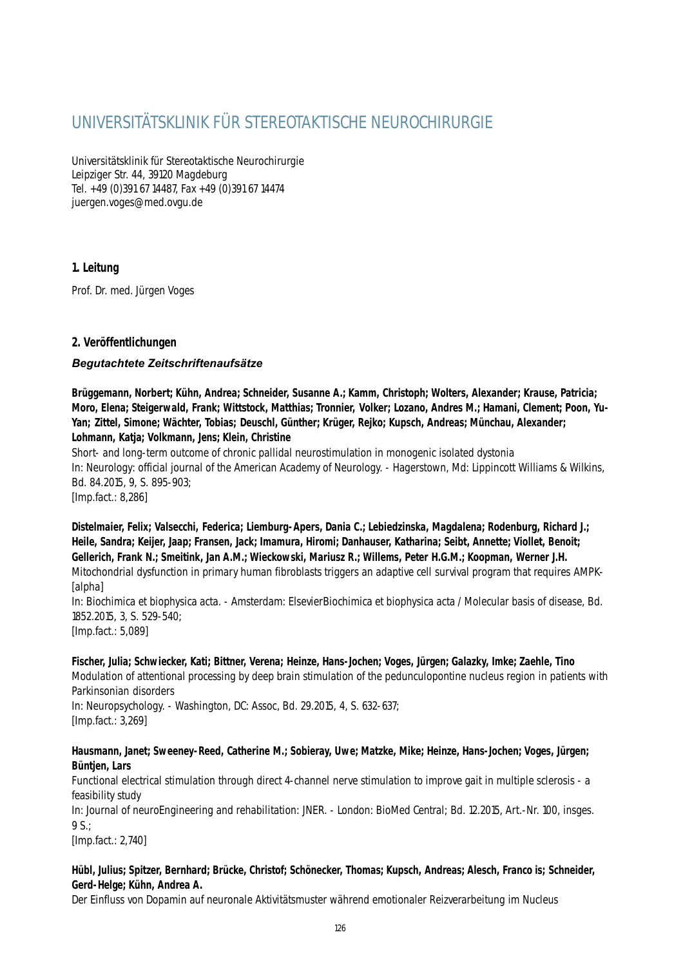# UNIVERSITÄTSKLINIK FÜR STEREOTAKTISCHE NEUROCHIRURGIE

Universitätsklinik für Stereotaktische Neurochirurgie Leipziger Str. 44, 39120 Magdeburg Tel. +49 (0)391 67 14487, Fax +49 (0)391 67 14474 juergen.voges@med.ovgu.de

### **1. Leitung**

Prof. Dr. med. Jürgen Voges

### **2. Veröffentlichungen**

### *Begutachtete Zeitschriftenaufsätze*

**Brüggemann, Norbert; Kühn, Andrea; Schneider, Susanne A.; Kamm, Christoph; Wolters, Alexander; Krause, Patricia; Moro, Elena; Steigerwald, Frank; Wittstock, Matthias; Tronnier, Volker; Lozano, Andres M.; Hamani, Clement; Poon, Yu-Yan; Zittel, Simone; Wächter, Tobias; Deuschl, Günther; Krüger, Rejko; Kupsch, Andreas; Münchau, Alexander; Lohmann, Katja; Volkmann, Jens; Klein, Christine**

Short- and long-term outcome of chronic pallidal neurostimulation in monogenic isolated dystonia In: Neurology: official journal of the American Academy of Neurology. - Hagerstown, Md: Lippincott Williams & Wilkins, Bd. 84.2015, 9, S. 895-903; [Imp.fact.: 8,286]

**Distelmaier, Felix; Valsecchi, Federica; Liemburg-Apers, Dania C.; Lebiedzinska, Magdalena; Rodenburg, Richard J.; Heile, Sandra; Keijer, Jaap; Fransen, Jack; Imamura, Hiromi; Danhauser, Katharina; Seibt, Annette; Viollet, Benoit; Gellerich, Frank N.; Smeitink, Jan A.M.; Wieckowski, Mariusz R.; Willems, Peter H.G.M.; Koopman, Werner J.H.** Mitochondrial dysfunction in primary human fibroblasts triggers an adaptive cell survival program that requires AMPK- [alpha] In: Biochimica et biophysica acta. - Amsterdam: ElsevierBiochimica et biophysica acta / Molecular basis of disease, Bd. 1852.2015, 3, S. 529-540;

[Imp.fact.: 5,089]

### **Fischer, Julia; Schwiecker, Kati; Bittner, Verena; Heinze, Hans-Jochen; Voges, Jürgen; Galazky, Imke; Zaehle, Tino**

Modulation of attentional processing by deep brain stimulation of the pedunculopontine nucleus region in patients with Parkinsonian disorders

In: Neuropsychology. - Washington, DC: Assoc, Bd. 29.2015, 4, S. 632-637; [Imp.fact.: 3,269]

### **Hausmann, Janet; Sweeney-Reed, Catherine M.; Sobieray, Uwe; Matzke, Mike; Heinze, Hans-Jochen; Voges, Jürgen; Büntjen, Lars**

Functional electrical stimulation through direct 4-channel nerve stimulation to improve gait in multiple sclerosis - a feasibility study

In: Journal of neuroEngineering and rehabilitation: JNER. - London: BioMed Central; Bd. 12.2015, Art.-Nr. 100, insges.  $9<sup>°</sup>$ 

[Imp.fact.: 2,740]

### **Hübl, Julius; Spitzer, Bernhard; Brücke, Christof; Schönecker, Thomas; Kupsch, Andreas; Alesch, Franco is; Schneider, Gerd-Helge; Kühn, Andrea A.**

Der Einfluss von Dopamin auf neuronale Aktivitätsmuster während emotionaler Reizverarbeitung im Nucleus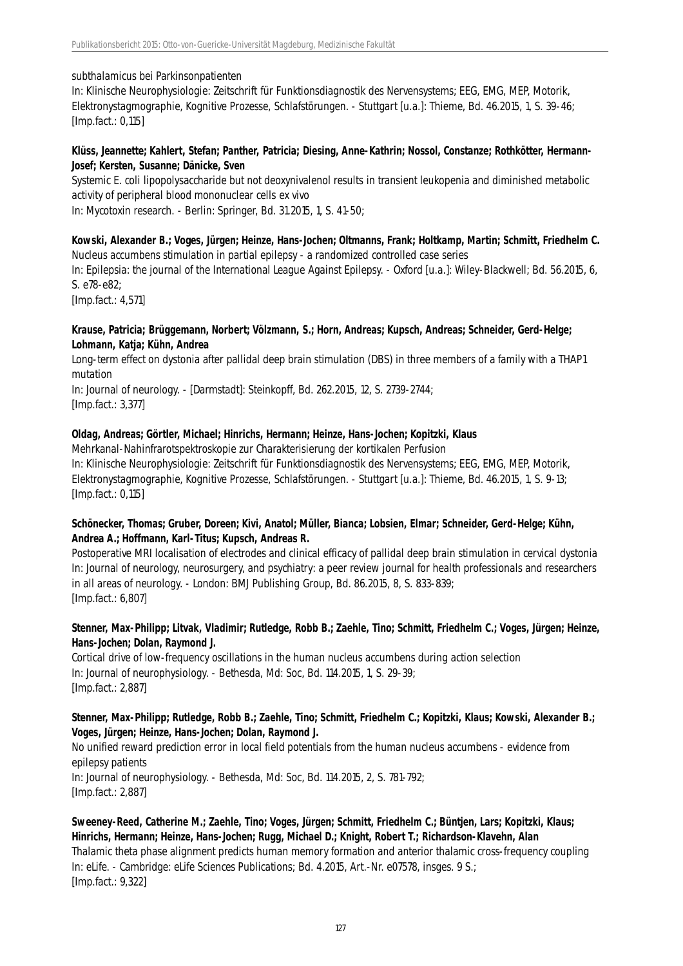subthalamicus bei Parkinsonpatienten

In: Klinische Neurophysiologie: Zeitschrift für Funktionsdiagnostik des Nervensystems; EEG, EMG, MEP, Motorik, Elektronystagmographie, Kognitive Prozesse, Schlafstörungen. - Stuttgart [u.a.]: Thieme, Bd. 46.2015, 1, S. 39-46; [Imp.fact.: 0,115]

#### **Klüss, Jeannette; Kahlert, Stefan; Panther, Patricia; Diesing, Anne-Kathrin; Nossol, Constanze; Rothkötter, Hermann-Josef; Kersten, Susanne; Dänicke, Sven**

Systemic E. coli lipopolysaccharide but not deoxynivalenol results in transient leukopenia and diminished metabolic activity of peripheral blood mononuclear cells ex vivo In: Mycotoxin research. - Berlin: Springer, Bd. 31.2015, 1, S. 41-50;

### **Kowski, Alexander B.; Voges, Jürgen; Heinze, Hans-Jochen; Oltmanns, Frank; Holtkamp, Martin; Schmitt, Friedhelm C.** Nucleus accumbens stimulation in partial epilepsy - a randomized controlled case series

In: Epilepsia: the journal of the International League Against Epilepsy. - Oxford [u.a.]: Wiley-Blackwell; Bd. 56.2015, 6, S. e78-e82;

[Imp.fact.: 4,571]

### **Krause, Patricia; Brüggemann, Norbert; Völzmann, S.; Horn, Andreas; Kupsch, Andreas; Schneider, Gerd-Helge; Lohmann, Katja; Kühn, Andrea**

Long-term effect on dystonia after pallidal deep brain stimulation (DBS) in three members of a family with a THAP1 mutation

In: Journal of neurology. - [Darmstadt]: Steinkopff, Bd. 262.2015, 12, S. 2739-2744; [Imp.fact.: 3,377]

### **Oldag, Andreas; Görtler, Michael; Hinrichs, Hermann; Heinze, Hans-Jochen; Kopitzki, Klaus**

Mehrkanal-Nahinfrarotspektroskopie zur Charakterisierung der kortikalen Perfusion In: Klinische Neurophysiologie: Zeitschrift für Funktionsdiagnostik des Nervensystems; EEG, EMG, MEP, Motorik, Elektronystagmographie, Kognitive Prozesse, Schlafstörungen. - Stuttgart [u.a.]: Thieme, Bd. 46.2015, 1, S. 9-13; [Imp.fact.: 0,115]

### **Schönecker, Thomas; Gruber, Doreen; Kivi, Anatol; Müller, Bianca; Lobsien, Elmar; Schneider, Gerd-Helge; Kühn, Andrea A.; Hoffmann, Karl-Titus; Kupsch, Andreas R.**

Postoperative MRI localisation of electrodes and clinical efficacy of pallidal deep brain stimulation in cervical dystonia In: Journal of neurology, neurosurgery, and psychiatry: a peer review journal for health professionals and researchers in all areas of neurology. - London: BMJ Publishing Group, Bd. 86.2015, 8, S. 833-839; [Imp.fact.: 6,807]

### **Stenner, Max-Philipp; Litvak, Vladimir; Rutledge, Robb B.; Zaehle, Tino; Schmitt, Friedhelm C.; Voges, Jürgen; Heinze, Hans-Jochen; Dolan, Raymond J.**

Cortical drive of low-frequency oscillations in the human nucleus accumbens during action selection In: Journal of neurophysiology. - Bethesda, Md: Soc, Bd. 114.2015, 1, S. 29-39; [Imp.fact.: 2,887]

### **Stenner, Max-Philipp; Rutledge, Robb B.; Zaehle, Tino; Schmitt, Friedhelm C.; Kopitzki, Klaus; Kowski, Alexander B.; Voges, Jürgen; Heinze, Hans-Jochen; Dolan, Raymond J.**

No unified reward prediction error in local field potentials from the human nucleus accumbens - evidence from epilepsy patients In: Journal of neurophysiology. - Bethesda, Md: Soc, Bd. 114.2015, 2, S. 781-792;

[Imp.fact.: 2,887]

### **Sweeney-Reed, Catherine M.; Zaehle, Tino; Voges, Jürgen; Schmitt, Friedhelm C.; Büntjen, Lars; Kopitzki, Klaus; Hinrichs, Hermann; Heinze, Hans-Jochen; Rugg, Michael D.; Knight, Robert T.; Richardson-Klavehn, Alan**

Thalamic theta phase alignment predicts human memory formation and anterior thalamic cross-frequency coupling In: eLife. - Cambridge: eLife Sciences Publications; Bd. 4.2015, Art.-Nr. e07578, insges. 9 S.; [Imp.fact.: 9,322]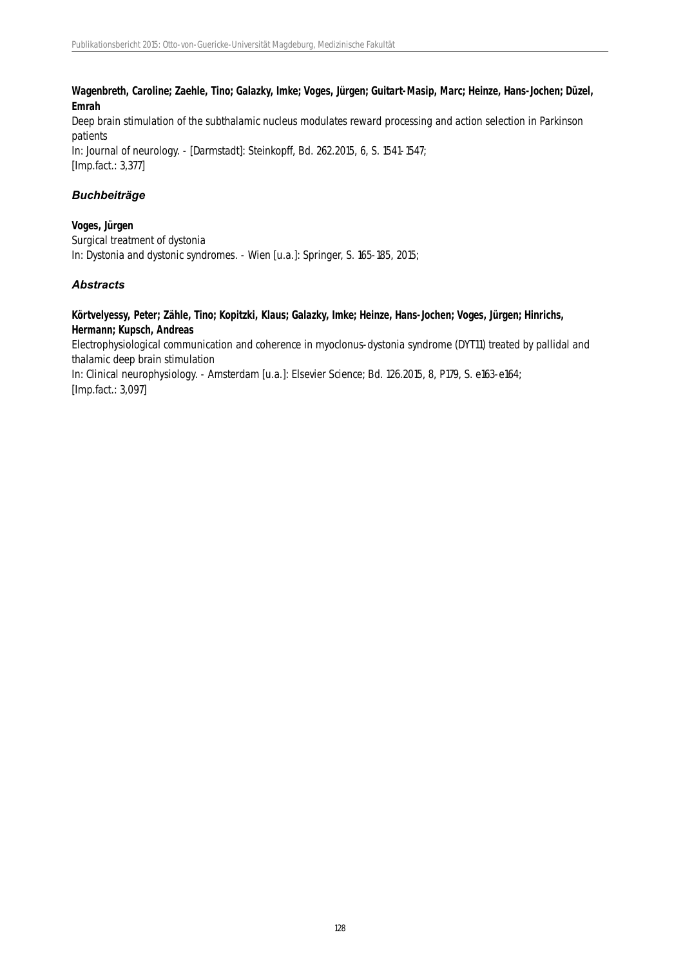**Wagenbreth, Caroline; Zaehle, Tino; Galazky, Imke; Voges, Jürgen; Guitart-Masip, Marc; Heinze, Hans-Jochen; Düzel, Emrah**

Deep brain stimulation of the subthalamic nucleus modulates reward processing and action selection in Parkinson patients In: Journal of neurology. - [Darmstadt]: Steinkopff, Bd. 262.2015, 6, S. 1541-1547; [Imp.fact.: 3,377]

### *Buchbeiträge*

**Voges, Jürgen** Surgical treatment of dystonia In: Dystonia and dystonic syndromes. - Wien [u.a.]: Springer, S. 165-185, 2015;

### *Abstracts*

#### **Körtvelyessy, Peter; Zähle, Tino; Kopitzki, Klaus; Galazky, Imke; Heinze, Hans-Jochen; Voges, Jürgen; Hinrichs, Hermann; Kupsch, Andreas**

Electrophysiological communication and coherence in myoclonus-dystonia syndrome (DYT11) treated by pallidal and thalamic deep brain stimulation

In: Clinical neurophysiology. - Amsterdam [u.a.]: Elsevier Science; Bd. 126.2015, 8, P179, S. e163-e164; [Imp.fact.: 3,097]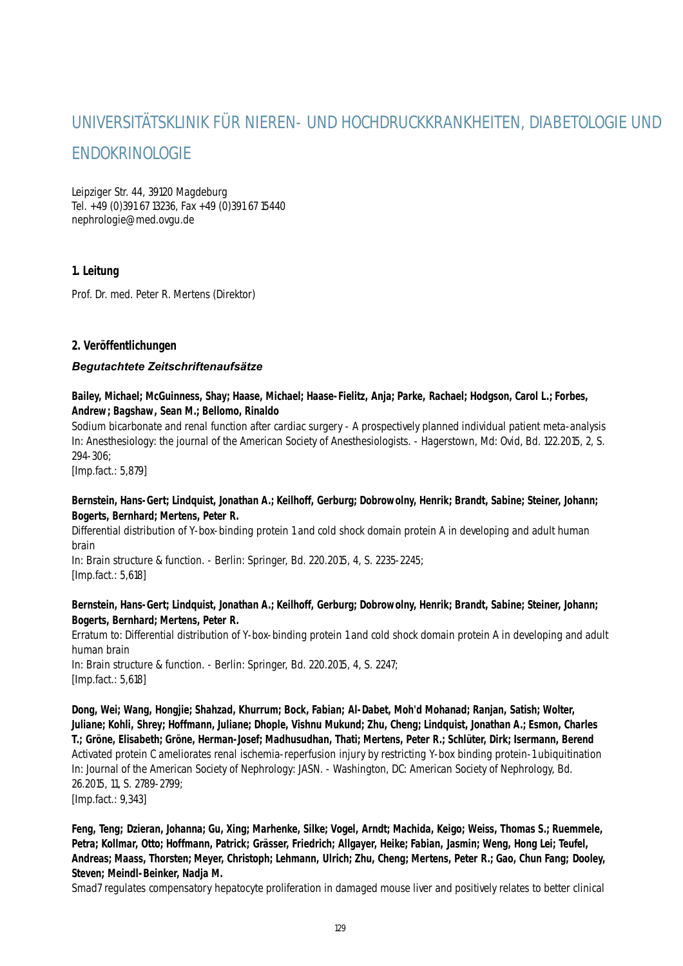# UNIVERSITÄTSKLINIK FÜR NIEREN- UND HOCHDRUCKKRANKHEITEN, DIABETOLOGIE UND ENDOKRINOLOGIE

Leipziger Str. 44, 39120 Magdeburg Tel. +49 (0)391 67 13236, Fax +49 (0)391 67 15440 nephrologie@med.ovgu.de

### **1. Leitung**

Prof. Dr. med. Peter R. Mertens (Direktor)

### **2. Veröffentlichungen**

### *Begutachtete Zeitschriftenaufsätze*

### **Bailey, Michael; McGuinness, Shay; Haase, Michael; Haase-Fielitz, Anja; Parke, Rachael; Hodgson, Carol L.; Forbes, Andrew; Bagshaw, Sean M.; Bellomo, Rinaldo**

Sodium bicarbonate and renal function after cardiac surgery - A prospectively planned individual patient meta-analysis In: Anesthesiology: the journal of the American Society of Anesthesiologists. - Hagerstown, Md: Ovid, Bd. 122.2015, 2, S. 294-306;

[Imp.fact.: 5,879]

### **Bernstein, Hans-Gert; Lindquist, Jonathan A.; Keilhoff, Gerburg; Dobrowolny, Henrik; Brandt, Sabine; Steiner, Johann; Bogerts, Bernhard; Mertens, Peter R.**

Differential distribution of Y-box-binding protein 1 and cold shock domain protein A in developing and adult human brain

In: Brain structure & function. - Berlin: Springer, Bd. 220.2015, 4, S. 2235-2245; [Imp.fact.: 5,618]

#### **Bernstein, Hans-Gert; Lindquist, Jonathan A.; Keilhoff, Gerburg; Dobrowolny, Henrik; Brandt, Sabine; Steiner, Johann; Bogerts, Bernhard; Mertens, Peter R.**

Erratum to: Differential distribution of Y-box-binding protein 1 and cold shock domain protein A in developing and adult human brain In: Brain structure & function. - Berlin: Springer, Bd. 220.2015, 4, S. 2247;

[Imp.fact.: 5,618]

**Dong, Wei; Wang, Hongjie; Shahzad, Khurrum; Bock, Fabian; Al-Dabet, Moh'd Mohanad; Ranjan, Satish; Wolter, Juliane; Kohli, Shrey; Hoffmann, Juliane; Dhople, Vishnu Mukund; Zhu, Cheng; Lindquist, Jonathan A.; Esmon, Charles T.; Gröne, Elisabeth; Gröne, Herman-Josef; Madhusudhan, Thati; Mertens, Peter R.; Schlüter, Dirk; Isermann, Berend** Activated protein C ameliorates renal ischemia-reperfusion injury by restricting Y-box binding protein-1 ubiquitination In: Journal of the American Society of Nephrology: JASN. - Washington, DC: American Society of Nephrology, Bd. 26.2015, 11, S. 2789-2799; [Imp.fact.: 9,343]

**Feng, Teng; Dzieran, Johanna; Gu, Xing; Marhenke, Silke; Vogel, Arndt; Machida, Keigo; Weiss, Thomas S.; Ruemmele, Petra; Kollmar, Otto; Hoffmann, Patrick; Grässer, Friedrich; Allgayer, Heike; Fabian, Jasmin; Weng, Hong Lei; Teufel, Andreas; Maass, Thorsten; Meyer, Christoph; Lehmann, Ulrich; Zhu, Cheng; Mertens, Peter R.; Gao, Chun Fang; Dooley, Steven; Meindl-Beinker, Nadja M.**

Smad7 regulates compensatory hepatocyte proliferation in damaged mouse liver and positively relates to better clinical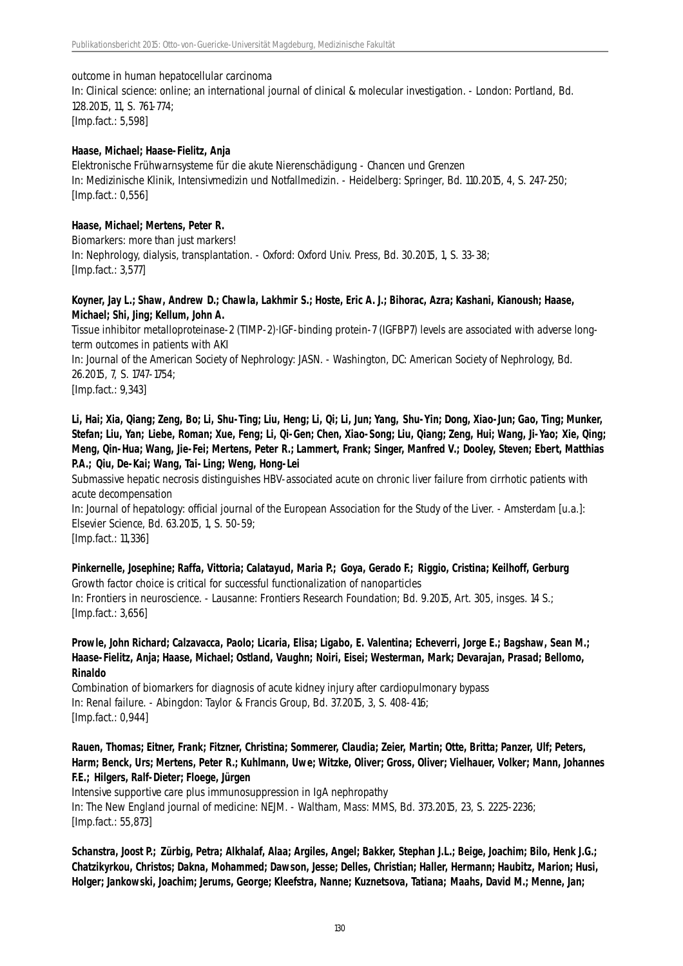#### outcome in human hepatocellular carcinoma

In: Clinical science: online; an international journal of clinical & molecular investigation. - London: Portland, Bd. 128.2015, 11, S. 761-774; [Imp.fact.: 5,598]

#### **Haase, Michael; Haase-Fielitz, Anja**

Elektronische Frühwarnsysteme für die akute Nierenschädigung - Chancen und Grenzen In: Medizinische Klinik, Intensivmedizin und Notfallmedizin. - Heidelberg: Springer, Bd. 110.2015, 4, S. 247-250; [Imp.fact.: 0,556]

#### **Haase, Michael; Mertens, Peter R.**

Biomarkers: more than just markers! In: Nephrology, dialysis, transplantation. - Oxford: Oxford Univ. Press, Bd. 30.2015, 1, S. 33-38; [Imp.fact.: 3,577]

#### **Koyner, Jay L.; Shaw, Andrew D.; Chawla, Lakhmir S.; Hoste, Eric A. J.; Bihorac, Azra; Kashani, Kianoush; Haase, Michael; Shi, Jing; Kellum, John A.**

Tissue inhibitor metalloproteinase-2 (TIMP-2)·IGF-binding protein-7 (IGFBP7) levels are associated with adverse longterm outcomes in patients with AKI

In: Journal of the American Society of Nephrology: JASN. - Washington, DC: American Society of Nephrology, Bd. 26.2015, 7, S. 1747-1754;

[Imp.fact.: 9,343]

**Li, Hai; Xia, Qiang; Zeng, Bo; Li, Shu-Ting; Liu, Heng; Li, Qi; Li, Jun; Yang, Shu-Yin; Dong, Xiao-Jun; Gao, Ting; Munker, Stefan; Liu, Yan; Liebe, Roman; Xue, Feng; Li, Qi-Gen; Chen, Xiao-Song; Liu, Qiang; Zeng, Hui; Wang, Ji-Yao; Xie, Qing; Meng, Qin-Hua; Wang, Jie-Fei; Mertens, Peter R.; Lammert, Frank; Singer, Manfred V.; Dooley, Steven; Ebert, Matthias P.A.; Qiu, De-Kai; Wang, Tai-Ling; Weng, Hong-Lei**

Submassive hepatic necrosis distinguishes HBV-associated acute on chronic liver failure from cirrhotic patients with acute decompensation

In: Journal of hepatology: official journal of the European Association for the Study of the Liver. - Amsterdam [u.a.]: Elsevier Science, Bd. 63.2015, 1, S. 50-59; [Imp.fact.: 11,336]

**Pinkernelle, Josephine; Raffa, Vittoria; Calatayud, Maria P.; Goya, Gerado F.; Riggio, Cristina; Keilhoff, Gerburg** Growth factor choice is critical for successful functionalization of nanoparticles In: Frontiers in neuroscience. - Lausanne: Frontiers Research Foundation; Bd. 9.2015, Art. 305, insges. 14 S.; [Imp.fact.: 3,656]

### **Prowle, John Richard; Calzavacca, Paolo; Licaria, Elisa; Ligabo, E. Valentina; Echeverri, Jorge E.; Bagshaw, Sean M.; Haase-Fielitz, Anja; Haase, Michael; Ostland, Vaughn; Noiri, Eisei; Westerman, Mark; Devarajan, Prasad; Bellomo, Rinaldo**

Combination of biomarkers for diagnosis of acute kidney injury after cardiopulmonary bypass In: Renal failure. - Abingdon: Taylor & Francis Group, Bd. 37.2015, 3, S. 408-416; [Imp.fact.: 0,944]

**Rauen, Thomas; Eitner, Frank; Fitzner, Christina; Sommerer, Claudia; Zeier, Martin; Otte, Britta; Panzer, Ulf; Peters, Harm; Benck, Urs; Mertens, Peter R.; Kuhlmann, Uwe; Witzke, Oliver; Gross, Oliver; Vielhauer, Volker; Mann, Johannes F.E.; Hilgers, Ralf-Dieter; Floege, Jürgen**

Intensive supportive care plus immunosuppression in IgA nephropathy In: The New England journal of medicine: NEJM. - Waltham, Mass: MMS, Bd. 373.2015, 23, S. 2225-2236; [Imp.fact.: 55,873]

**Schanstra, Joost P.; Zürbig, Petra; Alkhalaf, Alaa; Argiles, Angel; Bakker, Stephan J.L.; Beige, Joachim; Bilo, Henk J.G.; Chatzikyrkou, Christos; Dakna, Mohammed; Dawson, Jesse; Delles, Christian; Haller, Hermann; Haubitz, Marion; Husi, Holger; Jankowski, Joachim; Jerums, George; Kleefstra, Nanne; Kuznetsova, Tatiana; Maahs, David M.; Menne, Jan;**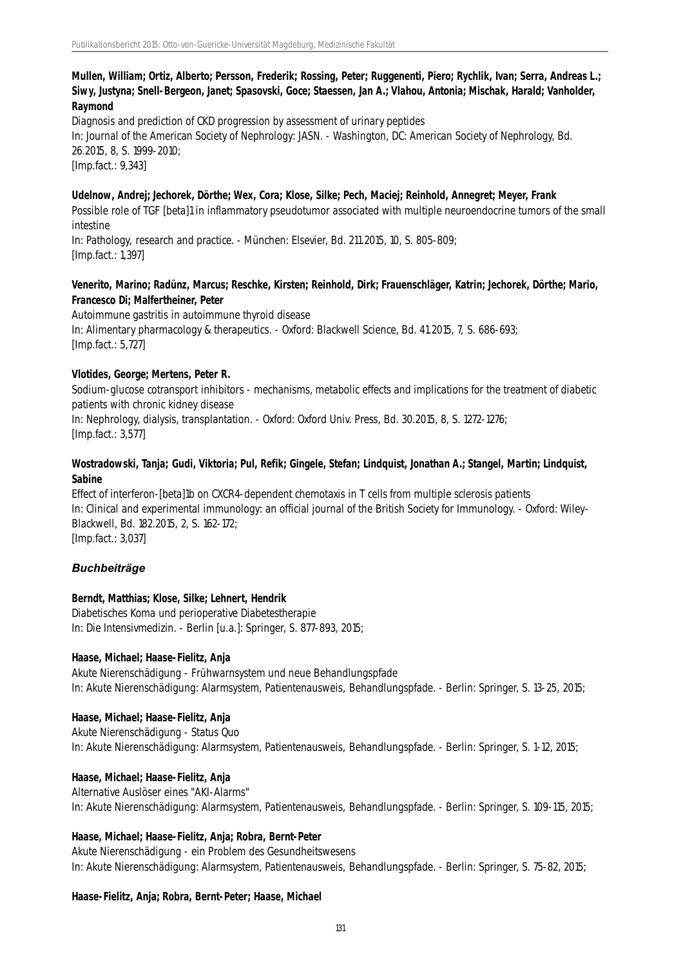### **Mullen, William; Ortiz, Alberto; Persson, Frederik; Rossing, Peter; Ruggenenti, Piero; Rychlik, Ivan; Serra, Andreas L.; Siwy, Justyna; Snell-Bergeon, Janet; Spasovski, Goce; Staessen, Jan A.; Vlahou, Antonia; Mischak, Harald; Vanholder, Raymond**

Diagnosis and prediction of CKD progression by assessment of urinary peptides In: Journal of the American Society of Nephrology: JASN. - Washington, DC: American Society of Nephrology, Bd. 26.2015, 8, S. 1999-2010; [Imp.fact.: 9,343]

#### **Udelnow, Andrej; Jechorek, Dörthe; Wex, Cora; Klose, Silke; Pech, Maciej; Reinhold, Annegret; Meyer, Frank**

Possible role of TGF [beta]1 in inflammatory pseudotumor associated with multiple neuroendocrine tumors of the small intestine

In: Pathology, research and practice. - München: Elsevier, Bd. 211.2015, 10, S. 805-809; [Imp.fact.: 1,397]

#### **Venerito, Marino; Radünz, Marcus; Reschke, Kirsten; Reinhold, Dirk; Frauenschläger, Katrin; Jechorek, Dörthe; Mario, Francesco Di; Malfertheiner, Peter**

Autoimmune gastritis in autoimmune thyroid disease In: Alimentary pharmacology & therapeutics. - Oxford: Blackwell Science, Bd. 41.2015, 7, S. 686-693; [Imp.fact.: 5,727]

#### **Vlotides, George; Mertens, Peter R.**

Sodium-glucose cotransport inhibitors - mechanisms, metabolic effects and implications for the treatment of diabetic patients with chronic kidney disease

In: Nephrology, dialysis, transplantation. - Oxford: Oxford Univ. Press, Bd. 30.2015, 8, S. 1272-1276; [Imp.fact.: 3,577]

### **Wostradowski, Tanja; Gudi, Viktoria; Pul, Refik; Gingele, Stefan; Lindquist, Jonathan A.; Stangel, Martin; Lindquist, Sabine**

Effect of interferon-[beta]1b on CXCR4-dependent chemotaxis in T cells from multiple sclerosis patients In: Clinical and experimental immunology: an official journal of the British Society for Immunology. - Oxford: Wiley-Blackwell, Bd. 182.2015, 2, S. 162-172; [Imp.fact.: 3,037]

### *Buchbeiträge*

#### **Berndt, Matthias; Klose, Silke; Lehnert, Hendrik**

Diabetisches Koma und perioperative Diabetestherapie In: Die Intensivmedizin. - Berlin [u.a.]: Springer, S. 877-893, 2015;

#### **Haase, Michael; Haase-Fielitz, Anja**

Akute Nierenschädigung - Frühwarnsystem und neue Behandlungspfade In: Akute Nierenschädigung: Alarmsystem, Patientenausweis, Behandlungspfade. - Berlin: Springer, S. 13-25, 2015;

#### **Haase, Michael; Haase-Fielitz, Anja**

Akute Nierenschädigung - Status Quo In: Akute Nierenschädigung: Alarmsystem, Patientenausweis, Behandlungspfade. - Berlin: Springer, S. 1-12, 2015;

#### **Haase, Michael; Haase-Fielitz, Anja**

Alternative Auslöser eines "AKI-Alarms" In: Akute Nierenschädigung: Alarmsystem, Patientenausweis, Behandlungspfade. - Berlin: Springer, S. 109-115, 2015;

#### **Haase, Michael; Haase-Fielitz, Anja; Robra, Bernt-Peter**

Akute Nierenschädigung - ein Problem des Gesundheitswesens In: Akute Nierenschädigung: Alarmsystem, Patientenausweis, Behandlungspfade. - Berlin: Springer, S. 75-82, 2015;

#### **Haase-Fielitz, Anja; Robra, Bernt-Peter; Haase, Michael**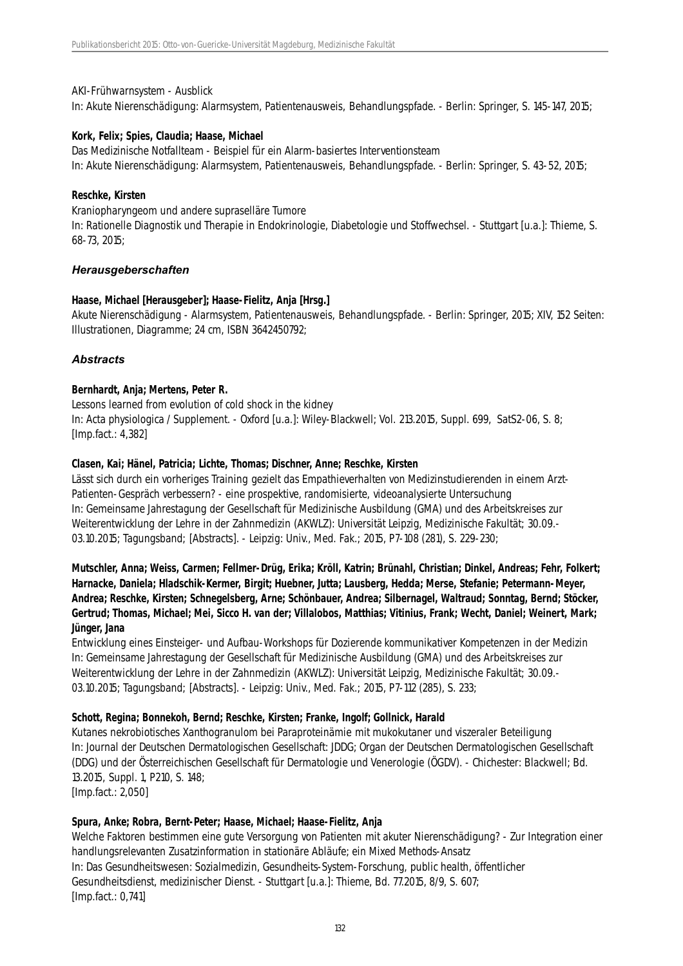#### AKI-Frühwarnsystem - Ausblick

In: Akute Nierenschädigung: Alarmsystem, Patientenausweis, Behandlungspfade. - Berlin: Springer, S. 145-147, 2015;

### **Kork, Felix; Spies, Claudia; Haase, Michael**

Das Medizinische Notfallteam - Beispiel für ein Alarm-basiertes Interventionsteam In: Akute Nierenschädigung: Alarmsystem, Patientenausweis, Behandlungspfade. - Berlin: Springer, S. 43-52, 2015;

#### **Reschke, Kirsten**

Kraniopharyngeom und andere supraselläre Tumore

In: Rationelle Diagnostik und Therapie in Endokrinologie, Diabetologie und Stoffwechsel. - Stuttgart [u.a.]: Thieme, S. 68-73, 2015;

### *Herausgeberschaften*

#### **Haase, Michael [Herausgeber]; Haase-Fielitz, Anja [Hrsg.]**

Akute Nierenschädigung - Alarmsystem, Patientenausweis, Behandlungspfade. - Berlin: Springer, 2015; XIV, 152 Seiten: Illustrationen, Diagramme; 24 cm, ISBN 3642450792;

### *Abstracts*

#### **Bernhardt, Anja; Mertens, Peter R.**

Lessons learned from evolution of cold shock in the kidney

In: Acta physiologica / Supplement. - Oxford [u.a.]: Wiley-Blackwell; Vol. 213.2015, Suppl. 699, SatS2-06, S. 8; [Imp.fact.: 4,382]

#### **Clasen, Kai; Hänel, Patricia; Lichte, Thomas; Dischner, Anne; Reschke, Kirsten**

Lässt sich durch ein vorheriges Training gezielt das Empathieverhalten von Medizinstudierenden in einem Arzt-Patienten-Gespräch verbessern? - eine prospektive, randomisierte, videoanalysierte Untersuchung In: Gemeinsame Jahrestagung der Gesellschaft für Medizinische Ausbildung (GMA) und des Arbeitskreises zur Weiterentwicklung der Lehre in der Zahnmedizin (AKWLZ): Universität Leipzig, Medizinische Fakultät; 30.09.- 03.10.2015; Tagungsband; [Abstracts]. - Leipzig: Univ., Med. Fak.; 2015, P7-108 (281), S. 229-230;

**Mutschler, Anna; Weiss, Carmen; Fellmer-Drüg, Erika; Kröll, Katrin; Brünahl, Christian; Dinkel, Andreas; Fehr, Folkert; Harnacke, Daniela; Hladschik-Kermer, Birgit; Huebner, Jutta; Lausberg, Hedda; Merse, Stefanie; Petermann-Meyer, Andrea; Reschke, Kirsten; Schnegelsberg, Arne; Schönbauer, Andrea; Silbernagel, Waltraud; Sonntag, Bernd; Stöcker, Gertrud; Thomas, Michael; Mei, Sicco H. van der; Villalobos, Matthias; Vitinius, Frank; Wecht, Daniel; Weinert, Mark; Jünger, Jana**

Entwicklung eines Einsteiger- und Aufbau-Workshops für Dozierende kommunikativer Kompetenzen in der Medizin In: Gemeinsame Jahrestagung der Gesellschaft für Medizinische Ausbildung (GMA) und des Arbeitskreises zur Weiterentwicklung der Lehre in der Zahnmedizin (AKWLZ): Universität Leipzig, Medizinische Fakultät; 30.09.- 03.10.2015; Tagungsband; [Abstracts]. - Leipzig: Univ., Med. Fak.; 2015, P7-112 (285), S. 233;

### **Schott, Regina; Bonnekoh, Bernd; Reschke, Kirsten; Franke, Ingolf; Gollnick, Harald**

Kutanes nekrobiotisches Xanthogranulom bei Paraproteinämie mit mukokutaner und viszeraler Beteiligung In: Journal der Deutschen Dermatologischen Gesellschaft: JDDG; Organ der Deutschen Dermatologischen Gesellschaft (DDG) und der Österreichischen Gesellschaft für Dermatologie und Venerologie (ÖGDV). - Chichester: Blackwell; Bd. 13.2015, Suppl. 1, P210, S. 148;

[Imp.fact.: 2,050]

### **Spura, Anke; Robra, Bernt-Peter; Haase, Michael; Haase-Fielitz, Anja**

Welche Faktoren bestimmen eine gute Versorgung von Patienten mit akuter Nierenschädigung? - Zur Integration einer handlungsrelevanten Zusatzinformation in stationäre Abläufe; ein Mixed Methods-Ansatz In: Das Gesundheitswesen: Sozialmedizin, Gesundheits-System-Forschung, public health, öffentlicher Gesundheitsdienst, medizinischer Dienst. - Stuttgart [u.a.]: Thieme, Bd. 77.2015, 8/9, S. 607; [Imp.fact.: 0,741]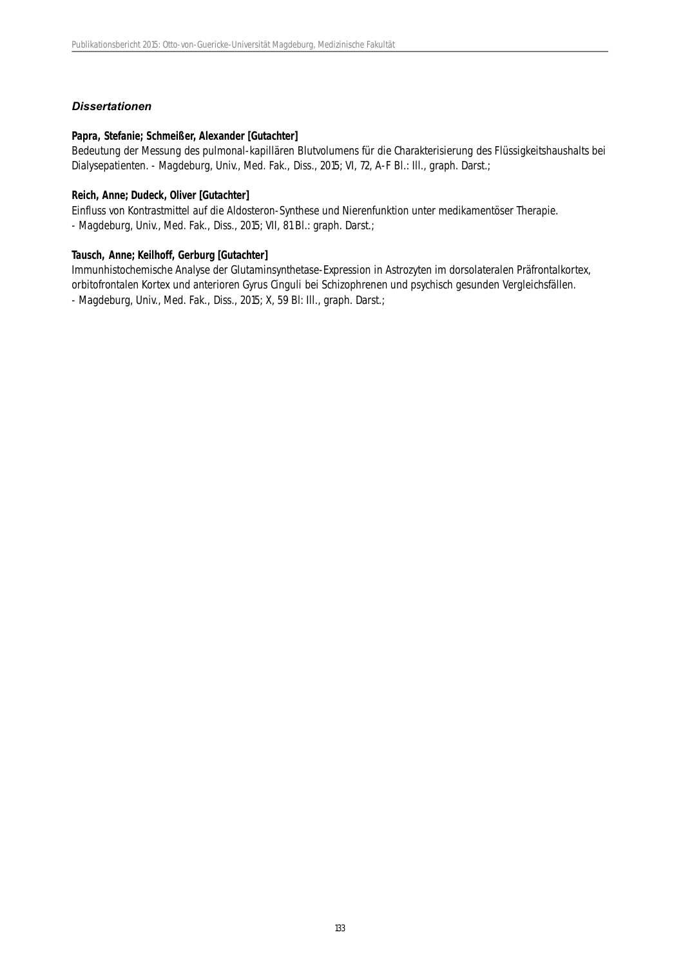### *Dissertationen*

#### **Papra, Stefanie; Schmeißer, Alexander [Gutachter]**

Bedeutung der Messung des pulmonal-kapillären Blutvolumens für die Charakterisierung des Flüssigkeitshaushalts bei Dialysepatienten. - Magdeburg, Univ., Med. Fak., Diss., 2015; VI, 72, A-F BI.: III., graph. Darst.;

#### **Reich, Anne; Dudeck, Oliver [Gutachter]**

Einfluss von Kontrastmittel auf die Aldosteron-Synthese und Nierenfunktion unter medikamentöser Therapie. - Magdeburg, Univ., Med. Fak., Diss., 2015; VII, 81 Bl.: graph. Darst.;

### **Tausch, Anne; Keilhoff, Gerburg [Gutachter]**

Immunhistochemische Analyse der Glutaminsynthetase-Expression in Astrozyten im dorsolateralen Präfrontalkortex, orbitofrontalen Kortex und anterioren Gyrus Cinguli bei Schizophrenen und psychisch gesunden Vergleichsfällen. - Magdeburg, Univ., Med. Fak., Diss., 2015; X, 59 Bl: Ill., graph. Darst.;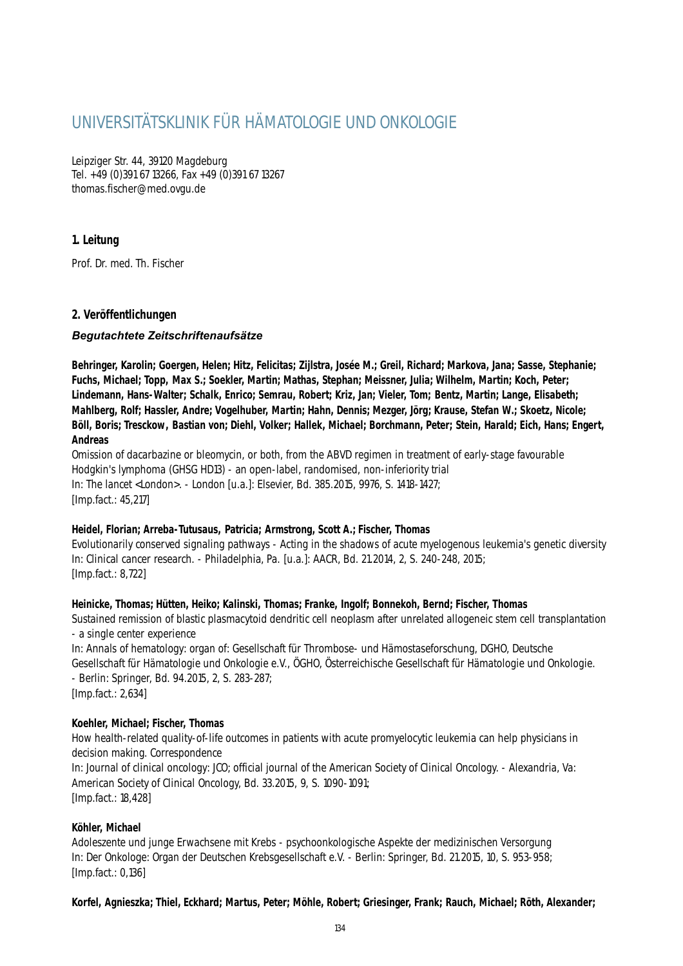# UNIVERSITÄTSKLINIK FÜR HÄMATOLOGIE UND ONKOLOGIE

Leipziger Str. 44, 39120 Magdeburg Tel. +49 (0)391 67 13266, Fax +49 (0)391 67 13267 thomas.fischer@med.ovgu.de

### **1. Leitung**

Prof. Dr. med. Th. Fischer

### **2. Veröffentlichungen**

### *Begutachtete Zeitschriftenaufsätze*

**Behringer, Karolin; Goergen, Helen; Hitz, Felicitas; Zijlstra, Josée M.; Greil, Richard; Markova, Jana; Sasse, Stephanie; Fuchs, Michael; Topp, Max S.; Soekler, Martin; Mathas, Stephan; Meissner, Julia; Wilhelm, Martin; Koch, Peter; Lindemann, Hans-Walter; Schalk, Enrico; Semrau, Robert; Kriz, Jan; Vieler, Tom; Bentz, Martin; Lange, Elisabeth; Mahlberg, Rolf; Hassler, Andre; Vogelhuber, Martin; Hahn, Dennis; Mezger, Jörg; Krause, Stefan W.; Skoetz, Nicole; Böll, Boris; Tresckow, Bastian von; Diehl, Volker; Hallek, Michael; Borchmann, Peter; Stein, Harald; Eich, Hans; Engert, Andreas**

Omission of dacarbazine or bleomycin, or both, from the ABVD regimen in treatment of early-stage favourable Hodgkin's lymphoma (GHSG HD13) - an open-label, randomised, non-inferiority trial In: The lancet <London>. - London [u.a.]: Elsevier, Bd. 385.2015, 9976, S. 1418-1427; [Imp.fact.: 45,217]

### **Heidel, Florian; Arreba-Tutusaus, Patricia; Armstrong, Scott A.; Fischer, Thomas**

Evolutionarily conserved signaling pathways - Acting in the shadows of acute myelogenous leukemia's genetic diversity In: Clinical cancer research. - Philadelphia, Pa. [u.a.]: AACR, Bd. 21.2014, 2, S. 240-248, 2015; [Imp.fact.: 8,722]

### **Heinicke, Thomas; Hütten, Heiko; Kalinski, Thomas; Franke, Ingolf; Bonnekoh, Bernd; Fischer, Thomas**

Sustained remission of blastic plasmacytoid dendritic cell neoplasm after unrelated allogeneic stem cell transplantation - a single center experience

In: Annals of hematology: organ of: Gesellschaft für Thrombose- und Hämostaseforschung, DGHO, Deutsche Gesellschaft für Hämatologie und Onkologie e.V., ÖGHO, Österreichische Gesellschaft für Hämatologie und Onkologie. - Berlin: Springer, Bd. 94.2015, 2, S. 283-287; [Imp.fact.: 2,634]

### **Koehler, Michael; Fischer, Thomas**

How health-related quality-of-life outcomes in patients with acute promyelocytic leukemia can help physicians in decision making. Correspondence

In: Journal of clinical oncology: JCO; official journal of the American Society of Clinical Oncology. - Alexandria, Va: American Society of Clinical Oncology, Bd. 33.2015, 9, S. 1090-1091; [Imp.fact.: 18,428]

### **Köhler, Michael**

Adoleszente und junge Erwachsene mit Krebs - psychoonkologische Aspekte der medizinischen Versorgung In: Der Onkologe: Organ der Deutschen Krebsgesellschaft e.V. - Berlin: Springer, Bd. 21.2015, 10, S. 953-958; [Imp.fact.: 0,136]

### **Korfel, Agnieszka; Thiel, Eckhard; Martus, Peter; Möhle, Robert; Griesinger, Frank; Rauch, Michael; Röth, Alexander;**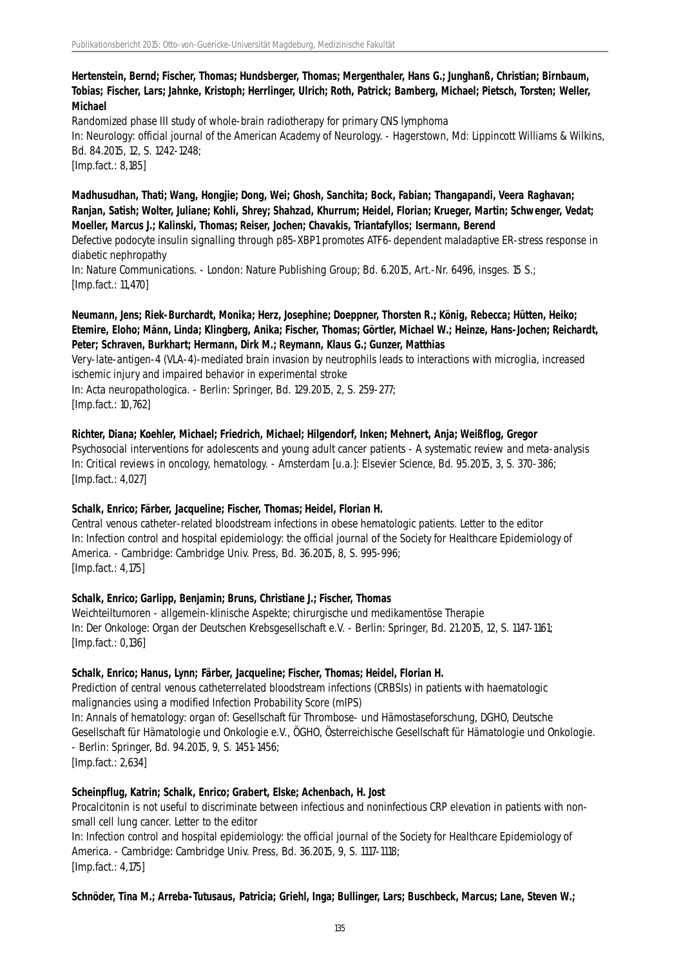### **Hertenstein, Bernd; Fischer, Thomas; Hundsberger, Thomas; Mergenthaler, Hans G.; Junghanß, Christian; Birnbaum, Tobias; Fischer, Lars; Jahnke, Kristoph; Herrlinger, Ulrich; Roth, Patrick; Bamberg, Michael; Pietsch, Torsten; Weller, Michael**

Randomized phase III study of whole-brain radiotherapy for primary CNS lymphoma In: Neurology: official journal of the American Academy of Neurology. - Hagerstown, Md: Lippincott Williams & Wilkins, Bd. 84.2015, 12, S. 1242-1248; [Imp.fact.: 8,185]

**Madhusudhan, Thati; Wang, Hongjie; Dong, Wei; Ghosh, Sanchita; Bock, Fabian; Thangapandi, Veera Raghavan; Ranjan, Satish; Wolter, Juliane; Kohli, Shrey; Shahzad, Khurrum; Heidel, Florian; Krueger, Martin; Schwenger, Vedat; Moeller, Marcus J.; Kalinski, Thomas; Reiser, Jochen; Chavakis, Triantafyllos; Isermann, Berend**

Defective podocyte insulin signalling through p85-XBP1 promotes ATF6-dependent maladaptive ER-stress response in diabetic nephropathy

In: Nature Communications. - London: Nature Publishing Group; Bd. 6.2015, Art.-Nr. 6496, insges. 15 S.; [Imp.fact.: 11,470]

### **Neumann, Jens; Riek-Burchardt, Monika; Herz, Josephine; Doeppner, Thorsten R.; König, Rebecca; Hütten, Heiko; Etemire, Eloho; Männ, Linda; Klingberg, Anika; Fischer, Thomas; Görtler, Michael W.; Heinze, Hans-Jochen; Reichardt, Peter; Schraven, Burkhart; Hermann, Dirk M.; Reymann, Klaus G.; Gunzer, Matthias**

Very-late-antigen-4 (VLA-4)-mediated brain invasion by neutrophils leads to interactions with microglia, increased ischemic injury and impaired behavior in experimental stroke

In: Acta neuropathologica. - Berlin: Springer, Bd. 129.2015, 2, S. 259-277;

[Imp.fact.: 10,762]

### **Richter, Diana; Koehler, Michael; Friedrich, Michael; Hilgendorf, Inken; Mehnert, Anja; Weißflog, Gregor**

Psychosocial interventions for adolescents and young adult cancer patients - A systematic review and meta-analysis In: Critical reviews in oncology, hematology. - Amsterdam [u.a.]: Elsevier Science, Bd. 95.2015, 3, S. 370-386; [Imp.fact.: 4,027]

### **Schalk, Enrico; Färber, Jacqueline; Fischer, Thomas; Heidel, Florian H.**

Central venous catheter-related bloodstream infections in obese hematologic patients. Letter to the editor In: Infection control and hospital epidemiology: the official journal of the Society for Healthcare Epidemiology of America. - Cambridge: Cambridge Univ. Press, Bd. 36.2015, 8, S. 995-996; [Imp.fact.: 4,175]

#### **Schalk, Enrico; Garlipp, Benjamin; Bruns, Christiane J.; Fischer, Thomas**

Weichteiltumoren - allgemein-klinische Aspekte; chirurgische und medikamentöse Therapie In: Der Onkologe: Organ der Deutschen Krebsgesellschaft e.V. - Berlin: Springer, Bd. 21.2015, 12, S. 1147-1161; [Imp.fact.: 0,136]

#### **Schalk, Enrico; Hanus, Lynn; Färber, Jacqueline; Fischer, Thomas; Heidel, Florian H.**

Prediction of central venous catheterrelated bloodstream infections (CRBSIs) in patients with haematologic malignancies using a modified Infection Probability Score (mIPS) In: Annals of hematology: organ of: Gesellschaft für Thrombose- und Hämostaseforschung, DGHO, Deutsche Gesellschaft für Hämatologie und Onkologie e.V., ÖGHO, Österreichische Gesellschaft für Hämatologie und Onkologie. - Berlin: Springer, Bd. 94.2015, 9, S. 1451-1456; [Imp.fact.: 2,634]

### **Scheinpflug, Katrin; Schalk, Enrico; Grabert, Elske; Achenbach, H. Jost**

Procalcitonin is not useful to discriminate between infectious and noninfectious CRP elevation in patients with nonsmall cell lung cancer. Letter to the editor

In: Infection control and hospital epidemiology: the official journal of the Society for Healthcare Epidemiology of America. - Cambridge: Cambridge Univ. Press, Bd. 36.2015, 9, S. 1117-1118; [Imp.fact.: 4,175]

**Schnöder, Tina M.; Arreba-Tutusaus, Patricia; Griehl, Inga; Bullinger, Lars; Buschbeck, Marcus; Lane, Steven W.;**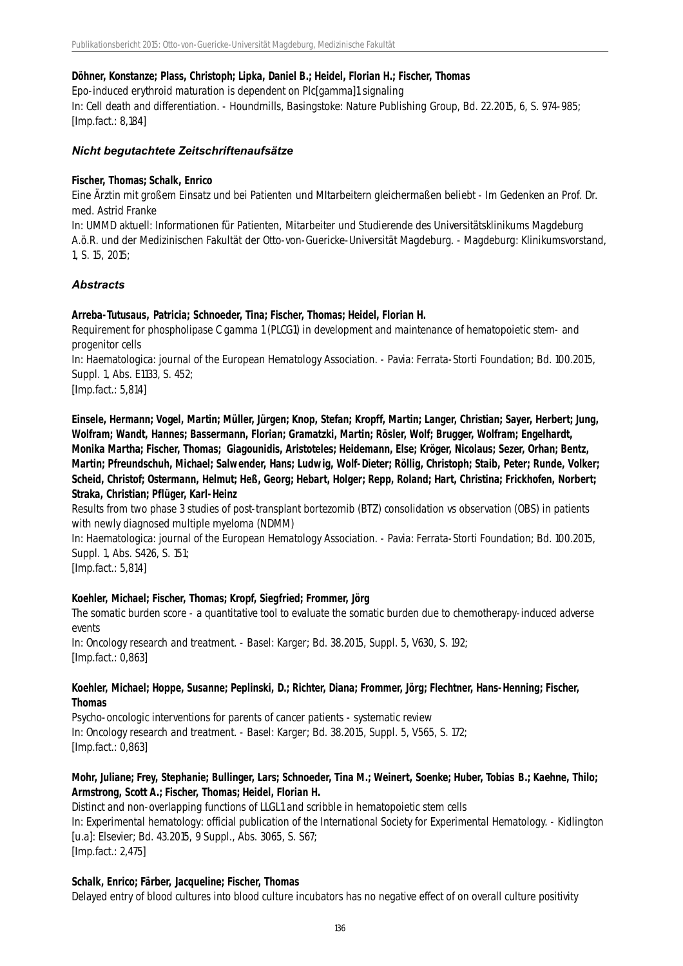#### **Döhner, Konstanze; Plass, Christoph; Lipka, Daniel B.; Heidel, Florian H.; Fischer, Thomas**

Epo-induced erythroid maturation is dependent on Plc[gamma]1 signaling

In: Cell death and differentiation. - Houndmills, Basingstoke: Nature Publishing Group, Bd. 22.2015, 6, S. 974-985; [Imp.fact.: 8,184]

#### *Nicht begutachtete Zeitschriftenaufsätze*

#### **Fischer, Thomas; Schalk, Enrico**

Eine Ärztin mit großem Einsatz und bei Patienten und MItarbeitern gleichermaßen beliebt - Im Gedenken an Prof. Dr. med. Astrid Franke

In: UMMD aktuell: Informationen für Patienten, Mitarbeiter und Studierende des Universitätsklinikums Magdeburg A.ö.R. und der Medizinischen Fakultät der Otto-von-Guericke-Universität Magdeburg. - Magdeburg: Klinikumsvorstand, 1, S. 15, 2015;

### *Abstracts*

#### **Arreba-Tutusaus, Patricia; Schnoeder, Tina; Fischer, Thomas; Heidel, Florian H.**

Requirement for phospholipase C gamma 1 (PLCG1) in development and maintenance of hematopoietic stem- and progenitor cells

In: Haematologica: journal of the European Hematology Association. - Pavia: Ferrata-Storti Foundation; Bd. 100.2015, Suppl. 1, Abs. E1133, S. 452;

[Imp.fact.: 5,814]

**Einsele, Hermann; Vogel, Martin; Müller, Jürgen; Knop, Stefan; Kropff, Martin; Langer, Christian; Sayer, Herbert; Jung, Wolfram; Wandt, Hannes; Bassermann, Florian; Gramatzki, Martin; Rösler, Wolf; Brugger, Wolfram; Engelhardt, Monika Martha; Fischer, Thomas; Giagounidis, Aristoteles; Heidemann, Else; Kröger, Nicolaus; Sezer, Orhan; Bentz, Martin; Pfreundschuh, Michael; Salwender, Hans; Ludwig, Wolf-Dieter; Röllig, Christoph; Staib, Peter; Runde, Volker; Scheid, Christof; Ostermann, Helmut; Heß, Georg; Hebart, Holger; Repp, Roland; Hart, Christina; Frickhofen, Norbert; Straka, Christian; Pflüger, Karl-Heinz**

Results from two phase 3 studies of post-transplant bortezomib (BTZ) consolidation vs observation (OBS) in patients with newly diagnosed multiple myeloma (NDMM)

In: Haematologica: journal of the European Hematology Association. - Pavia: Ferrata-Storti Foundation; Bd. 100.2015, Suppl. 1, Abs. S426, S. 151;

[Imp.fact.: 5,814]

#### **Koehler, Michael; Fischer, Thomas; Kropf, Siegfried; Frommer, Jörg**

The somatic burden score - a quantitative tool to evaluate the somatic burden due to chemotherapy-induced adverse events

In: Oncology research and treatment. - Basel: Karger; Bd. 38.2015, Suppl. 5, V630, S. 192; [Imp.fact.: 0,863]

#### **Koehler, Michael; Hoppe, Susanne; Peplinski, D.; Richter, Diana; Frommer, Jörg; Flechtner, Hans-Henning; Fischer, Thomas**

Psycho-oncologic interventions for parents of cancer patients - systematic review In: Oncology research and treatment. - Basel: Karger; Bd. 38.2015, Suppl. 5, V565, S. 172; [Imp.fact.: 0,863]

### **Mohr, Juliane; Frey, Stephanie; Bullinger, Lars; Schnoeder, Tina M.; Weinert, Soenke; Huber, Tobias B.; Kaehne, Thilo; Armstrong, Scott A.; Fischer, Thomas; Heidel, Florian H.**

Distinct and non-overlapping functions of LLGL1 and scribble in hematopoietic stem cells In: Experimental hematology: official publication of the International Society for Experimental Hematology. - Kidlington [u.a]: Elsevier; Bd. 43.2015, 9 Suppl., Abs. 3065, S. S67;

[Imp.fact.: 2,475]

#### **Schalk, Enrico; Färber, Jacqueline; Fischer, Thomas**

Delayed entry of blood cultures into blood culture incubators has no negative effect of on overall culture positivity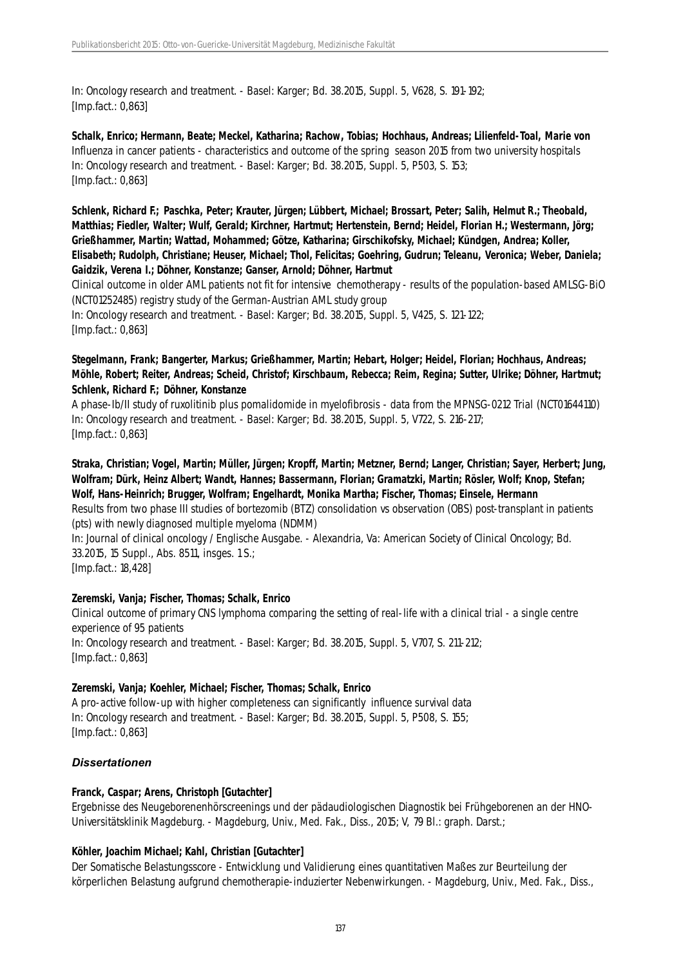In: Oncology research and treatment. - Basel: Karger; Bd. 38.2015, Suppl. 5, V628, S. 191-192; [Imp.fact.: 0,863]

**Schalk, Enrico; Hermann, Beate; Meckel, Katharina; Rachow, Tobias; Hochhaus, Andreas; Lilienfeld-Toal, Marie von** Influenza in cancer patients - characteristics and outcome of the spring season 2015 from two university hospitals In: Oncology research and treatment. - Basel: Karger; Bd. 38.2015, Suppl. 5, P503, S. 153; [Imp.fact.: 0,863]

**Schlenk, Richard F.; Paschka, Peter; Krauter, Jürgen; Lübbert, Michael; Brossart, Peter; Salih, Helmut R.; Theobald, Matthias; Fiedler, Walter; Wulf, Gerald; Kirchner, Hartmut; Hertenstein, Bernd; Heidel, Florian H.; Westermann, Jörg; Grießhammer, Martin; Wattad, Mohammed; Götze, Katharina; Girschikofsky, Michael; Kündgen, Andrea; Koller, Elisabeth; Rudolph, Christiane; Heuser, Michael; Thol, Felicitas; Goehring, Gudrun; Teleanu, Veronica; Weber, Daniela; Gaidzik, Verena I.; Döhner, Konstanze; Ganser, Arnold; Döhner, Hartmut**

Clinical outcome in older AML patients not fit for intensive chemotherapy - results of the population-based AMLSG-BiO (NCT01252485) registry study of the German-Austrian AML study group

In: Oncology research and treatment. - Basel: Karger; Bd. 38.2015, Suppl. 5, V425, S. 121-122; [Imp.fact.: 0,863]

### **Stegelmann, Frank; Bangerter, Markus; Grießhammer, Martin; Hebart, Holger; Heidel, Florian; Hochhaus, Andreas; Möhle, Robert; Reiter, Andreas; Scheid, Christof; Kirschbaum, Rebecca; Reim, Regina; Sutter, Ulrike; Döhner, Hartmut; Schlenk, Richard F.; Döhner, Konstanze**

A phase-Ib/II study of ruxolitinib plus pomalidomide in myelofibrosis - data from the MPNSG-0212 Trial (NCT01644110) In: Oncology research and treatment. - Basel: Karger; Bd. 38.2015, Suppl. 5, V722, S. 216-217; [Imp.fact.: 0,863]

### **Straka, Christian; Vogel, Martin; Müller, Jürgen; Kropff, Martin; Metzner, Bernd; Langer, Christian; Sayer, Herbert; Jung, Wolfram; Dürk, Heinz Albert; Wandt, Hannes; Bassermann, Florian; Gramatzki, Martin; Rösler, Wolf; Knop, Stefan; Wolf, Hans-Heinrich; Brugger, Wolfram; Engelhardt, Monika Martha; Fischer, Thomas; Einsele, Hermann**

Results from two phase III studies of bortezomib (BTZ) consolidation vs observation (OBS) post-transplant in patients (pts) with newly diagnosed multiple myeloma (NDMM)

In: Journal of clinical oncology / Englische Ausgabe. - Alexandria, Va: American Society of Clinical Oncology; Bd. 33.2015, 15 Suppl., Abs. 8511, insges. 1 S.;

[Imp.fact.: 18,428]

### **Zeremski, Vanja; Fischer, Thomas; Schalk, Enrico**

Clinical outcome of primary CNS lymphoma comparing the setting of real-life with a clinical trial - a single centre experience of 95 patients In: Oncology research and treatment. - Basel: Karger; Bd. 38.2015, Suppl. 5, V707, S. 211-212; [Imp.fact.: 0,863]

### **Zeremski, Vanja; Koehler, Michael; Fischer, Thomas; Schalk, Enrico**

A pro-active follow-up with higher completeness can significantly influence survival data In: Oncology research and treatment. - Basel: Karger; Bd. 38.2015, Suppl. 5, P508, S. 155; [Imp.fact.: 0,863]

### *Dissertationen*

### **Franck, Caspar; Arens, Christoph [Gutachter]**

Ergebnisse des Neugeborenenhörscreenings und der pädaudiologischen Diagnostik bei Frühgeborenen an der HNO-Universitätsklinik Magdeburg. - Magdeburg, Univ., Med. Fak., Diss., 2015; V, 79 Bl.: graph. Darst.;

### **Köhler, Joachim Michael; Kahl, Christian [Gutachter]**

Der Somatische Belastungsscore - Entwicklung und Validierung eines quantitativen Maßes zur Beurteilung der körperlichen Belastung aufgrund chemotherapie-induzierter Nebenwirkungen. - Magdeburg, Univ., Med. Fak., Diss.,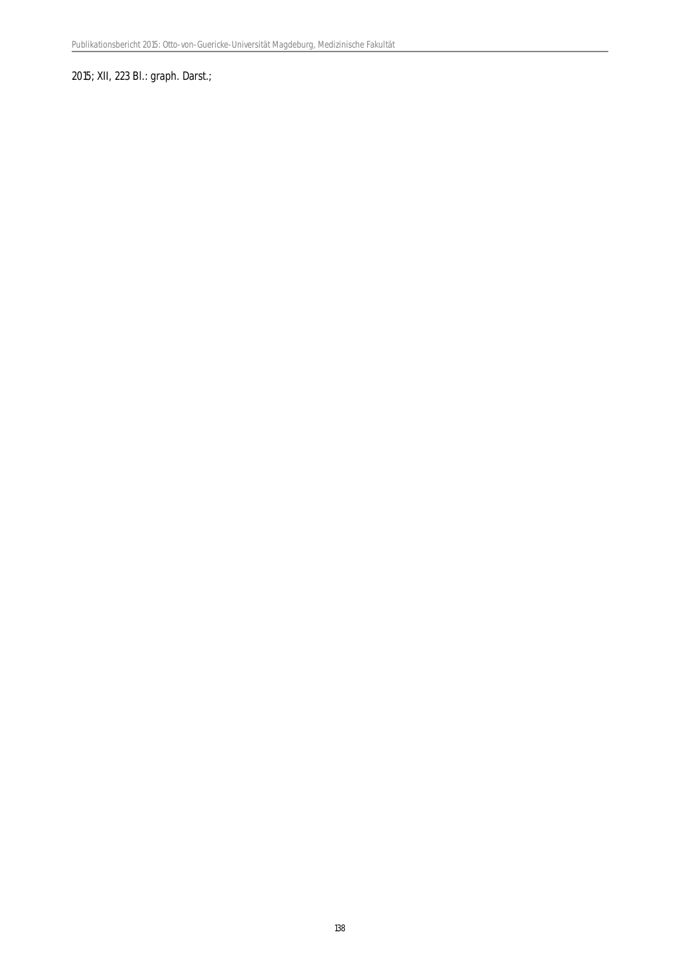### 2015; XII, 223 Bl.: graph. Darst.;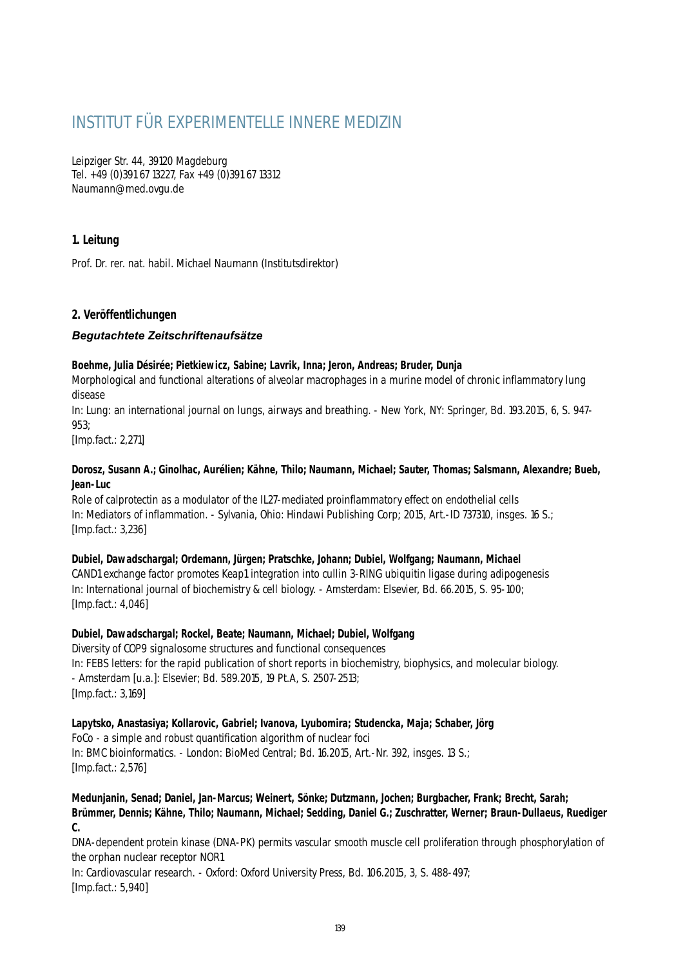# INSTITUT FÜR EXPERIMENTELLE INNERE MEDIZIN

Leipziger Str. 44, 39120 Magdeburg Tel. +49 (0)391 67 13227, Fax +49 (0)391 67 13312 Naumann@med.ovgu.de

### **1. Leitung**

Prof. Dr. rer. nat. habil. Michael Naumann (Institutsdirektor)

### **2. Veröffentlichungen**

### *Begutachtete Zeitschriftenaufsätze*

#### **Boehme, Julia Désirée; Pietkiewicz, Sabine; Lavrik, Inna; Jeron, Andreas; Bruder, Dunja**

Morphological and functional alterations of alveolar macrophages in a murine model of chronic inflammatory lung disease

In: Lung: an international journal on lungs, airways and breathing. - New York, NY: Springer, Bd. 193.2015, 6, S. 947- 953;

[Imp.fact.: 2,271]

#### **Dorosz, Susann A.; Ginolhac, Aurélien; Kähne, Thilo; Naumann, Michael; Sauter, Thomas; Salsmann, Alexandre; Bueb, Jean-Luc**

Role of calprotectin as a modulator of the IL27-mediated proinflammatory effect on endothelial cells In: Mediators of inflammation. - Sylvania, Ohio: Hindawi Publishing Corp; 2015, Art.-ID 737310, insges. 16 S.; [Imp.fact.: 3,236]

#### **Dubiel, Dawadschargal; Ordemann, Jürgen; Pratschke, Johann; Dubiel, Wolfgang; Naumann, Michael**

CAND1 exchange factor promotes Keap1 integration into cullin 3-RING ubiquitin ligase during adipogenesis In: International journal of biochemistry & cell biology. - Amsterdam: Elsevier, Bd. 66.2015, S. 95-100; [Imp.fact.: 4,046]

### **Dubiel, Dawadschargal; Rockel, Beate; Naumann, Michael; Dubiel, Wolfgang**

Diversity of COP9 signalosome structures and functional consequences In: FEBS letters: for the rapid publication of short reports in biochemistry, biophysics, and molecular biology. - Amsterdam [u.a.]: Elsevier; Bd. 589.2015, 19 Pt.A, S. 2507-2513; [Imp.fact.: 3,169]

### **Lapytsko, Anastasiya; Kollarovic, Gabriel; Ivanova, Lyubomira; Studencka, Maja; Schaber, Jörg**

FoCo - a simple and robust quantification algorithm of nuclear foci In: BMC bioinformatics. - London: BioMed Central; Bd. 16.2015, Art.-Nr. 392, insges. 13 S.;

[Imp.fact.: 2,576]

**Medunjanin, Senad; Daniel, Jan-Marcus; Weinert, Sönke; Dutzmann, Jochen; Burgbacher, Frank; Brecht, Sarah; Brümmer, Dennis; Kähne, Thilo; Naumann, Michael; Sedding, Daniel G.; Zuschratter, Werner; Braun-Dullaeus, Ruediger C.**

DNA-dependent protein kinase (DNA-PK) permits vascular smooth muscle cell proliferation through phosphorylation of the orphan nuclear receptor NOR1

In: Cardiovascular research. - Oxford: Oxford University Press, Bd. 106.2015, 3, S. 488-497; [Imp.fact.: 5,940]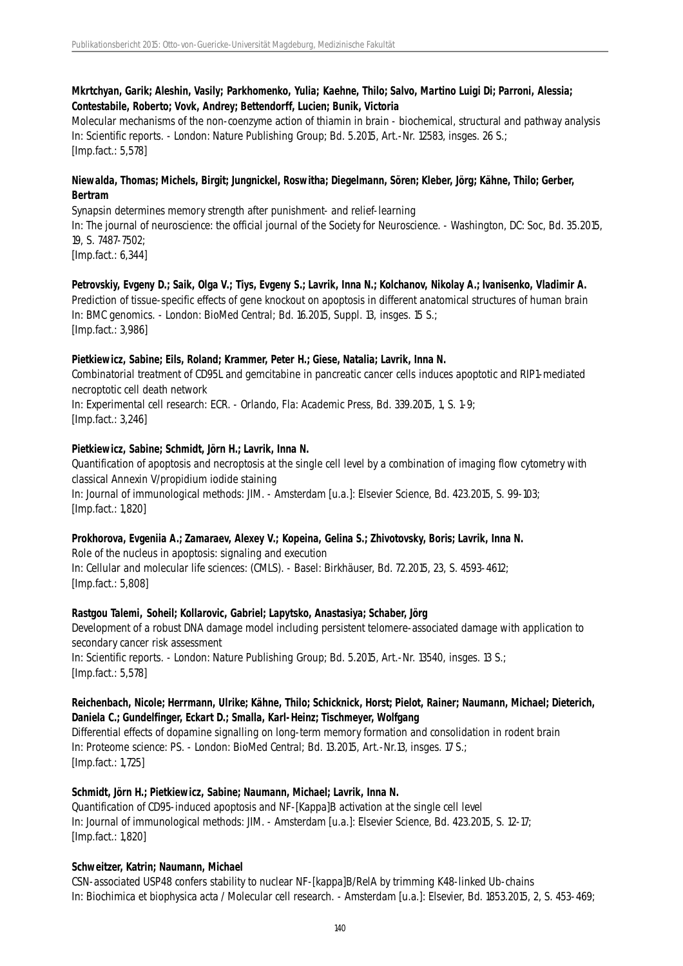### **Mkrtchyan, Garik; Aleshin, Vasily; Parkhomenko, Yulia; Kaehne, Thilo; Salvo, Martino Luigi Di; Parroni, Alessia; Contestabile, Roberto; Vovk, Andrey; Bettendorff, Lucien; Bunik, Victoria**

Molecular mechanisms of the non-coenzyme action of thiamin in brain - biochemical, structural and pathway analysis In: Scientific reports. - London: Nature Publishing Group; Bd. 5.2015, Art.-Nr. 12583, insges. 26 S.; [Imp.fact.: 5,578]

### **Niewalda, Thomas; Michels, Birgit; Jungnickel, Roswitha; Diegelmann, Sören; Kleber, Jörg; Kähne, Thilo; Gerber, Bertram**

Synapsin determines memory strength after punishment- and relief-learning In: The journal of neuroscience: the official journal of the Society for Neuroscience. - Washington, DC: Soc, Bd. 35.2015, 19, S. 7487-7502; [Imp.fact.: 6,344]

**Petrovskiy, Evgeny D.; Saik, Olga V.; Tiys, Evgeny S.; Lavrik, Inna N.; Kolchanov, Nikolay A.; Ivanisenko, Vladimir A.** Prediction of tissue-specific effects of gene knockout on apoptosis in different anatomical structures of human brain In: BMC genomics. - London: BioMed Central; Bd. 16.2015, Suppl. 13, insges. 15 S.; [Imp.fact.: 3,986]

### **Pietkiewicz, Sabine; Eils, Roland; Krammer, Peter H.; Giese, Natalia; Lavrik, Inna N.**

Combinatorial treatment of CD95L and gemcitabine in pancreatic cancer cells induces apoptotic and RIP1-mediated necroptotic cell death network

In: Experimental cell research: ECR. - Orlando, Fla: Academic Press, Bd. 339.2015, 1, S. 1-9; [Imp.fact.: 3,246]

### **Pietkiewicz, Sabine; Schmidt, Jörn H.; Lavrik, Inna N.**

Quantification of apoptosis and necroptosis at the single cell level by a combination of imaging flow cytometry with classical Annexin V/propidium iodide staining In: Journal of immunological methods: JIM. - Amsterdam [u.a.]: Elsevier Science, Bd. 423.2015, S. 99-103; [Imp.fact.: 1,820]

### **Prokhorova, Evgeniia A.; Zamaraev, Alexey V.; Kopeina, Gelina S.; Zhivotovsky, Boris; Lavrik, Inna N.**

Role of the nucleus in apoptosis: signaling and execution In: Cellular and molecular life sciences: (CMLS). - Basel: Birkhäuser, Bd. 72.2015, 23, S. 4593-4612; [Imp.fact.: 5,808]

### **Rastgou Talemi, Soheil; Kollarovic, Gabriel; Lapytsko, Anastasiya; Schaber, Jörg**

Development of a robust DNA damage model including persistent telomere-associated damage with application to secondary cancer risk assessment In: Scientific reports. - London: Nature Publishing Group; Bd. 5.2015, Art.-Nr. 13540, insges. 13 S.; [Imp.fact.: 5,578]

### **Reichenbach, Nicole; Herrmann, Ulrike; Kähne, Thilo; Schicknick, Horst; Pielot, Rainer; Naumann, Michael; Dieterich, Daniela C.; Gundelfinger, Eckart D.; Smalla, Karl-Heinz; Tischmeyer, Wolfgang**

Differential effects of dopamine signalling on long-term memory formation and consolidation in rodent brain In: Proteome science: PS. - London: BioMed Central; Bd. 13.2015, Art.-Nr.13, insges. 17 S.; [Imp.fact.: 1,725]

### **Schmidt, Jörn H.; Pietkiewicz, Sabine; Naumann, Michael; Lavrik, Inna N.**

Quantification of CD95-induced apoptosis and NF-[Kappa]B activation at the single cell level In: Journal of immunological methods: JIM. - Amsterdam [u.a.]: Elsevier Science, Bd. 423.2015, S. 12-17; [Imp.fact.: 1,820]

### **Schweitzer, Katrin; Naumann, Michael**

CSN-associated USP48 confers stability to nuclear NF-[kappa]B/RelA by trimming K48-linked Ub-chains In: Biochimica et biophysica acta / Molecular cell research. - Amsterdam [u.a.]: Elsevier, Bd. 1853.2015, 2, S. 453-469;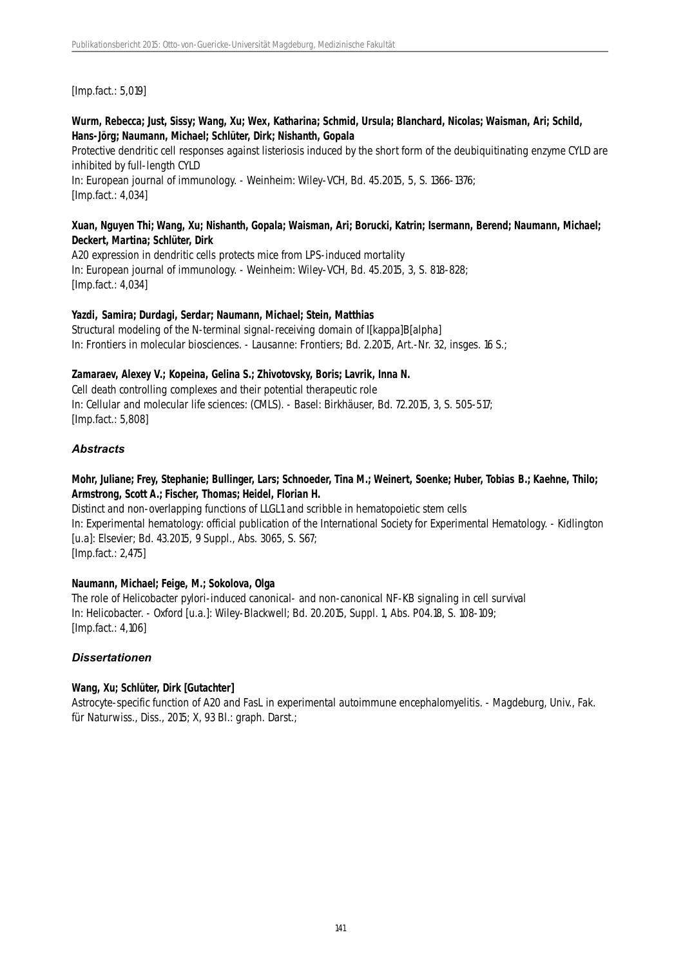[Imp.fact.: 5,019]

### **Wurm, Rebecca; Just, Sissy; Wang, Xu; Wex, Katharina; Schmid, Ursula; Blanchard, Nicolas; Waisman, Ari; Schild, Hans-Jörg; Naumann, Michael; Schlüter, Dirk; Nishanth, Gopala**

Protective dendritic cell responses against listeriosis induced by the short form of the deubiquitinating enzyme CYLD are inhibited by full-length CYLD

In: European journal of immunology. - Weinheim: Wiley-VCH, Bd. 45.2015, 5, S. 1366-1376; [Imp.fact.: 4,034]

#### **Xuan, Nguyen Thi; Wang, Xu; Nishanth, Gopala; Waisman, Ari; Borucki, Katrin; Isermann, Berend; Naumann, Michael; Deckert, Martina; Schlüter, Dirk**

A20 expression in dendritic cells protects mice from LPS-induced mortality In: European journal of immunology. - Weinheim: Wiley-VCH, Bd. 45.2015, 3, S. 818-828; [Imp.fact.: 4,034]

### **Yazdi, Samira; Durdagi, Serdar; Naumann, Michael; Stein, Matthias**

Structural modeling of the N-terminal signal-receiving domain of I[kappa]B[alpha] In: Frontiers in molecular biosciences. - Lausanne: Frontiers; Bd. 2.2015, Art.-Nr. 32, insges. 16 S.;

### **Zamaraev, Alexey V.; Kopeina, Gelina S.; Zhivotovsky, Boris; Lavrik, Inna N.**

Cell death controlling complexes and their potential therapeutic role In: Cellular and molecular life sciences: (CMLS). - Basel: Birkhäuser, Bd. 72.2015, 3, S. 505-517; [Imp.fact.: 5,808]

### *Abstracts*

### **Mohr, Juliane; Frey, Stephanie; Bullinger, Lars; Schnoeder, Tina M.; Weinert, Soenke; Huber, Tobias B.; Kaehne, Thilo; Armstrong, Scott A.; Fischer, Thomas; Heidel, Florian H.**

Distinct and non-overlapping functions of LLGL1 and scribble in hematopoietic stem cells In: Experimental hematology: official publication of the International Society for Experimental Hematology. - Kidlington [u.a]: Elsevier; Bd. 43.2015, 9 Suppl., Abs. 3065, S. S67; [Imp.fact.: 2,475]

### **Naumann, Michael; Feige, M.; Sokolova, Olga**

The role of Helicobacter pylori-induced canonical- and non-canonical NF-KB signaling in cell survival In: Helicobacter. - Oxford [u.a.]: Wiley-Blackwell; Bd. 20.2015, Suppl. 1, Abs. P04.18, S. 108-109; [Imp.fact.: 4,106]

### *Dissertationen*

### **Wang, Xu; Schlüter, Dirk [Gutachter]**

Astrocyte-specific function of A20 and FasL in experimental autoimmune encephalomyelitis. - Magdeburg, Univ., Fak. für Naturwiss., Diss., 2015; X, 93 Bl.: graph. Darst.;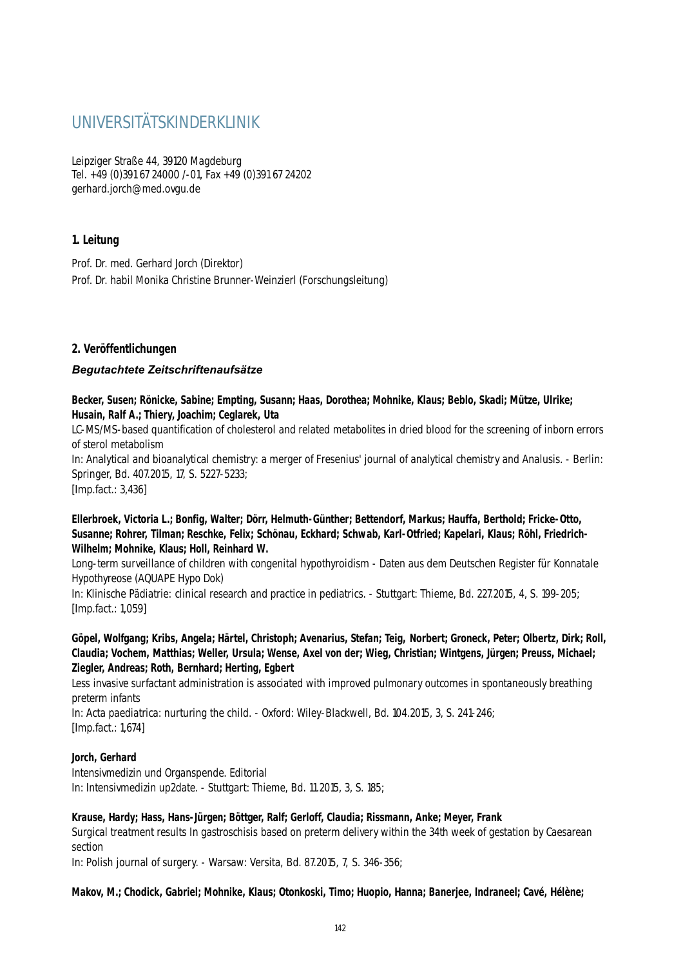## UNIVERSITÄTSKINDERKLINIK

Leipziger Straße 44, 39120 Magdeburg Tel. +49 (0)391 67 24000 /-01, Fax +49 (0)391 67 24202 gerhard.jorch@med.ovgu.de

### **1. Leitung**

Prof. Dr. med. Gerhard Jorch (Direktor) Prof. Dr. habil Monika Christine Brunner-Weinzierl (Forschungsleitung)

### **2. Veröffentlichungen**

### *Begutachtete Zeitschriftenaufsätze*

**Becker, Susen; Rönicke, Sabine; Empting, Susann; Haas, Dorothea; Mohnike, Klaus; Beblo, Skadi; Mütze, Ulrike; Husain, Ralf A.; Thiery, Joachim; Ceglarek, Uta**

LC-MS/MS-based quantification of cholesterol and related metabolites in dried blood for the screening of inborn errors of sterol metabolism

In: Analytical and bioanalytical chemistry: a merger of Fresenius' journal of analytical chemistry and Analusis. - Berlin: Springer, Bd. 407.2015, 17, S. 5227-5233;

[Imp.fact.: 3,436]

### **Ellerbroek, Victoria L.; Bonfig, Walter; Dörr, Helmuth-Günther; Bettendorf, Markus; Hauffa, Berthold; Fricke-Otto, Susanne; Rohrer, Tilman; Reschke, Felix; Schönau, Eckhard; Schwab, Karl-Otfried; Kapelari, Klaus; Röhl, Friedrich-Wilhelm; Mohnike, Klaus; Holl, Reinhard W.**

Long-term surveillance of children with congenital hypothyroidism - Daten aus dem Deutschen Register für Konnatale Hypothyreose (AQUAPE Hypo Dok)

In: Klinische Pädiatrie: clinical research and practice in pediatrics. - Stuttgart: Thieme, Bd. 227.2015, 4, S. 199-205; [Imp.fact.: 1,059]

### **Göpel, Wolfgang; Kribs, Angela; Härtel, Christoph; Avenarius, Stefan; Teig, Norbert; Groneck, Peter; Olbertz, Dirk; Roll, Claudia; Vochem, Matthias; Weller, Ursula; Wense, Axel von der; Wieg, Christian; Wintgens, Jürgen; Preuss, Michael; Ziegler, Andreas; Roth, Bernhard; Herting, Egbert**

Less invasive surfactant administration is associated with improved pulmonary outcomes in spontaneously breathing preterm infants

In: Acta paediatrica: nurturing the child. - Oxford: Wiley-Blackwell, Bd. 104.2015, 3, S. 241-246; [Imp.fact.: 1,674]

### **Jorch, Gerhard**

Intensivmedizin und Organspende. Editorial In: Intensivmedizin up2date. - Stuttgart: Thieme, Bd. 11.2015, 3, S. 185;

### **Krause, Hardy; Hass, Hans-Jürgen; Böttger, Ralf; Gerloff, Claudia; Rissmann, Anke; Meyer, Frank**

Surgical treatment results In gastroschisis based on preterm delivery within the 34th week of gestation by Caesarean section

In: Polish journal of surgery. - Warsaw: Versita, Bd. 87.2015, 7, S. 346-356;

**Makov, M.; Chodick, Gabriel; Mohnike, Klaus; Otonkoski, Timo; Huopio, Hanna; Banerjee, Indraneel; Cavé, Hélène;**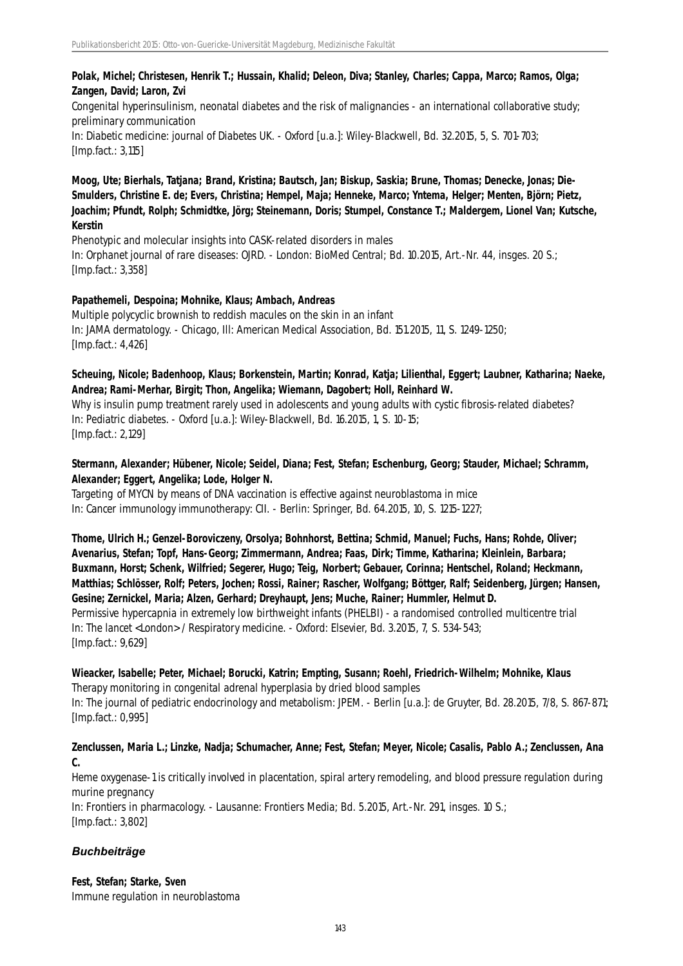### **Polak, Michel; Christesen, Henrik T.; Hussain, Khalid; Deleon, Diva; Stanley, Charles; Cappa, Marco; Ramos, Olga; Zangen, David; Laron, Zvi**

Congenital hyperinsulinism, neonatal diabetes and the risk of malignancies - an international collaborative study; preliminary communication

In: Diabetic medicine: journal of Diabetes UK. - Oxford [u.a.]: Wiley-Blackwell, Bd. 32.2015, 5, S. 701-703; [Imp.fact.: 3,115]

**Moog, Ute; Bierhals, Tatjana; Brand, Kristina; Bautsch, Jan; Biskup, Saskia; Brune, Thomas; Denecke, Jonas; Die-Smulders, Christine E. de; Evers, Christina; Hempel, Maja; Henneke, Marco; Yntema, Helger; Menten, Björn; Pietz, Joachim; Pfundt, Rolph; Schmidtke, Jörg; Steinemann, Doris; Stumpel, Constance T.; Maldergem, Lionel Van; Kutsche, Kerstin**

Phenotypic and molecular insights into CASK-related disorders in males In: Orphanet journal of rare diseases: OJRD. - London: BioMed Central; Bd. 10.2015, Art.-Nr. 44, insges. 20 S.; [Imp.fact.: 3,358]

### **Papathemeli, Despoina; Mohnike, Klaus; Ambach, Andreas**

Multiple polycyclic brownish to reddish macules on the skin in an infant In: JAMA dermatology. - Chicago, Ill: American Medical Association, Bd. 151.2015, 11, S. 1249-1250; [Imp.fact.: 4,426]

### **Scheuing, Nicole; Badenhoop, Klaus; Borkenstein, Martin; Konrad, Katja; Lilienthal, Eggert; Laubner, Katharina; Naeke, Andrea; Rami-Merhar, Birgit; Thon, Angelika; Wiemann, Dagobert; Holl, Reinhard W.**

Why is insulin pump treatment rarely used in adolescents and young adults with cystic fibrosis-related diabetes? In: Pediatric diabetes. - Oxford [u.a.]: Wiley-Blackwell, Bd. 16.2015, 1, S. 10-15; [Imp.fact.: 2,129]

### **Stermann, Alexander; Hübener, Nicole; Seidel, Diana; Fest, Stefan; Eschenburg, Georg; Stauder, Michael; Schramm, Alexander; Eggert, Angelika; Lode, Holger N.**

Targeting of MYCN by means of DNA vaccination is effective against neuroblastoma in mice In: Cancer immunology immunotherapy: CII. - Berlin: Springer, Bd. 64.2015, 10, S. 1215-1227;

**Thome, Ulrich H.; Genzel-Boroviczeny, Orsolya; Bohnhorst, Bettina; Schmid, Manuel; Fuchs, Hans; Rohde, Oliver; Avenarius, Stefan; Topf, Hans-Georg; Zimmermann, Andrea; Faas, Dirk; Timme, Katharina; Kleinlein, Barbara; Buxmann, Horst; Schenk, Wilfried; Segerer, Hugo; Teig, Norbert; Gebauer, Corinna; Hentschel, Roland; Heckmann, Matthias; Schlösser, Rolf; Peters, Jochen; Rossi, Rainer; Rascher, Wolfgang; Böttger, Ralf; Seidenberg, Jürgen; Hansen, Gesine; Zernickel, Maria; Alzen, Gerhard; Dreyhaupt, Jens; Muche, Rainer; Hummler, Helmut D.** Permissive hypercapnia in extremely low birthweight infants (PHELBI) - a randomised controlled multicentre trial In: The lancet <London> / Respiratory medicine. - Oxford: Elsevier, Bd. 3.2015, 7, S. 534-543; [Imp.fact.: 9,629]

### **Wieacker, Isabelle; Peter, Michael; Borucki, Katrin; Empting, Susann; Roehl, Friedrich-Wilhelm; Mohnike, Klaus**

Therapy monitoring in congenital adrenal hyperplasia by dried blood samples In: The journal of pediatric endocrinology and metabolism: JPEM. - Berlin [u.a.]: de Gruyter, Bd. 28.2015, 7/8, S. 867-871; [Imp.fact.: 0,995]

### **Zenclussen, Maria L.; Linzke, Nadja; Schumacher, Anne; Fest, Stefan; Meyer, Nicole; Casalis, Pablo A.; Zenclussen, Ana C.**

Heme oxygenase-1 is critically involved in placentation, spiral artery remodeling, and blood pressure regulation during murine pregnancy In: Frontiers in pharmacology. - Lausanne: Frontiers Media; Bd. 5.2015, Art.-Nr. 291, insges. 10 S.; [Imp.fact.: 3,802]

### *Buchbeiträge*

**Fest, Stefan; Starke, Sven** Immune regulation in neuroblastoma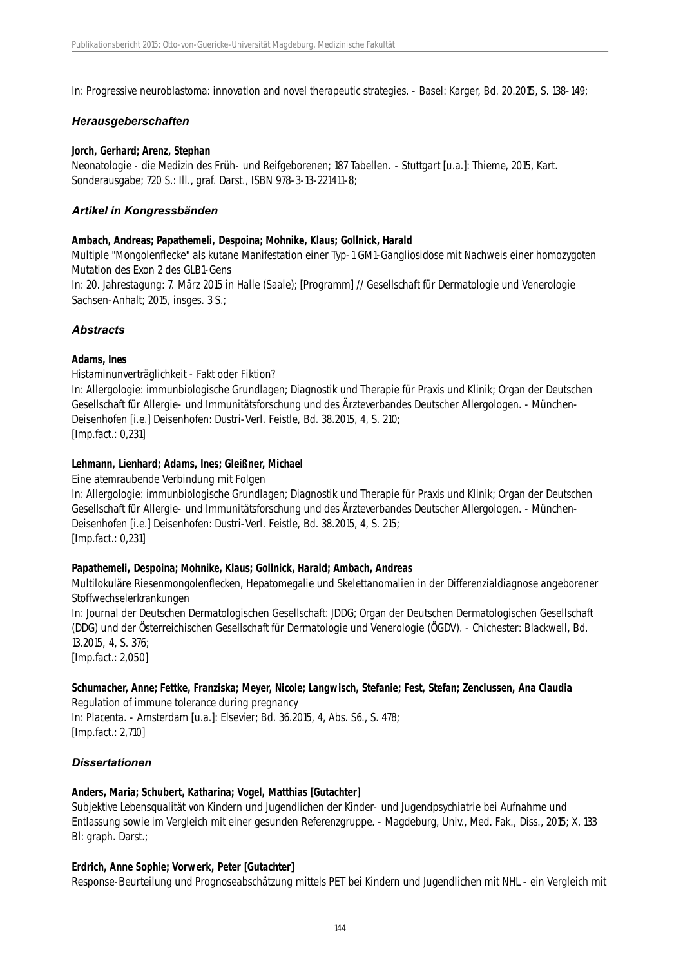In: Progressive neuroblastoma: innovation and novel therapeutic strategies. - Basel: Karger, Bd. 20.2015, S. 138-149;

#### *Herausgeberschaften*

#### **Jorch, Gerhard; Arenz, Stephan**

Neonatologie - die Medizin des Früh- und Reifgeborenen; 187 Tabellen. - Stuttgart [u.a.]: Thieme, 2015, Kart. Sonderausgabe; 720 S.: Ill., graf. Darst., ISBN 978-3-13-221411-8;

#### *Artikel in Kongressbänden*

#### **Ambach, Andreas; Papathemeli, Despoina; Mohnike, Klaus; Gollnick, Harald**

Multiple "Mongolenflecke" als kutane Manifestation einer Typ-1 GM1-Gangliosidose mit Nachweis einer homozygoten Mutation des Exon 2 des GLB1-Gens

In: 20. Jahrestagung: 7. März 2015 in Halle (Saale); [Programm] // Gesellschaft für Dermatologie und Venerologie Sachsen-Anhalt: 2015, insges. 3 S.;

## *Abstracts*

## **Adams, Ines**

Histaminunverträglichkeit - Fakt oder Fiktion?

In: Allergologie: immunbiologische Grundlagen; Diagnostik und Therapie für Praxis und Klinik; Organ der Deutschen Gesellschaft für Allergie- und Immunitätsforschung und des Ärzteverbandes Deutscher Allergologen. - München-Deisenhofen [i.e.] Deisenhofen: Dustri-Verl. Feistle, Bd. 38.2015, 4, S. 210; [Imp.fact.: 0,231]

## **Lehmann, Lienhard; Adams, Ines; Gleißner, Michael**

Eine atemraubende Verbindung mit Folgen

In: Allergologie: immunbiologische Grundlagen; Diagnostik und Therapie für Praxis und Klinik; Organ der Deutschen Gesellschaft für Allergie- und Immunitätsforschung und des Ärzteverbandes Deutscher Allergologen. - München-Deisenhofen [i.e.] Deisenhofen: Dustri-Verl. Feistle, Bd. 38.2015, 4, S. 215; [Imp.fact.: 0,231]

## **Papathemeli, Despoina; Mohnike, Klaus; Gollnick, Harald; Ambach, Andreas**

Multilokuläre Riesenmongolenflecken, Hepatomegalie und Skelettanomalien in der Differenzialdiagnose angeborener Stoffwechselerkrankungen

In: Journal der Deutschen Dermatologischen Gesellschaft: JDDG; Organ der Deutschen Dermatologischen Gesellschaft (DDG) und der Österreichischen Gesellschaft für Dermatologie und Venerologie (ÖGDV). - Chichester: Blackwell, Bd. 13.2015, 4, S. 376;

[Imp.fact.: 2,050]

# **Schumacher, Anne; Fettke, Franziska; Meyer, Nicole; Langwisch, Stefanie; Fest, Stefan; Zenclussen, Ana Claudia**

Regulation of immune tolerance during pregnancy In: Placenta. - Amsterdam [u.a.]: Elsevier; Bd. 36.2015, 4, Abs. S6., S. 478; [Imp.fact.: 2,710]

## *Dissertationen*

## **Anders, Maria; Schubert, Katharina; Vogel, Matthias [Gutachter]**

Subjektive Lebensqualität von Kindern und Jugendlichen der Kinder- und Jugendpsychiatrie bei Aufnahme und Entlassung sowie im Vergleich mit einer gesunden Referenzgruppe. - Magdeburg, Univ., Med. Fak., Diss., 2015; X, 133 Bl: graph. Darst.;

## **Erdrich, Anne Sophie; Vorwerk, Peter [Gutachter]**

Response-Beurteilung und Prognoseabschätzung mittels PET bei Kindern und Jugendlichen mit NHL - ein Vergleich mit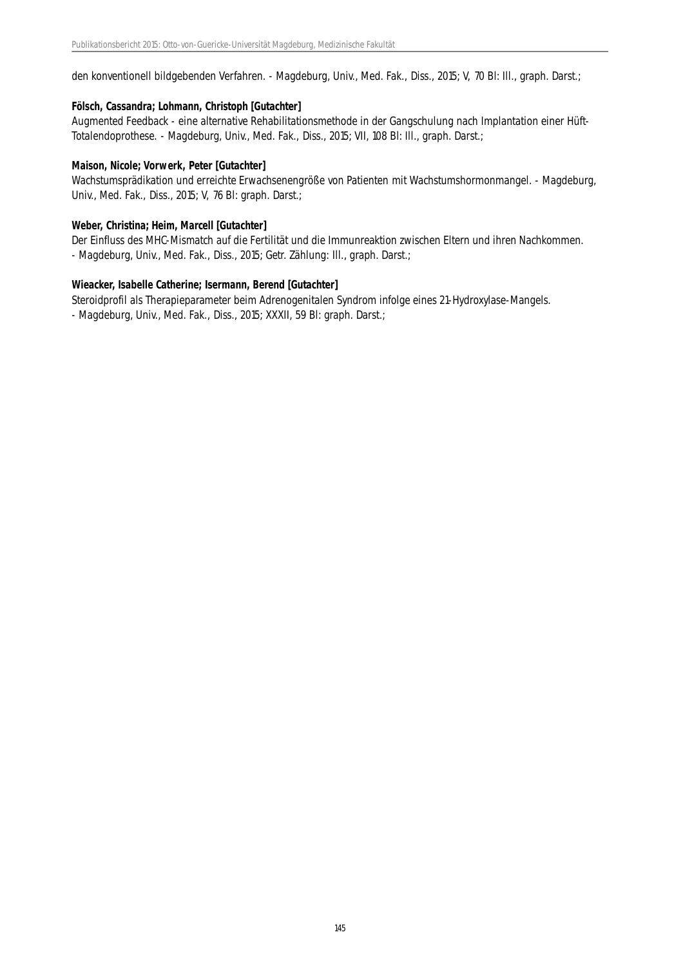den konventionell bildgebenden Verfahren. - Magdeburg, Univ., Med. Fak., Diss., 2015; V, 70 Bl: Ill., graph. Darst.;

#### **Fölsch, Cassandra; Lohmann, Christoph [Gutachter]**

Augmented Feedback - eine alternative Rehabilitationsmethode in der Gangschulung nach Implantation einer Hüft-Totalendoprothese. - Magdeburg, Univ., Med. Fak., Diss., 2015; VII, 108 Bl: Ill., graph. Darst.;

#### **Maison, Nicole; Vorwerk, Peter [Gutachter]**

Wachstumsprädikation und erreichte Erwachsenengröße von Patienten mit Wachstumshormonmangel. - Magdeburg, Univ., Med. Fak., Diss., 2015; V, 76 Bl: graph. Darst.;

#### **Weber, Christina; Heim, Marcell [Gutachter]**

Der Einfluss des MHC-Mismatch auf die Fertilität und die Immunreaktion zwischen Eltern und ihren Nachkommen. - Magdeburg, Univ., Med. Fak., Diss., 2015; Getr. Zählung: Ill., graph. Darst.;

#### **Wieacker, Isabelle Catherine; Isermann, Berend [Gutachter]**

Steroidprofil als Therapieparameter beim Adrenogenitalen Syndrom infolge eines 21-Hydroxylase-Mangels. - Magdeburg, Univ., Med. Fak., Diss., 2015; XXXII, 59 Bl: graph. Darst.;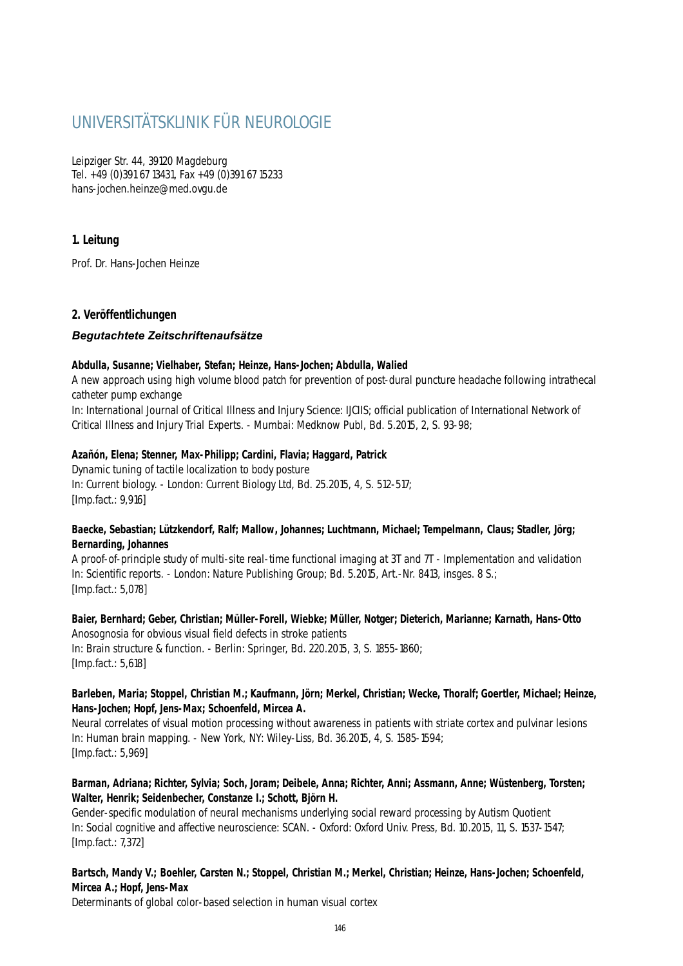# UNIVERSITÄTSKLINIK FÜR NEUROLOGIE

Leipziger Str. 44, 39120 Magdeburg Tel. +49 (0)391 67 13431, Fax +49 (0)391 67 15233 hans-jochen.heinze@med.ovgu.de

# **1. Leitung**

Prof. Dr. Hans-Jochen Heinze

# **2. Veröffentlichungen**

# *Begutachtete Zeitschriftenaufsätze*

## **Abdulla, Susanne; Vielhaber, Stefan; Heinze, Hans-Jochen; Abdulla, Walied**

A new approach using high volume blood patch for prevention of post-dural puncture headache following intrathecal catheter pump exchange

In: International Journal of Critical Illness and Injury Science: IJCIIS; official publication of International Network of Critical Illness and Injury Trial Experts. - Mumbai: Medknow Publ, Bd. 5.2015, 2, S. 93-98;

# **Azañón, Elena; Stenner, Max-Philipp; Cardini, Flavia; Haggard, Patrick**

Dynamic tuning of tactile localization to body posture In: Current biology. - London: Current Biology Ltd, Bd. 25.2015, 4, S. 512-517; [Imp.fact.: 9,916]

## **Baecke, Sebastian; Lützkendorf, Ralf; Mallow, Johannes; Luchtmann, Michael; Tempelmann, Claus; Stadler, Jörg; Bernarding, Johannes**

A proof-of-principle study of multi-site real-time functional imaging at 3T and 7T - Implementation and validation In: Scientific reports. - London: Nature Publishing Group; Bd. 5.2015, Art.-Nr. 8413, insges. 8 S.; [Imp.fact.: 5,078]

**Baier, Bernhard; Geber, Christian; Müller-Forell, Wiebke; Müller, Notger; Dieterich, Marianne; Karnath, Hans-Otto** Anosognosia for obvious visual field defects in stroke patients In: Brain structure & function. - Berlin: Springer, Bd. 220.2015, 3, S. 1855-1860; [Imp.fact.: 5,618]

## **Barleben, Maria; Stoppel, Christian M.; Kaufmann, Jörn; Merkel, Christian; Wecke, Thoralf; Goertler, Michael; Heinze, Hans-Jochen; Hopf, Jens-Max; Schoenfeld, Mircea A.**

Neural correlates of visual motion processing without awareness in patients with striate cortex and pulvinar lesions In: Human brain mapping. - New York, NY: Wiley-Liss, Bd. 36.2015, 4, S. 1585-1594; [Imp.fact.: 5,969]

## **Barman, Adriana; Richter, Sylvia; Soch, Joram; Deibele, Anna; Richter, Anni; Assmann, Anne; Wüstenberg, Torsten; Walter, Henrik; Seidenbecher, Constanze I.; Schott, Björn H.**

Gender-specific modulation of neural mechanisms underlying social reward processing by Autism Quotient In: Social cognitive and affective neuroscience: SCAN. - Oxford: Oxford Univ. Press, Bd. 10.2015, 11, S. 1537-1547; [Imp.fact.: 7,372]

# **Bartsch, Mandy V.; Boehler, Carsten N.; Stoppel, Christian M.; Merkel, Christian; Heinze, Hans-Jochen; Schoenfeld, Mircea A.; Hopf, Jens-Max**

Determinants of global color-based selection in human visual cortex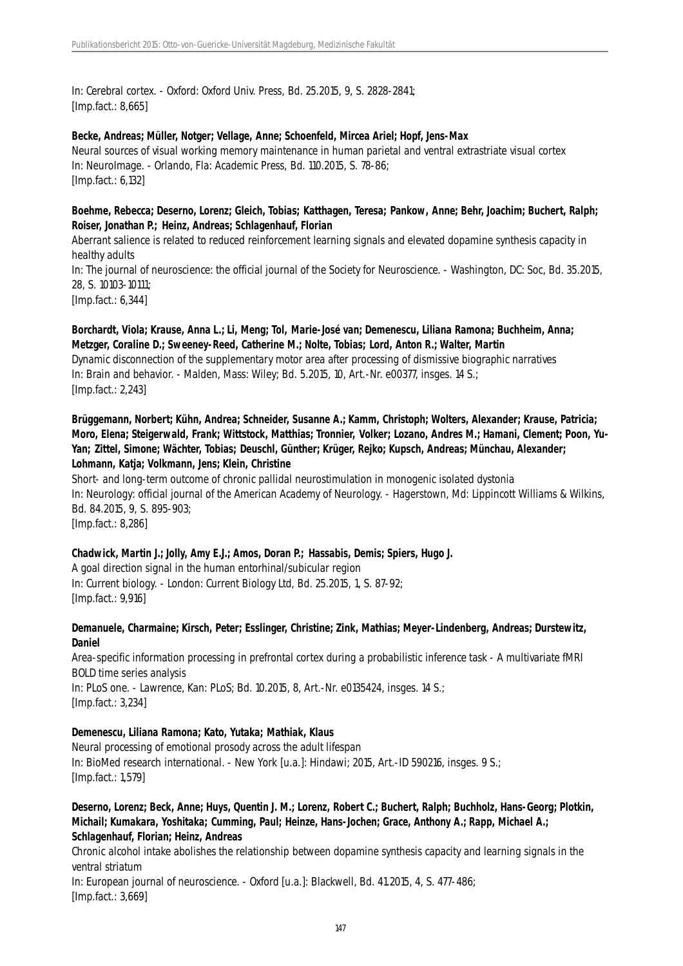In: Cerebral cortex. - Oxford: Oxford Univ. Press, Bd. 25.2015, 9, S. 2828-2841; [Imp.fact.: 8,665]

#### **Becke, Andreas; Müller, Notger; Vellage, Anne; Schoenfeld, Mircea Ariel; Hopf, Jens-Max**

Neural sources of visual working memory maintenance in human parietal and ventral extrastriate visual cortex In: NeuroImage. - Orlando, Fla: Academic Press, Bd. 110.2015, S. 78-86; [Imp.fact.: 6,132]

## **Boehme, Rebecca; Deserno, Lorenz; Gleich, Tobias; Katthagen, Teresa; Pankow, Anne; Behr, Joachim; Buchert, Ralph; Roiser, Jonathan P.; Heinz, Andreas; Schlagenhauf, Florian**

Aberrant salience is related to reduced reinforcement learning signals and elevated dopamine synthesis capacity in healthy adults

In: The journal of neuroscience: the official journal of the Society for Neuroscience. - Washington, DC: Soc, Bd. 35.2015, 28, S. 10103-10111;

[Imp.fact.: 6,344]

**Borchardt, Viola; Krause, Anna L.; Li, Meng; Tol, Marie-José van; Demenescu, Liliana Ramona; Buchheim, Anna; Metzger, Coraline D.; Sweeney-Reed, Catherine M.; Nolte, Tobias; Lord, Anton R.; Walter, Martin** Dynamic disconnection of the supplementary motor area after processing of dismissive biographic narratives In: Brain and behavior. - Malden, Mass: Wiley; Bd. 5.2015, 10, Art.-Nr. e00377, insges. 14 S.; [Imp.fact.: 2,243]

**Brüggemann, Norbert; Kühn, Andrea; Schneider, Susanne A.; Kamm, Christoph; Wolters, Alexander; Krause, Patricia; Moro, Elena; Steigerwald, Frank; Wittstock, Matthias; Tronnier, Volker; Lozano, Andres M.; Hamani, Clement; Poon, Yu-Yan; Zittel, Simone; Wächter, Tobias; Deuschl, Günther; Krüger, Rejko; Kupsch, Andreas; Münchau, Alexander; Lohmann, Katja; Volkmann, Jens; Klein, Christine**

Short- and long-term outcome of chronic pallidal neurostimulation in monogenic isolated dystonia In: Neurology: official journal of the American Academy of Neurology. - Hagerstown, Md: Lippincott Williams & Wilkins, Bd. 84.2015, 9, S. 895-903; [Imp.fact.: 8,286]

#### **Chadwick, Martin J.; Jolly, Amy E.J.; Amos, Doran P.; Hassabis, Demis; Spiers, Hugo J.**

A goal direction signal in the human entorhinal/subicular region In: Current biology. - London: Current Biology Ltd, Bd. 25.2015, 1, S. 87-92; [Imp.fact.: 9,916]

#### **Demanuele, Charmaine; Kirsch, Peter; Esslinger, Christine; Zink, Mathias; Meyer-Lindenberg, Andreas; Durstewitz, Daniel**

Area-specific information processing in prefrontal cortex during a probabilistic inference task - A multivariate fMRI BOLD time series analysis

In: PLoS one. - Lawrence, Kan: PLoS; Bd. 10.2015, 8, Art.-Nr. e0135424, insges. 14 S.; [Imp.fact.: 3,234]

## **Demenescu, Liliana Ramona; Kato, Yutaka; Mathiak, Klaus**

Neural processing of emotional prosody across the adult lifespan In: BioMed research international. - New York [u.a.]: Hindawi; 2015, Art.-ID 590216, insges. 9 S.; [Imp.fact.: 1,579]

#### **Deserno, Lorenz; Beck, Anne; Huys, Quentin J. M.; Lorenz, Robert C.; Buchert, Ralph; Buchholz, Hans-Georg; Plotkin, Michail; Kumakara, Yoshitaka; Cumming, Paul; Heinze, Hans-Jochen; Grace, Anthony A.; Rapp, Michael A.; Schlagenhauf, Florian; Heinz, Andreas**

Chronic alcohol intake abolishes the relationship between dopamine synthesis capacity and learning signals in the ventral striatum

In: European journal of neuroscience. - Oxford [u.a.]: Blackwell, Bd. 41.2015, 4, S. 477-486; [Imp.fact.: 3,669]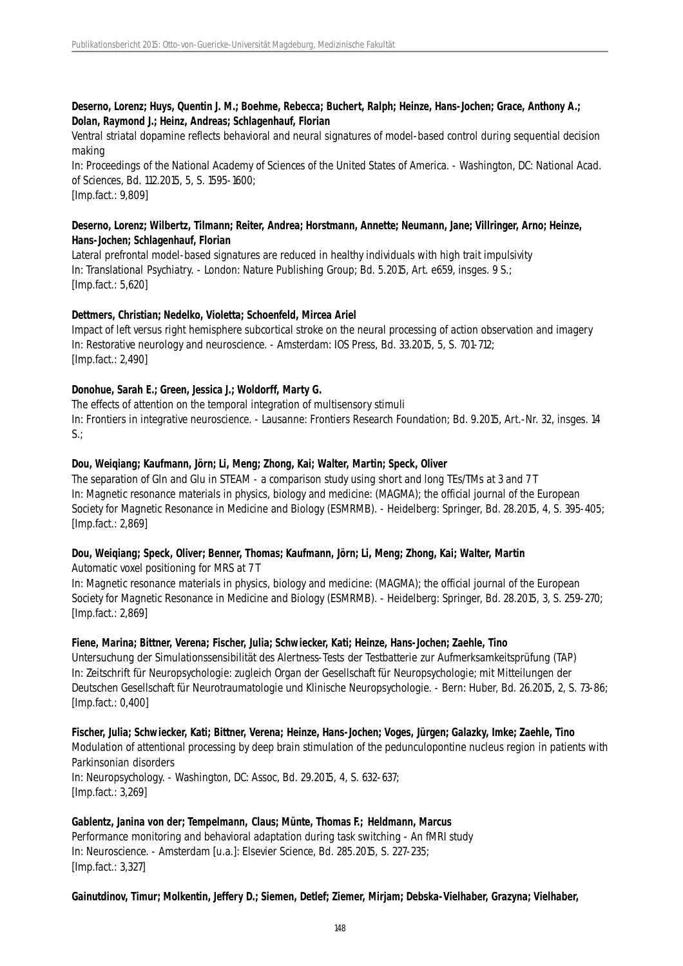## **Deserno, Lorenz; Huys, Quentin J. M.; Boehme, Rebecca; Buchert, Ralph; Heinze, Hans-Jochen; Grace, Anthony A.; Dolan, Raymond J.; Heinz, Andreas; Schlagenhauf, Florian**

Ventral striatal dopamine reflects behavioral and neural signatures of model-based control during sequential decision making

In: Proceedings of the National Academy of Sciences of the United States of America. - Washington, DC: National Acad. of Sciences, Bd. 112.2015, 5, S. 1595-1600; [Imp.fact.: 9,809]

#### **Deserno, Lorenz; Wilbertz, Tilmann; Reiter, Andrea; Horstmann, Annette; Neumann, Jane; Villringer, Arno; Heinze, Hans-Jochen; Schlagenhauf, Florian**

Lateral prefrontal model-based signatures are reduced in healthy individuals with high trait impulsivity In: Translational Psychiatry. - London: Nature Publishing Group; Bd. 5.2015, Art. e659, insges. 9 S.; [Imp.fact.: 5,620]

# **Dettmers, Christian; Nedelko, Violetta; Schoenfeld, Mircea Ariel**

Impact of left versus right hemisphere subcortical stroke on the neural processing of action observation and imagery In: Restorative neurology and neuroscience. - Amsterdam: IOS Press, Bd. 33.2015, 5, S. 701-712; [Imp.fact.: 2,490]

# **Donohue, Sarah E.; Green, Jessica J.; Woldorff, Marty G.**

The effects of attention on the temporal integration of multisensory stimuli In: Frontiers in integrative neuroscience. - Lausanne: Frontiers Research Foundation; Bd. 9.2015, Art.-Nr. 32, insges. 14  $S.:$ 

# **Dou, Weiqiang; Kaufmann, Jörn; Li, Meng; Zhong, Kai; Walter, Martin; Speck, Oliver**

The separation of Gln and Glu in STEAM - a comparison study using short and long TEs/TMs at 3 and 7 T In: Magnetic resonance materials in physics, biology and medicine: (MAGMA); the official journal of the European Society for Magnetic Resonance in Medicine and Biology (ESMRMB). - Heidelberg: Springer, Bd. 28.2015, 4, S. 395-405; [Imp.fact.: 2,869]

## **Dou, Weiqiang; Speck, Oliver; Benner, Thomas; Kaufmann, Jörn; Li, Meng; Zhong, Kai; Walter, Martin**

Automatic voxel positioning for MRS at 7 T

In: Magnetic resonance materials in physics, biology and medicine: (MAGMA); the official journal of the European Society for Magnetic Resonance in Medicine and Biology (ESMRMB). - Heidelberg: Springer, Bd. 28.2015, 3, S. 259-270; [Imp.fact.: 2,869]

## **Fiene, Marina; Bittner, Verena; Fischer, Julia; Schwiecker, Kati; Heinze, Hans-Jochen; Zaehle, Tino**

Untersuchung der Simulationssensibilität des Alertness-Tests der Testbatterie zur Aufmerksamkeitsprüfung (TAP) In: Zeitschrift für Neuropsychologie: zugleich Organ der Gesellschaft für Neuropsychologie; mit Mitteilungen der Deutschen Gesellschaft für Neurotraumatologie und Klinische Neuropsychologie. - Bern: Huber, Bd. 26.2015, 2, S. 73-86; [Imp.fact.: 0,400]

**Fischer, Julia; Schwiecker, Kati; Bittner, Verena; Heinze, Hans-Jochen; Voges, Jürgen; Galazky, Imke; Zaehle, Tino** Modulation of attentional processing by deep brain stimulation of the pedunculopontine nucleus region in patients with Parkinsonian disorders In: Neuropsychology. - Washington, DC: Assoc, Bd. 29.2015, 4, S. 632-637; [Imp.fact.: 3,269]

## **Gablentz, Janina von der; Tempelmann, Claus; Münte, Thomas F.; Heldmann, Marcus** Performance monitoring and behavioral adaptation during task switching - An fMRI study In: Neuroscience. - Amsterdam [u.a.]: Elsevier Science, Bd. 285.2015, S. 227-235; [Imp.fact.: 3,327]

**Gainutdinov, Timur; Molkentin, Jeffery D.; Siemen, Detlef; Ziemer, Mirjam; Debska-Vielhaber, Grazyna; Vielhaber,**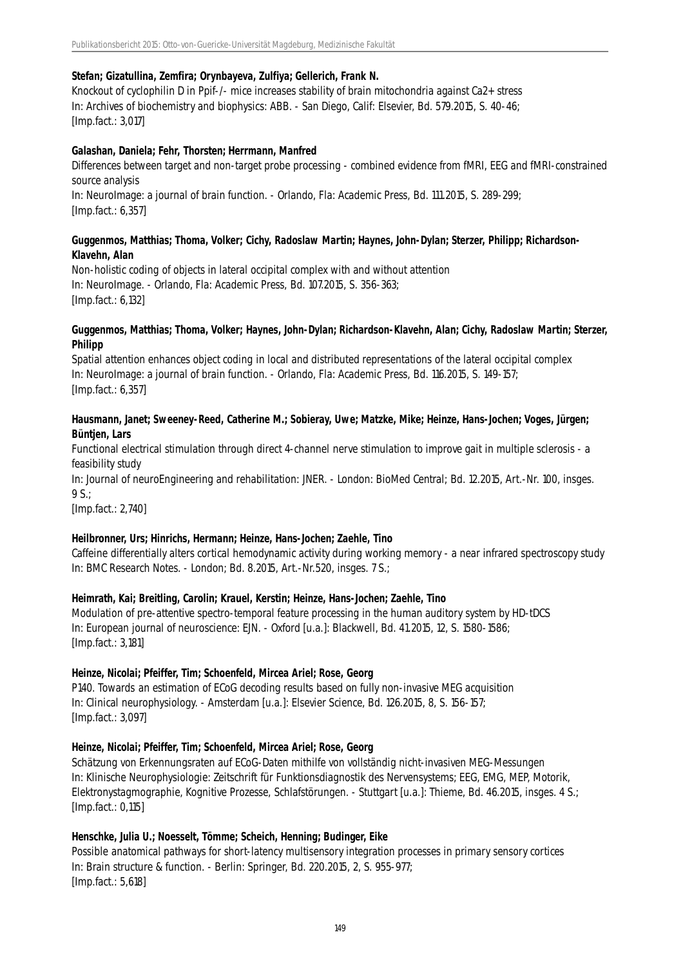#### **Stefan; Gizatullina, Zemfira; Orynbayeva, Zulfiya; Gellerich, Frank N.**

Knockout of cyclophilin D in Ppif-/- mice increases stability of brain mitochondria against Ca2+ stress In: Archives of biochemistry and biophysics: ABB. - San Diego, Calif: Elsevier, Bd. 579.2015, S. 40-46; [Imp.fact.: 3,017]

#### **Galashan, Daniela; Fehr, Thorsten; Herrmann, Manfred**

Differences between target and non-target probe processing - combined evidence from fMRI, EEG and fMRI-constrained source analysis

In: NeuroImage: a journal of brain function. - Orlando, Fla: Academic Press, Bd. 111.2015, S. 289-299; [Imp.fact.: 6,357]

#### **Guggenmos, Matthias; Thoma, Volker; Cichy, Radoslaw Martin; Haynes, John-Dylan; Sterzer, Philipp; Richardson-Klavehn, Alan**

Non-holistic coding of objects in lateral occipital complex with and without attention In: NeuroImage. - Orlando, Fla: Academic Press, Bd. 107.2015, S. 356-363; [Imp.fact.: 6,132]

#### **Guggenmos, Matthias; Thoma, Volker; Haynes, John-Dylan; Richardson-Klavehn, Alan; Cichy, Radoslaw Martin; Sterzer, Philipp**

Spatial attention enhances object coding in local and distributed representations of the lateral occipital complex In: NeuroImage: a journal of brain function. - Orlando, Fla: Academic Press, Bd. 116.2015, S. 149-157; [Imp.fact.: 6,357]

#### **Hausmann, Janet; Sweeney-Reed, Catherine M.; Sobieray, Uwe; Matzke, Mike; Heinze, Hans-Jochen; Voges, Jürgen; Büntjen, Lars**

Functional electrical stimulation through direct 4-channel nerve stimulation to improve gait in multiple sclerosis - a feasibility study

In: Journal of neuroEngineering and rehabilitation: JNER. - London: BioMed Central; Bd. 12.2015, Art.-Nr. 100, insges. 9 S.;

[Imp.fact.: 2,740]

#### **Heilbronner, Urs; Hinrichs, Hermann; Heinze, Hans-Jochen; Zaehle, Tino**

Caffeine differentially alters cortical hemodynamic activity during working memory - a near infrared spectroscopy study In: BMC Research Notes. - London; Bd. 8.2015, Art.-Nr.520, insges. 7 S.;

#### **Heimrath, Kai; Breitling, Carolin; Krauel, Kerstin; Heinze, Hans-Jochen; Zaehle, Tino**

Modulation of pre-attentive spectro-temporal feature processing in the human auditory system by HD-tDCS In: European journal of neuroscience: EJN. - Oxford [u.a.]: Blackwell, Bd. 41.2015, 12, S. 1580-1586; [Imp.fact.: 3,181]

#### **Heinze, Nicolai; Pfeiffer, Tim; Schoenfeld, Mircea Ariel; Rose, Georg**

P140. Towards an estimation of ECoG decoding results based on fully non-invasive MEG acquisition In: Clinical neurophysiology. - Amsterdam [u.a.]: Elsevier Science, Bd. 126.2015, 8, S. 156-157; [Imp.fact.: 3,097]

#### **Heinze, Nicolai; Pfeiffer, Tim; Schoenfeld, Mircea Ariel; Rose, Georg**

Schätzung von Erkennungsraten auf ECoG-Daten mithilfe von vollständig nicht-invasiven MEG-Messungen In: Klinische Neurophysiologie: Zeitschrift für Funktionsdiagnostik des Nervensystems; EEG, EMG, MEP, Motorik, Elektronystagmographie, Kognitive Prozesse, Schlafstörungen. - Stuttgart [u.a.]: Thieme, Bd. 46.2015, insges. 4 S.; [Imp.fact.: 0,115]

#### **Henschke, Julia U.; Noesselt, Tömme; Scheich, Henning; Budinger, Eike**

Possible anatomical pathways for short-latency multisensory integration processes in primary sensory cortices In: Brain structure & function. - Berlin: Springer, Bd. 220.2015, 2, S. 955-977; [Imp.fact.: 5,618]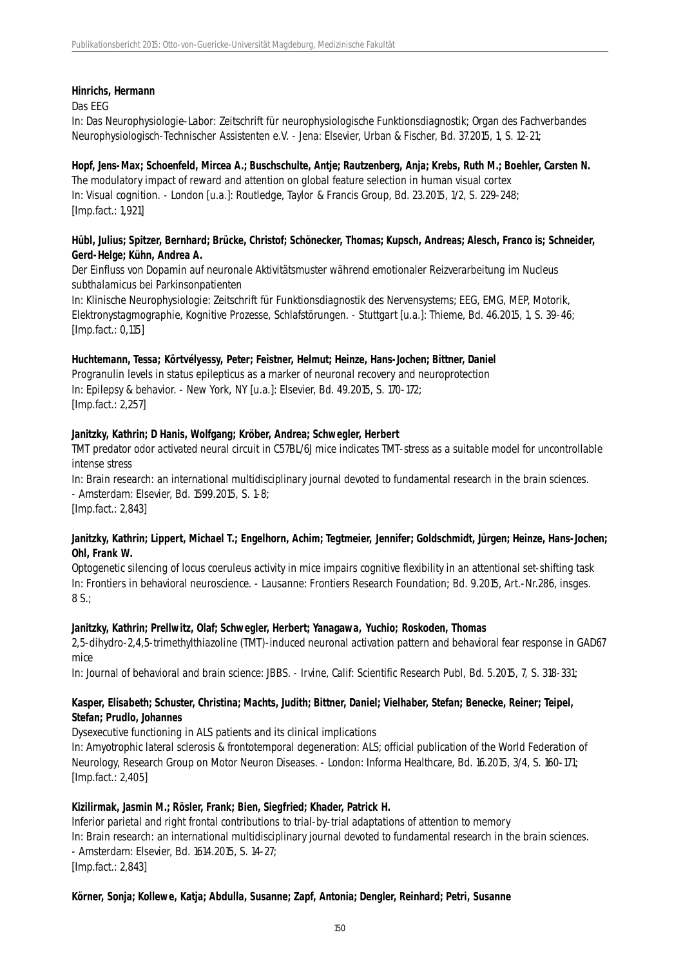## **Hinrichs, Hermann**

#### Das EEG

In: Das Neurophysiologie-Labor: Zeitschrift für neurophysiologische Funktionsdiagnostik; Organ des Fachverbandes Neurophysiologisch-Technischer Assistenten e.V. - Jena: Elsevier, Urban & Fischer, Bd. 37.2015, 1, S. 12-21;

## **Hopf, Jens-Max; Schoenfeld, Mircea A.; Buschschulte, Antje; Rautzenberg, Anja; Krebs, Ruth M.; Boehler, Carsten N.**

The modulatory impact of reward and attention on global feature selection in human visual cortex In: Visual cognition. - London [u.a.]: Routledge, Taylor & Francis Group, Bd. 23.2015, 1/2, S. 229-248; [Imp.fact.: 1,921]

#### **Hübl, Julius; Spitzer, Bernhard; Brücke, Christof; Schönecker, Thomas; Kupsch, Andreas; Alesch, Franco is; Schneider, Gerd-Helge; Kühn, Andrea A.**

Der Einfluss von Dopamin auf neuronale Aktivitätsmuster während emotionaler Reizverarbeitung im Nucleus subthalamicus bei Parkinsonpatienten

In: Klinische Neurophysiologie: Zeitschrift für Funktionsdiagnostik des Nervensystems; EEG, EMG, MEP, Motorik, Elektronystagmographie, Kognitive Prozesse, Schlafstörungen. - Stuttgart [u.a.]: Thieme, Bd. 46.2015, 1, S. 39-46; [Imp.fact.: 0,115]

#### **Huchtemann, Tessa; Körtvélyessy, Peter; Feistner, Helmut; Heinze, Hans-Jochen; Bittner, Daniel**

Progranulin levels in status epilepticus as a marker of neuronal recovery and neuroprotection In: Epilepsy & behavior. - New York, NY [u.a.]: Elsevier, Bd. 49.2015, S. 170-172; [Imp.fact.: 2,257]

## **Janitzky, Kathrin; D Hanis, Wolfgang; Kröber, Andrea; Schwegler, Herbert**

TMT predator odor activated neural circuit in C57BL/6J mice indicates TMT-stress as a suitable model for uncontrollable intense stress

In: Brain research: an international multidisciplinary journal devoted to fundamental research in the brain sciences. - Amsterdam: Elsevier, Bd. 1599.2015, S. 1-8;

[Imp.fact.: 2,843]

## **Janitzky, Kathrin; Lippert, Michael T.; Engelhorn, Achim; Tegtmeier, Jennifer; Goldschmidt, Jürgen; Heinze, Hans-Jochen; Ohl, Frank W.**

Optogenetic silencing of locus coeruleus activity in mice impairs cognitive flexibility in an attentional set-shifting task In: Frontiers in behavioral neuroscience. - Lausanne: Frontiers Research Foundation; Bd. 9.2015, Art.-Nr.286, insges. 8 S.;

#### **Janitzky, Kathrin; Prellwitz, Olaf; Schwegler, Herbert; Yanagawa, Yuchio; Roskoden, Thomas**

2,5-dihydro-2,4,5-trimethylthiazoline (TMT)-induced neuronal activation pattern and behavioral fear response in GAD67 mice

In: Journal of behavioral and brain science: JBBS. - Irvine, Calif: Scientific Research Publ, Bd. 5.2015, 7, S. 318-331;

## **Kasper, Elisabeth; Schuster, Christina; Machts, Judith; Bittner, Daniel; Vielhaber, Stefan; Benecke, Reiner; Teipel, Stefan; Prudlo, Johannes**

Dysexecutive functioning in ALS patients and its clinical implications

In: Amyotrophic lateral sclerosis & frontotemporal degeneration: ALS; official publication of the World Federation of Neurology, Research Group on Motor Neuron Diseases. - London: Informa Healthcare, Bd. 16.2015, 3/4, S. 160-171; [Imp.fact.: 2,405]

## **Kizilirmak, Jasmin M.; Rösler, Frank; Bien, Siegfried; Khader, Patrick H.**

Inferior parietal and right frontal contributions to trial-by-trial adaptations of attention to memory In: Brain research: an international multidisciplinary journal devoted to fundamental research in the brain sciences. - Amsterdam: Elsevier, Bd. 1614.2015, S. 14-27; [Imp.fact.: 2,843]

## **Körner, Sonja; Kollewe, Katja; Abdulla, Susanne; Zapf, Antonia; Dengler, Reinhard; Petri, Susanne**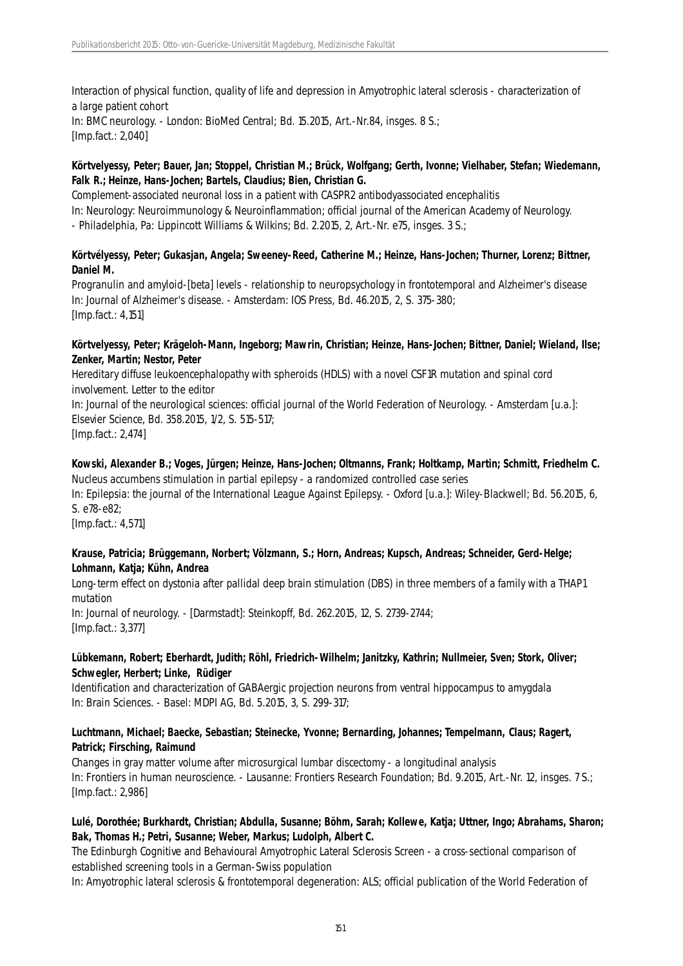Interaction of physical function, quality of life and depression in Amyotrophic lateral sclerosis - characterization of a large patient cohort In: BMC neurology. - London: BioMed Central; Bd. 15.2015, Art.-Nr.84, insges. 8 S.; [Imp.fact.: 2,040]

## **Körtvelyessy, Peter; Bauer, Jan; Stoppel, Christian M.; Brück, Wolfgang; Gerth, Ivonne; Vielhaber, Stefan; Wiedemann, Falk R.; Heinze, Hans-Jochen; Bartels, Claudius; Bien, Christian G.**

Complement-associated neuronal loss in a patient with CASPR2 antibodyassociated encephalitis In: Neurology: Neuroimmunology & Neuroinflammation; official journal of the American Academy of Neurology. - Philadelphia, Pa: Lippincott Williams & Wilkins; Bd. 2.2015, 2, Art.-Nr. e75, insges. 3 S.;

## **Körtvélyessy, Peter; Gukasjan, Angela; Sweeney-Reed, Catherine M.; Heinze, Hans-Jochen; Thurner, Lorenz; Bittner, Daniel M.**

Progranulin and amyloid-[beta] levels - relationship to neuropsychology in frontotemporal and Alzheimer's disease In: Journal of Alzheimer's disease. - Amsterdam: IOS Press, Bd. 46.2015, 2, S. 375-380; [Imp.fact.: 4,151]

#### **Körtvelyessy, Peter; Krägeloh-Mann, Ingeborg; Mawrin, Christian; Heinze, Hans-Jochen; Bittner, Daniel; Wieland, Ilse; Zenker, Martin; Nestor, Peter**

Hereditary diffuse leukoencephalopathy with spheroids (HDLS) with a novel CSF1R mutation and spinal cord involvement. Letter to the editor

In: Journal of the neurological sciences: official journal of the World Federation of Neurology. - Amsterdam [u.a.]: Elsevier Science, Bd. 358.2015, 1/2, S. 515-517; [Imp.fact.: 2,474]

## **Kowski, Alexander B.; Voges, Jürgen; Heinze, Hans-Jochen; Oltmanns, Frank; Holtkamp, Martin; Schmitt, Friedhelm C.**

Nucleus accumbens stimulation in partial epilepsy - a randomized controlled case series In: Epilepsia: the journal of the International League Against Epilepsy. - Oxford [u.a.]: Wiley-Blackwell; Bd. 56.2015, 6, S. e78-e82;

[Imp.fact.: 4,571]

## **Krause, Patricia; Brüggemann, Norbert; Völzmann, S.; Horn, Andreas; Kupsch, Andreas; Schneider, Gerd-Helge; Lohmann, Katja; Kühn, Andrea**

Long-term effect on dystonia after pallidal deep brain stimulation (DBS) in three members of a family with a THAP1 mutation

In: Journal of neurology. - [Darmstadt]: Steinkopff, Bd. 262.2015, 12, S. 2739-2744; [Imp.fact.: 3,377]

#### **Lübkemann, Robert; Eberhardt, Judith; Röhl, Friedrich-Wilhelm; Janitzky, Kathrin; Nullmeier, Sven; Stork, Oliver; Schwegler, Herbert; Linke, Rüdiger**

Identification and characterization of GABAergic projection neurons from ventral hippocampus to amygdala In: Brain Sciences. - Basel: MDPI AG, Bd. 5.2015, 3, S. 299-317;

## **Luchtmann, Michael; Baecke, Sebastian; Steinecke, Yvonne; Bernarding, Johannes; Tempelmann, Claus; Ragert, Patrick; Firsching, Raimund**

Changes in gray matter volume after microsurgical lumbar discectomy - a longitudinal analysis In: Frontiers in human neuroscience. - Lausanne: Frontiers Research Foundation; Bd. 9.2015, Art.-Nr. 12, insges. 7 S.; [Imp.fact.: 2,986]

# **Lulé, Dorothée; Burkhardt, Christian; Abdulla, Susanne; Böhm, Sarah; Kollewe, Katja; Uttner, Ingo; Abrahams, Sharon; Bak, Thomas H.; Petri, Susanne; Weber, Markus; Ludolph, Albert C.**

The Edinburgh Cognitive and Behavioural Amyotrophic Lateral Sclerosis Screen - a cross-sectional comparison of established screening tools in a German-Swiss population

In: Amyotrophic lateral sclerosis & frontotemporal degeneration: ALS; official publication of the World Federation of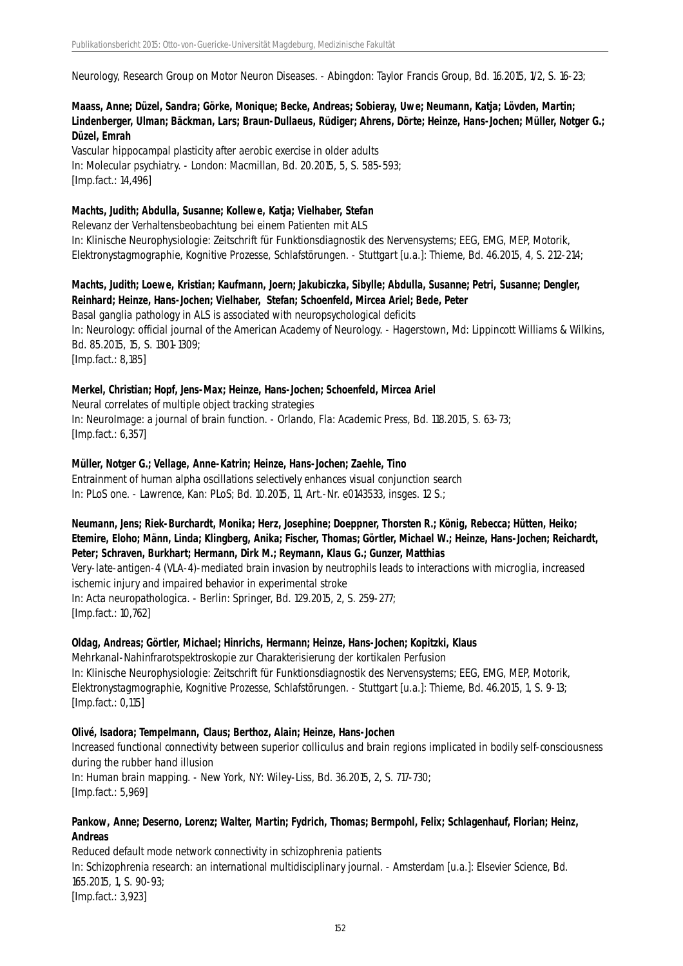Neurology, Research Group on Motor Neuron Diseases. - Abingdon: Taylor Francis Group, Bd. 16.2015, 1/2, S. 16-23;

**Maass, Anne; Düzel, Sandra; Görke, Monique; Becke, Andreas; Sobieray, Uwe; Neumann, Katja; Lövden, Martin; Lindenberger, Ulman; Bäckman, Lars; Braun-Dullaeus, Rüdiger; Ahrens, Dörte; Heinze, Hans-Jochen; Müller, Notger G.; Düzel, Emrah**

Vascular hippocampal plasticity after aerobic exercise in older adults In: Molecular psychiatry. - London: Macmillan, Bd. 20.2015, 5, S. 585-593; [Imp.fact.: 14,496]

#### **Machts, Judith; Abdulla, Susanne; Kollewe, Katja; Vielhaber, Stefan**

Relevanz der Verhaltensbeobachtung bei einem Patienten mit ALS In: Klinische Neurophysiologie: Zeitschrift für Funktionsdiagnostik des Nervensystems; EEG, EMG, MEP, Motorik, Elektronystagmographie, Kognitive Prozesse, Schlafstörungen. - Stuttgart [u.a.]: Thieme, Bd. 46.2015, 4, S. 212-214;

**Machts, Judith; Loewe, Kristian; Kaufmann, Joern; Jakubiczka, Sibylle; Abdulla, Susanne; Petri, Susanne; Dengler, Reinhard; Heinze, Hans-Jochen; Vielhaber, Stefan; Schoenfeld, Mircea Ariel; Bede, Peter** Basal ganglia pathology in ALS is associated with neuropsychological deficits In: Neurology: official journal of the American Academy of Neurology. - Hagerstown, Md: Lippincott Williams & Wilkins, Bd. 85.2015, 15, S. 1301-1309; [Imp.fact.: 8,185]

#### **Merkel, Christian; Hopf, Jens-Max; Heinze, Hans-Jochen; Schoenfeld, Mircea Ariel**

Neural correlates of multiple object tracking strategies In: NeuroImage: a journal of brain function. - Orlando, Fla: Academic Press, Bd. 118.2015, S. 63-73; [Imp.fact.: 6,357]

#### **Müller, Notger G.; Vellage, Anne-Katrin; Heinze, Hans-Jochen; Zaehle, Tino**

Entrainment of human alpha oscillations selectively enhances visual conjunction search In: PLoS one. - Lawrence, Kan: PLoS; Bd. 10.2015, 11, Art.-Nr. e0143533, insges. 12 S.;

## **Neumann, Jens; Riek-Burchardt, Monika; Herz, Josephine; Doeppner, Thorsten R.; König, Rebecca; Hütten, Heiko; Etemire, Eloho; Männ, Linda; Klingberg, Anika; Fischer, Thomas; Görtler, Michael W.; Heinze, Hans-Jochen; Reichardt, Peter; Schraven, Burkhart; Hermann, Dirk M.; Reymann, Klaus G.; Gunzer, Matthias**

Very-late-antigen-4 (VLA-4)-mediated brain invasion by neutrophils leads to interactions with microglia, increased ischemic injury and impaired behavior in experimental stroke In: Acta neuropathologica. - Berlin: Springer, Bd. 129.2015, 2, S. 259-277; [Imp.fact.: 10,762]

#### **Oldag, Andreas; Görtler, Michael; Hinrichs, Hermann; Heinze, Hans-Jochen; Kopitzki, Klaus**

Mehrkanal-Nahinfrarotspektroskopie zur Charakterisierung der kortikalen Perfusion In: Klinische Neurophysiologie: Zeitschrift für Funktionsdiagnostik des Nervensystems; EEG, EMG, MEP, Motorik, Elektronystagmographie, Kognitive Prozesse, Schlafstörungen. - Stuttgart [u.a.]: Thieme, Bd. 46.2015, 1, S. 9-13; [Imp.fact.: 0,115]

## **Olivé, Isadora; Tempelmann, Claus; Berthoz, Alain; Heinze, Hans-Jochen**

Increased functional connectivity between superior colliculus and brain regions implicated in bodily self-consciousness during the rubber hand illusion In: Human brain mapping. - New York, NY: Wiley-Liss, Bd. 36.2015, 2, S. 717-730; [Imp.fact.: 5,969]

#### **Pankow, Anne; Deserno, Lorenz; Walter, Martin; Fydrich, Thomas; Bermpohl, Felix; Schlagenhauf, Florian; Heinz, Andreas**

Reduced default mode network connectivity in schizophrenia patients In: Schizophrenia research: an international multidisciplinary journal. - Amsterdam [u.a.]: Elsevier Science, Bd. 165.2015, 1, S. 90-93; [Imp.fact.: 3,923]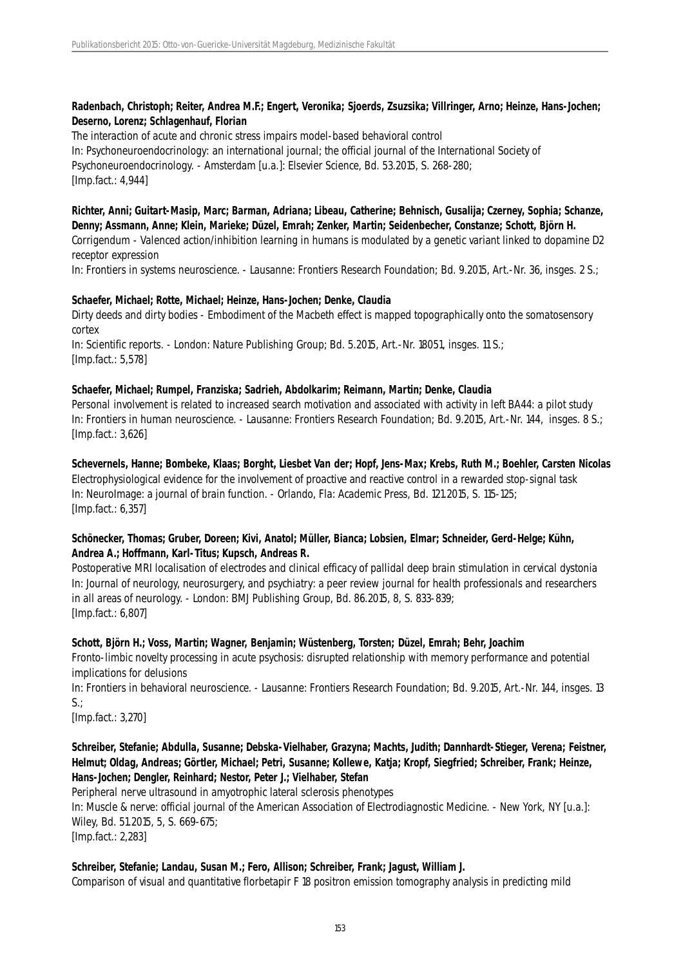## **Radenbach, Christoph; Reiter, Andrea M.F.; Engert, Veronika; Sjoerds, Zsuzsika; Villringer, Arno; Heinze, Hans-Jochen; Deserno, Lorenz; Schlagenhauf, Florian**

The interaction of acute and chronic stress impairs model-based behavioral control In: Psychoneuroendocrinology: an international journal; the official journal of the International Society of Psychoneuroendocrinology. - Amsterdam [u.a.]: Elsevier Science, Bd. 53.2015, S. 268-280; [Imp.fact.: 4,944]

**Richter, Anni; Guitart-Masip, Marc; Barman, Adriana; Libeau, Catherine; Behnisch, Gusalija; Czerney, Sophia; Schanze, Denny; Assmann, Anne; Klein, Marieke; Düzel, Emrah; Zenker, Martin; Seidenbecher, Constanze; Schott, Björn H.** Corrigendum - Valenced action/inhibition learning in humans is modulated by a genetic variant linked to dopamine D2 receptor expression

In: Frontiers in systems neuroscience. - Lausanne: Frontiers Research Foundation; Bd. 9.2015, Art.-Nr. 36, insges. 2 S.;

## **Schaefer, Michael; Rotte, Michael; Heinze, Hans-Jochen; Denke, Claudia**

Dirty deeds and dirty bodies - Embodiment of the Macbeth effect is mapped topographically onto the somatosensory cortex

In: Scientific reports. - London: Nature Publishing Group; Bd. 5.2015, Art.-Nr. 18051, insges. 11 S.; [Imp.fact.: 5,578]

## **Schaefer, Michael; Rumpel, Franziska; Sadrieh, Abdolkarim; Reimann, Martin; Denke, Claudia**

Personal involvement is related to increased search motivation and associated with activity in left BA44: a pilot study In: Frontiers in human neuroscience. - Lausanne: Frontiers Research Foundation; Bd. 9.2015, Art.-Nr. 144, insges. 8 S.; [Imp.fact.: 3,626]

**Schevernels, Hanne; Bombeke, Klaas; Borght, Liesbet Van der; Hopf, Jens-Max; Krebs, Ruth M.; Boehler, Carsten Nicolas** Electrophysiological evidence for the involvement of proactive and reactive control in a rewarded stop-signal task In: NeuroImage: a journal of brain function. - Orlando, Fla: Academic Press, Bd. 121.2015, S. 115-125; [Imp.fact.: 6,357]

## **Schönecker, Thomas; Gruber, Doreen; Kivi, Anatol; Müller, Bianca; Lobsien, Elmar; Schneider, Gerd-Helge; Kühn, Andrea A.; Hoffmann, Karl-Titus; Kupsch, Andreas R.**

Postoperative MRI localisation of electrodes and clinical efficacy of pallidal deep brain stimulation in cervical dystonia In: Journal of neurology, neurosurgery, and psychiatry: a peer review journal for health professionals and researchers in all areas of neurology. - London: BMJ Publishing Group, Bd. 86.2015, 8, S. 833-839; [Imp.fact.: 6,807]

## **Schott, Björn H.; Voss, Martin; Wagner, Benjamin; Wüstenberg, Torsten; Düzel, Emrah; Behr, Joachim**

Fronto-limbic novelty processing in acute psychosis: disrupted relationship with memory performance and potential implications for delusions

In: Frontiers in behavioral neuroscience. - Lausanne: Frontiers Research Foundation; Bd. 9.2015, Art.-Nr. 144, insges. 13  $S$ .;

[Imp.fact.: 3,270]

## **Schreiber, Stefanie; Abdulla, Susanne; Debska-Vielhaber, Grazyna; Machts, Judith; Dannhardt-Stieger, Verena; Feistner, Helmut; Oldag, Andreas; Görtler, Michael; Petri, Susanne; Kollewe, Katja; Kropf, Siegfried; Schreiber, Frank; Heinze, Hans-Jochen; Dengler, Reinhard; Nestor, Peter J.; Vielhaber, Stefan**

Peripheral nerve ultrasound in amyotrophic lateral sclerosis phenotypes

In: Muscle & nerve: official journal of the American Association of Electrodiagnostic Medicine. - New York, NY [u.a.]: Wiley, Bd. 51.2015, 5, S. 669-675;

[Imp.fact.: 2,283]

## **Schreiber, Stefanie; Landau, Susan M.; Fero, Allison; Schreiber, Frank; Jagust, William J.**

Comparison of visual and quantitative florbetapir F 18 positron emission tomography analysis in predicting mild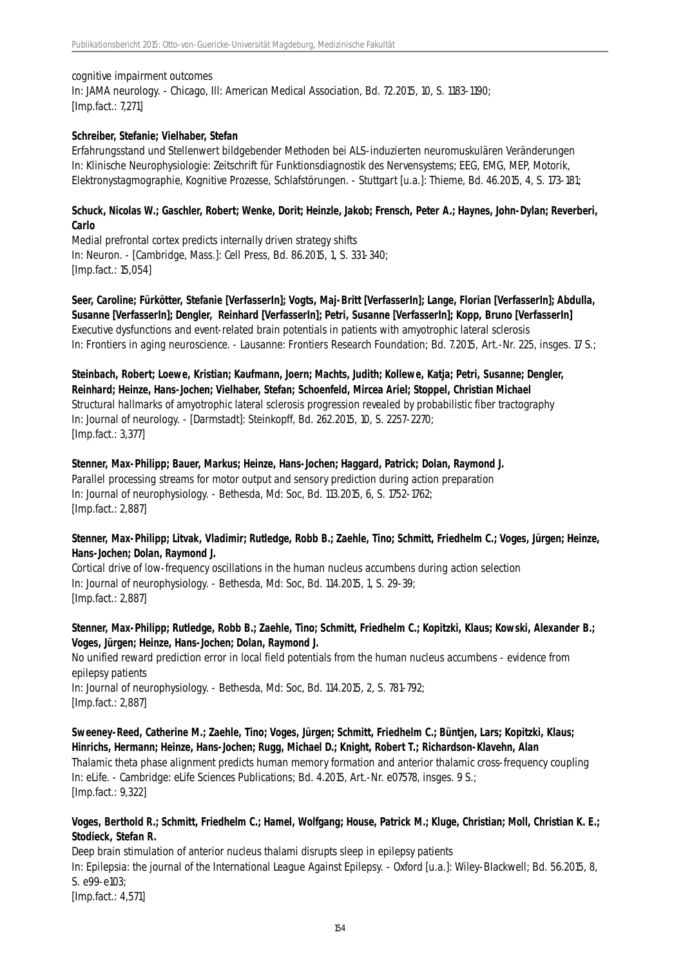#### cognitive impairment outcomes

In: JAMA neurology. - Chicago, Ill: American Medical Association, Bd. 72.2015, 10, S. 1183-1190; [Imp.fact.: 7,271]

#### **Schreiber, Stefanie; Vielhaber, Stefan**

Erfahrungsstand und Stellenwert bildgebender Methoden bei ALS-induzierten neuromuskulären Veränderungen In: Klinische Neurophysiologie: Zeitschrift für Funktionsdiagnostik des Nervensystems; EEG, EMG, MEP, Motorik, Elektronystagmographie, Kognitive Prozesse, Schlafstörungen. - Stuttgart [u.a.]: Thieme, Bd. 46.2015, 4, S. 173-181;

## **Schuck, Nicolas W.; Gaschler, Robert; Wenke, Dorit; Heinzle, Jakob; Frensch, Peter A.; Haynes, John-Dylan; Reverberi, Carlo**

Medial prefrontal cortex predicts internally driven strategy shifts In: Neuron. - [Cambridge, Mass.]: Cell Press, Bd. 86.2015, 1, S. 331-340; [Imp.fact.: 15,054]

**Seer, Caroline; Fürkötter, Stefanie [VerfasserIn]; Vogts, Maj-Britt [VerfasserIn]; Lange, Florian [VerfasserIn]; Abdulla, Susanne [VerfasserIn]; Dengler, Reinhard [VerfasserIn]; Petri, Susanne [VerfasserIn]; Kopp, Bruno [VerfasserIn]** Executive dysfunctions and event-related brain potentials in patients with amyotrophic lateral sclerosis In: Frontiers in aging neuroscience. - Lausanne: Frontiers Research Foundation; Bd. 7.2015, Art.-Nr. 225, insges. 17 S.;

**Steinbach, Robert; Loewe, Kristian; Kaufmann, Joern; Machts, Judith; Kollewe, Katja; Petri, Susanne; Dengler, Reinhard; Heinze, Hans-Jochen; Vielhaber, Stefan; Schoenfeld, Mircea Ariel; Stoppel, Christian Michael** Structural hallmarks of amyotrophic lateral sclerosis progression revealed by probabilistic fiber tractography In: Journal of neurology. - [Darmstadt]: Steinkopff, Bd. 262.2015, 10, S. 2257-2270; [Imp.fact.: 3,377]

**Stenner, Max-Philipp; Bauer, Markus; Heinze, Hans-Jochen; Haggard, Patrick; Dolan, Raymond J.** Parallel processing streams for motor output and sensory prediction during action preparation In: Journal of neurophysiology. - Bethesda, Md: Soc, Bd. 113.2015, 6, S. 1752-1762; [Imp.fact.: 2,887]

## **Stenner, Max-Philipp; Litvak, Vladimir; Rutledge, Robb B.; Zaehle, Tino; Schmitt, Friedhelm C.; Voges, Jürgen; Heinze, Hans-Jochen; Dolan, Raymond J.**

Cortical drive of low-frequency oscillations in the human nucleus accumbens during action selection In: Journal of neurophysiology. - Bethesda, Md: Soc, Bd. 114.2015, 1, S. 29-39; [Imp.fact.: 2,887]

## **Stenner, Max-Philipp; Rutledge, Robb B.; Zaehle, Tino; Schmitt, Friedhelm C.; Kopitzki, Klaus; Kowski, Alexander B.; Voges, Jürgen; Heinze, Hans-Jochen; Dolan, Raymond J.**

No unified reward prediction error in local field potentials from the human nucleus accumbens - evidence from epilepsy patients In: Journal of neurophysiology. - Bethesda, Md: Soc, Bd. 114.2015, 2, S. 781-792; [Imp.fact.: 2,887]

**Sweeney-Reed, Catherine M.; Zaehle, Tino; Voges, Jürgen; Schmitt, Friedhelm C.; Büntjen, Lars; Kopitzki, Klaus; Hinrichs, Hermann; Heinze, Hans-Jochen; Rugg, Michael D.; Knight, Robert T.; Richardson-Klavehn, Alan** Thalamic theta phase alignment predicts human memory formation and anterior thalamic cross-frequency coupling In: eLife. - Cambridge: eLife Sciences Publications; Bd. 4.2015, Art.-Nr. e07578, insges. 9 S.; [Imp.fact.: 9,322]

## **Voges, Berthold R.; Schmitt, Friedhelm C.; Hamel, Wolfgang; House, Patrick M.; Kluge, Christian; Moll, Christian K. E.; Stodieck, Stefan R.**

Deep brain stimulation of anterior nucleus thalami disrupts sleep in epilepsy patients In: Epilepsia: the journal of the International League Against Epilepsy. - Oxford [u.a.]: Wiley-Blackwell; Bd. 56.2015, 8, S. e99-e103; [Imp.fact.: 4,571]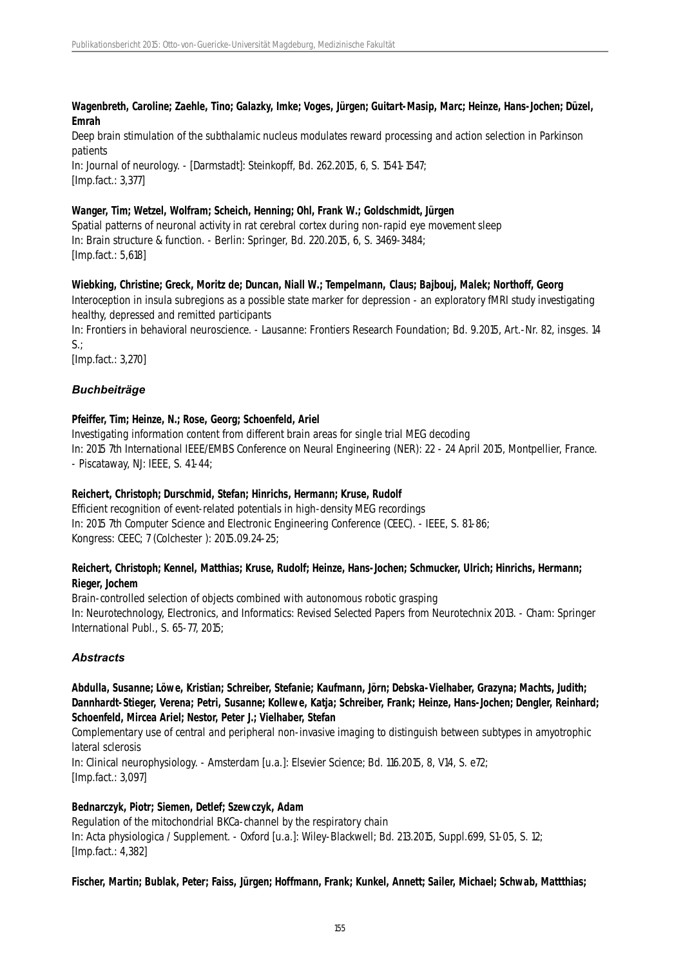#### **Wagenbreth, Caroline; Zaehle, Tino; Galazky, Imke; Voges, Jürgen; Guitart-Masip, Marc; Heinze, Hans-Jochen; Düzel, Emrah**

Deep brain stimulation of the subthalamic nucleus modulates reward processing and action selection in Parkinson patients

In: Journal of neurology. - [Darmstadt]: Steinkopff, Bd. 262.2015, 6, S. 1541-1547; [Imp.fact.: 3,377]

## **Wanger, Tim; Wetzel, Wolfram; Scheich, Henning; Ohl, Frank W.; Goldschmidt, Jürgen**

Spatial patterns of neuronal activity in rat cerebral cortex during non-rapid eye movement sleep In: Brain structure & function. - Berlin: Springer, Bd. 220.2015, 6, S. 3469-3484; [Imp.fact.: 5,618]

## **Wiebking, Christine; Greck, Moritz de; Duncan, Niall W.; Tempelmann, Claus; Bajbouj, Malek; Northoff, Georg**

Interoception in insula subregions as a possible state marker for depression - an exploratory fMRI study investigating healthy, depressed and remitted participants

In: Frontiers in behavioral neuroscience. - Lausanne: Frontiers Research Foundation; Bd. 9.2015, Art.-Nr. 82, insges. 14  $S<sub>1</sub>$ :

[Imp.fact.: 3,270]

# *Buchbeiträge*

## **Pfeiffer, Tim; Heinze, N.; Rose, Georg; Schoenfeld, Ariel**

Investigating information content from different brain areas for single trial MEG decoding In: 2015 7th International IEEE/EMBS Conference on Neural Engineering (NER): 22 - 24 April 2015, Montpellier, France. - Piscataway, NJ: IEEE, S. 41-44;

## **Reichert, Christoph; Durschmid, Stefan; Hinrichs, Hermann; Kruse, Rudolf**

Efficient recognition of event-related potentials in high-density MEG recordings In: 2015 7th Computer Science and Electronic Engineering Conference (CEEC). - IEEE, S. 81-86; Kongress: CEEC; 7 (Colchester ): 2015.09.24-25;

## **Reichert, Christoph; Kennel, Matthias; Kruse, Rudolf; Heinze, Hans-Jochen; Schmucker, Ulrich; Hinrichs, Hermann; Rieger, Jochem**

Brain-controlled selection of objects combined with autonomous robotic grasping In: Neurotechnology, Electronics, and Informatics: Revised Selected Papers from Neurotechnix 2013. - Cham: Springer International Publ., S. 65-77, 2015;

# *Abstracts*

## **Abdulla, Susanne; Löwe, Kristian; Schreiber, Stefanie; Kaufmann, Jörn; Debska-Vielhaber, Grazyna; Machts, Judith; Dannhardt-Stieger, Verena; Petri, Susanne; Kollewe, Katja; Schreiber, Frank; Heinze, Hans-Jochen; Dengler, Reinhard; Schoenfeld, Mircea Ariel; Nestor, Peter J.; Vielhaber, Stefan**

Complementary use of central and peripheral non-invasive imaging to distinguish between subtypes in amyotrophic lateral sclerosis

In: Clinical neurophysiology. - Amsterdam [u.a.]: Elsevier Science; Bd. 116.2015, 8, V14, S. e72; [Imp.fact.: 3,097]

## **Bednarczyk, Piotr; Siemen, Detlef; Szewczyk, Adam**

Regulation of the mitochondrial BKCa-channel by the respiratory chain In: Acta physiologica / Supplement. - Oxford [u.a.]: Wiley-Blackwell; Bd. 213.2015, Suppl.699, S1-05, S. 12; [Imp.fact.: 4,382]

## **Fischer, Martin; Bublak, Peter; Faiss, Jürgen; Hoffmann, Frank; Kunkel, Annett; Sailer, Michael; Schwab, Mattthias;**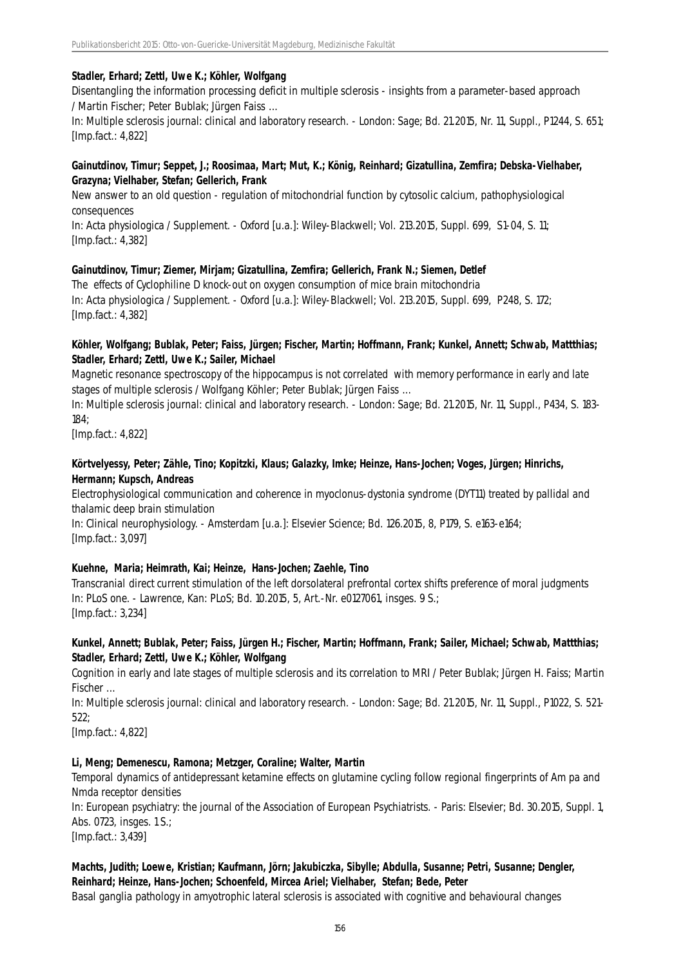#### **Stadler, Erhard; Zettl, Uwe K.; Köhler, Wolfgang**

Disentangling the information processing deficit in multiple sclerosis - insights from a parameter-based approach / Martin Fischer; Peter Bublak; Jürgen Faiss ...

In: Multiple sclerosis journal: clinical and laboratory research. - London: Sage; Bd. 21.2015, Nr. 11, Suppl., P1244, S. 651; [Imp.fact.: 4,822]

#### **Gainutdinov, Timur; Seppet, J.; Roosimaa, Mart; Mut, K.; König, Reinhard; Gizatullina, Zemfira; Debska-Vielhaber, Grazyna; Vielhaber, Stefan; Gellerich, Frank**

New answer to an old question - regulation of mitochondrial function by cytosolic calcium, pathophysiological consequences

In: Acta physiologica / Supplement. - Oxford [u.a.]: Wiley-Blackwell; Vol. 213.2015, Suppl. 699, S1-04, S. 11; [Imp.fact.: 4,382]

#### **Gainutdinov, Timur; Ziemer, Mirjam; Gizatullina, Zemfira; Gellerich, Frank N.; Siemen, Detlef**

The effects of Cyclophiline D knock-out on oxygen consumption of mice brain mitochondria In: Acta physiologica / Supplement. - Oxford [u.a.]: Wiley-Blackwell; Vol. 213.2015, Suppl. 699, P248, S. 172; [Imp.fact.: 4,382]

#### **Köhler, Wolfgang; Bublak, Peter; Faiss, Jürgen; Fischer, Martin; Hoffmann, Frank; Kunkel, Annett; Schwab, Mattthias; Stadler, Erhard; Zettl, Uwe K.; Sailer, Michael**

Magnetic resonance spectroscopy of the hippocampus is not correlated with memory performance in early and late stages of multiple sclerosis / Wolfgang Köhler; Peter Bublak; Jürgen Faiss ...

In: Multiple sclerosis journal: clinical and laboratory research. - London: Sage; Bd. 21.2015, Nr. 11, Suppl., P434, S. 183- 184;

[Imp.fact.: 4,822]

#### **Körtvelyessy, Peter; Zähle, Tino; Kopitzki, Klaus; Galazky, Imke; Heinze, Hans-Jochen; Voges, Jürgen; Hinrichs, Hermann; Kupsch, Andreas**

Electrophysiological communication and coherence in myoclonus-dystonia syndrome (DYT11) treated by pallidal and thalamic deep brain stimulation

In: Clinical neurophysiology. - Amsterdam [u.a.]: Elsevier Science; Bd. 126.2015, 8, P179, S. e163-e164; [Imp.fact.: 3,097]

#### **Kuehne, Maria; Heimrath, Kai; Heinze, Hans-Jochen; Zaehle, Tino**

Transcranial direct current stimulation of the left dorsolateral prefrontal cortex shifts preference of moral judgments In: PLoS one. - Lawrence, Kan: PLoS; Bd. 10.2015, 5, Art.-Nr. e0127061, insges. 9 S.; [Imp.fact.: 3,234]

## **Kunkel, Annett; Bublak, Peter; Faiss, Jürgen H.; Fischer, Martin; Hoffmann, Frank; Sailer, Michael; Schwab, Mattthias; Stadler, Erhard; Zettl, Uwe K.; Köhler, Wolfgang**

Cognition in early and late stages of multiple sclerosis and its correlation to MRI / Peter Bublak; Jürgen H. Faiss; Martin Fischer ...

In: Multiple sclerosis journal: clinical and laboratory research. - London: Sage; Bd. 21.2015, Nr. 11, Suppl., P1022, S. 521- 522;

[Imp.fact.: 4,822]

#### **Li, Meng; Demenescu, Ramona; Metzger, Coraline; Walter, Martin**

Temporal dynamics of antidepressant ketamine effects on glutamine cycling follow regional fingerprints of Am pa and Nmda receptor densities

In: European psychiatry: the journal of the Association of European Psychiatrists. - Paris: Elsevier; Bd. 30.2015, Suppl. 1, Abs. 0723, insges. 1 S.;

[Imp.fact.: 3,439]

# **Machts, Judith; Loewe, Kristian; Kaufmann, Jörn; Jakubiczka, Sibylle; Abdulla, Susanne; Petri, Susanne; Dengler, Reinhard; Heinze, Hans-Jochen; Schoenfeld, Mircea Ariel; Vielhaber, Stefan; Bede, Peter**

Basal ganglia pathology in amyotrophic lateral sclerosis is associated with cognitive and behavioural changes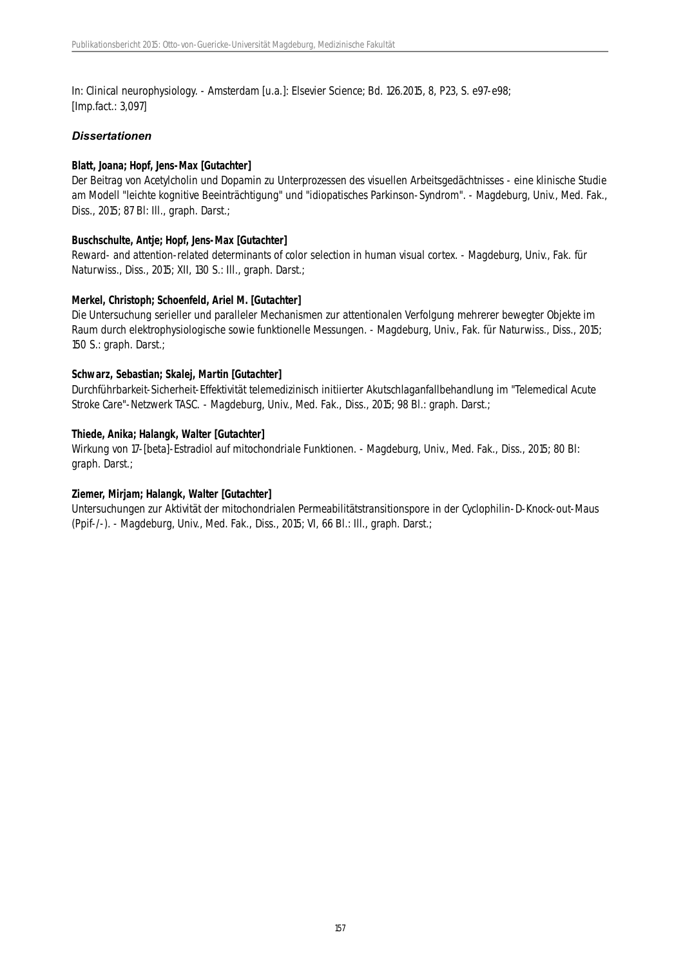In: Clinical neurophysiology. - Amsterdam [u.a.]: Elsevier Science; Bd. 126.2015, 8, P23, S. e97-e98; [Imp.fact.: 3,097]

#### *Dissertationen*

#### **Blatt, Joana; Hopf, Jens-Max [Gutachter]**

Der Beitrag von Acetylcholin und Dopamin zu Unterprozessen des visuellen Arbeitsgedächtnisses - eine klinische Studie am Modell "leichte kognitive Beeinträchtigung" und "idiopatisches Parkinson-Syndrom". - Magdeburg, Univ., Med. Fak., Diss., 2015; 87 Bl: Ill., graph. Darst.;

#### **Buschschulte, Antje; Hopf, Jens-Max [Gutachter]**

Reward- and attention-related determinants of color selection in human visual cortex. - Magdeburg, Univ., Fak. für Naturwiss., Diss., 2015; XII, 130 S.: Ill., graph. Darst.;

#### **Merkel, Christoph; Schoenfeld, Ariel M. [Gutachter]**

Die Untersuchung serieller und paralleler Mechanismen zur attentionalen Verfolgung mehrerer bewegter Objekte im Raum durch elektrophysiologische sowie funktionelle Messungen. - Magdeburg, Univ., Fak. für Naturwiss., Diss., 2015; 150 S.: graph. Darst.;

#### **Schwarz, Sebastian; Skalej, Martin [Gutachter]**

Durchführbarkeit-Sicherheit-Effektivität telemedizinisch initiierter Akutschlaganfallbehandlung im "Telemedical Acute Stroke Care"-Netzwerk TASC. - Magdeburg, Univ., Med. Fak., Diss., 2015; 98 Bl.: graph. Darst.;

#### **Thiede, Anika; Halangk, Walter [Gutachter]**

Wirkung von 17-[beta]-Estradiol auf mitochondriale Funktionen. - Magdeburg, Univ., Med. Fak., Diss., 2015; 80 Bl: graph. Darst.;

## **Ziemer, Mirjam; Halangk, Walter [Gutachter]**

Untersuchungen zur Aktivität der mitochondrialen Permeabilitätstransitionspore in der Cyclophilin-D-Knock-out-Maus (Ppif-/-). - Magdeburg, Univ., Med. Fak., Diss., 2015; VI, 66 Bl.: Ill., graph. Darst.;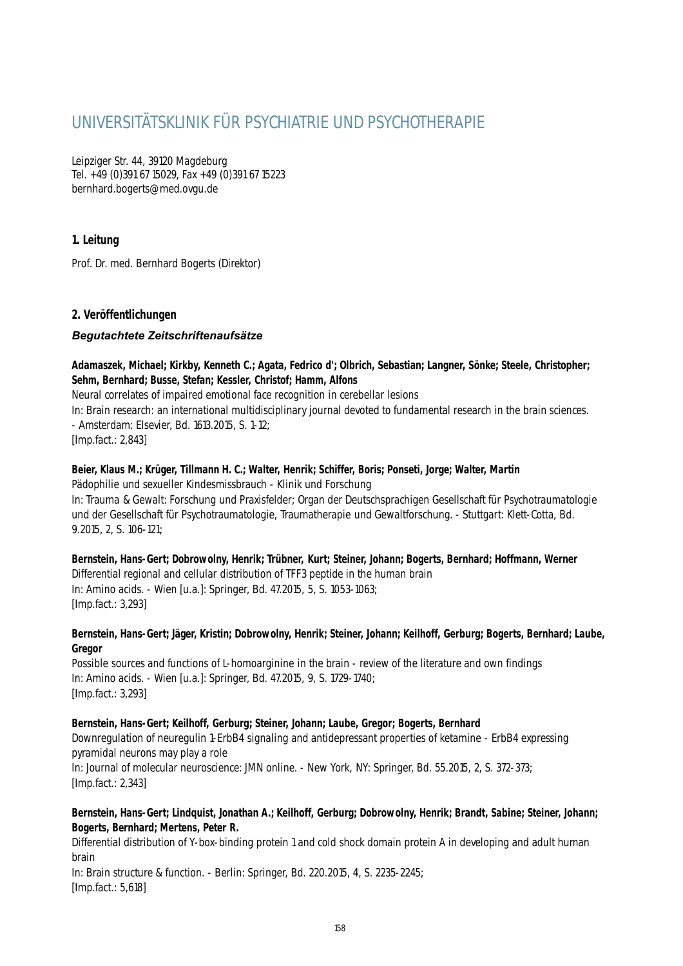# UNIVERSITÄTSKLINIK FÜR PSYCHIATRIE UND PSYCHOTHERAPIE

Leipziger Str. 44, 39120 Magdeburg Tel. +49 (0)391 67 15029, Fax +49 (0)391 67 15223 bernhard.bogerts@med.ovgu.de

# **1. Leitung**

Prof. Dr. med. Bernhard Bogerts (Direktor)

# **2. Veröffentlichungen**

# *Begutachtete Zeitschriftenaufsätze*

## **Adamaszek, Michael; Kirkby, Kenneth C.; Agata, Fedrico d'; Olbrich, Sebastian; Langner, Sönke; Steele, Christopher; Sehm, Bernhard; Busse, Stefan; Kessler, Christof; Hamm, Alfons**

Neural correlates of impaired emotional face recognition in cerebellar lesions In: Brain research: an international multidisciplinary journal devoted to fundamental research in the brain sciences. - Amsterdam: Elsevier, Bd. 1613.2015, S. 1-12; [Imp.fact.: 2,843]

## **Beier, Klaus M.; Krüger, Tillmann H. C.; Walter, Henrik; Schiffer, Boris; Ponseti, Jorge; Walter, Martin**

Pädophilie und sexueller Kindesmissbrauch - Klinik und Forschung In: Trauma & Gewalt: Forschung und Praxisfelder; Organ der Deutschsprachigen Gesellschaft für Psychotraumatologie und der Gesellschaft für Psychotraumatologie, Traumatherapie und Gewaltforschung. - Stuttgart: Klett-Cotta, Bd. 9.2015, 2, S. 106-121;

## **Bernstein, Hans-Gert; Dobrowolny, Henrik; Trübner, Kurt; Steiner, Johann; Bogerts, Bernhard; Hoffmann, Werner**

Differential regional and cellular distribution of TFF3 peptide in the human brain In: Amino acids. - Wien [u.a.]: Springer, Bd. 47.2015, 5, S. 1053-1063; [Imp.fact.: 3,293]

## **Bernstein, Hans-Gert; Jäger, Kristin; Dobrowolny, Henrik; Steiner, Johann; Keilhoff, Gerburg; Bogerts, Bernhard; Laube, Gregor**

Possible sources and functions of L-homoarginine in the brain - review of the literature and own findings In: Amino acids. - Wien [u.a.]: Springer, Bd. 47.2015, 9, S. 1729-1740; [Imp.fact.: 3,293]

## **Bernstein, Hans-Gert; Keilhoff, Gerburg; Steiner, Johann; Laube, Gregor; Bogerts, Bernhard**

Downregulation of neuregulin 1-ErbB4 signaling and antidepressant properties of ketamine - ErbB4 expressing pyramidal neurons may play a role

In: Journal of molecular neuroscience: JMN online. - New York, NY: Springer, Bd. 55.2015, 2, S. 372-373; [Imp.fact.: 2,343]

# **Bernstein, Hans-Gert; Lindquist, Jonathan A.; Keilhoff, Gerburg; Dobrowolny, Henrik; Brandt, Sabine; Steiner, Johann; Bogerts, Bernhard; Mertens, Peter R.**

Differential distribution of Y-box-binding protein 1 and cold shock domain protein A in developing and adult human brain

In: Brain structure & function. - Berlin: Springer, Bd. 220.2015, 4, S. 2235-2245; [Imp.fact.: 5,618]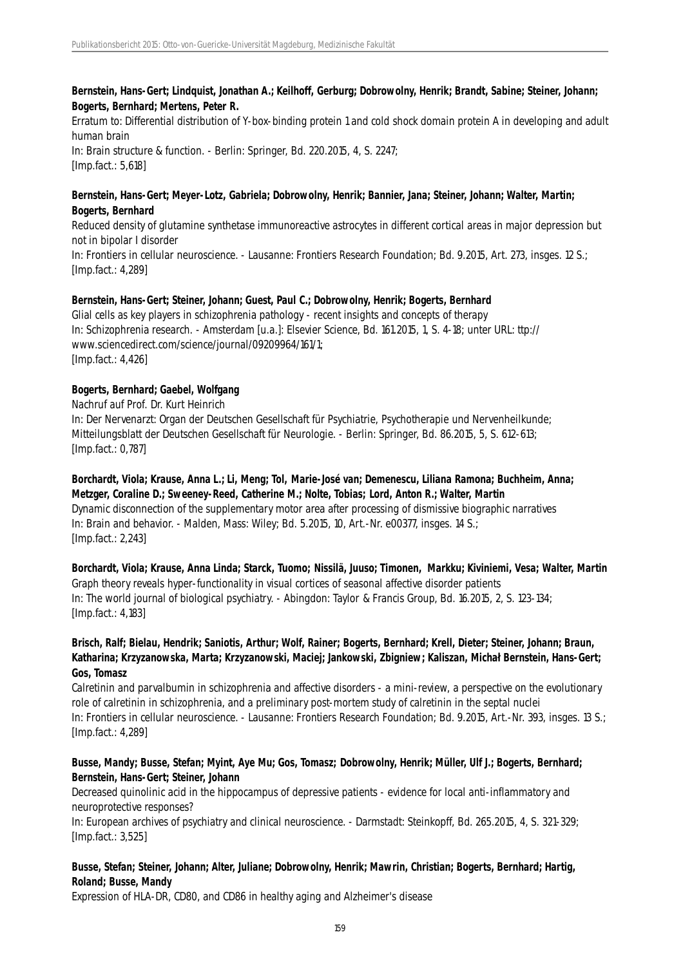## **Bernstein, Hans-Gert; Lindquist, Jonathan A.; Keilhoff, Gerburg; Dobrowolny, Henrik; Brandt, Sabine; Steiner, Johann; Bogerts, Bernhard; Mertens, Peter R.**

Erratum to: Differential distribution of Y-box-binding protein 1 and cold shock domain protein A in developing and adult human brain In: Brain structure & function. - Berlin: Springer, Bd. 220.2015, 4, S. 2247; [Imp.fact.: 5,618]

## **Bernstein, Hans-Gert; Meyer-Lotz, Gabriela; Dobrowolny, Henrik; Bannier, Jana; Steiner, Johann; Walter, Martin; Bogerts, Bernhard**

Reduced density of glutamine synthetase immunoreactive astrocytes in different cortical areas in major depression but not in bipolar I disorder In: Frontiers in cellular neuroscience. - Lausanne: Frontiers Research Foundation; Bd. 9.2015, Art. 273, insges. 12 S.; [Imp.fact.: 4,289]

# **Bernstein, Hans-Gert; Steiner, Johann; Guest, Paul C.; Dobrowolny, Henrik; Bogerts, Bernhard**

Glial cells as key players in schizophrenia pathology - recent insights and concepts of therapy In: Schizophrenia research. - Amsterdam [u.a.]: Elsevier Science, Bd. 161.2015, 1, S. 4-18; unter URL: ttp:// www.sciencedirect.com/science/journal/09209964/161/1; [Imp.fact.: 4,426]

# **Bogerts, Bernhard; Gaebel, Wolfgang**

## Nachruf auf Prof. Dr. Kurt Heinrich

In: Der Nervenarzt: Organ der Deutschen Gesellschaft für Psychiatrie, Psychotherapie und Nervenheilkunde; Mitteilungsblatt der Deutschen Gesellschaft für Neurologie. - Berlin: Springer, Bd. 86.2015, 5, S. 612-613; [Imp.fact.: 0,787]

**Borchardt, Viola; Krause, Anna L.; Li, Meng; Tol, Marie-José van; Demenescu, Liliana Ramona; Buchheim, Anna; Metzger, Coraline D.; Sweeney-Reed, Catherine M.; Nolte, Tobias; Lord, Anton R.; Walter, Martin** Dynamic disconnection of the supplementary motor area after processing of dismissive biographic narratives In: Brain and behavior. - Malden, Mass: Wiley; Bd. 5.2015, 10, Art.-Nr. e00377, insges. 14 S.; [Imp.fact.: 2,243]

**Borchardt, Viola; Krause, Anna Linda; Starck, Tuomo; Nissilä, Juuso; Timonen, Markku; Kiviniemi, Vesa; Walter, Martin** Graph theory reveals hyper-functionality in visual cortices of seasonal affective disorder patients In: The world journal of biological psychiatry. - Abingdon: Taylor & Francis Group, Bd. 16.2015, 2, S. 123-134; [Imp.fact.: 4,183]

## **Brisch, Ralf; Bielau, Hendrik; Saniotis, Arthur; Wolf, Rainer; Bogerts, Bernhard; Krell, Dieter; Steiner, Johann; Braun, Katharina; Krzyzanowska, Marta; Krzyzanowski, Maciej; Jankowski, Zbigniew; Kaliszan, Michał Bernstein, Hans-Gert; Gos, Tomasz**

Calretinin and parvalbumin in schizophrenia and affective disorders - a mini-review, a perspective on the evolutionary role of calretinin in schizophrenia, and a preliminary post-mortem study of calretinin in the septal nuclei In: Frontiers in cellular neuroscience. - Lausanne: Frontiers Research Foundation; Bd. 9.2015, Art.-Nr. 393, insges. 13 S.; [Imp.fact.: 4,289]

## **Busse, Mandy; Busse, Stefan; Myint, Aye Mu; Gos, Tomasz; Dobrowolny, Henrik; Müller, Ulf J.; Bogerts, Bernhard; Bernstein, Hans-Gert; Steiner, Johann**

Decreased quinolinic acid in the hippocampus of depressive patients - evidence for local anti-inflammatory and neuroprotective responses?

In: European archives of psychiatry and clinical neuroscience. - Darmstadt: Steinkopff, Bd. 265.2015, 4, S. 321-329; [Imp.fact.: 3,525]

# **Busse, Stefan; Steiner, Johann; Alter, Juliane; Dobrowolny, Henrik; Mawrin, Christian; Bogerts, Bernhard; Hartig, Roland; Busse, Mandy**

Expression of HLA-DR, CD80, and CD86 in healthy aging and Alzheimer's disease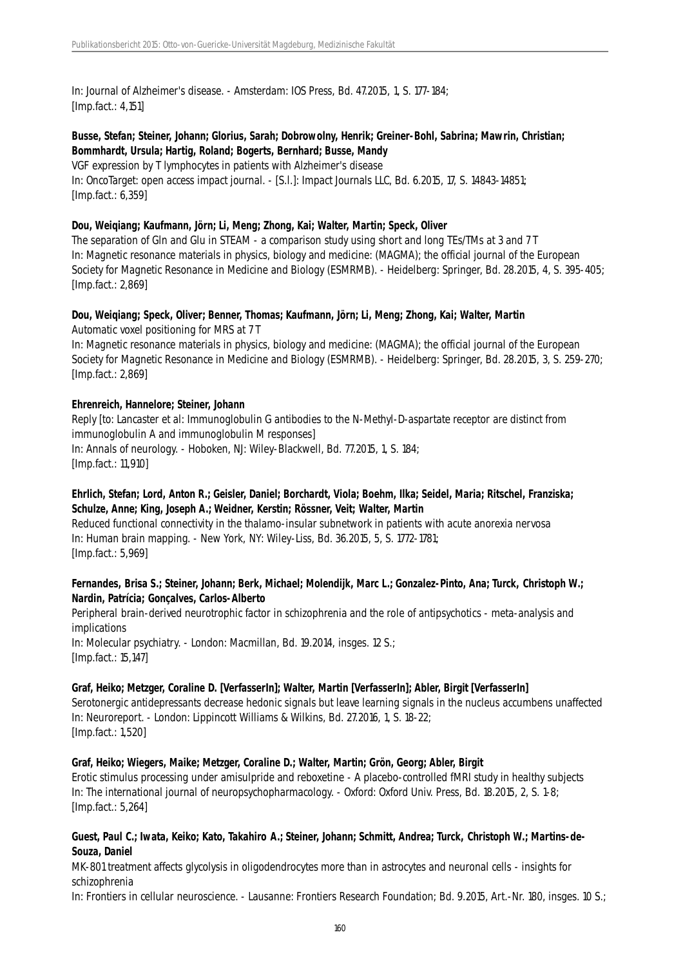In: Journal of Alzheimer's disease. - Amsterdam: IOS Press, Bd. 47.2015, 1, S. 177-184; [Imp.fact.: 4,151]

## **Busse, Stefan; Steiner, Johann; Glorius, Sarah; Dobrowolny, Henrik; Greiner-Bohl, Sabrina; Mawrin, Christian; Bommhardt, Ursula; Hartig, Roland; Bogerts, Bernhard; Busse, Mandy**

VGF expression by T lymphocytes in patients with Alzheimer's disease In: OncoTarget: open access impact journal. - [S.l.]: Impact Journals LLC, Bd. 6.2015, 17, S. 14843-14851; [Imp.fact.: 6,359]

## **Dou, Weiqiang; Kaufmann, Jörn; Li, Meng; Zhong, Kai; Walter, Martin; Speck, Oliver**

The separation of Gln and Glu in STEAM - a comparison study using short and long TEs/TMs at 3 and 7 T In: Magnetic resonance materials in physics, biology and medicine: (MAGMA); the official journal of the European Society for Magnetic Resonance in Medicine and Biology (ESMRMB). - Heidelberg: Springer, Bd. 28.2015, 4, S. 395-405; [Imp.fact.: 2,869]

# **Dou, Weiqiang; Speck, Oliver; Benner, Thomas; Kaufmann, Jörn; Li, Meng; Zhong, Kai; Walter, Martin**

Automatic voxel positioning for MRS at 7 T

In: Magnetic resonance materials in physics, biology and medicine: (MAGMA); the official journal of the European Society for Magnetic Resonance in Medicine and Biology (ESMRMB). - Heidelberg: Springer, Bd. 28.2015, 3, S. 259-270; [Imp.fact.: 2,869]

## **Ehrenreich, Hannelore; Steiner, Johann**

Reply [to: Lancaster et al: Immunoglobulin G antibodies to the N-Methyl-D-aspartate receptor are distinct from immunoglobulin A and immunoglobulin M responses] In: Annals of neurology. - Hoboken, NJ: Wiley-Blackwell, Bd. 77.2015, 1, S. 184; [Imp.fact.: 11,910]

# **Ehrlich, Stefan; Lord, Anton R.; Geisler, Daniel; Borchardt, Viola; Boehm, Ilka; Seidel, Maria; Ritschel, Franziska; Schulze, Anne; King, Joseph A.; Weidner, Kerstin; Rössner, Veit; Walter, Martin**

Reduced functional connectivity in the thalamo-insular subnetwork in patients with acute anorexia nervosa In: Human brain mapping. - New York, NY: Wiley-Liss, Bd. 36.2015, 5, S. 1772-1781; [Imp.fact.: 5,969]

## **Fernandes, Brisa S.; Steiner, Johann; Berk, Michael; Molendijk, Marc L.; Gonzalez-Pinto, Ana; Turck, Christoph W.; Nardin, Patrícia; Gonçalves, Carlos-Alberto**

Peripheral brain-derived neurotrophic factor in schizophrenia and the role of antipsychotics - meta-analysis and implications In: Molecular psychiatry. - London: Macmillan, Bd. 19.2014, insges. 12 S.;

[Imp.fact.: 15,147]

# **Graf, Heiko; Metzger, Coraline D. [VerfasserIn]; Walter, Martin [VerfasserIn]; Abler, Birgit [VerfasserIn]**

Serotonergic antidepressants decrease hedonic signals but leave learning signals in the nucleus accumbens unaffected In: Neuroreport. - London: Lippincott Williams & Wilkins, Bd. 27.2016, 1, S. 18-22; [Imp.fact.: 1,520]

## **Graf, Heiko; Wiegers, Maike; Metzger, Coraline D.; Walter, Martin; Grön, Georg; Abler, Birgit**

Erotic stimulus processing under amisulpride and reboxetine - A placebo-controlled fMRI study in healthy subjects In: The international journal of neuropsychopharmacology. - Oxford: Oxford Univ. Press, Bd. 18.2015, 2, S. 1-8; [Imp.fact.: 5,264]

#### **Guest, Paul C.; Iwata, Keiko; Kato, Takahiro A.; Steiner, Johann; Schmitt, Andrea; Turck, Christoph W.; Martins-de-Souza, Daniel**

MK-801 treatment affects glycolysis in oligodendrocytes more than in astrocytes and neuronal cells - insights for schizophrenia

In: Frontiers in cellular neuroscience. - Lausanne: Frontiers Research Foundation; Bd. 9.2015, Art.-Nr. 180, insges. 10 S.;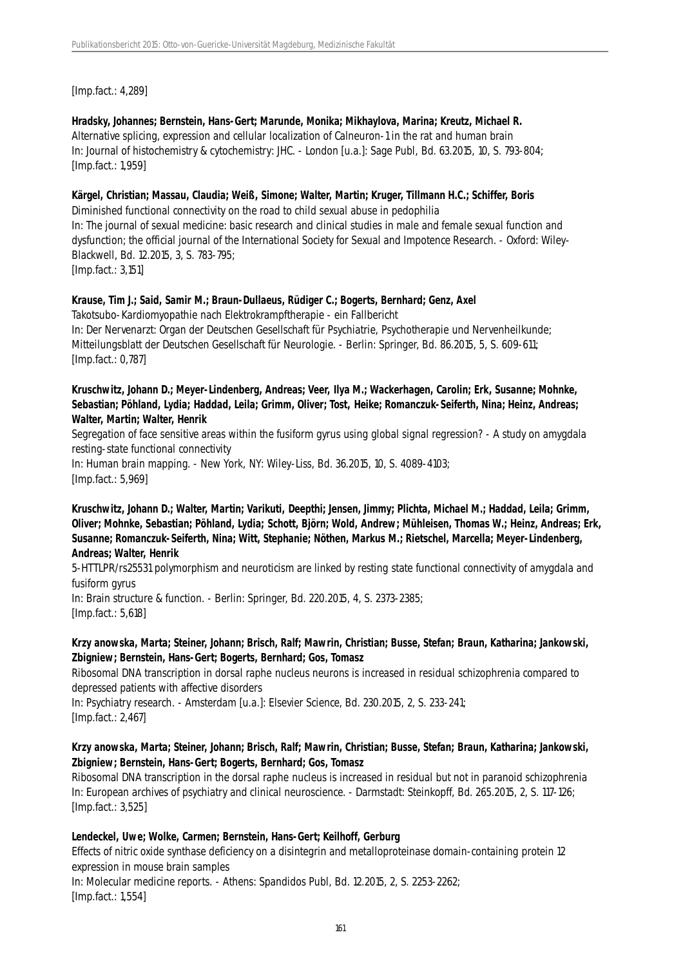[Imp.fact.: 4,289]

## **Hradsky, Johannes; Bernstein, Hans-Gert; Marunde, Monika; Mikhaylova, Marina; Kreutz, Michael R.**

Alternative splicing, expression and cellular localization of Calneuron-1 in the rat and human brain In: Journal of histochemistry & cytochemistry: JHC. - London [u.a.]: Sage Publ, Bd. 63.2015, 10, S. 793-804; [Imp.fact.: 1,959]

#### **Kärgel, Christian; Massau, Claudia; Weiß, Simone; Walter, Martin; Kruger, Tillmann H.C.; Schiffer, Boris**

Diminished functional connectivity on the road to child sexual abuse in pedophilia

In: The journal of sexual medicine: basic research and clinical studies in male and female sexual function and dysfunction; the official journal of the International Society for Sexual and Impotence Research. - Oxford: Wiley-Blackwell, Bd. 12.2015, 3, S. 783-795;

[Imp.fact.: 3,151]

## **Krause, Tim J.; Said, Samir M.; Braun-Dullaeus, Rüdiger C.; Bogerts, Bernhard; Genz, Axel**

Takotsubo-Kardiomyopathie nach Elektrokrampftherapie - ein Fallbericht

In: Der Nervenarzt: Organ der Deutschen Gesellschaft für Psychiatrie, Psychotherapie und Nervenheilkunde; Mitteilungsblatt der Deutschen Gesellschaft für Neurologie. - Berlin: Springer, Bd. 86.2015, 5, S. 609-611; [Imp.fact.: 0,787]

## **Kruschwitz, Johann D.; Meyer-Lindenberg, Andreas; Veer, Ilya M.; Wackerhagen, Carolin; Erk, Susanne; Mohnke, Sebastian; Pöhland, Lydia; Haddad, Leila; Grimm, Oliver; Tost, Heike; Romanczuk-Seiferth, Nina; Heinz, Andreas; Walter, Martin; Walter, Henrik**

Segregation of face sensitive areas within the fusiform gyrus using global signal regression? - A study on amygdala resting-state functional connectivity In: Human brain mapping. - New York, NY: Wiley-Liss, Bd. 36.2015, 10, S. 4089-4103;

[Imp.fact.: 5,969]

**Kruschwitz, Johann D.; Walter, Martin; Varikuti, Deepthi; Jensen, Jimmy; Plichta, Michael M.; Haddad, Leila; Grimm, Oliver; Mohnke, Sebastian; Pöhland, Lydia; Schott, Björn; Wold, Andrew; Mühleisen, Thomas W.; Heinz, Andreas; Erk, Susanne; Romanczuk-Seiferth, Nina; Witt, Stephanie; Nöthen, Markus M.; Rietschel, Marcella; Meyer-Lindenberg, Andreas; Walter, Henrik**

5-HTTLPR/rs25531 polymorphism and neuroticism are linked by resting state functional connectivity of amygdala and fusiform gyrus In: Brain structure & function. - Berlin: Springer, Bd. 220.2015, 4, S. 2373-2385;

[Imp.fact.: 5,618]

# **Krzy anowska, Marta; Steiner, Johann; Brisch, Ralf; Mawrin, Christian; Busse, Stefan; Braun, Katharina; Jankowski, Zbigniew; Bernstein, Hans-Gert; Bogerts, Bernhard; Gos, Tomasz**

Ribosomal DNA transcription in dorsal raphe nucleus neurons is increased in residual schizophrenia compared to depressed patients with affective disorders

In: Psychiatry research. - Amsterdam [u.a.]: Elsevier Science, Bd. 230.2015, 2, S. 233-241; [Imp.fact.: 2,467]

## **Krzy anowska, Marta; Steiner, Johann; Brisch, Ralf; Mawrin, Christian; Busse, Stefan; Braun, Katharina; Jankowski, Zbigniew; Bernstein, Hans-Gert; Bogerts, Bernhard; Gos, Tomasz**

Ribosomal DNA transcription in the dorsal raphe nucleus is increased in residual but not in paranoid schizophrenia In: European archives of psychiatry and clinical neuroscience. - Darmstadt: Steinkopff, Bd. 265.2015, 2, S. 117-126; [Imp.fact.: 3,525]

## **Lendeckel, Uwe; Wolke, Carmen; Bernstein, Hans-Gert; Keilhoff, Gerburg**

Effects of nitric oxide synthase deficiency on a disintegrin and metalloproteinase domain-containing protein 12 expression in mouse brain samples

In: Molecular medicine reports. - Athens: Spandidos Publ, Bd. 12.2015, 2, S. 2253-2262; [Imp.fact.: 1,554]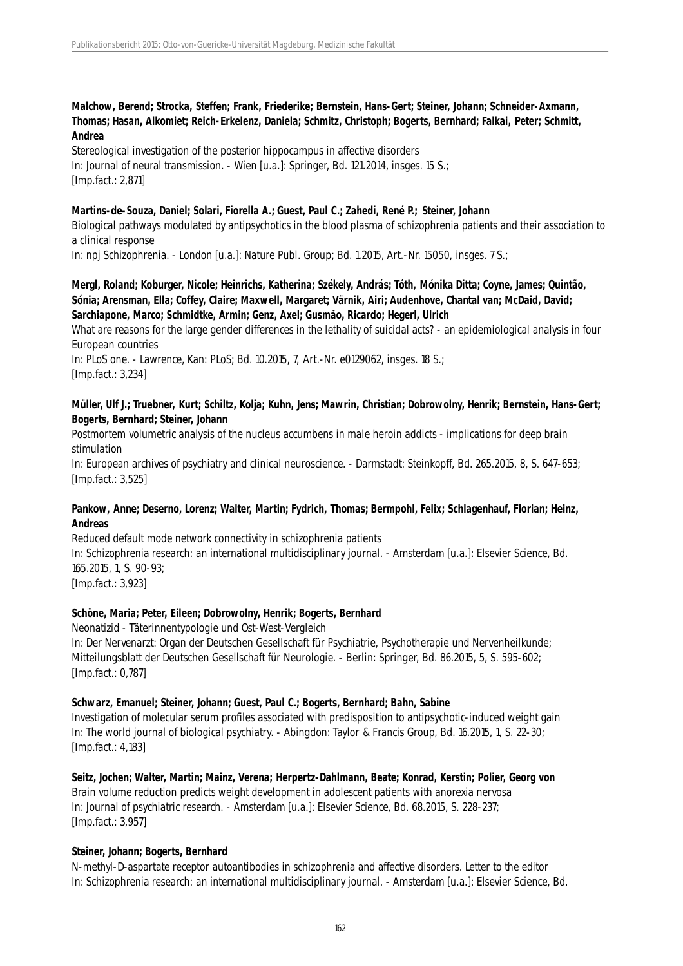#### **Malchow, Berend; Strocka, Steffen; Frank, Friederike; Bernstein, Hans-Gert; Steiner, Johann; Schneider-Axmann, Thomas; Hasan, Alkomiet; Reich-Erkelenz, Daniela; Schmitz, Christoph; Bogerts, Bernhard; Falkai, Peter; Schmitt, Andrea**

Stereological investigation of the posterior hippocampus in affective disorders In: Journal of neural transmission. - Wien [u.a.]: Springer, Bd. 121.2014, insges. 15 S.; [Imp.fact.: 2,871]

#### **Martins-de-Souza, Daniel; Solari, Fiorella A.; Guest, Paul C.; Zahedi, René P.; Steiner, Johann**

Biological pathways modulated by antipsychotics in the blood plasma of schizophrenia patients and their association to a clinical response

In: npj Schizophrenia. - London [u.a.]: Nature Publ. Group; Bd. 1.2015, Art.-Nr. 15050, insges. 7 S.;

#### **Mergl, Roland; Koburger, Nicole; Heinrichs, Katherina; Székely, András; Tóth, Mónika Ditta; Coyne, James; Quintão, Sónia; Arensman, Ella; Coffey, Claire; Maxwell, Margaret; Värnik, Airi; Audenhove, Chantal van; McDaid, David; Sarchiapone, Marco; Schmidtke, Armin; Genz, Axel; Gusmão, Ricardo; Hegerl, Ulrich**

What are reasons for the large gender differences in the lethality of suicidal acts? - an epidemiological analysis in four European countries

In: PLoS one. - Lawrence, Kan: PLoS; Bd. 10.2015, 7, Art.-Nr. e0129062, insges. 18 S.; [Imp.fact.: 3,234]

#### **Müller, Ulf J.; Truebner, Kurt; Schiltz, Kolja; Kuhn, Jens; Mawrin, Christian; Dobrowolny, Henrik; Bernstein, Hans-Gert; Bogerts, Bernhard; Steiner, Johann**

Postmortem volumetric analysis of the nucleus accumbens in male heroin addicts - implications for deep brain stimulation

In: European archives of psychiatry and clinical neuroscience. - Darmstadt: Steinkopff, Bd. 265.2015, 8, S. 647-653; [Imp.fact.: 3,525]

## **Pankow, Anne; Deserno, Lorenz; Walter, Martin; Fydrich, Thomas; Bermpohl, Felix; Schlagenhauf, Florian; Heinz, Andreas**

Reduced default mode network connectivity in schizophrenia patients In: Schizophrenia research: an international multidisciplinary journal. - Amsterdam [u.a.]: Elsevier Science, Bd. 165.2015, 1, S. 90-93; [Imp.fact.: 3,923]

## **Schöne, Maria; Peter, Eileen; Dobrowolny, Henrik; Bogerts, Bernhard**

Neonatizid - Täterinnentypologie und Ost-West-Vergleich

In: Der Nervenarzt: Organ der Deutschen Gesellschaft für Psychiatrie, Psychotherapie und Nervenheilkunde; Mitteilungsblatt der Deutschen Gesellschaft für Neurologie. - Berlin: Springer, Bd. 86.2015, 5, S. 595-602; [Imp.fact.: 0,787]

#### **Schwarz, Emanuel; Steiner, Johann; Guest, Paul C.; Bogerts, Bernhard; Bahn, Sabine**

Investigation of molecular serum profiles associated with predisposition to antipsychotic-induced weight gain In: The world journal of biological psychiatry. - Abingdon: Taylor & Francis Group, Bd. 16.2015, 1, S. 22-30; [Imp.fact.: 4,183]

**Seitz, Jochen; Walter, Martin; Mainz, Verena; Herpertz-Dahlmann, Beate; Konrad, Kerstin; Polier, Georg von** Brain volume reduction predicts weight development in adolescent patients with anorexia nervosa In: Journal of psychiatric research. - Amsterdam [u.a.]: Elsevier Science, Bd. 68.2015, S. 228-237; [Imp.fact.: 3,957]

#### **Steiner, Johann; Bogerts, Bernhard**

N-methyl-D-aspartate receptor autoantibodies in schizophrenia and affective disorders. Letter to the editor In: Schizophrenia research: an international multidisciplinary journal. - Amsterdam [u.a.]: Elsevier Science, Bd.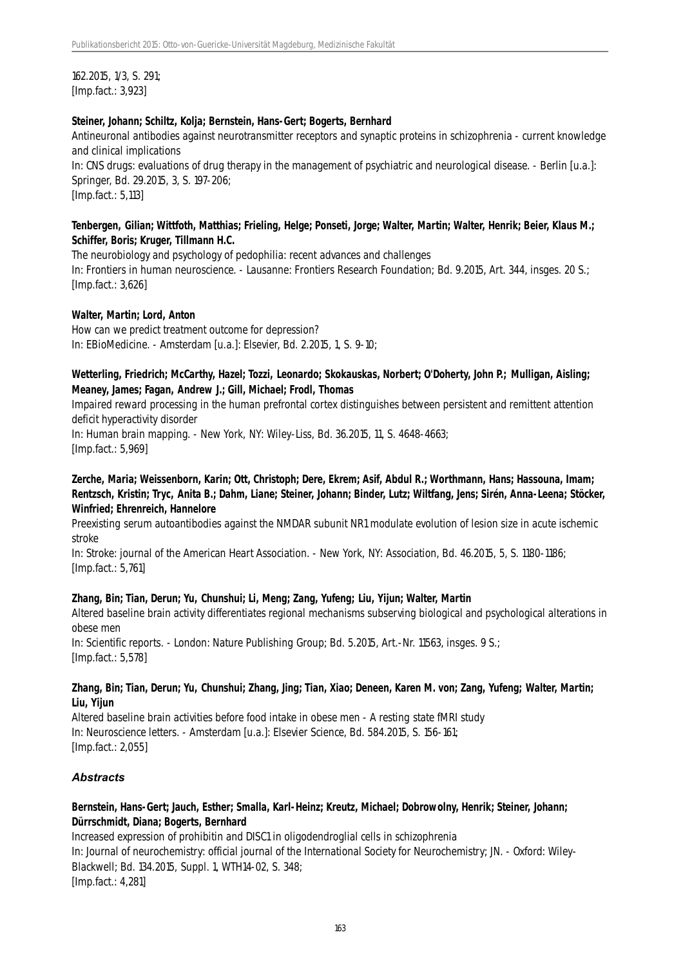162.2015, 1/3, S. 291; [Imp.fact.: 3,923]

#### **Steiner, Johann; Schiltz, Kolja; Bernstein, Hans-Gert; Bogerts, Bernhard**

Antineuronal antibodies against neurotransmitter receptors and synaptic proteins in schizophrenia - current knowledge and clinical implications

In: CNS drugs: evaluations of drug therapy in the management of psychiatric and neurological disease. - Berlin [u.a.]: Springer, Bd. 29.2015, 3, S. 197-206; [Imp.fact.: 5,113]

#### **Tenbergen, Gilian; Wittfoth, Matthias; Frieling, Helge; Ponseti, Jorge; Walter, Martin; Walter, Henrik; Beier, Klaus M.; Schiffer, Boris; Kruger, Tillmann H.C.**

The neurobiology and psychology of pedophilia: recent advances and challenges In: Frontiers in human neuroscience. - Lausanne: Frontiers Research Foundation; Bd. 9.2015, Art. 344, insges. 20 S.; [Imp.fact.: 3,626]

## **Walter, Martin; Lord, Anton**

How can we predict treatment outcome for depression? In: EBioMedicine. - Amsterdam [u.a.]: Elsevier, Bd. 2.2015, 1, S. 9-10;

## **Wetterling, Friedrich; McCarthy, Hazel; Tozzi, Leonardo; Skokauskas, Norbert; O'Doherty, John P.; Mulligan, Aisling; Meaney, James; Fagan, Andrew J.; Gill, Michael; Frodl, Thomas**

Impaired reward processing in the human prefrontal cortex distinguishes between persistent and remittent attention deficit hyperactivity disorder

In: Human brain mapping. - New York, NY: Wiley-Liss, Bd. 36.2015, 11, S. 4648-4663; [Imp.fact.: 5,969]

**Zerche, Maria; Weissenborn, Karin; Ott, Christoph; Dere, Ekrem; Asif, Abdul R.; Worthmann, Hans; Hassouna, Imam; Rentzsch, Kristin; Tryc, Anita B.; Dahm, Liane; Steiner, Johann; Binder, Lutz; Wiltfang, Jens; Sirén, Anna-Leena; Stöcker, Winfried; Ehrenreich, Hannelore**

Preexisting serum autoantibodies against the NMDAR subunit NR1 modulate evolution of lesion size in acute ischemic stroke

In: Stroke: journal of the American Heart Association. - New York, NY: Association, Bd. 46.2015, 5, S. 1180-1186; [Imp.fact.: 5,761]

## **Zhang, Bin; Tian, Derun; Yu, Chunshui; Li, Meng; Zang, Yufeng; Liu, Yijun; Walter, Martin**

Altered baseline brain activity differentiates regional mechanisms subserving biological and psychological alterations in obese men

In: Scientific reports. - London: Nature Publishing Group; Bd. 5.2015, Art.-Nr. 11563, insges. 9 S.; [Imp.fact.: 5,578]

#### **Zhang, Bin; Tian, Derun; Yu, Chunshui; Zhang, Jing; Tian, Xiao; Deneen, Karen M. von; Zang, Yufeng; Walter, Martin; Liu, Yijun**

Altered baseline brain activities before food intake in obese men - A resting state fMRI study In: Neuroscience letters. - Amsterdam [u.a.]: Elsevier Science, Bd. 584.2015, S. 156-161; [Imp.fact.: 2,055]

## *Abstracts*

## **Bernstein, Hans-Gert; Jauch, Esther; Smalla, Karl-Heinz; Kreutz, Michael; Dobrowolny, Henrik; Steiner, Johann; Dürrschmidt, Diana; Bogerts, Bernhard**

Increased expression of prohibitin and DISC1 in oligodendroglial cells in schizophrenia In: Journal of neurochemistry: official journal of the International Society for Neurochemistry; JN. - Oxford: Wiley-Blackwell; Bd. 134.2015, Suppl. 1, WTH14-02, S. 348; [Imp.fact.: 4,281]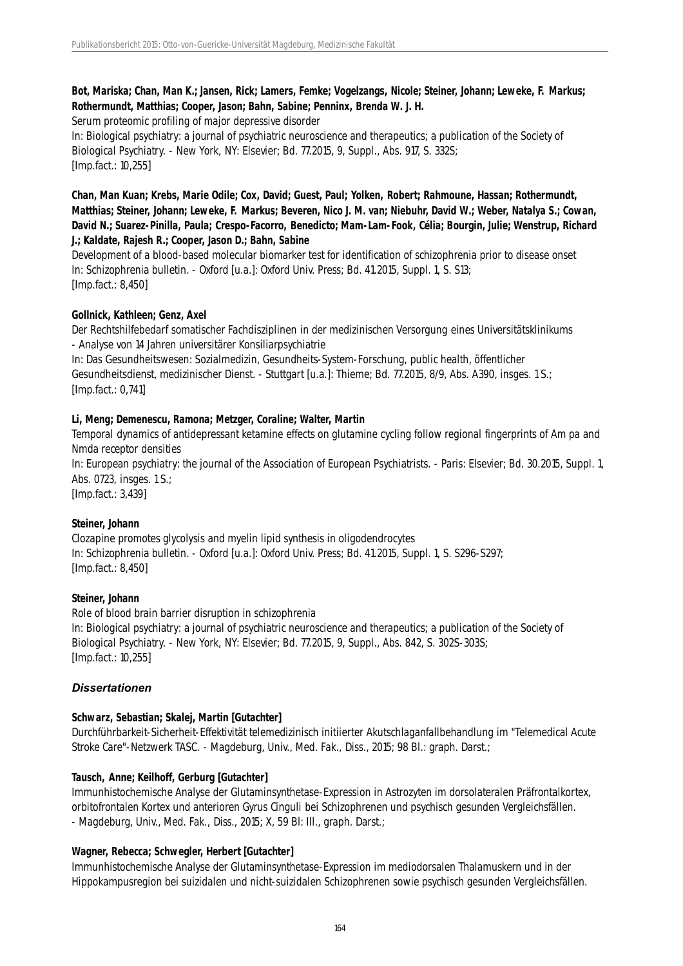# **Bot, Mariska; Chan, Man K.; Jansen, Rick; Lamers, Femke; Vogelzangs, Nicole; Steiner, Johann; Leweke, F. Markus; Rothermundt, Matthias; Cooper, Jason; Bahn, Sabine; Penninx, Brenda W. J. H.**

Serum proteomic profiling of major depressive disorder

In: Biological psychiatry: a journal of psychiatric neuroscience and therapeutics; a publication of the Society of Biological Psychiatry. - New York, NY: Elsevier; Bd. 77.2015, 9, Suppl., Abs. 917, S. 332S; [Imp.fact.: 10,255]

**Chan, Man Kuan; Krebs, Marie Odile; Cox, David; Guest, Paul; Yolken, Robert; Rahmoune, Hassan; Rothermundt, Matthias; Steiner, Johann; Leweke, F. Markus; Beveren, Nico J. M. van; Niebuhr, David W.; Weber, Natalya S.; Cowan, David N.; Suarez-Pinilla, Paula; Crespo-Facorro, Benedicto; Mam-Lam-Fook, Célia; Bourgin, Julie; Wenstrup, Richard J.; Kaldate, Rajesh R.; Cooper, Jason D.; Bahn, Sabine**

Development of a blood-based molecular biomarker test for identification of schizophrenia prior to disease onset In: Schizophrenia bulletin. - Oxford [u.a.]: Oxford Univ. Press; Bd. 41.2015, Suppl. 1, S. S13; [Imp.fact.: 8,450]

# **Gollnick, Kathleen; Genz, Axel**

Der Rechtshilfebedarf somatischer Fachdisziplinen in der medizinischen Versorgung eines Universitätsklinikums - Analyse von 14 Jahren universitärer Konsiliarpsychiatrie

In: Das Gesundheitswesen: Sozialmedizin, Gesundheits-System-Forschung, public health, öffentlicher Gesundheitsdienst, medizinischer Dienst. - Stuttgart [u.a.]: Thieme; Bd. 77.2015, 8/9, Abs. A390, insges. 1 S.; [Imp.fact.: 0,741]

# **Li, Meng; Demenescu, Ramona; Metzger, Coraline; Walter, Martin**

Temporal dynamics of antidepressant ketamine effects on glutamine cycling follow regional fingerprints of Am pa and Nmda receptor densities

In: European psychiatry: the journal of the Association of European Psychiatrists. - Paris: Elsevier; Bd. 30.2015, Suppl. 1, Abs. 0723, insges. 1 S.;

[Imp.fact.: 3,439]

## **Steiner, Johann**

Clozapine promotes glycolysis and myelin lipid synthesis in oligodendrocytes In: Schizophrenia bulletin. - Oxford [u.a.]: Oxford Univ. Press; Bd. 41.2015, Suppl. 1, S. S296-S297; [Imp.fact.: 8,450]

## **Steiner, Johann**

Role of blood brain barrier disruption in schizophrenia In: Biological psychiatry: a journal of psychiatric neuroscience and therapeutics; a publication of the Society of Biological Psychiatry. - New York, NY: Elsevier; Bd. 77.2015, 9, Suppl., Abs. 842, S. 302S-303S; [Imp.fact.: 10,255]

## *Dissertationen*

## **Schwarz, Sebastian; Skalej, Martin [Gutachter]**

Durchführbarkeit-Sicherheit-Effektivität telemedizinisch initiierter Akutschlaganfallbehandlung im "Telemedical Acute Stroke Care"-Netzwerk TASC. - Magdeburg, Univ., Med. Fak., Diss., 2015; 98 Bl.: graph. Darst.;

## **Tausch, Anne; Keilhoff, Gerburg [Gutachter]**

Immunhistochemische Analyse der Glutaminsynthetase-Expression in Astrozyten im dorsolateralen Präfrontalkortex, orbitofrontalen Kortex und anterioren Gyrus Cinguli bei Schizophrenen und psychisch gesunden Vergleichsfällen. - Magdeburg, Univ., Med. Fak., Diss., 2015; X, 59 Bl: Ill., graph. Darst.;

## **Wagner, Rebecca; Schwegler, Herbert [Gutachter]**

Immunhistochemische Analyse der Glutaminsynthetase-Expression im mediodorsalen Thalamuskern und in der Hippokampusregion bei suizidalen und nicht-suizidalen Schizophrenen sowie psychisch gesunden Vergleichsfällen.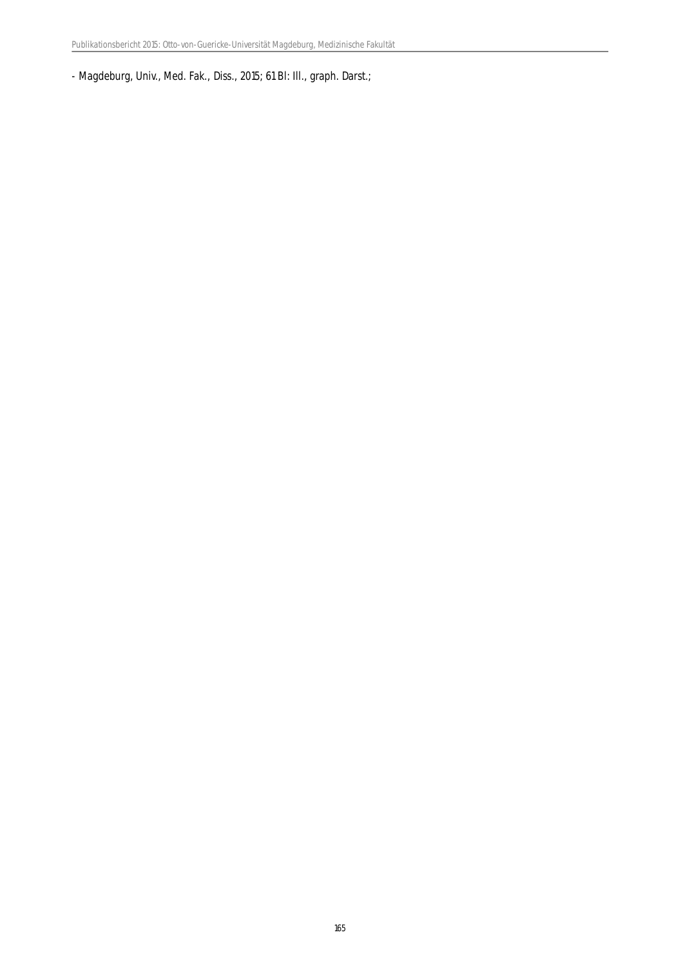- Magdeburg, Univ., Med. Fak., Diss., 2015; 61 Bl: Ill., graph. Darst.;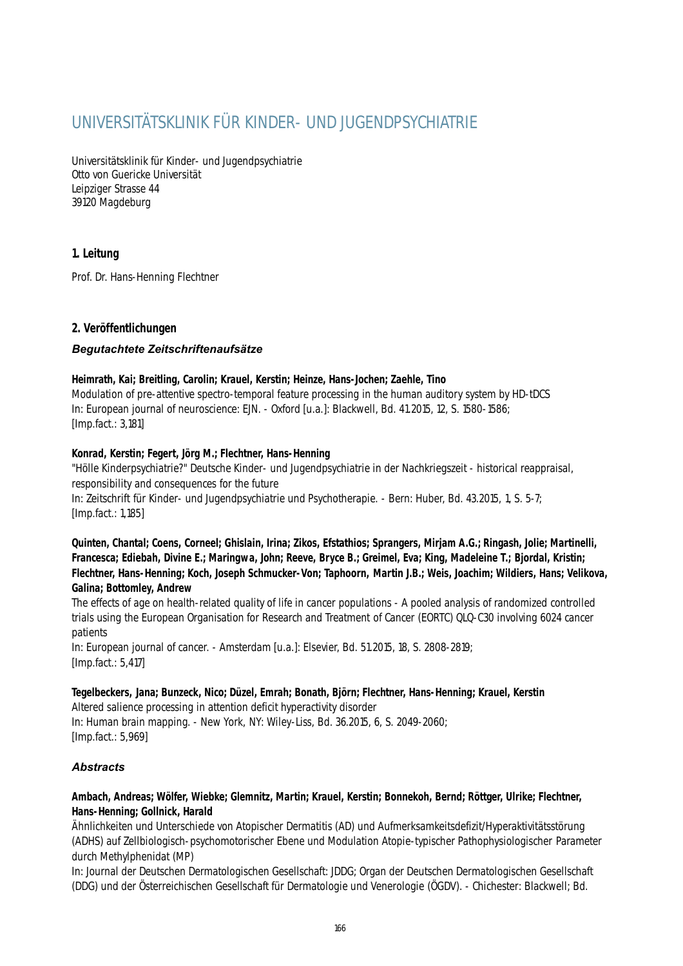# UNIVERSITÄTSKLINIK FÜR KINDER- UND JUGENDPSYCHIATRIE

Universitätsklinik für Kinder- und Jugendpsychiatrie Otto von Guericke Universität Leipziger Strasse 44 39120 Magdeburg

# **1. Leitung**

Prof. Dr. Hans-Henning Flechtner

# **2. Veröffentlichungen**

# *Begutachtete Zeitschriftenaufsätze*

## **Heimrath, Kai; Breitling, Carolin; Krauel, Kerstin; Heinze, Hans-Jochen; Zaehle, Tino**

Modulation of pre-attentive spectro-temporal feature processing in the human auditory system by HD-tDCS In: European journal of neuroscience: EJN. - Oxford [u.a.]: Blackwell, Bd. 41.2015, 12, S. 1580-1586; [Imp.fact.: 3,181]

## **Konrad, Kerstin; Fegert, Jörg M.; Flechtner, Hans-Henning**

"Hölle Kinderpsychiatrie?" Deutsche Kinder- und Jugendpsychiatrie in der Nachkriegszeit - historical reappraisal, responsibility and consequences for the future In: Zeitschrift für Kinder- und Jugendpsychiatrie und Psychotherapie. - Bern: Huber, Bd. 43.2015, 1, S. 5-7; [Imp.fact.: 1,185]

**Quinten, Chantal; Coens, Corneel; Ghislain, Irina; Zikos, Efstathios; Sprangers, Mirjam A.G.; Ringash, Jolie; Martinelli, Francesca; Ediebah, Divine E.; Maringwa, John; Reeve, Bryce B.; Greimel, Eva; King, Madeleine T.; Bjordal, Kristin; Flechtner, Hans-Henning; Koch, Joseph Schmucker-Von; Taphoorn, Martin J.B.; Weis, Joachim; Wildiers, Hans; Velikova, Galina; Bottomley, Andrew**

The effects of age on health-related quality of life in cancer populations - A pooled analysis of randomized controlled trials using the European Organisation for Research and Treatment of Cancer (EORTC) QLQ-C30 involving 6024 cancer patients

In: European journal of cancer. - Amsterdam [u.a.]: Elsevier, Bd. 51.2015, 18, S. 2808-2819; [Imp.fact.: 5,417]

## **Tegelbeckers, Jana; Bunzeck, Nico; Düzel, Emrah; Bonath, Björn; Flechtner, Hans-Henning; Krauel, Kerstin**

Altered salience processing in attention deficit hyperactivity disorder In: Human brain mapping. - New York, NY: Wiley-Liss, Bd. 36.2015, 6, S. 2049-2060; [Imp.fact.: 5,969]

# *Abstracts*

## **Ambach, Andreas; Wölfer, Wiebke; Glemnitz, Martin; Krauel, Kerstin; Bonnekoh, Bernd; Röttger, Ulrike; Flechtner, Hans-Henning; Gollnick, Harald**

Ähnlichkeiten und Unterschiede von Atopischer Dermatitis (AD) und Aufmerksamkeitsdefizit/Hyperaktivitätsstörung (ADHS) auf Zellbiologisch-psychomotorischer Ebene und Modulation Atopie-typischer Pathophysiologischer Parameter durch Methylphenidat (MP)

In: Journal der Deutschen Dermatologischen Gesellschaft: JDDG; Organ der Deutschen Dermatologischen Gesellschaft (DDG) und der Österreichischen Gesellschaft für Dermatologie und Venerologie (ÖGDV). - Chichester: Blackwell; Bd.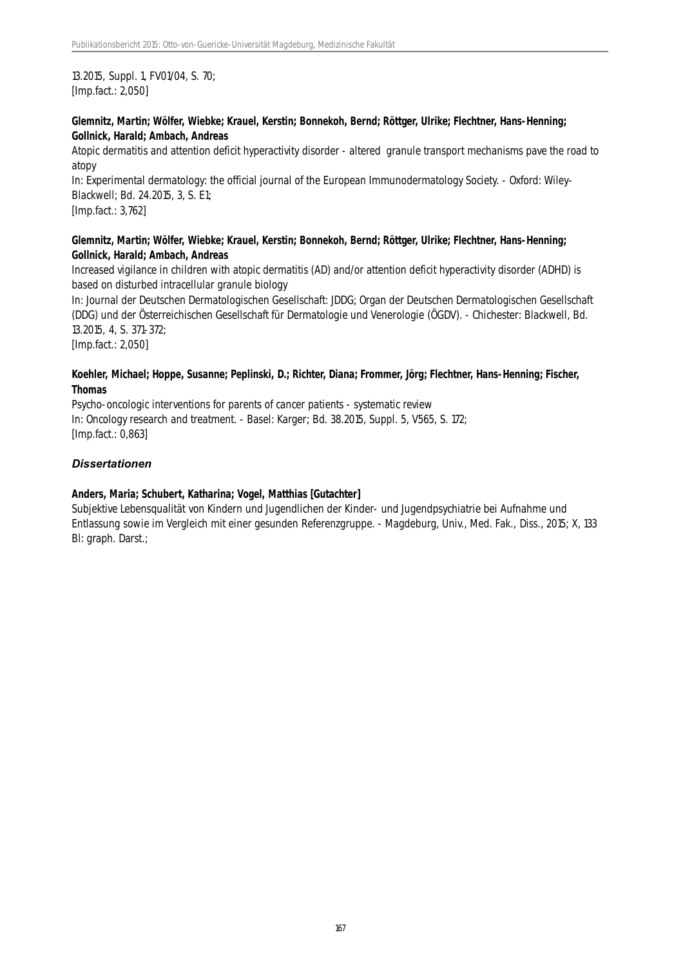13.2015, Suppl. 1, FV01/04, S. 70; [Imp.fact.: 2,050]

## **Glemnitz, Martin; Wölfer, Wiebke; Krauel, Kerstin; Bonnekoh, Bernd; Röttger, Ulrike; Flechtner, Hans-Henning; Gollnick, Harald; Ambach, Andreas**

Atopic dermatitis and attention deficit hyperactivity disorder - altered granule transport mechanisms pave the road to atopy

In: Experimental dermatology: the official journal of the European Immunodermatology Society. - Oxford: Wiley-Blackwell; Bd. 24.2015, 3, S. E1;

[Imp.fact.: 3,762]

## **Glemnitz, Martin; Wölfer, Wiebke; Krauel, Kerstin; Bonnekoh, Bernd; Röttger, Ulrike; Flechtner, Hans-Henning; Gollnick, Harald; Ambach, Andreas**

Increased vigilance in children with atopic dermatitis (AD) and/or attention deficit hyperactivity disorder (ADHD) is based on disturbed intracellular granule biology

In: Journal der Deutschen Dermatologischen Gesellschaft: JDDG; Organ der Deutschen Dermatologischen Gesellschaft (DDG) und der Österreichischen Gesellschaft für Dermatologie und Venerologie (ÖGDV). - Chichester: Blackwell, Bd. 13.2015, 4, S. 371-372;

[Imp.fact.: 2,050]

## **Koehler, Michael; Hoppe, Susanne; Peplinski, D.; Richter, Diana; Frommer, Jörg; Flechtner, Hans-Henning; Fischer, Thomas**

Psycho-oncologic interventions for parents of cancer patients - systematic review In: Oncology research and treatment. - Basel: Karger; Bd. 38.2015, Suppl. 5, V565, S. 172; [Imp.fact.: 0,863]

# *Dissertationen*

## **Anders, Maria; Schubert, Katharina; Vogel, Matthias [Gutachter]**

Subjektive Lebensqualität von Kindern und Jugendlichen der Kinder- und Jugendpsychiatrie bei Aufnahme und Entlassung sowie im Vergleich mit einer gesunden Referenzgruppe. - Magdeburg, Univ., Med. Fak., Diss., 2015; X, 133 Bl: graph. Darst.;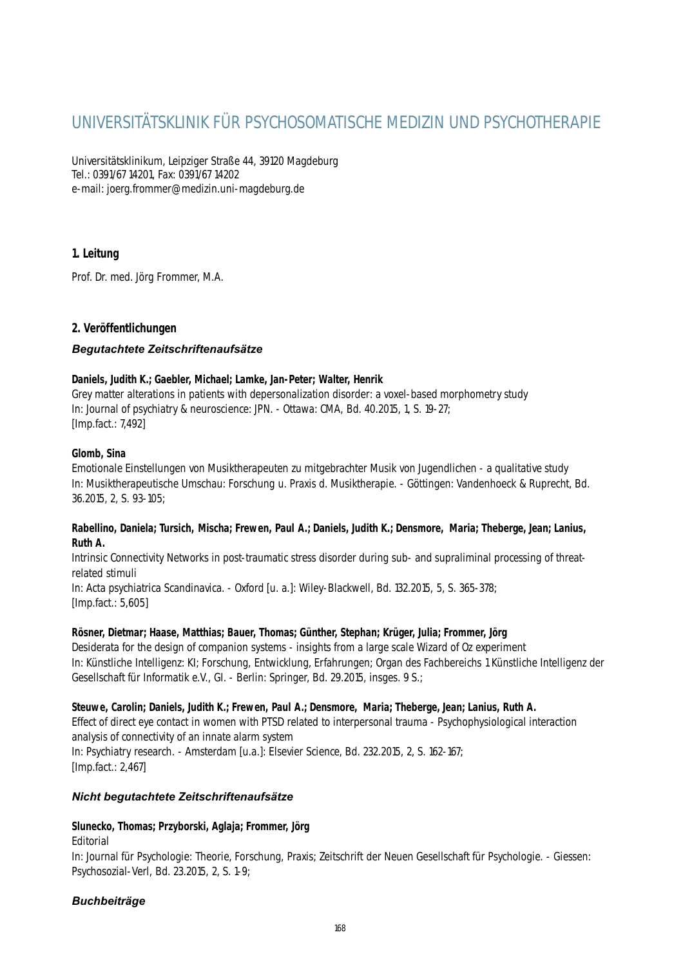# UNIVERSITÄTSKLINIK FÜR PSYCHOSOMATISCHE MEDIZIN UND PSYCHOTHERAPIE

Universitätsklinikum, Leipziger Straße 44, 39120 Magdeburg Tel.: 0391/67 14201, Fax: 0391/67 14202 e-mail: joerg.frommer@medizin.uni-magdeburg.de

# **1. Leitung**

Prof. Dr. med. Jörg Frommer, M.A.

# **2. Veröffentlichungen**

## *Begutachtete Zeitschriftenaufsätze*

## **Daniels, Judith K.; Gaebler, Michael; Lamke, Jan-Peter; Walter, Henrik**

Grey matter alterations in patients with depersonalization disorder: a voxel-based morphometry study In: Journal of psychiatry & neuroscience: JPN. - Ottawa: CMA, Bd. 40.2015, 1, S. 19-27; [Imp.fact.: 7,492]

#### **Glomb, Sina**

Emotionale Einstellungen von Musiktherapeuten zu mitgebrachter Musik von Jugendlichen - a qualitative study In: Musiktherapeutische Umschau: Forschung u. Praxis d. Musiktherapie. - Göttingen: Vandenhoeck & Ruprecht, Bd. 36.2015, 2, S. 93-105;

#### **Rabellino, Daniela; Tursich, Mischa; Frewen, Paul A.; Daniels, Judith K.; Densmore, Maria; Theberge, Jean; Lanius, Ruth A.**

Intrinsic Connectivity Networks in post-traumatic stress disorder during sub- and supraliminal processing of threatrelated stimuli

In: Acta psychiatrica Scandinavica. - Oxford [u. a.]: Wiley-Blackwell, Bd. 132.2015, 5, S. 365-378; [Imp.fact.: 5,605]

## **Rösner, Dietmar; Haase, Matthias; Bauer, Thomas; Günther, Stephan; Krüger, Julia; Frommer, Jörg**

Desiderata for the design of companion systems - insights from a large scale Wizard of Oz experiment In: Künstliche Intelligenz: KI; Forschung, Entwicklung, Erfahrungen; Organ des Fachbereichs 1 Künstliche Intelligenz der Gesellschaft für Informatik e.V., GI. - Berlin: Springer, Bd. 29.2015, insges. 9 S.;

## **Steuwe, Carolin; Daniels, Judith K.; Frewen, Paul A.; Densmore, Maria; Theberge, Jean; Lanius, Ruth A.**

Effect of direct eye contact in women with PTSD related to interpersonal trauma - Psychophysiological interaction analysis of connectivity of an innate alarm system In: Psychiatry research. - Amsterdam [u.a.]: Elsevier Science, Bd. 232.2015, 2, S. 162-167; [Imp.fact.: 2,467]

## *Nicht begutachtete Zeitschriftenaufsätze*

# **Slunecko, Thomas; Przyborski, Aglaja; Frommer, Jörg**

Editorial

In: Journal für Psychologie: Theorie, Forschung, Praxis; Zeitschrift der Neuen Gesellschaft für Psychologie. - Giessen: Psychosozial-Verl, Bd. 23.2015, 2, S. 1-9;

# *Buchbeiträge*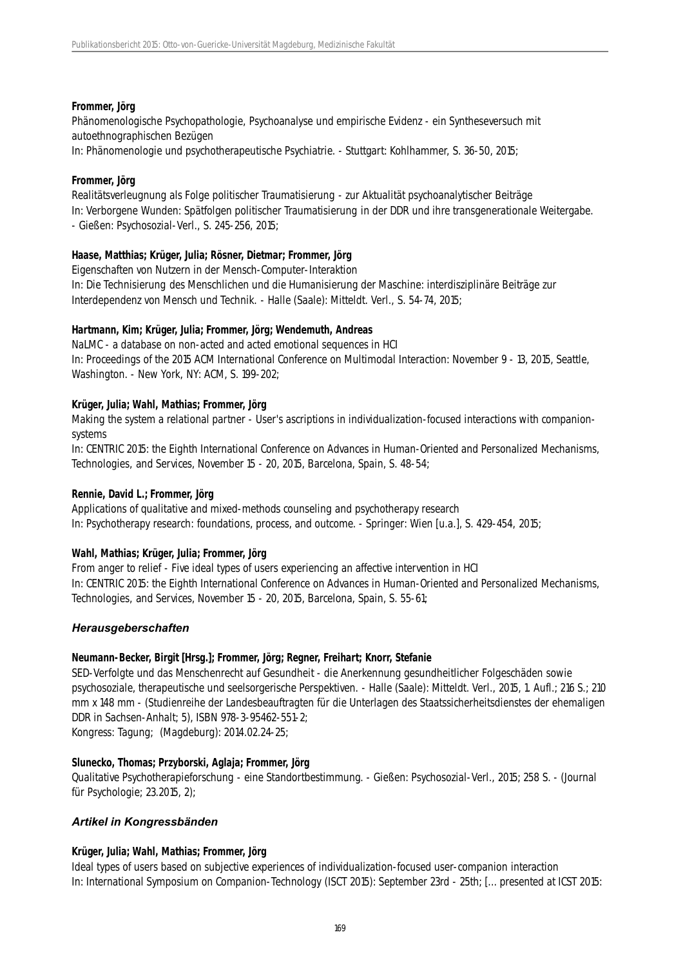#### **Frommer, Jörg**

Phänomenologische Psychopathologie, Psychoanalyse und empirische Evidenz - ein Syntheseversuch mit autoethnographischen Bezügen

In: Phänomenologie und psychotherapeutische Psychiatrie. - Stuttgart: Kohlhammer, S. 36-50, 2015;

#### **Frommer, Jörg**

Realitätsverleugnung als Folge politischer Traumatisierung - zur Aktualität psychoanalytischer Beiträge In: Verborgene Wunden: Spätfolgen politischer Traumatisierung in der DDR und ihre transgenerationale Weitergabe. - Gießen: Psychosozial-Verl., S. 245-256, 2015;

## **Haase, Matthias; Krüger, Julia; Rösner, Dietmar; Frommer, Jörg**

Eigenschaften von Nutzern in der Mensch-Computer-Interaktion In: Die Technisierung des Menschlichen und die Humanisierung der Maschine: interdisziplinäre Beiträge zur Interdependenz von Mensch und Technik. - Halle (Saale): Mitteldt. Verl., S. 54-74, 2015;

#### **Hartmann, Kim; Krüger, Julia; Frommer, Jörg; Wendemuth, Andreas**

NaLMC - a database on non-acted and acted emotional sequences in HCI In: Proceedings of the 2015 ACM International Conference on Multimodal Interaction: November 9 - 13, 2015, Seattle, Washington. - New York, NY: ACM, S. 199-202;

#### **Krüger, Julia; Wahl, Mathias; Frommer, Jörg**

Making the system a relational partner - User's ascriptions in individualization-focused interactions with companionsystems

In: CENTRIC 2015: the Eighth International Conference on Advances in Human-Oriented and Personalized Mechanisms, Technologies, and Services, November 15 - 20, 2015, Barcelona, Spain, S. 48-54;

#### **Rennie, David L.; Frommer, Jörg**

Applications of qualitative and mixed-methods counseling and psychotherapy research In: Psychotherapy research: foundations, process, and outcome. - Springer: Wien [u.a.], S. 429-454, 2015;

#### **Wahl, Mathias; Krüger, Julia; Frommer, Jörg**

From anger to relief - Five ideal types of users experiencing an affective intervention in HCI In: CENTRIC 2015: the Eighth International Conference on Advances in Human-Oriented and Personalized Mechanisms, Technologies, and Services, November 15 - 20, 2015, Barcelona, Spain, S. 55-61;

## *Herausgeberschaften*

#### **Neumann-Becker, Birgit [Hrsg.]; Frommer, Jörg; Regner, Freihart; Knorr, Stefanie**

SED-Verfolgte und das Menschenrecht auf Gesundheit - die Anerkennung gesundheitlicher Folgeschäden sowie psychosoziale, therapeutische und seelsorgerische Perspektiven. - Halle (Saale): Mitteldt. Verl., 2015, 1. Aufl.; 216 S.; 210 mm x 148 mm - (Studienreihe der Landesbeauftragten für die Unterlagen des Staatssicherheitsdienstes der ehemaligen DDR in Sachsen-Anhalt; 5), ISBN 978-3-95462-551-2;

Kongress: Tagung; (Magdeburg): 2014.02.24-25;

#### **Slunecko, Thomas; Przyborski, Aglaja; Frommer, Jörg**

Qualitative Psychotherapieforschung - eine Standortbestimmung. - Gießen: Psychosozial-Verl., 2015; 258 S. - (Journal für Psychologie; 23.2015, 2);

## *Artikel in Kongressbänden*

## **Krüger, Julia; Wahl, Mathias; Frommer, Jörg**

Ideal types of users based on subjective experiences of individualization-focused user-companion interaction In: International Symposium on Companion-Technology (ISCT 2015): September 23rd - 25th; [... presented at ICST 2015: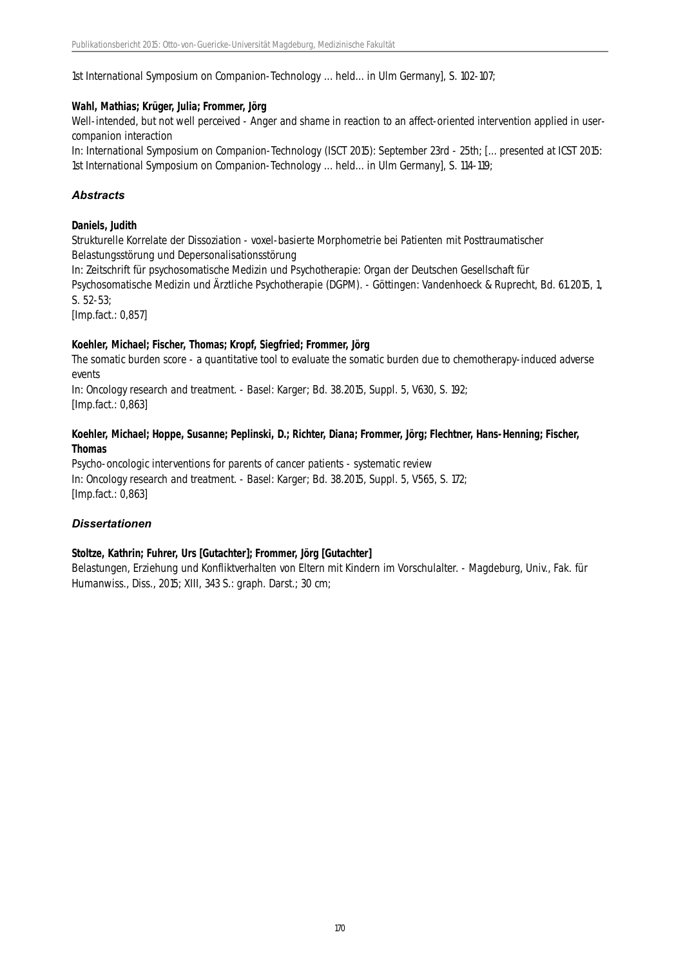1st International Symposium on Companion-Technology ... held... in Ulm Germany], S. 102-107;

#### **Wahl, Mathias; Krüger, Julia; Frommer, Jörg**

Well-intended, but not well perceived - Anger and shame in reaction to an affect-oriented intervention applied in usercompanion interaction

In: International Symposium on Companion-Technology (ISCT 2015): September 23rd - 25th; [... presented at ICST 2015: 1st International Symposium on Companion-Technology ... held... in Ulm Germany], S. 114-119;

## *Abstracts*

#### **Daniels, Judith**

Strukturelle Korrelate der Dissoziation - voxel-basierte Morphometrie bei Patienten mit Posttraumatischer Belastungsstörung und Depersonalisationsstörung

In: Zeitschrift für psychosomatische Medizin und Psychotherapie: Organ der Deutschen Gesellschaft für Psychosomatische Medizin und Ärztliche Psychotherapie (DGPM). - Göttingen: Vandenhoeck & Ruprecht, Bd. 61.2015, 1, S. 52-53;

[Imp.fact.: 0,857]

#### **Koehler, Michael; Fischer, Thomas; Kropf, Siegfried; Frommer, Jörg**

The somatic burden score - a quantitative tool to evaluate the somatic burden due to chemotherapy-induced adverse events

In: Oncology research and treatment. - Basel: Karger; Bd. 38.2015, Suppl. 5, V630, S. 192; [Imp.fact.: 0,863]

#### **Koehler, Michael; Hoppe, Susanne; Peplinski, D.; Richter, Diana; Frommer, Jörg; Flechtner, Hans-Henning; Fischer, Thomas**

Psycho-oncologic interventions for parents of cancer patients - systematic review In: Oncology research and treatment. - Basel: Karger; Bd. 38.2015, Suppl. 5, V565, S. 172; [Imp.fact.: 0,863]

## *Dissertationen*

## **Stoltze, Kathrin; Fuhrer, Urs [Gutachter]; Frommer, Jörg [Gutachter]**

Belastungen, Erziehung und Konfliktverhalten von Eltern mit Kindern im Vorschulalter. - Magdeburg, Univ., Fak. für Humanwiss., Diss., 2015; XIII, 343 S.: graph. Darst.; 30 cm;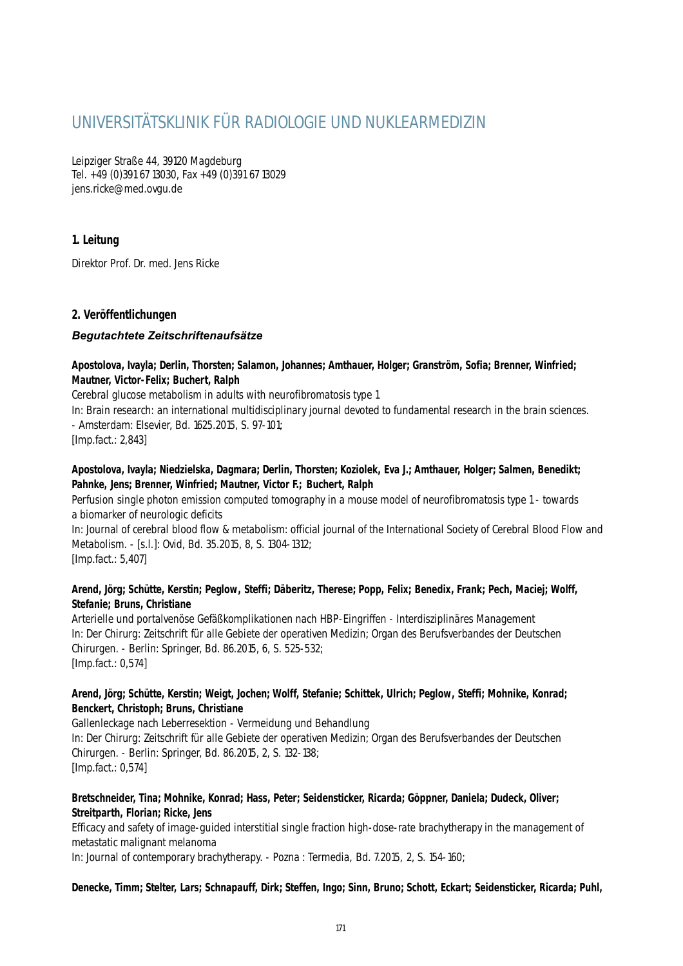# UNIVERSITÄTSKLINIK FÜR RADIOLOGIE UND NUKLEARMEDIZIN

Leipziger Straße 44, 39120 Magdeburg Tel. +49 (0)391 67 13030, Fax +49 (0)391 67 13029 jens.ricke@med.ovgu.de

# **1. Leitung**

Direktor Prof. Dr. med. Jens Ricke

# **2. Veröffentlichungen**

## *Begutachtete Zeitschriftenaufsätze*

## **Apostolova, Ivayla; Derlin, Thorsten; Salamon, Johannes; Amthauer, Holger; Granström, Sofia; Brenner, Winfried; Mautner, Victor-Felix; Buchert, Ralph**

Cerebral glucose metabolism in adults with neurofibromatosis type 1

In: Brain research: an international multidisciplinary journal devoted to fundamental research in the brain sciences. - Amsterdam: Elsevier, Bd. 1625.2015, S. 97-101;

[Imp.fact.: 2,843]

## **Apostolova, Ivayla; Niedzielska, Dagmara; Derlin, Thorsten; Koziolek, Eva J.; Amthauer, Holger; Salmen, Benedikt; Pahnke, Jens; Brenner, Winfried; Mautner, Victor F.; Buchert, Ralph**

Perfusion single photon emission computed tomography in a mouse model of neurofibromatosis type 1 - towards a biomarker of neurologic deficits

In: Journal of cerebral blood flow & metabolism: official journal of the International Society of Cerebral Blood Flow and Metabolism. - [s.l.]: Ovid, Bd. 35.2015, 8, S. 1304-1312; [Imp.fact.: 5,407]

## **Arend, Jörg; Schütte, Kerstin; Peglow, Steffi; Däberitz, Therese; Popp, Felix; Benedix, Frank; Pech, Maciej; Wolff, Stefanie; Bruns, Christiane**

Arterielle und portalvenöse Gefäßkomplikationen nach HBP-Eingriffen - Interdisziplinäres Management In: Der Chirurg: Zeitschrift für alle Gebiete der operativen Medizin; Organ des Berufsverbandes der Deutschen Chirurgen. - Berlin: Springer, Bd. 86.2015, 6, S. 525-532; [Imp.fact.: 0,574]

## **Arend, Jörg; Schütte, Kerstin; Weigt, Jochen; Wolff, Stefanie; Schittek, Ulrich; Peglow, Steffi; Mohnike, Konrad; Benckert, Christoph; Bruns, Christiane**

Gallenleckage nach Leberresektion - Vermeidung und Behandlung In: Der Chirurg: Zeitschrift für alle Gebiete der operativen Medizin; Organ des Berufsverbandes der Deutschen Chirurgen. - Berlin: Springer, Bd. 86.2015, 2, S. 132-138; [Imp.fact.: 0,574]

# **Bretschneider, Tina; Mohnike, Konrad; Hass, Peter; Seidensticker, Ricarda; Göppner, Daniela; Dudeck, Oliver; Streitparth, Florian; Ricke, Jens**

Efficacy and safety of image-guided interstitial single fraction high-dose-rate brachytherapy in the management of metastatic malignant melanoma

In: Journal of contemporary brachytherapy. - Pozna : Termedia, Bd. 7.2015, 2, S. 154-160;

**Denecke, Timm; Stelter, Lars; Schnapauff, Dirk; Steffen, Ingo; Sinn, Bruno; Schott, Eckart; Seidensticker, Ricarda; Puhl,**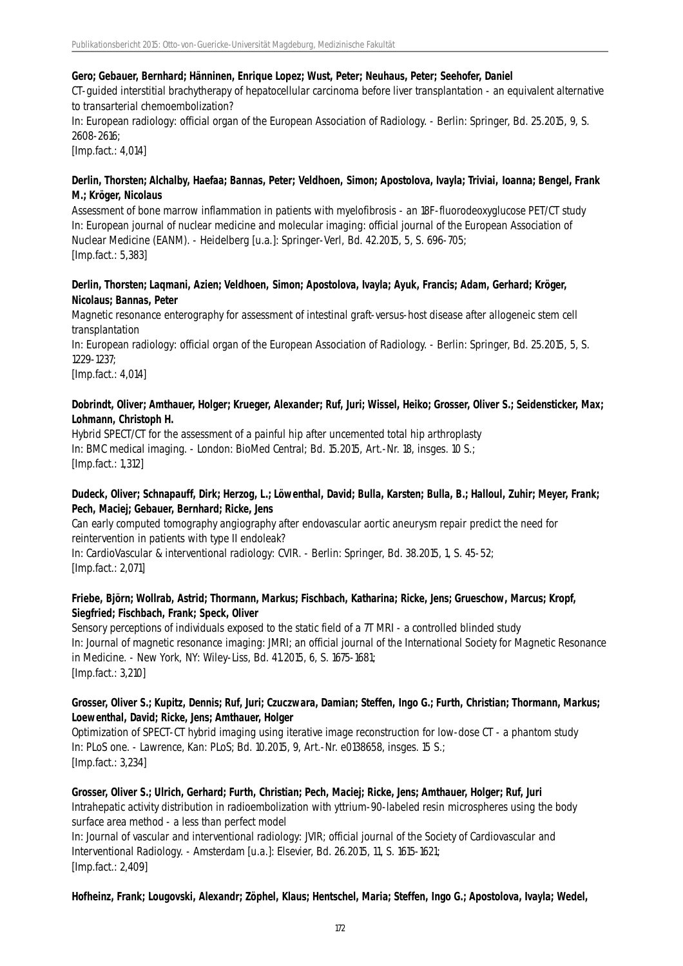#### **Gero; Gebauer, Bernhard; Hänninen, Enrique Lopez; Wust, Peter; Neuhaus, Peter; Seehofer, Daniel**

CT-guided interstitial brachytherapy of hepatocellular carcinoma before liver transplantation - an equivalent alternative to transarterial chemoembolization?

In: European radiology: official organ of the European Association of Radiology. - Berlin: Springer, Bd. 25.2015, 9, S. 2608-2616;

[Imp.fact.: 4,014]

#### **Derlin, Thorsten; Alchalby, Haefaa; Bannas, Peter; Veldhoen, Simon; Apostolova, Ivayla; Triviai, Ioanna; Bengel, Frank M.; Kröger, Nicolaus**

Assessment of bone marrow inflammation in patients with myelofibrosis - an 18F-fluorodeoxyglucose PET/CT study In: European journal of nuclear medicine and molecular imaging: official journal of the European Association of Nuclear Medicine (EANM). - Heidelberg [u.a.]: Springer-Verl, Bd. 42.2015, 5, S. 696-705; [Imp.fact.: 5,383]

#### **Derlin, Thorsten; Laqmani, Azien; Veldhoen, Simon; Apostolova, Ivayla; Ayuk, Francis; Adam, Gerhard; Kröger, Nicolaus; Bannas, Peter**

Magnetic resonance enterography for assessment of intestinal graft-versus-host disease after allogeneic stem cell transplantation

In: European radiology: official organ of the European Association of Radiology. - Berlin: Springer, Bd. 25.2015, 5, S. 1229-1237;

[Imp.fact.: 4,014]

## **Dobrindt, Oliver; Amthauer, Holger; Krueger, Alexander; Ruf, Juri; Wissel, Heiko; Grosser, Oliver S.; Seidensticker, Max; Lohmann, Christoph H.**

Hybrid SPECT/CT for the assessment of a painful hip after uncemented total hip arthroplasty In: BMC medical imaging. - London: BioMed Central; Bd. 15.2015, Art.-Nr. 18, insges. 10 S.; [Imp.fact.: 1,312]

## **Dudeck, Oliver; Schnapauff, Dirk; Herzog, L.; Löwenthal, David; Bulla, Karsten; Bulla, B.; Halloul, Zuhir; Meyer, Frank; Pech, Maciej; Gebauer, Bernhard; Ricke, Jens**

Can early computed tomography angiography after endovascular aortic aneurysm repair predict the need for reintervention in patients with type II endoleak?

In: CardioVascular & interventional radiology: CVIR. - Berlin: Springer, Bd. 38.2015, 1, S. 45-52; [Imp.fact.: 2,071]

## **Friebe, Björn; Wollrab, Astrid; Thormann, Markus; Fischbach, Katharina; Ricke, Jens; Grueschow, Marcus; Kropf, Siegfried; Fischbach, Frank; Speck, Oliver**

Sensory perceptions of individuals exposed to the static field of a 7T MRI - a controlled blinded study In: Journal of magnetic resonance imaging: JMRI; an official journal of the International Society for Magnetic Resonance in Medicine. - New York, NY: Wiley-Liss, Bd. 41.2015, 6, S. 1675-1681; [Imp.fact.: 3,210]

## **Grosser, Oliver S.; Kupitz, Dennis; Ruf, Juri; Czuczwara, Damian; Steffen, Ingo G.; Furth, Christian; Thormann, Markus; Loewenthal, David; Ricke, Jens; Amthauer, Holger**

Optimization of SPECT-CT hybrid imaging using iterative image reconstruction for low-dose CT - a phantom study In: PLoS one. - Lawrence, Kan: PLoS; Bd. 10.2015, 9, Art.-Nr. e0138658, insges. 15 S.; [Imp.fact.: 3,234]

# **Grosser, Oliver S.; Ulrich, Gerhard; Furth, Christian; Pech, Maciej; Ricke, Jens; Amthauer, Holger; Ruf, Juri**

Intrahepatic activity distribution in radioembolization with yttrium-90-labeled resin microspheres using the body surface area method - a less than perfect model

In: Journal of vascular and interventional radiology: JVIR; official journal of the Society of Cardiovascular and Interventional Radiology. - Amsterdam [u.a.]: Elsevier, Bd. 26.2015, 11, S. 1615-1621; [Imp.fact.: 2,409]

**Hofheinz, Frank; Lougovski, Alexandr; Zöphel, Klaus; Hentschel, Maria; Steffen, Ingo G.; Apostolova, Ivayla; Wedel,**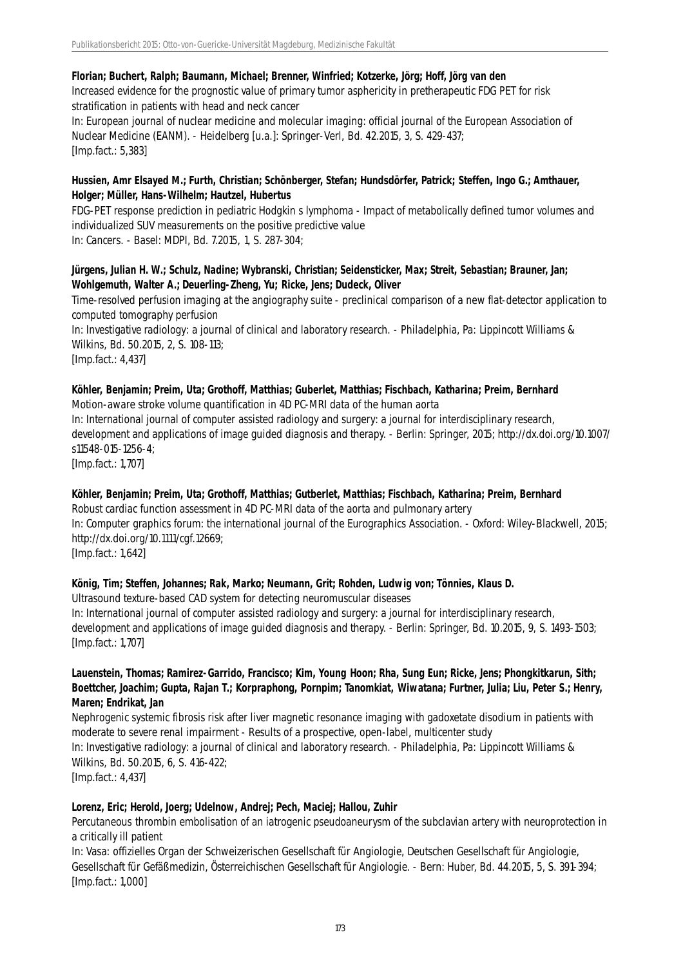#### **Florian; Buchert, Ralph; Baumann, Michael; Brenner, Winfried; Kotzerke, Jörg; Hoff, Jörg van den**

Increased evidence for the prognostic value of primary tumor asphericity in pretherapeutic FDG PET for risk stratification in patients with head and neck cancer

In: European journal of nuclear medicine and molecular imaging: official journal of the European Association of Nuclear Medicine (EANM). - Heidelberg [u.a.]: Springer-Verl, Bd. 42.2015, 3, S. 429-437; [Imp.fact.: 5,383]

#### **Hussien, Amr Elsayed M.; Furth, Christian; Schönberger, Stefan; Hundsdörfer, Patrick; Steffen, Ingo G.; Amthauer, Holger; Müller, Hans-Wilhelm; Hautzel, Hubertus**

FDG-PET response prediction in pediatric Hodgkin s lymphoma - Impact of metabolically defined tumor volumes and individualized SUV measurements on the positive predictive value In: Cancers. - Basel: MDPI, Bd. 7.2015, 1, S. 287-304;

#### **Jürgens, Julian H. W.; Schulz, Nadine; Wybranski, Christian; Seidensticker, Max; Streit, Sebastian; Brauner, Jan; Wohlgemuth, Walter A.; Deuerling-Zheng, Yu; Ricke, Jens; Dudeck, Oliver**

Time-resolved perfusion imaging at the angiography suite - preclinical comparison of a new flat-detector application to computed tomography perfusion In: Investigative radiology: a journal of clinical and laboratory research. - Philadelphia, Pa: Lippincott Williams & Wilkins, Bd. 50.2015, 2, S. 108-113;

[Imp.fact.: 4,437]

#### **Köhler, Benjamin; Preim, Uta; Grothoff, Matthias; Guberlet, Matthias; Fischbach, Katharina; Preim, Bernhard** Motion-aware stroke volume quantification in 4D PC-MRI data of the human aorta

In: International journal of computer assisted radiology and surgery: a journal for interdisciplinary research, development and applications of image guided diagnosis and therapy. - Berlin: Springer, 2015; http://dx.doi.org/10.1007/ s11548-015-1256-4;

[Imp.fact.: 1,707]

## **Köhler, Benjamin; Preim, Uta; Grothoff, Matthias; Gutberlet, Matthias; Fischbach, Katharina; Preim, Bernhard**

Robust cardiac function assessment in 4D PC-MRI data of the aorta and pulmonary artery In: Computer graphics forum: the international journal of the Eurographics Association. - Oxford: Wiley-Blackwell, 2015; http://dx.doi.org/10.1111/cgf.12669; [Imp.fact.: 1,642]

## **König, Tim; Steffen, Johannes; Rak, Marko; Neumann, Grit; Rohden, Ludwig von; Tönnies, Klaus D.**

Ultrasound texture-based CAD system for detecting neuromuscular diseases In: International journal of computer assisted radiology and surgery: a journal for interdisciplinary research, development and applications of image guided diagnosis and therapy. - Berlin: Springer, Bd. 10.2015, 9, S. 1493-1503; [Imp.fact.: 1,707]

## **Lauenstein, Thomas; Ramirez-Garrido, Francisco; Kim, Young Hoon; Rha, Sung Eun; Ricke, Jens; Phongkitkarun, Sith; Boettcher, Joachim; Gupta, Rajan T.; Korpraphong, Pornpim; Tanomkiat, Wiwatana; Furtner, Julia; Liu, Peter S.; Henry, Maren; Endrikat, Jan**

Nephrogenic systemic fibrosis risk after liver magnetic resonance imaging with gadoxetate disodium in patients with moderate to severe renal impairment - Results of a prospective, open-label, multicenter study In: Investigative radiology: a journal of clinical and laboratory research. - Philadelphia, Pa: Lippincott Williams & Wilkins, Bd. 50.2015, 6, S. 416-422; [Imp.fact.: 4,437]

## **Lorenz, Eric; Herold, Joerg; Udelnow, Andrej; Pech, Maciej; Hallou, Zuhir**

Percutaneous thrombin embolisation of an iatrogenic pseudoaneurysm of the subclavian artery with neuroprotection in a critically ill patient

In: Vasa: offizielles Organ der Schweizerischen Gesellschaft für Angiologie, Deutschen Gesellschaft für Angiologie, Gesellschaft für Gefäßmedizin, Österreichischen Gesellschaft für Angiologie. - Bern: Huber, Bd. 44.2015, 5, S. 391-394; [Imp.fact.: 1,000]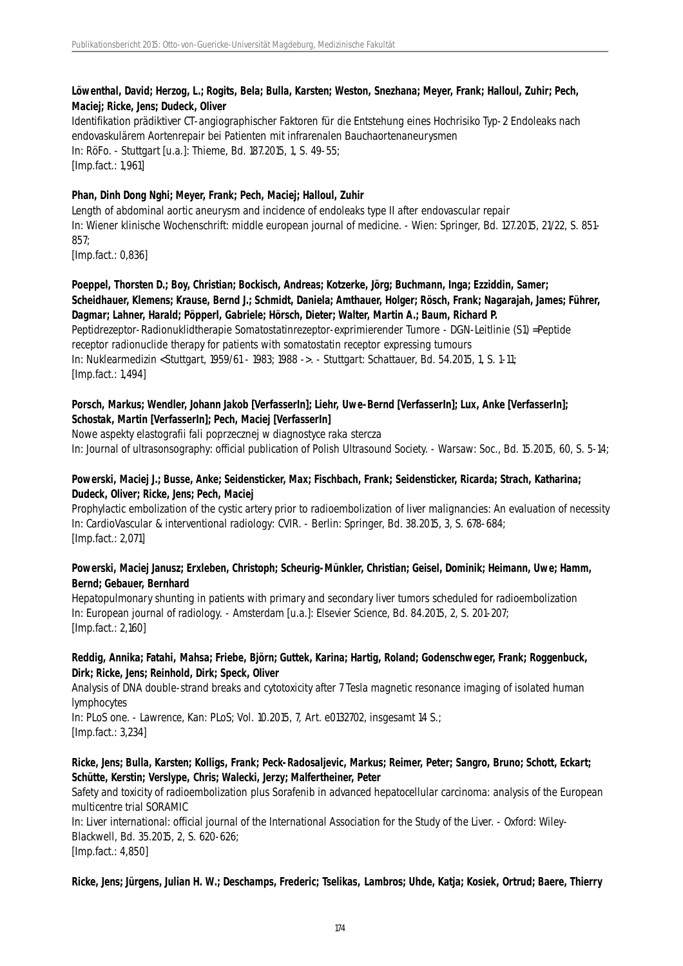## **Löwenthal, David; Herzog, L.; Rogits, Bela; Bulla, Karsten; Weston, Snezhana; Meyer, Frank; Halloul, Zuhir; Pech, Maciej; Ricke, Jens; Dudeck, Oliver**

Identifikation prädiktiver CT-angiographischer Faktoren für die Entstehung eines Hochrisiko Typ-2 Endoleaks nach endovaskulärem Aortenrepair bei Patienten mit infrarenalen Bauchaortenaneurysmen In: RöFo. - Stuttgart [u.a.]: Thieme, Bd. 187.2015, 1, S. 49-55; [Imp.fact.: 1,961]

## **Phan, Dinh Dong Nghi; Meyer, Frank; Pech, Maciej; Halloul, Zuhir**

Length of abdominal aortic aneurysm and incidence of endoleaks type II after endovascular repair In: Wiener klinische Wochenschrift: middle european journal of medicine. - Wien: Springer, Bd. 127.2015, 21/22, S. 851- 857;

[Imp.fact.: 0,836]

# **Poeppel, Thorsten D.; Boy, Christian; Bockisch, Andreas; Kotzerke, Jörg; Buchmann, Inga; Ezziddin, Samer; Scheidhauer, Klemens; Krause, Bernd J.; Schmidt, Daniela; Amthauer, Holger; Rösch, Frank; Nagarajah, James; Führer, Dagmar; Lahner, Harald; Pöpperl, Gabriele; Hörsch, Dieter; Walter, Martin A.; Baum, Richard P.** Peptidrezeptor-Radionuklidtherapie Somatostatinrezeptor-exprimierender Tumore - DGN-Leitlinie (S1) =Peptide

receptor radionuclide therapy for patients with somatostatin receptor expressing tumours In: Nuklearmedizin <Stuttgart, 1959/61 - 1983; 1988 ->. - Stuttgart: Schattauer, Bd. 54.2015, 1, S. 1-11; [Imp.fact.: 1,494]

# **Porsch, Markus; Wendler, Johann Jakob [VerfasserIn]; Liehr, Uwe-Bernd [VerfasserIn]; Lux, Anke [VerfasserIn]; Schostak, Martin [VerfasserIn]; Pech, Maciej [VerfasserIn]**

Nowe aspekty elastografii fali poprzecznej w diagnostyce raka stercza

In: Journal of ultrasonsography: official publication of Polish Ultrasound Society. - Warsaw: Soc., Bd. 15.2015, 60, S. 5-14;

# **Powerski, Maciej J.; Busse, Anke; Seidensticker, Max; Fischbach, Frank; Seidensticker, Ricarda; Strach, Katharina; Dudeck, Oliver; Ricke, Jens; Pech, Maciej**

Prophylactic embolization of the cystic artery prior to radioembolization of liver malignancies: An evaluation of necessity In: CardioVascular & interventional radiology: CVIR. - Berlin: Springer, Bd. 38.2015, 3, S. 678-684; [Imp.fact.: 2,071]

## **Powerski, Maciej Janusz; Erxleben, Christoph; Scheurig-Münkler, Christian; Geisel, Dominik; Heimann, Uwe; Hamm, Bernd; Gebauer, Bernhard**

Hepatopulmonary shunting in patients with primary and secondary liver tumors scheduled for radioembolization In: European journal of radiology. - Amsterdam [u.a.]: Elsevier Science, Bd. 84.2015, 2, S. 201-207; [Imp.fact.: 2,160]

# **Reddig, Annika; Fatahi, Mahsa; Friebe, Björn; Guttek, Karina; Hartig, Roland; Godenschweger, Frank; Roggenbuck, Dirk; Ricke, Jens; Reinhold, Dirk; Speck, Oliver**

Analysis of DNA double-strand breaks and cytotoxicity after 7 Tesla magnetic resonance imaging of isolated human lymphocytes

In: PLoS one. - Lawrence, Kan: PLoS; Vol. 10.2015, 7, Art. e0132702, insgesamt 14 S.; [Imp.fact.: 3,234]

# **Ricke, Jens; Bulla, Karsten; Kolligs, Frank; Peck-Radosaljevic, Markus; Reimer, Peter; Sangro, Bruno; Schott, Eckart; Schütte, Kerstin; Verslype, Chris; Walecki, Jerzy; Malfertheiner, Peter**

Safety and toxicity of radioembolization plus Sorafenib in advanced hepatocellular carcinoma: analysis of the European multicentre trial SORAMIC

In: Liver international: official journal of the International Association for the Study of the Liver. - Oxford: Wiley-Blackwell, Bd. 35.2015, 2, S. 620-626; [Imp.fact.: 4,850]

## **Ricke, Jens; Jürgens, Julian H. W.; Deschamps, Frederic; Tselikas, Lambros; Uhde, Katja; Kosiek, Ortrud; Baere, Thierry**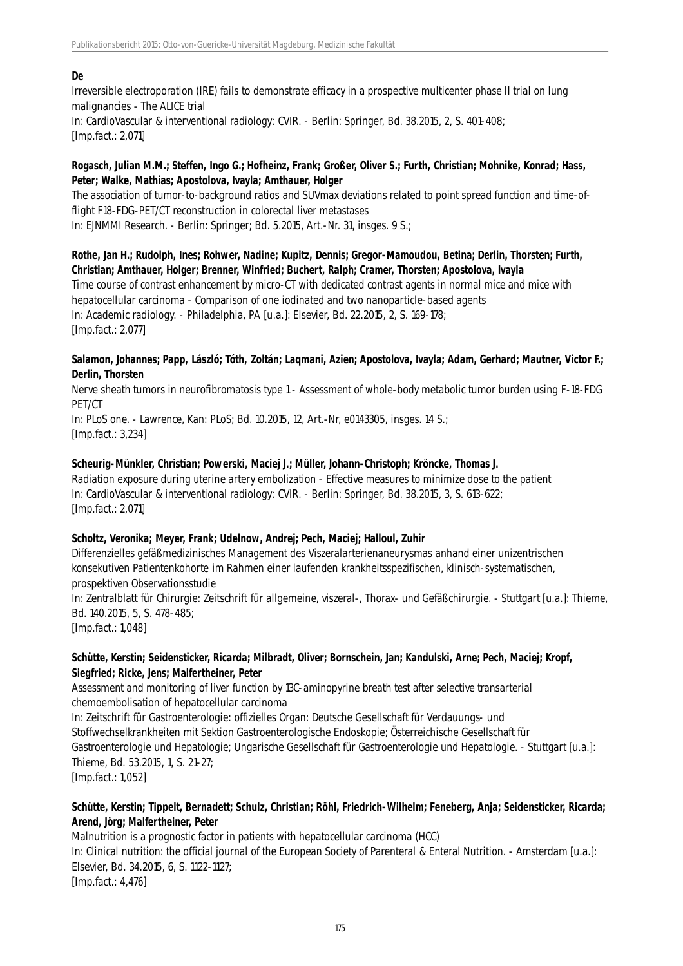#### **De**

Irreversible electroporation (IRE) fails to demonstrate efficacy in a prospective multicenter phase II trial on lung malignancies - The ALICE trial In: CardioVascular & interventional radiology: CVIR. - Berlin: Springer, Bd. 38.2015, 2, S. 401-408; [Imp.fact.: 2,071]

## **Rogasch, Julian M.M.; Steffen, Ingo G.; Hofheinz, Frank; Großer, Oliver S.; Furth, Christian; Mohnike, Konrad; Hass, Peter; Walke, Mathias; Apostolova, Ivayla; Amthauer, Holger**

The association of tumor-to-background ratios and SUVmax deviations related to point spread function and time-offlight F18-FDG-PET/CT reconstruction in colorectal liver metastases In: EJNMMI Research. - Berlin: Springer; Bd. 5.2015, Art.-Nr. 31, insges. 9 S.;

**Rothe, Jan H.; Rudolph, Ines; Rohwer, Nadine; Kupitz, Dennis; Gregor-Mamoudou, Betina; Derlin, Thorsten; Furth, Christian; Amthauer, Holger; Brenner, Winfried; Buchert, Ralph; Cramer, Thorsten; Apostolova, Ivayla** Time course of contrast enhancement by micro-CT with dedicated contrast agents in normal mice and mice with hepatocellular carcinoma - Comparison of one iodinated and two nanoparticle-based agents In: Academic radiology. - Philadelphia, PA [u.a.]: Elsevier, Bd. 22.2015, 2, S. 169-178; [Imp.fact.: 2,077]

#### **Salamon, Johannes; Papp, László; Tóth, Zoltán; Laqmani, Azien; Apostolova, Ivayla; Adam, Gerhard; Mautner, Victor F.; Derlin, Thorsten**

Nerve sheath tumors in neurofibromatosis type 1 - Assessment of whole-body metabolic tumor burden using F-18-FDG PET/CT

In: PLoS one. - Lawrence, Kan: PLoS; Bd. 10.2015, 12, Art.-Nr, e0143305, insges. 14 S.; [Imp.fact.: 3,234]

# **Scheurig-Münkler, Christian; Powerski, Maciej J.; Müller, Johann-Christoph; Kröncke, Thomas J.**

Radiation exposure during uterine artery embolization - Effective measures to minimize dose to the patient In: CardioVascular & interventional radiology: CVIR. - Berlin: Springer, Bd. 38.2015, 3, S. 613-622; [Imp.fact.: 2,071]

## **Scholtz, Veronika; Meyer, Frank; Udelnow, Andrej; Pech, Maciej; Halloul, Zuhir**

Differenzielles gefäßmedizinisches Management des Viszeralarterienaneurysmas anhand einer unizentrischen konsekutiven Patientenkohorte im Rahmen einer laufenden krankheitsspezifischen, klinisch-systematischen, prospektiven Observationsstudie

In: Zentralblatt für Chirurgie: Zeitschrift für allgemeine, viszeral-, Thorax- und Gefäßchirurgie. - Stuttgart [u.a.]: Thieme, Bd. 140.2015, 5, S. 478-485;

[Imp.fact.: 1,048]

# **Schütte, Kerstin; Seidensticker, Ricarda; Milbradt, Oliver; Bornschein, Jan; Kandulski, Arne; Pech, Maciej; Kropf, Siegfried; Ricke, Jens; Malfertheiner, Peter**

Assessment and monitoring of liver function by 13C-aminopyrine breath test after selective transarterial chemoembolisation of hepatocellular carcinoma

In: Zeitschrift für Gastroenterologie: offizielles Organ: Deutsche Gesellschaft für Verdauungs- und Stoffwechselkrankheiten mit Sektion Gastroenterologische Endoskopie; Österreichische Gesellschaft für Gastroenterologie und Hepatologie; Ungarische Gesellschaft für Gastroenterologie und Hepatologie. - Stuttgart [u.a.]: Thieme, Bd. 53.2015, 1, S. 21-27; [Imp.fact.: 1,052]

# **Schütte, Kerstin; Tippelt, Bernadett; Schulz, Christian; Röhl, Friedrich-Wilhelm; Feneberg, Anja; Seidensticker, Ricarda; Arend, Jörg; Malfertheiner, Peter**

Malnutrition is a prognostic factor in patients with hepatocellular carcinoma (HCC) In: Clinical nutrition: the official journal of the European Society of Parenteral & Enteral Nutrition. - Amsterdam [u.a.]: Elsevier, Bd. 34.2015, 6, S. 1122-1127; [Imp.fact.: 4,476]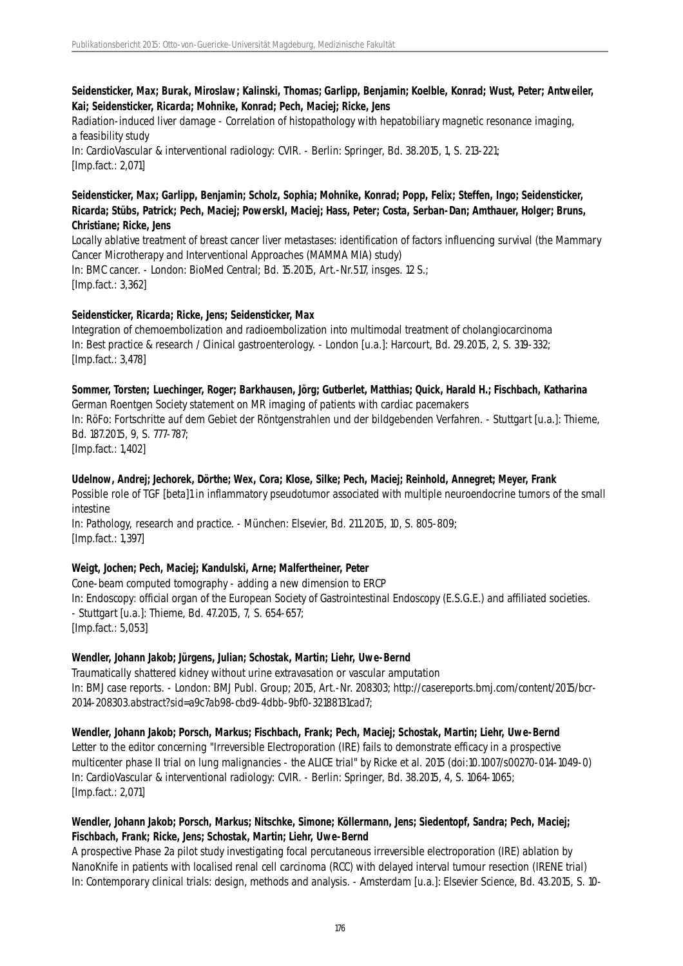## **Seidensticker, Max; Burak, Miroslaw; Kalinski, Thomas; Garlipp, Benjamin; Koelble, Konrad; Wust, Peter; Antweiler, Kai; Seidensticker, Ricarda; Mohnike, Konrad; Pech, Maciej; Ricke, Jens**

Radiation-induced liver damage - Correlation of histopathology with hepatobiliary magnetic resonance imaging, a feasibility study In: CardioVascular & interventional radiology: CVIR. - Berlin: Springer, Bd. 38.2015, 1, S. 213-221;

[Imp.fact.: 2,071]

#### **Seidensticker, Max; Garlipp, Benjamin; Scholz, Sophia; Mohnike, Konrad; Popp, Felix; Steffen, Ingo; Seidensticker, Ricarda; Stübs, Patrick; Pech, Maciej; PowerskI, Maciej; Hass, Peter; Costa, Serban-Dan; Amthauer, Holger; Bruns, Christiane; Ricke, Jens**

Locally ablative treatment of breast cancer liver metastases: identification of factors influencing survival (the Mammary Cancer Microtherapy and Interventional Approaches (MAMMA MIA) study) In: BMC cancer. - London: BioMed Central; Bd. 15.2015, Art.-Nr.517, insges. 12 S.; [Imp.fact.: 3,362]

# **Seidensticker, Ricarda; Ricke, Jens; Seidensticker, Max**

Integration of chemoembolization and radioembolization into multimodal treatment of cholangiocarcinoma In: Best practice & research / Clinical gastroenterology. - London [u.a.]: Harcourt, Bd. 29.2015, 2, S. 319-332; [Imp.fact.: 3,478]

# **Sommer, Torsten; Luechinger, Roger; Barkhausen, Jörg; Gutberlet, Matthias; Quick, Harald H.; Fischbach, Katharina** German Roentgen Society statement on MR imaging of patients with cardiac pacemakers In: RöFo: Fortschritte auf dem Gebiet der Röntgenstrahlen und der bildgebenden Verfahren. - Stuttgart [u.a.]: Thieme, Bd. 187.2015, 9, S. 777-787;

[Imp.fact.: 1,402]

## **Udelnow, Andrej; Jechorek, Dörthe; Wex, Cora; Klose, Silke; Pech, Maciej; Reinhold, Annegret; Meyer, Frank**

Possible role of TGF [beta]1 in inflammatory pseudotumor associated with multiple neuroendocrine tumors of the small intestine

In: Pathology, research and practice. - München: Elsevier, Bd. 211.2015, 10, S. 805-809; [Imp.fact.: 1,397]

## **Weigt, Jochen; Pech, Maciej; Kandulski, Arne; Malfertheiner, Peter**

Cone-beam computed tomography - adding a new dimension to ERCP In: Endoscopy: official organ of the European Society of Gastrointestinal Endoscopy (E.S.G.E.) and affiliated societies. - Stuttgart [u.a.]: Thieme, Bd. 47.2015, 7, S. 654-657; [Imp.fact.: 5,053]

## **Wendler, Johann Jakob; Jürgens, Julian; Schostak, Martin; Liehr, Uwe-Bernd**

Traumatically shattered kidney without urine extravasation or vascular amputation In: BMJ case reports. - London: BMJ Publ. Group; 2015, Art.-Nr. 208303; http://casereports.bmj.com/content/2015/bcr-2014-208303.abstract?sid=a9c7ab98-cbd9-4dbb-9bf0-32188131cad7;

**Wendler, Johann Jakob; Porsch, Markus; Fischbach, Frank; Pech, Maciej; Schostak, Martin; Liehr, Uwe-Bernd** Letter to the editor concerning "Irreversible Electroporation (IRE) fails to demonstrate efficacy in a prospective multicenter phase II trial on lung malignancies - the ALICE trial" by Ricke et al. 2015 (doi:10.1007/s00270-014-1049-0) In: CardioVascular & interventional radiology: CVIR. - Berlin: Springer, Bd. 38.2015, 4, S. 1064-1065; [Imp.fact.: 2,071]

## **Wendler, Johann Jakob; Porsch, Markus; Nitschke, Simone; Köllermann, Jens; Siedentopf, Sandra; Pech, Maciej; Fischbach, Frank; Ricke, Jens; Schostak, Martin; Liehr, Uwe-Bernd**

A prospective Phase 2a pilot study investigating focal percutaneous irreversible electroporation (IRE) ablation by NanoKnife in patients with localised renal cell carcinoma (RCC) with delayed interval tumour resection (IRENE trial) In: Contemporary clinical trials: design, methods and analysis. - Amsterdam [u.a.]: Elsevier Science, Bd. 43.2015, S. 10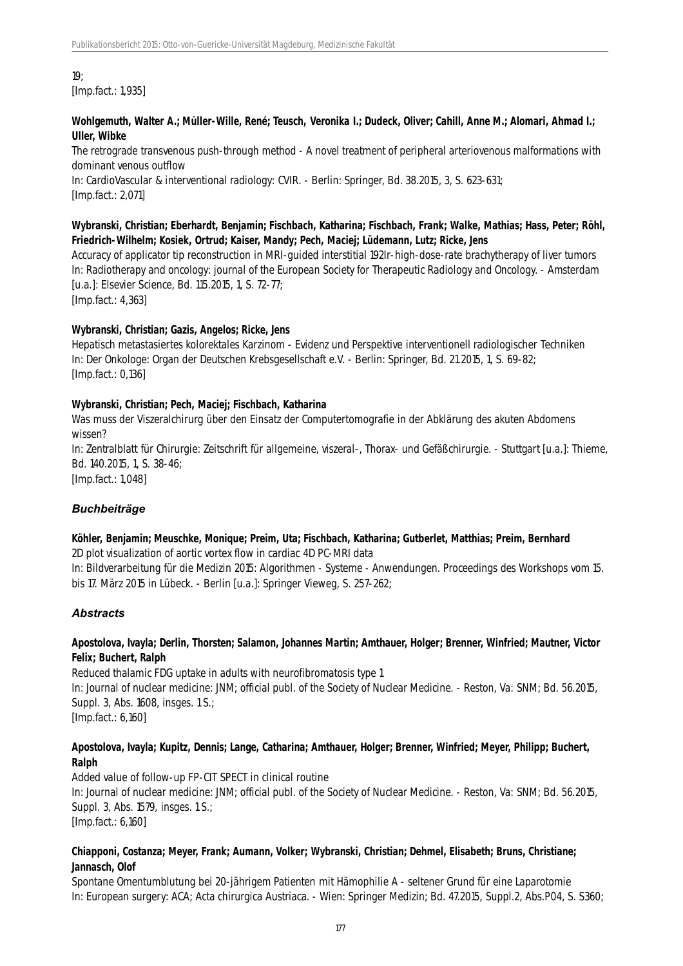19; [Imp.fact.: 1,935]

#### **Wohlgemuth, Walter A.; Müller-Wille, René; Teusch, Veronika I.; Dudeck, Oliver; Cahill, Anne M.; Alomari, Ahmad I.; Uller, Wibke**

The retrograde transvenous push-through method - A novel treatment of peripheral arteriovenous malformations with dominant venous outflow

In: CardioVascular & interventional radiology: CVIR. - Berlin: Springer, Bd. 38.2015, 3, S. 623-631; [Imp.fact.: 2,071]

#### **Wybranski, Christian; Eberhardt, Benjamin; Fischbach, Katharina; Fischbach, Frank; Walke, Mathias; Hass, Peter; Röhl, Friedrich-Wilhelm; Kosiek, Ortrud; Kaiser, Mandy; Pech, Maciej; Lüdemann, Lutz; Ricke, Jens**

Accuracy of applicator tip reconstruction in MRI-guided interstitial 192Ir-high-dose-rate brachytherapy of liver tumors In: Radiotherapy and oncology: journal of the European Society for Therapeutic Radiology and Oncology. - Amsterdam [u.a.]: Elsevier Science, Bd. 115.2015, 1, S. 72-77;

[Imp.fact.: 4,363]

#### **Wybranski, Christian; Gazis, Angelos; Ricke, Jens**

Hepatisch metastasiertes kolorektales Karzinom - Evidenz und Perspektive interventionell radiologischer Techniken In: Der Onkologe: Organ der Deutschen Krebsgesellschaft e.V. - Berlin: Springer, Bd. 21.2015, 1, S. 69-82; [Imp.fact.: 0,136]

#### **Wybranski, Christian; Pech, Maciej; Fischbach, Katharina**

Was muss der Viszeralchirurg über den Einsatz der Computertomografie in der Abklärung des akuten Abdomens wissen?

In: Zentralblatt für Chirurgie: Zeitschrift für allgemeine, viszeral-, Thorax- und Gefäßchirurgie. - Stuttgart [u.a.]: Thieme, Bd. 140.2015, 1, S. 38-46;

[Imp.fact.: 1,048]

#### *Buchbeiträge*

# **Köhler, Benjamin; Meuschke, Monique; Preim, Uta; Fischbach, Katharina; Gutberlet, Matthias; Preim, Bernhard**

2D plot visualization of aortic vortex flow in cardiac 4D PC-MRI data

In: Bildverarbeitung für die Medizin 2015: Algorithmen - Systeme - Anwendungen. Proceedings des Workshops vom 15. bis 17. März 2015 in Lübeck. - Berlin [u.a.]: Springer Vieweg, S. 257-262;

#### *Abstracts*

#### **Apostolova, Ivayla; Derlin, Thorsten; Salamon, Johannes Martin; Amthauer, Holger; Brenner, Winfried; Mautner, Victor Felix; Buchert, Ralph**

Reduced thalamic FDG uptake in adults with neurofibromatosis type 1 In: Journal of nuclear medicine: JNM; official publ. of the Society of Nuclear Medicine. - Reston, Va: SNM; Bd. 56.2015, Suppl. 3, Abs. 1608, insges. 1 S.; [Imp.fact.: 6,160]

## **Apostolova, Ivayla; Kupitz, Dennis; Lange, Catharina; Amthauer, Holger; Brenner, Winfried; Meyer, Philipp; Buchert, Ralph**

Added value of follow-up FP-CIT SPECT in clinical routine In: Journal of nuclear medicine: JNM; official publ. of the Society of Nuclear Medicine. - Reston, Va: SNM; Bd. 56.2015, Suppl. 3, Abs. 1579, insges. 1 S.; [Imp.fact.: 6,160]

#### **Chiapponi, Costanza; Meyer, Frank; Aumann, Volker; Wybranski, Christian; Dehmel, Elisabeth; Bruns, Christiane; Jannasch, Olof**

Spontane Omentumblutung bei 20-jährigem Patienten mit Hämophilie A - seltener Grund für eine Laparotomie In: European surgery: ACA; Acta chirurgica Austriaca. - Wien: Springer Medizin; Bd. 47.2015, Suppl.2, Abs.P04, S. S360;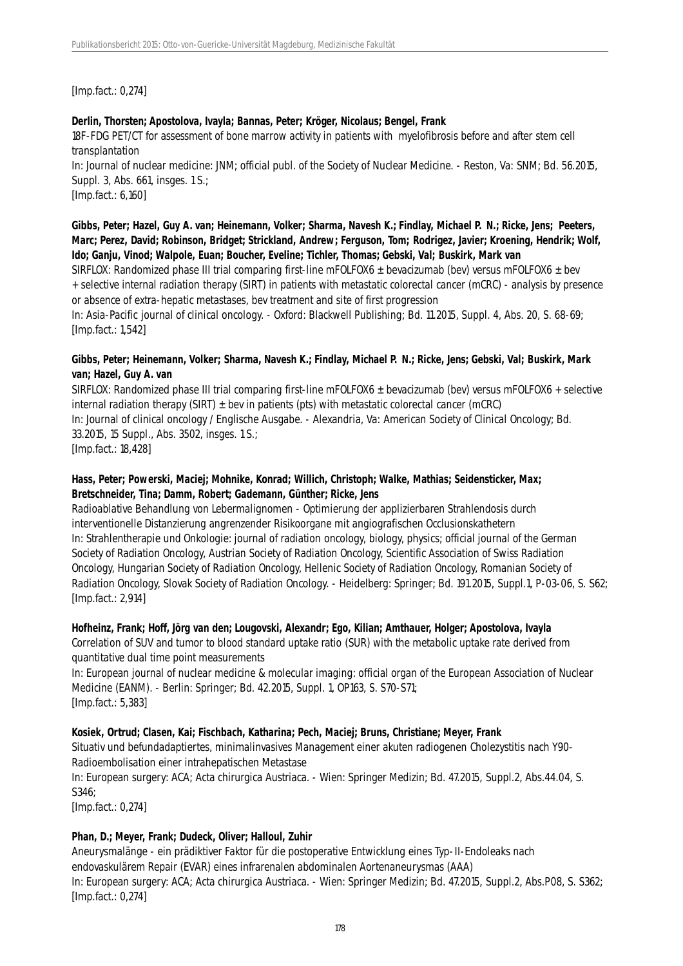[Imp.fact.: 0,274]

## **Derlin, Thorsten; Apostolova, Ivayla; Bannas, Peter; Kröger, Nicolaus; Bengel, Frank**

18F-FDG PET/CT for assessment of bone marrow activity in patients with myelofibrosis before and after stem cell transplantation

In: Journal of nuclear medicine: JNM; official publ. of the Society of Nuclear Medicine. - Reston, Va: SNM; Bd. 56.2015, Suppl. 3, Abs. 661, insges. 1 S.;

[Imp.fact.: 6,160]

**Gibbs, Peter; Hazel, Guy A. van; Heinemann, Volker; Sharma, Navesh K.; Findlay, Michael P. N.; Ricke, Jens; Peeters, Marc; Perez, David; Robinson, Bridget; Strickland, Andrew; Ferguson, Tom; Rodrigez, Javier; Kroening, Hendrik; Wolf, Ido; Ganju, Vinod; Walpole, Euan; Boucher, Eveline; Tichler, Thomas; Gebski, Val; Buskirk, Mark van**

SIRFLOX: Randomized phase III trial comparing first-line mFOLFOX6 ± bevacizumab (bev) versus mFOLFOX6 ± bev + selective internal radiation therapy (SIRT) in patients with metastatic colorectal cancer (mCRC) - analysis by presence or absence of extra-hepatic metastases, bev treatment and site of first progression

In: Asia-Pacific journal of clinical oncology. - Oxford: Blackwell Publishing; Bd. 11.2015, Suppl. 4, Abs. 20, S. 68-69; [Imp.fact.: 1,542]

#### **Gibbs, Peter; Heinemann, Volker; Sharma, Navesh K.; Findlay, Michael P. N.; Ricke, Jens; Gebski, Val; Buskirk, Mark van; Hazel, Guy A. van**

SIRFLOX: Randomized phase III trial comparing first-line mFOLFOX6 ± bevacizumab (bev) versus mFOLFOX6 + selective internal radiation therapy (SIRT)  $\pm$  bev in patients (pts) with metastatic colorectal cancer (mCRC) In: Journal of clinical oncology / Englische Ausgabe. - Alexandria, Va: American Society of Clinical Oncology; Bd. 33.2015, 15 Suppl., Abs. 3502, insges. 1 S.; [Imp.fact.: 18,428]

## **Hass, Peter; Powerski, Maciej; Mohnike, Konrad; Willich, Christoph; Walke, Mathias; Seidensticker, Max; Bretschneider, Tina; Damm, Robert; Gademann, Günther; Ricke, Jens**

Radioablative Behandlung von Lebermalignomen - Optimierung der applizierbaren Strahlendosis durch interventionelle Distanzierung angrenzender Risikoorgane mit angiografischen Occlusionskathetern In: Strahlentherapie und Onkologie: journal of radiation oncology, biology, physics; official journal of the German Society of Radiation Oncology, Austrian Society of Radiation Oncology, Scientific Association of Swiss Radiation Oncology, Hungarian Society of Radiation Oncology, Hellenic Society of Radiation Oncology, Romanian Society of Radiation Oncology, Slovak Society of Radiation Oncology. - Heidelberg: Springer; Bd. 191.2015, Suppl.1, P-03-06, S. S62; [Imp.fact.: 2,914]

## **Hofheinz, Frank; Hoff, Jörg van den; Lougovski, Alexandr; Ego, Kilian; Amthauer, Holger; Apostolova, Ivayla**

Correlation of SUV and tumor to blood standard uptake ratio (SUR) with the metabolic uptake rate derived from quantitative dual time point measurements

In: European journal of nuclear medicine & molecular imaging: official organ of the European Association of Nuclear Medicine (EANM). - Berlin: Springer; Bd. 42.2015, Suppl. 1, OP163, S. S70-S71; [Imp.fact.: 5,383]

## **Kosiek, Ortrud; Clasen, Kai; Fischbach, Katharina; Pech, Maciej; Bruns, Christiane; Meyer, Frank**

Situativ und befundadaptiertes, minimalinvasives Management einer akuten radiogenen Cholezystitis nach Y90- Radioembolisation einer intrahepatischen Metastase

In: European surgery: ACA; Acta chirurgica Austriaca. - Wien: Springer Medizin; Bd. 47.2015, Suppl.2, Abs.44.04, S. S346;

[Imp.fact.: 0,274]

# **Phan, D.; Meyer, Frank; Dudeck, Oliver; Halloul, Zuhir**

Aneurysmalänge - ein prädiktiver Faktor für die postoperative Entwicklung eines Typ-II-Endoleaks nach endovaskulärem Repair (EVAR) eines infrarenalen abdominalen Aortenaneurysmas (AAA) In: European surgery: ACA; Acta chirurgica Austriaca. - Wien: Springer Medizin; Bd. 47.2015, Suppl.2, Abs.P08, S. S362; [Imp.fact.: 0,274]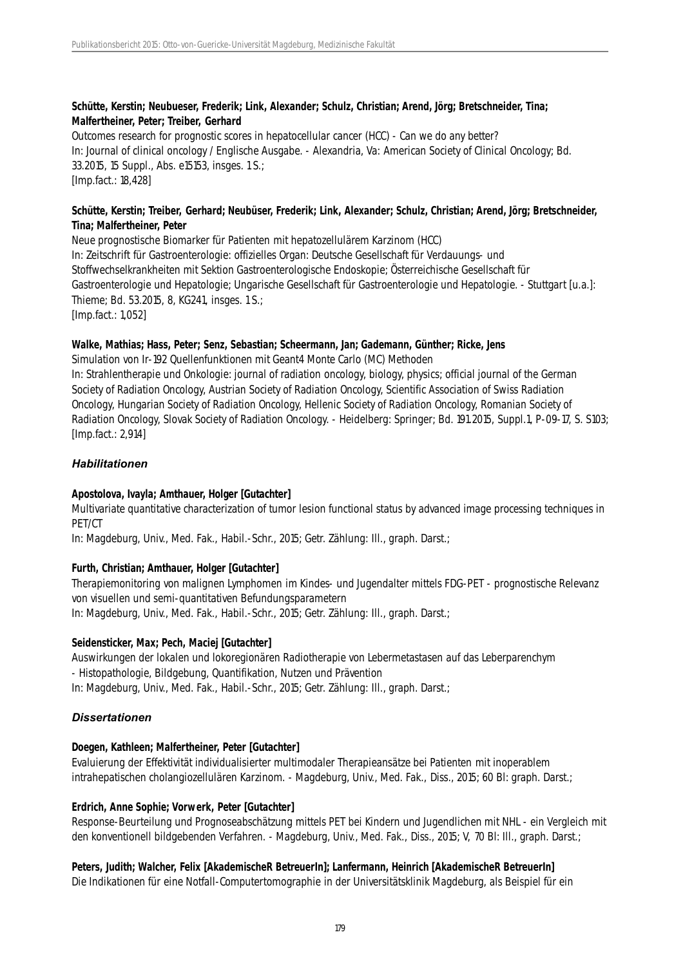## **Schütte, Kerstin; Neubueser, Frederik; Link, Alexander; Schulz, Christian; Arend, Jörg; Bretschneider, Tina; Malfertheiner, Peter; Treiber, Gerhard**

Outcomes research for prognostic scores in hepatocellular cancer (HCC) - Can we do any better? In: Journal of clinical oncology / Englische Ausgabe. - Alexandria, Va: American Society of Clinical Oncology; Bd. 33.2015, 15 Suppl., Abs. e15153, insges. 1 S.; [Imp.fact.: 18,428]

# **Schütte, Kerstin; Treiber, Gerhard; Neubüser, Frederik; Link, Alexander; Schulz, Christian; Arend, Jörg; Bretschneider, Tina; Malfertheiner, Peter**

Neue prognostische Biomarker für Patienten mit hepatozellulärem Karzinom (HCC) In: Zeitschrift für Gastroenterologie: offizielles Organ: Deutsche Gesellschaft für Verdauungs- und Stoffwechselkrankheiten mit Sektion Gastroenterologische Endoskopie; Österreichische Gesellschaft für Gastroenterologie und Hepatologie; Ungarische Gesellschaft für Gastroenterologie und Hepatologie. - Stuttgart [u.a.]: Thieme; Bd. 53.2015, 8, KG241, insges. 1 S.; [Imp.fact.: 1,052]

## **Walke, Mathias; Hass, Peter; Senz, Sebastian; Scheermann, Jan; Gademann, Günther; Ricke, Jens**

Simulation von Ir-192 Quellenfunktionen mit Geant4 Monte Carlo (MC) Methoden In: Strahlentherapie und Onkologie: journal of radiation oncology, biology, physics; official journal of the German Society of Radiation Oncology, Austrian Society of Radiation Oncology, Scientific Association of Swiss Radiation Oncology, Hungarian Society of Radiation Oncology, Hellenic Society of Radiation Oncology, Romanian Society of Radiation Oncology, Slovak Society of Radiation Oncology. - Heidelberg: Springer; Bd. 191.2015, Suppl.1, P-09-17, S. S103; [Imp.fact.: 2,914]

## *Habilitationen*

## **Apostolova, Ivayla; Amthauer, Holger [Gutachter]**

Multivariate quantitative characterization of tumor lesion functional status by advanced image processing techniques in PET/CT

In: Magdeburg, Univ., Med. Fak., Habil.-Schr., 2015; Getr. Zählung: Ill., graph. Darst.;

#### **Furth, Christian; Amthauer, Holger [Gutachter]**

Therapiemonitoring von malignen Lymphomen im Kindes- und Jugendalter mittels FDG-PET - prognostische Relevanz von visuellen und semi-quantitativen Befundungsparametern In: Magdeburg, Univ., Med. Fak., Habil.-Schr., 2015; Getr. Zählung: Ill., graph. Darst.;

#### **Seidensticker, Max; Pech, Maciej [Gutachter]**

Auswirkungen der lokalen und lokoregionären Radiotherapie von Lebermetastasen auf das Leberparenchym - Histopathologie, Bildgebung, Quantifikation, Nutzen und Prävention In: Magdeburg, Univ., Med. Fak., Habil.-Schr., 2015; Getr. Zählung: Ill., graph. Darst.;

## *Dissertationen*

#### **Doegen, Kathleen; Malfertheiner, Peter [Gutachter]**

Evaluierung der Effektivität individualisierter multimodaler Therapieansätze bei Patienten mit inoperablem intrahepatischen cholangiozellulären Karzinom. - Magdeburg, Univ., Med. Fak., Diss., 2015; 60 Bl: graph. Darst.;

## **Erdrich, Anne Sophie; Vorwerk, Peter [Gutachter]**

Response-Beurteilung und Prognoseabschätzung mittels PET bei Kindern und Jugendlichen mit NHL - ein Vergleich mit den konventionell bildgebenden Verfahren. - Magdeburg, Univ., Med. Fak., Diss., 2015; V, 70 Bl: Ill., graph. Darst.;

#### **Peters, Judith; Walcher, Felix [AkademischeR BetreuerIn]; Lanfermann, Heinrich [AkademischeR BetreuerIn]**

Die Indikationen für eine Notfall-Computertomographie in der Universitätsklinik Magdeburg, als Beispiel für ein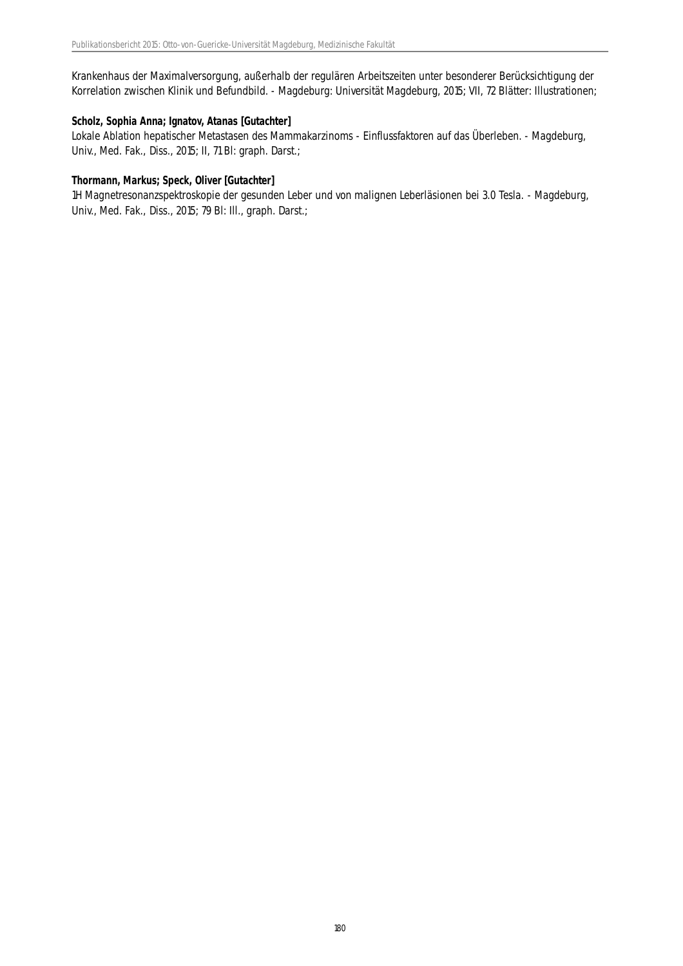Krankenhaus der Maximalversorgung, außerhalb der regulären Arbeitszeiten unter besonderer Berücksichtigung der Korrelation zwischen Klinik und Befundbild. - Magdeburg: Universität Magdeburg, 2015; VII, 72 Blätter: Illustrationen;

#### **Scholz, Sophia Anna; Ignatov, Atanas [Gutachter]**

Lokale Ablation hepatischer Metastasen des Mammakarzinoms - Einflussfaktoren auf das Überleben. - Magdeburg, Univ., Med. Fak., Diss., 2015; II, 71 Bl: graph. Darst.;

#### **Thormann, Markus; Speck, Oliver [Gutachter]**

1H Magnetresonanzspektroskopie der gesunden Leber und von malignen Leberläsionen bei 3.0 Tesla. - Magdeburg, Univ., Med. Fak., Diss., 2015; 79 Bl: Ill., graph. Darst.;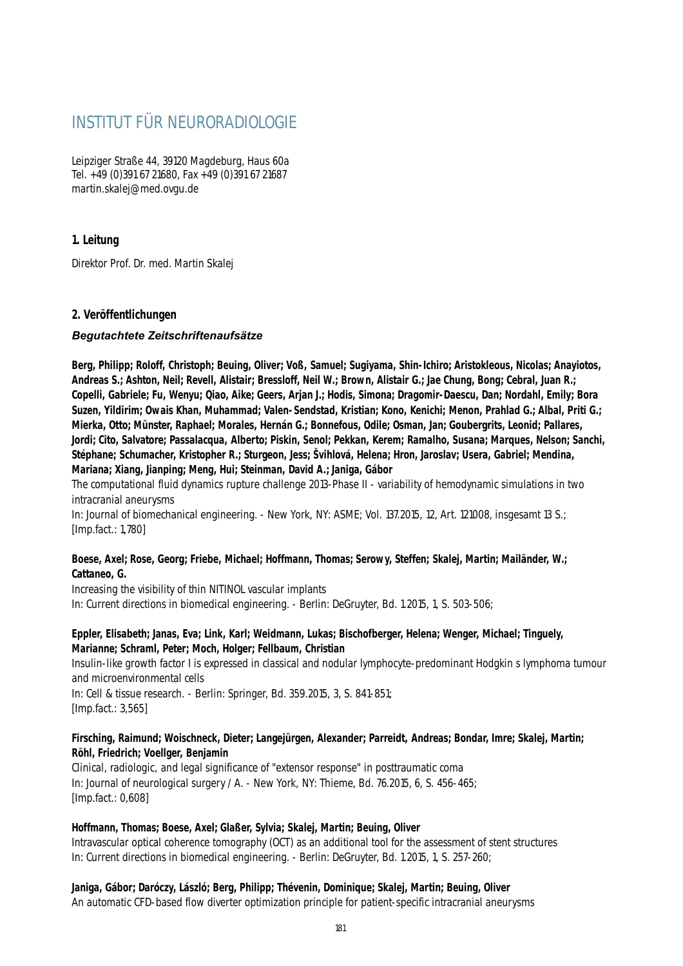# INSTITUT FÜR NEURORADIOLOGIE

Leipziger Straße 44, 39120 Magdeburg, Haus 60a Tel. +49 (0)391 67 21680, Fax +49 (0)391 67 21687 martin.skalej@med.ovgu.de

### **1. Leitung**

Direktor Prof. Dr. med. Martin Skalej

### **2. Veröffentlichungen**

#### *Begutachtete Zeitschriftenaufsätze*

**Berg, Philipp; Roloff, Christoph; Beuing, Oliver; Voß, Samuel; Sugiyama, Shin-Ichiro; Aristokleous, Nicolas; Anayiotos, Andreas S.; Ashton, Neil; Revell, Alistair; Bressloff, Neil W.; Brown, Alistair G.; Jae Chung, Bong; Cebral, Juan R.; Copelli, Gabriele; Fu, Wenyu; Qiao, Aike; Geers, Arjan J.; Hodis, Simona; Dragomir-Daescu, Dan; Nordahl, Emily; Bora Suzen, Yildirim; Owais Khan, Muhammad; Valen-Sendstad, Kristian; Kono, Kenichi; Menon, Prahlad G.; Albal, Priti G.; Mierka, Otto; Münster, Raphael; Morales, Hernán G.; Bonnefous, Odile; Osman, Jan; Goubergrits, Leonid; Pallares, Jordi; Cito, Salvatore; Passalacqua, Alberto; Piskin, Senol; Pekkan, Kerem; Ramalho, Susana; Marques, Nelson; Sanchi, Stéphane; Schumacher, Kristopher R.; Sturgeon, Jess; Švihlová, Helena; Hron, Jaroslav; Usera, Gabriel; Mendina, Mariana; Xiang, Jianping; Meng, Hui; Steinman, David A.; Janiga, Gábor**

The computational fluid dynamics rupture challenge 2013-Phase II - variability of hemodynamic simulations in two intracranial aneurysms

In: Journal of biomechanical engineering. - New York, NY: ASME; Vol. 137.2015, 12, Art. 121008, insgesamt 13 S.; [Imp.fact.: 1,780]

#### **Boese, Axel; Rose, Georg; Friebe, Michael; Hoffmann, Thomas; Serowy, Steffen; Skalej, Martin; Mailänder, W.; Cattaneo, G.**

Increasing the visibility of thin NITINOL vascular implants In: Current directions in biomedical engineering. - Berlin: DeGruyter, Bd. 1.2015, 1, S. 503-506;

#### **Eppler, Elisabeth; Janas, Eva; Link, Karl; Weidmann, Lukas; Bischofberger, Helena; Wenger, Michael; Tinguely, Marianne; Schraml, Peter; Moch, Holger; Fellbaum, Christian**

Insulin-like growth factor I is expressed in classical and nodular lymphocyte-predominant Hodgkin s lymphoma tumour and microenvironmental cells

In: Cell & tissue research. - Berlin: Springer, Bd. 359.2015, 3, S. 841-851; [Imp.fact.: 3,565]

#### **Firsching, Raimund; Woischneck, Dieter; Langejürgen, Alexander; Parreidt, Andreas; Bondar, Imre; Skalej, Martin; Röhl, Friedrich; Voellger, Benjamin**

Clinical, radiologic, and legal significance of "extensor response" in posttraumatic coma In: Journal of neurological surgery / A. - New York, NY: Thieme, Bd. 76.2015, 6, S. 456-465; [Imp.fact.: 0,608]

#### **Hoffmann, Thomas; Boese, Axel; Glaßer, Sylvia; Skalej, Martin; Beuing, Oliver**

Intravascular optical coherence tomography (OCT) as an additional tool for the assessment of stent structures In: Current directions in biomedical engineering. - Berlin: DeGruyter, Bd. 1.2015, 1, S. 257-260;

#### **Janiga, Gábor; Daróczy, László; Berg, Philipp; Thévenin, Dominique; Skalej, Martin; Beuing, Oliver**

An automatic CFD-based flow diverter optimization principle for patient-specific intracranial aneurysms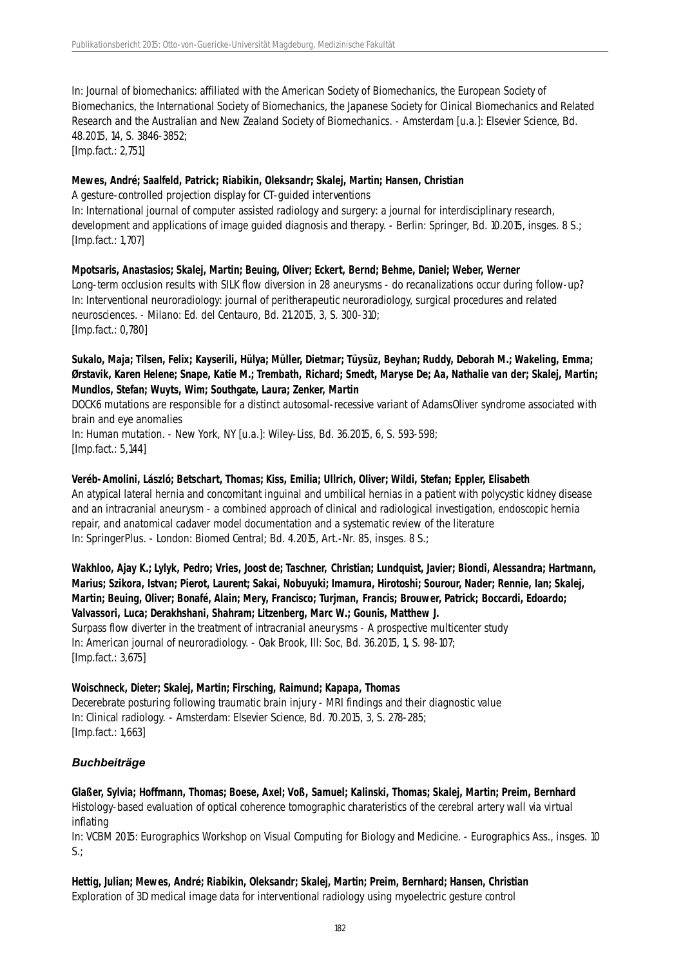In: Journal of biomechanics: affiliated with the American Society of Biomechanics, the European Society of Biomechanics, the International Society of Biomechanics, the Japanese Society for Clinical Biomechanics and Related Research and the Australian and New Zealand Society of Biomechanics. - Amsterdam [u.a.]: Elsevier Science, Bd. 48.2015, 14, S. 3846-3852;

[Imp.fact.: 2,751]

#### **Mewes, André; Saalfeld, Patrick; Riabikin, Oleksandr; Skalej, Martin; Hansen, Christian**

A gesture-controlled projection display for CT-guided interventions

In: International journal of computer assisted radiology and surgery: a journal for interdisciplinary research, development and applications of image guided diagnosis and therapy. - Berlin: Springer, Bd. 10.2015, insges. 8 S.; [Imp.fact.: 1,707]

**Mpotsaris, Anastasios; Skalej, Martin; Beuing, Oliver; Eckert, Bernd; Behme, Daniel; Weber, Werner** Long-term occlusion results with SILK flow diversion in 28 aneurysms - do recanalizations occur during follow-up? In: Interventional neuroradiology: journal of peritherapeutic neuroradiology, surgical procedures and related neurosciences. - Milano: Ed. del Centauro, Bd. 21.2015, 3, S. 300-310; [Imp.fact.: 0,780]

#### **Sukalo, Maja; Tilsen, Felix; Kayserili, Hülya; Müller, Dietmar; Tüysüz, Beyhan; Ruddy, Deborah M.; Wakeling, Emma; Ørstavik, Karen Helene; Snape, Katie M.; Trembath, Richard; Smedt, Maryse De; Aa, Nathalie van der; Skalej, Martin; Mundlos, Stefan; Wuyts, Wim; Southgate, Laura; Zenker, Martin**

DOCK6 mutations are responsible for a distinct autosomal-recessive variant of AdamsOliver syndrome associated with brain and eye anomalies

In: Human mutation. - New York, NY [u.a.]: Wiley-Liss, Bd. 36.2015, 6, S. 593-598; [Imp.fact.: 5,144]

# **Veréb-Amolini, László; Betschart, Thomas; Kiss, Emilia; Ullrich, Oliver; Wildi, Stefan; Eppler, Elisabeth**

An atypical lateral hernia and concomitant inguinal and umbilical hernias in a patient with polycystic kidney disease and an intracranial aneurysm - a combined approach of clinical and radiological investigation, endoscopic hernia repair, and anatomical cadaver model documentation and a systematic review of the literature In: SpringerPlus. - London: Biomed Central; Bd. 4.2015, Art.-Nr. 85, insges. 8 S.;

**Wakhloo, Ajay K.; Lylyk, Pedro; Vries, Joost de; Taschner, Christian; Lundquist, Javier; Biondi, Alessandra; Hartmann, Marius; Szikora, Istvan; Pierot, Laurent; Sakai, Nobuyuki; Imamura, Hirotoshi; Sourour, Nader; Rennie, Ian; Skalej, Martin; Beuing, Oliver; Bonafé, Alain; Mery, Francisco; Turjman, Francis; Brouwer, Patrick; Boccardi, Edoardo; Valvassori, Luca; Derakhshani, Shahram; Litzenberg, Marc W.; Gounis, Matthew J.** Surpass flow diverter in the treatment of intracranial aneurysms - A prospective multicenter study In: American journal of neuroradiology. - Oak Brook, Ill: Soc, Bd. 36.2015, 1, S. 98-107; [Imp.fact.: 3,675]

#### **Woischneck, Dieter; Skalej, Martin; Firsching, Raimund; Kapapa, Thomas**

Decerebrate posturing following traumatic brain injury - MRI findings and their diagnostic value In: Clinical radiology. - Amsterdam: Elsevier Science, Bd. 70.2015, 3, S. 278-285; [Imp.fact.: 1,663]

# *Buchbeiträge*

**Glaßer, Sylvia; Hoffmann, Thomas; Boese, Axel; Voß, Samuel; Kalinski, Thomas; Skalej, Martin; Preim, Bernhard** Histology-based evaluation of optical coherence tomographic charateristics of the cerebral artery wall via virtual inflating

In: VCBM 2015: Eurographics Workshop on Visual Computing for Biology and Medicine. - Eurographics Ass., insges. 10  $S$ .;

**Hettig, Julian; Mewes, André; Riabikin, Oleksandr; Skalej, Martin; Preim, Bernhard; Hansen, Christian** Exploration of 3D medical image data for interventional radiology using myoelectric gesture control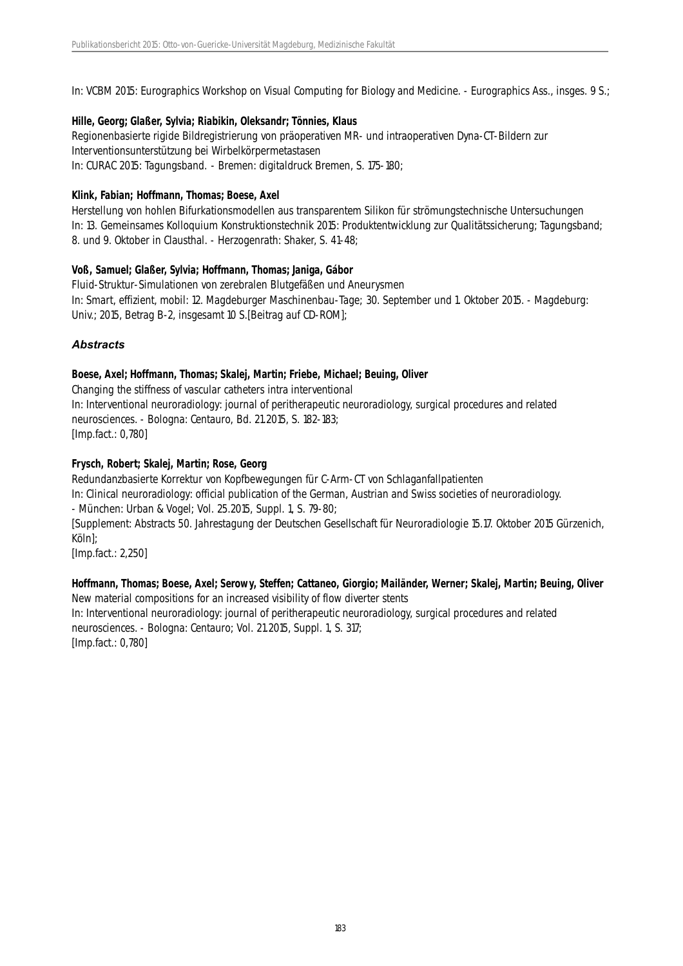In: VCBM 2015: Eurographics Workshop on Visual Computing for Biology and Medicine. - Eurographics Ass., insges. 9 S.;

#### **Hille, Georg; Glaßer, Sylvia; Riabikin, Oleksandr; Tönnies, Klaus**

Regionenbasierte rigide Bildregistrierung von präoperativen MR- und intraoperativen Dyna-CT-Bildern zur Interventionsunterstützung bei Wirbelkörpermetastasen In: CURAC 2015: Tagungsband. - Bremen: digitaldruck Bremen, S. 175-180;

#### **Klink, Fabian; Hoffmann, Thomas; Boese, Axel**

Herstellung von hohlen Bifurkationsmodellen aus transparentem Silikon für strömungstechnische Untersuchungen In: 13. Gemeinsames Kolloquium Konstruktionstechnik 2015: Produktentwicklung zur Qualitätssicherung; Tagungsband; 8. und 9. Oktober in Clausthal. - Herzogenrath: Shaker, S. 41-48;

### **Voß, Samuel; Glaßer, Sylvia; Hoffmann, Thomas; Janiga, Gábor**

Fluid-Struktur-Simulationen von zerebralen Blutgefäßen und Aneurysmen In: Smart, effizient, mobil: 12. Magdeburger Maschinenbau-Tage; 30. September und 1. Oktober 2015. - Magdeburg: Univ.; 2015, Betrag B-2, insgesamt 10 S.[Beitrag auf CD-ROM];

# *Abstracts*

### **Boese, Axel; Hoffmann, Thomas; Skalej, Martin; Friebe, Michael; Beuing, Oliver**

Changing the stiffness of vascular catheters intra interventional In: Interventional neuroradiology: journal of peritherapeutic neuroradiology, surgical procedures and related neurosciences. - Bologna: Centauro, Bd. 21.2015, S. 182-183; [Imp.fact.: 0,780]

### **Frysch, Robert; Skalej, Martin; Rose, Georg**

Redundanzbasierte Korrektur von Kopfbewegungen für C-Arm-CT von Schlaganfallpatienten In: Clinical neuroradiology: official publication of the German, Austrian and Swiss societies of neuroradiology. - München: Urban & Vogel; Vol. 25.2015, Suppl. 1, S. 79-80; [Supplement: Abstracts 50. Jahrestagung der Deutschen Gesellschaft für Neuroradiologie 15.17. Oktober 2015 Gürzenich, Köln];

[Imp.fact.: 2,250]

#### **Hoffmann, Thomas; Boese, Axel; Serowy, Steffen; Cattaneo, Giorgio; Mailänder, Werner; Skalej, Martin; Beuing, Oliver** New material compositions for an increased visibility of flow diverter stents

In: Interventional neuroradiology: journal of peritherapeutic neuroradiology, surgical procedures and related neurosciences. - Bologna: Centauro; Vol. 21.2015, Suppl. 1, S. 317; [Imp.fact.: 0,780]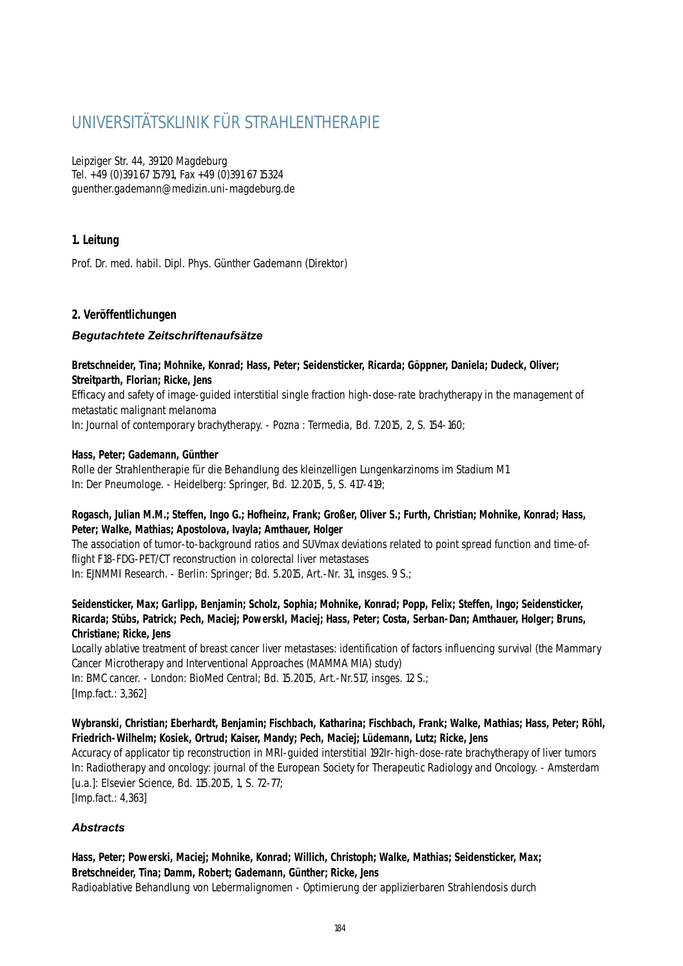# UNIVERSITÄTSKLINIK FÜR STRAHLENTHERAPIE

Leipziger Str. 44, 39120 Magdeburg Tel. +49 (0)391 67 15791, Fax +49 (0)391 67 15324 guenther.gademann@medizin.uni-magdeburg.de

# **1. Leitung**

Prof. Dr. med. habil. Dipl. Phys. Günther Gademann (Direktor)

#### **2. Veröffentlichungen**

#### *Begutachtete Zeitschriftenaufsätze*

**Bretschneider, Tina; Mohnike, Konrad; Hass, Peter; Seidensticker, Ricarda; Göppner, Daniela; Dudeck, Oliver; Streitparth, Florian; Ricke, Jens**

Efficacy and safety of image-guided interstitial single fraction high-dose-rate brachytherapy in the management of metastatic malignant melanoma

In: Journal of contemporary brachytherapy. - Pozna : Termedia, Bd. 7.2015, 2, S. 154-160;

#### **Hass, Peter; Gademann, Günther**

Rolle der Strahlentherapie für die Behandlung des kleinzelligen Lungenkarzinoms im Stadium M1 In: Der Pneumologe. - Heidelberg: Springer, Bd. 12.2015, 5, S. 417-419;

#### **Rogasch, Julian M.M.; Steffen, Ingo G.; Hofheinz, Frank; Großer, Oliver S.; Furth, Christian; Mohnike, Konrad; Hass, Peter; Walke, Mathias; Apostolova, Ivayla; Amthauer, Holger**

The association of tumor-to-background ratios and SUVmax deviations related to point spread function and time-offlight F18-FDG-PET/CT reconstruction in colorectal liver metastases In: EJNMMI Research. - Berlin: Springer; Bd. 5.2015, Art.-Nr. 31, insges. 9 S.;

**Seidensticker, Max; Garlipp, Benjamin; Scholz, Sophia; Mohnike, Konrad; Popp, Felix; Steffen, Ingo; Seidensticker, Ricarda; Stübs, Patrick; Pech, Maciej; PowerskI, Maciej; Hass, Peter; Costa, Serban-Dan; Amthauer, Holger; Bruns, Christiane; Ricke, Jens**

Locally ablative treatment of breast cancer liver metastases: identification of factors influencing survival (the Mammary Cancer Microtherapy and Interventional Approaches (MAMMA MIA) study)

In: BMC cancer. - London: BioMed Central; Bd. 15.2015, Art.-Nr.517, insges. 12 S.; [Imp.fact.: 3,362]

#### **Wybranski, Christian; Eberhardt, Benjamin; Fischbach, Katharina; Fischbach, Frank; Walke, Mathias; Hass, Peter; Röhl, Friedrich-Wilhelm; Kosiek, Ortrud; Kaiser, Mandy; Pech, Maciej; Lüdemann, Lutz; Ricke, Jens**

Accuracy of applicator tip reconstruction in MRI-guided interstitial 192Ir-high-dose-rate brachytherapy of liver tumors In: Radiotherapy and oncology: journal of the European Society for Therapeutic Radiology and Oncology. - Amsterdam [u.a.]: Elsevier Science, Bd. 115.2015, 1, S. 72-77; [Imp.fact.: 4,363]

# *Abstracts*

#### **Hass, Peter; Powerski, Maciej; Mohnike, Konrad; Willich, Christoph; Walke, Mathias; Seidensticker, Max; Bretschneider, Tina; Damm, Robert; Gademann, Günther; Ricke, Jens** Radioablative Behandlung von Lebermalignomen - Optimierung der applizierbaren Strahlendosis durch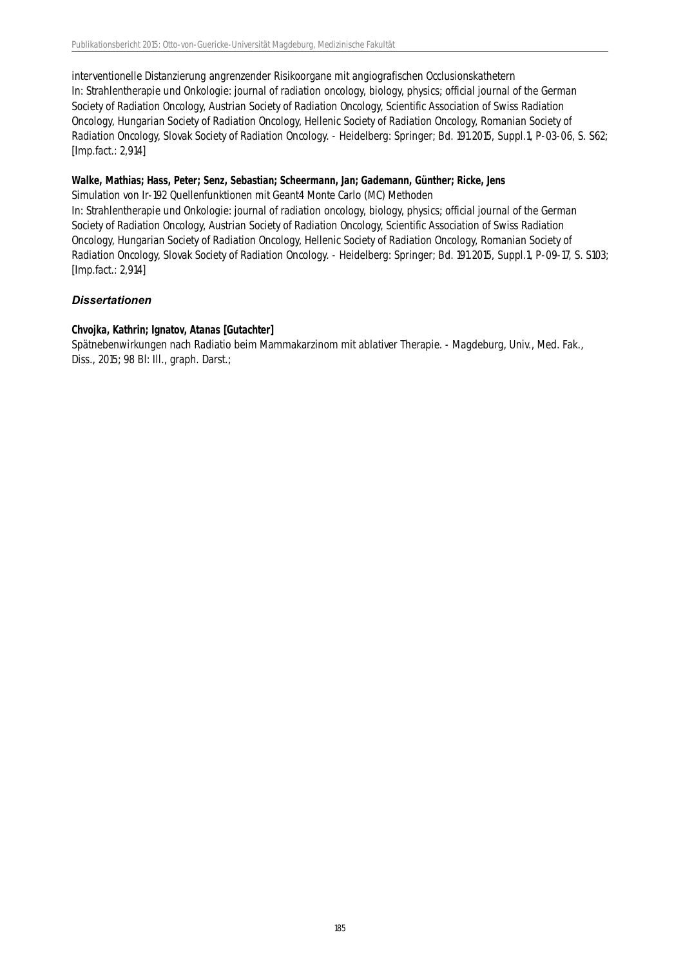interventionelle Distanzierung angrenzender Risikoorgane mit angiografischen Occlusionskathetern In: Strahlentherapie und Onkologie: journal of radiation oncology, biology, physics; official journal of the German Society of Radiation Oncology, Austrian Society of Radiation Oncology, Scientific Association of Swiss Radiation Oncology, Hungarian Society of Radiation Oncology, Hellenic Society of Radiation Oncology, Romanian Society of Radiation Oncology, Slovak Society of Radiation Oncology. - Heidelberg: Springer; Bd. 191.2015, Suppl.1, P-03-06, S. S62; [Imp.fact.: 2,914]

#### **Walke, Mathias; Hass, Peter; Senz, Sebastian; Scheermann, Jan; Gademann, Günther; Ricke, Jens**

Simulation von Ir-192 Quellenfunktionen mit Geant4 Monte Carlo (MC) Methoden

In: Strahlentherapie und Onkologie: journal of radiation oncology, biology, physics; official journal of the German Society of Radiation Oncology, Austrian Society of Radiation Oncology, Scientific Association of Swiss Radiation Oncology, Hungarian Society of Radiation Oncology, Hellenic Society of Radiation Oncology, Romanian Society of Radiation Oncology, Slovak Society of Radiation Oncology. - Heidelberg: Springer; Bd. 191.2015, Suppl.1, P-09-17, S. S103; [Imp.fact.: 2,914]

# *Dissertationen*

### **Chvojka, Kathrin; Ignatov, Atanas [Gutachter]**

Spätnebenwirkungen nach Radiatio beim Mammakarzinom mit ablativer Therapie. - Magdeburg, Univ., Med. Fak., Diss., 2015; 98 Bl: Ill., graph. Darst.;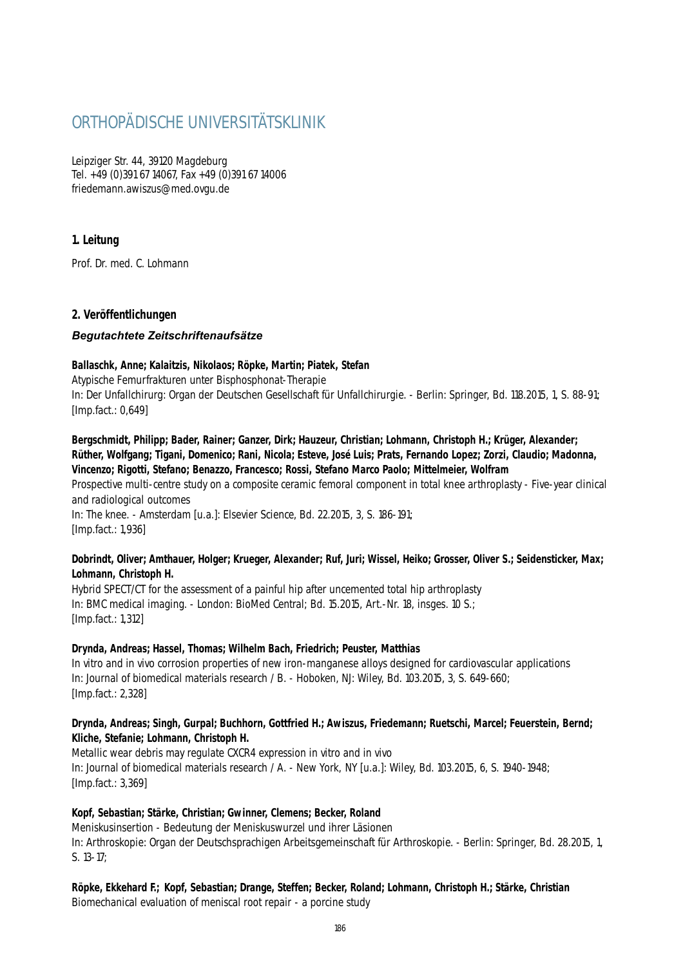# ORTHOPÄDISCHE UNIVERSITÄTSKI INIK

Leipziger Str. 44, 39120 Magdeburg Tel. +49 (0)391 67 14067, Fax +49 (0)391 67 14006 friedemann.awiszus@med.ovgu.de

# **1. Leitung**

Prof. Dr. med. C. Lohmann

### **2. Veröffentlichungen**

#### *Begutachtete Zeitschriftenaufsätze*

#### **Ballaschk, Anne; Kalaitzis, Nikolaos; Röpke, Martin; Piatek, Stefan**

Atypische Femurfrakturen unter Bisphosphonat-Therapie In: Der Unfallchirurg: Organ der Deutschen Gesellschaft für Unfallchirurgie. - Berlin: Springer, Bd. 118.2015, 1, S. 88-91; [Imp.fact.: 0,649]

# **Bergschmidt, Philipp; Bader, Rainer; Ganzer, Dirk; Hauzeur, Christian; Lohmann, Christoph H.; Krüger, Alexander; Rüther, Wolfgang; Tigani, Domenico; Rani, Nicola; Esteve, José Luis; Prats, Fernando Lopez; Zorzi, Claudio; Madonna, Vincenzo; Rigotti, Stefano; Benazzo, Francesco; Rossi, Stefano Marco Paolo; Mittelmeier, Wolfram**

Prospective multi-centre study on a composite ceramic femoral component in total knee arthroplasty - Five-year clinical and radiological outcomes

In: The knee. - Amsterdam [u.a.]: Elsevier Science, Bd. 22.2015, 3, S. 186-191; [Imp.fact.: 1,936]

#### **Dobrindt, Oliver; Amthauer, Holger; Krueger, Alexander; Ruf, Juri; Wissel, Heiko; Grosser, Oliver S.; Seidensticker, Max; Lohmann, Christoph H.**

Hybrid SPECT/CT for the assessment of a painful hip after uncemented total hip arthroplasty In: BMC medical imaging. - London: BioMed Central; Bd. 15.2015, Art.-Nr. 18, insges. 10 S.; [Imp.fact.: 1,312]

#### **Drynda, Andreas; Hassel, Thomas; Wilhelm Bach, Friedrich; Peuster, Matthias**

In vitro and in vivo corrosion properties of new iron-manganese alloys designed for cardiovascular applications In: Journal of biomedical materials research / B. - Hoboken, NJ: Wiley, Bd. 103.2015, 3, S. 649-660; [Imp.fact.: 2,328]

#### **Drynda, Andreas; Singh, Gurpal; Buchhorn, Gottfried H.; Awiszus, Friedemann; Ruetschi, Marcel; Feuerstein, Bernd; Kliche, Stefanie; Lohmann, Christoph H.**

Metallic wear debris may regulate CXCR4 expression in vitro and in vivo In: Journal of biomedical materials research / A. - New York, NY [u.a.]: Wiley, Bd. 103.2015, 6, S. 1940-1948; [Imp.fact.: 3,369]

#### **Kopf, Sebastian; Stärke, Christian; Gwinner, Clemens; Becker, Roland**

Meniskusinsertion - Bedeutung der Meniskuswurzel und ihrer Läsionen In: Arthroskopie: Organ der Deutschsprachigen Arbeitsgemeinschaft für Arthroskopie. - Berlin: Springer, Bd. 28.2015, 1, S. 13-17;

**Röpke, Ekkehard F.; Kopf, Sebastian; Drange, Steffen; Becker, Roland; Lohmann, Christoph H.; Stärke, Christian** Biomechanical evaluation of meniscal root repair - a porcine study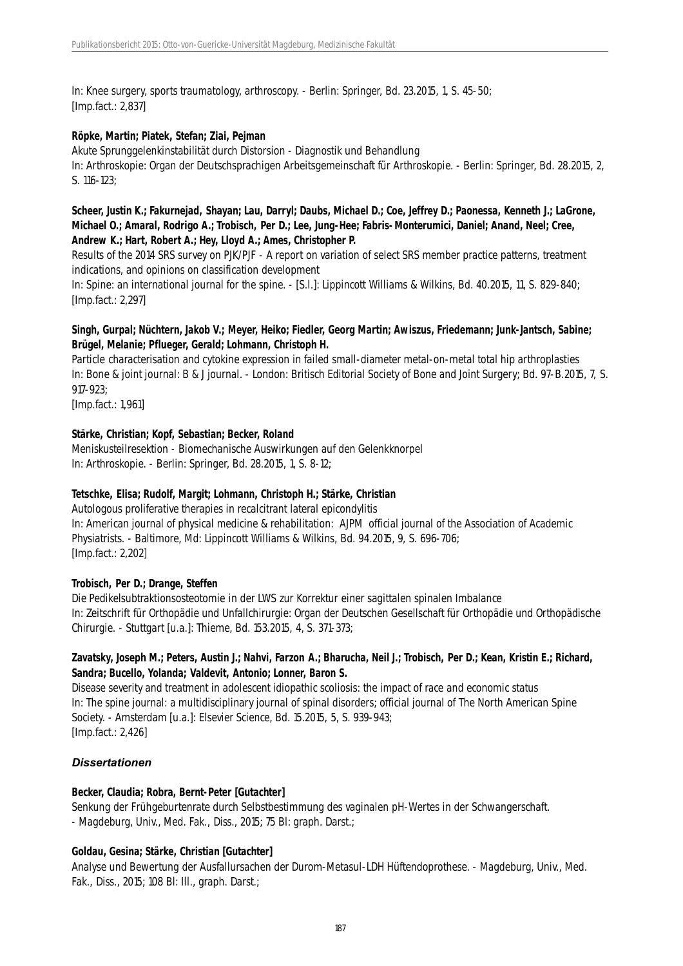In: Knee surgery, sports traumatology, arthroscopy. - Berlin: Springer, Bd. 23.2015, 1, S. 45-50; [Imp.fact.: 2,837]

#### **Röpke, Martin; Piatek, Stefan; Ziai, Pejman**

Akute Sprunggelenkinstabilität durch Distorsion - Diagnostik und Behandlung In: Arthroskopie: Organ der Deutschsprachigen Arbeitsgemeinschaft für Arthroskopie. - Berlin: Springer, Bd. 28.2015, 2, S. 116-123;

#### **Scheer, Justin K.; Fakurnejad, Shayan; Lau, Darryl; Daubs, Michael D.; Coe, Jeffrey D.; Paonessa, Kenneth J.; LaGrone, Michael O.; Amaral, Rodrigo A.; Trobisch, Per D.; Lee, Jung-Hee; Fabris-Monterumici, Daniel; Anand, Neel; Cree, Andrew K.; Hart, Robert A.; Hey, Lloyd A.; Ames, Christopher P.**

Results of the 2014 SRS survey on PJK/PJF - A report on variation of select SRS member practice patterns, treatment indications, and opinions on classification development

In: Spine: an international journal for the spine. - [S.l.]: Lippincott Williams & Wilkins, Bd. 40.2015, 11, S. 829-840; [Imp.fact.: 2,297]

#### **Singh, Gurpal; Nüchtern, Jakob V.; Meyer, Heiko; Fiedler, Georg Martin; Awiszus, Friedemann; Junk-Jantsch, Sabine; Brügel, Melanie; Pflueger, Gerald; Lohmann, Christoph H.**

Particle characterisation and cytokine expression in failed small-diameter metal-on-metal total hip arthroplasties In: Bone & joint journal: B & J journal. - London: Britisch Editorial Society of Bone and Joint Surgery; Bd. 97-B.2015, 7, S. 917-923;

[Imp.fact.: 1,961]

#### **Stärke, Christian; Kopf, Sebastian; Becker, Roland**

Meniskusteilresektion - Biomechanische Auswirkungen auf den Gelenkknorpel In: Arthroskopie. - Berlin: Springer, Bd. 28.2015, 1, S. 8-12;

#### **Tetschke, Elisa; Rudolf, Margit; Lohmann, Christoph H.; Stärke, Christian**

Autologous proliferative therapies in recalcitrant lateral epicondylitis In: American journal of physical medicine & rehabilitation: AJPM official journal of the Association of Academic Physiatrists. - Baltimore, Md: Lippincott Williams & Wilkins, Bd. 94.2015, 9, S. 696-706; [Imp.fact.: 2,202]

#### **Trobisch, Per D.; Drange, Steffen**

Die Pedikelsubtraktionsosteotomie in der LWS zur Korrektur einer sagittalen spinalen Imbalance In: Zeitschrift für Orthopädie und Unfallchirurgie: Organ der Deutschen Gesellschaft für Orthopädie und Orthopädische Chirurgie. - Stuttgart [u.a.]: Thieme, Bd. 153.2015, 4, S. 371-373;

#### **Zavatsky, Joseph M.; Peters, Austin J.; Nahvi, Farzon A.; Bharucha, Neil J.; Trobisch, Per D.; Kean, Kristin E.; Richard, Sandra; Bucello, Yolanda; Valdevit, Antonio; Lonner, Baron S.**

Disease severity and treatment in adolescent idiopathic scoliosis: the impact of race and economic status In: The spine journal: a multidisciplinary journal of spinal disorders; official journal of The North American Spine Society. - Amsterdam [u.a.]: Elsevier Science, Bd. 15.2015, 5, S. 939-943; [Imp.fact.: 2,426]

#### *Dissertationen*

#### **Becker, Claudia; Robra, Bernt-Peter [Gutachter]**

Senkung der Frühgeburtenrate durch Selbstbestimmung des vaginalen pH-Wertes in der Schwangerschaft. - Magdeburg, Univ., Med. Fak., Diss., 2015; 75 Bl: graph. Darst.;

#### **Goldau, Gesina; Stärke, Christian [Gutachter]**

Analyse und Bewertung der Ausfallursachen der Durom-Metasul-LDH Hüftendoprothese. - Magdeburg, Univ., Med. Fak., Diss., 2015; 108 Bl: Ill., graph. Darst.;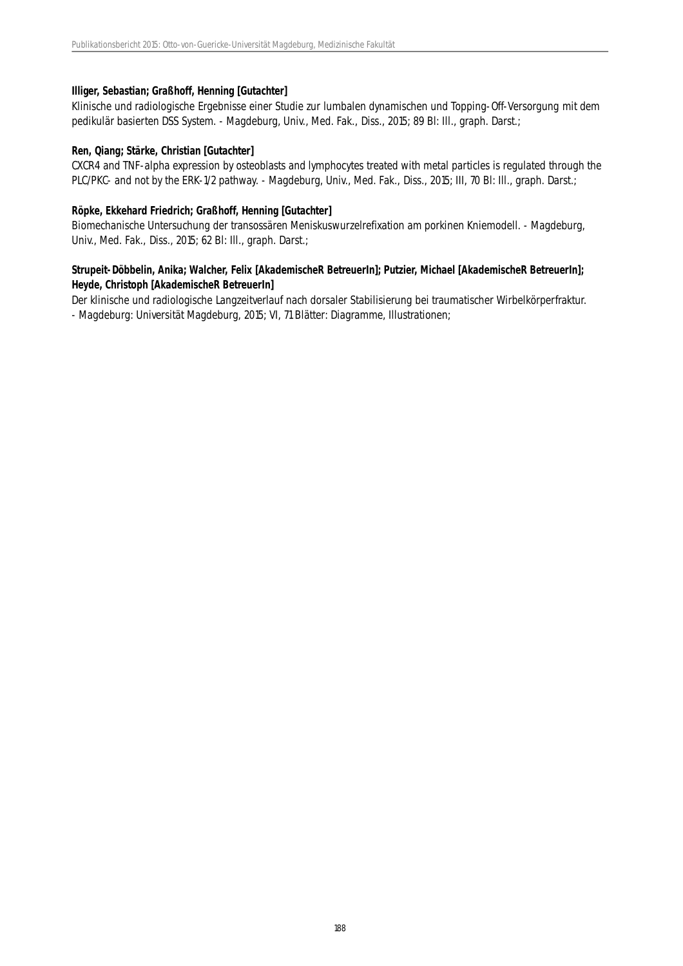#### **Illiger, Sebastian; Graßhoff, Henning [Gutachter]**

Klinische und radiologische Ergebnisse einer Studie zur lumbalen dynamischen und Topping-Off-Versorgung mit dem pedikulär basierten DSS System. - Magdeburg, Univ., Med. Fak., Diss., 2015; 89 Bl: Ill., graph. Darst.;

#### **Ren, Qiang; Stärke, Christian [Gutachter]**

CXCR4 and TNF-alpha expression by osteoblasts and lymphocytes treated with metal particles is regulated through the PLC/PKC- and not by the ERK-1/2 pathway. - Magdeburg, Univ., Med. Fak., Diss., 2015; III, 70 Bl: Ill., graph. Darst.;

#### **Röpke, Ekkehard Friedrich; Graßhoff, Henning [Gutachter]**

Biomechanische Untersuchung der transossären Meniskuswurzelrefixation am porkinen Kniemodell. - Magdeburg, Univ., Med. Fak., Diss., 2015; 62 Bl: Ill., graph. Darst.;

#### **Strupeit-Döbbelin, Anika; Walcher, Felix [AkademischeR BetreuerIn]; Putzier, Michael [AkademischeR BetreuerIn]; Heyde, Christoph [AkademischeR BetreuerIn]**

Der klinische und radiologische Langzeitverlauf nach dorsaler Stabilisierung bei traumatischer Wirbelkörperfraktur. - Magdeburg: Universität Magdeburg, 2015; VI, 71 Blätter: Diagramme, Illustrationen;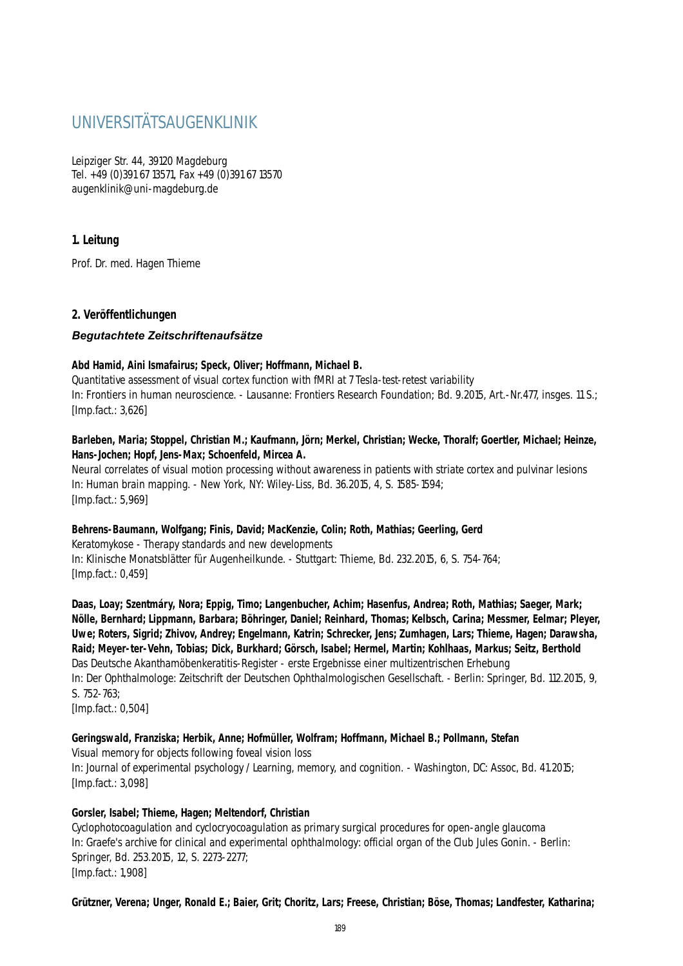# UNIVERSITÄTSAUGENKLINIK

Leipziger Str. 44, 39120 Magdeburg Tel. +49 (0)391 67 13571, Fax +49 (0)391 67 13570 augenklinik@uni-magdeburg.de

# **1. Leitung**

Prof. Dr. med. Hagen Thieme

### **2. Veröffentlichungen**

#### *Begutachtete Zeitschriftenaufsätze*

#### **Abd Hamid, Aini Ismafairus; Speck, Oliver; Hoffmann, Michael B.**

Quantitative assessment of visual cortex function with fMRI at 7 Tesla-test-retest variability In: Frontiers in human neuroscience. - Lausanne: Frontiers Research Foundation; Bd. 9.2015, Art.-Nr.477, insges. 11 S.; [Imp.fact.: 3,626]

#### **Barleben, Maria; Stoppel, Christian M.; Kaufmann, Jörn; Merkel, Christian; Wecke, Thoralf; Goertler, Michael; Heinze, Hans-Jochen; Hopf, Jens-Max; Schoenfeld, Mircea A.**

Neural correlates of visual motion processing without awareness in patients with striate cortex and pulvinar lesions In: Human brain mapping. - New York, NY: Wiley-Liss, Bd. 36.2015, 4, S. 1585-1594; [Imp.fact.: 5,969]

# **Behrens-Baumann, Wolfgang; Finis, David; MacKenzie, Colin; Roth, Mathias; Geerling, Gerd**

Keratomykose - Therapy standards and new developments In: Klinische Monatsblätter für Augenheilkunde. - Stuttgart: Thieme, Bd. 232.2015, 6, S. 754-764; [Imp.fact.: 0,459]

**Daas, Loay; Szentmáry, Nora; Eppig, Timo; Langenbucher, Achim; Hasenfus, Andrea; Roth, Mathias; Saeger, Mark; Nölle, Bernhard; Lippmann, Barbara; Böhringer, Daniel; Reinhard, Thomas; Kelbsch, Carina; Messmer, Eelmar; Pleyer, Uwe; Roters, Sigrid; Zhivov, Andrey; Engelmann, Katrin; Schrecker, Jens; Zumhagen, Lars; Thieme, Hagen; Darawsha, Raid; Meyer-ter-Vehn, Tobias; Dick, Burkhard; Görsch, Isabel; Hermel, Martin; Kohlhaas, Markus; Seitz, Berthold** Das Deutsche Akanthamöbenkeratitis-Register - erste Ergebnisse einer multizentrischen Erhebung In: Der Ophthalmologe: Zeitschrift der Deutschen Ophthalmologischen Gesellschaft. - Berlin: Springer, Bd. 112.2015, 9, S. 752-763;

[Imp.fact.: 0,504]

#### **Geringswald, Franziska; Herbik, Anne; Hofmüller, Wolfram; Hoffmann, Michael B.; Pollmann, Stefan**

Visual memory for objects following foveal vision loss In: Journal of experimental psychology / Learning, memory, and cognition. - Washington, DC: Assoc, Bd. 41.2015; [Imp.fact.: 3,098]

#### **Gorsler, Isabel; Thieme, Hagen; Meltendorf, Christian**

Cyclophotocoagulation and cyclocryocoagulation as primary surgical procedures for open-angle glaucoma In: Graefe's archive for clinical and experimental ophthalmology: official organ of the Club Jules Gonin. - Berlin: Springer, Bd. 253.2015, 12, S. 2273-2277; [Imp.fact.: 1,908]

**Grützner, Verena; Unger, Ronald E.; Baier, Grit; Choritz, Lars; Freese, Christian; Böse, Thomas; Landfester, Katharina;**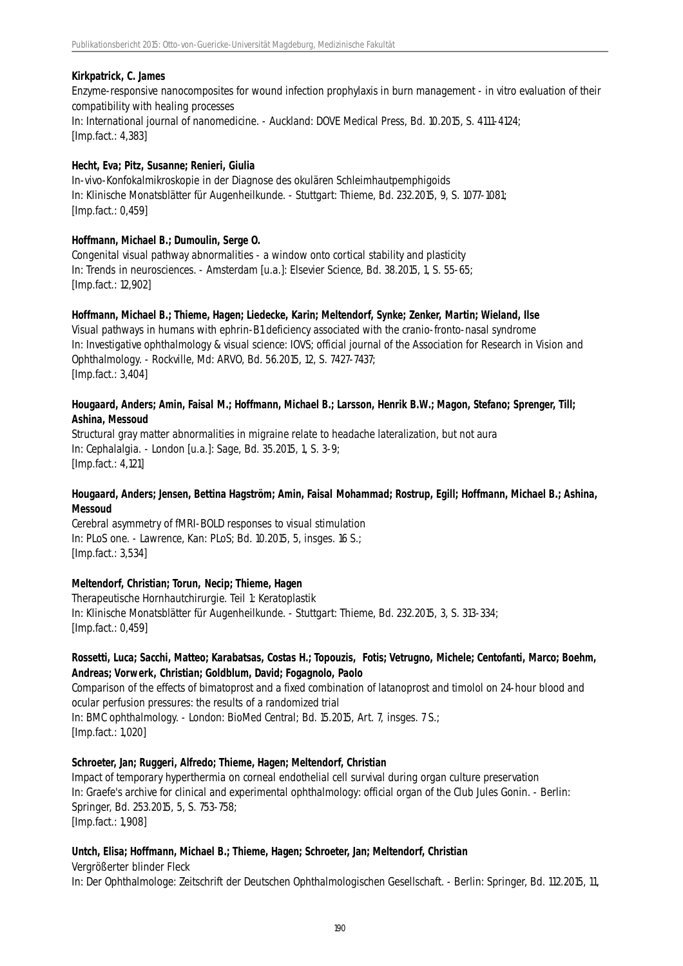#### **Kirkpatrick, C. James**

Enzyme-responsive nanocomposites for wound infection prophylaxis in burn management - in vitro evaluation of their compatibility with healing processes In: International journal of nanomedicine. - Auckland: DOVE Medical Press, Bd. 10.2015, S. 4111-4124; [Imp.fact.: 4,383]

#### **Hecht, Eva; Pitz, Susanne; Renieri, Giulia**

In-vivo-Konfokalmikroskopie in der Diagnose des okulären Schleimhautpemphigoids In: Klinische Monatsblätter für Augenheilkunde. - Stuttgart: Thieme, Bd. 232.2015, 9, S. 1077-1081; [Imp.fact.: 0,459]

#### **Hoffmann, Michael B.; Dumoulin, Serge O.**

Congenital visual pathway abnormalities - a window onto cortical stability and plasticity In: Trends in neurosciences. - Amsterdam [u.a.]: Elsevier Science, Bd. 38.2015, 1, S. 55-65; [Imp.fact.: 12,902]

#### **Hoffmann, Michael B.; Thieme, Hagen; Liedecke, Karin; Meltendorf, Synke; Zenker, Martin; Wieland, Ilse**

Visual pathways in humans with ephrin-B1 deficiency associated with the cranio-fronto-nasal syndrome In: Investigative ophthalmology & visual science: IOVS; official journal of the Association for Research in Vision and Ophthalmology. - Rockville, Md: ARVO, Bd. 56.2015, 12, S. 7427-7437; [Imp.fact.: 3,404]

#### **Hougaard, Anders; Amin, Faisal M.; Hoffmann, Michael B.; Larsson, Henrik B.W.; Magon, Stefano; Sprenger, Till; Ashina, Messoud**

Structural gray matter abnormalities in migraine relate to headache lateralization, but not aura In: Cephalalgia. - London [u.a.]: Sage, Bd. 35.2015, 1, S. 3-9; [Imp.fact.: 4,121]

#### **Hougaard, Anders; Jensen, Bettina Hagström; Amin, Faisal Mohammad; Rostrup, Egill; Hoffmann, Michael B.; Ashina, Messoud**

Cerebral asymmetry of fMRI-BOLD responses to visual stimulation In: PLoS one. - Lawrence, Kan: PLoS; Bd. 10.2015, 5, insges. 16 S.; [Imp.fact.: 3,534]

#### **Meltendorf, Christian; Torun, Necip; Thieme, Hagen**

Therapeutische Hornhautchirurgie. Teil 1: Keratoplastik In: Klinische Monatsblätter für Augenheilkunde. - Stuttgart: Thieme, Bd. 232.2015, 3, S. 313-334; [Imp.fact.: 0,459]

### **Rossetti, Luca; Sacchi, Matteo; Karabatsas, Costas H.; Topouzis, Fotis; Vetrugno, Michele; Centofanti, Marco; Boehm, Andreas; Vorwerk, Christian; Goldblum, David; Fogagnolo, Paolo**

Comparison of the effects of bimatoprost and a fixed combination of latanoprost and timolol on 24-hour blood and ocular perfusion pressures: the results of a randomized trial In: BMC ophthalmology. - London: BioMed Central; Bd. 15.2015, Art. 7, insges. 7 S.; [Imp.fact.: 1,020]

#### **Schroeter, Jan; Ruggeri, Alfredo; Thieme, Hagen; Meltendorf, Christian**

Impact of temporary hyperthermia on corneal endothelial cell survival during organ culture preservation In: Graefe's archive for clinical and experimental ophthalmology: official organ of the Club Jules Gonin. - Berlin: Springer, Bd. 253.2015, 5, S. 753-758; [Imp.fact.: 1,908]

#### **Untch, Elisa; Hoffmann, Michael B.; Thieme, Hagen; Schroeter, Jan; Meltendorf, Christian**

Vergrößerter blinder Fleck In: Der Ophthalmologe: Zeitschrift der Deutschen Ophthalmologischen Gesellschaft. - Berlin: Springer, Bd. 112.2015, 11,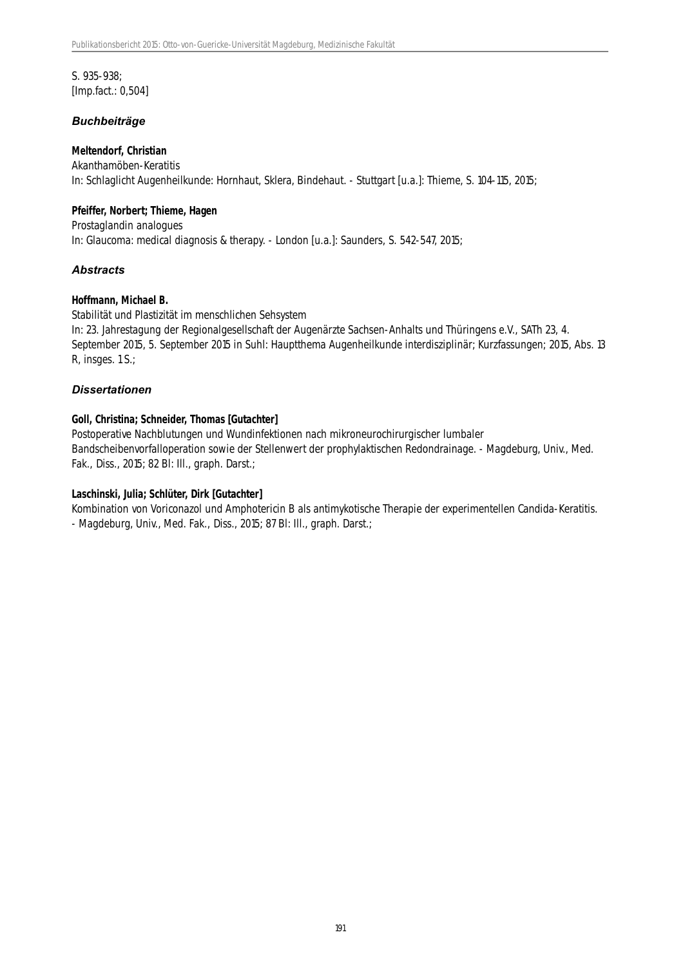S. 935-938; [Imp.fact.: 0,504]

#### *Buchbeiträge*

#### **Meltendorf, Christian**

Akanthamöben-Keratitis In: Schlaglicht Augenheilkunde: Hornhaut, Sklera, Bindehaut. - Stuttgart [u.a.]: Thieme, S. 104-115, 2015;

#### **Pfeiffer, Norbert; Thieme, Hagen**

Prostaglandin analogues In: Glaucoma: medical diagnosis & therapy. - London [u.a.]: Saunders, S. 542-547, 2015;

#### *Abstracts*

#### **Hoffmann, Michael B.**

Stabilität und Plastizität im menschlichen Sehsystem

In: 23. Jahrestagung der Regionalgesellschaft der Augenärzte Sachsen-Anhalts und Thüringens e.V., SATh 23, 4. September 2015, 5. September 2015 in Suhl: Hauptthema Augenheilkunde interdisziplinär; Kurzfassungen; 2015, Abs. 13 R, insges. 1 S.;

#### *Dissertationen*

#### **Goll, Christina; Schneider, Thomas [Gutachter]**

Postoperative Nachblutungen und Wundinfektionen nach mikroneurochirurgischer lumbaler Bandscheibenvorfalloperation sowie der Stellenwert der prophylaktischen Redondrainage. - Magdeburg, Univ., Med. Fak., Diss., 2015; 82 Bl: Ill., graph. Darst.;

#### **Laschinski, Julia; Schlüter, Dirk [Gutachter]**

Kombination von Voriconazol und Amphotericin B als antimykotische Therapie der experimentellen Candida-Keratitis. - Magdeburg, Univ., Med. Fak., Diss., 2015; 87 Bl: Ill., graph. Darst.;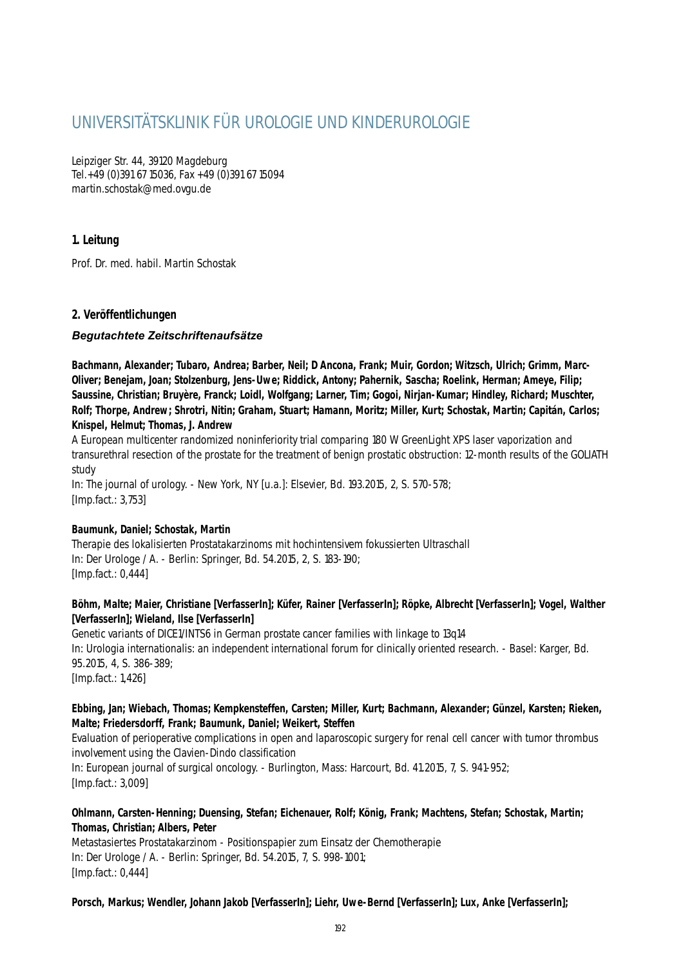# UNIVERSITÄTSKLINIK FÜR UROLOGIE UND KINDERUROLOGIE

Leipziger Str. 44, 39120 Magdeburg Tel.+49 (0)391 67 15036, Fax +49 (0)391 67 15094 martin.schostak@med.ovgu.de

## **1. Leitung**

Prof. Dr. med. habil. Martin Schostak

### **2. Veröffentlichungen**

#### *Begutachtete Zeitschriftenaufsätze*

**Bachmann, Alexander; Tubaro, Andrea; Barber, Neil; D Ancona, Frank; Muir, Gordon; Witzsch, Ulrich; Grimm, Marc-Oliver; Benejam, Joan; Stolzenburg, Jens-Uwe; Riddick, Antony; Pahernik, Sascha; Roelink, Herman; Ameye, Filip; Saussine, Christian; Bruyère, Franck; Loidl, Wolfgang; Larner, Tim; Gogoi, Nirjan-Kumar; Hindley, Richard; Muschter, Rolf; Thorpe, Andrew; Shrotri, Nitin; Graham, Stuart; Hamann, Moritz; Miller, Kurt; Schostak, Martin; Capitán, Carlos; Knispel, Helmut; Thomas, J. Andrew**

A European multicenter randomized noninferiority trial comparing 180 W GreenLight XPS laser vaporization and transurethral resection of the prostate for the treatment of benign prostatic obstruction: 12-month results of the GOLIATH study

In: The journal of urology. - New York, NY [u.a.]: Elsevier, Bd. 193.2015, 2, S. 570-578; [Imp.fact.: 3,753]

#### **Baumunk, Daniel; Schostak, Martin**

Therapie des lokalisierten Prostatakarzinoms mit hochintensivem fokussierten Ultraschall In: Der Urologe / A. - Berlin: Springer, Bd. 54.2015, 2, S. 183-190; [Imp.fact.: 0,444]

#### **Böhm, Malte; Maier, Christiane [VerfasserIn]; Küfer, Rainer [VerfasserIn]; Röpke, Albrecht [VerfasserIn]; Vogel, Walther [VerfasserIn]; Wieland, Ilse [VerfasserIn]**

Genetic variants of DICE1/INTS6 in German prostate cancer families with linkage to 13q14 In: Urologia internationalis: an independent international forum for clinically oriented research. - Basel: Karger, Bd. 95.2015, 4, S. 386-389; [Imp.fact.: 1,426]

#### **Ebbing, Jan; Wiebach, Thomas; Kempkensteffen, Carsten; Miller, Kurt; Bachmann, Alexander; Günzel, Karsten; Rieken, Malte; Friedersdorff, Frank; Baumunk, Daniel; Weikert, Steffen**

Evaluation of perioperative complications in open and laparoscopic surgery for renal cell cancer with tumor thrombus involvement using the Clavien-Dindo classification

In: European journal of surgical oncology. - Burlington, Mass: Harcourt, Bd. 41.2015, 7, S. 941-952; [Imp.fact.: 3,009]

#### **Ohlmann, Carsten-Henning; Duensing, Stefan; Eichenauer, Rolf; König, Frank; Machtens, Stefan; Schostak, Martin; Thomas, Christian; Albers, Peter**

Metastasiertes Prostatakarzinom - Positionspapier zum Einsatz der Chemotherapie In: Der Urologe / A. - Berlin: Springer, Bd. 54.2015, 7, S. 998-1001; [Imp.fact.: 0,444]

**Porsch, Markus; Wendler, Johann Jakob [VerfasserIn]; Liehr, Uwe-Bernd [VerfasserIn]; Lux, Anke [VerfasserIn];**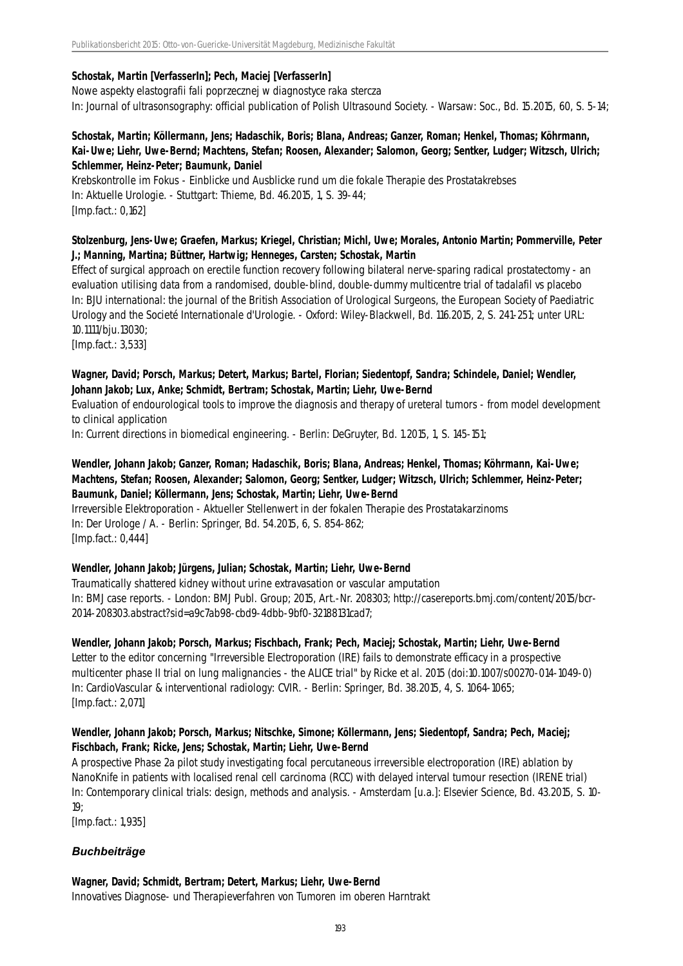#### **Schostak, Martin [VerfasserIn]; Pech, Maciej [VerfasserIn]**

Nowe aspekty elastografii fali poprzecznej w diagnostyce raka stercza In: Journal of ultrasonsography: official publication of Polish Ultrasound Society. - Warsaw: Soc., Bd. 15.2015, 60, S. 5-14;

#### **Schostak, Martin; Köllermann, Jens; Hadaschik, Boris; Blana, Andreas; Ganzer, Roman; Henkel, Thomas; Köhrmann, Kai-Uwe; Liehr, Uwe-Bernd; Machtens, Stefan; Roosen, Alexander; Salomon, Georg; Sentker, Ludger; Witzsch, Ulrich; Schlemmer, Heinz-Peter; Baumunk, Daniel**

Krebskontrolle im Fokus - Einblicke und Ausblicke rund um die fokale Therapie des Prostatakrebses In: Aktuelle Urologie. - Stuttgart: Thieme, Bd. 46.2015, 1, S. 39-44; [Imp.fact.: 0,162]

#### **Stolzenburg, Jens-Uwe; Graefen, Markus; Kriegel, Christian; Michl, Uwe; Morales, Antonio Martin; Pommerville, Peter J.; Manning, Martina; Büttner, Hartwig; Henneges, Carsten; Schostak, Martin**

Effect of surgical approach on erectile function recovery following bilateral nerve-sparing radical prostatectomy - an evaluation utilising data from a randomised, double-blind, double-dummy multicentre trial of tadalafil vs placebo In: BJU international: the journal of the British Association of Urological Surgeons, the European Society of Paediatric Urology and the Societé Internationale d'Urologie. - Oxford: Wiley-Blackwell, Bd. 116.2015, 2, S. 241-251; unter URL: 10.1111/bju.13030;

[Imp.fact.: 3,533]

#### **Wagner, David; Porsch, Markus; Detert, Markus; Bartel, Florian; Siedentopf, Sandra; Schindele, Daniel; Wendler, Johann Jakob; Lux, Anke; Schmidt, Bertram; Schostak, Martin; Liehr, Uwe-Bernd**

Evaluation of endourological tools to improve the diagnosis and therapy of ureteral tumors - from model development to clinical application

In: Current directions in biomedical engineering. - Berlin: DeGruyter, Bd. 1.2015, 1, S. 145-151;

## **Wendler, Johann Jakob; Ganzer, Roman; Hadaschik, Boris; Blana, Andreas; Henkel, Thomas; Köhrmann, Kai-Uwe; Machtens, Stefan; Roosen, Alexander; Salomon, Georg; Sentker, Ludger; Witzsch, Ulrich; Schlemmer, Heinz-Peter; Baumunk, Daniel; Köllermann, Jens; Schostak, Martin; Liehr, Uwe-Bernd**

Irreversible Elektroporation - Aktueller Stellenwert in der fokalen Therapie des Prostatakarzinoms In: Der Urologe / A. - Berlin: Springer, Bd. 54.2015, 6, S. 854-862; [Imp.fact.: 0,444]

#### **Wendler, Johann Jakob; Jürgens, Julian; Schostak, Martin; Liehr, Uwe-Bernd**

Traumatically shattered kidney without urine extravasation or vascular amputation In: BMJ case reports. - London: BMJ Publ. Group; 2015, Art.-Nr. 208303; http://casereports.bmj.com/content/2015/bcr-2014-208303.abstract?sid=a9c7ab98-cbd9-4dbb-9bf0-32188131cad7;

#### **Wendler, Johann Jakob; Porsch, Markus; Fischbach, Frank; Pech, Maciej; Schostak, Martin; Liehr, Uwe-Bernd**

Letter to the editor concerning "Irreversible Electroporation (IRE) fails to demonstrate efficacy in a prospective multicenter phase II trial on lung malignancies - the ALICE trial" by Ricke et al. 2015 (doi:10.1007/s00270-014-1049-0) In: CardioVascular & interventional radiology: CVIR. - Berlin: Springer, Bd. 38.2015, 4, S. 1064-1065; [Imp.fact.: 2,071]

#### **Wendler, Johann Jakob; Porsch, Markus; Nitschke, Simone; Köllermann, Jens; Siedentopf, Sandra; Pech, Maciej; Fischbach, Frank; Ricke, Jens; Schostak, Martin; Liehr, Uwe-Bernd**

A prospective Phase 2a pilot study investigating focal percutaneous irreversible electroporation (IRE) ablation by NanoKnife in patients with localised renal cell carcinoma (RCC) with delayed interval tumour resection (IRENE trial) In: Contemporary clinical trials: design, methods and analysis. - Amsterdam [u.a.]: Elsevier Science, Bd. 43.2015, S. 10-  $19<sup>°</sup>$ 

[Imp.fact.: 1,935]

# *Buchbeiträge*

#### **Wagner, David; Schmidt, Bertram; Detert, Markus; Liehr, Uwe-Bernd** Innovatives Diagnose- und Therapieverfahren von Tumoren im oberen Harntrakt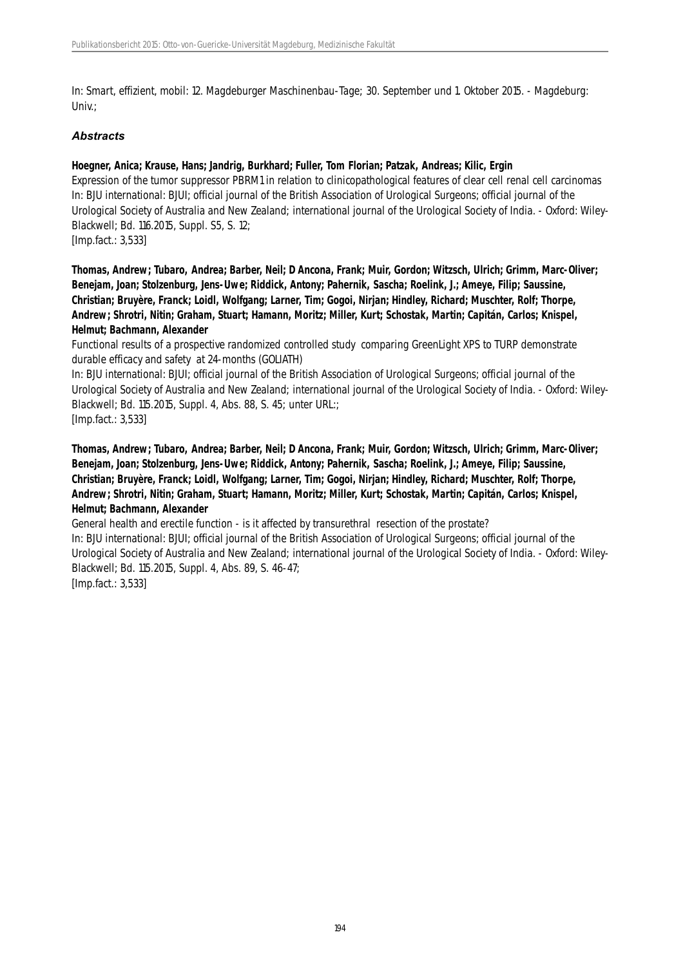In: Smart, effizient, mobil: 12. Magdeburger Maschinenbau-Tage; 30. September und 1. Oktober 2015. - Magdeburg: Univ.;

#### *Abstracts*

#### **Hoegner, Anica; Krause, Hans; Jandrig, Burkhard; Fuller, Tom Florian; Patzak, Andreas; Kilic, Ergin**

Expression of the tumor suppressor PBRM1 in relation to clinicopathological features of clear cell renal cell carcinomas In: BJU international: BJUI; official journal of the British Association of Urological Surgeons; official journal of the Urological Society of Australia and New Zealand; international journal of the Urological Society of India. - Oxford: Wiley-Blackwell; Bd. 116.2015, Suppl. S5, S. 12;

[Imp.fact.: 3,533]

**Thomas, Andrew; Tubaro, Andrea; Barber, Neil; D Ancona, Frank; Muir, Gordon; Witzsch, Ulrich; Grimm, Marc-Oliver; Benejam, Joan; Stolzenburg, Jens-Uwe; Riddick, Antony; Pahernik, Sascha; Roelink, J.; Ameye, Filip; Saussine, Christian; Bruyère, Franck; Loidl, Wolfgang; Larner, Tim; Gogoi, Nirjan; Hindley, Richard; Muschter, Rolf; Thorpe, Andrew; Shrotri, Nitin; Graham, Stuart; Hamann, Moritz; Miller, Kurt; Schostak, Martin; Capitán, Carlos; Knispel, Helmut; Bachmann, Alexander**

Functional results of a prospective randomized controlled study comparing GreenLight XPS to TURP demonstrate durable efficacy and safety at 24-months (GOLIATH)

In: BJU international: BJUI; official journal of the British Association of Urological Surgeons; official journal of the Urological Society of Australia and New Zealand; international journal of the Urological Society of India. - Oxford: Wiley-Blackwell; Bd. 115.2015, Suppl. 4, Abs. 88, S. 45; unter URL:; [Imp.fact.: 3,533]

**Thomas, Andrew; Tubaro, Andrea; Barber, Neil; D Ancona, Frank; Muir, Gordon; Witzsch, Ulrich; Grimm, Marc-Oliver; Benejam, Joan; Stolzenburg, Jens-Uwe; Riddick, Antony; Pahernik, Sascha; Roelink, J.; Ameye, Filip; Saussine, Christian; Bruyère, Franck; Loidl, Wolfgang; Larner, Tim; Gogoi, Nirjan; Hindley, Richard; Muschter, Rolf; Thorpe, Andrew; Shrotri, Nitin; Graham, Stuart; Hamann, Moritz; Miller, Kurt; Schostak, Martin; Capitán, Carlos; Knispel, Helmut; Bachmann, Alexander**

General health and erectile function - is it affected by transurethral resection of the prostate? In: BJU international: BJUI; official journal of the British Association of Urological Surgeons; official journal of the Urological Society of Australia and New Zealand; international journal of the Urological Society of India. - Oxford: Wiley-Blackwell; Bd. 115.2015, Suppl. 4, Abs. 89, S. 46-47; [Imp.fact.: 3,533]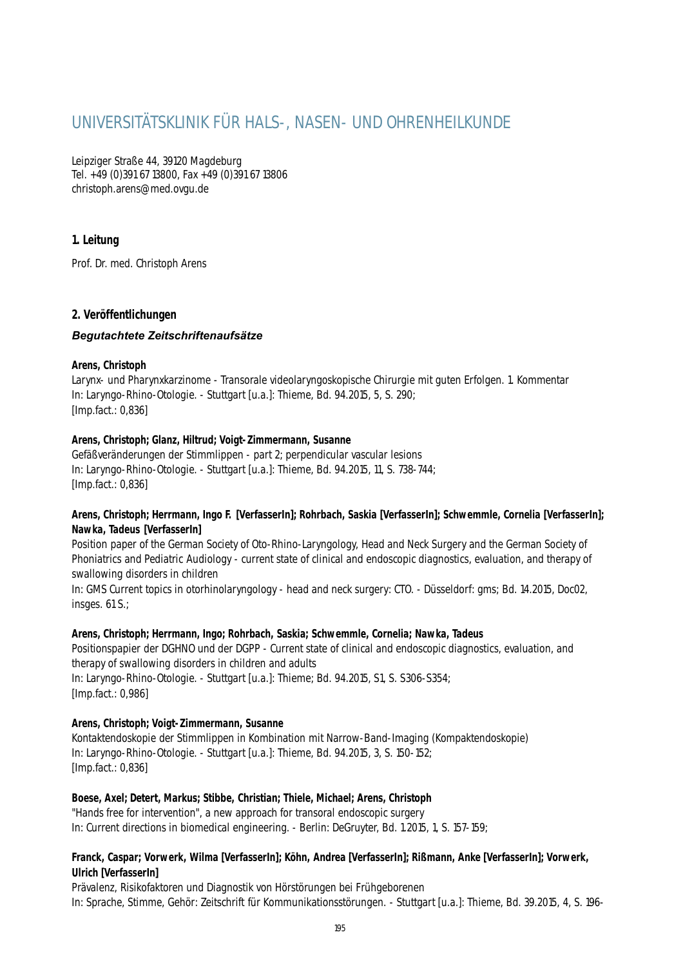# UNIVERSITÄTSKLINIK FÜR HALS-, NASEN- UND OHRENHEILKUNDE

Leipziger Straße 44, 39120 Magdeburg Tel. +49 (0)391 67 13800, Fax +49 (0)391 67 13806 christoph.arens@med.ovgu.de

# **1. Leitung**

Prof. Dr. med. Christoph Arens

### **2. Veröffentlichungen**

#### *Begutachtete Zeitschriftenaufsätze*

#### **Arens, Christoph**

Larynx- und Pharynxkarzinome - Transorale videolaryngoskopische Chirurgie mit guten Erfolgen. 1. Kommentar In: Laryngo-Rhino-Otologie. - Stuttgart [u.a.]: Thieme, Bd. 94.2015, 5, S. 290; [Imp.fact.: 0,836]

#### **Arens, Christoph; Glanz, Hiltrud; Voigt-Zimmermann, Susanne**

Gefäßveränderungen der Stimmlippen - part 2; perpendicular vascular lesions In: Laryngo-Rhino-Otologie. - Stuttgart [u.a.]: Thieme, Bd. 94.2015, 11, S. 738-744; [Imp.fact.: 0,836]

#### **Arens, Christoph; Herrmann, Ingo F. [VerfasserIn]; Rohrbach, Saskia [VerfasserIn]; Schwemmle, Cornelia [VerfasserIn]; Nawka, Tadeus [VerfasserIn]**

Position paper of the German Society of Oto-Rhino-Laryngology, Head and Neck Surgery and the German Society of Phoniatrics and Pediatric Audiology - current state of clinical and endoscopic diagnostics, evaluation, and therapy of swallowing disorders in children

In: GMS Current topics in otorhinolaryngology - head and neck surgery: CTO. - Düsseldorf: gms; Bd. 14.2015, Doc02, insges. 61 S.;

#### **Arens, Christoph; Herrmann, Ingo; Rohrbach, Saskia; Schwemmle, Cornelia; Nawka, Tadeus**

Positionspapier der DGHNO und der DGPP - Current state of clinical and endoscopic diagnostics, evaluation, and therapy of swallowing disorders in children and adults

In: Laryngo-Rhino-Otologie. - Stuttgart [u.a.]: Thieme; Bd. 94.2015, S1, S. S306-S354; [Imp.fact.: 0,986]

#### **Arens, Christoph; Voigt-Zimmermann, Susanne**

Kontaktendoskopie der Stimmlippen in Kombination mit Narrow-Band-Imaging (Kompaktendoskopie) In: Laryngo-Rhino-Otologie. - Stuttgart [u.a.]: Thieme, Bd. 94.2015, 3, S. 150-152; [Imp.fact.: 0,836]

#### **Boese, Axel; Detert, Markus; Stibbe, Christian; Thiele, Michael; Arens, Christoph**

"Hands free for intervention", a new approach for transoral endoscopic surgery In: Current directions in biomedical engineering. - Berlin: DeGruyter, Bd. 1.2015, 1, S. 157-159;

#### **Franck, Caspar; Vorwerk, Wilma [VerfasserIn]; Köhn, Andrea [VerfasserIn]; Rißmann, Anke [VerfasserIn]; Vorwerk, Ulrich [VerfasserIn]**

Prävalenz, Risikofaktoren und Diagnostik von Hörstörungen bei Frühgeborenen In: Sprache, Stimme, Gehör: Zeitschrift für Kommunikationsstörungen. - Stuttgart [u.a.]: Thieme, Bd. 39.2015, 4, S. 196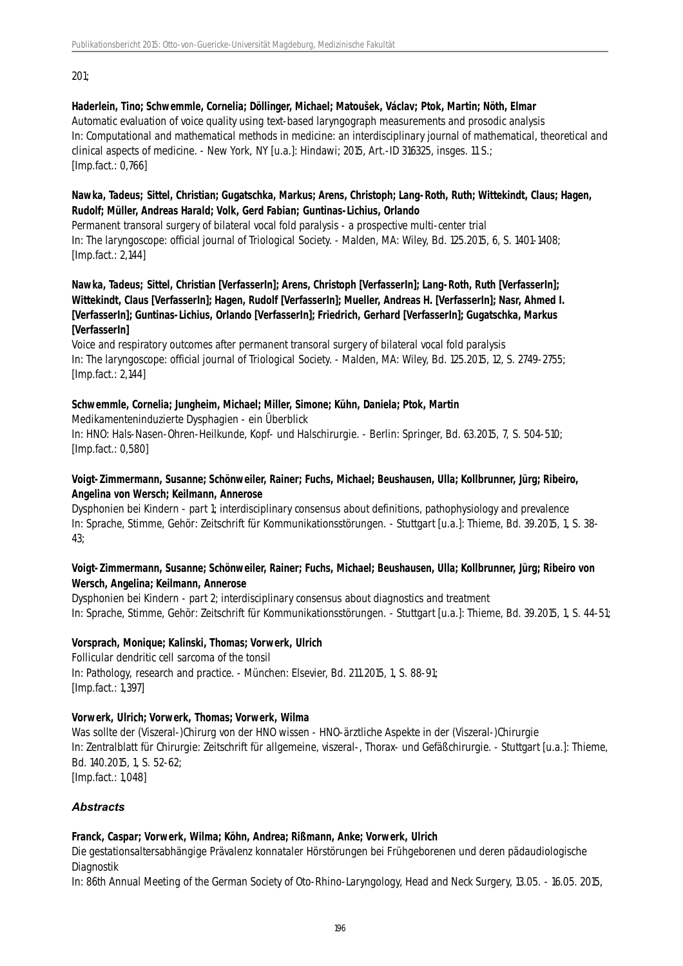201;

#### **Haderlein, Tino; Schwemmle, Cornelia; Döllinger, Michael; Matoušek, Václav; Ptok, Martin; Nöth, Elmar**

Automatic evaluation of voice quality using text-based laryngograph measurements and prosodic analysis In: Computational and mathematical methods in medicine: an interdisciplinary journal of mathematical, theoretical and clinical aspects of medicine. - New York, NY [u.a.]: Hindawi; 2015, Art.-ID 316325, insges. 11 S.; [Imp.fact.: 0,766]

#### **Nawka, Tadeus; Sittel, Christian; Gugatschka, Markus; Arens, Christoph; Lang-Roth, Ruth; Wittekindt, Claus; Hagen, Rudolf; Müller, Andreas Harald; Volk, Gerd Fabian; Guntinas-Lichius, Orlando**

Permanent transoral surgery of bilateral vocal fold paralysis - a prospective multi-center trial In: The laryngoscope: official journal of Triological Society. - Malden, MA: Wiley, Bd. 125.2015, 6, S. 1401-1408; [Imp.fact.: 2,144]

#### **Nawka, Tadeus; Sittel, Christian [VerfasserIn]; Arens, Christoph [VerfasserIn]; Lang-Roth, Ruth [VerfasserIn]; Wittekindt, Claus [VerfasserIn]; Hagen, Rudolf [VerfasserIn]; Mueller, Andreas H. [VerfasserIn]; Nasr, Ahmed I. [VerfasserIn]; Guntinas-Lichius, Orlando [VerfasserIn]; Friedrich, Gerhard [VerfasserIn]; Gugatschka, Markus [VerfasserIn]**

Voice and respiratory outcomes after permanent transoral surgery of bilateral vocal fold paralysis In: The laryngoscope: official journal of Triological Society. - Malden, MA: Wiley, Bd. 125.2015, 12, S. 2749-2755; [Imp.fact.: 2,144]

### **Schwemmle, Cornelia; Jungheim, Michael; Miller, Simone; Kühn, Daniela; Ptok, Martin**

Medikamenteninduzierte Dysphagien - ein Überblick In: HNO: Hals-Nasen-Ohren-Heilkunde, Kopf- und Halschirurgie. - Berlin: Springer, Bd. 63.2015, 7, S. 504-510; [Imp.fact.: 0,580]

#### **Voigt-Zimmermann, Susanne; Schönweiler, Rainer; Fuchs, Michael; Beushausen, Ulla; Kollbrunner, Jürg; Ribeiro, Angelina von Wersch; Keilmann, Annerose**

Dysphonien bei Kindern - part 1; interdisciplinary consensus about definitions, pathophysiology and prevalence In: Sprache, Stimme, Gehör: Zeitschrift für Kommunikationsstörungen. - Stuttgart [u.a.]: Thieme, Bd. 39.2015, 1, S. 38- 43;

### **Voigt-Zimmermann, Susanne; Schönweiler, Rainer; Fuchs, Michael; Beushausen, Ulla; Kollbrunner, Jürg; Ribeiro von Wersch, Angelina; Keilmann, Annerose**

Dysphonien bei Kindern - part 2; interdisciplinary consensus about diagnostics and treatment In: Sprache, Stimme, Gehör: Zeitschrift für Kommunikationsstörungen. - Stuttgart [u.a.]: Thieme, Bd. 39.2015, 1, S. 44-51;

# **Vorsprach, Monique; Kalinski, Thomas; Vorwerk, Ulrich**

Follicular dendritic cell sarcoma of the tonsil In: Pathology, research and practice. - München: Elsevier, Bd. 211.2015, 1, S. 88-91; [Imp.fact.: 1,397]

# **Vorwerk, Ulrich; Vorwerk, Thomas; Vorwerk, Wilma**

Was sollte der (Viszeral-)Chirurg von der HNO wissen - HNO-ärztliche Aspekte in der (Viszeral-)Chirurgie In: Zentralblatt für Chirurgie: Zeitschrift für allgemeine, viszeral-, Thorax- und Gefäßchirurgie. - Stuttgart [u.a.]: Thieme, Bd. 140.2015, 1, S. 52-62;

[Imp.fact.: 1,048]

# *Abstracts*

#### **Franck, Caspar; Vorwerk, Wilma; Köhn, Andrea; Rißmann, Anke; Vorwerk, Ulrich**

Die gestationsaltersabhängige Prävalenz konnataler Hörstörungen bei Frühgeborenen und deren pädaudiologische Diagnostik

In: 86th Annual Meeting of the German Society of Oto-Rhino-Laryngology, Head and Neck Surgery, 13.05. - 16.05. 2015,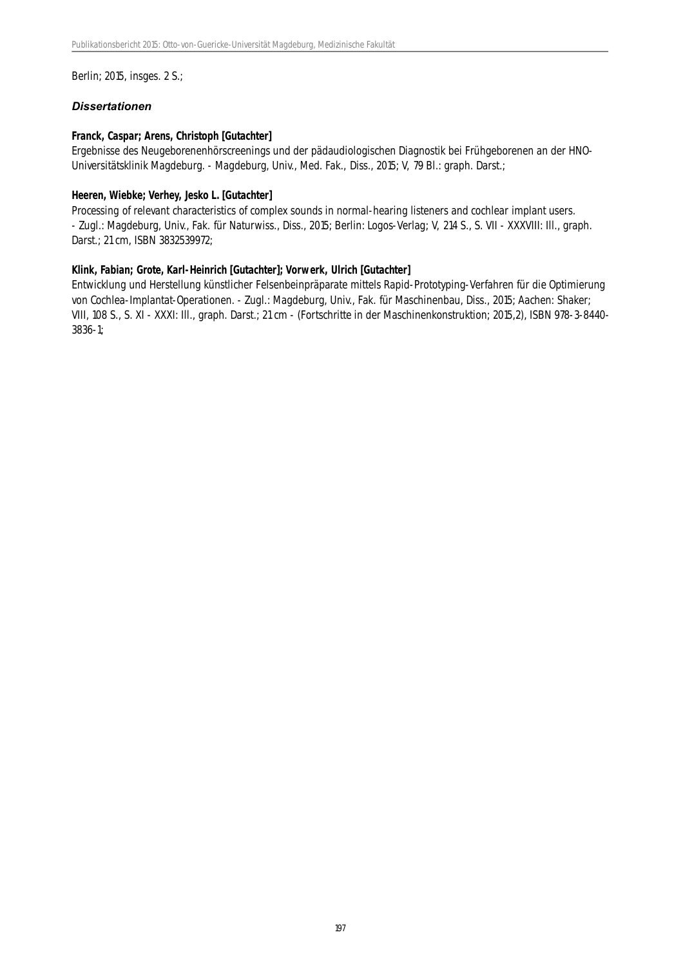Berlin; 2015, insges. 2 S.;

#### *Dissertationen*

#### **Franck, Caspar; Arens, Christoph [Gutachter]**

Ergebnisse des Neugeborenenhörscreenings und der pädaudiologischen Diagnostik bei Frühgeborenen an der HNO-Universitätsklinik Magdeburg. - Magdeburg, Univ., Med. Fak., Diss., 2015; V, 79 Bl.: graph. Darst.;

#### **Heeren, Wiebke; Verhey, Jesko L. [Gutachter]**

Processing of relevant characteristics of complex sounds in normal-hearing listeners and cochlear implant users. - Zugl.: Magdeburg, Univ., Fak. für Naturwiss., Diss., 2015; Berlin: Logos-Verlag; V, 214 S., S. VII - XXXVIII: Ill., graph. Darst.; 21 cm, ISBN 3832539972;

#### **Klink, Fabian; Grote, Karl-Heinrich [Gutachter]; Vorwerk, Ulrich [Gutachter]**

Entwicklung und Herstellung künstlicher Felsenbeinpräparate mittels Rapid-Prototyping-Verfahren für die Optimierung von Cochlea-Implantat-Operationen. - Zugl.: Magdeburg, Univ., Fak. für Maschinenbau, Diss., 2015; Aachen: Shaker; VIII, 108 S., S. XI - XXXI: Ill., graph. Darst.; 21 cm - (Fortschritte in der Maschinenkonstruktion; 2015,2), ISBN 978-3-8440- 3836-1;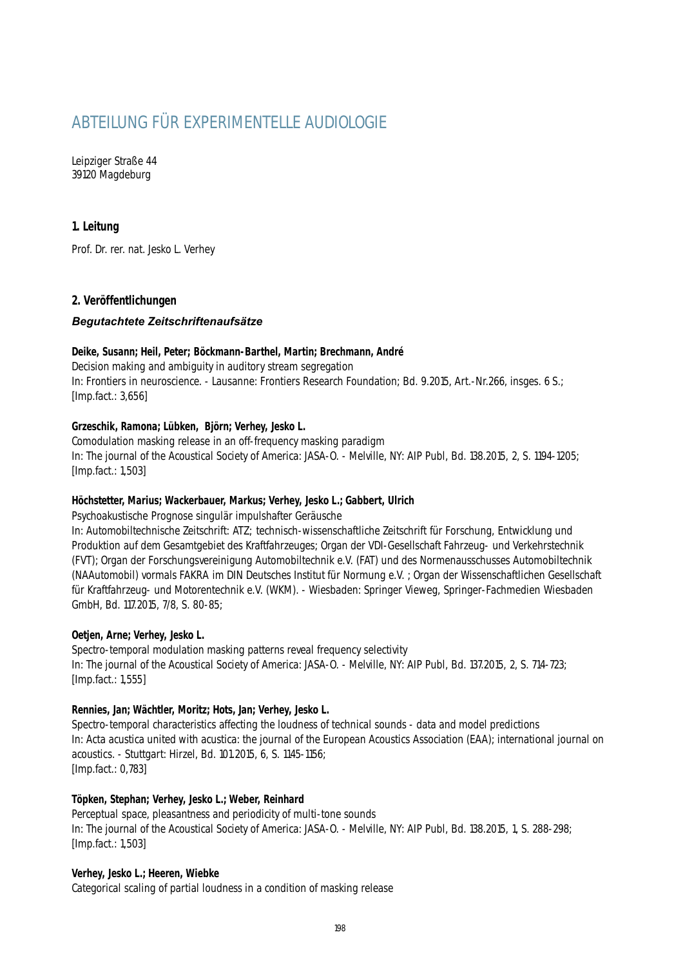# ABTEILUNG FÜR EXPERIMENTELLE AUDIOLOGIE

Leipziger Straße 44 39120 Magdeburg

## **1. Leitung**

Prof. Dr. rer. nat. Jesko L. Verhey

### **2. Veröffentlichungen**

#### *Begutachtete Zeitschriftenaufsätze*

#### **Deike, Susann; Heil, Peter; Böckmann-Barthel, Martin; Brechmann, André**

Decision making and ambiguity in auditory stream segregation In: Frontiers in neuroscience. - Lausanne: Frontiers Research Foundation; Bd. 9.2015, Art.-Nr.266, insges. 6 S.; [Imp.fact.: 3,656]

#### **Grzeschik, Ramona; Lübken, Björn; Verhey, Jesko L.**

Comodulation masking release in an off-frequency masking paradigm In: The journal of the Acoustical Society of America: JASA-O. - Melville, NY: AIP Publ, Bd. 138.2015, 2, S. 1194-1205; [Imp.fact.: 1,503]

#### **Höchstetter, Marius; Wackerbauer, Markus; Verhey, Jesko L.; Gabbert, Ulrich**

Psychoakustische Prognose singulär impulshafter Geräusche

In: Automobiltechnische Zeitschrift: ATZ; technisch-wissenschaftliche Zeitschrift für Forschung, Entwicklung und Produktion auf dem Gesamtgebiet des Kraftfahrzeuges; Organ der VDI-Gesellschaft Fahrzeug- und Verkehrstechnik (FVT); Organ der Forschungsvereinigung Automobiltechnik e.V. (FAT) und des Normenausschusses Automobiltechnik (NAAutomobil) vormals FAKRA im DIN Deutsches Institut für Normung e.V. ; Organ der Wissenschaftlichen Gesellschaft für Kraftfahrzeug- und Motorentechnik e.V. (WKM). - Wiesbaden: Springer Vieweg, Springer-Fachmedien Wiesbaden GmbH, Bd. 117.2015, 7/8, S. 80-85;

#### **Oetjen, Arne; Verhey, Jesko L.**

Spectro-temporal modulation masking patterns reveal frequency selectivity In: The journal of the Acoustical Society of America: JASA-O. - Melville, NY: AIP Publ, Bd. 137.2015, 2, S. 714-723; [Imp.fact.: 1,555]

#### **Rennies, Jan; Wächtler, Moritz; Hots, Jan; Verhey, Jesko L.**

Spectro-temporal characteristics affecting the loudness of technical sounds - data and model predictions In: Acta acustica united with acustica: the journal of the European Acoustics Association (EAA); international journal on acoustics. - Stuttgart: Hirzel, Bd. 101.2015, 6, S. 1145-1156; [Imp.fact.: 0,783]

#### **Töpken, Stephan; Verhey, Jesko L.; Weber, Reinhard**

Perceptual space, pleasantness and periodicity of multi-tone sounds In: The journal of the Acoustical Society of America: JASA-O. - Melville, NY: AIP Publ, Bd. 138.2015, 1, S. 288-298; [Imp.fact.: 1,503]

#### **Verhey, Jesko L.; Heeren, Wiebke**

Categorical scaling of partial loudness in a condition of masking release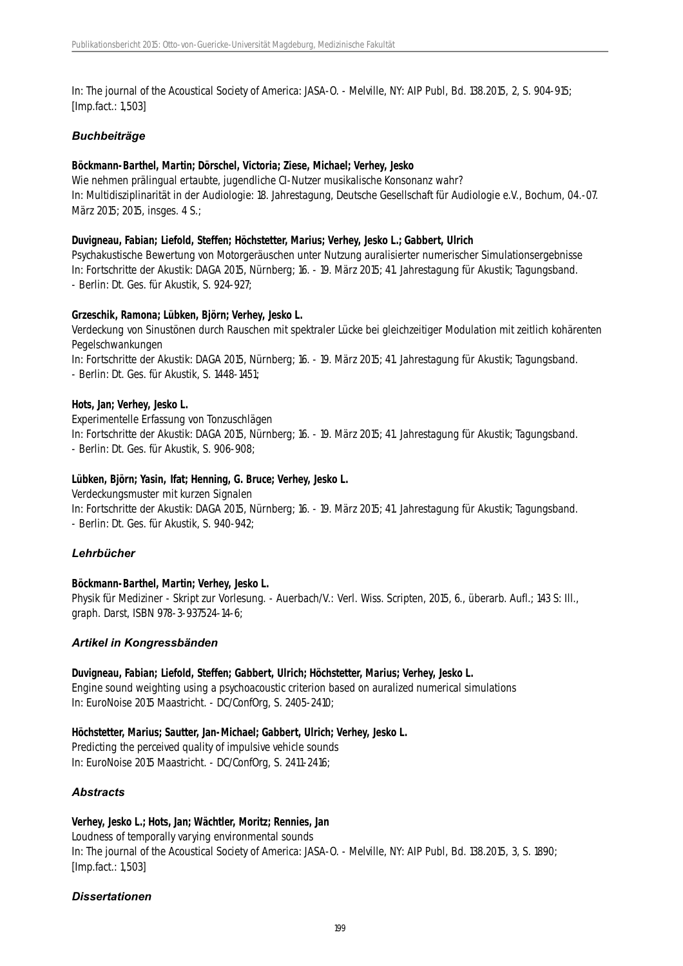In: The journal of the Acoustical Society of America: JASA-O. - Melville, NY: AIP Publ, Bd. 138.2015, 2, S. 904-915; [Imp.fact.: 1,503]

#### *Buchbeiträge*

#### **Böckmann-Barthel, Martin; Dörschel, Victoria; Ziese, Michael; Verhey, Jesko**

Wie nehmen prälingual ertaubte, jugendliche CI-Nutzer musikalische Konsonanz wahr? In: Multidisziplinarität in der Audiologie: 18. Jahrestagung, Deutsche Gesellschaft für Audiologie e.V., Bochum, 04.-07. März 2015; 2015, insges. 4 S.;

#### **Duvigneau, Fabian; Liefold, Steffen; Höchstetter, Marius; Verhey, Jesko L.; Gabbert, Ulrich**

Psychakustische Bewertung von Motorgeräuschen unter Nutzung auralisierter numerischer Simulationsergebnisse In: Fortschritte der Akustik: DAGA 2015, Nürnberg; 16. - 19. März 2015; 41. Jahrestagung für Akustik; Tagungsband. - Berlin: Dt. Ges. für Akustik, S. 924-927;

#### **Grzeschik, Ramona; Lübken, Björn; Verhey, Jesko L.**

Verdeckung von Sinustönen durch Rauschen mit spektraler Lücke bei gleichzeitiger Modulation mit zeitlich kohärenten Pegelschwankungen

In: Fortschritte der Akustik: DAGA 2015, Nürnberg; 16. - 19. März 2015; 41. Jahrestagung für Akustik; Tagungsband. - Berlin: Dt. Ges. für Akustik, S. 1448-1451;

#### **Hots, Jan; Verhey, Jesko L.**

Experimentelle Erfassung von Tonzuschlägen In: Fortschritte der Akustik: DAGA 2015, Nürnberg; 16. - 19. März 2015; 41. Jahrestagung für Akustik; Tagungsband. - Berlin: Dt. Ges. für Akustik, S. 906-908;

#### **Lübken, Björn; Yasin, Ifat; Henning, G. Bruce; Verhey, Jesko L.**

Verdeckungsmuster mit kurzen Signalen In: Fortschritte der Akustik: DAGA 2015, Nürnberg; 16. - 19. März 2015; 41. Jahrestagung für Akustik; Tagungsband. - Berlin: Dt. Ges. für Akustik, S. 940-942;

#### *Lehrbücher*

#### **Böckmann-Barthel, Martin; Verhey, Jesko L.**

Physik für Mediziner - Skript zur Vorlesung. - Auerbach/V.: Verl. Wiss. Scripten, 2015, 6., überarb. Aufl.; 143 S: Ill., graph. Darst, ISBN 978-3-937524-14-6;

#### *Artikel in Kongressbänden*

#### **Duvigneau, Fabian; Liefold, Steffen; Gabbert, Ulrich; Höchstetter, Marius; Verhey, Jesko L.**

Engine sound weighting using a psychoacoustic criterion based on auralized numerical simulations In: EuroNoise 2015 Maastricht. - DC/ConfOrg, S. 2405-2410;

#### **Höchstetter, Marius; Sautter, Jan-Michael; Gabbert, Ulrich; Verhey, Jesko L.**

Predicting the perceived quality of impulsive vehicle sounds In: EuroNoise 2015 Maastricht. - DC/ConfOrg, S. 2411-2416;

#### *Abstracts*

#### **Verhey, Jesko L.; Hots, Jan; Wächtler, Moritz; Rennies, Jan**

Loudness of temporally varying environmental sounds In: The journal of the Acoustical Society of America: JASA-O. - Melville, NY: AIP Publ, Bd. 138.2015, 3, S. 1890; [Imp.fact.: 1,503]

#### *Dissertationen*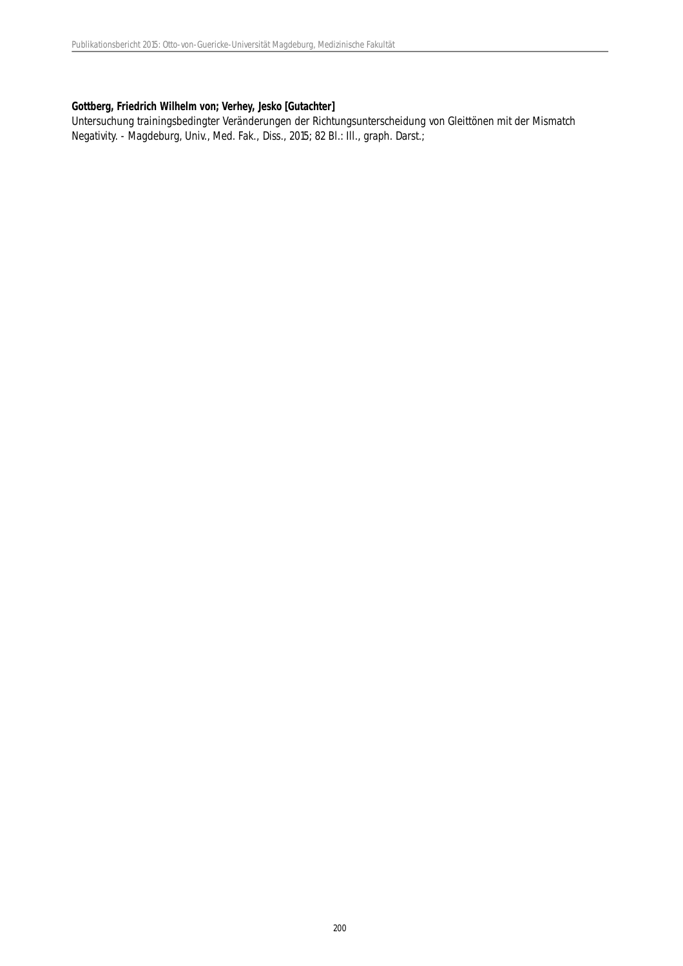#### **Gottberg, Friedrich Wilhelm von; Verhey, Jesko [Gutachter]**

Untersuchung trainingsbedingter Veränderungen der Richtungsunterscheidung von Gleittönen mit der Mismatch Negativity. - Magdeburg, Univ., Med. Fak., Diss., 2015; 82 Bl.: Ill., graph. Darst.;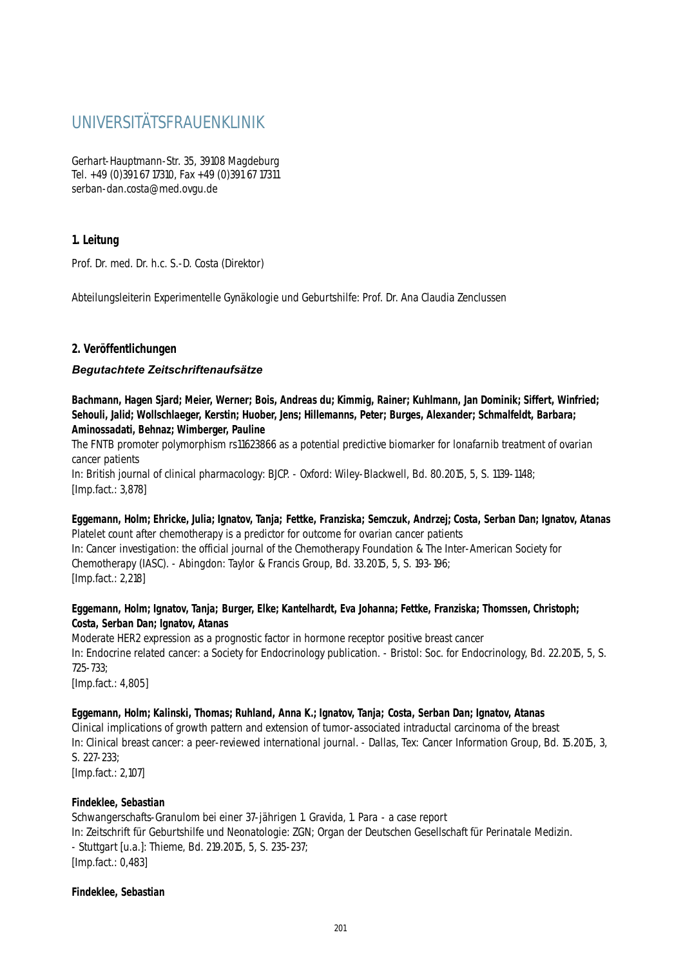# UNIVERSITÄTSFRAUENKLINIK

Gerhart-Hauptmann-Str. 35, 39108 Magdeburg Tel. +49 (0)391 67 17310, Fax +49 (0)391 67 17311 serban-dan.costa@med.ovgu.de

## **1. Leitung**

Prof. Dr. med. Dr. h.c. S.-D. Costa (Direktor)

Abteilungsleiterin Experimentelle Gynäkologie und Geburtshilfe: Prof. Dr. Ana Claudia Zenclussen

#### **2. Veröffentlichungen**

#### *Begutachtete Zeitschriftenaufsätze*

**Bachmann, Hagen Sjard; Meier, Werner; Bois, Andreas du; Kimmig, Rainer; Kuhlmann, Jan Dominik; Siffert, Winfried; Sehouli, Jalid; Wollschlaeger, Kerstin; Huober, Jens; Hillemanns, Peter; Burges, Alexander; Schmalfeldt, Barbara; Aminossadati, Behnaz; Wimberger, Pauline**

The FNTB promoter polymorphism rs11623866 as a potential predictive biomarker for lonafarnib treatment of ovarian cancer patients

In: British journal of clinical pharmacology: BJCP. - Oxford: Wiley-Blackwell, Bd. 80.2015, 5, S. 1139-1148; [Imp.fact.: 3,878]

# **Eggemann, Holm; Ehricke, Julia; Ignatov, Tanja; Fettke, Franziska; Semczuk, Andrzej; Costa, Serban Dan; Ignatov, Atanas**

Platelet count after chemotherapy is a predictor for outcome for ovarian cancer patients In: Cancer investigation: the official journal of the Chemotherapy Foundation & The Inter-American Society for Chemotherapy (IASC). - Abingdon: Taylor & Francis Group, Bd. 33.2015, 5, S. 193-196; [Imp.fact.: 2,218]

#### **Eggemann, Holm; Ignatov, Tanja; Burger, Elke; Kantelhardt, Eva Johanna; Fettke, Franziska; Thomssen, Christoph; Costa, Serban Dan; Ignatov, Atanas**

Moderate HER2 expression as a prognostic factor in hormone receptor positive breast cancer In: Endocrine related cancer: a Society for Endocrinology publication. - Bristol: Soc. for Endocrinology, Bd. 22.2015, 5, S. 725-733; [Imp.fact.: 4,805]

#### **Eggemann, Holm; Kalinski, Thomas; Ruhland, Anna K.; Ignatov, Tanja; Costa, Serban Dan; Ignatov, Atanas**

Clinical implications of growth pattern and extension of tumor-associated intraductal carcinoma of the breast In: Clinical breast cancer: a peer-reviewed international journal. - Dallas, Tex: Cancer Information Group, Bd. 15.2015, 3, S. 227-233;

[Imp.fact.: 2,107]

#### **Findeklee, Sebastian**

Schwangerschafts-Granulom bei einer 37-jährigen 1. Gravida, 1. Para - a case report In: Zeitschrift für Geburtshilfe und Neonatologie: ZGN; Organ der Deutschen Gesellschaft für Perinatale Medizin. - Stuttgart [u.a.]: Thieme, Bd. 219.2015, 5, S. 235-237; [Imp.fact.: 0,483]

#### **Findeklee, Sebastian**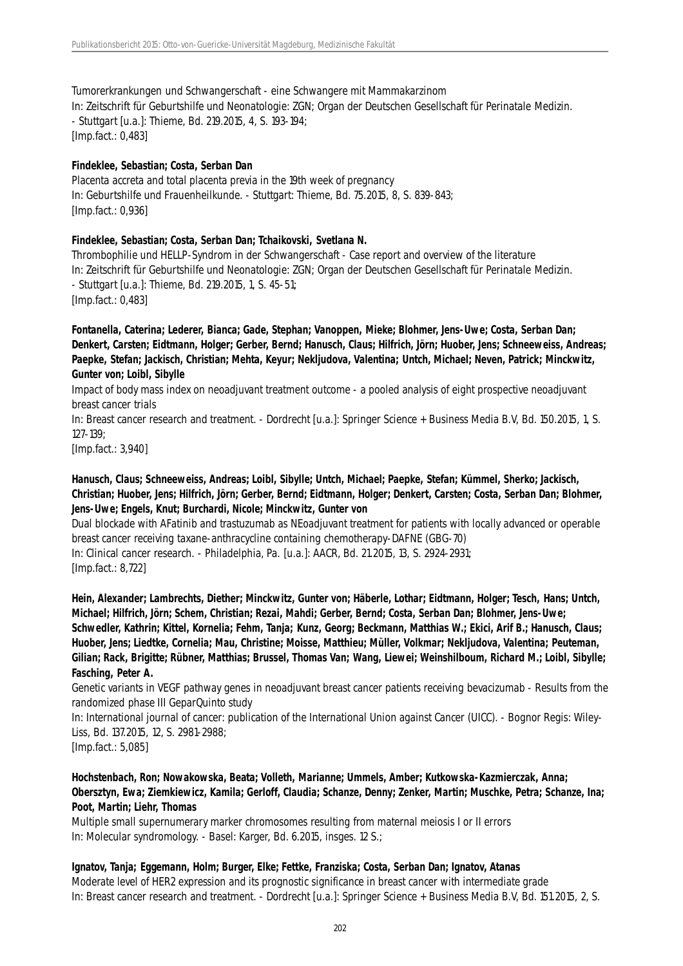#### Tumorerkrankungen und Schwangerschaft - eine Schwangere mit Mammakarzinom

In: Zeitschrift für Geburtshilfe und Neonatologie: ZGN; Organ der Deutschen Gesellschaft für Perinatale Medizin. - Stuttgart [u.a.]: Thieme, Bd. 219.2015, 4, S. 193-194; [Imp.fact.: 0,483]

#### **Findeklee, Sebastian; Costa, Serban Dan**

Placenta accreta and total placenta previa in the 19th week of pregnancy In: Geburtshilfe und Frauenheilkunde. - Stuttgart: Thieme, Bd. 75.2015, 8, S. 839-843; [Imp.fact.: 0,936]

#### **Findeklee, Sebastian; Costa, Serban Dan; Tchaikovski, Svetlana N.**

Thrombophilie und HELLP-Syndrom in der Schwangerschaft - Case report and overview of the literature In: Zeitschrift für Geburtshilfe und Neonatologie: ZGN; Organ der Deutschen Gesellschaft für Perinatale Medizin. - Stuttgart [u.a.]: Thieme, Bd. 219.2015, 1, S. 45-51; [Imp.fact.: 0,483]

**Fontanella, Caterina; Lederer, Bianca; Gade, Stephan; Vanoppen, Mieke; Blohmer, Jens-Uwe; Costa, Serban Dan; Denkert, Carsten; Eidtmann, Holger; Gerber, Bernd; Hanusch, Claus; Hilfrich, Jörn; Huober, Jens; Schneeweiss, Andreas; Paepke, Stefan; Jackisch, Christian; Mehta, Keyur; Nekljudova, Valentina; Untch, Michael; Neven, Patrick; Minckwitz, Gunter von; Loibl, Sibylle**

Impact of body mass index on neoadjuvant treatment outcome - a pooled analysis of eight prospective neoadjuvant breast cancer trials

In: Breast cancer research and treatment. - Dordrecht [u.a.]: Springer Science + Business Media B.V, Bd. 150.2015, 1, S. 127-139;

[Imp.fact.: 3,940]

#### **Hanusch, Claus; Schneeweiss, Andreas; Loibl, Sibylle; Untch, Michael; Paepke, Stefan; Kümmel, Sherko; Jackisch, Christian; Huober, Jens; Hilfrich, Jörn; Gerber, Bernd; Eidtmann, Holger; Denkert, Carsten; Costa, Serban Dan; Blohmer, Jens-Uwe; Engels, Knut; Burchardi, Nicole; Minckwitz, Gunter von**

Dual blockade with AFatinib and trastuzumab as NEoadjuvant treatment for patients with locally advanced or operable breast cancer receiving taxane-anthracycline containing chemotherapy-DAFNE (GBG-70)

In: Clinical cancer research. - Philadelphia, Pa. [u.a.]: AACR, Bd. 21.2015, 13, S. 2924-2931; [Imp.fact.: 8,722]

**Hein, Alexander; Lambrechts, Diether; Minckwitz, Gunter von; Häberle, Lothar; Eidtmann, Holger; Tesch, Hans; Untch, Michael; Hilfrich, Jörn; Schem, Christian; Rezai, Mahdi; Gerber, Bernd; Costa, Serban Dan; Blohmer, Jens-Uwe; Schwedler, Kathrin; Kittel, Kornelia; Fehm, Tanja; Kunz, Georg; Beckmann, Matthias W.; Ekici, Arif B.; Hanusch, Claus; Huober, Jens; Liedtke, Cornelia; Mau, Christine; Moisse, Matthieu; Müller, Volkmar; Nekljudova, Valentina; Peuteman, Gilian; Rack, Brigitte; Rübner, Matthias; Brussel, Thomas Van; Wang, Liewei; Weinshilboum, Richard M.; Loibl, Sibylle; Fasching, Peter A.**

Genetic variants in VEGF pathway genes in neoadjuvant breast cancer patients receiving bevacizumab - Results from the randomized phase III GeparQuinto study

In: International journal of cancer: publication of the International Union against Cancer (UICC). - Bognor Regis: Wiley-Liss, Bd. 137.2015, 12, S. 2981-2988;

[Imp.fact.: 5,085]

## **Hochstenbach, Ron; Nowakowska, Beata; Volleth, Marianne; Ummels, Amber; Kutkowska-Kazmierczak, Anna; Obersztyn, Ewa; Ziemkiewicz, Kamila; Gerloff, Claudia; Schanze, Denny; Zenker, Martin; Muschke, Petra; Schanze, Ina; Poot, Martin; Liehr, Thomas**

Multiple small supernumerary marker chromosomes resulting from maternal meiosis I or II errors In: Molecular syndromology. - Basel: Karger, Bd. 6.2015, insges. 12 S.;

#### **Ignatov, Tanja; Eggemann, Holm; Burger, Elke; Fettke, Franziska; Costa, Serban Dan; Ignatov, Atanas**

Moderate level of HER2 expression and its prognostic significance in breast cancer with intermediate grade In: Breast cancer research and treatment. - Dordrecht [u.a.]: Springer Science + Business Media B.V, Bd. 151.2015, 2, S.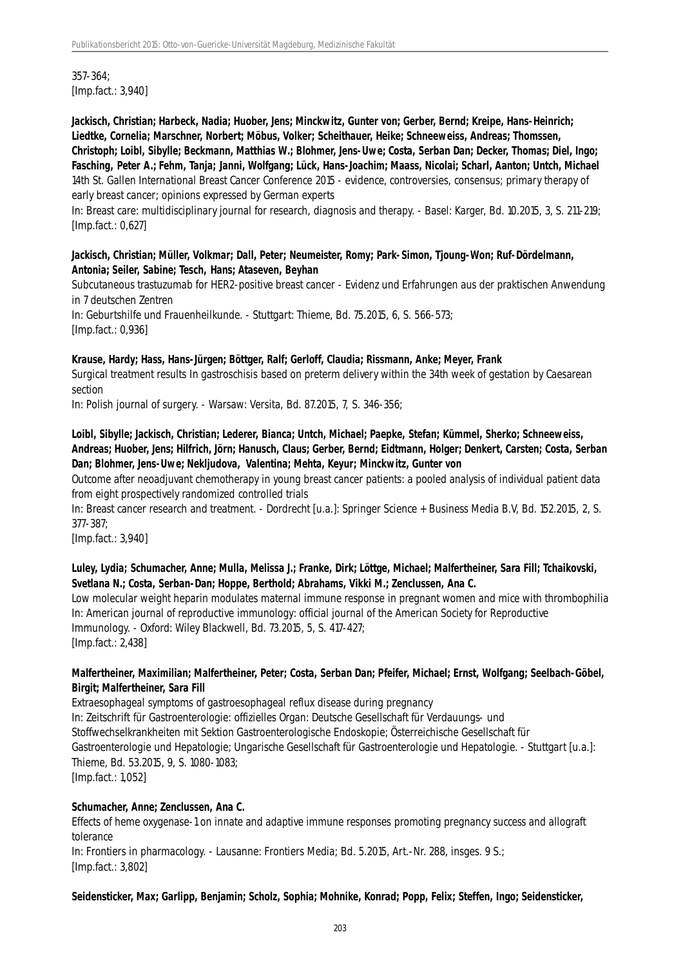357-364; [Imp.fact.: 3,940]

**Jackisch, Christian; Harbeck, Nadia; Huober, Jens; Minckwitz, Gunter von; Gerber, Bernd; Kreipe, Hans-Heinrich; Liedtke, Cornelia; Marschner, Norbert; Möbus, Volker; Scheithauer, Heike; Schneeweiss, Andreas; Thomssen, Christoph; Loibl, Sibylle; Beckmann, Matthias W.; Blohmer, Jens-Uwe; Costa, Serban Dan; Decker, Thomas; Diel, Ingo; Fasching, Peter A.; Fehm, Tanja; Janni, Wolfgang; Lück, Hans-Joachim; Maass, Nicolai; Scharl, Aanton; Untch, Michael** 14th St. Gallen International Breast Cancer Conference 2015 - evidence, controversies, consensus; primary therapy of early breast cancer; opinions expressed by German experts

In: Breast care: multidisciplinary journal for research, diagnosis and therapy. - Basel: Karger, Bd. 10.2015, 3, S. 211-219; [Imp.fact.: 0,627]

**Jackisch, Christian; Müller, Volkmar; Dall, Peter; Neumeister, Romy; Park-Simon, Tjoung-Won; Ruf-Dördelmann, Antonia; Seiler, Sabine; Tesch, Hans; Ataseven, Beyhan**

Subcutaneous trastuzumab for HER2-positive breast cancer - Evidenz und Erfahrungen aus der praktischen Anwendung in 7 deutschen Zentren

In: Geburtshilfe und Frauenheilkunde. - Stuttgart: Thieme, Bd. 75.2015, 6, S. 566-573; [Imp.fact.: 0,936]

**Krause, Hardy; Hass, Hans-Jürgen; Böttger, Ralf; Gerloff, Claudia; Rissmann, Anke; Meyer, Frank**

Surgical treatment results In gastroschisis based on preterm delivery within the 34th week of gestation by Caesarean section

In: Polish journal of surgery. - Warsaw: Versita, Bd. 87.2015, 7, S. 346-356;

#### **Loibl, Sibylle; Jackisch, Christian; Lederer, Bianca; Untch, Michael; Paepke, Stefan; Kümmel, Sherko; Schneeweiss, Andreas; Huober, Jens; Hilfrich, Jörn; Hanusch, Claus; Gerber, Bernd; Eidtmann, Holger; Denkert, Carsten; Costa, Serban Dan; Blohmer, Jens-Uwe; Nekljudova, Valentina; Mehta, Keyur; Minckwitz, Gunter von**

Outcome after neoadjuvant chemotherapy in young breast cancer patients: a pooled analysis of individual patient data from eight prospectively randomized controlled trials

In: Breast cancer research and treatment. - Dordrecht [u.a.]: Springer Science + Business Media B.V, Bd. 152.2015, 2, S. 377-387;

[Imp.fact.: 3,940]

#### **Luley, Lydia; Schumacher, Anne; Mulla, Melissa J.; Franke, Dirk; Löttge, Michael; Malfertheiner, Sara Fill; Tchaikovski, Svetlana N.; Costa, Serban-Dan; Hoppe, Berthold; Abrahams, Vikki M.; Zenclussen, Ana C.**

Low molecular weight heparin modulates maternal immune response in pregnant women and mice with thrombophilia In: American journal of reproductive immunology: official journal of the American Society for Reproductive Immunology. - Oxford: Wiley Blackwell, Bd. 73.2015, 5, S. 417-427; [Imp.fact.: 2,438]

#### **Malfertheiner, Maximilian; Malfertheiner, Peter; Costa, Serban Dan; Pfeifer, Michael; Ernst, Wolfgang; Seelbach-Göbel, Birgit; Malfertheiner, Sara Fill**

Extraesophageal symptoms of gastroesophageal reflux disease during pregnancy In: Zeitschrift für Gastroenterologie: offizielles Organ: Deutsche Gesellschaft für Verdauungs- und Stoffwechselkrankheiten mit Sektion Gastroenterologische Endoskopie; Österreichische Gesellschaft für Gastroenterologie und Hepatologie; Ungarische Gesellschaft für Gastroenterologie und Hepatologie. - Stuttgart [u.a.]: Thieme, Bd. 53.2015, 9, S. 1080-1083; [Imp.fact.: 1,052]

#### **Schumacher, Anne; Zenclussen, Ana C.**

Effects of heme oxygenase-1 on innate and adaptive immune responses promoting pregnancy success and allograft tolerance

In: Frontiers in pharmacology. - Lausanne: Frontiers Media; Bd. 5.2015, Art.-Nr. 288, insges. 9 S.; [Imp.fact.: 3,802]

#### **Seidensticker, Max; Garlipp, Benjamin; Scholz, Sophia; Mohnike, Konrad; Popp, Felix; Steffen, Ingo; Seidensticker,**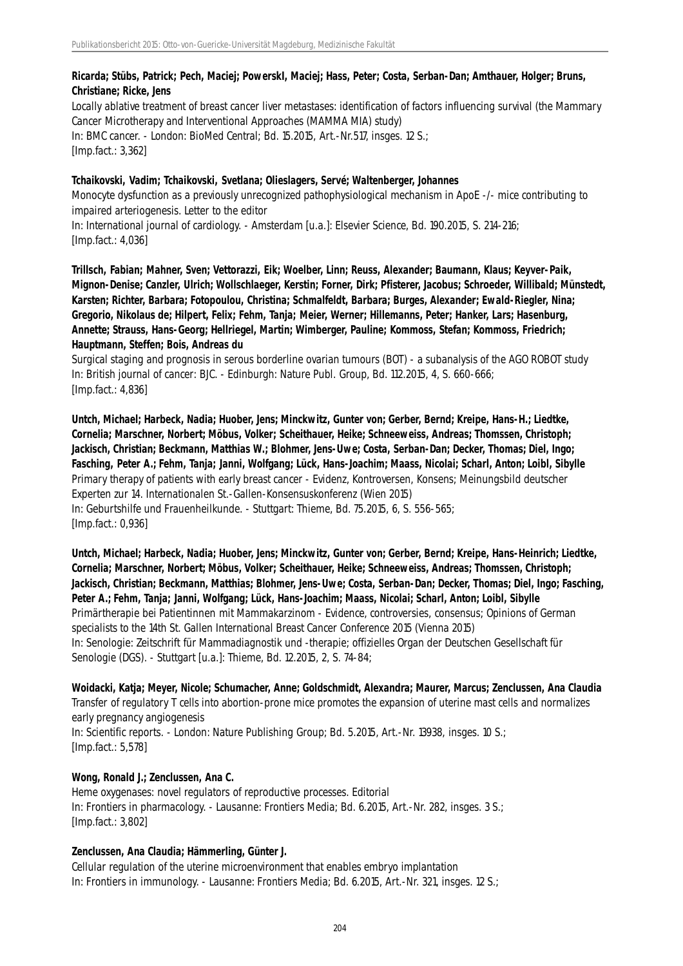# **Ricarda; Stübs, Patrick; Pech, Maciej; PowerskI, Maciej; Hass, Peter; Costa, Serban-Dan; Amthauer, Holger; Bruns, Christiane; Ricke, Jens**

Locally ablative treatment of breast cancer liver metastases: identification of factors influencing survival (the Mammary Cancer Microtherapy and Interventional Approaches (MAMMA MIA) study) In: BMC cancer. - London: BioMed Central; Bd. 15.2015, Art.-Nr.517, insges. 12 S.; [Imp.fact.: 3,362]

#### **Tchaikovski, Vadim; Tchaikovski, Svetlana; Olieslagers, Servé; Waltenberger, Johannes**

Monocyte dysfunction as a previously unrecognized pathophysiological mechanism in ApoE -/- mice contributing to impaired arteriogenesis. Letter to the editor

In: International journal of cardiology. - Amsterdam [u.a.]: Elsevier Science, Bd. 190.2015, S. 214-216; [Imp.fact.: 4,036]

**Trillsch, Fabian; Mahner, Sven; Vettorazzi, Eik; Woelber, Linn; Reuss, Alexander; Baumann, Klaus; Keyver-Paik, Mignon-Denise; Canzler, Ulrich; Wollschlaeger, Kerstin; Forner, Dirk; Pfisterer, Jacobus; Schroeder, Willibald; Münstedt, Karsten; Richter, Barbara; Fotopoulou, Christina; Schmalfeldt, Barbara; Burges, Alexander; Ewald-Riegler, Nina; Gregorio, Nikolaus de; Hilpert, Felix; Fehm, Tanja; Meier, Werner; Hillemanns, Peter; Hanker, Lars; Hasenburg, Annette; Strauss, Hans-Georg; Hellriegel, Martin; Wimberger, Pauline; Kommoss, Stefan; Kommoss, Friedrich; Hauptmann, Steffen; Bois, Andreas du**

Surgical staging and prognosis in serous borderline ovarian tumours (BOT) - a subanalysis of the AGO ROBOT study In: British journal of cancer: BJC. - Edinburgh: Nature Publ. Group, Bd. 112.2015, 4, S. 660-666; [Imp.fact.: 4,836]

**Untch, Michael; Harbeck, Nadia; Huober, Jens; Minckwitz, Gunter von; Gerber, Bernd; Kreipe, Hans-H.; Liedtke, Cornelia; Marschner, Norbert; Möbus, Volker; Scheithauer, Heike; Schneeweiss, Andreas; Thomssen, Christoph; Jackisch, Christian; Beckmann, Matthias W.; Blohmer, Jens-Uwe; Costa, Serban-Dan; Decker, Thomas; Diel, Ingo; Fasching, Peter A.; Fehm, Tanja; Janni, Wolfgang; Lück, Hans-Joachim; Maass, Nicolai; Scharl, Anton; Loibl, Sibylle** Primary therapy of patients with early breast cancer - Evidenz, Kontroversen, Konsens; Meinungsbild deutscher Experten zur 14. Internationalen St.-Gallen-Konsensuskonferenz (Wien 2015) In: Geburtshilfe und Frauenheilkunde. - Stuttgart: Thieme, Bd. 75.2015, 6, S. 556-565; [Imp.fact.: 0,936]

**Untch, Michael; Harbeck, Nadia; Huober, Jens; Minckwitz, Gunter von; Gerber, Bernd; Kreipe, Hans-Heinrich; Liedtke, Cornelia; Marschner, Norbert; Möbus, Volker; Scheithauer, Heike; Schneeweiss, Andreas; Thomssen, Christoph; Jackisch, Christian; Beckmann, Matthias; Blohmer, Jens-Uwe; Costa, Serban-Dan; Decker, Thomas; Diel, Ingo; Fasching, Peter A.; Fehm, Tanja; Janni, Wolfgang; Lück, Hans-Joachim; Maass, Nicolai; Scharl, Anton; Loibl, Sibylle** Primärtherapie bei Patientinnen mit Mammakarzinom - Evidence, controversies, consensus; Opinions of German specialists to the 14th St. Gallen International Breast Cancer Conference 2015 (Vienna 2015) In: Senologie: Zeitschrift für Mammadiagnostik und -therapie; offizielles Organ der Deutschen Gesellschaft für Senologie (DGS). - Stuttgart [u.a.]: Thieme, Bd. 12.2015, 2, S. 74-84;

**Woidacki, Katja; Meyer, Nicole; Schumacher, Anne; Goldschmidt, Alexandra; Maurer, Marcus; Zenclussen, Ana Claudia** Transfer of regulatory T cells into abortion-prone mice promotes the expansion of uterine mast cells and normalizes early pregnancy angiogenesis In: Scientific reports. - London: Nature Publishing Group; Bd. 5.2015, Art.-Nr. 13938, insges. 10 S.; [Imp.fact.: 5,578]

#### **Wong, Ronald J.; Zenclussen, Ana C.**

Heme oxygenases: novel regulators of reproductive processes. Editorial In: Frontiers in pharmacology. - Lausanne: Frontiers Media; Bd. 6.2015, Art.-Nr. 282, insges. 3 S.; [Imp.fact.: 3,802]

#### **Zenclussen, Ana Claudia; Hämmerling, Günter J.**

Cellular regulation of the uterine microenvironment that enables embryo implantation In: Frontiers in immunology. - Lausanne: Frontiers Media; Bd. 6.2015, Art.-Nr. 321, insges. 12 S.;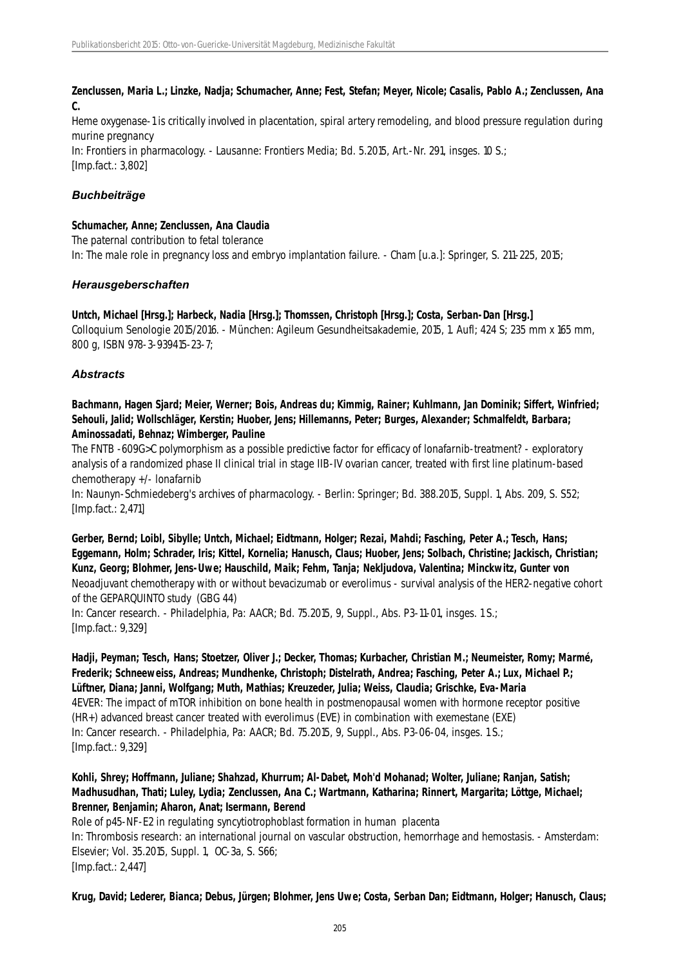**Zenclussen, Maria L.; Linzke, Nadja; Schumacher, Anne; Fest, Stefan; Meyer, Nicole; Casalis, Pablo A.; Zenclussen, Ana C.**

Heme oxygenase-1 is critically involved in placentation, spiral artery remodeling, and blood pressure regulation during murine pregnancy

In: Frontiers in pharmacology. - Lausanne: Frontiers Media; Bd. 5.2015, Art.-Nr. 291, insges. 10 S.; [Imp.fact.: 3,802]

#### *Buchbeiträge*

#### **Schumacher, Anne; Zenclussen, Ana Claudia**

The paternal contribution to fetal tolerance

In: The male role in pregnancy loss and embryo implantation failure. - Cham [u.a.]: Springer, S. 211-225, 2015;

#### *Herausgeberschaften*

#### **Untch, Michael [Hrsg.]; Harbeck, Nadia [Hrsg.]; Thomssen, Christoph [Hrsg.]; Costa, Serban-Dan [Hrsg.]**

Colloquium Senologie 2015/2016. - München: Agileum Gesundheitsakademie, 2015, 1. Aufl; 424 S; 235 mm x 165 mm, 800 g, ISBN 978-3-939415-23-7;

#### *Abstracts*

**Bachmann, Hagen Sjard; Meier, Werner; Bois, Andreas du; Kimmig, Rainer; Kuhlmann, Jan Dominik; Siffert, Winfried; Sehouli, Jalid; Wollschläger, Kerstin; Huober, Jens; Hillemanns, Peter; Burges, Alexander; Schmalfeldt, Barbara; Aminossadati, Behnaz; Wimberger, Pauline**

The FNTB -609G>C polymorphism as a possible predictive factor for efficacy of lonafarnib-treatment? - exploratory analysis of a randomized phase II clinical trial in stage IIB-IV ovarian cancer, treated with first line platinum-based chemotherapy +/- lonafarnib

In: Naunyn-Schmiedeberg's archives of pharmacology. - Berlin: Springer; Bd. 388.2015, Suppl. 1, Abs. 209, S. S52; [Imp.fact.: 2,471]

**Gerber, Bernd; Loibl, Sibylle; Untch, Michael; Eidtmann, Holger; Rezai, Mahdi; Fasching, Peter A.; Tesch, Hans; Eggemann, Holm; Schrader, Iris; Kittel, Kornelia; Hanusch, Claus; Huober, Jens; Solbach, Christine; Jackisch, Christian; Kunz, Georg; Blohmer, Jens-Uwe; Hauschild, Maik; Fehm, Tanja; Nekljudova, Valentina; Minckwitz, Gunter von** Neoadjuvant chemotherapy with or without bevacizumab or everolimus - survival analysis of the HER2-negative cohort of the GEPARQUINTO study (GBG 44)

In: Cancer research. - Philadelphia, Pa: AACR; Bd. 75.2015, 9, Suppl., Abs. P3-11-01, insges. 1 S.; [Imp.fact.: 9,329]

#### **Hadji, Peyman; Tesch, Hans; Stoetzer, Oliver J.; Decker, Thomas; Kurbacher, Christian M.; Neumeister, Romy; Marmé, Frederik; Schneeweiss, Andreas; Mundhenke, Christoph; Distelrath, Andrea; Fasching, Peter A.; Lux, Michael P.; Lüftner, Diana; Janni, Wolfgang; Muth, Mathias; Kreuzeder, Julia; Weiss, Claudia; Grischke, Eva-Maria** 4EVER: The impact of mTOR inhibition on bone health in postmenopausal women with hormone receptor positive

(HR+) advanced breast cancer treated with everolimus (EVE) in combination with exemestane (EXE) In: Cancer research. - Philadelphia, Pa: AACR; Bd. 75.2015, 9, Suppl., Abs. P3-06-04, insges. 1 S.; [Imp.fact.: 9,329]

# **Kohli, Shrey; Hoffmann, Juliane; Shahzad, Khurrum; Al-Dabet, Moh'd Mohanad; Wolter, Juliane; Ranjan, Satish; Madhusudhan, Thati; Luley, Lydia; Zenclussen, Ana C.; Wartmann, Katharina; Rinnert, Margarita; Löttge, Michael; Brenner, Benjamin; Aharon, Anat; Isermann, Berend**

Role of p45-NF-E2 in regulating syncytiotrophoblast formation in human placenta In: Thrombosis research: an international journal on vascular obstruction, hemorrhage and hemostasis. - Amsterdam: Elsevier; Vol. 35.2015, Suppl. 1, OC-3a, S. S66; [Imp.fact.: 2,447]

**Krug, David; Lederer, Bianca; Debus, Jürgen; Blohmer, Jens Uwe; Costa, Serban Dan; Eidtmann, Holger; Hanusch, Claus;**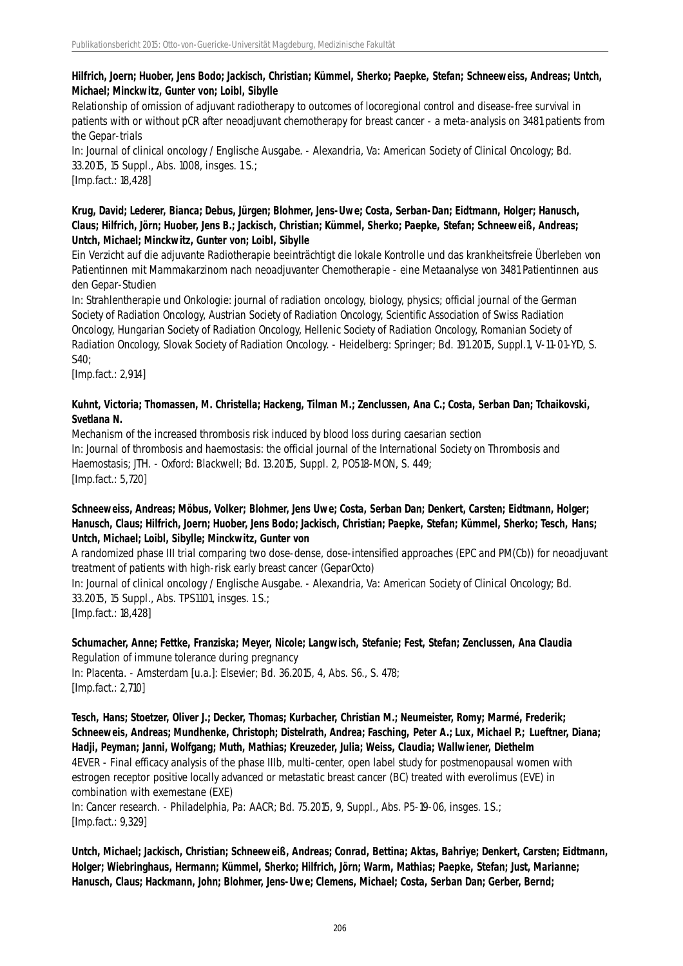# **Hilfrich, Joern; Huober, Jens Bodo; Jackisch, Christian; Kümmel, Sherko; Paepke, Stefan; Schneeweiss, Andreas; Untch, Michael; Minckwitz, Gunter von; Loibl, Sibylle**

Relationship of omission of adjuvant radiotherapy to outcomes of locoregional control and disease-free survival in patients with or without pCR after neoadjuvant chemotherapy for breast cancer - a meta-analysis on 3481 patients from the Gepar-trials

In: Journal of clinical oncology / Englische Ausgabe. - Alexandria, Va: American Society of Clinical Oncology; Bd. 33.2015, 15 Suppl., Abs. 1008, insges. 1 S.;

[Imp.fact.: 18,428]

#### **Krug, David; Lederer, Bianca; Debus, Jürgen; Blohmer, Jens-Uwe; Costa, Serban-Dan; Eidtmann, Holger; Hanusch, Claus; Hilfrich, Jörn; Huober, Jens B.; Jackisch, Christian; Kümmel, Sherko; Paepke, Stefan; Schneeweiß, Andreas; Untch, Michael; Minckwitz, Gunter von; Loibl, Sibylle**

Ein Verzicht auf die adjuvante Radiotherapie beeinträchtigt die lokale Kontrolle und das krankheitsfreie Überleben von Patientinnen mit Mammakarzinom nach neoadjuvanter Chemotherapie - eine Metaanalyse von 3481 Patientinnen aus den Gepar-Studien

In: Strahlentherapie und Onkologie: journal of radiation oncology, biology, physics; official journal of the German Society of Radiation Oncology, Austrian Society of Radiation Oncology, Scientific Association of Swiss Radiation Oncology, Hungarian Society of Radiation Oncology, Hellenic Society of Radiation Oncology, Romanian Society of Radiation Oncology, Slovak Society of Radiation Oncology. - Heidelberg: Springer; Bd. 191.2015, Suppl.1, V-11-01-YD, S. S40;

[Imp.fact.: 2,914]

#### **Kuhnt, Victoria; Thomassen, M. Christella; Hackeng, Tilman M.; Zenclussen, Ana C.; Costa, Serban Dan; Tchaikovski, Svetlana N.**

Mechanism of the increased thrombosis risk induced by blood loss during caesarian section In: Journal of thrombosis and haemostasis: the official journal of the International Society on Thrombosis and Haemostasis; JTH. - Oxford: Blackwell; Bd. 13.2015, Suppl. 2, PO518-MON, S. 449; [Imp.fact.: 5,720]

#### **Schneeweiss, Andreas; Möbus, Volker; Blohmer, Jens Uwe; Costa, Serban Dan; Denkert, Carsten; Eidtmann, Holger; Hanusch, Claus; Hilfrich, Joern; Huober, Jens Bodo; Jackisch, Christian; Paepke, Stefan; Kümmel, Sherko; Tesch, Hans; Untch, Michael; Loibl, Sibylle; Minckwitz, Gunter von**

A randomized phase III trial comparing two dose-dense, dose-intensified approaches (EPC and PM(Cb)) for neoadjuvant treatment of patients with high-risk early breast cancer (GeparOcto)

In: Journal of clinical oncology / Englische Ausgabe. - Alexandria, Va: American Society of Clinical Oncology; Bd. 33.2015, 15 Suppl., Abs. TPS1101, insges. 1 S.;

[Imp.fact.: 18,428]

# **Schumacher, Anne; Fettke, Franziska; Meyer, Nicole; Langwisch, Stefanie; Fest, Stefan; Zenclussen, Ana Claudia** Regulation of immune tolerance during pregnancy

In: Placenta. - Amsterdam [u.a.]: Elsevier; Bd. 36.2015, 4, Abs. S6., S. 478; [Imp.fact.: 2,710]

**Tesch, Hans; Stoetzer, Oliver J.; Decker, Thomas; Kurbacher, Christian M.; Neumeister, Romy; Marmé, Frederik; Schneeweis, Andreas; Mundhenke, Christoph; Distelrath, Andrea; Fasching, Peter A.; Lux, Michael P.; Lueftner, Diana; Hadji, Peyman; Janni, Wolfgang; Muth, Mathias; Kreuzeder, Julia; Weiss, Claudia; Wallwiener, Diethelm** 4EVER - Final efficacy analysis of the phase IIIb, multi-center, open label study for postmenopausal women with estrogen receptor positive locally advanced or metastatic breast cancer (BC) treated with everolimus (EVE) in combination with exemestane (EXE)

In: Cancer research. - Philadelphia, Pa: AACR; Bd. 75.2015, 9, Suppl., Abs. P5-19-06, insges. 1 S.; [Imp.fact.: 9,329]

**Untch, Michael; Jackisch, Christian; Schneeweiß, Andreas; Conrad, Bettina; Aktas, Bahriye; Denkert, Carsten; Eidtmann, Holger; Wiebringhaus, Hermann; Kümmel, Sherko; Hilfrich, Jörn; Warm, Mathias; Paepke, Stefan; Just, Marianne; Hanusch, Claus; Hackmann, John; Blohmer, Jens-Uwe; Clemens, Michael; Costa, Serban Dan; Gerber, Bernd;**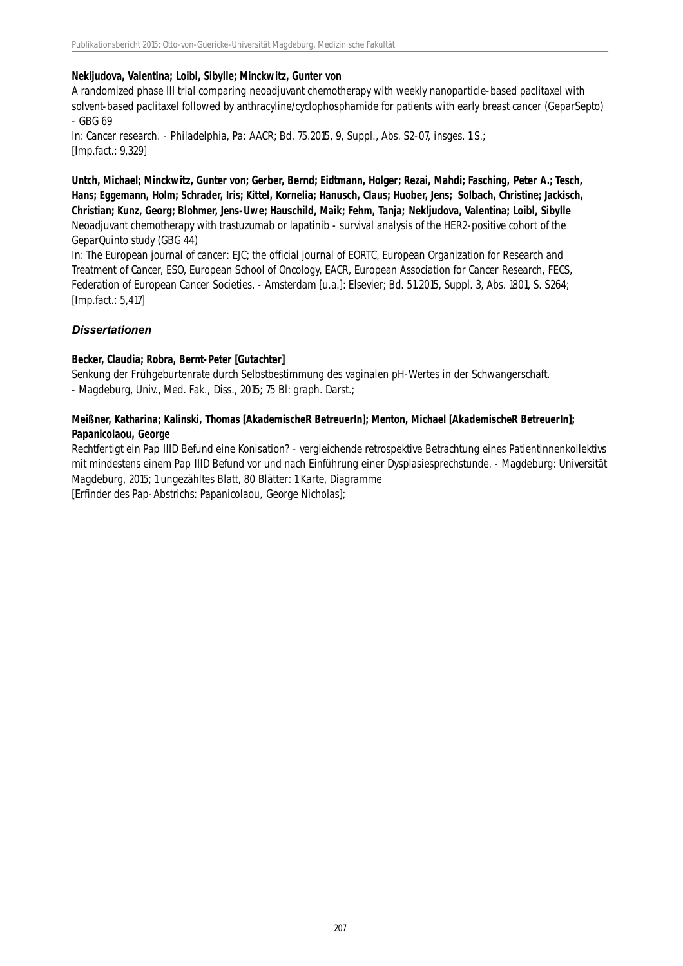#### **Nekljudova, Valentina; Loibl, Sibylle; Minckwitz, Gunter von**

A randomized phase III trial comparing neoadjuvant chemotherapy with weekly nanoparticle-based paclitaxel with solvent-based paclitaxel followed by anthracyline/cyclophosphamide for patients with early breast cancer (GeparSepto) - GBG 69

In: Cancer research. - Philadelphia, Pa: AACR; Bd. 75.2015, 9, Suppl., Abs. S2-07, insges. 1 S.; [Imp.fact.: 9,329]

**Untch, Michael; Minckwitz, Gunter von; Gerber, Bernd; Eidtmann, Holger; Rezai, Mahdi; Fasching, Peter A.; Tesch, Hans; Eggemann, Holm; Schrader, Iris; Kittel, Kornelia; Hanusch, Claus; Huober, Jens; Solbach, Christine; Jackisch, Christian; Kunz, Georg; Blohmer, Jens-Uwe; Hauschild, Maik; Fehm, Tanja; Nekljudova, Valentina; Loibl, Sibylle** Neoadjuvant chemotherapy with trastuzumab or lapatinib - survival analysis of the HER2-positive cohort of the GeparQuinto study (GBG 44)

In: The European journal of cancer: EJC; the official journal of EORTC, European Organization for Research and Treatment of Cancer, ESO, European School of Oncology, EACR, European Association for Cancer Research, FECS, Federation of European Cancer Societies. - Amsterdam [u.a.]: Elsevier; Bd. 51.2015, Suppl. 3, Abs. 1801, S. S264; [Imp.fact.: 5,417]

#### *Dissertationen*

#### **Becker, Claudia; Robra, Bernt-Peter [Gutachter]**

Senkung der Frühgeburtenrate durch Selbstbestimmung des vaginalen pH-Wertes in der Schwangerschaft. - Magdeburg, Univ., Med. Fak., Diss., 2015; 75 Bl: graph. Darst.;

#### **Meißner, Katharina; Kalinski, Thomas [AkademischeR BetreuerIn]; Menton, Michael [AkademischeR BetreuerIn]; Papanicolaou, George**

Rechtfertigt ein Pap IIID Befund eine Konisation? - vergleichende retrospektive Betrachtung eines Patientinnenkollektivs mit mindestens einem Pap IIID Befund vor und nach Einführung einer Dysplasiesprechstunde. - Magdeburg: Universität Magdeburg, 2015; 1 ungezähltes Blatt, 80 Blätter: 1 Karte, Diagramme

[Erfinder des Pap-Abstrichs: Papanicolaou, George Nicholas];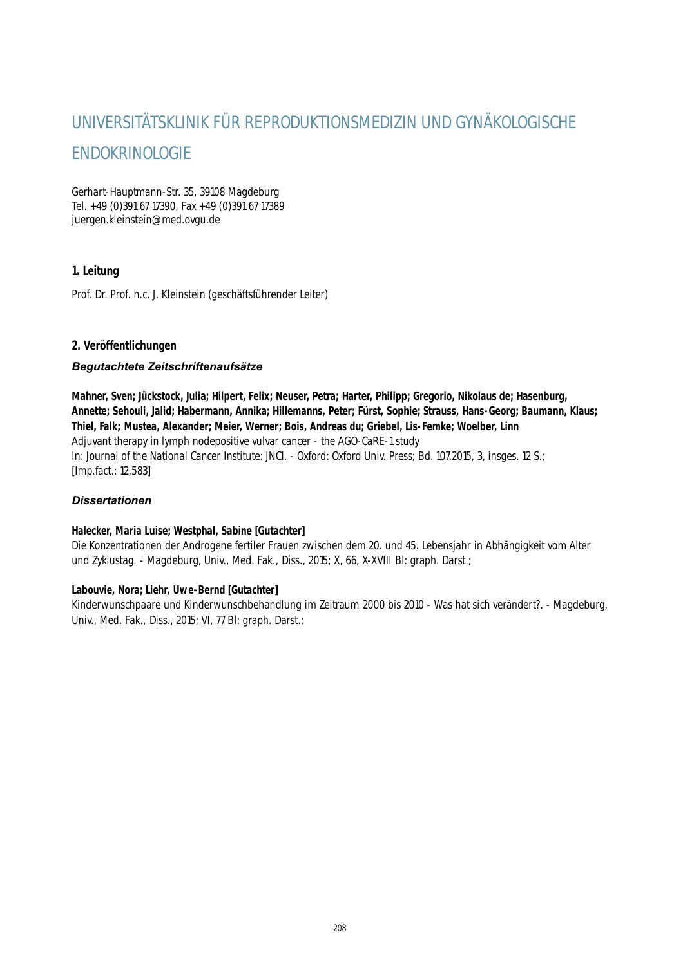# UNIVERSITÄTSKLINIK FÜR REPRODUKTIONSMEDIZIN UND GYNÄKOLOGISCHE ENDOKRINOLOGIE

Gerhart-Hauptmann-Str. 35, 39108 Magdeburg Tel. +49 (0)391 67 17390, Fax +49 (0)391 67 17389 juergen.kleinstein@med.ovgu.de

# **1. Leitung**

Prof. Dr. Prof. h.c. J. Kleinstein (geschäftsführender Leiter)

#### **2. Veröffentlichungen**

#### *Begutachtete Zeitschriftenaufsätze*

**Mahner, Sven; Jückstock, Julia; Hilpert, Felix; Neuser, Petra; Harter, Philipp; Gregorio, Nikolaus de; Hasenburg, Annette; Sehouli, Jalid; Habermann, Annika; Hillemanns, Peter; Fürst, Sophie; Strauss, Hans-Georg; Baumann, Klaus; Thiel, Falk; Mustea, Alexander; Meier, Werner; Bois, Andreas du; Griebel, Lis-Femke; Woelber, Linn** Adjuvant therapy in lymph nodepositive vulvar cancer - the AGO-CaRE-1 study In: Journal of the National Cancer Institute: JNCI. - Oxford: Oxford Univ. Press; Bd. 107.2015, 3, insges. 12 S.; [Imp.fact.: 12,583]

#### *Dissertationen*

#### **Halecker, Maria Luise; Westphal, Sabine [Gutachter]**

Die Konzentrationen der Androgene fertiler Frauen zwischen dem 20. und 45. Lebensjahr in Abhängigkeit vom Alter und Zyklustag. - Magdeburg, Univ., Med. Fak., Diss., 2015; X, 66, X-XVIII Bl: graph. Darst.;

#### **Labouvie, Nora; Liehr, Uwe-Bernd [Gutachter]**

Kinderwunschpaare und Kinderwunschbehandlung im Zeitraum 2000 bis 2010 - Was hat sich verändert?. - Magdeburg, Univ., Med. Fak., Diss., 2015; VI, 77 Bl: graph. Darst.;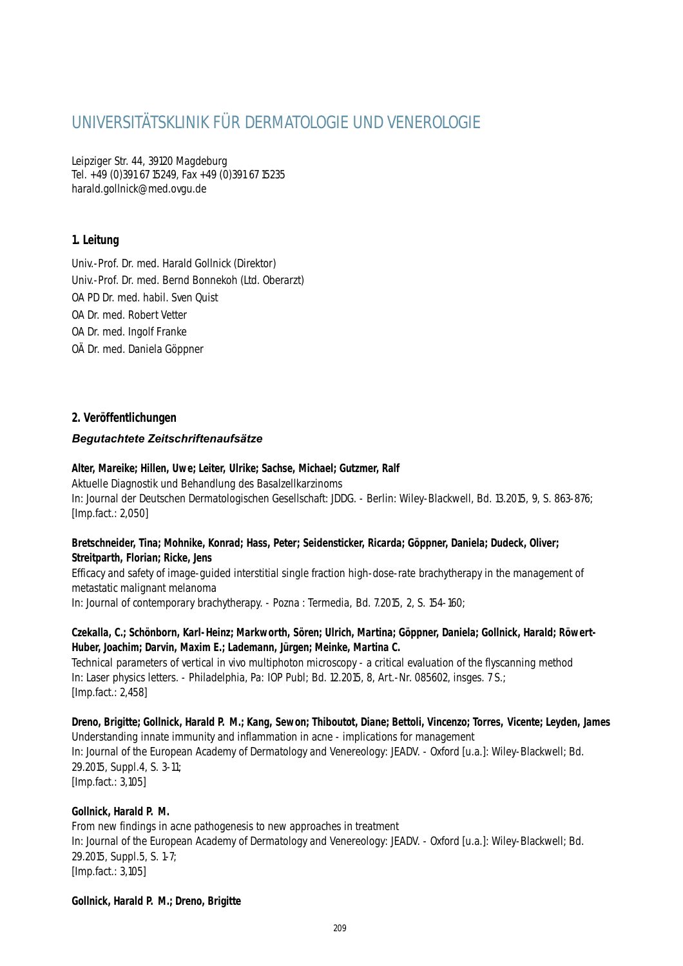# UNIVERSITÄTSKLINIK FÜR DERMATOLOGIE UND VENEROLOGIE

Leipziger Str. 44, 39120 Magdeburg Tel. +49 (0)391 67 15249, Fax +49 (0)391 67 15235 harald.gollnick@med.ovgu.de

### **1. Leitung**

Univ.-Prof. Dr. med. Harald Gollnick (Direktor) Univ.-Prof. Dr. med. Bernd Bonnekoh (Ltd. Oberarzt) OA PD Dr. med. habil. Sven Quist OA Dr. med. Robert Vetter OA Dr. med. Ingolf Franke OÄ Dr. med. Daniela Göppner

### **2. Veröffentlichungen**

#### *Begutachtete Zeitschriftenaufsätze*

#### **Alter, Mareike; Hillen, Uwe; Leiter, Ulrike; Sachse, Michael; Gutzmer, Ralf**

Aktuelle Diagnostik und Behandlung des Basalzellkarzinoms In: Journal der Deutschen Dermatologischen Gesellschaft: JDDG. - Berlin: Wiley-Blackwell, Bd. 13.2015, 9, S. 863-876; [Imp.fact.: 2,050]

#### **Bretschneider, Tina; Mohnike, Konrad; Hass, Peter; Seidensticker, Ricarda; Göppner, Daniela; Dudeck, Oliver; Streitparth, Florian; Ricke, Jens**

Efficacy and safety of image-guided interstitial single fraction high-dose-rate brachytherapy in the management of metastatic malignant melanoma

In: Journal of contemporary brachytherapy. - Pozna : Termedia, Bd. 7.2015, 2, S. 154-160;

#### **Czekalla, C.; Schönborn, Karl-Heinz; Markworth, Sören; Ulrich, Martina; Göppner, Daniela; Gollnick, Harald; Röwert-Huber, Joachim; Darvin, Maxim E.; Lademann, Jürgen; Meinke, Martina C.**

Technical parameters of vertical in vivo multiphoton microscopy - a critical evaluation of the flyscanning method In: Laser physics letters. - Philadelphia, Pa: IOP Publ; Bd. 12.2015, 8, Art.-Nr. 085602, insges. 7 S.; [Imp.fact.: 2,458]

# **Dreno, Brigitte; Gollnick, Harald P. M.; Kang, Sewon; Thiboutot, Diane; Bettoli, Vincenzo; Torres, Vicente; Leyden, James** Understanding innate immunity and inflammation in acne - implications for management

In: Journal of the European Academy of Dermatology and Venereology: JEADV. - Oxford [u.a.]: Wiley-Blackwell; Bd. 29.2015, Suppl.4, S. 3-11;

[Imp.fact.: 3,105]

#### **Gollnick, Harald P. M.**

From new findings in acne pathogenesis to new approaches in treatment In: Journal of the European Academy of Dermatology and Venereology: JEADV. - Oxford [u.a.]: Wiley-Blackwell; Bd. 29.2015, Suppl.5, S. 1-7; [Imp.fact.: 3,105]

#### **Gollnick, Harald P. M.; Dreno, Brigitte**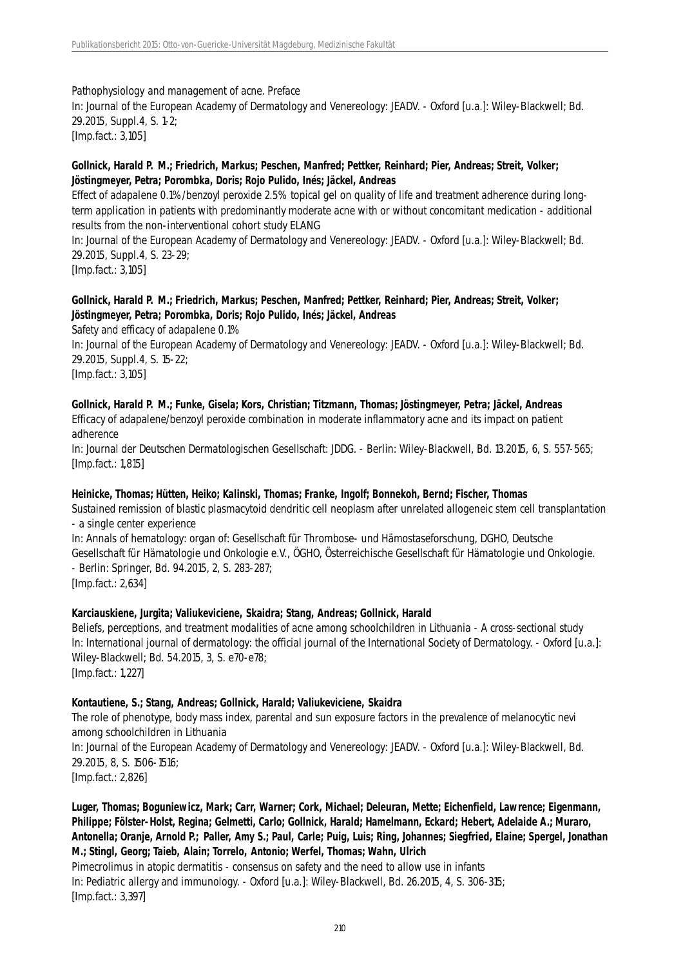Pathophysiology and management of acne. Preface In: Journal of the European Academy of Dermatology and Venereology: JEADV. - Oxford [u.a.]: Wiley-Blackwell; Bd. 29.2015, Suppl.4, S. 1-2; [Imp.fact.: 3,105]

#### **Gollnick, Harald P. M.; Friedrich, Markus; Peschen, Manfred; Pettker, Reinhard; Pier, Andreas; Streit, Volker; Jöstingmeyer, Petra; Porombka, Doris; Rojo Pulido, Inés; Jäckel, Andreas**

Effect of adapalene 0.1%/benzoyl peroxide 2.5% topical gel on quality of life and treatment adherence during longterm application in patients with predominantly moderate acne with or without concomitant medication - additional results from the non-interventional cohort study ELANG

In: Journal of the European Academy of Dermatology and Venereology: JEADV. - Oxford [u.a.]: Wiley-Blackwell; Bd. 29.2015, Suppl.4, S. 23-29;

[Imp.fact.: 3,105]

#### **Gollnick, Harald P. M.; Friedrich, Markus; Peschen, Manfred; Pettker, Reinhard; Pier, Andreas; Streit, Volker; Jöstingmeyer, Petra; Porombka, Doris; Rojo Pulido, Inés; Jäckel, Andreas**

Safety and efficacy of adapalene 0.1%

In: Journal of the European Academy of Dermatology and Venereology: JEADV. - Oxford [u.a.]: Wiley-Blackwell; Bd. 29.2015, Suppl.4, S. 15-22;

[Imp.fact.: 3,105]

**Gollnick, Harald P. M.; Funke, Gisela; Kors, Christian; Titzmann, Thomas; Jöstingmeyer, Petra; Jäckel, Andreas** Efficacy of adapalene/benzoyl peroxide combination in moderate inflammatory acne and its impact on patient adherence

In: Journal der Deutschen Dermatologischen Gesellschaft: JDDG. - Berlin: Wiley-Blackwell, Bd. 13.2015, 6, S. 557-565; [Imp.fact.: 1,815]

#### **Heinicke, Thomas; Hütten, Heiko; Kalinski, Thomas; Franke, Ingolf; Bonnekoh, Bernd; Fischer, Thomas**

Sustained remission of blastic plasmacytoid dendritic cell neoplasm after unrelated allogeneic stem cell transplantation - a single center experience

In: Annals of hematology: organ of: Gesellschaft für Thrombose- und Hämostaseforschung, DGHO, Deutsche Gesellschaft für Hämatologie und Onkologie e.V., ÖGHO, Österreichische Gesellschaft für Hämatologie und Onkologie. - Berlin: Springer, Bd. 94.2015, 2, S. 283-287; [Imp.fact.: 2,634]

#### **Karciauskiene, Jurgita; Valiukeviciene, Skaidra; Stang, Andreas; Gollnick, Harald**

Beliefs, perceptions, and treatment modalities of acne among schoolchildren in Lithuania - A cross-sectional study In: International journal of dermatology: the official journal of the International Society of Dermatology. - Oxford [u.a.]: Wiley-Blackwell; Bd. 54.2015, 3, S. e70-e78; [Imp.fact.: 1,227]

#### **Kontautiene, S.; Stang, Andreas; Gollnick, Harald; Valiukeviciene, Skaidra**

The role of phenotype, body mass index, parental and sun exposure factors in the prevalence of melanocytic nevi among schoolchildren in Lithuania

In: Journal of the European Academy of Dermatology and Venereology: JEADV. - Oxford [u.a.]: Wiley-Blackwell, Bd. 29.2015, 8, S. 1506-1516;

[Imp.fact.: 2,826]

**Luger, Thomas; Boguniewicz, Mark; Carr, Warner; Cork, Michael; Deleuran, Mette; Eichenfield, Lawrence; Eigenmann, Philippe; Fölster-Holst, Regina; Gelmetti, Carlo; Gollnick, Harald; Hamelmann, Eckard; Hebert, Adelaide A.; Muraro, Antonella; Oranje, Arnold P.; Paller, Amy S.; Paul, Carle; Puig, Luis; Ring, Johannes; Siegfried, Elaine; Spergel, Jonathan M.; Stingl, Georg; Taieb, Alain; Torrelo, Antonio; Werfel, Thomas; Wahn, Ulrich**

Pimecrolimus in atopic dermatitis - consensus on safety and the need to allow use in infants In: Pediatric allergy and immunology. - Oxford [u.a.]: Wiley-Blackwell, Bd. 26.2015, 4, S. 306-315; [Imp.fact.: 3,397]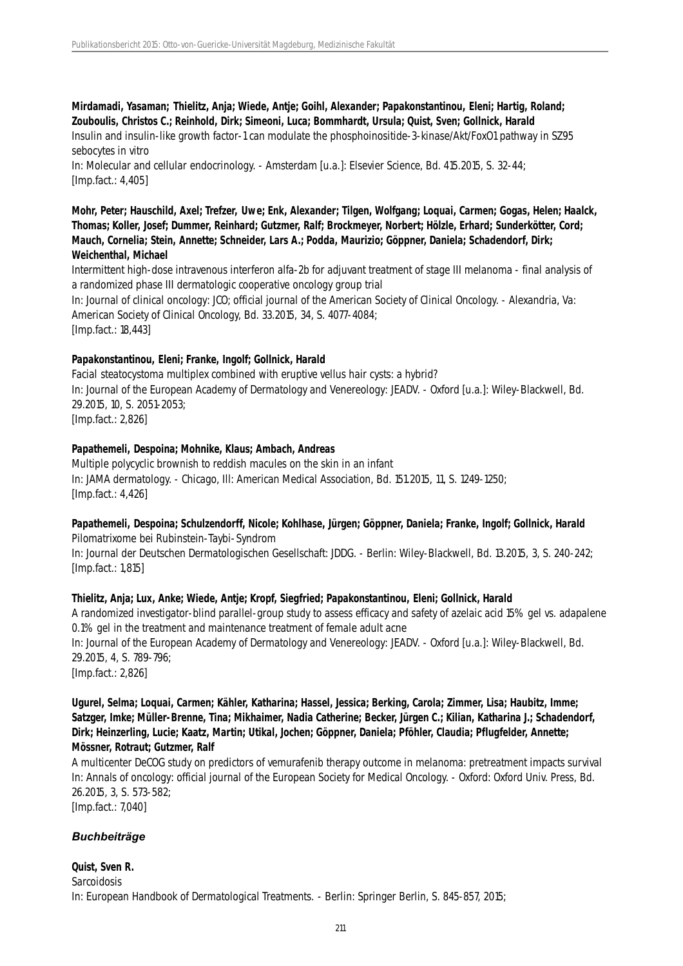## **Mirdamadi, Yasaman; Thielitz, Anja; Wiede, Antje; Goihl, Alexander; Papakonstantinou, Eleni; Hartig, Roland; Zouboulis, Christos C.; Reinhold, Dirk; Simeoni, Luca; Bommhardt, Ursula; Quist, Sven; Gollnick, Harald**

Insulin and insulin-like growth factor-1 can modulate the phosphoinositide-3-kinase/Akt/FoxO1 pathway in SZ95 sebocytes in vitro

In: Molecular and cellular endocrinology. - Amsterdam [u.a.]: Elsevier Science, Bd. 415.2015, S. 32-44; [Imp.fact.: 4,405]

#### **Mohr, Peter; Hauschild, Axel; Trefzer, Uwe; Enk, Alexander; Tilgen, Wolfgang; Loquai, Carmen; Gogas, Helen; Haalck, Thomas; Koller, Josef; Dummer, Reinhard; Gutzmer, Ralf; Brockmeyer, Norbert; Hölzle, Erhard; Sunderkötter, Cord; Mauch, Cornelia; Stein, Annette; Schneider, Lars A.; Podda, Maurizio; Göppner, Daniela; Schadendorf, Dirk; Weichenthal, Michael**

Intermittent high-dose intravenous interferon alfa-2b for adjuvant treatment of stage III melanoma - final analysis of a randomized phase III dermatologic cooperative oncology group trial In: Journal of clinical oncology: JCO; official journal of the American Society of Clinical Oncology. - Alexandria, Va: American Society of Clinical Oncology, Bd. 33.2015, 34, S. 4077-4084; [Imp.fact.: 18,443]

### **Papakonstantinou, Eleni; Franke, Ingolf; Gollnick, Harald**

Facial steatocystoma multiplex combined with eruptive vellus hair cysts: a hybrid? In: Journal of the European Academy of Dermatology and Venereology: JEADV. - Oxford [u.a.]: Wiley-Blackwell, Bd. 29.2015, 10, S. 2051-2053; [Imp.fact.: 2,826]

#### **Papathemeli, Despoina; Mohnike, Klaus; Ambach, Andreas**

Multiple polycyclic brownish to reddish macules on the skin in an infant In: JAMA dermatology. - Chicago, Ill: American Medical Association, Bd. 151.2015, 11, S. 1249-1250; [Imp.fact.: 4,426]

#### **Papathemeli, Despoina; Schulzendorff, Nicole; Kohlhase, Jürgen; Göppner, Daniela; Franke, Ingolf; Gollnick, Harald** Pilomatrixome bei Rubinstein-Taybi-Syndrom

In: Journal der Deutschen Dermatologischen Gesellschaft: JDDG. - Berlin: Wiley-Blackwell, Bd. 13.2015, 3, S. 240-242; [Imp.fact.: 1,815]

#### **Thielitz, Anja; Lux, Anke; Wiede, Antje; Kropf, Siegfried; Papakonstantinou, Eleni; Gollnick, Harald**

A randomized investigator-blind parallel-group study to assess efficacy and safety of azelaic acid 15% gel vs. adapalene 0.1% gel in the treatment and maintenance treatment of female adult acne In: Journal of the European Academy of Dermatology and Venereology: JEADV. - Oxford [u.a.]: Wiley-Blackwell, Bd. 29.2015, 4, S. 789-796; [Imp.fact.: 2,826]

**Ugurel, Selma; Loquai, Carmen; Kähler, Katharina; Hassel, Jessica; Berking, Carola; Zimmer, Lisa; Haubitz, Imme; Satzger, Imke; Müller-Brenne, Tina; Mikhaimer, Nadia Catherine; Becker, Jürgen C.; Kilian, Katharina J.; Schadendorf, Dirk; Heinzerling, Lucie; Kaatz, Martin; Utikal, Jochen; Göppner, Daniela; Pföhler, Claudia; Pflugfelder, Annette; Mössner, Rotraut; Gutzmer, Ralf**

A multicenter DeCOG study on predictors of vemurafenib therapy outcome in melanoma: pretreatment impacts survival In: Annals of oncology: official journal of the European Society for Medical Oncology. - Oxford: Oxford Univ. Press, Bd. 26.2015, 3, S. 573-582; [Imp.fact.: 7,040]

# *Buchbeiträge*

**Quist, Sven R.** Sarcoidosis In: European Handbook of Dermatological Treatments. - Berlin: Springer Berlin, S. 845-857, 2015;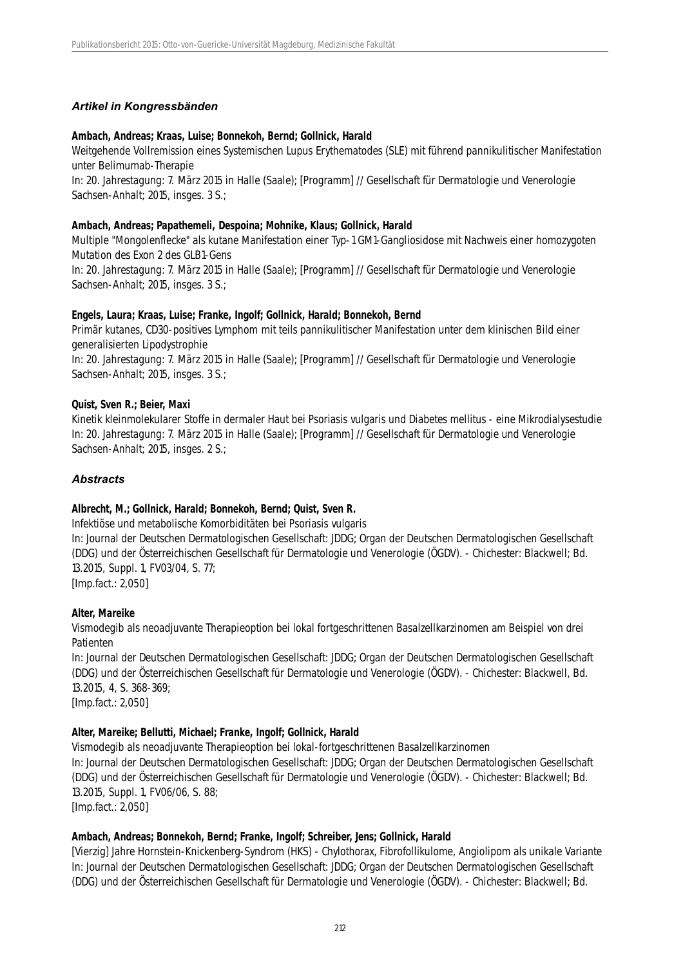#### *Artikel in Kongressbänden*

#### **Ambach, Andreas; Kraas, Luise; Bonnekoh, Bernd; Gollnick, Harald**

Weitgehende Vollremission eines Systemischen Lupus Erythematodes (SLE) mit führend pannikulitischer Manifestation unter Belimumab-Therapie

In: 20. Jahrestagung: 7. März 2015 in Halle (Saale); [Programm] // Gesellschaft für Dermatologie und Venerologie Sachsen-Anhalt; 2015, insges. 3 S.;

#### **Ambach, Andreas; Papathemeli, Despoina; Mohnike, Klaus; Gollnick, Harald**

Multiple "Mongolenflecke" als kutane Manifestation einer Typ-1 GM1-Gangliosidose mit Nachweis einer homozygoten Mutation des Exon 2 des GLB1-Gens

In: 20. Jahrestagung: 7. März 2015 in Halle (Saale); [Programm] // Gesellschaft für Dermatologie und Venerologie Sachsen-Anhalt; 2015, insges. 3 S.;

#### **Engels, Laura; Kraas, Luise; Franke, Ingolf; Gollnick, Harald; Bonnekoh, Bernd**

Primär kutanes, CD30-positives Lymphom mit teils pannikulitischer Manifestation unter dem klinischen Bild einer generalisierten Lipodystrophie

In: 20. Jahrestagung: 7. März 2015 in Halle (Saale); [Programm] // Gesellschaft für Dermatologie und Venerologie Sachsen-Anhalt; 2015, insges. 3 S.;

#### **Quist, Sven R.; Beier, Maxi**

Kinetik kleinmolekularer Stoffe in dermaler Haut bei Psoriasis vulgaris und Diabetes mellitus - eine Mikrodialysestudie In: 20. Jahrestagung: 7. März 2015 in Halle (Saale); [Programm] // Gesellschaft für Dermatologie und Venerologie Sachsen-Anhalt; 2015, insges. 2 S.;

#### *Abstracts*

#### **Albrecht, M.; Gollnick, Harald; Bonnekoh, Bernd; Quist, Sven R.**

Infektiöse und metabolische Komorbiditäten bei Psoriasis vulgaris In: Journal der Deutschen Dermatologischen Gesellschaft: JDDG; Organ der Deutschen Dermatologischen Gesellschaft (DDG) und der Österreichischen Gesellschaft für Dermatologie und Venerologie (ÖGDV). - Chichester: Blackwell; Bd.

13.2015, Suppl. 1, FV03/04, S. 77; [Imp.fact.: 2,050]

#### **Alter, Mareike**

Vismodegib als neoadjuvante Therapieoption bei lokal fortgeschrittenen Basalzellkarzinomen am Beispiel von drei **Patienten** 

In: Journal der Deutschen Dermatologischen Gesellschaft: JDDG; Organ der Deutschen Dermatologischen Gesellschaft (DDG) und der Österreichischen Gesellschaft für Dermatologie und Venerologie (ÖGDV). - Chichester: Blackwell, Bd. 13.2015, 4, S. 368-369;

[Imp.fact.: 2,050]

#### **Alter, Mareike; Bellutti, Michael; Franke, Ingolf; Gollnick, Harald**

Vismodegib als neoadjuvante Therapieoption bei lokal-fortgeschrittenen Basalzellkarzinomen In: Journal der Deutschen Dermatologischen Gesellschaft: JDDG; Organ der Deutschen Dermatologischen Gesellschaft (DDG) und der Österreichischen Gesellschaft für Dermatologie und Venerologie (ÖGDV). - Chichester: Blackwell; Bd. 13.2015, Suppl. 1, FV06/06, S. 88; [Imp.fact.: 2,050]

#### **Ambach, Andreas; Bonnekoh, Bernd; Franke, Ingolf; Schreiber, Jens; Gollnick, Harald**

[Vierzig] Jahre Hornstein-Knickenberg-Syndrom (HKS) - Chylothorax, Fibrofollikulome, Angiolipom als unikale Variante In: Journal der Deutschen Dermatologischen Gesellschaft: JDDG; Organ der Deutschen Dermatologischen Gesellschaft (DDG) und der Österreichischen Gesellschaft für Dermatologie und Venerologie (ÖGDV). - Chichester: Blackwell; Bd.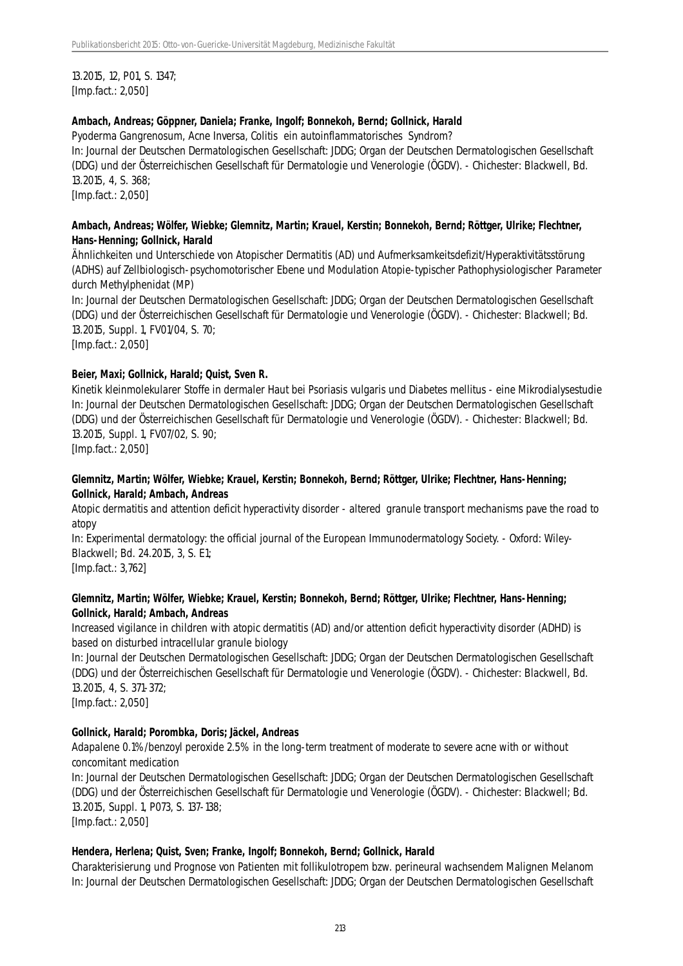13.2015, 12, P01, S. 1347; [Imp.fact.: 2,050]

#### **Ambach, Andreas; Göppner, Daniela; Franke, Ingolf; Bonnekoh, Bernd; Gollnick, Harald**

Pyoderma Gangrenosum, Acne Inversa, Colitis ein autoinflammatorisches Syndrom? In: Journal der Deutschen Dermatologischen Gesellschaft: JDDG; Organ der Deutschen Dermatologischen Gesellschaft (DDG) und der Österreichischen Gesellschaft für Dermatologie und Venerologie (ÖGDV). - Chichester: Blackwell, Bd. 13.2015, 4, S. 368; [Imp.fact.: 2,050]

#### **Ambach, Andreas; Wölfer, Wiebke; Glemnitz, Martin; Krauel, Kerstin; Bonnekoh, Bernd; Röttger, Ulrike; Flechtner, Hans-Henning; Gollnick, Harald**

Ähnlichkeiten und Unterschiede von Atopischer Dermatitis (AD) und Aufmerksamkeitsdefizit/Hyperaktivitätsstörung (ADHS) auf Zellbiologisch-psychomotorischer Ebene und Modulation Atopie-typischer Pathophysiologischer Parameter durch Methylphenidat (MP)

In: Journal der Deutschen Dermatologischen Gesellschaft: JDDG; Organ der Deutschen Dermatologischen Gesellschaft (DDG) und der Österreichischen Gesellschaft für Dermatologie und Venerologie (ÖGDV). - Chichester: Blackwell; Bd. 13.2015, Suppl. 1, FV01/04, S. 70;

[Imp.fact.: 2,050]

#### **Beier, Maxi; Gollnick, Harald; Quist, Sven R.**

Kinetik kleinmolekularer Stoffe in dermaler Haut bei Psoriasis vulgaris und Diabetes mellitus - eine Mikrodialysestudie In: Journal der Deutschen Dermatologischen Gesellschaft: JDDG; Organ der Deutschen Dermatologischen Gesellschaft (DDG) und der Österreichischen Gesellschaft für Dermatologie und Venerologie (ÖGDV). - Chichester: Blackwell; Bd. 13.2015, Suppl. 1, FV07/02, S. 90;

[Imp.fact.: 2,050]

### **Glemnitz, Martin; Wölfer, Wiebke; Krauel, Kerstin; Bonnekoh, Bernd; Röttger, Ulrike; Flechtner, Hans-Henning; Gollnick, Harald; Ambach, Andreas**

Atopic dermatitis and attention deficit hyperactivity disorder - altered granule transport mechanisms pave the road to atopy

In: Experimental dermatology: the official journal of the European Immunodermatology Society. - Oxford: Wiley-Blackwell; Bd. 24.2015, 3, S. E1;

[Imp.fact.: 3,762]

### **Glemnitz, Martin; Wölfer, Wiebke; Krauel, Kerstin; Bonnekoh, Bernd; Röttger, Ulrike; Flechtner, Hans-Henning; Gollnick, Harald; Ambach, Andreas**

Increased vigilance in children with atopic dermatitis (AD) and/or attention deficit hyperactivity disorder (ADHD) is based on disturbed intracellular granule biology

In: Journal der Deutschen Dermatologischen Gesellschaft: JDDG; Organ der Deutschen Dermatologischen Gesellschaft (DDG) und der Österreichischen Gesellschaft für Dermatologie und Venerologie (ÖGDV). - Chichester: Blackwell, Bd. 13.2015, 4, S. 371-372;

[Imp.fact.: 2,050]

#### **Gollnick, Harald; Porombka, Doris; Jäckel, Andreas**

Adapalene 0.1%/benzoyl peroxide 2.5% in the long-term treatment of moderate to severe acne with or without concomitant medication

In: Journal der Deutschen Dermatologischen Gesellschaft: JDDG; Organ der Deutschen Dermatologischen Gesellschaft (DDG) und der Österreichischen Gesellschaft für Dermatologie und Venerologie (ÖGDV). - Chichester: Blackwell; Bd. 13.2015, Suppl. 1, P073, S. 137-138;

[Imp.fact.: 2,050]

#### **Hendera, Herlena; Quist, Sven; Franke, Ingolf; Bonnekoh, Bernd; Gollnick, Harald**

Charakterisierung und Prognose von Patienten mit follikulotropem bzw. perineural wachsendem Malignen Melanom In: Journal der Deutschen Dermatologischen Gesellschaft: JDDG; Organ der Deutschen Dermatologischen Gesellschaft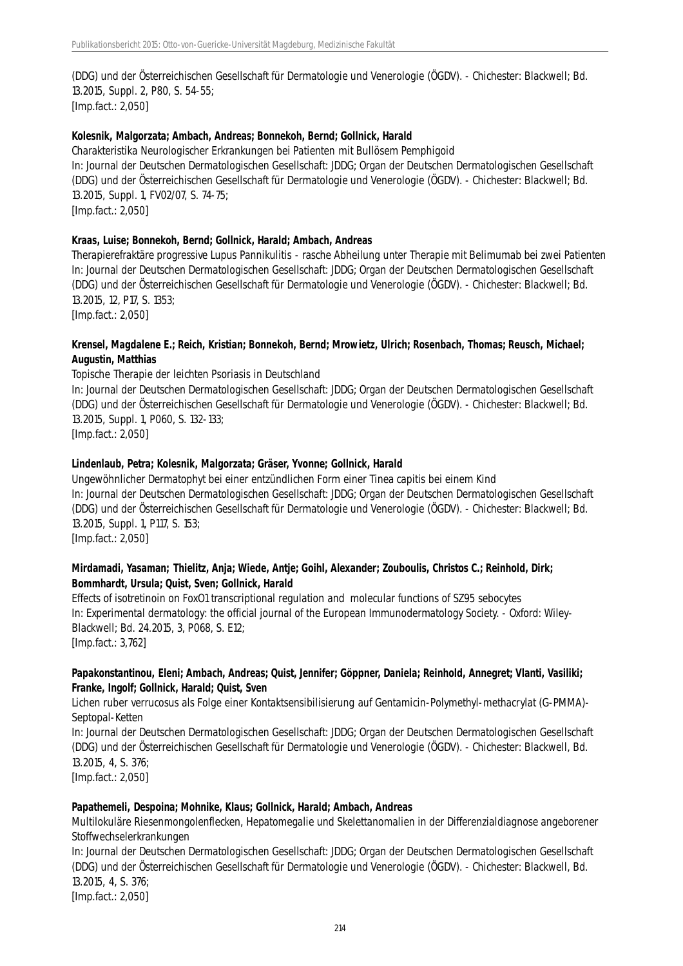(DDG) und der Österreichischen Gesellschaft für Dermatologie und Venerologie (ÖGDV). - Chichester: Blackwell; Bd. 13.2015, Suppl. 2, P80, S. 54-55; [Imp.fact.: 2,050]

#### **Kolesnik, Malgorzata; Ambach, Andreas; Bonnekoh, Bernd; Gollnick, Harald**

Charakteristika Neurologischer Erkrankungen bei Patienten mit Bullösem Pemphigoid In: Journal der Deutschen Dermatologischen Gesellschaft: JDDG; Organ der Deutschen Dermatologischen Gesellschaft (DDG) und der Österreichischen Gesellschaft für Dermatologie und Venerologie (ÖGDV). - Chichester: Blackwell; Bd. 13.2015, Suppl. 1, FV02/07, S. 74-75; [Imp.fact.: 2,050]

#### **Kraas, Luise; Bonnekoh, Bernd; Gollnick, Harald; Ambach, Andreas**

Therapierefraktäre progressive Lupus Pannikulitis - rasche Abheilung unter Therapie mit Belimumab bei zwei Patienten In: Journal der Deutschen Dermatologischen Gesellschaft: JDDG; Organ der Deutschen Dermatologischen Gesellschaft (DDG) und der Österreichischen Gesellschaft für Dermatologie und Venerologie (ÖGDV). - Chichester: Blackwell; Bd. 13.2015, 12, P17, S. 1353;

[Imp.fact.: 2,050]

#### **Krensel, Magdalene E.; Reich, Kristian; Bonnekoh, Bernd; Mrowietz, Ulrich; Rosenbach, Thomas; Reusch, Michael; Augustin, Matthias**

#### Topische Therapie der leichten Psoriasis in Deutschland

In: Journal der Deutschen Dermatologischen Gesellschaft: JDDG; Organ der Deutschen Dermatologischen Gesellschaft (DDG) und der Österreichischen Gesellschaft für Dermatologie und Venerologie (ÖGDV). - Chichester: Blackwell; Bd. 13.2015, Suppl. 1, P060, S. 132-133; [Imp.fact.: 2,050]

#### **Lindenlaub, Petra; Kolesnik, Malgorzata; Gräser, Yvonne; Gollnick, Harald**

Ungewöhnlicher Dermatophyt bei einer entzündlichen Form einer Tinea capitis bei einem Kind In: Journal der Deutschen Dermatologischen Gesellschaft: JDDG; Organ der Deutschen Dermatologischen Gesellschaft (DDG) und der Österreichischen Gesellschaft für Dermatologie und Venerologie (ÖGDV). - Chichester: Blackwell; Bd. 13.2015, Suppl. 1, P117, S. 153; [Imp.fact.: 2,050]

#### **Mirdamadi, Yasaman; Thielitz, Anja; Wiede, Antje; Goihl, Alexander; Zouboulis, Christos C.; Reinhold, Dirk; Bommhardt, Ursula; Quist, Sven; Gollnick, Harald**

Effects of isotretinoin on FoxO1 transcriptional regulation and molecular functions of SZ95 sebocytes In: Experimental dermatology: the official journal of the European Immunodermatology Society. - Oxford: Wiley-Blackwell; Bd. 24.2015, 3, P068, S. E12; [Imp.fact.: 3,762]

#### **Papakonstantinou, Eleni; Ambach, Andreas; Quist, Jennifer; Göppner, Daniela; Reinhold, Annegret; Vlanti, Vasiliki; Franke, Ingolf; Gollnick, Harald; Quist, Sven**

Lichen ruber verrucosus als Folge einer Kontaktsensibilisierung auf Gentamicin-Polymethyl-methacrylat (G-PMMA)- Septopal-Ketten

In: Journal der Deutschen Dermatologischen Gesellschaft: JDDG; Organ der Deutschen Dermatologischen Gesellschaft (DDG) und der Österreichischen Gesellschaft für Dermatologie und Venerologie (ÖGDV). - Chichester: Blackwell, Bd. 13.2015, 4, S. 376; [Imp.fact.: 2,050]

# **Papathemeli, Despoina; Mohnike, Klaus; Gollnick, Harald; Ambach, Andreas**

Multilokuläre Riesenmongolenflecken, Hepatomegalie und Skelettanomalien in der Differenzialdiagnose angeborener Stoffwechselerkrankungen

In: Journal der Deutschen Dermatologischen Gesellschaft: JDDG; Organ der Deutschen Dermatologischen Gesellschaft (DDG) und der Österreichischen Gesellschaft für Dermatologie und Venerologie (ÖGDV). - Chichester: Blackwell, Bd. 13.2015, 4, S. 376;

[Imp.fact.: 2,050]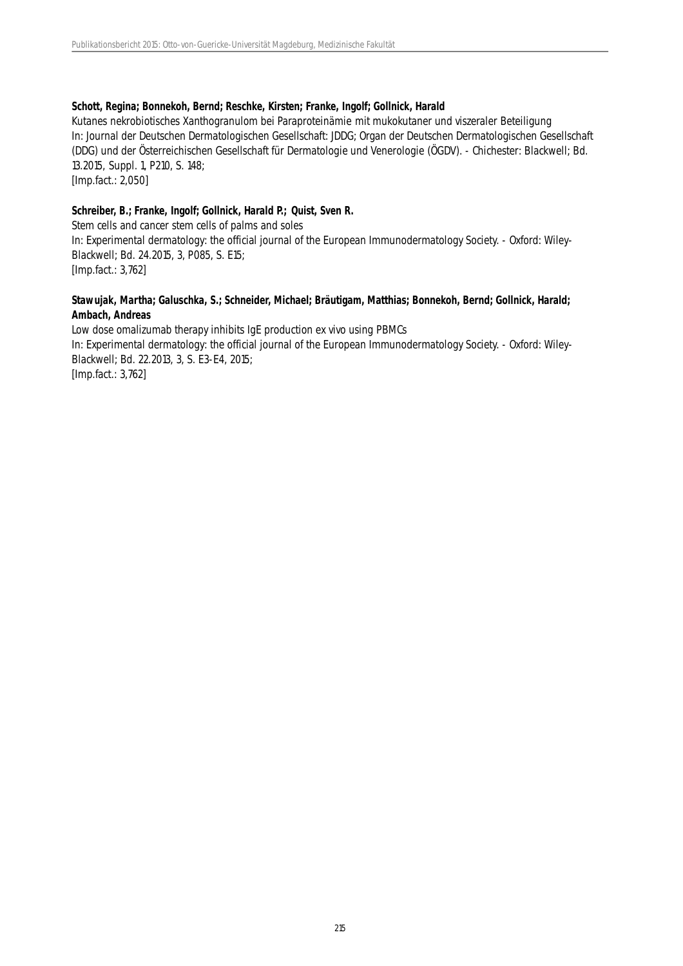#### **Schott, Regina; Bonnekoh, Bernd; Reschke, Kirsten; Franke, Ingolf; Gollnick, Harald**

Kutanes nekrobiotisches Xanthogranulom bei Paraproteinämie mit mukokutaner und viszeraler Beteiligung In: Journal der Deutschen Dermatologischen Gesellschaft: JDDG; Organ der Deutschen Dermatologischen Gesellschaft (DDG) und der Österreichischen Gesellschaft für Dermatologie und Venerologie (ÖGDV). - Chichester: Blackwell; Bd. 13.2015, Suppl. 1, P210, S. 148;

[Imp.fact.: 2,050]

#### **Schreiber, B.; Franke, Ingolf; Gollnick, Harald P.; Quist, Sven R.**

Stem cells and cancer stem cells of palms and soles In: Experimental dermatology: the official journal of the European Immunodermatology Society. - Oxford: Wiley-Blackwell; Bd. 24.2015, 3, P085, S. E15; [Imp.fact.: 3,762]

#### **Stawujak, Martha; Galuschka, S.; Schneider, Michael; Bräutigam, Matthias; Bonnekoh, Bernd; Gollnick, Harald; Ambach, Andreas**

Low dose omalizumab therapy inhibits IgE production ex vivo using PBMCs In: Experimental dermatology: the official journal of the European Immunodermatology Society. - Oxford: Wiley-Blackwell; Bd. 22.2013, 3, S. E3-E4, 2015; [Imp.fact.: 3,762]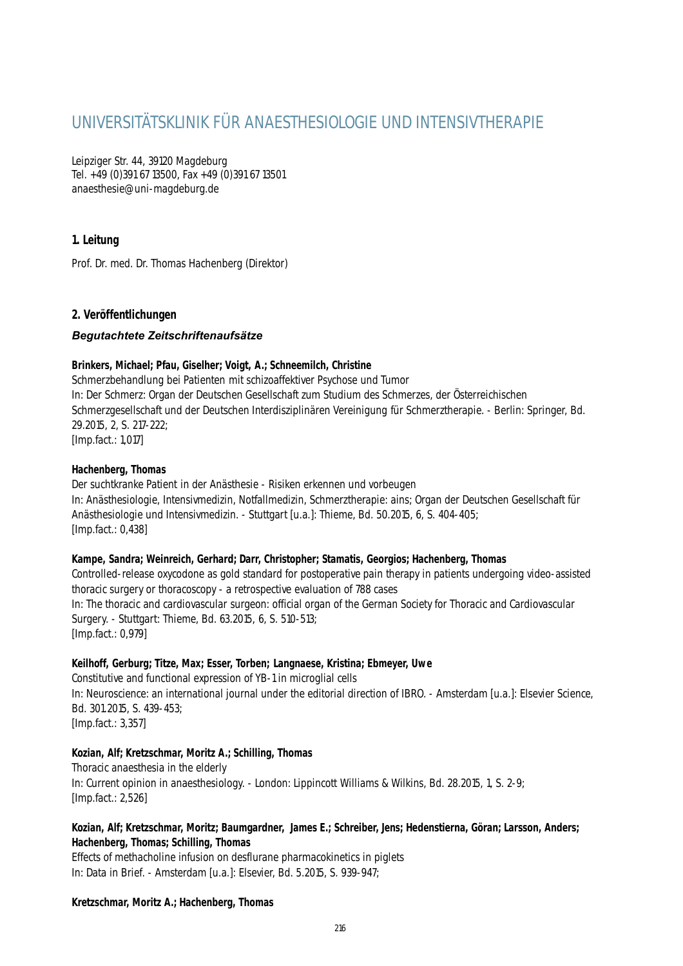# UNIVERSITÄTSKLINIK FÜR ANAESTHESIOLOGIE UND INTENSIVTHERAPIE

Leipziger Str. 44, 39120 Magdeburg Tel. +49 (0)391 67 13500, Fax +49 (0)391 67 13501 anaesthesie@uni-magdeburg.de

# **1. Leitung**

Prof. Dr. med. Dr. Thomas Hachenberg (Direktor)

# **2. Veröffentlichungen**

## *Begutachtete Zeitschriftenaufsätze*

#### **Brinkers, Michael; Pfau, Giselher; Voigt, A.; Schneemilch, Christine**

Schmerzbehandlung bei Patienten mit schizoaffektiver Psychose und Tumor In: Der Schmerz: Organ der Deutschen Gesellschaft zum Studium des Schmerzes, der Österreichischen Schmerzgesellschaft und der Deutschen Interdisziplinären Vereinigung für Schmerztherapie. - Berlin: Springer, Bd. 29.2015, 2, S. 217-222; [Imp.fact.: 1,017]

#### **Hachenberg, Thomas**

Der suchtkranke Patient in der Anästhesie - Risiken erkennen und vorbeugen In: Anästhesiologie, Intensivmedizin, Notfallmedizin, Schmerztherapie: ains; Organ der Deutschen Gesellschaft für Anästhesiologie und Intensivmedizin. - Stuttgart [u.a.]: Thieme, Bd. 50.2015, 6, S. 404-405; [Imp.fact.: 0,438]

#### **Kampe, Sandra; Weinreich, Gerhard; Darr, Christopher; Stamatis, Georgios; Hachenberg, Thomas**

Controlled-release oxycodone as gold standard for postoperative pain therapy in patients undergoing video-assisted thoracic surgery or thoracoscopy - a retrospective evaluation of 788 cases In: The thoracic and cardiovascular surgeon: official organ of the German Society for Thoracic and Cardiovascular Surgery. - Stuttgart: Thieme, Bd. 63.2015, 6, S. 510-513; [Imp.fact.: 0,979]

## **Keilhoff, Gerburg; Titze, Max; Esser, Torben; Langnaese, Kristina; Ebmeyer, Uwe**

Constitutive and functional expression of YB-1 in microglial cells In: Neuroscience: an international journal under the editorial direction of IBRO. - Amsterdam [u.a.]: Elsevier Science, Bd. 301.2015, S. 439-453; [Imp.fact.: 3,357]

#### **Kozian, Alf; Kretzschmar, Moritz A.; Schilling, Thomas**

Thoracic anaesthesia in the elderly In: Current opinion in anaesthesiology. - London: Lippincott Williams & Wilkins, Bd. 28.2015, 1, S. 2-9; [Imp.fact.: 2,526]

#### **Kozian, Alf; Kretzschmar, Moritz; Baumgardner, James E.; Schreiber, Jens; Hedenstierna, Göran; Larsson, Anders; Hachenberg, Thomas; Schilling, Thomas**

Effects of methacholine infusion on desflurane pharmacokinetics in piglets In: Data in Brief. - Amsterdam [u.a.]: Elsevier, Bd. 5.2015, S. 939-947;

#### **Kretzschmar, Moritz A.; Hachenberg, Thomas**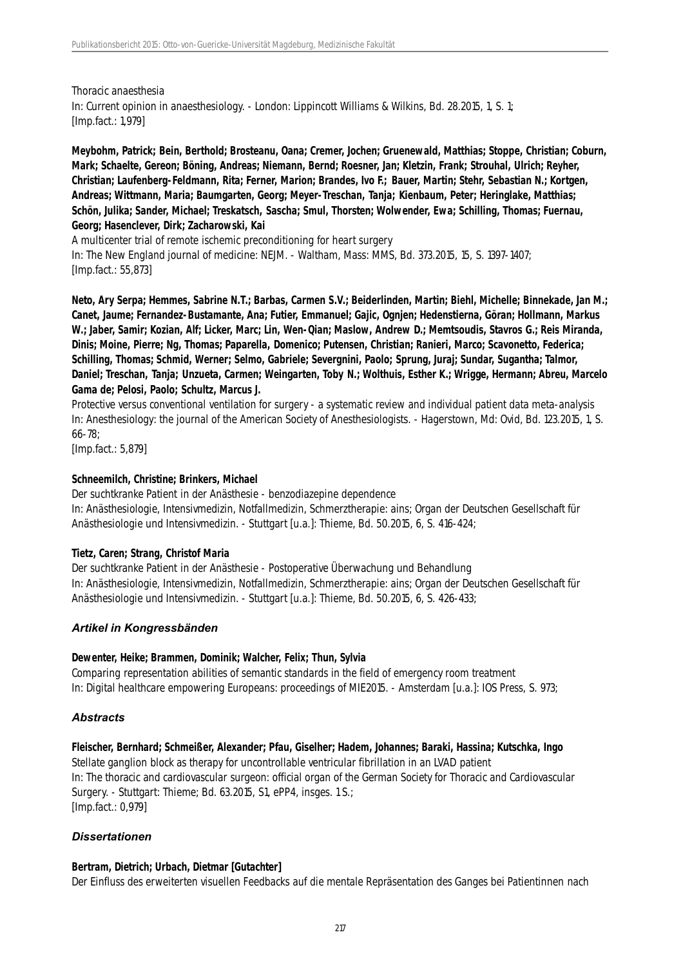Thoracic anaesthesia In: Current opinion in anaesthesiology. - London: Lippincott Williams & Wilkins, Bd. 28.2015, 1, S. 1; [Imp.fact.: 1,979]

**Meybohm, Patrick; Bein, Berthold; Brosteanu, Oana; Cremer, Jochen; Gruenewald, Matthias; Stoppe, Christian; Coburn, Mark; Schaelte, Gereon; Böning, Andreas; Niemann, Bernd; Roesner, Jan; Kletzin, Frank; Strouhal, Ulrich; Reyher, Christian; Laufenberg-Feldmann, Rita; Ferner, Marion; Brandes, Ivo F.; Bauer, Martin; Stehr, Sebastian N.; Kortgen, Andreas; Wittmann, Maria; Baumgarten, Georg; Meyer-Treschan, Tanja; Kienbaum, Peter; Heringlake, Matthias; Schön, Julika; Sander, Michael; Treskatsch, Sascha; Smul, Thorsten; Wolwender, Ewa; Schilling, Thomas; Fuernau, Georg; Hasenclever, Dirk; Zacharowski, Kai**

A multicenter trial of remote ischemic preconditioning for heart surgery In: The New England journal of medicine: NEJM. - Waltham, Mass: MMS, Bd. 373.2015, 15, S. 1397-1407; [Imp.fact.: 55,873]

**Neto, Ary Serpa; Hemmes, Sabrine N.T.; Barbas, Carmen S.V.; Beiderlinden, Martin; Biehl, Michelle; Binnekade, Jan M.; Canet, Jaume; Fernandez-Bustamante, Ana; Futier, Emmanuel; Gajic, Ognjen; Hedenstierna, Göran; Hollmann, Markus W.; Jaber, Samir; Kozian, Alf; Licker, Marc; Lin, Wen-Qian; Maslow, Andrew D.; Memtsoudis, Stavros G.; Reis Miranda, Dinis; Moine, Pierre; Ng, Thomas; Paparella, Domenico; Putensen, Christian; Ranieri, Marco; Scavonetto, Federica; Schilling, Thomas; Schmid, Werner; Selmo, Gabriele; Severgnini, Paolo; Sprung, Juraj; Sundar, Sugantha; Talmor, Daniel; Treschan, Tanja; Unzueta, Carmen; Weingarten, Toby N.; Wolthuis, Esther K.; Wrigge, Hermann; Abreu, Marcelo Gama de; Pelosi, Paolo; Schultz, Marcus J.**

Protective versus conventional ventilation for surgery - a systematic review and individual patient data meta-analysis In: Anesthesiology: the journal of the American Society of Anesthesiologists. - Hagerstown, Md: Ovid, Bd. 123.2015, 1, S. 66-78;

[Imp.fact.: 5,879]

### **Schneemilch, Christine; Brinkers, Michael**

Der suchtkranke Patient in der Anästhesie - benzodiazepine dependence

In: Anästhesiologie, Intensivmedizin, Notfallmedizin, Schmerztherapie: ains; Organ der Deutschen Gesellschaft für Anästhesiologie und Intensivmedizin. - Stuttgart [u.a.]: Thieme, Bd. 50.2015, 6, S. 416-424;

## **Tietz, Caren; Strang, Christof Maria**

Der suchtkranke Patient in der Anästhesie - Postoperative Überwachung und Behandlung In: Anästhesiologie, Intensivmedizin, Notfallmedizin, Schmerztherapie: ains; Organ der Deutschen Gesellschaft für Anästhesiologie und Intensivmedizin. - Stuttgart [u.a.]: Thieme, Bd. 50.2015, 6, S. 426-433;

## *Artikel in Kongressbänden*

#### **Dewenter, Heike; Brammen, Dominik; Walcher, Felix; Thun, Sylvia**

Comparing representation abilities of semantic standards in the field of emergency room treatment In: Digital healthcare empowering Europeans: proceedings of MIE2015. - Amsterdam [u.a.]: IOS Press, S. 973;

## *Abstracts*

**Fleischer, Bernhard; Schmeißer, Alexander; Pfau, Giselher; Hadem, Johannes; Baraki, Hassina; Kutschka, Ingo** Stellate ganglion block as therapy for uncontrollable ventricular fibrillation in an LVAD patient In: The thoracic and cardiovascular surgeon: official organ of the German Society for Thoracic and Cardiovascular Surgery. - Stuttgart: Thieme; Bd. 63.2015, S1, ePP4, insges. 1 S.; [Imp.fact.: 0,979]

## *Dissertationen*

## **Bertram, Dietrich; Urbach, Dietmar [Gutachter]**

Der Einfluss des erweiterten visuellen Feedbacks auf die mentale Repräsentation des Ganges bei Patientinnen nach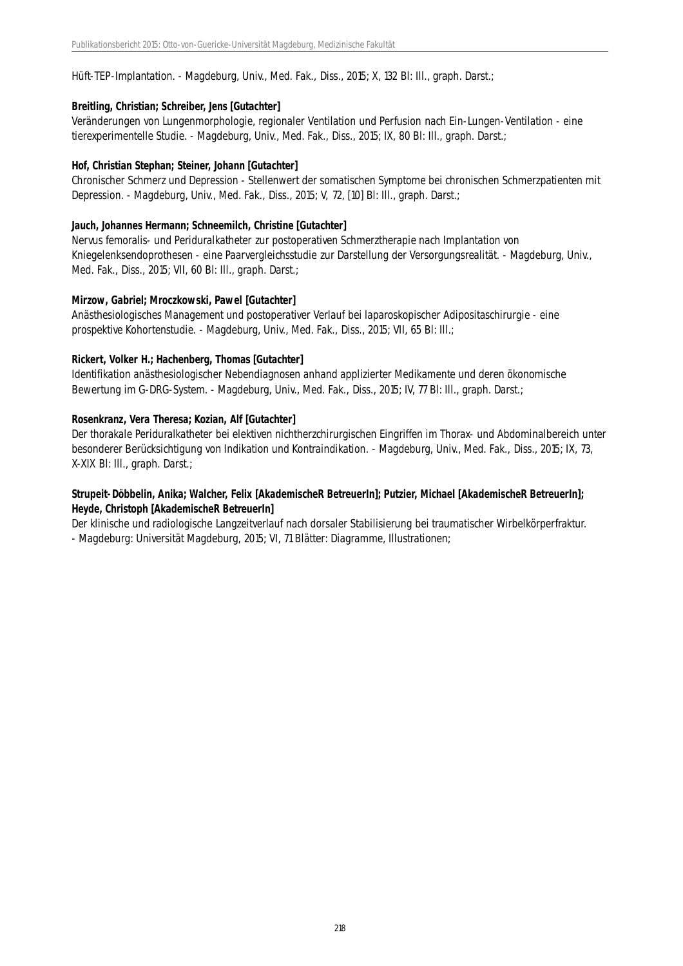Hüft-TEP-Implantation. - Magdeburg, Univ., Med. Fak., Diss., 2015; X, 132 Bl: Ill., graph. Darst.;

### **Breitling, Christian; Schreiber, Jens [Gutachter]**

Veränderungen von Lungenmorphologie, regionaler Ventilation und Perfusion nach Ein-Lungen-Ventilation - eine tierexperimentelle Studie. - Magdeburg, Univ., Med. Fak., Diss., 2015; IX, 80 Bl: Ill., graph. Darst.;

#### **Hof, Christian Stephan; Steiner, Johann [Gutachter]**

Chronischer Schmerz und Depression - Stellenwert der somatischen Symptome bei chronischen Schmerzpatienten mit Depression. - Magdeburg, Univ., Med. Fak., Diss., 2015; V, 72, [10] Bl: Ill., graph. Darst.;

#### **Jauch, Johannes Hermann; Schneemilch, Christine [Gutachter]**

Nervus femoralis- und Periduralkatheter zur postoperativen Schmerztherapie nach Implantation von Kniegelenksendoprothesen - eine Paarvergleichsstudie zur Darstellung der Versorgungsrealität. - Magdeburg, Univ., Med. Fak., Diss., 2015; VII, 60 Bl: Ill., graph. Darst.;

#### **Mirzow, Gabriel; Mroczkowski, Pawel [Gutachter]**

Anästhesiologisches Management und postoperativer Verlauf bei laparoskopischer Adipositaschirurgie - eine prospektive Kohortenstudie. - Magdeburg, Univ., Med. Fak., Diss., 2015; VII, 65 Bl: Ill.;

#### **Rickert, Volker H.; Hachenberg, Thomas [Gutachter]**

Identifikation anästhesiologischer Nebendiagnosen anhand applizierter Medikamente und deren ökonomische Bewertung im G-DRG-System. - Magdeburg, Univ., Med. Fak., Diss., 2015; IV, 77 Bl: Ill., graph. Darst.;

#### **Rosenkranz, Vera Theresa; Kozian, Alf [Gutachter]**

Der thorakale Periduralkatheter bei elektiven nichtherzchirurgischen Eingriffen im Thorax- und Abdominalbereich unter besonderer Berücksichtigung von Indikation und Kontraindikation. - Magdeburg, Univ., Med. Fak., Diss., 2015; IX, 73, X-XIX Bl: Ill., graph. Darst.;

## **Strupeit-Döbbelin, Anika; Walcher, Felix [AkademischeR BetreuerIn]; Putzier, Michael [AkademischeR BetreuerIn]; Heyde, Christoph [AkademischeR BetreuerIn]**

Der klinische und radiologische Langzeitverlauf nach dorsaler Stabilisierung bei traumatischer Wirbelkörperfraktur. - Magdeburg: Universität Magdeburg, 2015; VI, 71 Blätter: Diagramme, Illustrationen;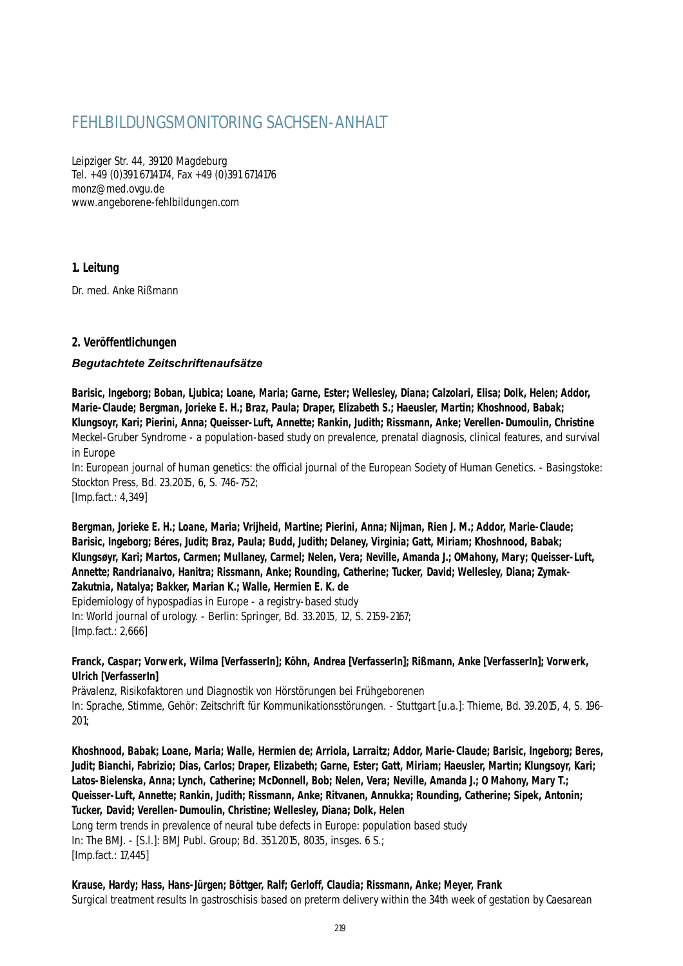# FEHLBILDUNGSMONITORING SACHSEN-ANHALT

Leipziger Str. 44, 39120 Magdeburg Tel. +49 (0)391 6714174, Fax +49 (0)391 6714176 monz@med.ovgu.de www.angeborene-fehlbildungen.com

# **1. Leitung**

Dr. med. Anke Rißmann

# **2. Veröffentlichungen**

## *Begutachtete Zeitschriftenaufsätze*

**Barisic, Ingeborg; Boban, Ljubica; Loane, Maria; Garne, Ester; Wellesley, Diana; Calzolari, Elisa; Dolk, Helen; Addor, Marie-Claude; Bergman, Jorieke E. H.; Braz, Paula; Draper, Elizabeth S.; Haeusler, Martin; Khoshnood, Babak; Klungsoyr, Kari; Pierini, Anna; Queisser-Luft, Annette; Rankin, Judith; Rissmann, Anke; Verellen-Dumoulin, Christine** Meckel-Gruber Syndrome - a population-based study on prevalence, prenatal diagnosis, clinical features, and survival in Europe

In: European journal of human genetics: the official journal of the European Society of Human Genetics. - Basingstoke: Stockton Press, Bd. 23.2015, 6, S. 746-752; [Imp.fact.: 4,349]

**Bergman, Jorieke E. H.; Loane, Maria; Vrijheid, Martine; Pierini, Anna; Nijman, Rien J. M.; Addor, Marie-Claude; Barisic, Ingeborg; Béres, Judit; Braz, Paula; Budd, Judith; Delaney, Virginia; Gatt, Miriam; Khoshnood, Babak; Klungsøyr, Kari; Martos, Carmen; Mullaney, Carmel; Nelen, Vera; Neville, Amanda J.; OMahony, Mary; Queisser-Luft, Annette; Randrianaivo, Hanitra; Rissmann, Anke; Rounding, Catherine; Tucker, David; Wellesley, Diana; Zymak-Zakutnia, Natalya; Bakker, Marian K.; Walle, Hermien E. K. de**

Epidemiology of hypospadias in Europe - a registry-based study In: World journal of urology. - Berlin: Springer, Bd. 33.2015, 12, S. 2159-2167; [Imp.fact.: 2,666]

## **Franck, Caspar; Vorwerk, Wilma [VerfasserIn]; Köhn, Andrea [VerfasserIn]; Rißmann, Anke [VerfasserIn]; Vorwerk, Ulrich [VerfasserIn]**

Prävalenz, Risikofaktoren und Diagnostik von Hörstörungen bei Frühgeborenen In: Sprache, Stimme, Gehör: Zeitschrift für Kommunikationsstörungen. - Stuttgart [u.a.]: Thieme, Bd. 39.2015, 4, S. 196- 201;

**Khoshnood, Babak; Loane, Maria; Walle, Hermien de; Arriola, Larraitz; Addor, Marie-Claude; Barisic, Ingeborg; Beres, Judit; Bianchi, Fabrizio; Dias, Carlos; Draper, Elizabeth; Garne, Ester; Gatt, Miriam; Haeusler, Martin; Klungsoyr, Kari; Latos-Bielenska, Anna; Lynch, Catherine; McDonnell, Bob; Nelen, Vera; Neville, Amanda J.; O Mahony, Mary T.; Queisser-Luft, Annette; Rankin, Judith; Rissmann, Anke; Ritvanen, Annukka; Rounding, Catherine; Sipek, Antonin; Tucker, David; Verellen-Dumoulin, Christine; Wellesley, Diana; Dolk, Helen** Long term trends in prevalence of neural tube defects in Europe: population based study In: The BMJ. - [S.l.]: BMJ Publ. Group; Bd. 351.2015, 8035, insges. 6 S.; [Imp.fact.: 17,445]

**Krause, Hardy; Hass, Hans-Jürgen; Böttger, Ralf; Gerloff, Claudia; Rissmann, Anke; Meyer, Frank** Surgical treatment results In gastroschisis based on preterm delivery within the 34th week of gestation by Caesarean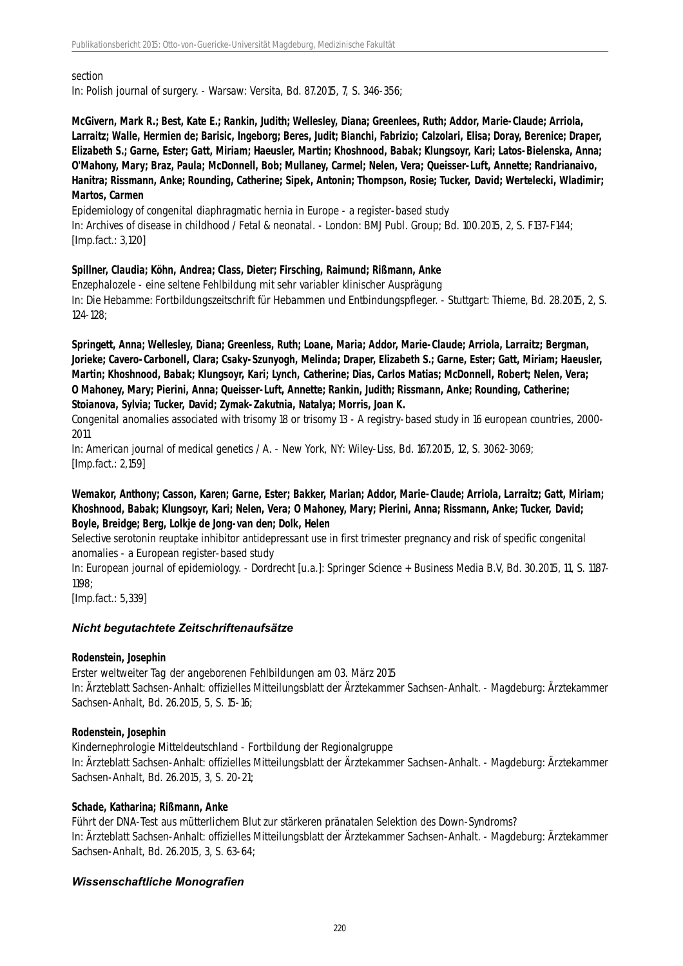#### section

In: Polish journal of surgery. - Warsaw: Versita, Bd. 87.2015, 7, S. 346-356;

**McGivern, Mark R.; Best, Kate E.; Rankin, Judith; Wellesley, Diana; Greenlees, Ruth; Addor, Marie-Claude; Arriola, Larraitz; Walle, Hermien de; Barisic, Ingeborg; Beres, Judit; Bianchi, Fabrizio; Calzolari, Elisa; Doray, Berenice; Draper, Elizabeth S.; Garne, Ester; Gatt, Miriam; Haeusler, Martin; Khoshnood, Babak; Klungsoyr, Kari; Latos-Bielenska, Anna; O'Mahony, Mary; Braz, Paula; McDonnell, Bob; Mullaney, Carmel; Nelen, Vera; Queisser-Luft, Annette; Randrianaivo, Hanitra; Rissmann, Anke; Rounding, Catherine; Sipek, Antonin; Thompson, Rosie; Tucker, David; Wertelecki, Wladimir; Martos, Carmen**

Epidemiology of congenital diaphragmatic hernia in Europe - a register-based study In: Archives of disease in childhood / Fetal & neonatal. - London: BMJ Publ. Group; Bd. 100.2015, 2, S. F137-F144; [Imp.fact.: 3,120]

#### **Spillner, Claudia; Köhn, Andrea; Class, Dieter; Firsching, Raimund; Rißmann, Anke**

Enzephalozele - eine seltene Fehlbildung mit sehr variabler klinischer Ausprägung In: Die Hebamme: Fortbildungszeitschrift für Hebammen und Entbindungspfleger. - Stuttgart: Thieme, Bd. 28.2015, 2, S. 124-128;

**Springett, Anna; Wellesley, Diana; Greenless, Ruth; Loane, Maria; Addor, Marie-Claude; Arriola, Larraitz; Bergman, Jorieke; Cavero-Carbonell, Clara; Csaky-Szunyogh, Melinda; Draper, Elizabeth S.; Garne, Ester; Gatt, Miriam; Haeusler, Martin; Khoshnood, Babak; Klungsoyr, Kari; Lynch, Catherine; Dias, Carlos Matias; McDonnell, Robert; Nelen, Vera; O Mahoney, Mary; Pierini, Anna; Queisser-Luft, Annette; Rankin, Judith; Rissmann, Anke; Rounding, Catherine; Stoianova, Sylvia; Tucker, David; Zymak-Zakutnia, Natalya; Morris, Joan K.**

Congenital anomalies associated with trisomy 18 or trisomy 13 - A registry-based study in 16 european countries, 2000- 2011

In: American journal of medical genetics / A. - New York, NY: Wiley-Liss, Bd. 167.2015, 12, S. 3062-3069; [Imp.fact.: 2,159]

## **Wemakor, Anthony; Casson, Karen; Garne, Ester; Bakker, Marian; Addor, Marie-Claude; Arriola, Larraitz; Gatt, Miriam; Khoshnood, Babak; Klungsoyr, Kari; Nelen, Vera; O Mahoney, Mary; Pierini, Anna; Rissmann, Anke; Tucker, David; Boyle, Breidge; Berg, Lolkje de Jong-van den; Dolk, Helen**

Selective serotonin reuptake inhibitor antidepressant use in first trimester pregnancy and risk of specific congenital anomalies - a European register-based study

In: European journal of epidemiology. - Dordrecht [u.a.]: Springer Science + Business Media B.V, Bd. 30.2015, 11, S. 1187- 1198;

[Imp.fact.: 5,339]

## *Nicht begutachtete Zeitschriftenaufsätze*

## **Rodenstein, Josephin**

Erster weltweiter Tag der angeborenen Fehlbildungen am 03. März 2015 In: Ärzteblatt Sachsen-Anhalt: offizielles Mitteilungsblatt der Ärztekammer Sachsen-Anhalt. - Magdeburg: Ärztekammer Sachsen-Anhalt, Bd. 26.2015, 5, S. 15-16;

## **Rodenstein, Josephin**

Kindernephrologie Mitteldeutschland - Fortbildung der Regionalgruppe In: Ärzteblatt Sachsen-Anhalt: offizielles Mitteilungsblatt der Ärztekammer Sachsen-Anhalt. - Magdeburg: Ärztekammer Sachsen-Anhalt, Bd. 26.2015, 3, S. 20-21;

## **Schade, Katharina; Rißmann, Anke**

Führt der DNA-Test aus mütterlichem Blut zur stärkeren pränatalen Selektion des Down-Syndroms? In: Ärzteblatt Sachsen-Anhalt: offizielles Mitteilungsblatt der Ärztekammer Sachsen-Anhalt. - Magdeburg: Ärztekammer Sachsen-Anhalt, Bd. 26.2015, 3, S. 63-64;

## *Wissenschaftliche Monografien*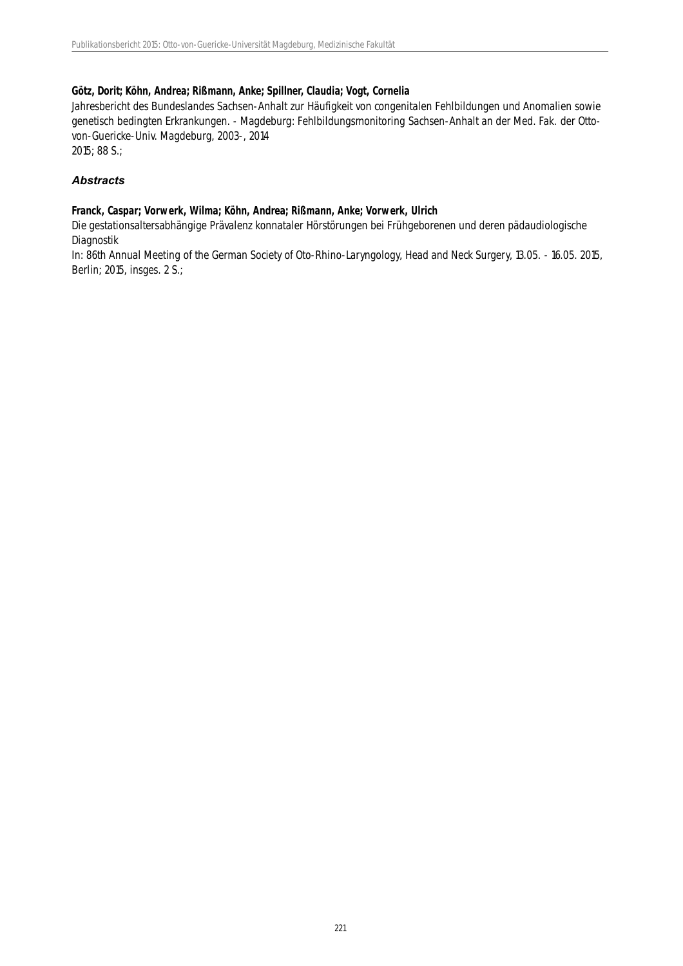# **Götz, Dorit; Köhn, Andrea; Rißmann, Anke; Spillner, Claudia; Vogt, Cornelia**

Jahresbericht des Bundeslandes Sachsen-Anhalt zur Häufigkeit von congenitalen Fehlbildungen und Anomalien sowie genetisch bedingten Erkrankungen. - Magdeburg: Fehlbildungsmonitoring Sachsen-Anhalt an der Med. Fak. der Ottovon-Guericke-Univ. Magdeburg, 2003-, 2014 2015; 88 S.;

# *Abstracts*

## **Franck, Caspar; Vorwerk, Wilma; Köhn, Andrea; Rißmann, Anke; Vorwerk, Ulrich**

Die gestationsaltersabhängige Prävalenz konnataler Hörstörungen bei Frühgeborenen und deren pädaudiologische Diagnostik

In: 86th Annual Meeting of the German Society of Oto-Rhino-Laryngology, Head and Neck Surgery, 13.05. - 16.05. 2015, Berlin; 2015, insges. 2 S.;